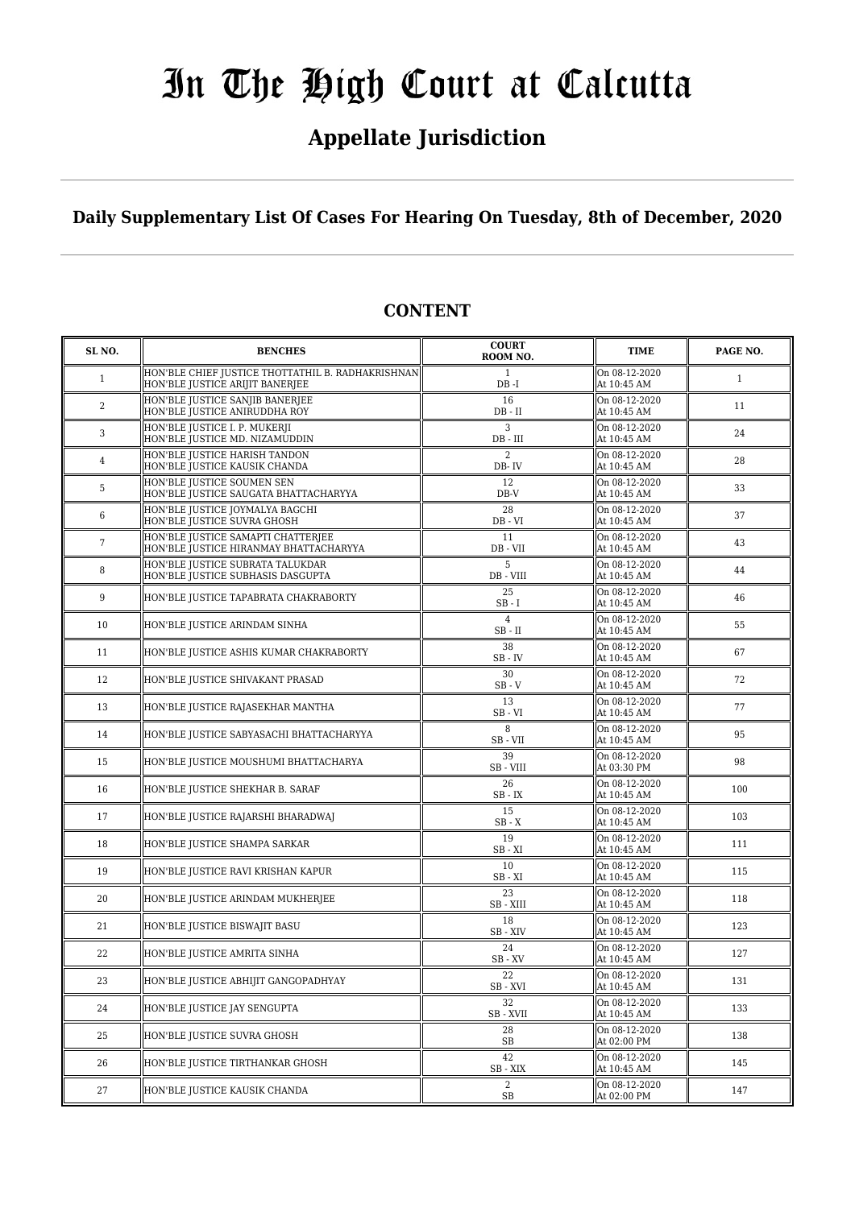# **Appellate Jurisdiction**

# **Daily Supplementary List Of Cases For Hearing On Tuesday, 8th of December, 2020**

| SL <sub>NO</sub> . | <b>BENCHES</b>                                                                       | <b>COURT</b><br>ROOM NO.                      | <b>TIME</b>                  | PAGE NO.     |
|--------------------|--------------------------------------------------------------------------------------|-----------------------------------------------|------------------------------|--------------|
| $\mathbf{1}$       | HON'BLE CHIEF JUSTICE THOTTATHIL B. RADHAKRISHNAN<br>HON'BLE JUSTICE ARIJIT BANERJEE | 1<br>$DB - I$                                 | On 08-12-2020<br>At 10:45 AM | $\mathbf{1}$ |
| $\overline{c}$     | HON'BLE JUSTICE SANJIB BANERJEE<br>HON'BLE JUSTICE ANIRUDDHA ROY                     | 16<br>$DB - II$                               | On 08-12-2020<br>At 10:45 AM | 11           |
| 3                  | HON'BLE JUSTICE I. P. MUKERJI<br>HON'BLE JUSTICE MD. NIZAMUDDIN                      | 3<br>DB - III                                 | On 08-12-2020<br>At 10:45 AM | 24           |
| 4                  | HON'BLE JUSTICE HARISH TANDON<br>HON'BLE JUSTICE KAUSIK CHANDA                       | $\overline{2}$<br>DB-IV                       | On 08-12-2020<br>At 10:45 AM | 28           |
| 5                  | HON'BLE JUSTICE SOUMEN SEN<br>HON'BLE JUSTICE SAUGATA BHATTACHARYYA                  | 12<br>DB-V                                    | On 08-12-2020<br>At 10:45 AM | 33           |
| 6                  | HON'BLE JUSTICE JOYMALYA BAGCHI<br>HON'BLE JUSTICE SUVRA GHOSH                       | 28<br>DB - VI                                 | On 08-12-2020<br>At 10:45 AM | 37           |
| 7                  | HON'BLE JUSTICE SAMAPTI CHATTERJEE<br>HON'BLE JUSTICE HIRANMAY BHATTACHARYYA         | 11<br>DB - VII                                | On 08-12-2020<br>At 10:45 AM | 43           |
| 8                  | HON'BLE JUSTICE SUBRATA TALUKDAR<br>HON'BLE JUSTICE SUBHASIS DASGUPTA                | 5<br>DB - VIII                                | On 08-12-2020<br>At 10:45 AM | 44           |
| 9                  | HON'BLE JUSTICE TAPABRATA CHAKRABORTY                                                | 25<br>$SB - I$                                | On 08-12-2020<br>At 10:45 AM | 46           |
| 10                 | HON'BLE JUSTICE ARINDAM SINHA                                                        | 4<br>$SB - II$                                | On 08-12-2020<br>At 10:45 AM | 55           |
| 11                 | HON'BLE JUSTICE ASHIS KUMAR CHAKRABORTY                                              | 38<br>SB - IV                                 | On 08-12-2020<br>At 10:45 AM | 67           |
| 12                 | HON'BLE JUSTICE SHIVAKANT PRASAD                                                     | 30<br>$SB - V$                                | On 08-12-2020<br>At 10:45 AM | 72           |
| 13                 | HON'BLE JUSTICE RAJASEKHAR MANTHA                                                    | 13<br>SB-VI                                   | On 08-12-2020<br>At 10:45 AM | 77           |
| 14                 | HON'BLE JUSTICE SABYASACHI BHATTACHARYYA                                             | 8<br>SB - VII                                 | On 08-12-2020<br>At 10:45 AM | 95           |
| 15                 | HON'BLE JUSTICE MOUSHUMI BHATTACHARYA                                                | 39<br>SB - VIII                               | On 08-12-2020<br>At 03:30 PM | 98           |
| 16                 | HON'BLE JUSTICE SHEKHAR B. SARAF                                                     | 26<br>SB-IX                                   | On 08-12-2020<br>At 10:45 AM | 100          |
| 17                 | HON'BLE JUSTICE RAJARSHI BHARADWAJ                                                   | 15<br>$SB - X$                                | On 08-12-2020<br>At 10:45 AM | 103          |
| 18                 | HON'BLE JUSTICE SHAMPA SARKAR                                                        | 19<br>$SB - XI$                               | On 08-12-2020<br>At 10:45 AM | 111          |
| 19                 | HON'BLE JUSTICE RAVI KRISHAN KAPUR                                                   | 10<br>$SB - XI$                               | On 08-12-2020<br>At 10:45 AM | 115          |
| 20                 | HON'BLE JUSTICE ARINDAM MUKHERJEE                                                    | 23<br>SB - XIII                               | On 08-12-2020<br>At 10:45 AM | 118          |
| 21                 | HON'BLE JUSTICE BISWAJIT BASU                                                        | 18<br>SB-XIV                                  | On 08-12-2020<br>At 10:45 AM | 123          |
| 22                 | HON'BLE JUSTICE AMRITA SINHA                                                         | 24<br>SB-XV                                   | On 08-12-2020<br>At 10:45 AM | 127          |
| 23                 | HON'BLE JUSTICE ABHIJIT GANGOPADHYAY                                                 | 22<br>$\ensuremath{\mathsf{SB}}\xspace$ - XVI | On 08-12-2020<br>At 10:45 AM | 131          |
| 24                 | HON'BLE JUSTICE JAY SENGUPTA                                                         | 32<br>SB - XVII                               | On 08-12-2020<br>At 10:45 AM | 133          |
| 25                 | HON'BLE JUSTICE SUVRA GHOSH                                                          | 28<br>SB                                      | On 08-12-2020<br>At 02:00 PM | 138          |
| 26                 | HON'BLE JUSTICE TIRTHANKAR GHOSH                                                     | 42<br>SB - XIX                                | On 08-12-2020<br>At 10:45 AM | 145          |
| 27                 | HON'BLE JUSTICE KAUSIK CHANDA                                                        | 2<br>$\rm SB$                                 | On 08-12-2020<br>At 02:00 PM | 147          |

# **CONTENT**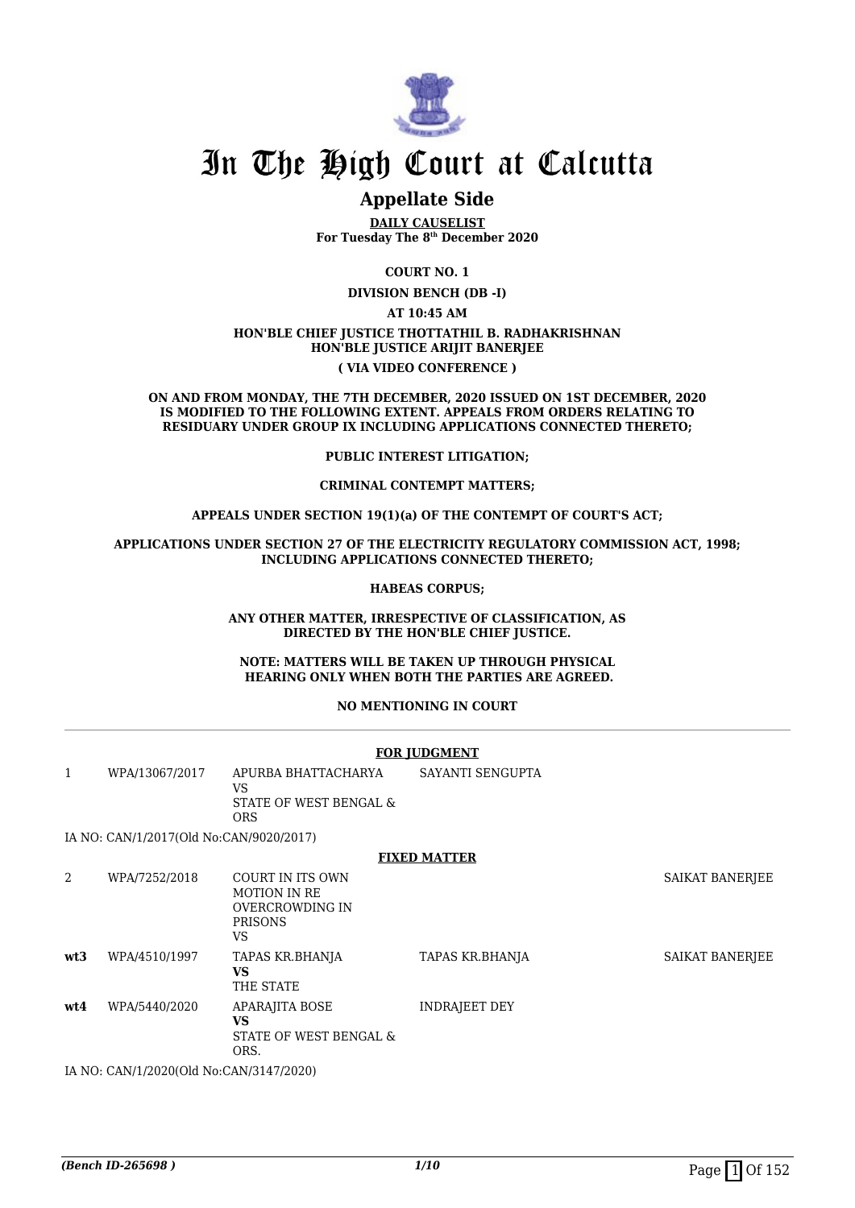

# **Appellate Side**

**DAILY CAUSELIST For Tuesday The 8th December 2020**

**COURT NO. 1**

**DIVISION BENCH (DB -I)**

**AT 10:45 AM**

### **HON'BLE CHIEF JUSTICE THOTTATHIL B. RADHAKRISHNAN HON'BLE JUSTICE ARIJIT BANERJEE ( VIA VIDEO CONFERENCE )**

#### **ON AND FROM MONDAY, THE 7TH DECEMBER, 2020 ISSUED ON 1ST DECEMBER, 2020 IS MODIFIED TO THE FOLLOWING EXTENT. APPEALS FROM ORDERS RELATING TO RESIDUARY UNDER GROUP IX INCLUDING APPLICATIONS CONNECTED THERETO;**

### **PUBLIC INTEREST LITIGATION;**

### **CRIMINAL CONTEMPT MATTERS;**

### **APPEALS UNDER SECTION 19(1)(a) OF THE CONTEMPT OF COURT'S ACT;**

### **APPLICATIONS UNDER SECTION 27 OF THE ELECTRICITY REGULATORY COMMISSION ACT, 1998; INCLUDING APPLICATIONS CONNECTED THERETO;**

### **HABEAS CORPUS;**

### **ANY OTHER MATTER, IRRESPECTIVE OF CLASSIFICATION, AS DIRECTED BY THE HON'BLE CHIEF JUSTICE.**

#### **NOTE: MATTERS WILL BE TAKEN UP THROUGH PHYSICAL HEARING ONLY WHEN BOTH THE PARTIES ARE AGREED.**

### **NO MENTIONING IN COURT**

### **FOR JUDGMENT**

1 WPA/13067/2017 APURBA BHATTACHARYA VS STATE OF WEST BENGAL & ORS SAYANTI SENGUPTA

IA NO: CAN/1/2017(Old No:CAN/9020/2017)

### **FIXED MATTER**

| 2   | WPA/7252/2018                             | COURT IN ITS OWN<br><b>MOTION IN RE</b><br>OVERCROWDING IN<br><b>PRISONS</b><br>VS |                      | SAIKAT BANERJEE |
|-----|-------------------------------------------|------------------------------------------------------------------------------------|----------------------|-----------------|
| wt3 | WPA/4510/1997                             | TAPAS KR.BHANJA<br>VS<br>THE STATE                                                 | TAPAS KR.BHANJA      | SAIKAT BANERJEE |
| wt4 | WPA/5440/2020                             | <b>APARAJITA BOSE</b><br>VS<br>STATE OF WEST BENGAL &<br>ORS.                      | <b>INDRAJEET DEY</b> |                 |
|     | IA NO. CANI/1/2020(OLIMAC CANI/2147/2020) |                                                                                    |                      |                 |

IA NO: CAN/1/2020(Old No:CAN/3147/2020)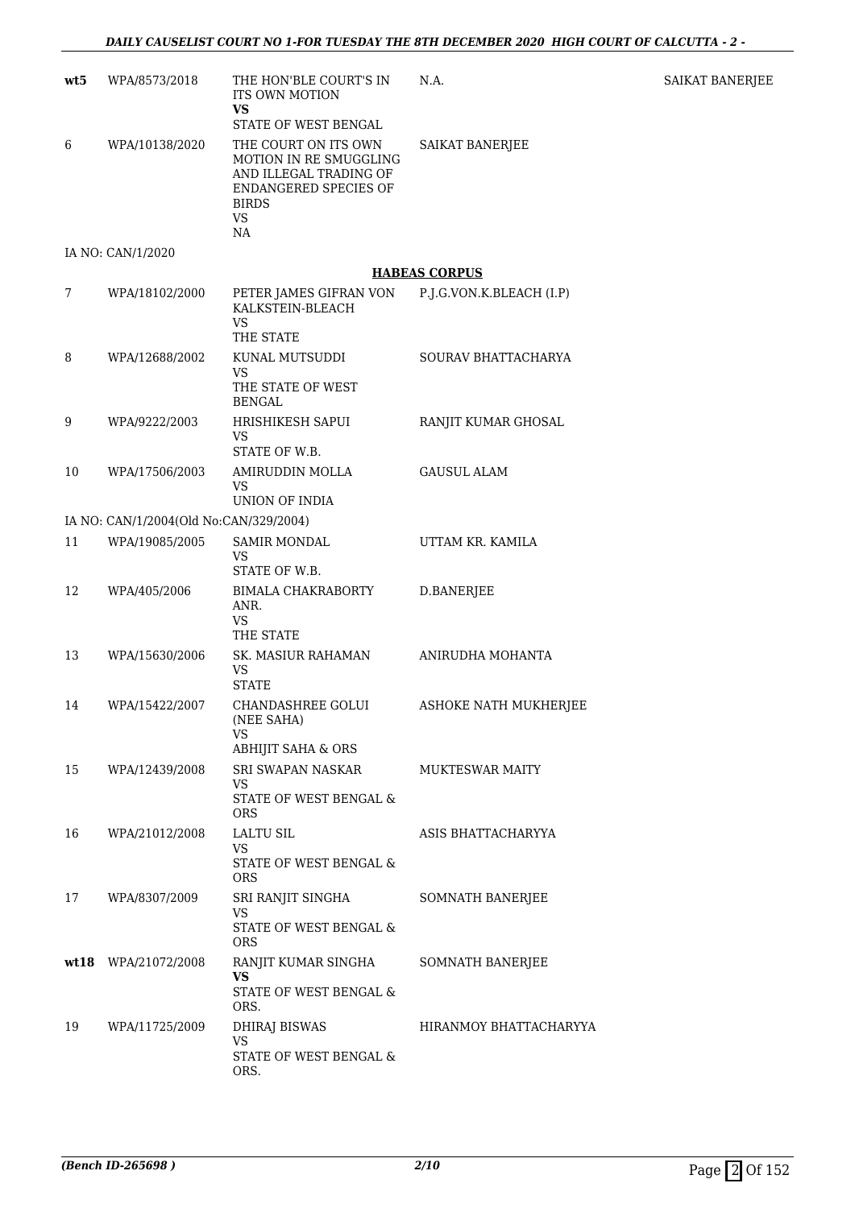| wt5  | WPA/8573/2018                          | THE HON'BLE COURT'S IN<br><b>ITS OWN MOTION</b><br><b>VS</b>                                                                                                 | N.A.                                             | <b>SAIKAT BANERJEE</b> |
|------|----------------------------------------|--------------------------------------------------------------------------------------------------------------------------------------------------------------|--------------------------------------------------|------------------------|
| 6    | WPA/10138/2020                         | STATE OF WEST BENGAL<br>THE COURT ON ITS OWN<br>MOTION IN RE SMUGGLING<br>AND ILLEGAL TRADING OF<br>ENDANGERED SPECIES OF<br><b>BIRDS</b><br><b>VS</b><br>NA | SAIKAT BANERJEE                                  |                        |
|      | IA NO: CAN/1/2020                      |                                                                                                                                                              |                                                  |                        |
| 7    | WPA/18102/2000                         | PETER JAMES GIFRAN VON<br>KALKSTEIN-BLEACH<br><b>VS</b><br>THE STATE                                                                                         | <b>HABEAS CORPUS</b><br>P.J.G.VON.K.BLEACH (I.P) |                        |
| 8    | WPA/12688/2002                         | KUNAL MUTSUDDI<br><b>VS</b><br>THE STATE OF WEST<br><b>BENGAL</b>                                                                                            | SOURAV BHATTACHARYA                              |                        |
| 9    | WPA/9222/2003                          | HRISHIKESH SAPUI<br><b>VS</b><br>STATE OF W.B.                                                                                                               | RANJIT KUMAR GHOSAL                              |                        |
| 10   | WPA/17506/2003                         | AMIRUDDIN MOLLA<br>VS<br>UNION OF INDIA                                                                                                                      | <b>GAUSUL ALAM</b>                               |                        |
|      | IA NO: CAN/1/2004(Old No:CAN/329/2004) |                                                                                                                                                              |                                                  |                        |
| 11   | WPA/19085/2005                         | <b>SAMIR MONDAL</b><br>VS<br>STATE OF W.B.                                                                                                                   | UTTAM KR. KAMILA                                 |                        |
| 12   | WPA/405/2006                           | <b>BIMALA CHAKRABORTY</b><br>ANR.<br><b>VS</b><br>THE STATE                                                                                                  | D.BANERJEE                                       |                        |
| 13   | WPA/15630/2006                         | SK. MASIUR RAHAMAN<br><b>VS</b><br><b>STATE</b>                                                                                                              | ANIRUDHA MOHANTA                                 |                        |
| 14   | WPA/15422/2007                         | CHANDASHREE GOLUI<br>(NEE SAHA)<br>VS<br><b>ABHIJIT SAHA &amp; ORS</b>                                                                                       | ASHOKE NATH MUKHERJEE                            |                        |
| 15   | WPA/12439/2008                         | SRI SWAPAN NASKAR<br>VS<br>STATE OF WEST BENGAL &<br><b>ORS</b>                                                                                              | <b>MUKTESWAR MAITY</b>                           |                        |
| 16   | WPA/21012/2008                         | <b>LALTU SIL</b><br>VS<br>STATE OF WEST BENGAL $\&$<br><b>ORS</b>                                                                                            | ASIS BHATTACHARYYA                               |                        |
| 17   | WPA/8307/2009                          | SRI RANJIT SINGHA<br><b>VS</b><br>STATE OF WEST BENGAL &<br><b>ORS</b>                                                                                       | SOMNATH BANERJEE                                 |                        |
| wt18 | WPA/21072/2008                         | RANJIT KUMAR SINGHA<br><b>VS</b><br>STATE OF WEST BENGAL $\&$<br>ORS.                                                                                        | SOMNATH BANERJEE                                 |                        |
| 19   | WPA/11725/2009                         | <b>DHIRAJ BISWAS</b><br><b>VS</b><br>STATE OF WEST BENGAL &<br>ORS.                                                                                          | HIRANMOY BHATTACHARYYA                           |                        |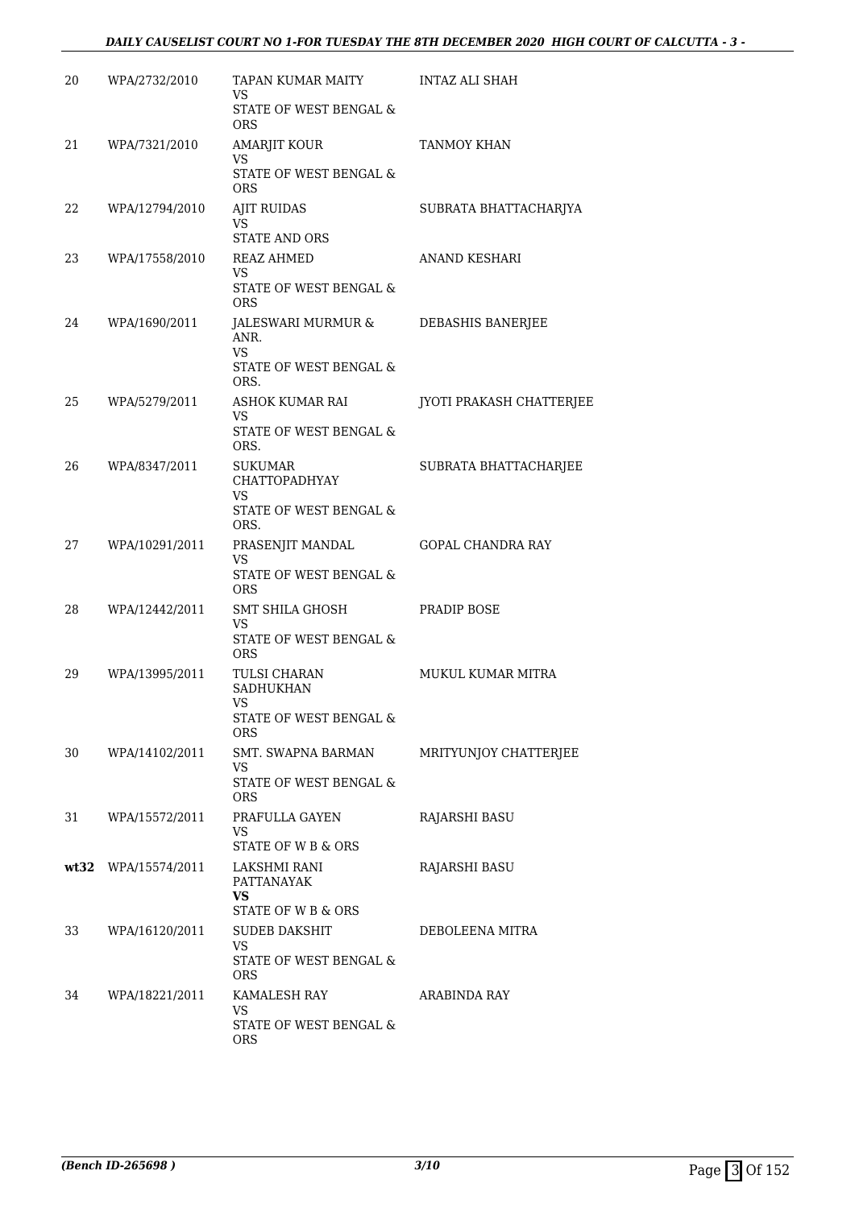| 20 | WPA/2732/2010         | TAPAN KUMAR MAITY                                 | INTAZ ALI SHAH           |
|----|-----------------------|---------------------------------------------------|--------------------------|
|    |                       | VS<br>STATE OF WEST BENGAL &                      |                          |
|    |                       | <b>ORS</b>                                        |                          |
| 21 | WPA/7321/2010         | <b>AMARJIT KOUR</b><br>VS.                        | <b>TANMOY KHAN</b>       |
|    |                       | STATE OF WEST BENGAL &<br><b>ORS</b>              |                          |
| 22 | WPA/12794/2010        | <b>AJIT RUIDAS</b>                                | SUBRATA BHATTACHARJYA    |
|    |                       | VS<br>STATE AND ORS                               |                          |
| 23 | WPA/17558/2010        | <b>REAZ AHMED</b>                                 | <b>ANAND KESHARI</b>     |
|    |                       | VS.<br>STATE OF WEST BENGAL &<br><b>ORS</b>       |                          |
| 24 | WPA/1690/2011         | JALESWARI MURMUR &<br>ANR.                        | DEBASHIS BANERJEE        |
|    |                       | VS.<br>STATE OF WEST BENGAL &<br>ORS.             |                          |
| 25 | WPA/5279/2011         | ASHOK KUMAR RAI                                   | JYOTI PRAKASH CHATTERJEE |
|    |                       | VS<br>STATE OF WEST BENGAL &<br>ORS.              |                          |
| 26 | WPA/8347/2011         | <b>SUKUMAR</b>                                    | SUBRATA BHATTACHARJEE    |
|    |                       | CHATTOPADHYAY<br>VS.                              |                          |
|    |                       | STATE OF WEST BENGAL &<br>ORS.                    |                          |
| 27 | WPA/10291/2011        | PRASENJIT MANDAL                                  | <b>GOPAL CHANDRA RAY</b> |
|    |                       | VS<br>STATE OF WEST BENGAL &<br>ORS.              |                          |
| 28 | WPA/12442/2011        | SMT SHILA GHOSH                                   | PRADIP BOSE              |
|    |                       | VS<br>STATE OF WEST BENGAL &<br><b>ORS</b>        |                          |
| 29 | WPA/13995/2011        | TULSI CHARAN<br><b>SADHUKHAN</b>                  | MUKUL KUMAR MITRA        |
|    |                       | VS<br>STATE OF WEST BENGAL &<br><b>ORS</b>        |                          |
| 30 | WPA/14102/2011        | <b>SMT. SWAPNA BARMAN</b>                         | MRITYUNJOY CHATTERJEE    |
|    |                       | VS.<br>STATE OF WEST BENGAL &<br><b>ORS</b>       |                          |
| 31 | WPA/15572/2011        | PRAFULLA GAYEN                                    | <b>RAJARSHI BASU</b>     |
|    |                       | VS<br>STATE OF W B & ORS                          |                          |
|    | $wt32$ WPA/15574/2011 | LAKSHMI RANI                                      | RAJARSHI BASU            |
|    |                       | PATTANAYAK<br>VS.                                 |                          |
|    |                       | STATE OF W B & ORS                                |                          |
| 33 | WPA/16120/2011        | <b>SUDEB DAKSHIT</b><br>VS.                       | DEBOLEENA MITRA          |
|    |                       | STATE OF WEST BENGAL &<br><b>ORS</b>              |                          |
| 34 | WPA/18221/2011        | KAMALESH RAY                                      | ARABINDA RAY             |
|    |                       | <b>VS</b><br>STATE OF WEST BENGAL &<br><b>ORS</b> |                          |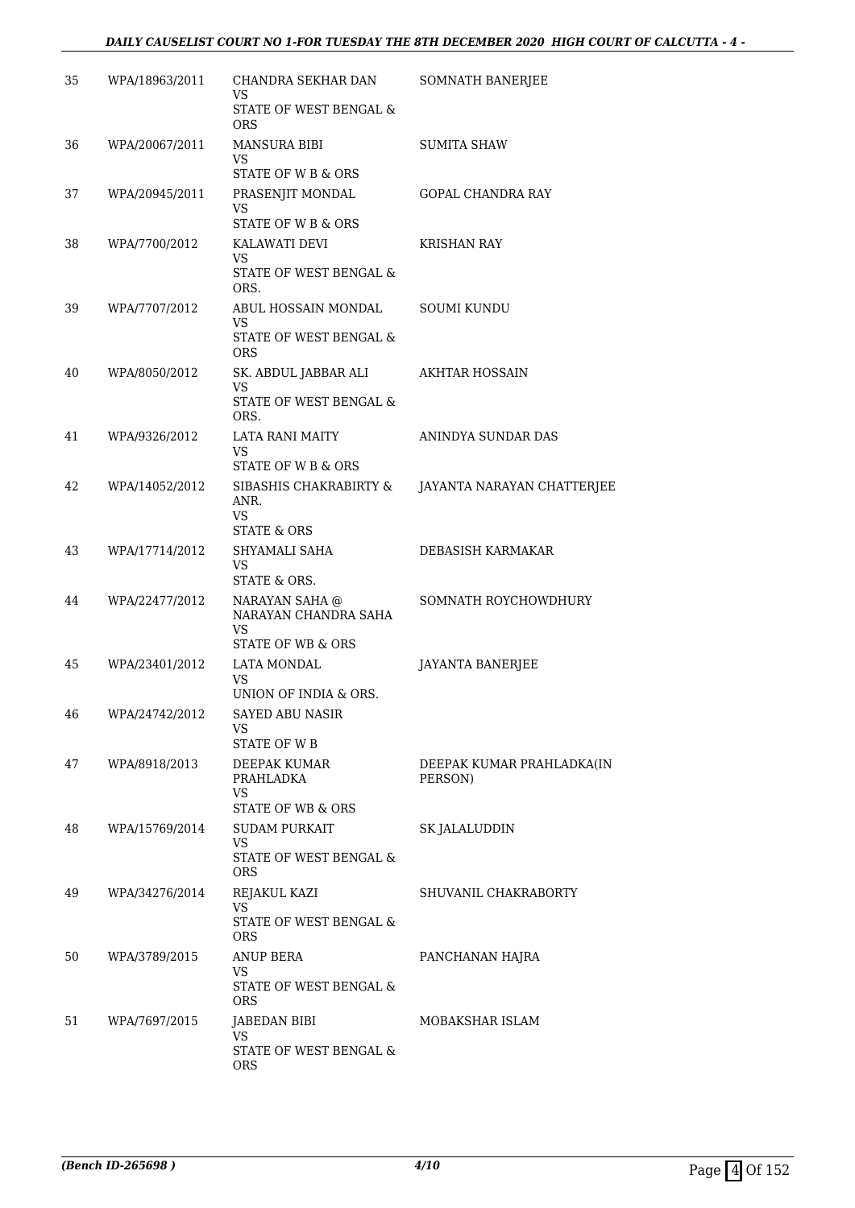| 35 | WPA/18963/2011 | CHANDRA SEKHAR DAN<br>VS                                                  | SOMNATH BANERJEE                     |
|----|----------------|---------------------------------------------------------------------------|--------------------------------------|
|    |                | STATE OF WEST BENGAL &<br><b>ORS</b>                                      |                                      |
| 36 | WPA/20067/2011 | <b>MANSURA BIBI</b><br>VS<br>STATE OF W B & ORS                           | SUMITA SHAW                          |
| 37 | WPA/20945/2011 | PRASENJIT MONDAL<br>VS<br>STATE OF W B & ORS                              | <b>GOPAL CHANDRA RAY</b>             |
| 38 | WPA/7700/2012  | KALAWATI DEVI<br>VS<br>STATE OF WEST BENGAL &<br>ORS.                     | KRISHAN RAY                          |
| 39 | WPA/7707/2012  | ABUL HOSSAIN MONDAL<br>VS<br>STATE OF WEST BENGAL &<br><b>ORS</b>         | SOUMI KUNDU                          |
| 40 | WPA/8050/2012  | SK. ABDUL JABBAR ALI<br>VS<br><b>STATE OF WEST BENGAL &amp;</b><br>ORS.   | AKHTAR HOSSAIN                       |
| 41 | WPA/9326/2012  | LATA RANI MAITY<br>VS<br><b>STATE OF W B &amp; ORS</b>                    | ANINDYA SUNDAR DAS                   |
| 42 | WPA/14052/2012 | SIBASHIS CHAKRABIRTY &<br>ANR.<br>VS<br><b>STATE &amp; ORS</b>            | JAYANTA NARAYAN CHATTERJEE           |
| 43 | WPA/17714/2012 | SHYAMALI SAHA<br>VS<br>STATE & ORS.                                       | DEBASISH KARMAKAR                    |
| 44 | WPA/22477/2012 | NARAYAN SAHA @<br>NARAYAN CHANDRA SAHA<br>VS<br>STATE OF WB & ORS         | SOMNATH ROYCHOWDHURY                 |
| 45 | WPA/23401/2012 | <b>LATA MONDAL</b><br>VS<br>UNION OF INDIA & ORS.                         | JAYANTA BANERJEE                     |
| 46 | WPA/24742/2012 | <b>SAYED ABU NASIR</b><br>VS<br><b>STATE OF WB</b>                        |                                      |
| 47 | WPA/8918/2013  | DEEPAK KUMAR<br>PRAHLADKA<br>VS<br><b>STATE OF WB &amp; ORS</b>           | DEEPAK KUMAR PRAHLADKA(IN<br>PERSON) |
| 48 | WPA/15769/2014 | <b>SUDAM PURKAIT</b><br><b>VS</b><br>STATE OF WEST BENGAL &<br><b>ORS</b> | SK JALALUDDIN                        |
| 49 | WPA/34276/2014 | REJAKUL KAZI<br>VS.<br>STATE OF WEST BENGAL &<br><b>ORS</b>               | SHUVANIL CHAKRABORTY                 |
| 50 | WPA/3789/2015  | ANUP BERA<br>VS.<br>STATE OF WEST BENGAL &<br><b>ORS</b>                  | PANCHANAN HAJRA                      |
| 51 | WPA/7697/2015  | JABEDAN BIBI<br>VS.<br>STATE OF WEST BENGAL &<br>ORS                      | MOBAKSHAR ISLAM                      |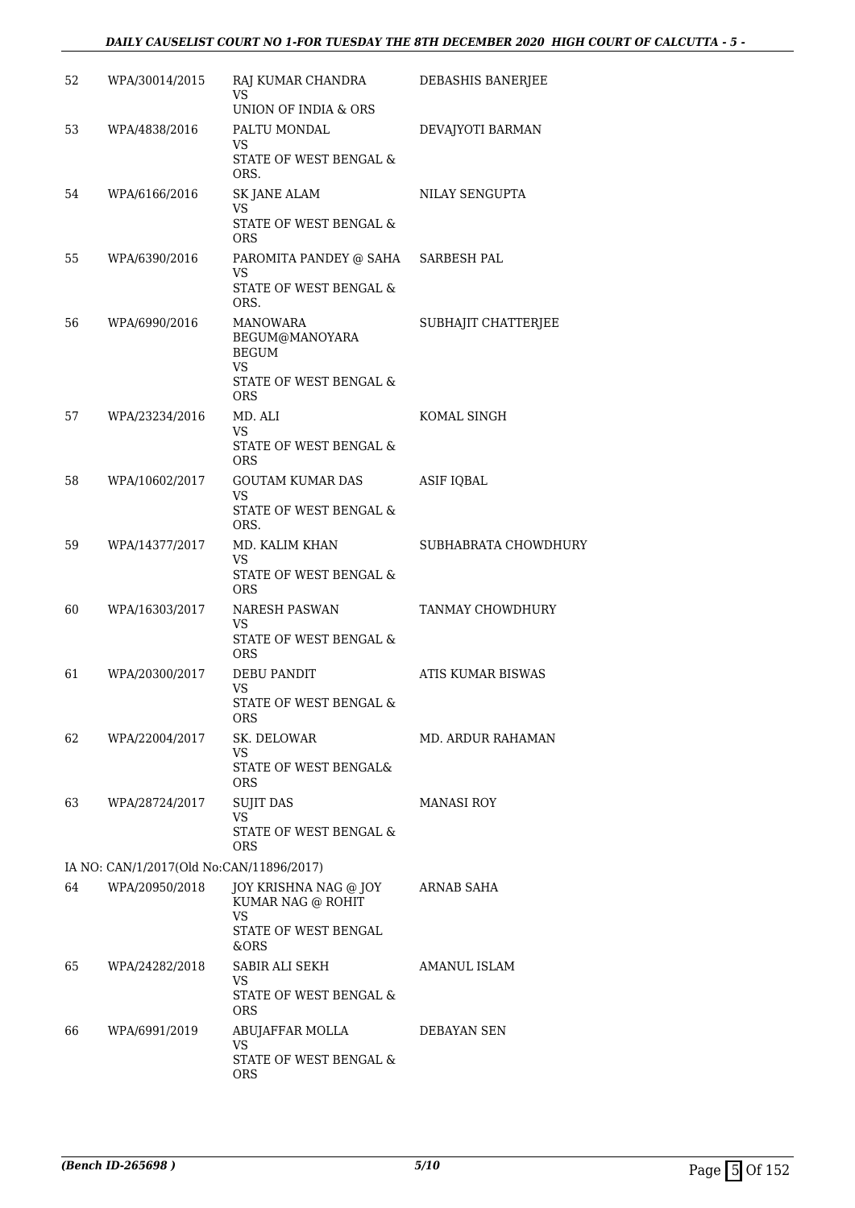### *DAILY CAUSELIST COURT NO 1-FOR TUESDAY THE 8TH DECEMBER 2020 HIGH COURT OF CALCUTTA - 5 -*

| 52 | WPA/30014/2015                           | RAJ KUMAR CHANDRA<br>VS.                                                     | DEBASHIS BANERJEE        |
|----|------------------------------------------|------------------------------------------------------------------------------|--------------------------|
| 53 | WPA/4838/2016                            | UNION OF INDIA & ORS<br>PALTU MONDAL<br>VS                                   | DEVAJYOTI BARMAN         |
|    |                                          | STATE OF WEST BENGAL &<br>ORS.                                               |                          |
| 54 | WPA/6166/2016                            | SK JANE ALAM<br><b>VS</b><br><b>STATE OF WEST BENGAL &amp;</b><br><b>ORS</b> | NILAY SENGUPTA           |
| 55 | WPA/6390/2016                            | PAROMITA PANDEY @ SAHA SARBESH PAL<br>VS                                     |                          |
|    |                                          | STATE OF WEST BENGAL &<br>ORS.                                               |                          |
| 56 | WPA/6990/2016                            | MANOWARA<br>BEGUM@MANOYARA<br><b>BEGUM</b><br>VS.<br>STATE OF WEST BENGAL &  | SUBHAJIT CHATTERJEE      |
| 57 |                                          | <b>ORS</b><br>MD. ALI                                                        | KOMAL SINGH              |
|    | WPA/23234/2016                           | VS.<br>STATE OF WEST BENGAL &<br><b>ORS</b>                                  |                          |
| 58 | WPA/10602/2017                           | <b>GOUTAM KUMAR DAS</b>                                                      | <b>ASIF IQBAL</b>        |
|    |                                          | VS.<br>STATE OF WEST BENGAL &<br>ORS.                                        |                          |
| 59 | WPA/14377/2017                           | MD. KALIM KHAN                                                               | SUBHABRATA CHOWDHURY     |
|    |                                          | VS.<br>STATE OF WEST BENGAL &<br><b>ORS</b>                                  |                          |
| 60 | WPA/16303/2017                           | <b>NARESH PASWAN</b><br>VS.                                                  | TANMAY CHOWDHURY         |
|    |                                          | STATE OF WEST BENGAL &<br><b>ORS</b>                                         |                          |
| 61 | WPA/20300/2017                           | DEBU PANDIT<br><b>VS</b>                                                     | <b>ATIS KUMAR BISWAS</b> |
|    |                                          | STATE OF WEST BENGAL &<br>ORS                                                |                          |
| 62 | WPA/22004/2017                           | SK. DELOWAR<br><b>VS</b>                                                     | MD. ARDUR RAHAMAN        |
|    |                                          | STATE OF WEST BENGAL&<br><b>ORS</b>                                          |                          |
| 63 | WPA/28724/2017                           | <b>SUJIT DAS</b><br>VS.                                                      | <b>MANASI ROY</b>        |
|    |                                          | STATE OF WEST BENGAL &<br><b>ORS</b>                                         |                          |
|    | IA NO: CAN/1/2017(Old No:CAN/11896/2017) |                                                                              |                          |
| 64 | WPA/20950/2018                           | JOY KRISHNA NAG @ JOY<br>KUMAR NAG @ ROHIT<br>VS                             | ARNAB SAHA               |
|    |                                          | STATE OF WEST BENGAL<br>&ORS                                                 |                          |
| 65 | WPA/24282/2018                           | SABIR ALI SEKH<br>VS.                                                        | AMANUL ISLAM             |
|    |                                          | STATE OF WEST BENGAL &<br><b>ORS</b>                                         |                          |
| 66 | WPA/6991/2019                            | ABUJAFFAR MOLLA<br><b>VS</b>                                                 | DEBAYAN SEN              |
|    |                                          | STATE OF WEST BENGAL &<br>ORS                                                |                          |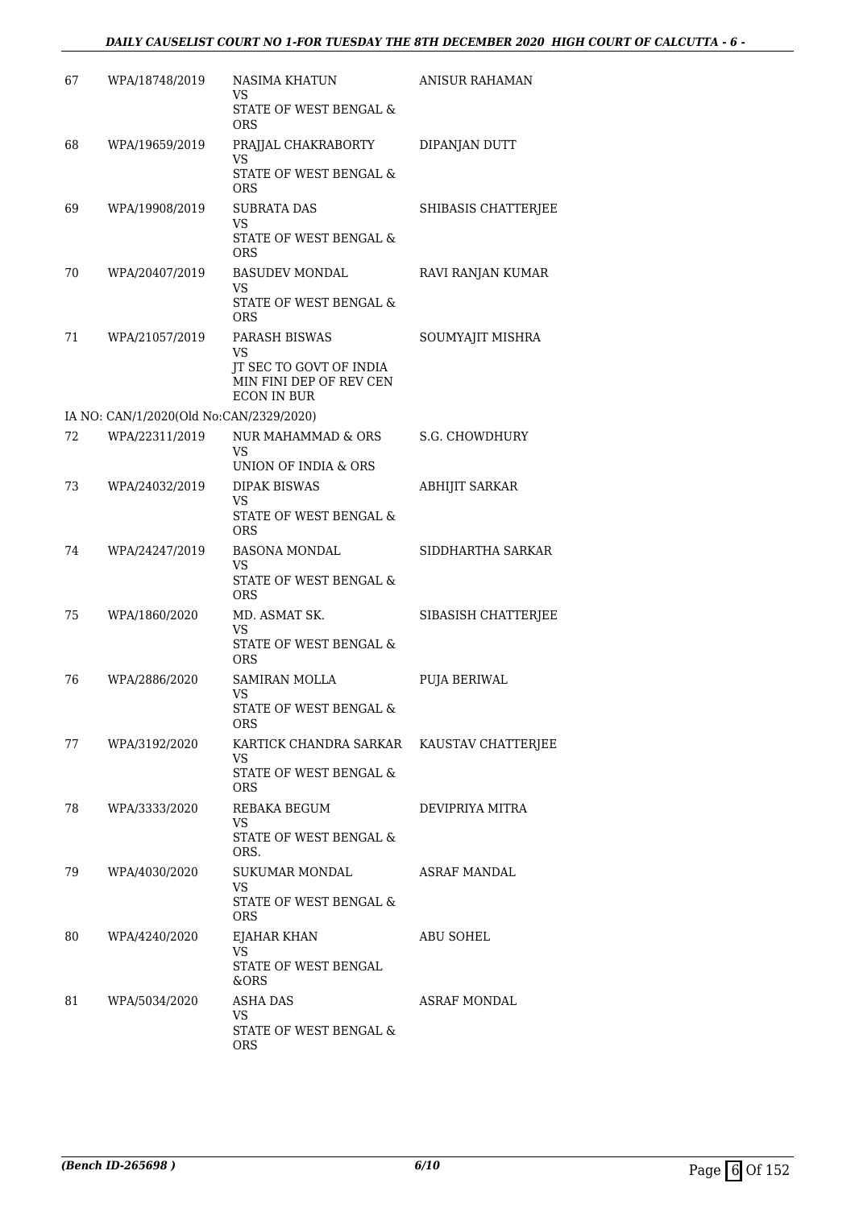| 67 | WPA/18748/2019                          | NASIMA KHATUN<br>VS<br>STATE OF WEST BENGAL &<br><b>ORS</b>                                     | <b>ANISUR RAHAMAN</b> |
|----|-----------------------------------------|-------------------------------------------------------------------------------------------------|-----------------------|
| 68 | WPA/19659/2019                          | PRAJJAL CHAKRABORTY<br><b>VS</b><br><b>STATE OF WEST BENGAL &amp;</b><br><b>ORS</b>             | DIPANJAN DUTT         |
| 69 | WPA/19908/2019                          | <b>SUBRATA DAS</b><br>VS<br>STATE OF WEST BENGAL &<br><b>ORS</b>                                | SHIBASIS CHATTERJEE   |
| 70 | WPA/20407/2019                          | <b>BASUDEV MONDAL</b><br>VS.<br>STATE OF WEST BENGAL &<br><b>ORS</b>                            | RAVI RANJAN KUMAR     |
| 71 | WPA/21057/2019                          | PARASH BISWAS<br>VS<br>JT SEC TO GOVT OF INDIA<br>MIN FINI DEP OF REV CEN<br><b>ECON IN BUR</b> | SOUMYAJIT MISHRA      |
|    | IA NO: CAN/1/2020(Old No:CAN/2329/2020) |                                                                                                 |                       |
| 72 | WPA/22311/2019                          | <b>NUR MAHAMMAD &amp; ORS</b><br>VS.<br>UNION OF INDIA & ORS                                    | S.G. CHOWDHURY        |
| 73 | WPA/24032/2019                          | <b>DIPAK BISWAS</b><br>VS<br>STATE OF WEST BENGAL &<br><b>ORS</b>                               | <b>ABHIJIT SARKAR</b> |
| 74 | WPA/24247/2019                          | <b>BASONA MONDAL</b><br>VS<br>STATE OF WEST BENGAL &<br>ORS.                                    | SIDDHARTHA SARKAR     |
| 75 | WPA/1860/2020                           | MD. ASMAT SK.<br>VS<br>STATE OF WEST BENGAL &<br>ORS.                                           | SIBASISH CHATTERJEE   |
| 76 | WPA/2886/2020                           | <b>SAMIRAN MOLLA</b><br>VS<br>STATE OF WEST BENGAL &<br>ORS                                     | <b>PUJA BERIWAL</b>   |
| 77 | WPA/3192/2020                           | KARTICK CHANDRA SARKAR KAUSTAV CHATTERJEE<br>VS<br>STATE OF WEST BENGAL &<br>ORS.               |                       |
| 78 | WPA/3333/2020                           | REBAKA BEGUM<br>VS.<br>STATE OF WEST BENGAL &<br>ORS.                                           | DEVIPRIYA MITRA       |
| 79 | WPA/4030/2020                           | SUKUMAR MONDAL<br>VS<br>STATE OF WEST BENGAL &<br>ORS.                                          | ASRAF MANDAL          |
| 80 | WPA/4240/2020                           | EJAHAR KHAN<br>VS.<br>STATE OF WEST BENGAL<br>&ORS                                              | ABU SOHEL             |
| 81 | WPA/5034/2020                           | ASHA DAS<br>VS<br>STATE OF WEST BENGAL &<br>ORS.                                                | <b>ASRAF MONDAL</b>   |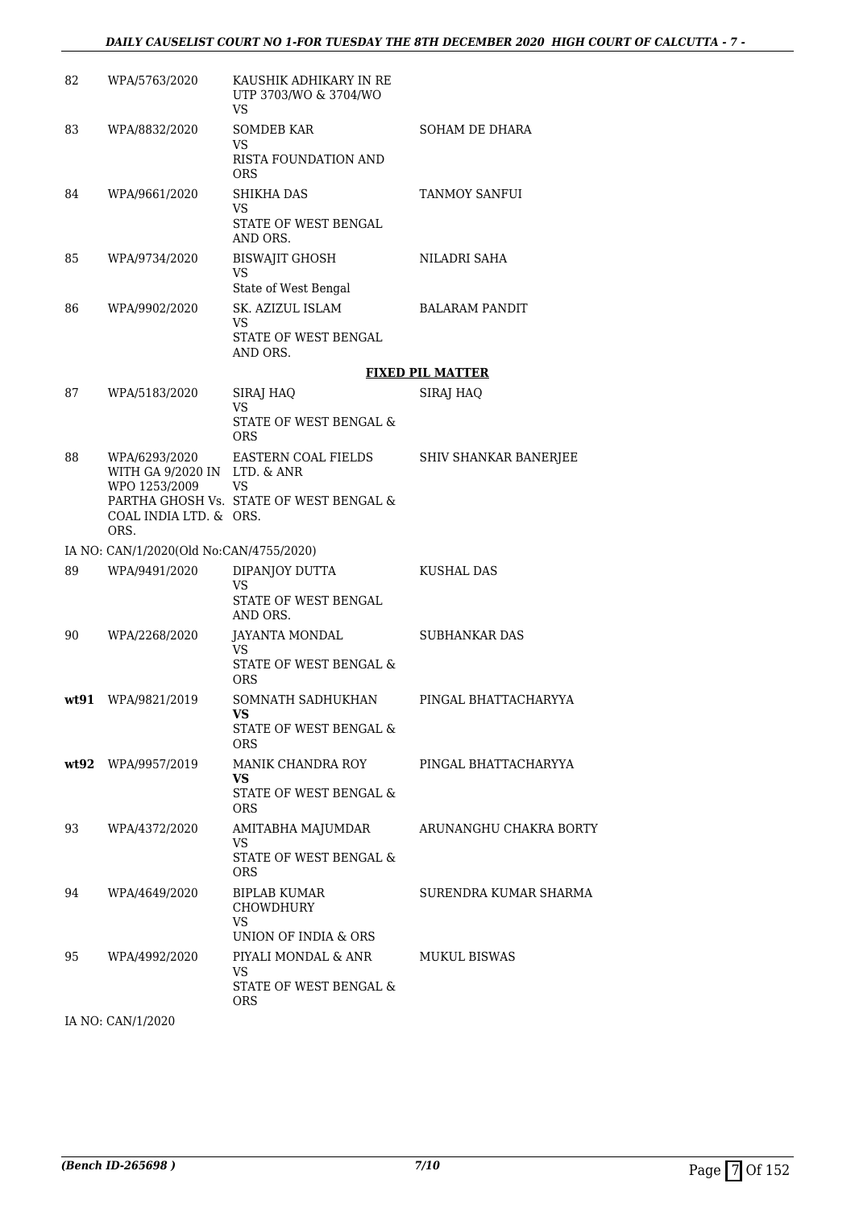| 82 | WPA/5763/2020                                 | KAUSHIK ADHIKARY IN RE<br>UTP 3703/WO & 3704/WO<br><b>VS</b> |                         |
|----|-----------------------------------------------|--------------------------------------------------------------|-------------------------|
| 83 | WPA/8832/2020                                 | <b>SOMDEB KAR</b><br><b>VS</b>                               | SOHAM DE DHARA          |
|    |                                               | RISTA FOUNDATION AND<br><b>ORS</b>                           |                         |
| 84 | WPA/9661/2020                                 | <b>SHIKHA DAS</b><br>VS                                      | TANMOY SANFUI           |
|    |                                               | STATE OF WEST BENGAL<br>AND ORS.                             |                         |
| 85 | WPA/9734/2020                                 | BISWAJIT GHOSH<br><b>VS</b>                                  | NILADRI SAHA            |
|    |                                               | State of West Bengal                                         |                         |
| 86 | WPA/9902/2020                                 | SK. AZIZUL ISLAM<br>VS                                       | BALARAM PANDIT          |
|    |                                               | STATE OF WEST BENGAL<br>AND ORS.                             |                         |
|    |                                               |                                                              | <b>FIXED PIL MATTER</b> |
| 87 | WPA/5183/2020                                 | SIRAJ HAQ                                                    | SIRAJ HAQ               |
|    |                                               | VS<br>STATE OF WEST BENGAL &<br>ORS.                         |                         |
| 88 | WPA/6293/2020<br>WITH GA 9/2020 IN LTD. & ANR | EASTERN COAL FIELDS                                          | SHIV SHANKAR BANERJEE   |
|    | WPO 1253/2009                                 | <b>VS</b>                                                    |                         |
|    | COAL INDIA LTD. & ORS.                        | PARTHA GHOSH Vs. STATE OF WEST BENGAL &                      |                         |
|    | ORS.                                          |                                                              |                         |
|    | IA NO: CAN/1/2020(Old No:CAN/4755/2020)       |                                                              |                         |
| 89 | WPA/9491/2020                                 | DIPANJOY DUTTA<br><b>VS</b>                                  | <b>KUSHAL DAS</b>       |
|    |                                               | STATE OF WEST BENGAL<br>AND ORS.                             |                         |
| 90 | WPA/2268/2020                                 | JAYANTA MONDAL<br>VS                                         | <b>SUBHANKAR DAS</b>    |
|    |                                               | STATE OF WEST BENGAL &<br><b>ORS</b>                         |                         |
|    | wt91 WPA/9821/2019                            | SOMNATH SADHUKHAN<br>VS.                                     | PINGAL BHATTACHARYYA    |
|    |                                               | STATE OF WEST BENGAL &<br><b>ORS</b>                         |                         |
|    | wt92 WPA/9957/2019                            | MANIK CHANDRA ROY<br>VS.                                     | PINGAL BHATTACHARYYA    |
|    |                                               | STATE OF WEST BENGAL &<br><b>ORS</b>                         |                         |
| 93 | WPA/4372/2020                                 | AMITABHA MAJUMDAR<br>VS                                      | ARUNANGHU CHAKRA BORTY  |
|    |                                               | STATE OF WEST BENGAL &<br>ORS.                               |                         |
| 94 | WPA/4649/2020                                 | BIPLAB KUMAR<br>CHOWDHURY                                    | SURENDRA KUMAR SHARMA   |
|    |                                               | VS<br>UNION OF INDIA & ORS                                   |                         |
| 95 | WPA/4992/2020                                 | PIYALI MONDAL & ANR<br>VS                                    | <b>MUKUL BISWAS</b>     |
|    |                                               | STATE OF WEST BENGAL &<br><b>ORS</b>                         |                         |

IA NO: CAN/1/2020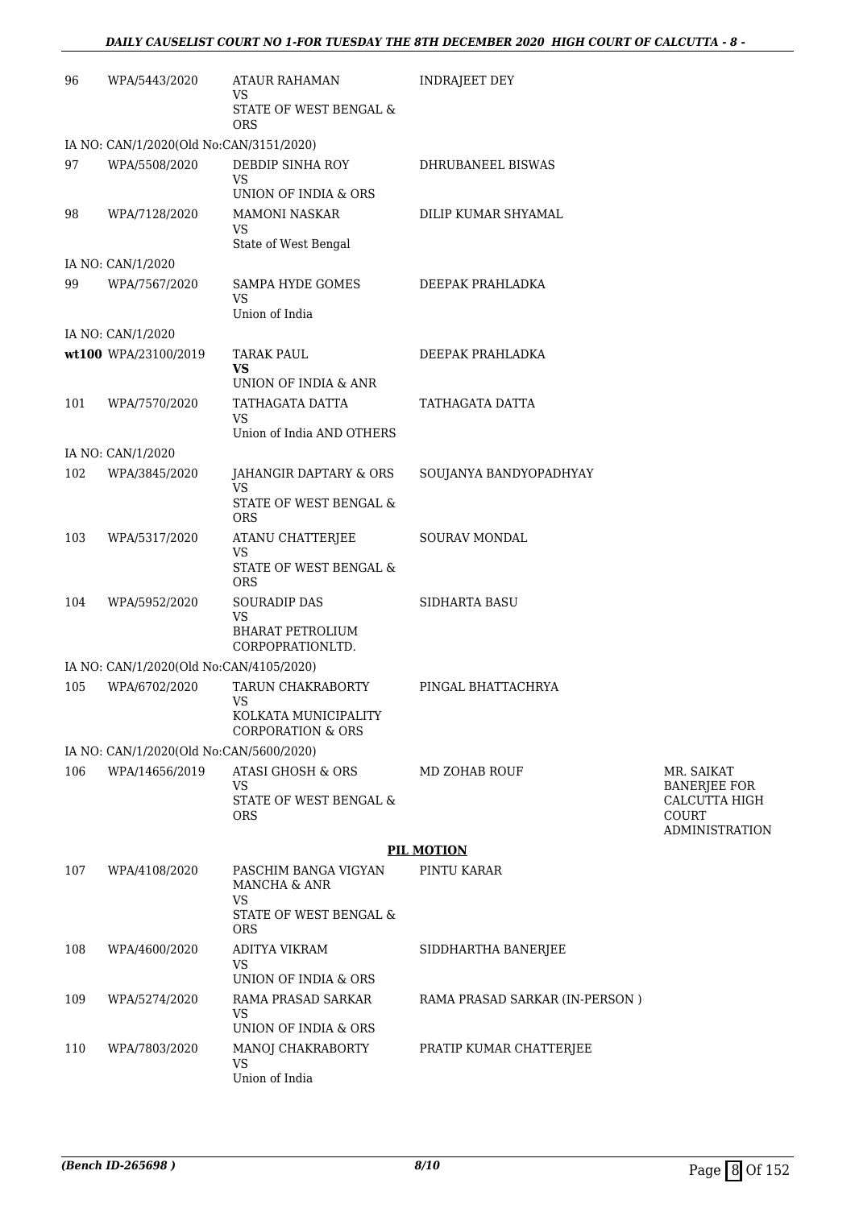### *DAILY CAUSELIST COURT NO 1-FOR TUESDAY THE 8TH DECEMBER 2020 HIGH COURT OF CALCUTTA - 8 -*

| 96  | WPA/5443/2020                           | ATAUR RAHAMAN<br>VS                                                               | <b>INDRAJEET DEY</b>           |                                                 |
|-----|-----------------------------------------|-----------------------------------------------------------------------------------|--------------------------------|-------------------------------------------------|
|     |                                         | STATE OF WEST BENGAL &<br><b>ORS</b>                                              |                                |                                                 |
|     | IA NO: CAN/1/2020(Old No:CAN/3151/2020) |                                                                                   |                                |                                                 |
| 97  | WPA/5508/2020                           | DEBDIP SINHA ROY<br>VS                                                            | DHRUBANEEL BISWAS              |                                                 |
| 98  | WPA/7128/2020                           | UNION OF INDIA & ORS<br><b>MAMONI NASKAR</b><br><b>VS</b><br>State of West Bengal | DILIP KUMAR SHYAMAL            |                                                 |
|     | IA NO: CAN/1/2020                       |                                                                                   |                                |                                                 |
| 99  | WPA/7567/2020                           | SAMPA HYDE GOMES                                                                  | DEEPAK PRAHLADKA               |                                                 |
|     |                                         | <b>VS</b><br>Union of India                                                       |                                |                                                 |
|     | IA NO: CAN/1/2020                       |                                                                                   |                                |                                                 |
|     | wt100 WPA/23100/2019                    | <b>TARAK PAUL</b><br>VS                                                           | DEEPAK PRAHLADKA               |                                                 |
|     |                                         | UNION OF INDIA & ANR                                                              |                                |                                                 |
| 101 | WPA/7570/2020                           | TATHAGATA DATTA<br>VS                                                             | TATHAGATA DATTA                |                                                 |
|     |                                         | Union of India AND OTHERS                                                         |                                |                                                 |
|     | IA NO: CAN/1/2020                       |                                                                                   |                                |                                                 |
| 102 | WPA/3845/2020                           | JAHANGIR DAPTARY & ORS<br>VS<br>STATE OF WEST BENGAL &                            | SOUJANYA BANDYOPADHYAY         |                                                 |
|     |                                         | <b>ORS</b>                                                                        |                                |                                                 |
| 103 | WPA/5317/2020                           | ATANU CHATTERJEE<br>VS                                                            | <b>SOURAV MONDAL</b>           |                                                 |
|     |                                         | STATE OF WEST BENGAL &<br><b>ORS</b>                                              |                                |                                                 |
| 104 | WPA/5952/2020                           | <b>SOURADIP DAS</b><br>VS                                                         | <b>SIDHARTA BASU</b>           |                                                 |
|     |                                         | <b>BHARAT PETROLIUM</b><br>CORPOPRATIONLTD.                                       |                                |                                                 |
|     | IA NO: CAN/1/2020(Old No:CAN/4105/2020) |                                                                                   |                                |                                                 |
| 105 | WPA/6702/2020                           | <b>TARUN CHAKRABORTY</b><br><b>VS</b>                                             | PINGAL BHATTACHRYA             |                                                 |
|     |                                         | KOLKATA MUNICIPALITY<br>CORPORATION & ORS                                         |                                |                                                 |
|     | IA NO: CAN/1/2020(Old No:CAN/5600/2020) |                                                                                   |                                |                                                 |
| 106 | WPA/14656/2019                          | <b>ATASI GHOSH &amp; ORS</b><br><b>VS</b>                                         | <b>MD ZOHAB ROUF</b>           | MR. SAIKAT<br><b>BANERJEE FOR</b>               |
|     |                                         | STATE OF WEST BENGAL &<br><b>ORS</b>                                              |                                | CALCUTTA HIGH<br>COURT<br><b>ADMINISTRATION</b> |
|     |                                         |                                                                                   | <b>PIL MOTION</b>              |                                                 |
| 107 | WPA/4108/2020                           | PASCHIM BANGA VIGYAN<br>MANCHA & ANR                                              | PINTU KARAR                    |                                                 |
|     |                                         | <b>VS</b><br>STATE OF WEST BENGAL &<br><b>ORS</b>                                 |                                |                                                 |
| 108 | WPA/4600/2020                           | ADITYA VIKRAM<br>VS                                                               | SIDDHARTHA BANERJEE            |                                                 |
|     |                                         | UNION OF INDIA & ORS                                                              |                                |                                                 |
| 109 | WPA/5274/2020                           | RAMA PRASAD SARKAR<br>VS<br>UNION OF INDIA & ORS                                  | RAMA PRASAD SARKAR (IN-PERSON) |                                                 |
| 110 | WPA/7803/2020                           | MANOJ CHAKRABORTY                                                                 | PRATIP KUMAR CHATTERJEE        |                                                 |
|     |                                         | <b>VS</b><br>Union of India                                                       |                                |                                                 |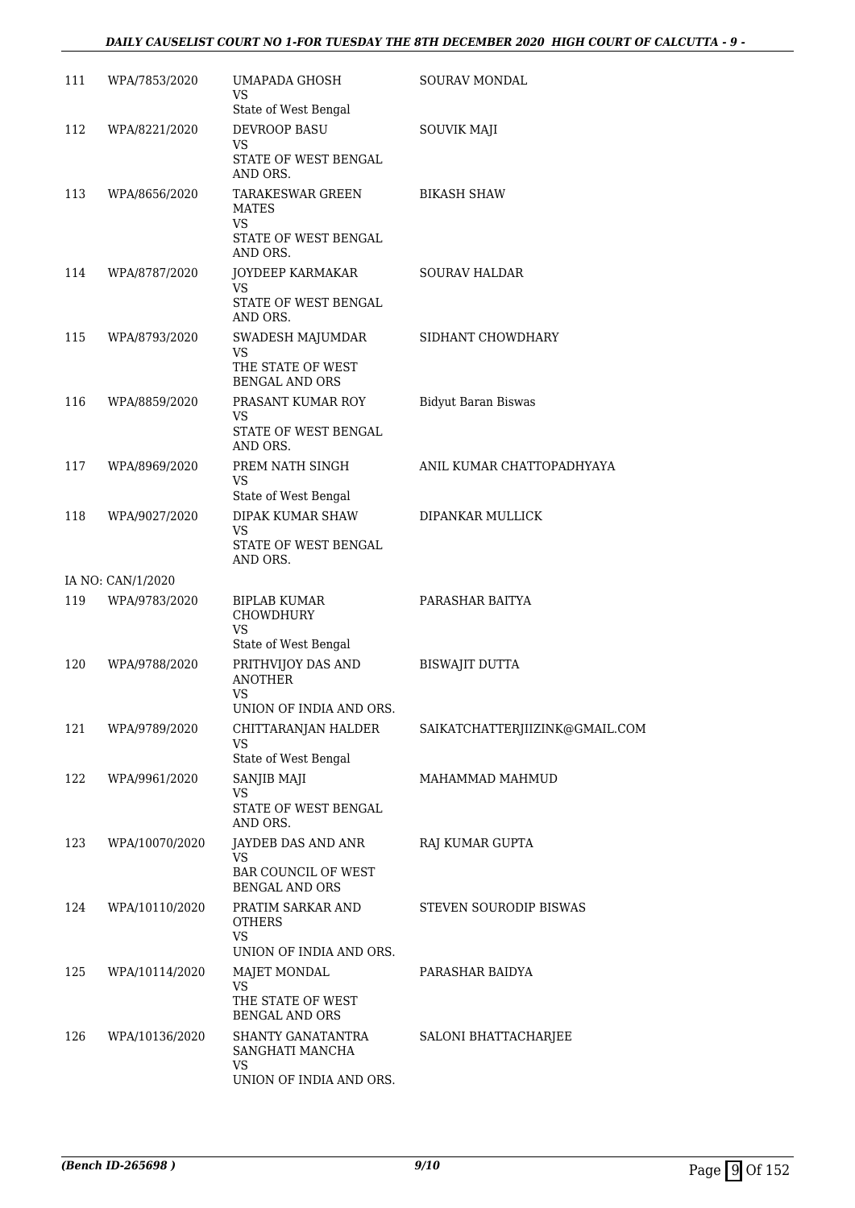### *DAILY CAUSELIST COURT NO 1-FOR TUESDAY THE 8TH DECEMBER 2020 HIGH COURT OF CALCUTTA - 9 -*

| 111 | WPA/7853/2020     | UMAPADA GHOSH<br>VS.                                                              | SOURAV MONDAL                  |
|-----|-------------------|-----------------------------------------------------------------------------------|--------------------------------|
| 112 | WPA/8221/2020     | State of West Bengal<br>DEVROOP BASU                                              | <b>SOUVIK MAJI</b>             |
|     |                   | VS.<br>STATE OF WEST BENGAL<br>AND ORS.                                           |                                |
| 113 | WPA/8656/2020     | TARAKESWAR GREEN<br><b>MATES</b><br><b>VS</b><br>STATE OF WEST BENGAL<br>AND ORS. | <b>BIKASH SHAW</b>             |
| 114 | WPA/8787/2020     | JOYDEEP KARMAKAR<br>VS<br>STATE OF WEST BENGAL<br>AND ORS.                        | <b>SOURAV HALDAR</b>           |
| 115 | WPA/8793/2020     | SWADESH MAJUMDAR<br>VS.<br>THE STATE OF WEST<br><b>BENGAL AND ORS</b>             | SIDHANT CHOWDHARY              |
| 116 | WPA/8859/2020     | PRASANT KUMAR ROY<br>VS.<br>STATE OF WEST BENGAL<br>AND ORS.                      | <b>Bidyut Baran Biswas</b>     |
| 117 | WPA/8969/2020     | PREM NATH SINGH<br>VS<br>State of West Bengal                                     | ANIL KUMAR CHATTOPADHYAYA      |
| 118 | WPA/9027/2020     | DIPAK KUMAR SHAW<br>VS                                                            | DIPANKAR MULLICK               |
|     |                   | STATE OF WEST BENGAL<br>AND ORS.                                                  |                                |
|     | IA NO: CAN/1/2020 |                                                                                   |                                |
| 119 | WPA/9783/2020     | BIPLAB KUMAR<br>CHOWDHURY<br><b>VS</b><br>State of West Bengal                    | PARASHAR BAITYA                |
| 120 | WPA/9788/2020     | PRITHVIJOY DAS AND<br><b>ANOTHER</b><br>VS<br>UNION OF INDIA AND ORS.             | BISWAJIT DUTTA                 |
| 121 | WPA/9789/2020     | CHITTARANJAN HALDER<br>VS.                                                        | SAIKATCHATTERJIIZINK@GMAIL.COM |
|     |                   | State of West Bengal                                                              |                                |
| 122 | WPA/9961/2020     | SANJIB MAJI<br><b>VS</b><br>STATE OF WEST BENGAL<br>AND ORS.                      | MAHAMMAD MAHMUD                |
| 123 | WPA/10070/2020    | JAYDEB DAS AND ANR<br>VS<br><b>BAR COUNCIL OF WEST</b><br><b>BENGAL AND ORS</b>   | RAJ KUMAR GUPTA                |
| 124 | WPA/10110/2020    | PRATIM SARKAR AND<br><b>OTHERS</b><br><b>VS</b>                                   | STEVEN SOURODIP BISWAS         |
|     |                   | UNION OF INDIA AND ORS.                                                           |                                |
| 125 | WPA/10114/2020    | MAJET MONDAL<br>VS<br>THE STATE OF WEST<br><b>BENGAL AND ORS</b>                  | PARASHAR BAIDYA                |
| 126 | WPA/10136/2020    | SHANTY GANATANTRA<br>SANGHATI MANCHA<br>VS.                                       | SALONI BHATTACHARJEE           |
|     |                   | UNION OF INDIA AND ORS.                                                           |                                |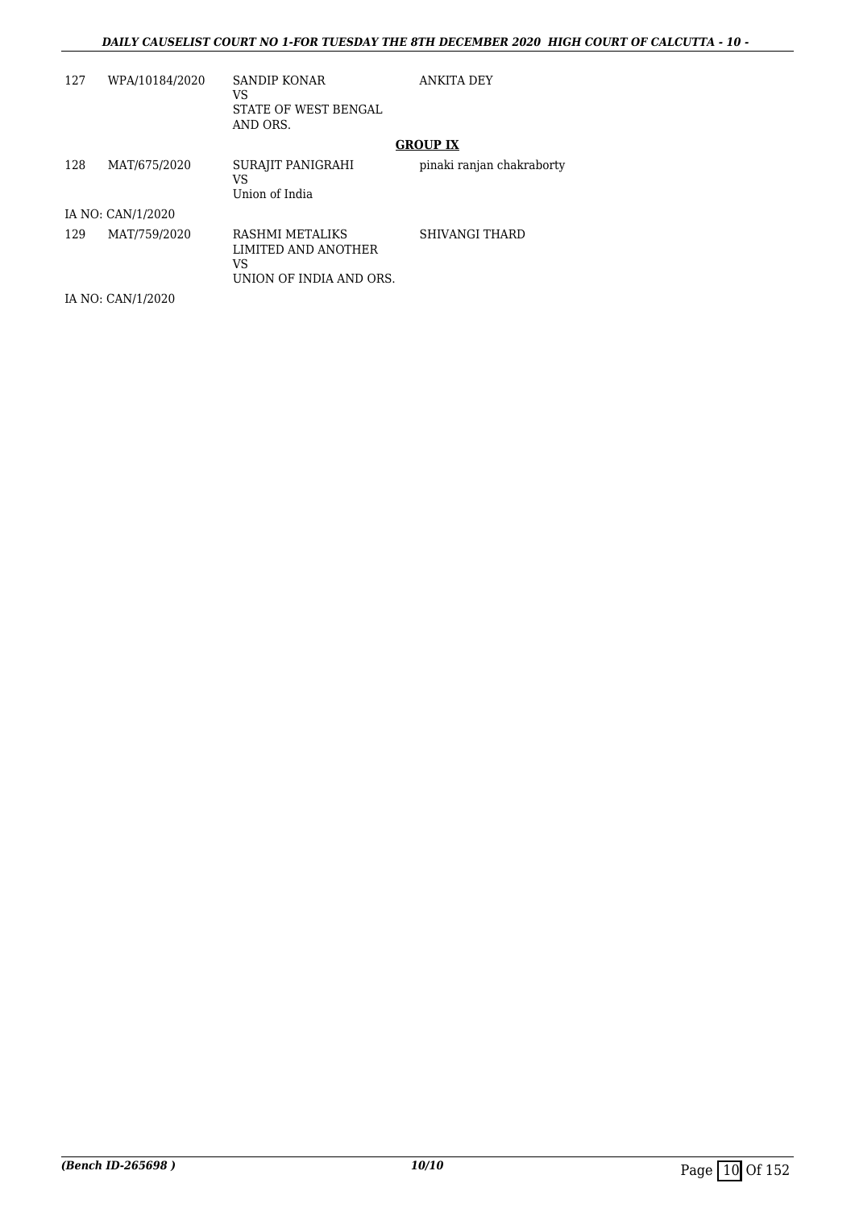### *DAILY CAUSELIST COURT NO 1-FOR TUESDAY THE 8TH DECEMBER 2020 HIGH COURT OF CALCUTTA - 10 -*

| 127 | WPA/10184/2020    | SANDIP KONAR<br>VS<br>STATE OF WEST BENGAL<br>AND ORS.                  | <b>ANKITA DEY</b>         |
|-----|-------------------|-------------------------------------------------------------------------|---------------------------|
|     |                   |                                                                         | <b>GROUP IX</b>           |
| 128 | MAT/675/2020      | SURAJIT PANIGRAHI<br>VS<br>Union of India                               | pinaki ranjan chakraborty |
|     | IA NO: CAN/1/2020 |                                                                         |                           |
| 129 | MAT/759/2020      | RASHMI METALIKS<br>LIMITED AND ANOTHER<br>VS<br>UNION OF INDIA AND ORS. | <b>SHIVANGI THARD</b>     |
|     | IA NO: CAN/1/2020 |                                                                         |                           |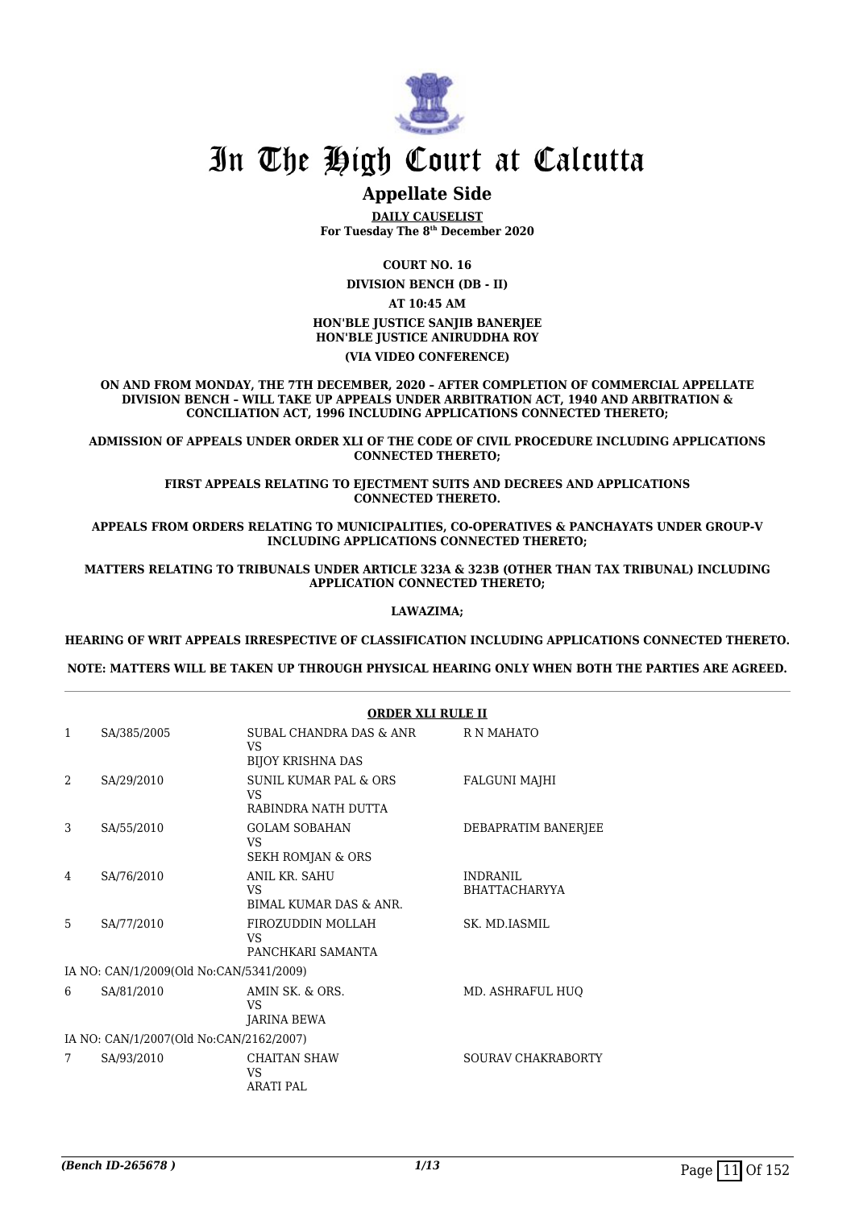

# **Appellate Side**

**DAILY CAUSELIST For Tuesday The 8th December 2020**

**COURT NO. 16**

**DIVISION BENCH (DB - II) AT 10:45 AM HON'BLE JUSTICE SANJIB BANERJEE HON'BLE JUSTICE ANIRUDDHA ROY**

**(VIA VIDEO CONFERENCE)**

**ON AND FROM MONDAY, THE 7TH DECEMBER, 2020 – AFTER COMPLETION OF COMMERCIAL APPELLATE DIVISION BENCH – WILL TAKE UP APPEALS UNDER ARBITRATION ACT, 1940 AND ARBITRATION & CONCILIATION ACT, 1996 INCLUDING APPLICATIONS CONNECTED THERETO;**

**ADMISSION OF APPEALS UNDER ORDER XLI OF THE CODE OF CIVIL PROCEDURE INCLUDING APPLICATIONS CONNECTED THERETO;**

> **FIRST APPEALS RELATING TO EIECTMENT SUITS AND DECREES AND APPLICATIONS CONNECTED THERETO.**

**APPEALS FROM ORDERS RELATING TO MUNICIPALITIES, CO-OPERATIVES & PANCHAYATS UNDER GROUP-V INCLUDING APPLICATIONS CONNECTED THERETO;**

**MATTERS RELATING TO TRIBUNALS UNDER ARTICLE 323A & 323B (OTHER THAN TAX TRIBUNAL) INCLUDING APPLICATION CONNECTED THERETO;**

### **LAWAZIMA;**

**HEARING OF WRIT APPEALS IRRESPECTIVE OF CLASSIFICATION INCLUDING APPLICATIONS CONNECTED THERETO.**

**NOTE: MATTERS WILL BE TAKEN UP THROUGH PHYSICAL HEARING ONLY WHEN BOTH THE PARTIES ARE AGREED.**

|                |                                         | <b>ORDER XLI RULE II</b>                                         |                                         |  |  |
|----------------|-----------------------------------------|------------------------------------------------------------------|-----------------------------------------|--|--|
| $\mathbf{1}$   | SA/385/2005                             | SUBAL CHANDRA DAS & ANR<br><b>VS</b><br><b>BIJOY KRISHNA DAS</b> | R N MAHATO                              |  |  |
| $\overline{2}$ | SA/29/2010                              | <b>SUNIL KUMAR PAL &amp; ORS</b><br>VS<br>RABINDRA NATH DUTTA    | <b>FALGUNI MAJHI</b>                    |  |  |
| 3              | SA/55/2010                              | <b>GOLAM SOBAHAN</b><br>VS.<br>SEKH ROMJAN & ORS                 | DEBAPRATIM BANERJEE                     |  |  |
| 4              | SA/76/2010                              | ANIL KR. SAHU<br><b>VS</b><br><b>BIMAL KUMAR DAS &amp; ANR.</b>  | <b>INDRANIL</b><br><b>BHATTACHARYYA</b> |  |  |
| 5              | SA/77/2010                              | FIROZUDDIN MOLLAH<br>VS.<br>PANCHKARI SAMANTA                    | SK. MD.IASMIL                           |  |  |
|                | IA NO: CAN/1/2009(Old No:CAN/5341/2009) |                                                                  |                                         |  |  |
| 6              | SA/81/2010                              | AMIN SK, & ORS.<br>VS<br>JARINA BEWA                             | MD. ASHRAFUL HUO                        |  |  |
|                | IA NO: CAN/1/2007(Old No:CAN/2162/2007) |                                                                  |                                         |  |  |
| 7              | SA/93/2010                              | <b>CHAITAN SHAW</b><br>VS.<br><b>ARATI PAL</b>                   | <b>SOURAV CHAKRABORTY</b>               |  |  |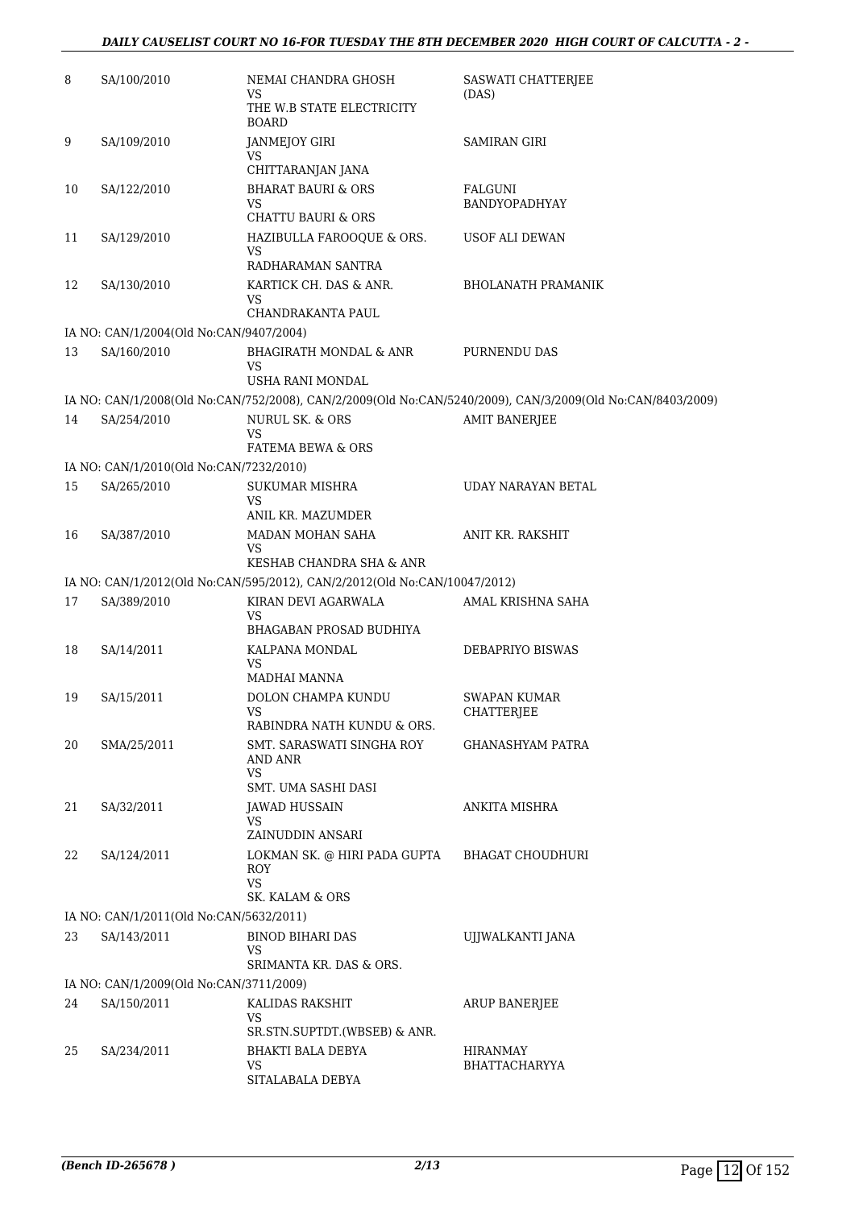| 8  | SA/100/2010                                            | NEMAI CHANDRA GHOSH                                                                              | SASWATI CHATTERJEE                                                                                         |
|----|--------------------------------------------------------|--------------------------------------------------------------------------------------------------|------------------------------------------------------------------------------------------------------------|
|    |                                                        | VS<br>THE W.B STATE ELECTRICITY<br><b>BOARD</b>                                                  | (DAS)                                                                                                      |
| 9  | SA/109/2010                                            | JANMEJOY GIRI<br>VS<br>CHITTARANJAN JANA                                                         | <b>SAMIRAN GIRI</b>                                                                                        |
| 10 | SA/122/2010                                            | <b>BHARAT BAURI &amp; ORS</b><br>VS<br><b>CHATTU BAURI &amp; ORS</b>                             | FALGUNI<br>BANDYOPADHYAY                                                                                   |
| 11 | SA/129/2010                                            | HAZIBULLA FAROOQUE & ORS.<br><b>VS</b><br>RADHARAMAN SANTRA                                      | USOF ALI DEWAN                                                                                             |
| 12 | SA/130/2010                                            | KARTICK CH. DAS & ANR.<br>VS                                                                     | <b>BHOLANATH PRAMANIK</b>                                                                                  |
|    | IA NO: CAN/1/2004(Old No:CAN/9407/2004)                | CHANDRAKANTA PAUL                                                                                |                                                                                                            |
| 13 | SA/160/2010                                            | BHAGIRATH MONDAL & ANR<br>VS                                                                     | PURNENDU DAS                                                                                               |
|    |                                                        | USHA RANI MONDAL                                                                                 |                                                                                                            |
|    |                                                        |                                                                                                  | IA NO: CAN/1/2008(Old No:CAN/752/2008), CAN/2/2009(Old No:CAN/5240/2009), CAN/3/2009(Old No:CAN/8403/2009) |
| 14 | SA/254/2010                                            | <b>NURUL SK. &amp; ORS</b><br><b>VS</b>                                                          | <b>AMIT BANERJEE</b>                                                                                       |
|    | IA NO: CAN/1/2010(Old No:CAN/7232/2010)                | <b>FATEMA BEWA &amp; ORS</b>                                                                     |                                                                                                            |
| 15 | SA/265/2010                                            | <b>SUKUMAR MISHRA</b>                                                                            | UDAY NARAYAN BETAL                                                                                         |
|    |                                                        | <b>VS</b><br>ANIL KR. MAZUMDER                                                                   |                                                                                                            |
| 16 | SA/387/2010                                            | MADAN MOHAN SAHA<br>VS                                                                           | ANIT KR. RAKSHIT                                                                                           |
|    |                                                        | KESHAB CHANDRA SHA & ANR                                                                         |                                                                                                            |
| 17 | SA/389/2010                                            | IA NO: CAN/1/2012(Old No:CAN/595/2012), CAN/2/2012(Old No:CAN/10047/2012)<br>KIRAN DEVI AGARWALA | AMAL KRISHNA SAHA                                                                                          |
|    |                                                        | VS<br>BHAGABAN PROSAD BUDHIYA                                                                    |                                                                                                            |
| 18 | SA/14/2011                                             | KALPANA MONDAL<br>VS<br>MADHAI MANNA                                                             | DEBAPRIYO BISWAS                                                                                           |
| 19 | SA/15/2011                                             | <b>DOLON CHAMPA KUNDU</b>                                                                        | SWAPAN KUMAR<br>CHATTERJEE                                                                                 |
| 20 | SMA/25/2011                                            | RABINDRA NATH KUNDU & ORS.<br>SMT. SARASWATI SINGHA ROY<br>AND ANR<br>VS                         | GHANASHYAM PATRA                                                                                           |
| 21 | SA/32/2011                                             | SMT. UMA SASHI DASI<br><b>JAWAD HUSSAIN</b><br>VS<br>ZAINUDDIN ANSARI                            | ANKITA MISHRA                                                                                              |
| 22 | SA/124/2011                                            | LOKMAN SK. @ HIRI PADA GUPTA<br>ROY<br>VS                                                        | BHAGAT CHOUDHURI                                                                                           |
|    |                                                        | <b>SK. KALAM &amp; ORS</b>                                                                       |                                                                                                            |
| 23 | IA NO: CAN/1/2011(Old No:CAN/5632/2011)<br>SA/143/2011 | <b>BINOD BIHARI DAS</b>                                                                          | UJJWALKANTI JANA                                                                                           |
|    |                                                        | VS<br>SRIMANTA KR. DAS & ORS.                                                                    |                                                                                                            |
|    | IA NO: CAN/1/2009(Old No:CAN/3711/2009)                |                                                                                                  |                                                                                                            |
| 24 | SA/150/2011                                            | KALIDAS RAKSHIT<br><b>VS</b>                                                                     | <b>ARUP BANERJEE</b>                                                                                       |
|    |                                                        | SR.STN.SUPTDT.(WBSEB) & ANR.                                                                     |                                                                                                            |
| 25 | SA/234/2011                                            | <b>BHAKTI BALA DEBYA</b><br>VS<br>SITALABALA DEBYA                                               | <b>HIRANMAY</b><br><b>BHATTACHARYYA</b>                                                                    |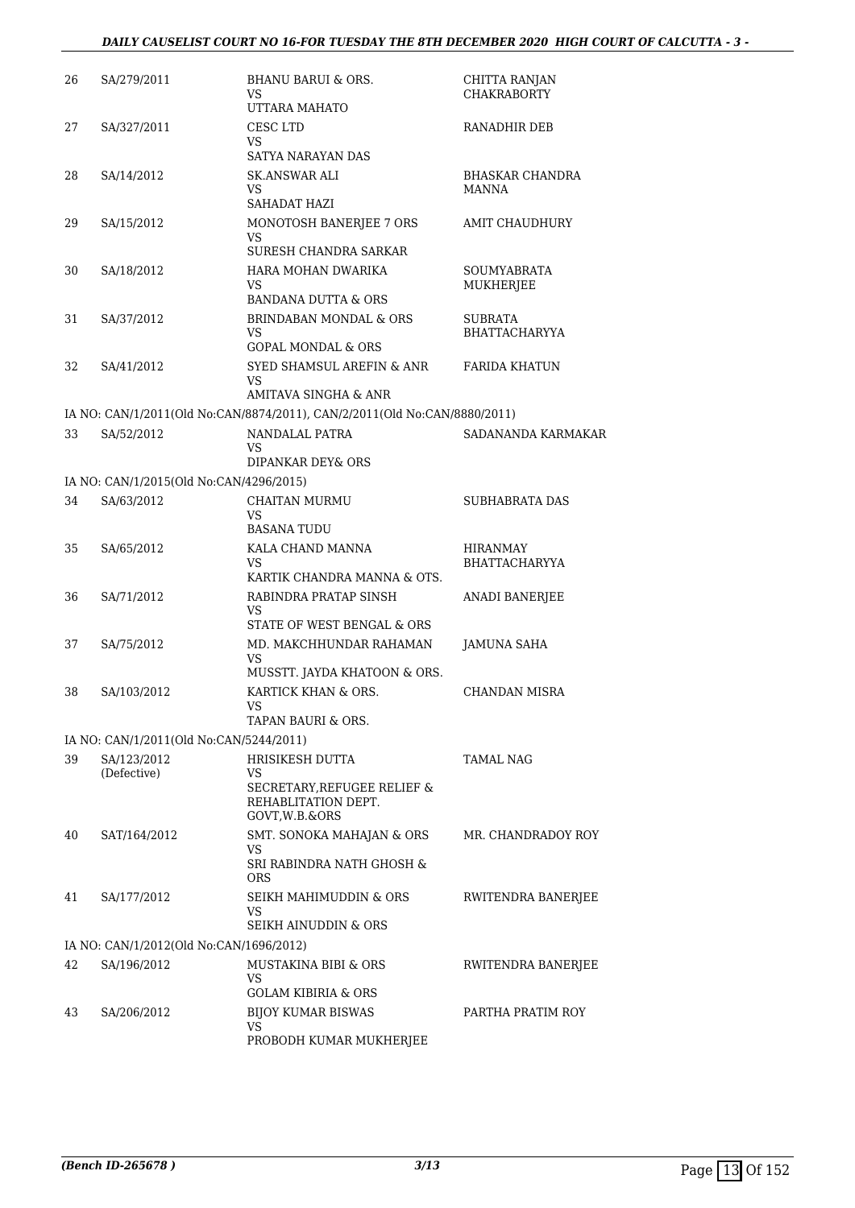| 26 | SA/279/2011                             | <b>BHANU BARUI &amp; ORS.</b><br>VS<br>UTTARA MAHATO                                          | CHITTA RANJAN<br><b>CHAKRABORTY</b> |
|----|-----------------------------------------|-----------------------------------------------------------------------------------------------|-------------------------------------|
| 27 | SA/327/2011                             | CESC LTD<br>VS<br>SATYA NARAYAN DAS                                                           | RANADHIR DEB                        |
| 28 | SA/14/2012                              | SK.ANSWAR ALI<br>VS<br>SAHADAT HAZI                                                           | <b>BHASKAR CHANDRA</b><br>MANNA     |
| 29 | SA/15/2012                              | MONOTOSH BANERJEE 7 ORS<br>VS<br>SURESH CHANDRA SARKAR                                        | AMIT CHAUDHURY                      |
| 30 | SA/18/2012                              | HARA MOHAN DWARIKA<br>VS<br>BANDANA DUTTA & ORS                                               | SOUMYABRATA<br>MUKHERJEE            |
| 31 | SA/37/2012                              | <b>BRINDABAN MONDAL &amp; ORS</b><br>VS<br><b>GOPAL MONDAL &amp; ORS</b>                      | SUBRATA<br><b>BHATTACHARYYA</b>     |
| 32 | SA/41/2012                              | SYED SHAMSUL AREFIN & ANR<br>VS<br>AMITAVA SINGHA & ANR                                       | FARIDA KHATUN                       |
|    |                                         | IA NO: CAN/1/2011(Old No:CAN/8874/2011), CAN/2/2011(Old No:CAN/8880/2011)                     |                                     |
| 33 | SA/52/2012                              | NANDALAL PATRA<br>VS<br>DIPANKAR DEY& ORS                                                     | SADANANDA KARMAKAR                  |
|    | IA NO: CAN/1/2015(Old No:CAN/4296/2015) |                                                                                               |                                     |
| 34 | SA/63/2012                              | CHAITAN MURMU<br>VS<br><b>BASANA TUDU</b>                                                     | <b>SUBHABRATA DAS</b>               |
| 35 | SA/65/2012                              | KALA CHAND MANNA<br>VS<br>KARTIK CHANDRA MANNA & OTS.                                         | HIRANMAY<br>BHATTACHARYYA           |
| 36 | SA/71/2012                              | RABINDRA PRATAP SINSH<br>VS<br>STATE OF WEST BENGAL & ORS                                     | ANADI BANERJEE                      |
| 37 | SA/75/2012                              | MD. MAKCHHUNDAR RAHAMAN<br>VS<br>MUSSTT. JAYDA KHATOON & ORS.                                 | JAMUNA SAHA                         |
| 38 | SA/103/2012                             | KARTICK KHAN & ORS.<br>VS<br><b>TAPAN BAURI &amp; ORS.</b>                                    | CHANDAN MISRA                       |
|    | IA NO: CAN/1/2011(Old No:CAN/5244/2011) |                                                                                               |                                     |
| 39 | SA/123/2012<br>(Defective)              | HRISIKESH DUTTA<br>VS<br>SECRETARY, REFUGEE RELIEF &<br>REHABLITATION DEPT.<br>GOVT, W.B.&ORS | TAMAL NAG                           |
| 40 | SAT/164/2012                            | SMT. SONOKA MAHAJAN & ORS<br>VS<br>SRI RABINDRA NATH GHOSH &<br><b>ORS</b>                    | MR. CHANDRADOY ROY                  |
| 41 | SA/177/2012                             | SEIKH MAHIMUDDIN & ORS<br>VS<br>SEIKH AINUDDIN & ORS                                          | RWITENDRA BANERJEE                  |
|    | IA NO: CAN/1/2012(Old No:CAN/1696/2012) |                                                                                               |                                     |
| 42 | SA/196/2012                             | MUSTAKINA BIBI & ORS<br>VS<br><b>GOLAM KIBIRIA &amp; ORS</b>                                  | RWITENDRA BANERJEE                  |
| 43 | SA/206/2012                             | <b>BIJOY KUMAR BISWAS</b><br>VS<br>PROBODH KUMAR MUKHERJEE                                    | PARTHA PRATIM ROY                   |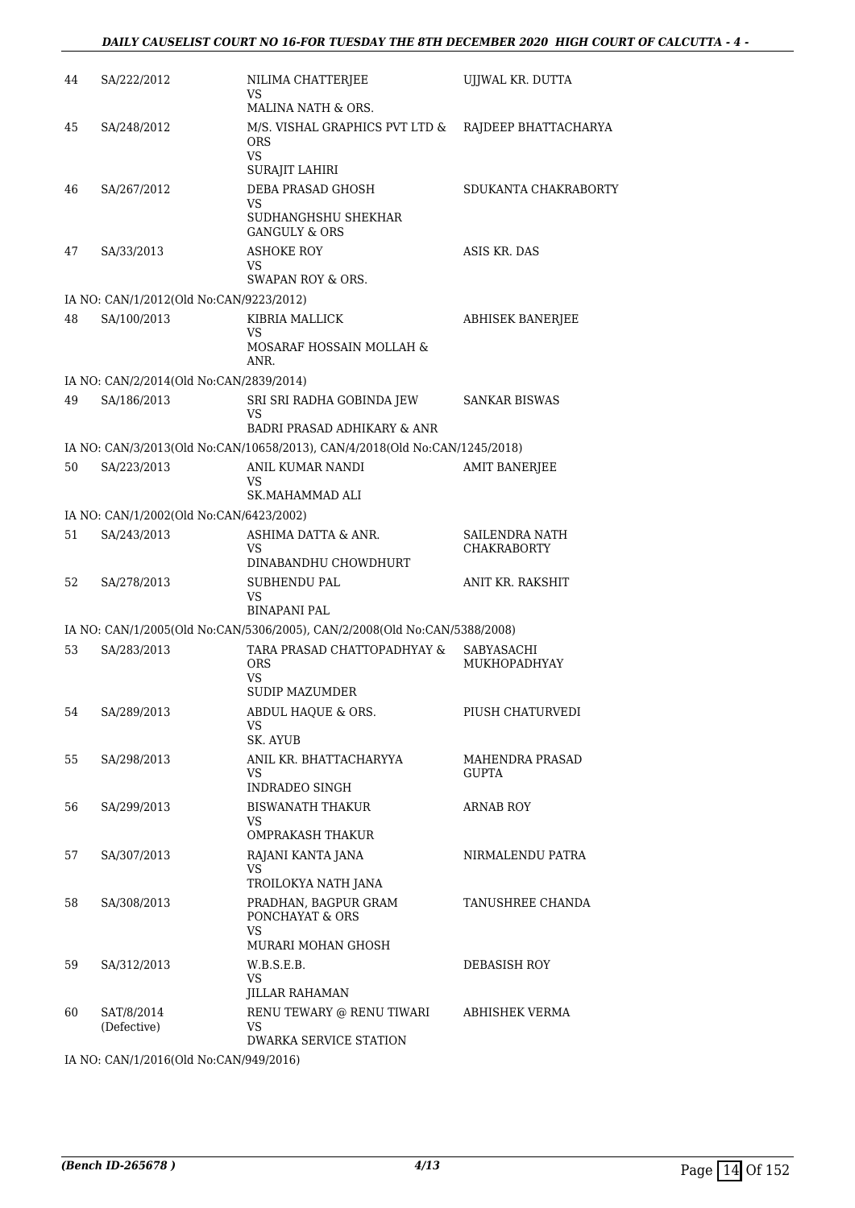| 44 | SA/222/2012                             | NILIMA CHATTERJEE<br>VS                                                                   | UJJWAL KR. DUTTA                       |
|----|-----------------------------------------|-------------------------------------------------------------------------------------------|----------------------------------------|
|    |                                         | MALINA NATH & ORS.                                                                        |                                        |
| 45 | SA/248/2012                             | M/S. VISHAL GRAPHICS PVT LTD &<br><b>ORS</b><br>VS<br>SURAJIT LAHIRI                      | RAJDEEP BHATTACHARYA                   |
| 46 | SA/267/2012                             | DEBA PRASAD GHOSH<br>VS<br>SUDHANGHSHU SHEKHAR<br><b>GANGULY &amp; ORS</b>                | SDUKANTA CHAKRABORTY                   |
| 47 | SA/33/2013                              | ASHOKE ROY<br>VS<br>SWAPAN ROY & ORS.                                                     | ASIS KR. DAS                           |
|    | IA NO: CAN/1/2012(Old No:CAN/9223/2012) |                                                                                           |                                        |
| 48 | SA/100/2013                             | KIBRIA MALLICK<br>VS                                                                      | ABHISEK BANERJEE                       |
|    |                                         | MOSARAF HOSSAIN MOLLAH &<br>ANR.                                                          |                                        |
|    | IA NO: CAN/2/2014(Old No:CAN/2839/2014) |                                                                                           |                                        |
| 49 | SA/186/2013                             | SRI SRI RADHA GOBINDA JEW<br>VS                                                           | <b>SANKAR BISWAS</b>                   |
|    |                                         | <b>BADRI PRASAD ADHIKARY &amp; ANR</b>                                                    |                                        |
|    |                                         | IA NO: CAN/3/2013(Old No:CAN/10658/2013), CAN/4/2018(Old No:CAN/1245/2018)                |                                        |
| 50 | SA/223/2013                             | ANIL KUMAR NANDI<br>VS<br>SK.MAHAMMAD ALI                                                 | <b>AMIT BANERJEE</b>                   |
|    | IA NO: CAN/1/2002(Old No:CAN/6423/2002) |                                                                                           |                                        |
| 51 | SA/243/2013                             | ASHIMA DATTA & ANR.                                                                       | SAILENDRA NATH                         |
|    |                                         | VS<br>DINABANDHU CHOWDHURT                                                                | <b>CHAKRABORTY</b>                     |
| 52 | SA/278/2013                             | SUBHENDU PAL<br>VS                                                                        | ANIT KR. RAKSHIT                       |
|    |                                         | <b>BINAPANI PAL</b>                                                                       |                                        |
|    |                                         | IA NO: CAN/1/2005(Old No:CAN/5306/2005), CAN/2/2008(Old No:CAN/5388/2008)                 |                                        |
| 53 | SA/283/2013                             | TARA PRASAD CHATTOPADHYAY &<br>ORS<br>VS<br><b>SUDIP MAZUMDER</b>                         | SABYASACHI<br>MUKHOPADHYAY             |
| 54 | SA/289/2013                             | ABDUL HAQUE & ORS.<br>VS                                                                  | PIUSH CHATURVEDI                       |
|    |                                         | SK. AYUB                                                                                  |                                        |
| 55 | SA/298/2013                             | ANIL KR. BHATTACHARYYA<br>VS.<br>INDRADEO SINGH                                           | <b>MAHENDRA PRASAD</b><br><b>GUPTA</b> |
| 56 | SA/299/2013                             | <b>BISWANATH THAKUR</b><br>VS<br>OMPRAKASH THAKUR                                         | <b>ARNAB ROY</b>                       |
| 57 | SA/307/2013                             | RAJANI KANTA JANA<br>VS                                                                   | NIRMALENDU PATRA                       |
|    |                                         | TROILOKYA NATH JANA                                                                       |                                        |
| 58 | SA/308/2013                             | PRADHAN, BAGPUR GRAM<br>PONCHAYAT & ORS<br>VS.                                            | TANUSHREE CHANDA                       |
|    |                                         | MURARI MOHAN GHOSH                                                                        |                                        |
| 59 | SA/312/2013                             | W.B.S.E.B.<br>VS.                                                                         | DEBASISH ROY                           |
| 60 | SAT/8/2014<br>(Defective)               | <b>JILLAR RAHAMAN</b><br>RENU TEWARY @ RENU TIWARI<br>VS<br><b>DWARKA SERVICE STATION</b> | ABHISHEK VERMA                         |

IA NO: CAN/1/2016(Old No:CAN/949/2016)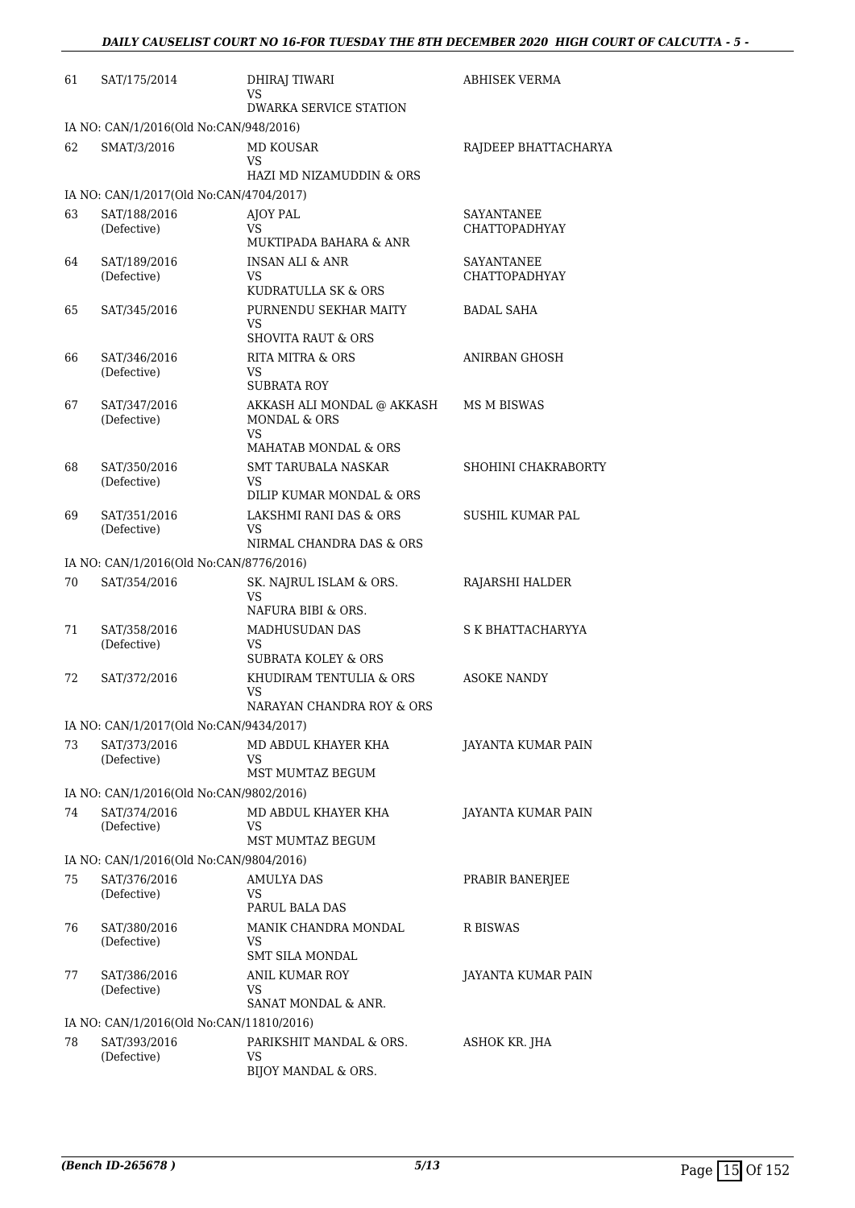| 61 | SAT/175/2014                                                            | DHIRAJ TIWARI<br>VS                                          | ABHISEK VERMA                             |  |  |  |
|----|-------------------------------------------------------------------------|--------------------------------------------------------------|-------------------------------------------|--|--|--|
|    | <b>DWARKA SERVICE STATION</b><br>IA NO: CAN/1/2016(Old No:CAN/948/2016) |                                                              |                                           |  |  |  |
| 62 | SMAT/3/2016                                                             | MD KOUSAR                                                    | RAJDEEP BHATTACHARYA                      |  |  |  |
|    |                                                                         | VS<br><b>HAZI MD NIZAMUDDIN &amp; ORS</b>                    |                                           |  |  |  |
|    | IA NO: CAN/1/2017(Old No:CAN/4704/2017)                                 |                                                              |                                           |  |  |  |
| 63 | SAT/188/2016<br>(Defective)                                             | AJOY PAL<br>VS<br><b>MUKTIPADA BAHARA &amp; ANR</b>          | SAYANTANEE<br><b>CHATTOPADHYAY</b>        |  |  |  |
| 64 | SAT/189/2016<br>(Defective)                                             | <b>INSAN ALI &amp; ANR</b><br>VS<br>KUDRATULLA SK & ORS      | <b>SAYANTANEE</b><br><b>CHATTOPADHYAY</b> |  |  |  |
| 65 | SAT/345/2016                                                            | PURNENDU SEKHAR MAITY<br>VS<br><b>SHOVITA RAUT &amp; ORS</b> | BADAL SAHA                                |  |  |  |
| 66 | SAT/346/2016<br>(Defective)                                             | <b>RITA MITRA &amp; ORS</b><br>VS<br><b>SUBRATA ROY</b>      | ANIRBAN GHOSH                             |  |  |  |
| 67 | SAT/347/2016<br>(Defective)                                             | AKKASH ALI MONDAL @ AKKASH<br><b>MONDAL &amp; ORS</b><br>VS  | MS M BISWAS                               |  |  |  |
| 68 | SAT/350/2016                                                            | MAHATAB MONDAL & ORS<br>SMT TARUBALA NASKAR                  | SHOHINI CHAKRABORTY                       |  |  |  |
|    | (Defective)                                                             | VS<br>DILIP KUMAR MONDAL & ORS                               |                                           |  |  |  |
| 69 | SAT/351/2016<br>(Defective)                                             | LAKSHMI RANI DAS & ORS<br>VS                                 | SUSHIL KUMAR PAL                          |  |  |  |
|    |                                                                         | NIRMAL CHANDRA DAS & ORS                                     |                                           |  |  |  |
|    | IA NO: CAN/1/2016(Old No:CAN/8776/2016)                                 |                                                              |                                           |  |  |  |
| 70 | SAT/354/2016                                                            | SK. NAJRUL ISLAM & ORS.<br>VS<br>NAFURA BIBI & ORS.          | RAJARSHI HALDER                           |  |  |  |
| 71 | SAT/358/2016<br>(Defective)                                             | MADHUSUDAN DAS<br>VS<br><b>SUBRATA KOLEY &amp; ORS</b>       | S K BHATTACHARYYA                         |  |  |  |
| 72 | SAT/372/2016                                                            | KHUDIRAM TENTULIA & ORS<br>VS<br>NARAYAN CHANDRA ROY & ORS   | ASOKE NANDY                               |  |  |  |
|    | IA NO: CAN/1/2017(Old No:CAN/9434/2017)                                 |                                                              |                                           |  |  |  |
| 73 | SAT/373/2016<br>(Defective)                                             | MD ABDUL KHAYER KHA<br>VS<br>MST MUMTAZ BEGUM                | JAYANTA KUMAR PAIN                        |  |  |  |
|    | IA NO: CAN/1/2016(Old No:CAN/9802/2016)                                 |                                                              |                                           |  |  |  |
| 74 | SAT/374/2016<br>(Defective)                                             | MD ABDUL KHAYER KHA<br>VS<br>MST MUMTAZ BEGUM                | JAYANTA KUMAR PAIN                        |  |  |  |
|    | IA NO: CAN/1/2016(Old No:CAN/9804/2016)                                 |                                                              |                                           |  |  |  |
| 75 | SAT/376/2016                                                            | AMULYA DAS                                                   | PRABIR BANERJEE                           |  |  |  |
|    | (Defective)                                                             | VS<br>PARUL BALA DAS                                         |                                           |  |  |  |
| 76 | SAT/380/2016<br>(Defective)                                             | MANIK CHANDRA MONDAL<br>VS<br>SMT SILA MONDAL                | R BISWAS                                  |  |  |  |
| 77 | SAT/386/2016<br>(Defective)                                             | ANIL KUMAR ROY<br>VS<br>SANAT MONDAL & ANR.                  | JAYANTA KUMAR PAIN                        |  |  |  |
|    | IA NO: CAN/1/2016(Old No:CAN/11810/2016)                                |                                                              |                                           |  |  |  |
| 78 | SAT/393/2016<br>(Defective)                                             | PARIKSHIT MANDAL & ORS.<br><b>VS</b><br>BIJOY MANDAL & ORS.  | ASHOK KR. JHA                             |  |  |  |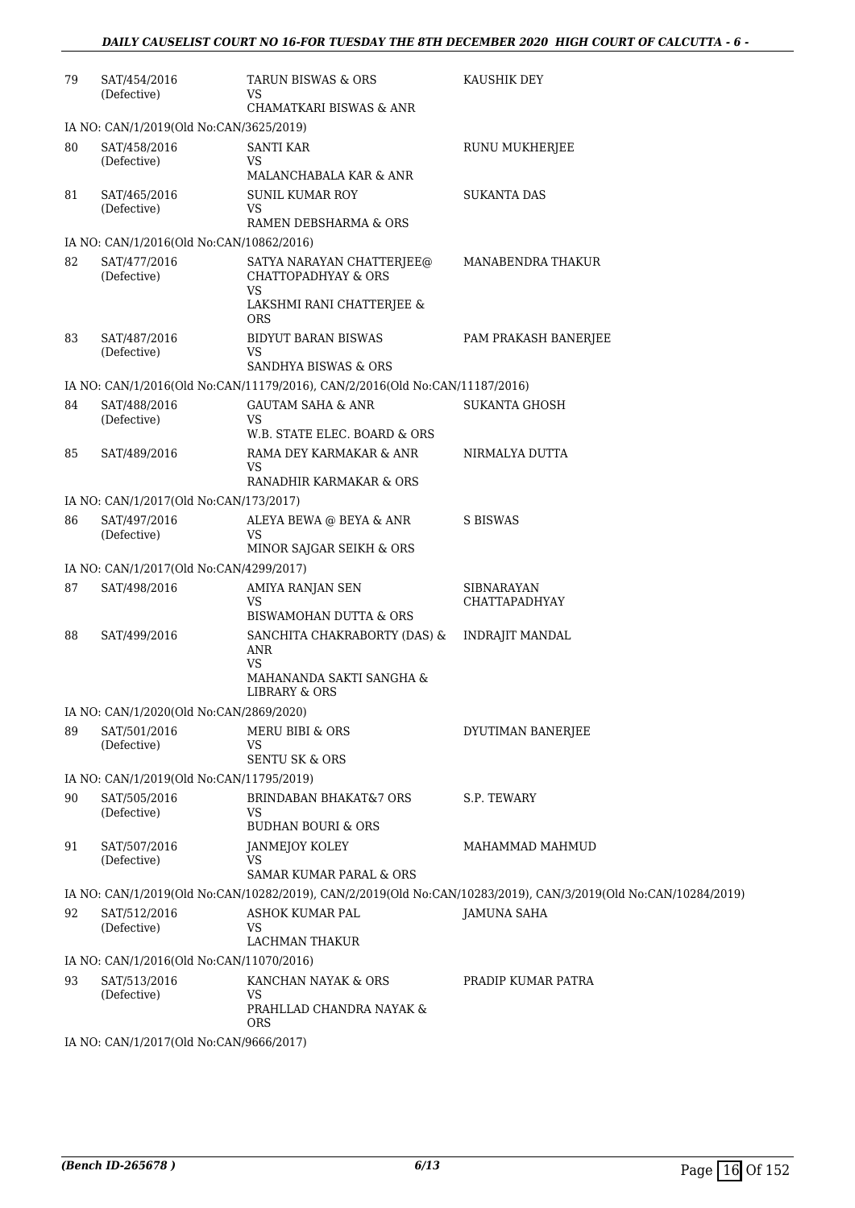| 79 | SAT/454/2016<br>(Defective)              | TARUN BISWAS & ORS<br>VS                                                               | KAUSHIK DEY                                                                                                    |
|----|------------------------------------------|----------------------------------------------------------------------------------------|----------------------------------------------------------------------------------------------------------------|
|    |                                          | <b>CHAMATKARI BISWAS &amp; ANR</b>                                                     |                                                                                                                |
|    | IA NO: CAN/1/2019(Old No:CAN/3625/2019)  |                                                                                        |                                                                                                                |
| 80 | SAT/458/2016<br>(Defective)              | <b>SANTI KAR</b><br>VS.<br>MALANCHABALA KAR & ANR                                      | RUNU MUKHERJEE                                                                                                 |
| 81 | SAT/465/2016                             | <b>SUNIL KUMAR ROY</b>                                                                 | <b>SUKANTA DAS</b>                                                                                             |
|    | (Defective)                              | VS<br>RAMEN DEBSHARMA & ORS                                                            |                                                                                                                |
|    | IA NO: CAN/1/2016(Old No:CAN/10862/2016) |                                                                                        |                                                                                                                |
| 82 | SAT/477/2016<br>(Defective)              | SATYA NARAYAN CHATTERJEE@<br><b>CHATTOPADHYAY &amp; ORS</b><br>VS                      | MANABENDRA THAKUR                                                                                              |
|    |                                          | LAKSHMI RANI CHATTERJEE &<br><b>ORS</b>                                                |                                                                                                                |
| 83 | SAT/487/2016<br>(Defective)              | BIDYUT BARAN BISWAS<br>VS                                                              | PAM PRAKASH BANERJEE                                                                                           |
|    |                                          | <b>SANDHYA BISWAS &amp; ORS</b>                                                        |                                                                                                                |
|    |                                          | IA NO: CAN/1/2016(Old No:CAN/11179/2016), CAN/2/2016(Old No:CAN/11187/2016)            |                                                                                                                |
| 84 | SAT/488/2016<br>(Defective)              | <b>GAUTAM SAHA &amp; ANR</b><br><b>VS</b><br>W.B. STATE ELEC. BOARD & ORS              | <b>SUKANTA GHOSH</b>                                                                                           |
| 85 | SAT/489/2016                             | RAMA DEY KARMAKAR & ANR                                                                | NIRMALYA DUTTA                                                                                                 |
|    |                                          | VS<br>RANADHIR KARMAKAR & ORS                                                          |                                                                                                                |
|    | IA NO: CAN/1/2017(Old No:CAN/173/2017)   |                                                                                        |                                                                                                                |
| 86 | SAT/497/2016<br>(Defective)              | ALEYA BEWA @ BEYA & ANR<br>VS                                                          | S BISWAS                                                                                                       |
|    |                                          | MINOR SAJGAR SEIKH & ORS                                                               |                                                                                                                |
| 87 | IA NO: CAN/1/2017(Old No:CAN/4299/2017)  |                                                                                        |                                                                                                                |
|    | SAT/498/2016                             | AMIYA RANJAN SEN<br>VS<br>BISWAMOHAN DUTTA & ORS                                       | SIBNARAYAN<br>CHATTAPADHYAY                                                                                    |
| 88 | SAT/499/2016                             | SANCHITA CHAKRABORTY (DAS) &<br>ANR<br>VS<br>MAHANANDA SAKTI SANGHA &<br>LIBRARY & ORS | <b>INDRAJIT MANDAL</b>                                                                                         |
|    | IA NO: CAN/1/2020(Old No:CAN/2869/2020)  |                                                                                        |                                                                                                                |
| 89 | SAT/501/2016                             | MERU BIBI & ORS                                                                        | DYUTIMAN BANERJEE                                                                                              |
|    | (Defective)                              | VS<br><b>SENTU SK &amp; ORS</b>                                                        |                                                                                                                |
|    | IA NO: CAN/1/2019(Old No:CAN/11795/2019) |                                                                                        |                                                                                                                |
| 90 | SAT/505/2016<br>(Defective)              | <b>BRINDABAN BHAKAT&amp;7 ORS</b><br>VS<br><b>BUDHAN BOURI &amp; ORS</b>               | S.P. TEWARY                                                                                                    |
| 91 | SAT/507/2016<br>(Defective)              | JANMEJOY KOLEY<br>VS                                                                   | MAHAMMAD MAHMUD                                                                                                |
|    |                                          | <b>SAMAR KUMAR PARAL &amp; ORS</b>                                                     |                                                                                                                |
|    |                                          |                                                                                        | IA NO: CAN/1/2019(Old No:CAN/10282/2019), CAN/2/2019(Old No:CAN/10283/2019), CAN/3/2019(Old No:CAN/10284/2019) |
| 92 | SAT/512/2016<br>(Defective)              | ASHOK KUMAR PAL<br><b>VS</b><br><b>LACHMAN THAKUR</b>                                  | <b>JAMUNA SAHA</b>                                                                                             |
|    | IA NO: CAN/1/2016(Old No:CAN/11070/2016) |                                                                                        |                                                                                                                |
| 93 | SAT/513/2016<br>(Defective)              | KANCHAN NAYAK & ORS<br><b>VS</b>                                                       | PRADIP KUMAR PATRA                                                                                             |
|    |                                          | PRAHLLAD CHANDRA NAYAK &<br><b>ORS</b>                                                 |                                                                                                                |
|    | IA NO: CAN/1/2017(Old No:CAN/9666/2017)  |                                                                                        |                                                                                                                |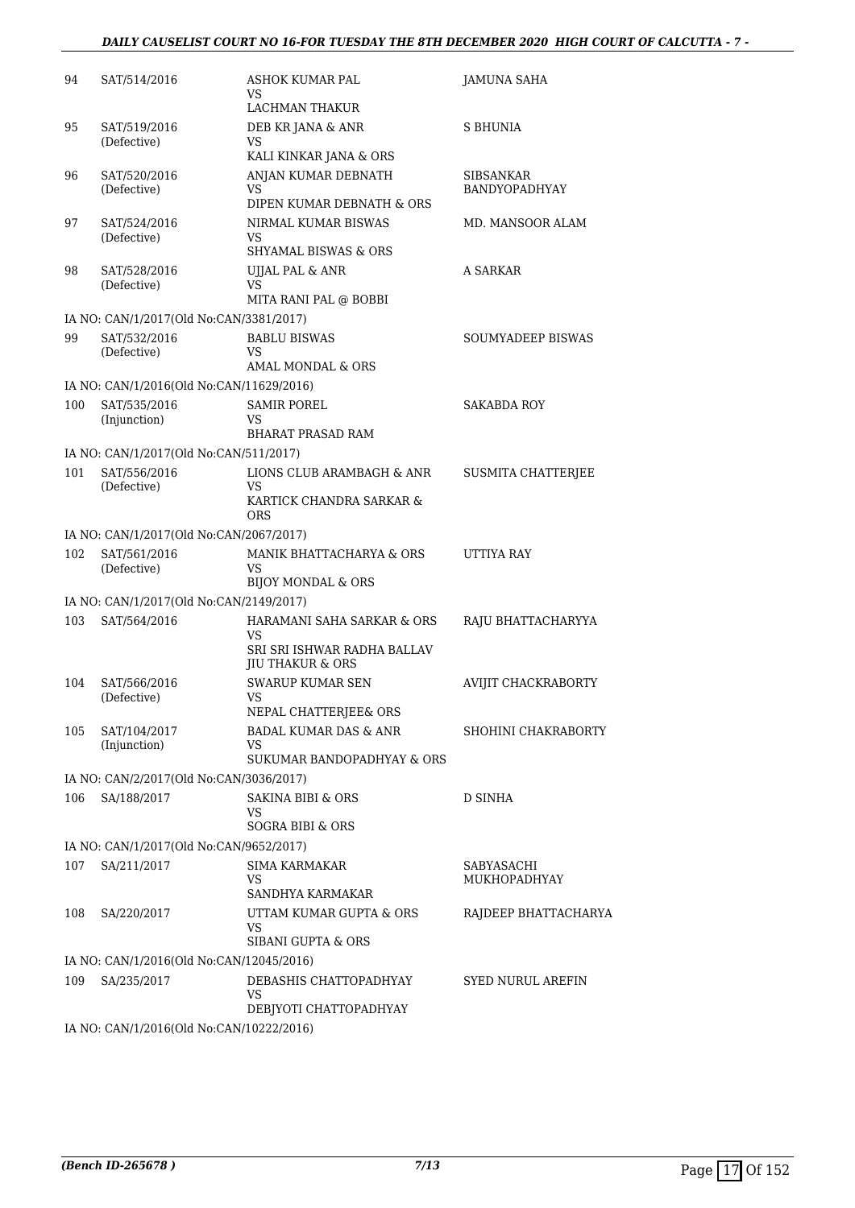### *DAILY CAUSELIST COURT NO 16-FOR TUESDAY THE 8TH DECEMBER 2020 HIGH COURT OF CALCUTTA - 7 -*

| 94  | SAT/514/2016                                             | ASHOK KUMAR PAL<br>VS                                                 | <b>JAMUNA SAHA</b>         |
|-----|----------------------------------------------------------|-----------------------------------------------------------------------|----------------------------|
| 95  | SAT/519/2016                                             | LACHMAN THAKUR<br>DEB KR JANA & ANR                                   | S BHUNIA                   |
|     | (Defective)                                              | <b>VS</b><br>KALI KINKAR JANA & ORS                                   |                            |
| 96  | SAT/520/2016                                             | ANJAN KUMAR DEBNATH                                                   | <b>SIBSANKAR</b>           |
|     | (Defective)                                              | VS<br>DIPEN KUMAR DEBNATH & ORS                                       | BANDYOPADHYAY              |
| 97  | SAT/524/2016<br>(Defective)                              | NIRMAL KUMAR BISWAS<br>VS<br><b>SHYAMAL BISWAS &amp; ORS</b>          | MD. MANSOOR ALAM           |
| 98  | SAT/528/2016                                             | UJJAL PAL & ANR                                                       | A SARKAR                   |
|     | (Defective)                                              | VS<br>MITA RANI PAL @ BOBBI                                           |                            |
|     | IA NO: CAN/1/2017(Old No:CAN/3381/2017)                  |                                                                       |                            |
| 99  | SAT/532/2016<br>(Defective)                              | <b>BABLU BISWAS</b><br>VS                                             | SOUMYADEEP BISWAS          |
|     |                                                          | AMAL MONDAL & ORS                                                     |                            |
| 100 | IA NO: CAN/1/2016(Old No:CAN/11629/2016)<br>SAT/535/2016 | <b>SAMIR POREL</b>                                                    | <b>SAKABDA ROY</b>         |
|     | (Injunction)                                             | VS<br><b>BHARAT PRASAD RAM</b>                                        |                            |
|     | IA NO: CAN/1/2017(Old No:CAN/511/2017)                   |                                                                       |                            |
| 101 | SAT/556/2016<br>(Defective)                              | LIONS CLUB ARAMBAGH & ANR<br>VS                                       | SUSMITA CHATTERJEE         |
|     |                                                          | KARTICK CHANDRA SARKAR &<br><b>ORS</b>                                |                            |
|     | IA NO: CAN/1/2017(Old No:CAN/2067/2017)                  |                                                                       |                            |
| 102 | SAT/561/2016<br>(Defective)                              | MANIK BHATTACHARYA & ORS<br>VS                                        | UTTIYA RAY                 |
|     | IA NO: CAN/1/2017(Old No:CAN/2149/2017)                  | <b>BIJOY MONDAL &amp; ORS</b>                                         |                            |
| 103 | SAT/564/2016                                             | HARAMANI SAHA SARKAR & ORS                                            | RAJU BHATTACHARYYA         |
|     |                                                          | VS<br>SRI SRI ISHWAR RADHA BALLAV<br><b>JIU THAKUR &amp; ORS</b>      |                            |
| 104 | SAT/566/2016<br>(Defective)                              | <b>SWARUP KUMAR SEN</b><br>VS                                         | <b>AVIJIT CHACKRABORTY</b> |
| 105 | SAT/104/2017                                             | NEPAL CHATTERJEE& ORS<br><b>BADAL KUMAR DAS &amp; ANR</b>             | SHOHINI CHAKRABORTY        |
|     | (Injunction)                                             | VS<br>SUKUMAR BANDOPADHYAY & ORS                                      |                            |
|     | IA NO: CAN/2/2017(Old No:CAN/3036/2017)                  |                                                                       |                            |
| 106 | SA/188/2017                                              | SAKINA BIBI & ORS<br>VS                                               | D SINHA                    |
|     |                                                          | SOGRA BIBI & ORS                                                      |                            |
|     | IA NO: CAN/1/2017(Old No:CAN/9652/2017)                  |                                                                       |                            |
| 107 | SA/211/2017                                              | SIMA KARMAKAR<br>VS<br>SANDHYA KARMAKAR                               | SABYASACHI<br>MUKHOPADHYAY |
| 108 | SA/220/2017                                              | UTTAM KUMAR GUPTA & ORS<br><b>VS</b><br><b>SIBANI GUPTA &amp; ORS</b> | RAJDEEP BHATTACHARYA       |
|     | IA NO: CAN/1/2016(Old No:CAN/12045/2016)                 |                                                                       |                            |
| 109 | SA/235/2017                                              | DEBASHIS CHATTOPADHYAY<br>VS                                          | <b>SYED NURUL AREFIN</b>   |
|     | IA NO: CAN/1/2016(Old No:CAN/10222/2016)                 | DEBJYOTI CHATTOPADHYAY                                                |                            |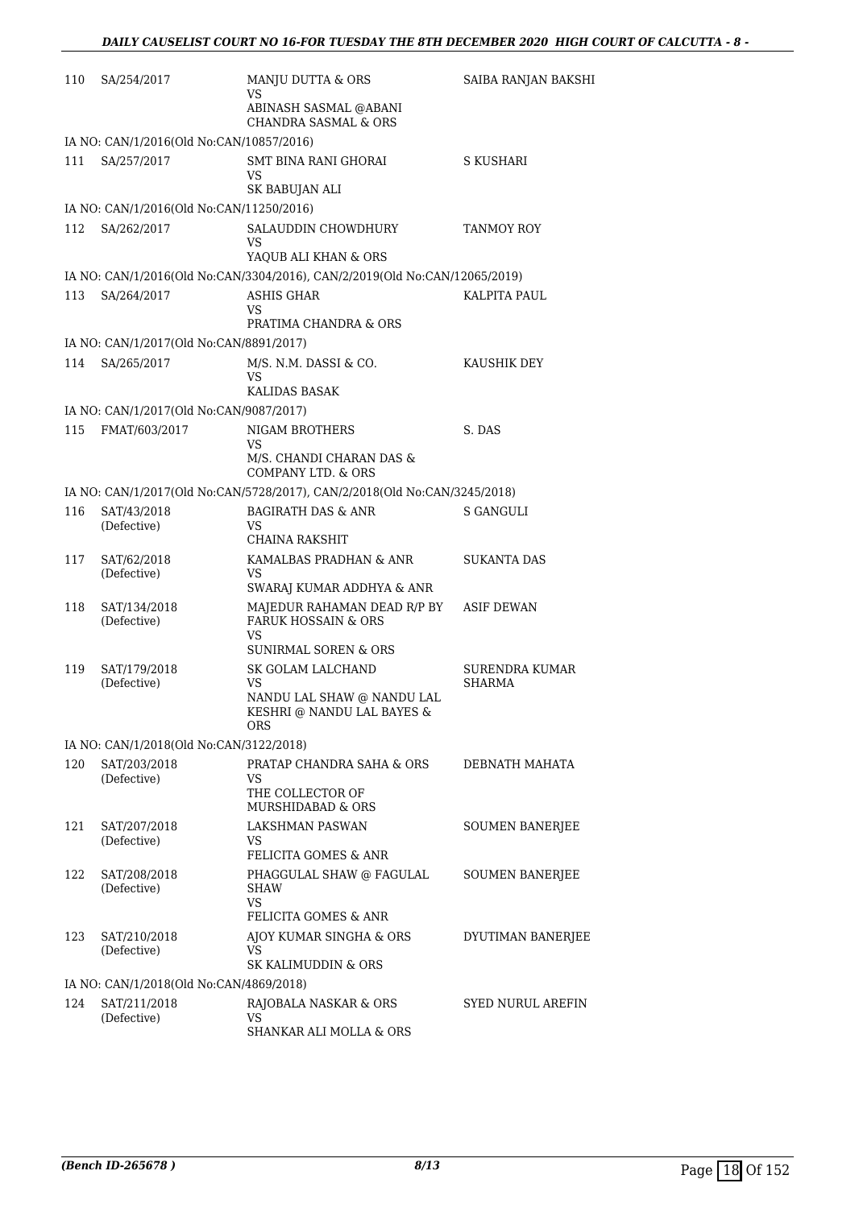| 110 | SA/254/2017                                             | MANJU DUTTA & ORS<br>VS                                                                           | SAIBA RANJAN BAKSHI      |
|-----|---------------------------------------------------------|---------------------------------------------------------------------------------------------------|--------------------------|
|     |                                                         | ABINASH SASMAL @ABANI<br><b>CHANDRA SASMAL &amp; ORS</b>                                          |                          |
|     | IA NO: CAN/1/2016(Old No:CAN/10857/2016)                |                                                                                                   |                          |
| 111 | SA/257/2017                                             | SMT BINA RANI GHORAI<br>VS                                                                        | S KUSHARI                |
|     |                                                         | SK BABUJAN ALI                                                                                    |                          |
|     | IA NO: CAN/1/2016(Old No:CAN/11250/2016)                |                                                                                                   |                          |
| 112 | SA/262/2017                                             | SALAUDDIN CHOWDHURY<br>VS                                                                         | TANMOY ROY               |
|     |                                                         | YAQUB ALI KHAN & ORS                                                                              |                          |
|     |                                                         | IA NO: CAN/1/2016(Old No:CAN/3304/2016), CAN/2/2019(Old No:CAN/12065/2019)                        |                          |
| 113 | SA/264/2017                                             | <b>ASHIS GHAR</b><br>VS                                                                           | KALPITA PAUL             |
|     |                                                         | PRATIMA CHANDRA & ORS                                                                             |                          |
|     | IA NO: CAN/1/2017(Old No:CAN/8891/2017)                 |                                                                                                   |                          |
| 114 | SA/265/2017                                             | M/S. N.M. DASSI & CO.<br>VS<br>KALIDAS BASAK                                                      | KAUSHIK DEY              |
|     | IA NO: CAN/1/2017(Old No:CAN/9087/2017)                 |                                                                                                   |                          |
| 115 | FMAT/603/2017                                           |                                                                                                   | S. DAS                   |
|     |                                                         | NIGAM BROTHERS<br>VS<br>M/S. CHANDI CHARAN DAS &                                                  |                          |
|     |                                                         | COMPANY LTD. & ORS                                                                                |                          |
|     |                                                         | IA NO: CAN/1/2017(Old No:CAN/5728/2017), CAN/2/2018(Old No:CAN/3245/2018)                         |                          |
| 116 | SAT/43/2018<br>(Defective)                              | <b>BAGIRATH DAS &amp; ANR</b><br>VS                                                               | S GANGULI                |
|     |                                                         | CHAINA RAKSHIT                                                                                    |                          |
| 117 | SAT/62/2018<br>(Defective)                              | KAMALBAS PRADHAN & ANR<br>VS                                                                      | SUKANTA DAS              |
|     |                                                         | SWARAJ KUMAR ADDHYA & ANR                                                                         |                          |
| 118 | SAT/134/2018<br>(Defective)                             | MAJEDUR RAHAMAN DEAD R/P BY ASIF DEWAN<br><b>FARUK HOSSAIN &amp; ORS</b><br>VS                    |                          |
|     |                                                         | <b>SUNIRMAL SOREN &amp; ORS</b>                                                                   |                          |
| 119 | SAT/179/2018<br>(Defective)                             | SK GOLAM LALCHAND<br><b>VS</b><br>NANDU LAL SHAW @ NANDU LAL<br>KESHRI @ NANDU LAL BAYES &<br>ORS | SURENDRA KUMAR<br>SHARMA |
|     | IA NO: CAN/1/2018(Old No:CAN/3122/2018)                 |                                                                                                   |                          |
| 120 | SAT/203/2018<br>(Defective)                             | <b>PRATAP CHANDRA SAHA &amp; ORS</b><br>VS<br>THE COLLECTOR OF<br>MURSHIDABAD & ORS               | DEBNATH MAHATA           |
| 121 | SAT/207/2018                                            | LAKSHMAN PASWAN                                                                                   | <b>SOUMEN BANERJEE</b>   |
|     | (Defective)                                             | VS<br>FELICITA GOMES & ANR                                                                        |                          |
| 122 | SAT/208/2018<br>(Defective)                             | PHAGGULAL SHAW @ FAGULAL<br><b>SHAW</b><br>VS                                                     | <b>SOUMEN BANERJEE</b>   |
|     |                                                         | FELICITA GOMES & ANR                                                                              |                          |
| 123 | SAT/210/2018<br>(Defective)                             | AJOY KUMAR SINGHA & ORS<br>VS<br>SK KALIMUDDIN & ORS                                              | DYUTIMAN BANERJEE        |
|     |                                                         |                                                                                                   |                          |
| 124 | IA NO: CAN/1/2018(Old No:CAN/4869/2018)<br>SAT/211/2018 |                                                                                                   |                          |
|     | (Defective)                                             | RAJOBALA NASKAR & ORS<br>VS<br>SHANKAR ALI MOLLA & ORS                                            | SYED NURUL AREFIN        |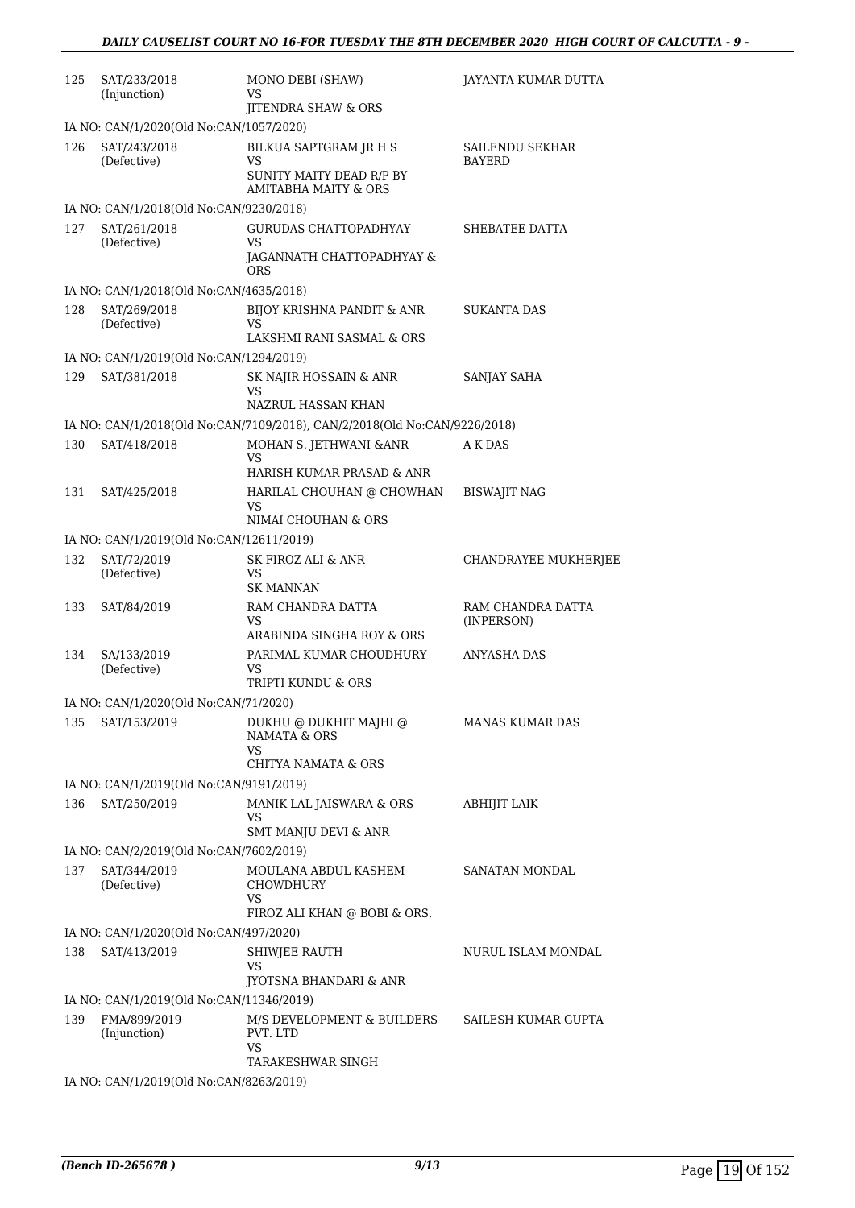| 125 | SAT/233/2018<br>(Injunction)             | MONO DEBI (SHAW)<br>VS                                                           | JAYANTA KUMAR DUTTA             |
|-----|------------------------------------------|----------------------------------------------------------------------------------|---------------------------------|
|     |                                          | JITENDRA SHAW & ORS                                                              |                                 |
|     | IA NO: CAN/1/2020(Old No:CAN/1057/2020)  |                                                                                  |                                 |
| 126 | SAT/243/2018<br>(Defective)              | BILKUA SAPTGRAM JR H S<br>VS<br>SUNITY MAITY DEAD R/P BY<br>AMITABHA MAITY & ORS | SAILENDU SEKHAR<br>BAYERD       |
|     | IA NO: CAN/1/2018(Old No:CAN/9230/2018)  |                                                                                  |                                 |
| 127 | SAT/261/2018<br>(Defective)              | <b>GURUDAS CHATTOPADHYAY</b><br>VS<br>JAGANNATH CHATTOPADHYAY &                  | SHEBATEE DATTA                  |
|     |                                          | <b>ORS</b>                                                                       |                                 |
|     | IA NO: CAN/1/2018(Old No:CAN/4635/2018)  |                                                                                  |                                 |
| 128 | SAT/269/2018<br>(Defective)              | BIJOY KRISHNA PANDIT & ANR<br>VS<br>LAKSHMI RANI SASMAL & ORS                    | SUKANTA DAS                     |
|     | IA NO: CAN/1/2019(Old No:CAN/1294/2019)  |                                                                                  |                                 |
| 129 | SAT/381/2018                             | SK NAJIR HOSSAIN & ANR<br>VS                                                     | SANJAY SAHA                     |
|     |                                          | NAZRUL HASSAN KHAN                                                               |                                 |
|     |                                          | IA NO: CAN/1/2018(Old No:CAN/7109/2018), CAN/2/2018(Old No:CAN/9226/2018)        |                                 |
| 130 | SAT/418/2018                             | MOHAN S. JETHWANI & ANR<br>VS<br>HARISH KUMAR PRASAD & ANR                       | A K DAS                         |
| 131 | SAT/425/2018                             | HARILAL CHOUHAN @ CHOWHAN<br>VS<br>NIMAI CHOUHAN & ORS                           | <b>BISWAJIT NAG</b>             |
|     | IA NO: CAN/1/2019(Old No:CAN/12611/2019) |                                                                                  |                                 |
| 132 | SAT/72/2019<br>(Defective)               | SK FIROZ ALI & ANR<br><b>VS</b><br><b>SK MANNAN</b>                              | CHANDRAYEE MUKHERJEE            |
| 133 | SAT/84/2019                              | RAM CHANDRA DATTA<br>VS                                                          | RAM CHANDRA DATTA<br>(INPERSON) |
| 134 | SA/133/2019<br>(Defective)               | ARABINDA SINGHA ROY & ORS<br>PARIMAL KUMAR CHOUDHURY<br>VS<br>TRIPTI KUNDU & ORS | ANYASHA DAS                     |
|     | IA NO: CAN/1/2020(Old No:CAN/71/2020)    |                                                                                  |                                 |
| 135 | SAT/153/2019                             | DUKHU @ DUKHIT MAJHI @<br><b>NAMATA &amp; ORS</b>                                | <b>MANAS KUMAR DAS</b>          |
|     |                                          | VS<br><b>CHITYA NAMATA &amp; ORS</b>                                             |                                 |
|     | IA NO: CAN/1/2019(Old No:CAN/9191/2019)  |                                                                                  |                                 |
| 136 | SAT/250/2019                             | MANIK LAL JAISWARA & ORS<br>VS                                                   | <b>ABHIJIT LAIK</b>             |
|     |                                          | <b>SMT MANJU DEVI &amp; ANR</b>                                                  |                                 |
|     | IA NO: CAN/2/2019(Old No:CAN/7602/2019)  |                                                                                  |                                 |
| 137 | SAT/344/2019<br>(Defective)              | MOULANA ABDUL KASHEM<br>CHOWDHURY<br>VS                                          | SANATAN MONDAL                  |
|     |                                          | FIROZ ALI KHAN @ BOBI & ORS.                                                     |                                 |
|     | IA NO: CAN/1/2020(Old No:CAN/497/2020)   |                                                                                  |                                 |
| 138 | SAT/413/2019                             | SHIWJEE RAUTH<br>VS<br>JYOTSNA BHANDARI & ANR                                    | NURUL ISLAM MONDAL              |
|     | IA NO: CAN/1/2019(Old No:CAN/11346/2019) |                                                                                  |                                 |
| 139 | FMA/899/2019<br>(Injunction)             | M/S DEVELOPMENT & BUILDERS<br>PVT. LTD<br>VS                                     | SAILESH KUMAR GUPTA             |
|     |                                          | TARAKESHWAR SINGH                                                                |                                 |
|     | IA NO: CAN/1/2019(Old No:CAN/8263/2019)  |                                                                                  |                                 |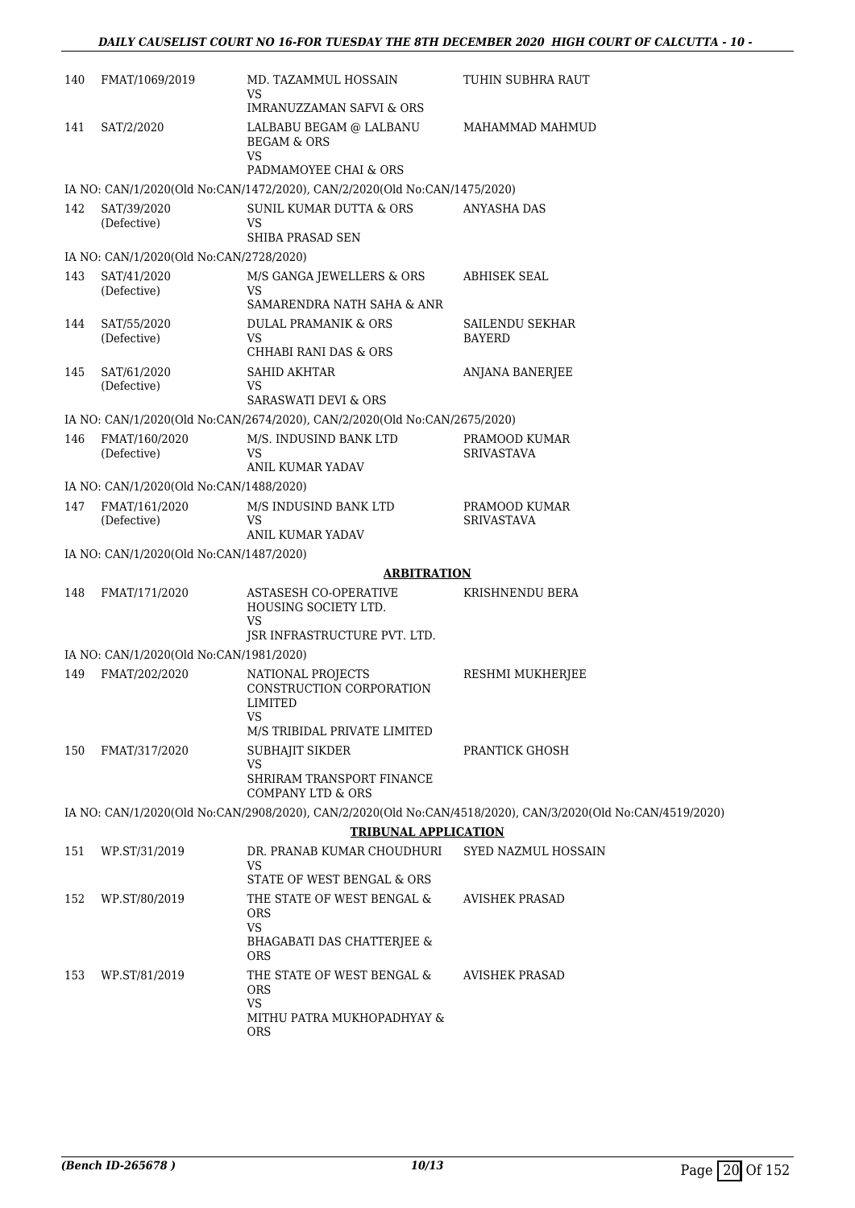| 140 | FMAT/1069/2019                          | MD. TAZAMMUL HOSSAIN<br>VS                                                          | TUHIN SUBHRA RAUT                                                                                           |
|-----|-----------------------------------------|-------------------------------------------------------------------------------------|-------------------------------------------------------------------------------------------------------------|
|     |                                         | <b>IMRANUZZAMAN SAFVI &amp; ORS</b>                                                 |                                                                                                             |
| 141 | SAT/2/2020                              | LALBABU BEGAM @ LALBANU<br><b>BEGAM &amp; ORS</b><br>VS<br>PADMAMOYEE CHAI & ORS    | MAHAMMAD MAHMUD                                                                                             |
|     |                                         | IA NO: CAN/1/2020(Old No:CAN/1472/2020), CAN/2/2020(Old No:CAN/1475/2020)           |                                                                                                             |
| 142 | SAT/39/2020                             | <b>SUNIL KUMAR DUTTA &amp; ORS</b>                                                  | <b>ANYASHA DAS</b>                                                                                          |
|     | (Defective)                             | VS<br>SHIBA PRASAD SEN                                                              |                                                                                                             |
|     | IA NO: CAN/1/2020(Old No:CAN/2728/2020) |                                                                                     |                                                                                                             |
| 143 | SAT/41/2020<br>(Defective)              | M/S GANGA JEWELLERS & ORS<br>VS.<br>SAMARENDRA NATH SAHA & ANR                      | ABHISEK SEAL                                                                                                |
|     | SAT/55/2020                             |                                                                                     |                                                                                                             |
| 144 | (Defective)                             | DULAL PRAMANIK & ORS<br>VS.<br>CHHABI RANI DAS & ORS                                | SAILENDU SEKHAR<br>BAYERD                                                                                   |
| 145 | SAT/61/2020                             | SAHID AKHTAR                                                                        | ANJANA BANERJEE                                                                                             |
|     | (Defective)                             | VS                                                                                  |                                                                                                             |
|     |                                         | SARASWATI DEVI & ORS                                                                |                                                                                                             |
|     |                                         | IA NO: CAN/1/2020(Old No:CAN/2674/2020), CAN/2/2020(Old No:CAN/2675/2020)           |                                                                                                             |
| 146 | FMAT/160/2020<br>(Defective)            | M/S. INDUSIND BANK LTD<br>VS<br><b>ANIL KUMAR YADAV</b>                             | PRAMOOD KUMAR<br><b>SRIVASTAVA</b>                                                                          |
|     | IA NO: CAN/1/2020(Old No:CAN/1488/2020) |                                                                                     |                                                                                                             |
| 147 | FMAT/161/2020                           | M/S INDUSIND BANK LTD                                                               | PRAMOOD KUMAR                                                                                               |
|     | (Defective)                             | VS<br>ANIL KUMAR YADAV                                                              | <b>SRIVASTAVA</b>                                                                                           |
|     | IA NO: CAN/1/2020(Old No:CAN/1487/2020) |                                                                                     |                                                                                                             |
|     |                                         | <b>ARBITRATION</b>                                                                  |                                                                                                             |
| 148 | FMAT/171/2020                           | ASTASESH CO-OPERATIVE<br>HOUSING SOCIETY LTD.<br>VS<br>ISR INFRASTRUCTURE PVT. LTD. | KRISHNENDU BERA                                                                                             |
|     | IA NO: CAN/1/2020(Old No:CAN/1981/2020) |                                                                                     |                                                                                                             |
| 149 | FMAT/202/2020                           |                                                                                     | RESHMI MUKHERJEE                                                                                            |
|     |                                         | NATIONAL PROJECTS<br>CONSTRUCTION CORPORATION<br>LIMITED<br><b>VS</b>               |                                                                                                             |
|     |                                         | M/S TRIBIDAL PRIVATE LIMITED                                                        |                                                                                                             |
| 150 | FMAT/317/2020                           | SUBHAJIT SIKDER                                                                     | PRANTICK GHOSH                                                                                              |
|     |                                         | VS<br>SHRIRAM TRANSPORT FINANCE<br><b>COMPANY LTD &amp; ORS</b>                     |                                                                                                             |
|     |                                         |                                                                                     | IA NO: CAN/1/2020(Old No:CAN/2908/2020), CAN/2/2020(Old No:CAN/4518/2020), CAN/3/2020(Old No:CAN/4519/2020) |
|     |                                         | <b>TRIBUNAL APPLICATION</b>                                                         |                                                                                                             |
| 151 | WP.ST/31/2019                           | DR. PRANAB KUMAR CHOUDHURI                                                          | SYED NAZMUL HOSSAIN                                                                                         |
|     |                                         | VS<br>STATE OF WEST BENGAL & ORS                                                    |                                                                                                             |
| 152 | WP.ST/80/2019                           | THE STATE OF WEST BENGAL &<br>ORS<br><b>VS</b><br>BHAGABATI DAS CHATTERJEE &        | <b>AVISHEK PRASAD</b>                                                                                       |
|     |                                         | <b>ORS</b>                                                                          |                                                                                                             |
| 153 | WP.ST/81/2019                           | THE STATE OF WEST BENGAL &<br><b>ORS</b><br><b>VS</b>                               | <b>AVISHEK PRASAD</b>                                                                                       |
|     |                                         | MITHU PATRA MUKHOPADHYAY &<br><b>ORS</b>                                            |                                                                                                             |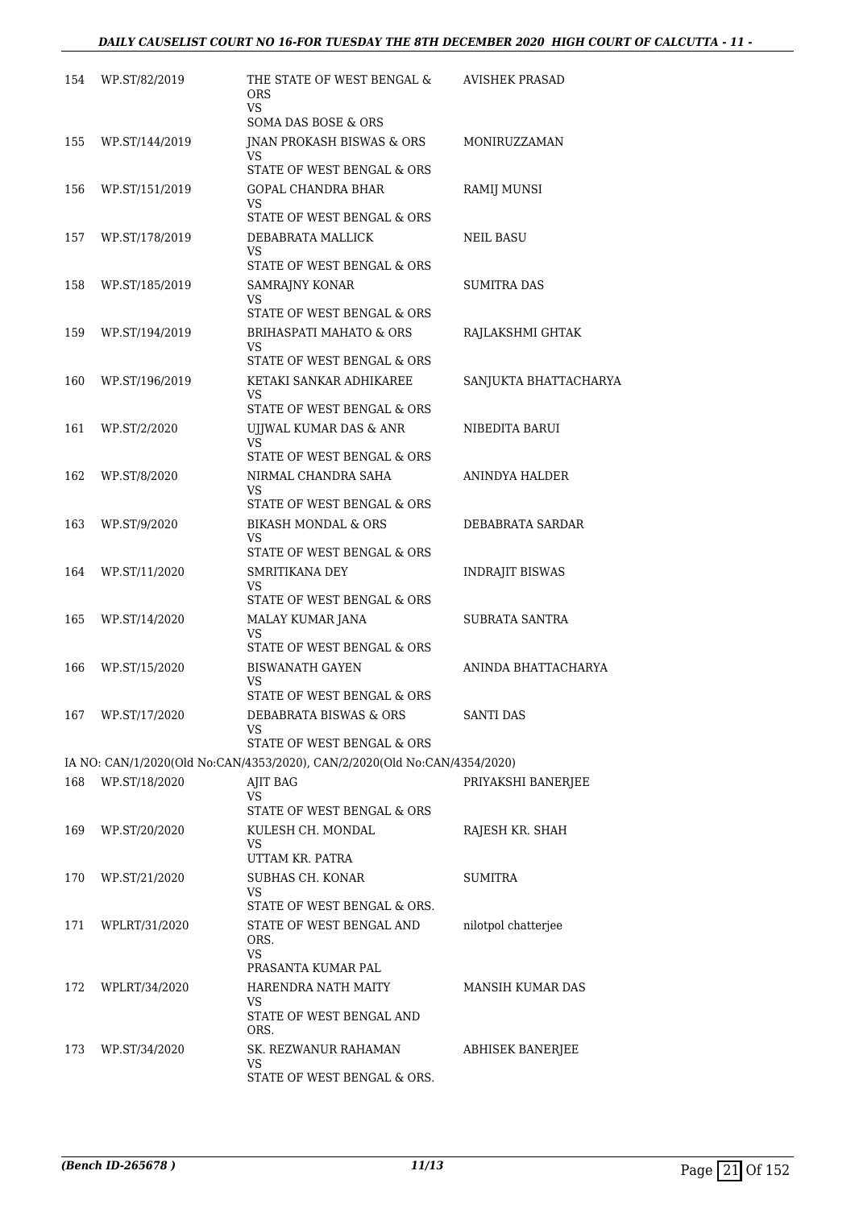| 154 | WP.ST/82/2019     | THE STATE OF WEST BENGAL &<br>ORS<br>VS                                   | <b>AVISHEK PRASAD</b> |
|-----|-------------------|---------------------------------------------------------------------------|-----------------------|
|     |                   | SOMA DAS BOSE & ORS                                                       |                       |
| 155 | WP.ST/144/2019    | JNAN PROKASH BISWAS & ORS<br>VS<br>STATE OF WEST BENGAL & ORS             | MONIRUZZAMAN          |
| 156 | WP.ST/151/2019    | GOPAL CHANDRA BHAR                                                        | RAMIJ MUNSI           |
|     |                   | VS<br>STATE OF WEST BENGAL & ORS                                          |                       |
| 157 | WP.ST/178/2019    | DEBABRATA MALLICK                                                         | NEIL BASU             |
|     |                   | VS<br>STATE OF WEST BENGAL & ORS                                          |                       |
| 158 | WP.ST/185/2019    | SAMRAJNY KONAR                                                            | SUMITRA DAS           |
|     |                   | VS<br>STATE OF WEST BENGAL & ORS                                          |                       |
| 159 | WP.ST/194/2019    | <b>BRIHASPATI MAHATO &amp; ORS</b><br>VS                                  | RAJLAKSHMI GHTAK      |
|     |                   | STATE OF WEST BENGAL & ORS                                                |                       |
| 160 | WP.ST/196/2019    | KETAKI SANKAR ADHIKAREE<br>VS                                             | SANJUKTA BHATTACHARYA |
|     |                   | STATE OF WEST BENGAL & ORS                                                |                       |
| 161 | WP.ST/2/2020      | UJJWAL KUMAR DAS & ANR<br>VS                                              | NIBEDITA BARUI        |
|     |                   | STATE OF WEST BENGAL & ORS                                                |                       |
| 162 | WP.ST/8/2020      | NIRMAL CHANDRA SAHA<br>VS                                                 | ANINDYA HALDER        |
|     |                   | STATE OF WEST BENGAL & ORS                                                |                       |
| 163 | WP.ST/9/2020      | BIKASH MONDAL & ORS                                                       | DEBABRATA SARDAR      |
|     |                   | VS<br>STATE OF WEST BENGAL & ORS                                          |                       |
| 164 | WP.ST/11/2020     | SMRITIKANA DEY                                                            | INDRAJIT BISWAS       |
|     |                   | VS<br>STATE OF WEST BENGAL & ORS                                          |                       |
| 165 | WP.ST/14/2020     | MALAY KUMAR JANA                                                          | SUBRATA SANTRA        |
|     |                   | VS<br>STATE OF WEST BENGAL & ORS                                          |                       |
| 166 | WP.ST/15/2020     | <b>BISWANATH GAYEN</b>                                                    | ANINDA BHATTACHARYA   |
|     |                   | VS                                                                        |                       |
|     |                   | STATE OF WEST BENGAL & ORS                                                |                       |
|     | 167 WP.ST/17/2020 | DEBABRATA BISWAS & ORS<br>VS                                              | <b>SANTI DAS</b>      |
|     |                   | STATE OF WEST BENGAL & ORS                                                |                       |
|     |                   | IA NO: CAN/1/2020(Old No:CAN/4353/2020), CAN/2/2020(Old No:CAN/4354/2020) |                       |
| 168 | WP.ST/18/2020     | AJIT BAG<br>VS<br>STATE OF WEST BENGAL & ORS                              | PRIYAKSHI BANERJEE    |
|     |                   | KULESH CH. MONDAL                                                         |                       |
| 169 | WP.ST/20/2020     | VS<br>UTTAM KR. PATRA                                                     | RAJESH KR. SHAH       |
| 170 | WP.ST/21/2020     | SUBHAS CH. KONAR                                                          | <b>SUMITRA</b>        |
|     |                   | VS<br>STATE OF WEST BENGAL & ORS.                                         |                       |
| 171 | WPLRT/31/2020     | STATE OF WEST BENGAL AND                                                  | nilotpol chatterjee   |
|     |                   | ORS.<br>VS                                                                |                       |
|     |                   | PRASANTA KUMAR PAL                                                        |                       |
| 172 | WPLRT/34/2020     | HARENDRA NATH MAITY<br>VS                                                 | MANSIH KUMAR DAS      |
|     |                   | STATE OF WEST BENGAL AND<br>ORS.                                          |                       |
| 173 | WP.ST/34/2020     | SK. REZWANUR RAHAMAN                                                      | ABHISEK BANERJEE      |
|     |                   | VS<br>STATE OF WEST BENGAL & ORS.                                         |                       |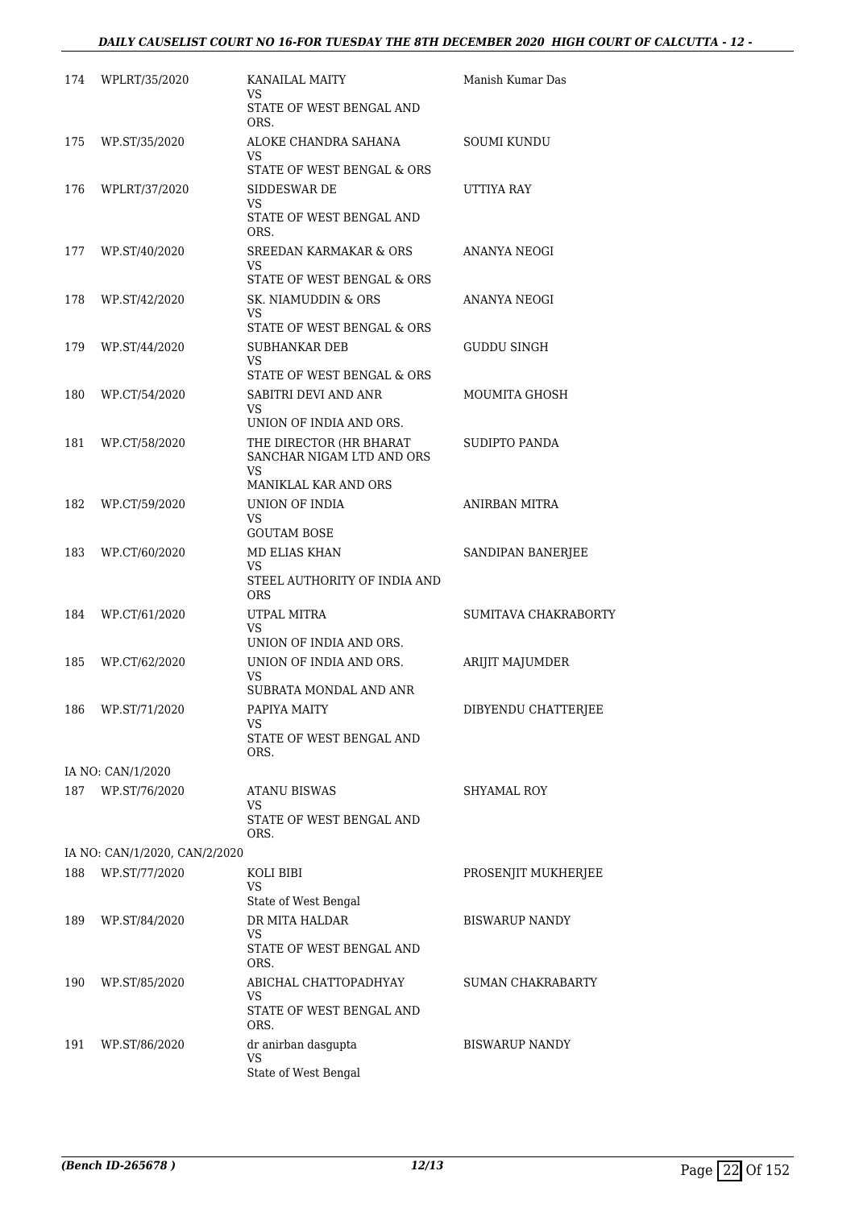| 174 | WPLRT/35/2020                 | <b>KANAILAL MAITY</b><br>VS                                                              | Manish Kumar Das         |
|-----|-------------------------------|------------------------------------------------------------------------------------------|--------------------------|
|     |                               | STATE OF WEST BENGAL AND<br>ORS.                                                         |                          |
| 175 | WP.ST/35/2020                 | ALOKE CHANDRA SAHANA<br>VS                                                               | <b>SOUMI KUNDU</b>       |
|     |                               | STATE OF WEST BENGAL & ORS                                                               |                          |
| 176 | WPLRT/37/2020                 | SIDDESWAR DE<br>VS.<br>STATE OF WEST BENGAL AND<br>ORS.                                  | UTTIYA RAY               |
| 177 | WP.ST/40/2020                 | <b>SREEDAN KARMAKAR &amp; ORS</b><br>VS<br>STATE OF WEST BENGAL & ORS                    | ANANYA NEOGI             |
| 178 | WP.ST/42/2020                 | SK. NIAMUDDIN & ORS<br>VS<br>STATE OF WEST BENGAL & ORS                                  | ANANYA NEOGI             |
| 179 | WP.ST/44/2020                 | SUBHANKAR DEB<br>VS<br>STATE OF WEST BENGAL & ORS                                        | GUDDU SINGH              |
| 180 | WP.CT/54/2020                 | SABITRI DEVI AND ANR<br>VS                                                               | MOUMITA GHOSH            |
| 181 | WP.CT/58/2020                 | UNION OF INDIA AND ORS.<br>THE DIRECTOR (HR BHARAT<br>SANCHAR NIGAM LTD AND ORS<br>VS    | SUDIPTO PANDA            |
| 182 | WP.CT/59/2020                 | MANIKLAL KAR AND ORS<br>UNION OF INDIA<br>VS.                                            | ANIRBAN MITRA            |
| 183 | WP.CT/60/2020                 | <b>GOUTAM BOSE</b><br><b>MD ELIAS KHAN</b><br>VS.<br>STEEL AUTHORITY OF INDIA AND<br>ORS | SANDIPAN BANERJEE        |
| 184 | WP.CT/61/2020                 | UTPAL MITRA<br>VS<br>UNION OF INDIA AND ORS.                                             | SUMITAVA CHAKRABORTY     |
| 185 | WP.CT/62/2020                 | UNION OF INDIA AND ORS.<br>VS<br>SUBRATA MONDAL AND ANR                                  | ARIJIT MAJUMDER          |
| 186 | WP.ST/71/2020                 | PAPIYA MAITY<br>VS<br>STATE OF WEST BENGAL AND<br>ORS.                                   | DIBYENDU CHATTERJEE      |
|     | IA NO: CAN/1/2020             |                                                                                          |                          |
| 187 | WP.ST/76/2020                 | <b>ATANU BISWAS</b><br>VS<br>STATE OF WEST BENGAL AND<br>ORS.                            | SHYAMAL ROY              |
|     | IA NO: CAN/1/2020, CAN/2/2020 |                                                                                          |                          |
| 188 | WP.ST/77/2020                 | KOLI BIBI<br>VS<br>State of West Bengal                                                  | PROSENJIT MUKHERJEE      |
| 189 | WP.ST/84/2020                 | DR MITA HALDAR<br>VS<br>STATE OF WEST BENGAL AND<br>ORS.                                 | <b>BISWARUP NANDY</b>    |
| 190 | WP.ST/85/2020                 | ABICHAL CHATTOPADHYAY<br>VS<br>STATE OF WEST BENGAL AND                                  | <b>SUMAN CHAKRABARTY</b> |
| 191 | WP.ST/86/2020                 | ORS.<br>dr anirban dasgupta<br>VS<br>State of West Bengal                                | <b>BISWARUP NANDY</b>    |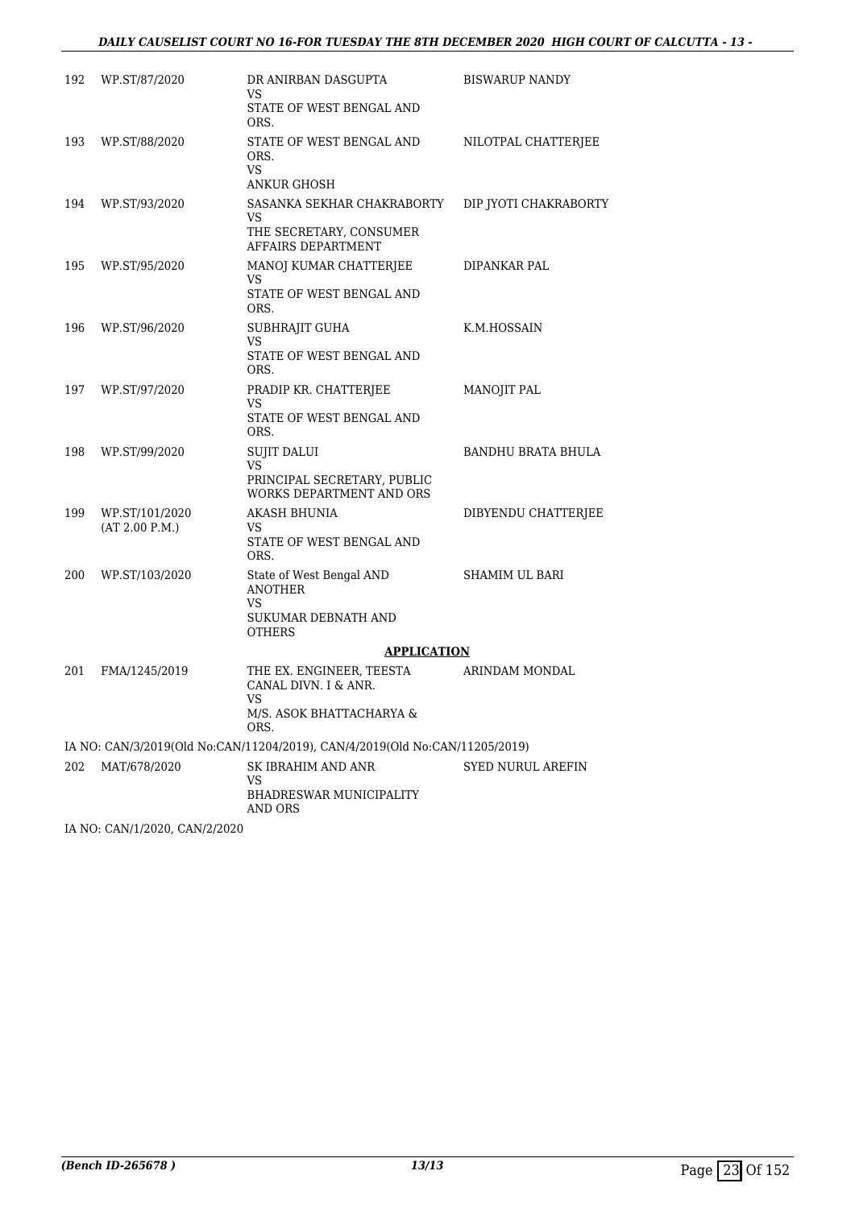| 192 | WP.ST/87/2020                    | DR ANIRBAN DASGUPTA<br>VS                                                                         | <b>BISWARUP NANDY</b>     |
|-----|----------------------------------|---------------------------------------------------------------------------------------------------|---------------------------|
|     |                                  | STATE OF WEST BENGAL AND<br>ORS.                                                                  |                           |
| 193 | WP.ST/88/2020                    | STATE OF WEST BENGAL AND<br>ORS.<br>VS<br>ANKUR GHOSH                                             | NILOTPAL CHATTERIEE       |
| 194 | WP.ST/93/2020                    | SASANKA SEKHAR CHAKRABORTY<br>VS<br>THE SECRETARY, CONSUMER<br>AFFAIRS DEPARTMENT                 | DIP JYOTI CHAKRABORTY     |
| 195 | WP.ST/95/2020                    | MANOJ KUMAR CHATTERJEE<br>VS<br>STATE OF WEST BENGAL AND<br>ORS.                                  | DIPANKAR PAL              |
| 196 | WP.ST/96/2020                    | SUBHRAJIT GUHA<br>VS<br>STATE OF WEST BENGAL AND<br>ORS.                                          | K.M.HOSSAIN               |
| 197 | WP.ST/97/2020                    | PRADIP KR. CHATTERJEE<br>VS<br>STATE OF WEST BENGAL AND<br>ORS.                                   | <b>MANOJIT PAL</b>        |
| 198 | WP.ST/99/2020                    | <b>SUJIT DALUI</b><br><b>VS</b><br>PRINCIPAL SECRETARY, PUBLIC<br><b>WORKS DEPARTMENT AND ORS</b> | <b>BANDHU BRATA BHULA</b> |
| 199 | WP.ST/101/2020<br>(AT 2.00 P.M.) | <b>AKASH BHUNIA</b><br><b>VS</b><br>STATE OF WEST BENGAL AND<br>ORS.                              | DIBYENDU CHATTERJEE       |
| 200 | WP.ST/103/2020                   | State of West Bengal AND<br><b>ANOTHER</b><br><b>VS</b><br>SUKUMAR DEBNATH AND<br><b>OTHERS</b>   | SHAMIM UL BARI            |
|     |                                  | <b>APPLICATION</b>                                                                                |                           |
| 201 | FMA/1245/2019                    | THE EX. ENGINEER, TEESTA<br>CANAL DIVN. I & ANR.<br>VS<br>M/S. ASOK BHATTACHARYA &<br>ORS.        | ARINDAM MONDAL            |
|     |                                  | IA NO: CAN/3/2019(Old No:CAN/11204/2019), CAN/4/2019(Old No:CAN/11205/2019)                       |                           |
| 202 | MAT/678/2020                     | SK IBRAHIM AND ANR<br>VS<br>BHADRESWAR MUNICIPALITY<br>AND ORS                                    | SYED NURUL AREFIN         |
|     |                                  |                                                                                                   |                           |

IA NO: CAN/1/2020, CAN/2/2020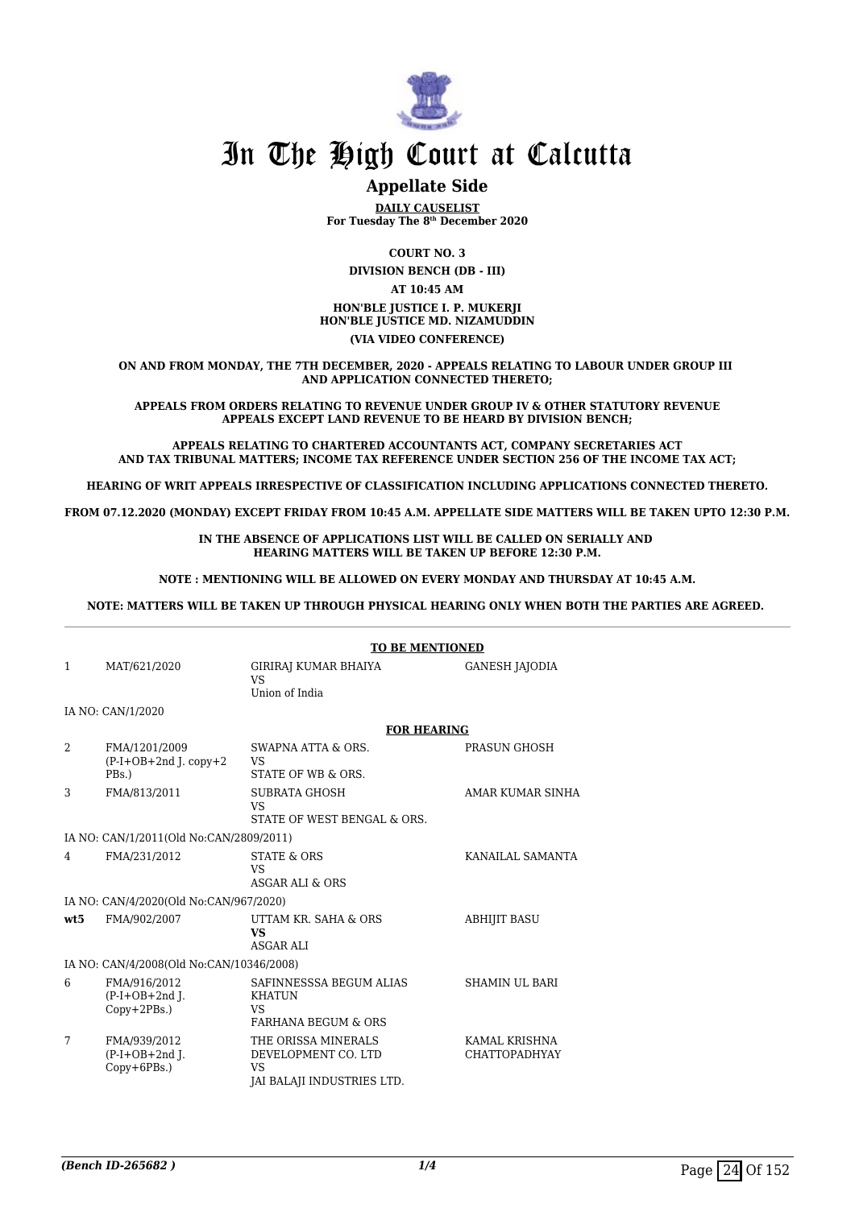

## **Appellate Side**

**DAILY CAUSELIST For Tuesday The 8th December 2020**

**COURT NO. 3 DIVISION BENCH (DB - III) AT 10:45 AM HON'BLE JUSTICE I. P. MUKERJI HON'BLE JUSTICE MD. NIZAMUDDIN (VIA VIDEO CONFERENCE)**

**ON AND FROM MONDAY, THE 7TH DECEMBER, 2020 - APPEALS RELATING TO LABOUR UNDER GROUP III AND APPLICATION CONNECTED THERETO;**

**APPEALS FROM ORDERS RELATING TO REVENUE UNDER GROUP IV & OTHER STATUTORY REVENUE APPEALS EXCEPT LAND REVENUE TO BE HEARD BY DIVISION BENCH;**

**APPEALS RELATING TO CHARTERED ACCOUNTANTS ACT, COMPANY SECRETARIES ACT AND TAX TRIBUNAL MATTERS; INCOME TAX REFERENCE UNDER SECTION 256 OF THE INCOME TAX ACT;**

**HEARING OF WRIT APPEALS IRRESPECTIVE OF CLASSIFICATION INCLUDING APPLICATIONS CONNECTED THERETO.**

**FROM 07.12.2020 (MONDAY) EXCEPT FRIDAY FROM 10:45 A.M. APPELLATE SIDE MATTERS WILL BE TAKEN UPTO 12:30 P.M.**

**IN THE ABSENCE OF APPLICATIONS LIST WILL BE CALLED ON SERIALLY AND HEARING MATTERS WILL BE TAKEN UP BEFORE 12:30 P.M.**

**NOTE : MENTIONING WILL BE ALLOWED ON EVERY MONDAY AND THURSDAY AT 10:45 A.M.**

**NOTE: MATTERS WILL BE TAKEN UP THROUGH PHYSICAL HEARING ONLY WHEN BOTH THE PARTIES ARE AGREED.** 

|      |                                                    | <b>TO BE MENTIONED</b>                                                                |                                       |
|------|----------------------------------------------------|---------------------------------------------------------------------------------------|---------------------------------------|
| 1    | MAT/621/2020                                       | GIRIRAJ KUMAR BHAIYA<br>VS.<br>Union of India                                         | <b>GANESH JAJODIA</b>                 |
|      | IA NO: CAN/1/2020                                  |                                                                                       |                                       |
|      |                                                    | <b>FOR HEARING</b>                                                                    |                                       |
| 2    | FMA/1201/2009<br>$(P-I+OB+2nd J. copy+2$<br>PBs.)  | SWAPNA ATTA & ORS.<br>VS<br>STATE OF WB & ORS.                                        | PRASUN GHOSH                          |
| 3    | FMA/813/2011                                       | <b>SUBRATA GHOSH</b><br><b>VS</b><br>STATE OF WEST BENGAL & ORS.                      | AMAR KUMAR SINHA                      |
|      | IA NO: CAN/1/2011(Old No:CAN/2809/2011)            |                                                                                       |                                       |
| 4    | FMA/231/2012                                       | <b>STATE &amp; ORS</b><br><b>VS</b><br>ASGAR ALI & ORS                                | KANAILAL SAMANTA                      |
|      | IA NO: CAN/4/2020(Old No:CAN/967/2020)             |                                                                                       |                                       |
| wt.5 | FMA/902/2007                                       | UTTAM KR. SAHA & ORS<br><b>VS</b><br><b>ASGAR ALI</b>                                 | <b>ABHIJIT BASU</b>                   |
|      | IA NO: CAN/4/2008(Old No:CAN/10346/2008)           |                                                                                       |                                       |
| 6    | FMA/916/2012<br>$(P-I+OB+2nd I.$<br>$Copy+2PBs.$ ) | SAFINNESSSA BEGUM ALIAS<br><b>KHATUN</b><br>VS.<br><b>FARHANA BEGUM &amp; ORS</b>     | <b>SHAMIN UL BARI</b>                 |
| 7    | FMA/939/2012<br>$(P-I+OB+2nd)$ .<br>Copy+6PBs.)    | THE ORISSA MINERALS<br>DEVELOPMENT CO. LTD<br><b>VS</b><br>JAI BALAJI INDUSTRIES LTD. | KAMAL KRISHNA<br><b>CHATTOPADHYAY</b> |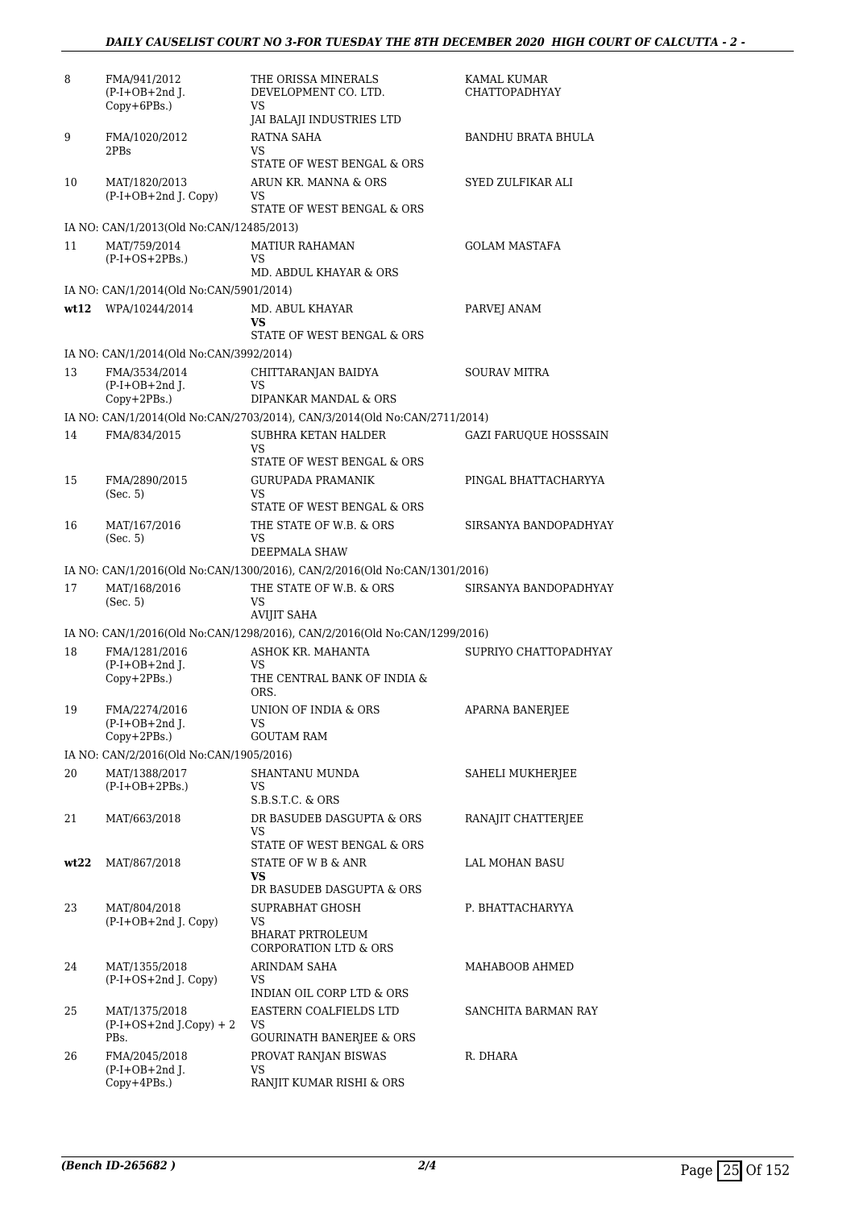| 8    | FMA/941/2012<br>$(P-I+OB+2nd$ J.<br>$Copy+6PBs.$ ) | THE ORISSA MINERALS<br>DEVELOPMENT CO. LTD.<br>VS<br>JAI BALAJI INDUSTRIES LTD             | KAMAL KUMAR<br><b>CHATTOPADHYAY</b> |
|------|----------------------------------------------------|--------------------------------------------------------------------------------------------|-------------------------------------|
| 9    | FMA/1020/2012<br>2PBs                              | RATNA SAHA<br>VS                                                                           | BANDHU BRATA BHULA                  |
| 10   | MAT/1820/2013<br>(P-I+OB+2nd J. Copy)              | STATE OF WEST BENGAL & ORS<br>ARUN KR. MANNA & ORS<br>VS<br>STATE OF WEST BENGAL & ORS     | SYED ZULFIKAR ALI                   |
|      | IA NO: CAN/1/2013(Old No:CAN/12485/2013)           |                                                                                            |                                     |
| 11   | MAT/759/2014<br>$(P-I+OS+2PBs.)$                   | <b>MATIUR RAHAMAN</b><br>VS                                                                | <b>GOLAM MASTAFA</b>                |
|      |                                                    | MD. ABDUL KHAYAR & ORS                                                                     |                                     |
|      | IA NO: CAN/1/2014(Old No:CAN/5901/2014)            |                                                                                            |                                     |
|      | wt12 WPA/10244/2014                                | MD. ABUL KHAYAR<br>VS<br>STATE OF WEST BENGAL & ORS                                        | PARVEJ ANAM                         |
|      | IA NO: CAN/1/2014(Old No:CAN/3992/2014)            |                                                                                            |                                     |
| 13   | FMA/3534/2014<br>$(P-I+OB+2nd I.$                  | CHITTARANJAN BAIDYA<br>VS                                                                  | <b>SOURAV MITRA</b>                 |
|      | Copy+2PBs.)                                        | DIPANKAR MANDAL & ORS                                                                      |                                     |
|      |                                                    | IA NO: CAN/1/2014(Old No:CAN/2703/2014), CAN/3/2014(Old No:CAN/2711/2014)                  |                                     |
| 14   | FMA/834/2015                                       | SUBHRA KETAN HALDER<br>VS                                                                  | GAZI FARUQUE HOSSSAIN               |
|      |                                                    | STATE OF WEST BENGAL & ORS                                                                 |                                     |
| 15   | FMA/2890/2015<br>(Sec. 5)                          | <b>GURUPADA PRAMANIK</b><br>VS<br>STATE OF WEST BENGAL & ORS                               | PINGAL BHATTACHARYYA                |
| 16   | MAT/167/2016                                       | THE STATE OF W.B. & ORS                                                                    | SIRSANYA BANDOPADHYAY               |
|      | (Sec. 5)                                           | VS                                                                                         |                                     |
|      |                                                    | DEEPMALA SHAW<br>IA NO: CAN/1/2016(Old No:CAN/1300/2016), CAN/2/2016(Old No:CAN/1301/2016) |                                     |
| 17   | MAT/168/2016                                       | THE STATE OF W.B. & ORS                                                                    | SIRSANYA BANDOPADHYAY               |
|      | (Sec. 5)                                           | VS<br><b>AVIJIT SAHA</b>                                                                   |                                     |
|      |                                                    | IA NO: CAN/1/2016(Old No:CAN/1298/2016), CAN/2/2016(Old No:CAN/1299/2016)                  |                                     |
| 18   | FMA/1281/2016<br>$(P-I+OB+2nd$ J.<br>Copy+2PBs.)   | ASHOK KR. MAHANTA<br>VS<br>THE CENTRAL BANK OF INDIA &                                     | SUPRIYO CHATTOPADHYAY               |
| 19   | FMA/2274/2016                                      | ORS.<br>UNION OF INDIA & ORS                                                               | APARNA BANERJEE                     |
|      | $(P-I+OB+2nd$ J.<br>$Copy+2PBs.$ )                 | VS<br><b>GOUTAM RAM</b>                                                                    |                                     |
|      | IA NO: CAN/2/2016(Old No:CAN/1905/2016)            |                                                                                            |                                     |
| 20   | MAT/1388/2017<br>$(P-I+OB+2PBs.)$                  | SHANTANU MUNDA<br>VS                                                                       | SAHELI MUKHERJEE                    |
| 21   | MAT/663/2018                                       | $S.B.S.T.C.$ & $ORS$<br>DR BASUDEB DASGUPTA & ORS<br>VS                                    | RANAJIT CHATTERJEE                  |
| wt22 | MAT/867/2018                                       | STATE OF WEST BENGAL & ORS<br>STATE OF W B & ANR                                           | LAL MOHAN BASU                      |
|      |                                                    | VS.<br>DR BASUDEB DASGUPTA & ORS                                                           |                                     |
| 23   | MAT/804/2018<br>$(P-I+OB+2nd$ J. Copy)             | SUPRABHAT GHOSH<br>VS<br><b>BHARAT PRTROLEUM</b>                                           | P. BHATTACHARYYA                    |
| 24   | MAT/1355/2018                                      | <b>CORPORATION LTD &amp; ORS</b><br>ARINDAM SAHA                                           | MAHABOOB AHMED                      |
|      | (P-I+OS+2nd J. Copy)                               | VS<br>INDIAN OIL CORP LTD & ORS                                                            |                                     |
| 25   | MAT/1375/2018<br>$(P-I+OS+2nd J.Copy) + 2$<br>PBs. | EASTERN COALFIELDS LTD<br>VS<br><b>GOURINATH BANERJEE &amp; ORS</b>                        | SANCHITA BARMAN RAY                 |
| 26   | FMA/2045/2018<br>$(P-I+OB+2nd$ J.                  | PROVAT RANJAN BISWAS<br>VS                                                                 | R. DHARA                            |
|      | Copy+4PBs.)                                        | RANJIT KUMAR RISHI & ORS                                                                   |                                     |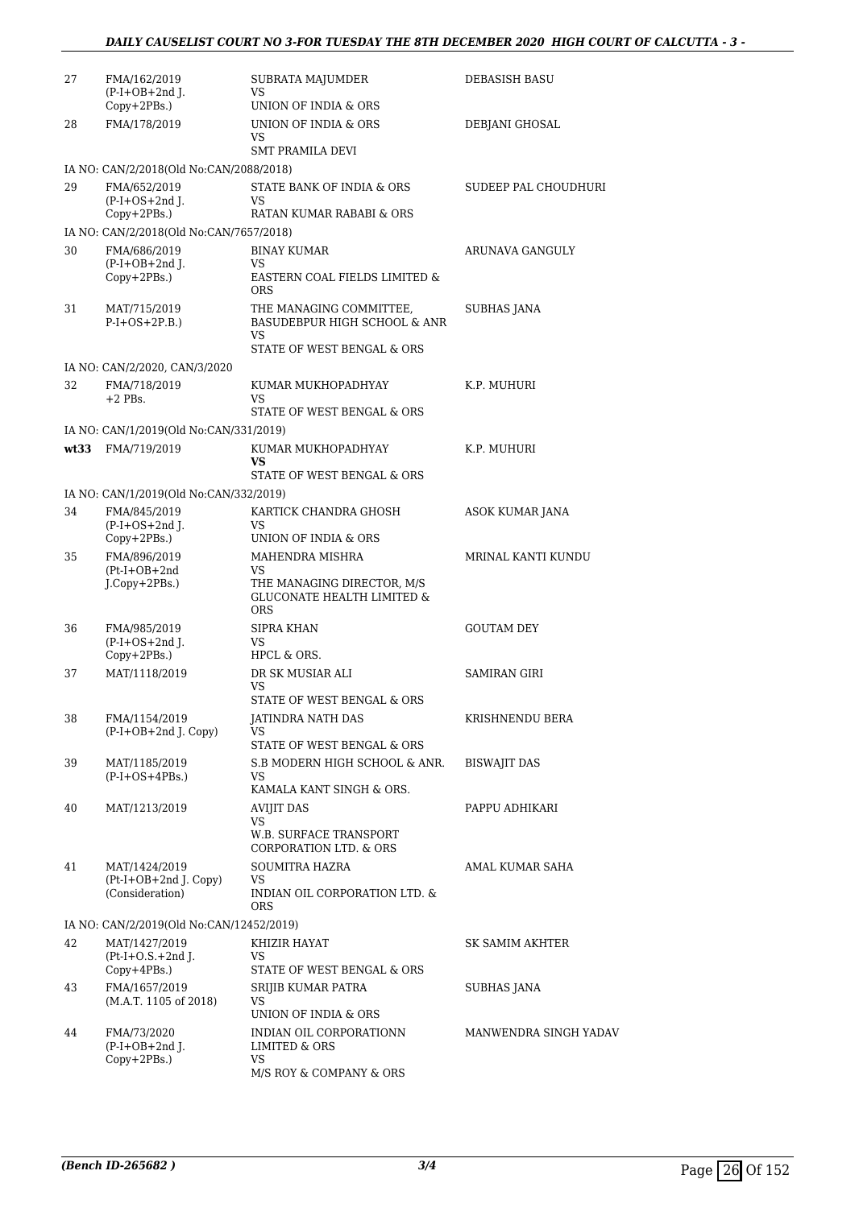| 27   | FMA/162/2019<br>$(P-I+OB+2nd)$ .<br>$Copy+2PBs.$ ) | SUBRATA MAJUMDER<br>VS<br>UNION OF INDIA & ORS                                              | <b>DEBASISH BASU</b>  |
|------|----------------------------------------------------|---------------------------------------------------------------------------------------------|-----------------------|
| 28   | FMA/178/2019                                       | UNION OF INDIA & ORS<br>VS                                                                  | DEBJANI GHOSAL        |
|      |                                                    | <b>SMT PRAMILA DEVI</b>                                                                     |                       |
|      | IA NO: CAN/2/2018(Old No:CAN/2088/2018)            |                                                                                             |                       |
| 29   | FMA/652/2019<br>$(P-I+OS+2nd J.$<br>Copy+2PBs.)    | STATE BANK OF INDIA & ORS<br>VS<br>RATAN KUMAR RABABI & ORS                                 | SUDEEP PAL CHOUDHURI  |
|      | IA NO: CAN/2/2018(Old No:CAN/7657/2018)            |                                                                                             |                       |
| 30   | FMA/686/2019                                       | BINAY KUMAR                                                                                 | ARUNAVA GANGULY       |
|      | $(P-I+OB+2nd$ ].<br>$Copy+2PBs.$ )                 | VS<br>EASTERN COAL FIELDS LIMITED &<br><b>ORS</b>                                           |                       |
| 31   | MAT/715/2019<br>$P-I+OS+2P.B.)$                    | THE MANAGING COMMITTEE,<br>BASUDEBPUR HIGH SCHOOL & ANR<br>VS<br>STATE OF WEST BENGAL & ORS | SUBHAS JANA           |
|      | IA NO: CAN/2/2020, CAN/3/2020                      |                                                                                             |                       |
| 32   | FMA/718/2019<br>$+2$ PBs.                          | KUMAR MUKHOPADHYAY<br>VS<br>STATE OF WEST BENGAL & ORS                                      | K.P. MUHURI           |
|      | IA NO: CAN/1/2019(Old No:CAN/331/2019)             |                                                                                             |                       |
| wt33 | FMA/719/2019                                       | KUMAR MUKHOPADHYAY                                                                          | K.P. MUHURI           |
|      |                                                    | VS.                                                                                         |                       |
|      |                                                    | STATE OF WEST BENGAL & ORS                                                                  |                       |
|      | IA NO: CAN/1/2019(Old No:CAN/332/2019)             |                                                                                             |                       |
| 34   | FMA/845/2019<br>$(P-I+OS+2nd$ J.<br>Copy+2PBs.)    | KARTICK CHANDRA GHOSH<br>VS<br>UNION OF INDIA & ORS                                         | ASOK KUMAR JANA       |
| 35   | FMA/896/2019                                       | MAHENDRA MISHRA                                                                             | MRINAL KANTI KUNDU    |
|      | $(Pt-I+OB+2nd$<br>J.Copy+2PBs.)                    | VS<br>THE MANAGING DIRECTOR, M/S<br><b>GLUCONATE HEALTH LIMITED &amp;</b><br><b>ORS</b>     |                       |
| 36   | FMA/985/2019                                       | <b>SIPRA KHAN</b>                                                                           | <b>GOUTAM DEY</b>     |
|      | $(P-I+OS+2nd$ J.<br>$Copy+2PBs.$ )                 | VS<br>HPCL & ORS.                                                                           |                       |
| 37   | MAT/1118/2019                                      | DR SK MUSIAR ALI                                                                            | SAMIRAN GIRI          |
|      |                                                    | VS<br>STATE OF WEST BENGAL & ORS                                                            |                       |
| 38   | FMA/1154/2019                                      | JATINDRA NATH DAS                                                                           | KRISHNENDU BERA       |
|      | $(P-I+OB+2nd$ J. Copy)                             | VS.<br>STATE OF WEST BENGAL & ORS                                                           |                       |
| 39   | MAT/1185/2019                                      | S.B MODERN HIGH SCHOOL & ANR.                                                               | <b>BISWAJIT DAS</b>   |
|      | $(P-I+OS+4PBs.)$                                   | VS.<br>KAMALA KANT SINGH & ORS.                                                             |                       |
| 40   | MAT/1213/2019                                      | AVIJIT DAS                                                                                  | PAPPU ADHIKARI        |
|      |                                                    | VS<br><b>W.B. SURFACE TRANSPORT</b><br>CORPORATION LTD. & ORS                               |                       |
| 41   | MAT/1424/2019                                      | SOUMITRA HAZRA                                                                              | AMAL KUMAR SAHA       |
|      | $(Pt-I+OB+2nd J. Copy)$<br>(Consideration)         | VS<br>INDIAN OIL CORPORATION LTD. &<br><b>ORS</b>                                           |                       |
|      | IA NO: CAN/2/2019(Old No:CAN/12452/2019)           |                                                                                             |                       |
| 42   | MAT/1427/2019                                      | KHIZIR HAYAT                                                                                | SK SAMIM AKHTER       |
|      | $(Pt-I+O.S.+2nd J.$<br>$Copy+4PBs.$ )              | VS<br>STATE OF WEST BENGAL & ORS                                                            |                       |
| 43   | FMA/1657/2019                                      | SRIJIB KUMAR PATRA                                                                          | SUBHAS JANA           |
|      | (M.A.T. 1105 of 2018)                              | VS                                                                                          |                       |
|      |                                                    | UNION OF INDIA & ORS                                                                        |                       |
| 44   | FMA/73/2020<br>$(P-I+OB+2nd$ J.<br>$Copy+2PBs.$ )  | INDIAN OIL CORPORATIONN<br>LIMITED & ORS<br>VS                                              | MANWENDRA SINGH YADAV |
|      |                                                    | M/S ROY & COMPANY & ORS                                                                     |                       |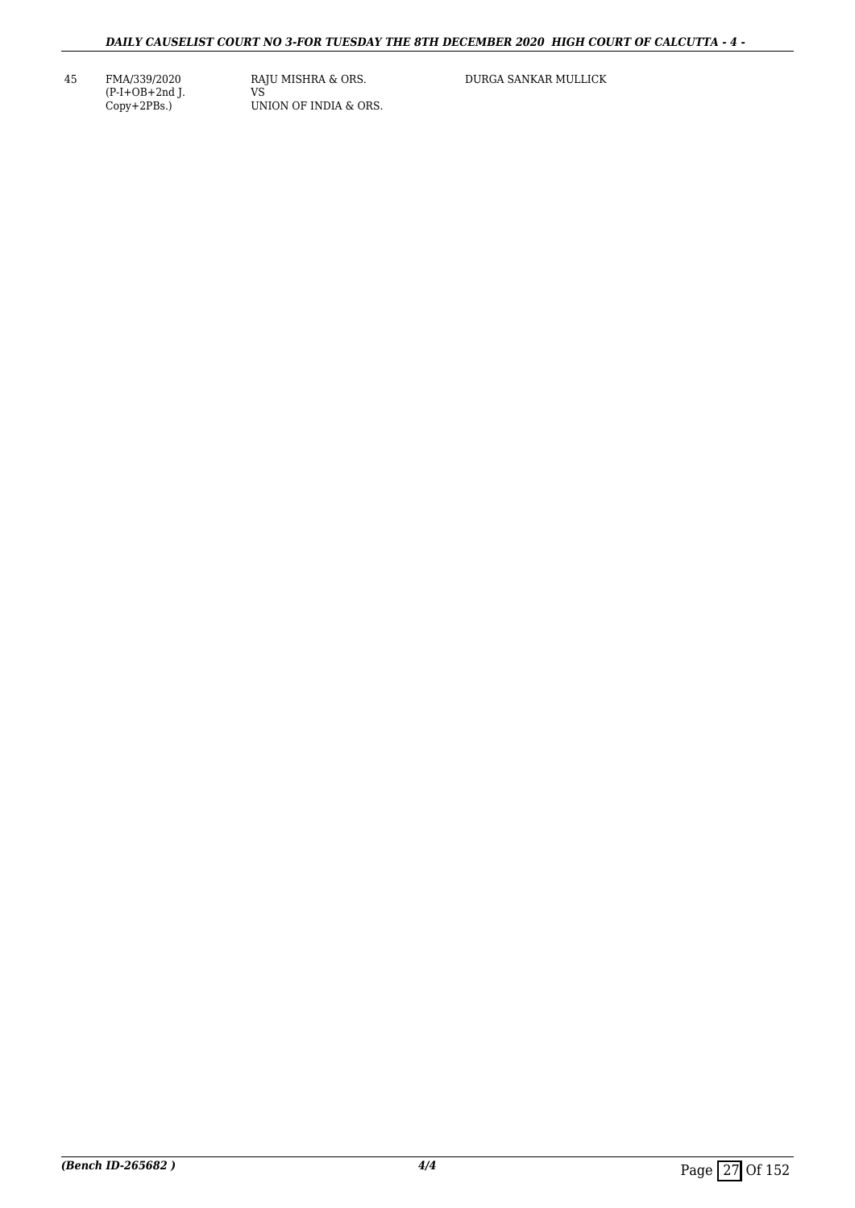45 FMA/339/2020 (P-I+OB+2nd J. Copy+2PBs.)

RAJU MISHRA & ORS. VS UNION OF INDIA & ORS. DURGA SANKAR MULLICK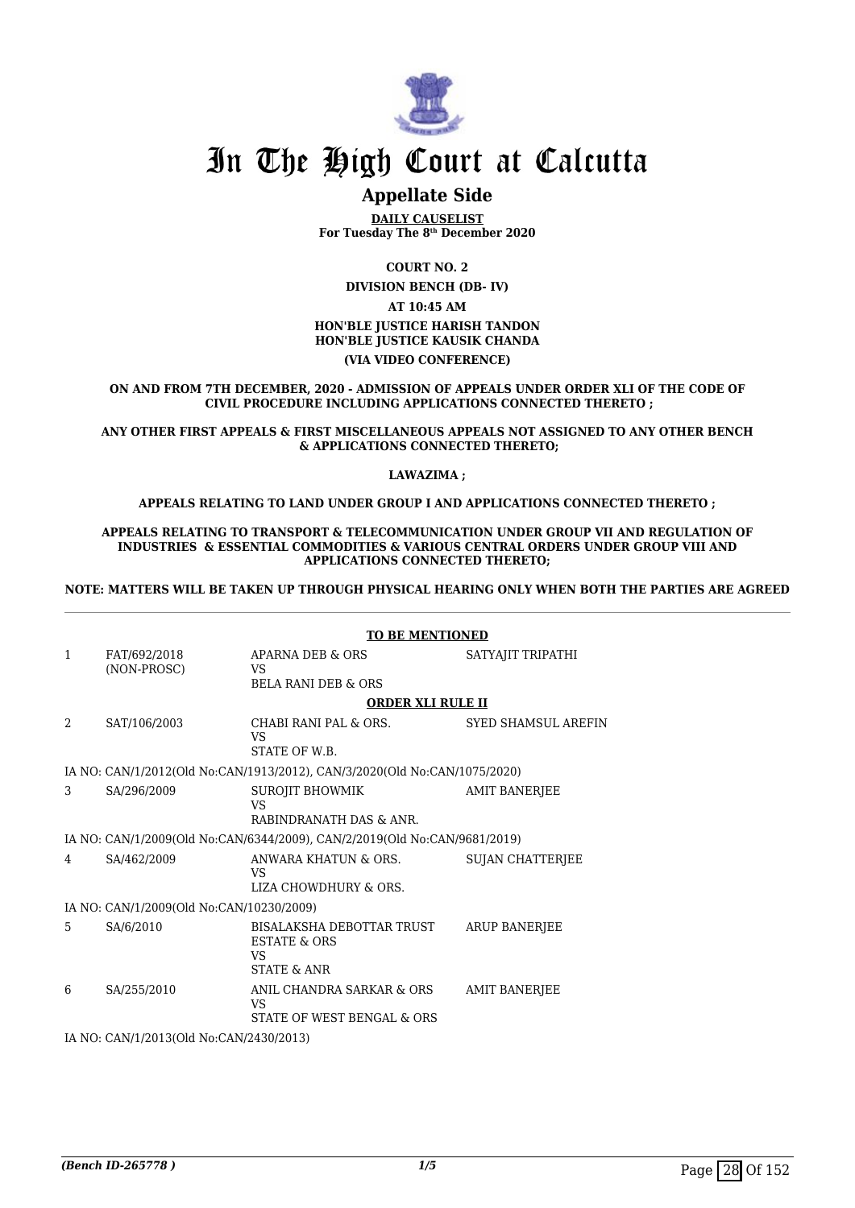

# **Appellate Side**

**DAILY CAUSELIST For Tuesday The 8th December 2020**

**COURT NO. 2**

**DIVISION BENCH (DB- IV)**

### **AT 10:45 AM HON'BLE JUSTICE HARISH TANDON HON'BLE JUSTICE KAUSIK CHANDA (VIA VIDEO CONFERENCE)**

**ON AND FROM 7TH DECEMBER, 2020 - ADMISSION OF APPEALS UNDER ORDER XLI OF THE CODE OF CIVIL PROCEDURE INCLUDING APPLICATIONS CONNECTED THERETO ;**

### **ANY OTHER FIRST APPEALS & FIRST MISCELLANEOUS APPEALS NOT ASSIGNED TO ANY OTHER BENCH & APPLICATIONS CONNECTED THERETO;**

### **LAWAZIMA ;**

### **APPEALS RELATING TO LAND UNDER GROUP I AND APPLICATIONS CONNECTED THERETO ;**

#### **APPEALS RELATING TO TRANSPORT & TELECOMMUNICATION UNDER GROUP VII AND REGULATION OF INDUSTRIES & ESSENTIAL COMMODITIES & VARIOUS CENTRAL ORDERS UNDER GROUP VIII AND APPLICATIONS CONNECTED THERETO;**

### **NOTE: MATTERS WILL BE TAKEN UP THROUGH PHYSICAL HEARING ONLY WHEN BOTH THE PARTIES ARE AGREED**

|                                         |                                          | <b>TO BE MENTIONED</b>                                                                      |                            |  |
|-----------------------------------------|------------------------------------------|---------------------------------------------------------------------------------------------|----------------------------|--|
| $\mathbf{1}$                            | FAT/692/2018<br>(NON-PROSC)              | APARNA DEB & ORS<br>VS.                                                                     | SATYAJIT TRIPATHI          |  |
|                                         |                                          | <b>BELA RANI DEB &amp; ORS</b>                                                              |                            |  |
|                                         |                                          | <b>ORDER XLI RULE II</b>                                                                    |                            |  |
| $\mathcal{L}$                           | SAT/106/2003                             | CHABI RANI PAL & ORS.<br>VS<br>STATE OF W.B.                                                | <b>SYED SHAMSUL AREFIN</b> |  |
|                                         |                                          | IA NO: CAN/1/2012(Old No:CAN/1913/2012), CAN/3/2020(Old No:CAN/1075/2020)                   |                            |  |
| 3                                       | SA/296/2009                              | <b>SUROJIT BHOWMIK</b><br>VS                                                                | AMIT BANERJEE              |  |
|                                         |                                          | RABINDRANATH DAS & ANR.                                                                     |                            |  |
|                                         |                                          | IA NO: CAN/1/2009(Old No:CAN/6344/2009), CAN/2/2019(Old No:CAN/9681/2019)                   |                            |  |
| 4                                       | SA/462/2009                              | ANWARA KHATUN & ORS.<br>VS<br>LIZA CHOWDHURY & ORS.                                         | <b>SUJAN CHATTERIEE</b>    |  |
|                                         | IA NO: CAN/1/2009(Old No:CAN/10230/2009) |                                                                                             |                            |  |
| 5                                       | SA/6/2010                                | BISALAKSHA DEBOTTAR TRUST<br><b>ESTATE &amp; ORS</b><br><b>VS</b><br><b>STATE &amp; ANR</b> | <b>ARUP BANERIEE</b>       |  |
| 6                                       | SA/255/2010                              | ANIL CHANDRA SARKAR & ORS<br><b>VS</b><br>STATE OF WEST BENGAL & ORS                        | <b>AMIT BANERJEE</b>       |  |
| IA NO: CAN/1/2013(Old No:CAN/2430/2013) |                                          |                                                                                             |                            |  |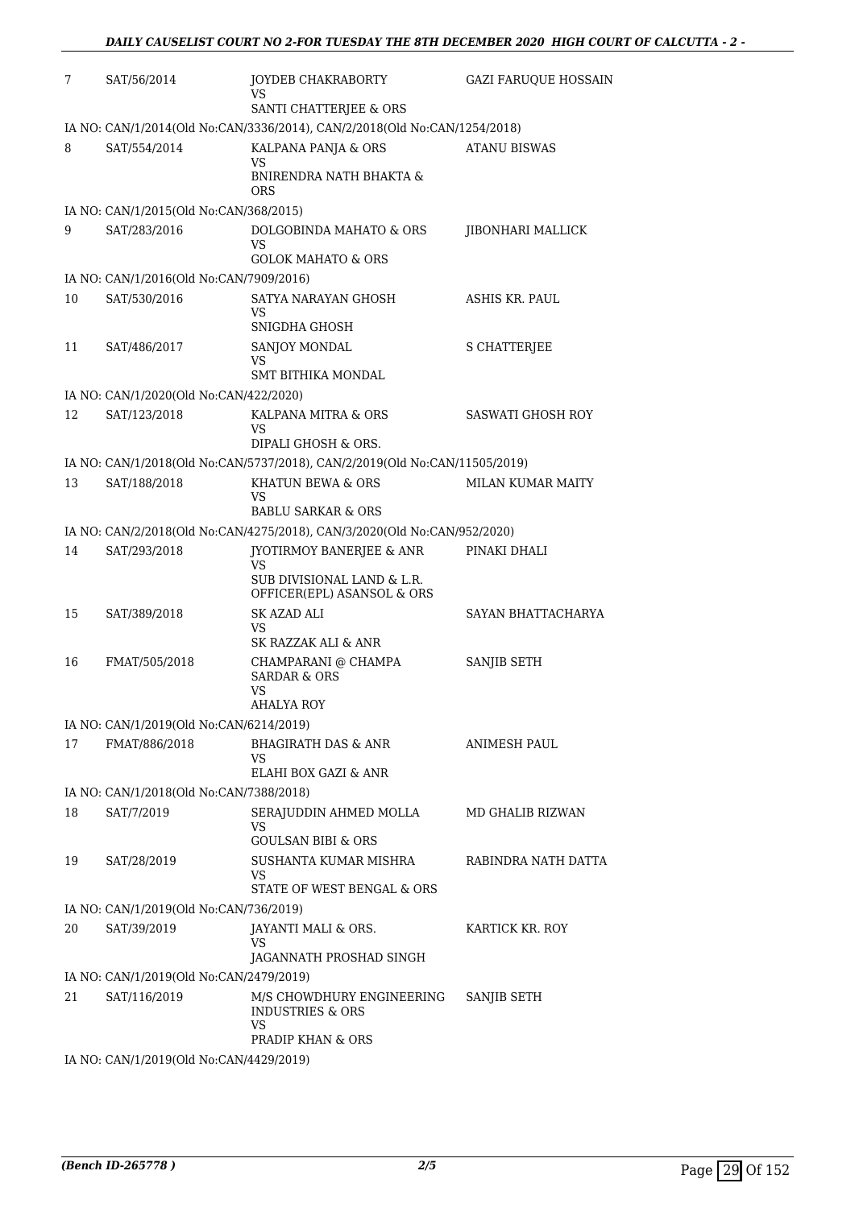| 7  | SAT/56/2014                             | JOYDEB CHAKRABORTY<br>VS                                                   | <b>GAZI FARUOUE HOSSAIN</b> |
|----|-----------------------------------------|----------------------------------------------------------------------------|-----------------------------|
|    |                                         | SANTI CHATTERJEE & ORS                                                     |                             |
|    |                                         | IA NO: CAN/1/2014(Old No:CAN/3336/2014), CAN/2/2018(Old No:CAN/1254/2018)  |                             |
| 8  | SAT/554/2014                            | KALPANA PANJA & ORS<br>VS                                                  | <b>ATANU BISWAS</b>         |
|    |                                         | BNIRENDRA NATH BHAKTA &<br>ORS                                             |                             |
|    | IA NO: CAN/1/2015(Old No:CAN/368/2015)  |                                                                            |                             |
| 9  | SAT/283/2016                            | DOLGOBINDA MAHATO & ORS<br><b>VS</b><br><b>GOLOK MAHATO &amp; ORS</b>      | JIBONHARI MALLICK           |
|    | IA NO: CAN/1/2016(Old No:CAN/7909/2016) |                                                                            |                             |
| 10 | SAT/530/2016                            | SATYA NARAYAN GHOSH                                                        | ASHIS KR. PAUL              |
|    |                                         | VS<br>SNIGDHA GHOSH                                                        |                             |
| 11 | SAT/486/2017                            | SANJOY MONDAL                                                              | <b>S CHATTERJEE</b>         |
|    |                                         | VS                                                                         |                             |
|    |                                         | SMT BITHIKA MONDAL                                                         |                             |
|    | IA NO: CAN/1/2020(Old No:CAN/422/2020)  |                                                                            |                             |
| 12 | SAT/123/2018                            | KALPANA MITRA & ORS<br>VS<br>DIPALI GHOSH & ORS.                           | <b>SASWATI GHOSH ROY</b>    |
|    |                                         | IA NO: CAN/1/2018(Old No:CAN/5737/2018), CAN/2/2019(Old No:CAN/11505/2019) |                             |
| 13 | SAT/188/2018                            | KHATUN BEWA & ORS                                                          | <b>MILAN KUMAR MAITY</b>    |
|    |                                         | VS                                                                         |                             |
|    |                                         | <b>BABLU SARKAR &amp; ORS</b>                                              |                             |
|    |                                         | IA NO: CAN/2/2018(Old No:CAN/4275/2018), CAN/3/2020(Old No:CAN/952/2020)   |                             |
| 14 | SAT/293/2018                            | JYOTIRMOY BANERJEE & ANR<br>VS                                             | PINAKI DHALI                |
|    |                                         | SUB DIVISIONAL LAND & L.R.<br>OFFICER(EPL) ASANSOL & ORS                   |                             |
| 15 | SAT/389/2018                            | SK AZAD ALI                                                                | SAYAN BHATTACHARYA          |
|    |                                         | VS<br>SK RAZZAK ALI & ANR                                                  |                             |
| 16 | FMAT/505/2018                           | CHAMPARANI @ CHAMPA                                                        | SANJIB SETH                 |
|    |                                         | <b>SARDAR &amp; ORS</b><br><b>VS</b>                                       |                             |
|    |                                         | AHALYA ROY                                                                 |                             |
|    | IA NO: CAN/1/2019(Old No:CAN/6214/2019) |                                                                            |                             |
| 17 | FMAT/886/2018                           | <b>BHAGIRATH DAS &amp; ANR</b>                                             | <b>ANIMESH PAUL</b>         |
|    |                                         | VS<br>ELAHI BOX GAZI & ANR                                                 |                             |
|    | IA NO: CAN/1/2018(Old No:CAN/7388/2018) |                                                                            |                             |
| 18 | SAT/7/2019                              | SERAJUDDIN AHMED MOLLA                                                     | MD GHALIB RIZWAN            |
|    |                                         | VS                                                                         |                             |
|    |                                         | <b>GOULSAN BIBI &amp; ORS</b>                                              |                             |
| 19 | SAT/28/2019                             | SUSHANTA KUMAR MISHRA<br>VS                                                | RABINDRA NATH DATTA         |
|    |                                         | STATE OF WEST BENGAL & ORS                                                 |                             |
|    | IA NO: CAN/1/2019(Old No:CAN/736/2019)  |                                                                            |                             |
| 20 | SAT/39/2019                             | JAYANTI MALI & ORS.                                                        | KARTICK KR. ROY             |
|    |                                         | VS<br>JAGANNATH PROSHAD SINGH                                              |                             |
|    | IA NO: CAN/1/2019(Old No:CAN/2479/2019) |                                                                            |                             |
| 21 | SAT/116/2019                            | M/S CHOWDHURY ENGINEERING                                                  | SANJIB SETH                 |
|    |                                         | <b>INDUSTRIES &amp; ORS</b><br>VS                                          |                             |
|    |                                         | PRADIP KHAN & ORS                                                          |                             |
|    | IA NO: CAN/1/2019(Old No:CAN/4429/2019) |                                                                            |                             |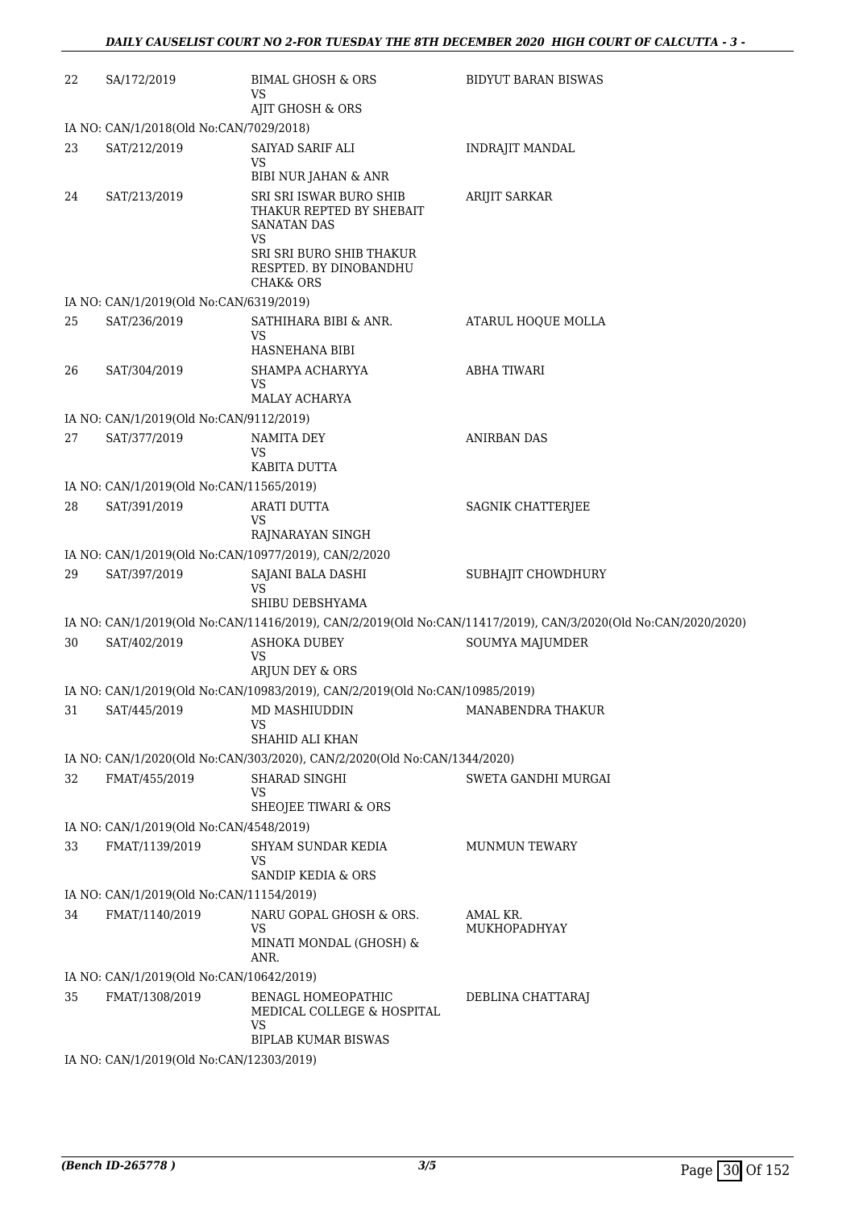| 22 | SA/172/2019                                             | <b>BIMAL GHOSH &amp; ORS</b><br>VS                                                                                                                     | BIDYUT BARAN BISWAS                                                                                           |
|----|---------------------------------------------------------|--------------------------------------------------------------------------------------------------------------------------------------------------------|---------------------------------------------------------------------------------------------------------------|
|    |                                                         | AJIT GHOSH & ORS                                                                                                                                       |                                                                                                               |
|    | IA NO: CAN/1/2018(Old No:CAN/7029/2018)                 |                                                                                                                                                        |                                                                                                               |
| 23 | SAT/212/2019                                            | SAIYAD SARIF ALI<br>VS                                                                                                                                 | INDRAJIT MANDAL                                                                                               |
|    |                                                         | BIBI NUR JAHAN & ANR                                                                                                                                   |                                                                                                               |
| 24 | SAT/213/2019                                            | SRI SRI ISWAR BURO SHIB<br>THAKUR REPTED BY SHEBAIT<br>SANATAN DAS<br>VS<br>SRI SRI BURO SHIB THAKUR<br>RESPTED. BY DINOBANDHU<br><b>CHAK&amp; ORS</b> | <b>ARIJIT SARKAR</b>                                                                                          |
|    | IA NO: CAN/1/2019(Old No:CAN/6319/2019)                 |                                                                                                                                                        |                                                                                                               |
| 25 | SAT/236/2019                                            | SATHIHARA BIBI & ANR.                                                                                                                                  | ATARUL HOQUE MOLLA                                                                                            |
|    |                                                         | VS                                                                                                                                                     |                                                                                                               |
|    |                                                         | HASNEHANA BIBI                                                                                                                                         |                                                                                                               |
| 26 | SAT/304/2019                                            | SHAMPA ACHARYYA<br>VS<br><b>MALAY ACHARYA</b>                                                                                                          | <b>ABHA TIWARI</b>                                                                                            |
|    | IA NO: CAN/1/2019(Old No:CAN/9112/2019)                 |                                                                                                                                                        |                                                                                                               |
| 27 | SAT/377/2019                                            | NAMITA DEY                                                                                                                                             | <b>ANIRBAN DAS</b>                                                                                            |
|    |                                                         | <b>VS</b>                                                                                                                                              |                                                                                                               |
|    |                                                         | KABITA DUTTA                                                                                                                                           |                                                                                                               |
|    | IA NO: CAN/1/2019(Old No:CAN/11565/2019)                |                                                                                                                                                        |                                                                                                               |
| 28 | SAT/391/2019                                            | ARATI DUTTA<br>VS                                                                                                                                      | SAGNIK CHATTERJEE                                                                                             |
|    |                                                         | RAJNARAYAN SINGH                                                                                                                                       |                                                                                                               |
|    |                                                         | IA NO: CAN/1/2019(Old No:CAN/10977/2019), CAN/2/2020                                                                                                   |                                                                                                               |
| 29 | SAT/397/2019                                            | SAJANI BALA DASHI<br><b>VS</b><br>SHIBU DEBSHYAMA                                                                                                      | SUBHAJIT CHOWDHURY                                                                                            |
|    |                                                         |                                                                                                                                                        | IA NO: CAN/1/2019(Old No:CAN/11416/2019), CAN/2/2019(Old No:CAN/11417/2019), CAN/3/2020(Old No:CAN/2020/2020) |
| 30 | SAT/402/2019                                            | ASHOKA DUBEY<br>VS<br>ARJUN DEY & ORS                                                                                                                  | SOUMYA MAJUMDER                                                                                               |
|    |                                                         | IA NO: CAN/1/2019(Old No:CAN/10983/2019), CAN/2/2019(Old No:CAN/10985/2019)                                                                            |                                                                                                               |
|    |                                                         | 31 SAT/445/2019 MD MASHIUDDIN MANABENDRA THAKUR<br>VS                                                                                                  |                                                                                                               |
|    |                                                         | SHAHID ALI KHAN                                                                                                                                        |                                                                                                               |
|    |                                                         | IA NO: CAN/1/2020(Old No:CAN/303/2020), CAN/2/2020(Old No:CAN/1344/2020)                                                                               |                                                                                                               |
| 32 | FMAT/455/2019                                           | SHARAD SINGHI<br>VS<br>SHEOJEE TIWARI & ORS                                                                                                            | SWETA GANDHI MURGAI                                                                                           |
|    | IA NO: CAN/1/2019(Old No:CAN/4548/2019)                 |                                                                                                                                                        |                                                                                                               |
| 33 | FMAT/1139/2019                                          | SHYAM SUNDAR KEDIA                                                                                                                                     | <b>MUNMUN TEWARY</b>                                                                                          |
|    |                                                         | VS<br>SANDIP KEDIA & ORS                                                                                                                               |                                                                                                               |
|    | IA NO: CAN/1/2019(Old No:CAN/11154/2019)                |                                                                                                                                                        |                                                                                                               |
| 34 | FMAT/1140/2019                                          | NARU GOPAL GHOSH & ORS.<br>VS<br>MINATI MONDAL (GHOSH) &<br>ANR.                                                                                       | AMAL KR.<br>MUKHOPADHYAY                                                                                      |
|    | IA NO: CAN/1/2019(Old No:CAN/10642/2019)                |                                                                                                                                                        |                                                                                                               |
| 35 | FMAT/1308/2019                                          | BENAGL HOMEOPATHIC<br>MEDICAL COLLEGE & HOSPITAL<br>VS<br>BIPLAB KUMAR BISWAS                                                                          | DEBLINA CHATTARAJ                                                                                             |
|    | IA NO $\cdot$ CANI1/2019(Old No $\cdot$ CANI12303/2019) |                                                                                                                                                        |                                                                                                               |

IA NO: CAN/1/2019(Old No:CAN/12303/2019)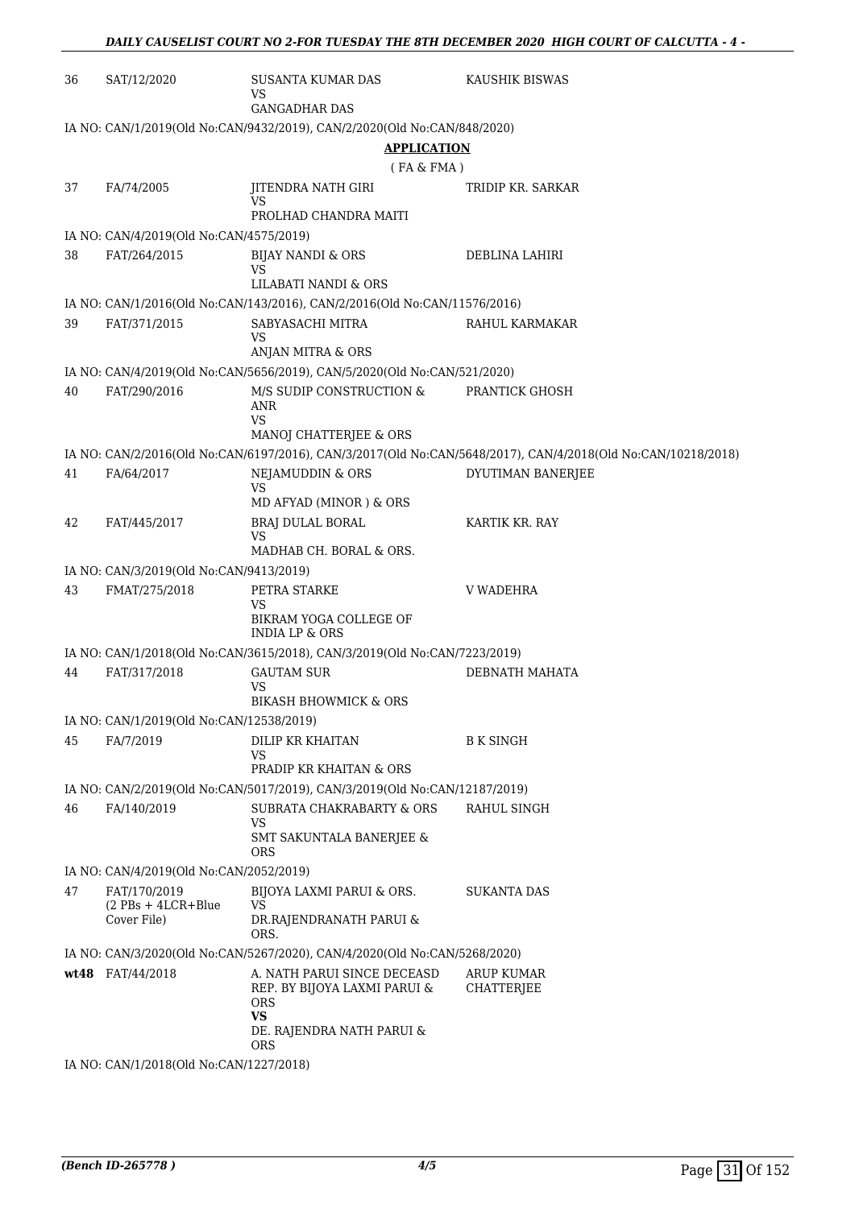| 36 | SAT/12/2020                              | SUSANTA KUMAR DAS<br>VS                                                                                  | KAUSHIK BISWAS                                                                                               |
|----|------------------------------------------|----------------------------------------------------------------------------------------------------------|--------------------------------------------------------------------------------------------------------------|
|    |                                          | <b>GANGADHAR DAS</b>                                                                                     |                                                                                                              |
|    |                                          | IA NO: CAN/1/2019(Old No:CAN/9432/2019), CAN/2/2020(Old No:CAN/848/2020)                                 |                                                                                                              |
|    |                                          | <b>APPLICATION</b>                                                                                       |                                                                                                              |
|    |                                          | (FA & FMA)                                                                                               |                                                                                                              |
| 37 | FA/74/2005                               | JITENDRA NATH GIRI<br>VS                                                                                 | TRIDIP KR. SARKAR                                                                                            |
|    |                                          | PROLHAD CHANDRA MAITI                                                                                    |                                                                                                              |
|    | IA NO: CAN/4/2019(Old No:CAN/4575/2019)  |                                                                                                          |                                                                                                              |
| 38 | FAT/264/2015                             | BIJAY NANDI & ORS<br>VS<br>LILABATI NANDI & ORS                                                          | DEBLINA LAHIRI                                                                                               |
|    |                                          | IA NO: CAN/1/2016(Old No:CAN/143/2016), CAN/2/2016(Old No:CAN/11576/2016)                                |                                                                                                              |
| 39 | FAT/371/2015                             | SABYASACHI MITRA<br>VS                                                                                   | RAHUL KARMAKAR                                                                                               |
|    |                                          | ANJAN MITRA & ORS                                                                                        |                                                                                                              |
|    |                                          | IA NO: CAN/4/2019(Old No:CAN/5656/2019), CAN/5/2020(Old No:CAN/521/2020)                                 |                                                                                                              |
| 40 | FAT/290/2016                             | M/S SUDIP CONSTRUCTION &<br>ANR                                                                          | PRANTICK GHOSH                                                                                               |
|    |                                          | VS<br>MANOJ CHATTERJEE & ORS                                                                             |                                                                                                              |
|    |                                          |                                                                                                          | IA NO: CAN/2/2016(Old No:CAN/6197/2016), CAN/3/2017(Old No:CAN/5648/2017), CAN/4/2018(Old No:CAN/10218/2018) |
| 41 | FA/64/2017                               | NEJAMUDDIN & ORS                                                                                         | DYUTIMAN BANERJEE                                                                                            |
|    |                                          | <b>VS</b>                                                                                                |                                                                                                              |
|    |                                          | MD AFYAD (MINOR) & ORS                                                                                   |                                                                                                              |
| 42 | FAT/445/2017                             | BRAJ DULAL BORAL<br>VS                                                                                   | KARTIK KR. RAY                                                                                               |
|    |                                          | MADHAB CH. BORAL & ORS.                                                                                  |                                                                                                              |
|    | IA NO: CAN/3/2019(Old No:CAN/9413/2019)  |                                                                                                          |                                                                                                              |
| 43 | FMAT/275/2018                            | PETRA STARKE<br>VS                                                                                       | V WADEHRA                                                                                                    |
|    |                                          | BIKRAM YOGA COLLEGE OF<br><b>INDIA LP &amp; ORS</b>                                                      |                                                                                                              |
|    |                                          | IA NO: CAN/1/2018(Old No:CAN/3615/2018), CAN/3/2019(Old No:CAN/7223/2019)                                |                                                                                                              |
| 44 | FAT/317/2018                             | <b>GAUTAM SUR</b>                                                                                        | DEBNATH MAHATA                                                                                               |
|    |                                          | VS<br><b>BIKASH BHOWMICK &amp; ORS</b>                                                                   |                                                                                                              |
|    | IA NO: CAN/1/2019(Old No:CAN/12538/2019) |                                                                                                          |                                                                                                              |
| 45 | FA/7/2019                                | DILIP KR KHAITAN                                                                                         | <b>B K SINGH</b>                                                                                             |
|    |                                          | VS<br>PRADIP KR KHAITAN & ORS                                                                            |                                                                                                              |
|    |                                          | IA NO: CAN/2/2019(Old No:CAN/5017/2019), CAN/3/2019(Old No:CAN/12187/2019)                               |                                                                                                              |
| 46 | FA/140/2019                              | SUBRATA CHAKRABARTY & ORS                                                                                | RAHUL SINGH                                                                                                  |
|    |                                          | VS<br>SMT SAKUNTALA BANERJEE &<br><b>ORS</b>                                                             |                                                                                                              |
|    | IA NO: CAN/4/2019(Old No:CAN/2052/2019)  |                                                                                                          |                                                                                                              |
| 47 | FAT/170/2019                             | BIJOYA LAXMI PARUI & ORS.                                                                                | SUKANTA DAS                                                                                                  |
|    | $(2$ PBs + 4LCR+Blue<br>Cover File)      | <b>VS</b><br>DR.RAJENDRANATH PARUI &                                                                     |                                                                                                              |
|    |                                          | ORS.                                                                                                     |                                                                                                              |
|    | wt48 FAT/44/2018                         | IA NO: CAN/3/2020(Old No:CAN/5267/2020), CAN/4/2020(Old No:CAN/5268/2020)<br>A. NATH PARUI SINCE DECEASD | <b>ARUP KUMAR</b>                                                                                            |
|    |                                          | REP. BY BIJOYA LAXMI PARUI &<br><b>ORS</b><br><b>VS</b><br>DE. RAJENDRA NATH PARUI &                     | <b>CHATTERJEE</b>                                                                                            |
|    |                                          | <b>ORS</b>                                                                                               |                                                                                                              |
|    | IA NO: CAN/1/2018(Old No:CAN/1227/2018)  |                                                                                                          |                                                                                                              |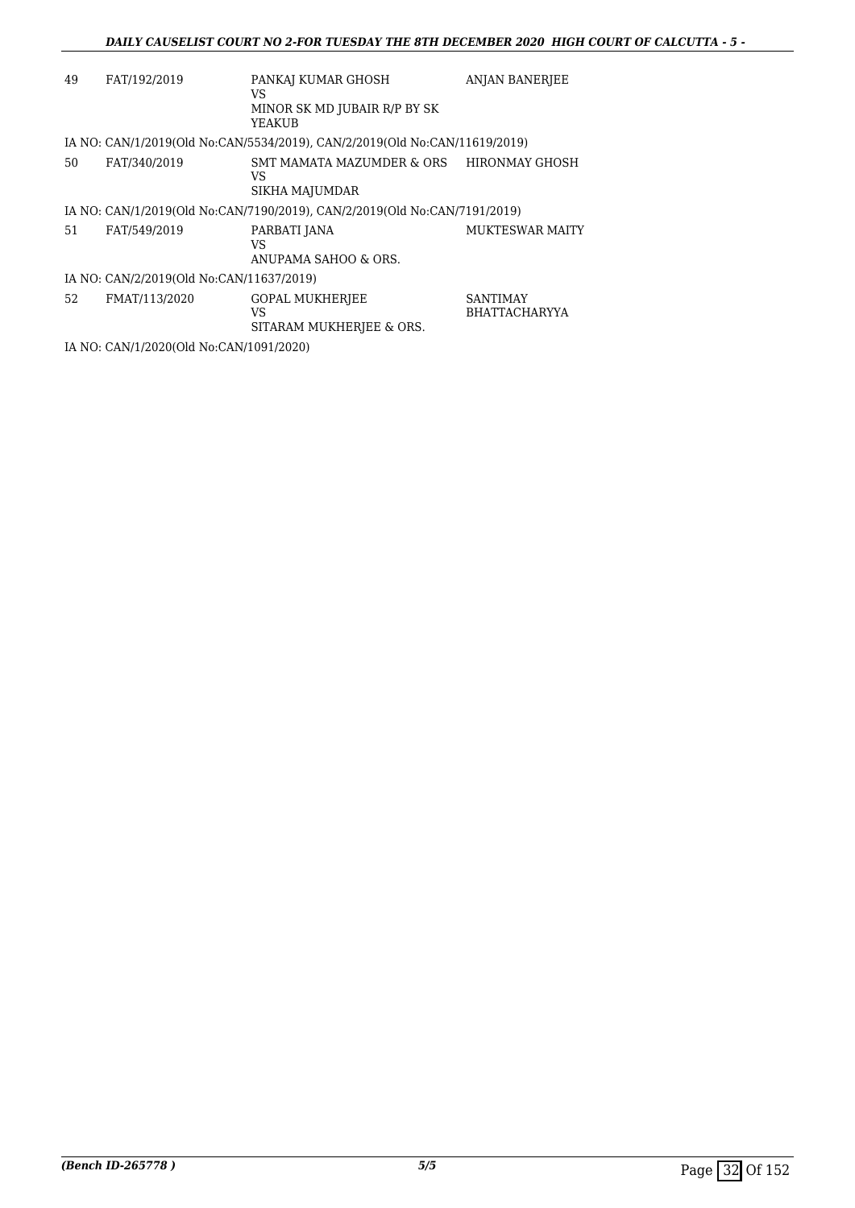| 49 | FAT/192/2019                             | PANKAJ KUMAR GHOSH                                                         | <b>ANJAN BANERJEE</b>                   |
|----|------------------------------------------|----------------------------------------------------------------------------|-----------------------------------------|
|    |                                          | VS<br>MINOR SK MD JUBAIR R/P BY SK<br>YEAKUB                               |                                         |
|    |                                          | IA NO: CAN/1/2019(Old No:CAN/5534/2019), CAN/2/2019(Old No:CAN/11619/2019) |                                         |
| 50 | FAT/340/2019                             | SMT MAMATA MAZUMDER & ORS HIRONMAY GHOSH<br>VS<br>SIKHA MAJUMDAR           |                                         |
|    |                                          | IA NO: CAN/1/2019(Old No:CAN/7190/2019), CAN/2/2019(Old No:CAN/7191/2019)  |                                         |
| 51 | FAT/549/2019                             | PARBATI JANA<br>VS<br>ANUPAMA SAHOO & ORS.                                 | <b>MUKTESWAR MAITY</b>                  |
|    | IA NO: CAN/2/2019(Old No:CAN/11637/2019) |                                                                            |                                         |
| 52 | FMAT/113/2020                            | <b>GOPAL MUKHERJEE</b><br>VS<br>SITARAM MUKHERJEE & ORS.                   | <b>SANTIMAY</b><br><b>BHATTACHARYYA</b> |
|    |                                          |                                                                            |                                         |

IA NO: CAN/1/2020(Old No:CAN/1091/2020)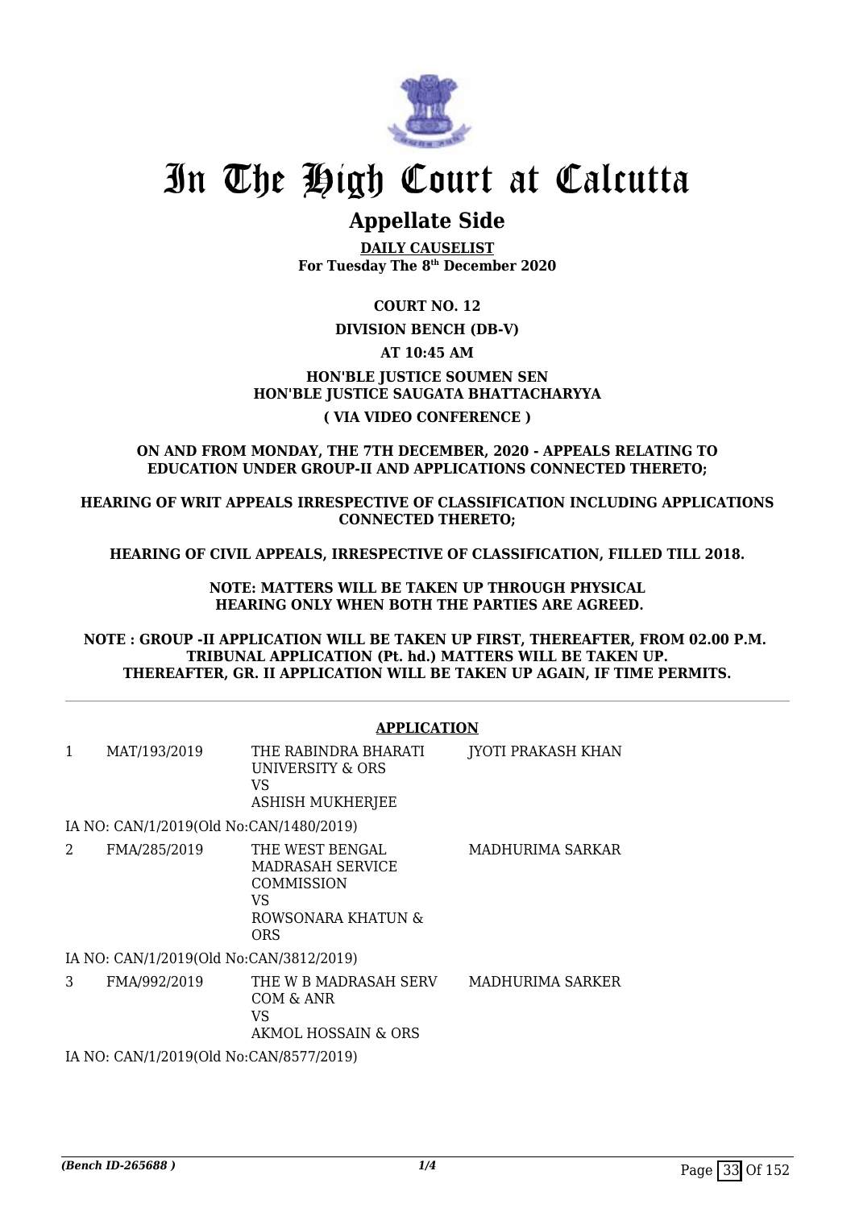

# **Appellate Side**

**DAILY CAUSELIST For Tuesday The 8th December 2020**

**COURT NO. 12**

## **DIVISION BENCH (DB-V)**

## **AT 10:45 AM**

## **HON'BLE JUSTICE SOUMEN SEN HON'BLE JUSTICE SAUGATA BHATTACHARYYA ( VIA VIDEO CONFERENCE )**

### **ON AND FROM MONDAY, THE 7TH DECEMBER, 2020 - APPEALS RELATING TO EDUCATION UNDER GROUP-II AND APPLICATIONS CONNECTED THERETO;**

**HEARING OF WRIT APPEALS IRRESPECTIVE OF CLASSIFICATION INCLUDING APPLICATIONS CONNECTED THERETO;**

**HEARING OF CIVIL APPEALS, IRRESPECTIVE OF CLASSIFICATION, FILLED TILL 2018.**

**NOTE: MATTERS WILL BE TAKEN UP THROUGH PHYSICAL HEARING ONLY WHEN BOTH THE PARTIES ARE AGREED.**

**NOTE : GROUP -II APPLICATION WILL BE TAKEN UP FIRST, THEREAFTER, FROM 02.00 P.M. TRIBUNAL APPLICATION (Pt. hd.) MATTERS WILL BE TAKEN UP. THEREAFTER, GR. II APPLICATION WILL BE TAKEN UP AGAIN, IF TIME PERMITS.**

## **APPLICATION**

|   | MAT/193/2019                            | THE RABINDRA BHARATI<br>UNIVERSITY & ORS<br>VS<br><b>ASHISH MUKHERJEE</b>                          | <b>JYOTI PRAKASH KHAN</b> |  |  |  |
|---|-----------------------------------------|----------------------------------------------------------------------------------------------------|---------------------------|--|--|--|
|   | IA NO: CAN/1/2019(Old No:CAN/1480/2019) |                                                                                                    |                           |  |  |  |
| 2 | FMA/285/2019                            | THE WEST BENGAL<br><b>MADRASAH SERVICE</b><br>COMMISSION<br>VS<br>ROWSONARA KHATUN &<br><b>ORS</b> | MADHURIMA SARKAR          |  |  |  |
|   | IA NO: CAN/1/2019(Old No:CAN/3812/2019) |                                                                                                    |                           |  |  |  |
| 3 | FMA/992/2019                            | THE W B MADRASAH SERV<br>COM & ANR<br>VS<br>AKMOL HOSSAIN & ORS                                    | MADHURIMA SARKER          |  |  |  |
|   | IA NO: CAN/1/2019(Old No:CAN/8577/2019) |                                                                                                    |                           |  |  |  |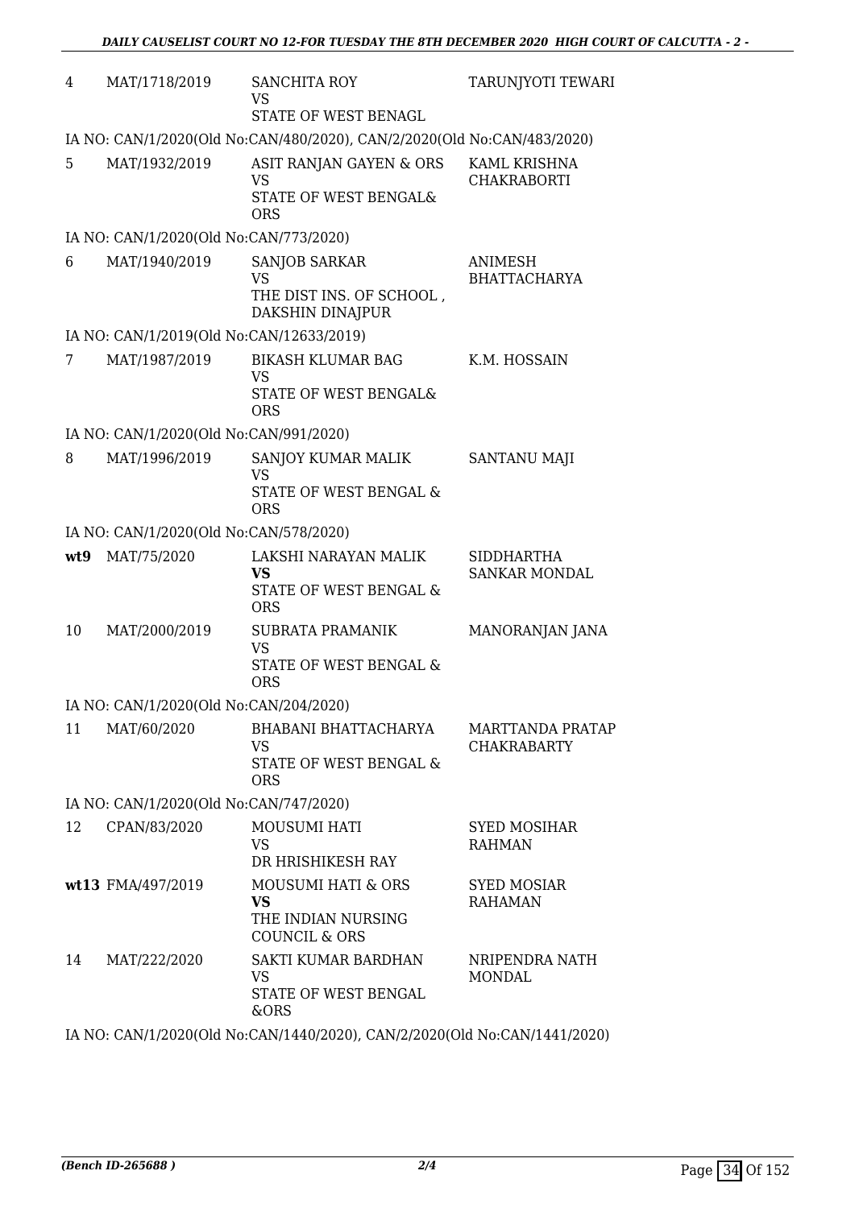| 4   | MAT/1718/2019                            | <b>SANCHITA ROY</b><br>VS<br>STATE OF WEST BENAGL                                            | TARUNJYOTI TEWARI                             |
|-----|------------------------------------------|----------------------------------------------------------------------------------------------|-----------------------------------------------|
|     |                                          | IA NO: CAN/1/2020(Old No:CAN/480/2020), CAN/2/2020(Old No:CAN/483/2020)                      |                                               |
| 5   | MAT/1932/2019                            | ASIT RANJAN GAYEN & ORS<br><b>VS</b><br>STATE OF WEST BENGAL&<br><b>ORS</b>                  | KAML KRISHNA<br><b>CHAKRABORTI</b>            |
|     | IA NO: CAN/1/2020(Old No:CAN/773/2020)   |                                                                                              |                                               |
| 6   | MAT/1940/2019                            | <b>SANJOB SARKAR</b><br><b>VS</b><br>THE DIST INS. OF SCHOOL,<br>DAKSHIN DINAJPUR            | <b>ANIMESH</b><br><b>BHATTACHARYA</b>         |
|     | IA NO: CAN/1/2019(Old No:CAN/12633/2019) |                                                                                              |                                               |
| 7   | MAT/1987/2019                            | <b>BIKASH KLUMAR BAG</b><br><b>VS</b><br>STATE OF WEST BENGAL&<br><b>ORS</b>                 | K.M. HOSSAIN                                  |
|     | IA NO: CAN/1/2020(Old No:CAN/991/2020)   |                                                                                              |                                               |
| 8   | MAT/1996/2019                            | SANJOY KUMAR MALIK<br><b>VS</b><br>STATE OF WEST BENGAL &<br><b>ORS</b>                      | <b>SANTANU MAJI</b>                           |
|     | IA NO: CAN/1/2020(Old No:CAN/578/2020)   |                                                                                              |                                               |
| wt9 | MAT/75/2020                              | LAKSHI NARAYAN MALIK<br>VS<br>STATE OF WEST BENGAL &<br><b>ORS</b>                           | <b>SIDDHARTHA</b><br><b>SANKAR MONDAL</b>     |
| 10  | MAT/2000/2019                            | <b>SUBRATA PRAMANIK</b><br><b>VS</b><br>STATE OF WEST BENGAL &<br><b>ORS</b>                 | MANORANJAN JANA                               |
|     | IA NO: CAN/1/2020(Old No:CAN/204/2020)   |                                                                                              |                                               |
| 11  | MAT/60/2020                              | BHABANI BHATTACHARYA<br><b>VS</b><br>STATE OF WEST BENGAL &<br><b>ORS</b>                    | <b>MARTTANDA PRATAP</b><br><b>CHAKRABARTY</b> |
|     | IA NO: CAN/1/2020(Old No:CAN/747/2020)   |                                                                                              |                                               |
| 12  | CPAN/83/2020                             | <b>MOUSUMI HATI</b><br>VS.<br>DR HRISHIKESH RAY                                              | <b>SYED MOSIHAR</b><br><b>RAHMAN</b>          |
|     | wt13 FMA/497/2019                        | <b>MOUSUMI HATI &amp; ORS</b><br><b>VS</b><br>THE INDIAN NURSING<br><b>COUNCIL &amp; ORS</b> | <b>SYED MOSIAR</b><br><b>RAHAMAN</b>          |
| 14  | MAT/222/2020                             | SAKTI KUMAR BARDHAN<br><b>VS</b><br>STATE OF WEST BENGAL<br>&ORS                             | NRIPENDRA NATH<br><b>MONDAL</b>               |

IA NO: CAN/1/2020(Old No:CAN/1440/2020), CAN/2/2020(Old No:CAN/1441/2020)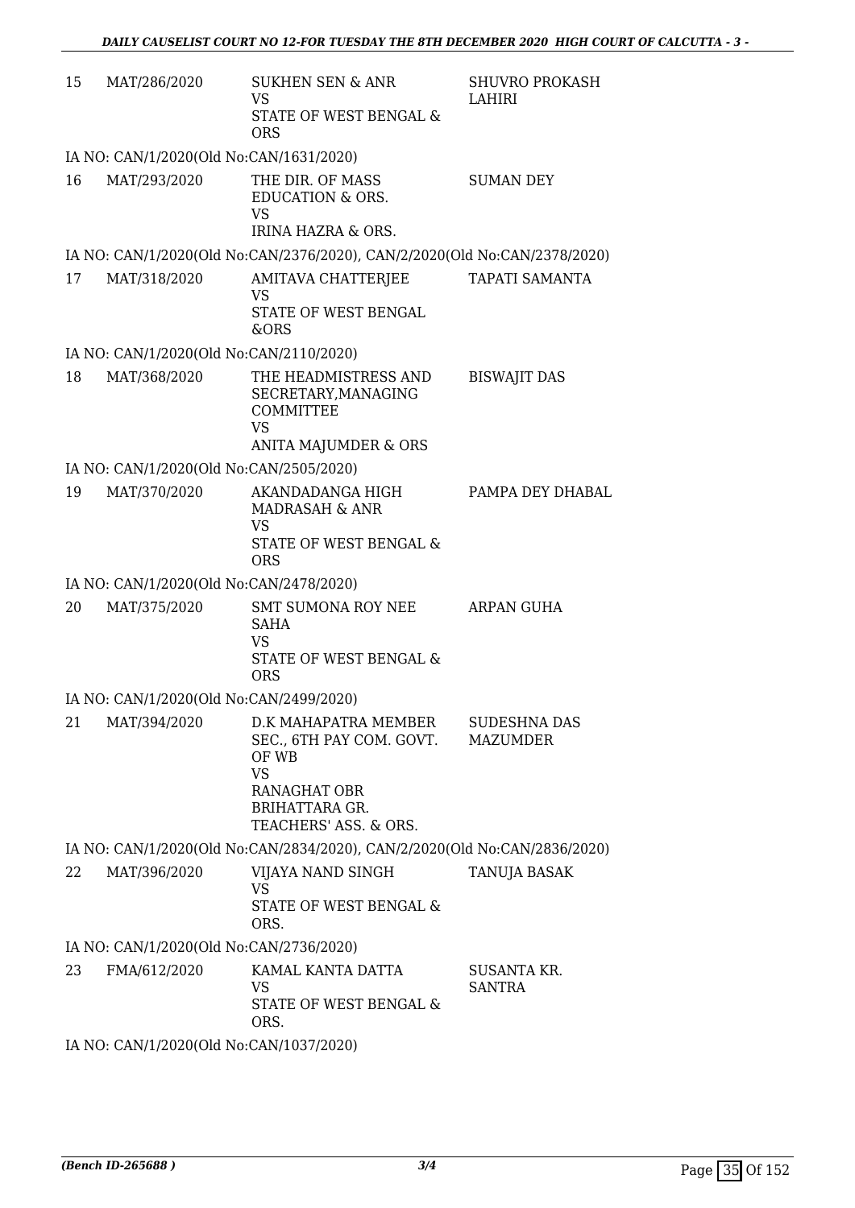| 15 | MAT/286/2020                            | <b>SUKHEN SEN &amp; ANR</b><br>VS<br>STATE OF WEST BENGAL &<br><b>ORS</b>                                                                       | <b>SHUVRO PROKASH</b><br>LAHIRI        |  |  |
|----|-----------------------------------------|-------------------------------------------------------------------------------------------------------------------------------------------------|----------------------------------------|--|--|
|    | IA NO: CAN/1/2020(Old No:CAN/1631/2020) |                                                                                                                                                 |                                        |  |  |
| 16 | MAT/293/2020                            | THE DIR. OF MASS<br><b>EDUCATION &amp; ORS.</b><br><b>VS</b><br><b>IRINA HAZRA &amp; ORS.</b>                                                   | <b>SUMAN DEY</b>                       |  |  |
|    |                                         | IA NO: CAN/1/2020(Old No:CAN/2376/2020), CAN/2/2020(Old No:CAN/2378/2020)                                                                       |                                        |  |  |
| 17 | MAT/318/2020                            | AMITAVA CHATTERJEE<br><b>VS</b><br>STATE OF WEST BENGAL<br>&ORS                                                                                 | <b>TAPATI SAMANTA</b>                  |  |  |
|    | IA NO: CAN/1/2020(Old No:CAN/2110/2020) |                                                                                                                                                 |                                        |  |  |
| 18 | MAT/368/2020                            | THE HEADMISTRESS AND<br>SECRETARY, MANAGING<br><b>COMMITTEE</b><br><b>VS</b><br><b>ANITA MAJUMDER &amp; ORS</b>                                 | <b>BISWAJIT DAS</b>                    |  |  |
|    | IA NO: CAN/1/2020(Old No:CAN/2505/2020) |                                                                                                                                                 |                                        |  |  |
| 19 | MAT/370/2020                            | AKANDADANGA HIGH<br>MADRASAH & ANR<br><b>VS</b><br>STATE OF WEST BENGAL &<br><b>ORS</b>                                                         | PAMPA DEY DHABAL                       |  |  |
|    | IA NO: CAN/1/2020(Old No:CAN/2478/2020) |                                                                                                                                                 |                                        |  |  |
| 20 | MAT/375/2020                            | SMT SUMONA ROY NEE<br><b>SAHA</b><br>VS<br><b>STATE OF WEST BENGAL &amp;</b><br><b>ORS</b>                                                      | ARPAN GUHA                             |  |  |
|    | IA NO: CAN/1/2020(Old No:CAN/2499/2020) |                                                                                                                                                 |                                        |  |  |
| 21 | MAT/394/2020                            | D.K MAHAPATRA MEMBER<br>SEC., 6TH PAY COM. GOVT.<br>OF WB<br><b>VS</b><br><b>RANAGHAT OBR</b><br><b>BRIHATTARA GR.</b><br>TEACHERS' ASS. & ORS. | <b>SUDESHNA DAS</b><br><b>MAZUMDER</b> |  |  |
|    |                                         | IA NO: CAN/1/2020(Old No:CAN/2834/2020), CAN/2/2020(Old No:CAN/2836/2020)                                                                       |                                        |  |  |
| 22 | MAT/396/2020                            | VIJAYA NAND SINGH<br><b>VS</b><br>STATE OF WEST BENGAL &<br>ORS.                                                                                | TANUJA BASAK                           |  |  |
|    | IA NO: CAN/1/2020(Old No:CAN/2736/2020) |                                                                                                                                                 |                                        |  |  |
| 23 | FMA/612/2020                            | KAMAL KANTA DATTA<br>VS<br>STATE OF WEST BENGAL &<br>ORS.                                                                                       | SUSANTA KR.<br><b>SANTRA</b>           |  |  |
|    | IA NO. CANTA POPOCOJA NA CANTA OPTIPOPO |                                                                                                                                                 |                                        |  |  |

IA NO: CAN/1/2020(Old No:CAN/1037/2020)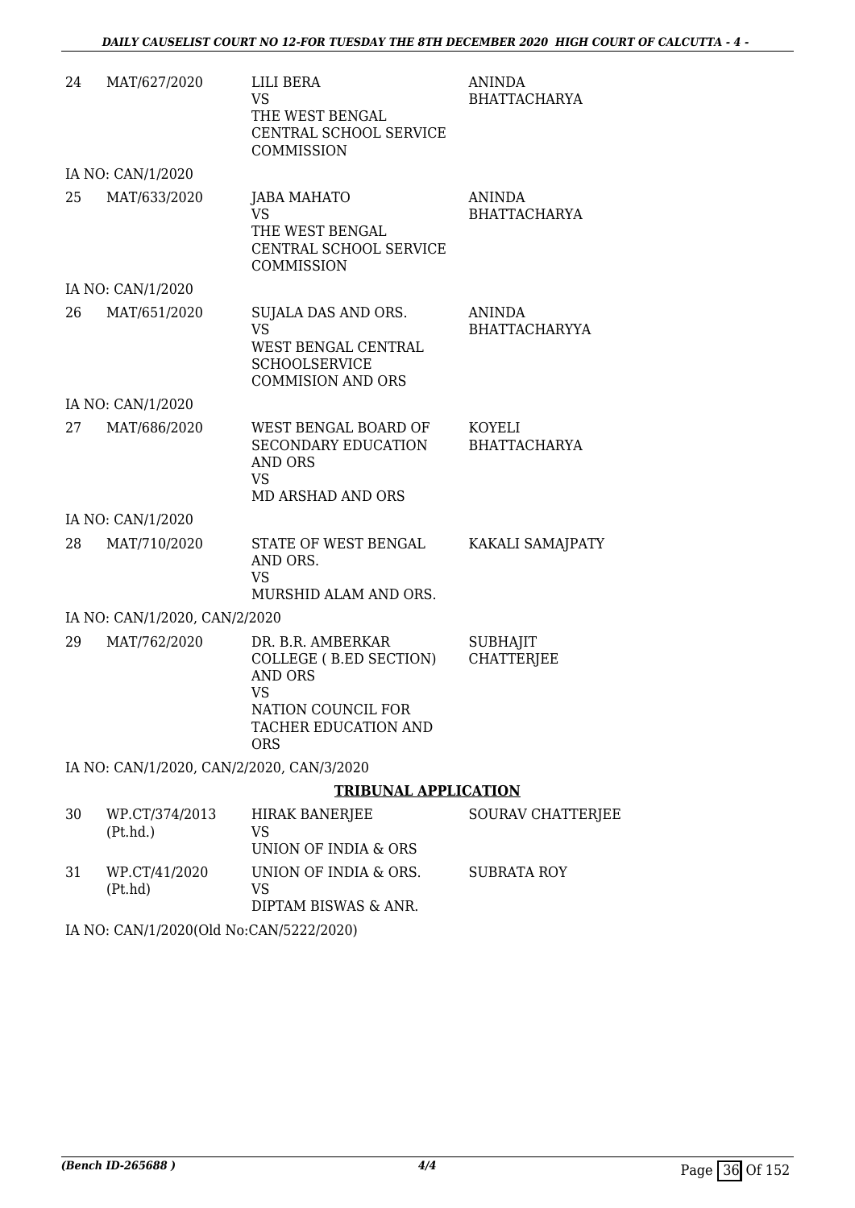| 24 | MAT/627/2020                              | LILI BERA<br><b>VS</b><br>THE WEST BENGAL<br>CENTRAL SCHOOL SERVICE<br><b>COMMISSION</b>                                        | <b>ANINDA</b><br><b>BHATTACHARYA</b>  |
|----|-------------------------------------------|---------------------------------------------------------------------------------------------------------------------------------|---------------------------------------|
|    | IA NO: CAN/1/2020                         |                                                                                                                                 |                                       |
| 25 | MAT/633/2020                              | <b>JABA MAHATO</b><br><b>VS</b><br>THE WEST BENGAL<br>CENTRAL SCHOOL SERVICE<br>COMMISSION                                      | <b>ANINDA</b><br><b>BHATTACHARYA</b>  |
|    | IA NO: CAN/1/2020                         |                                                                                                                                 |                                       |
| 26 | MAT/651/2020                              | SUJALA DAS AND ORS.<br><b>VS</b><br>WEST BENGAL CENTRAL<br><b>SCHOOLSERVICE</b><br><b>COMMISION AND ORS</b>                     | <b>ANINDA</b><br><b>BHATTACHARYYA</b> |
|    | IA NO: CAN/1/2020                         |                                                                                                                                 |                                       |
| 27 | MAT/686/2020                              | WEST BENGAL BOARD OF<br>SECONDARY EDUCATION<br>AND ORS<br>VS<br><b>MD ARSHAD AND ORS</b>                                        | KOYELI<br><b>BHATTACHARYA</b>         |
|    | IA NO: CAN/1/2020                         |                                                                                                                                 |                                       |
| 28 | MAT/710/2020                              | STATE OF WEST BENGAL<br>AND ORS.<br><b>VS</b><br>MURSHID ALAM AND ORS.                                                          | KAKALI SAMAJPATY                      |
|    | IA NO: CAN/1/2020, CAN/2/2020             |                                                                                                                                 |                                       |
| 29 | MAT/762/2020                              | DR. B.R. AMBERKAR<br>COLLEGE (B.ED SECTION)<br><b>AND ORS</b><br>VS<br>NATION COUNCIL FOR<br>TACHER EDUCATION AND<br><b>ORS</b> | <b>SUBHAJIT</b><br><b>CHATTERJEE</b>  |
|    | IA NO: CAN/1/2020, CAN/2/2020, CAN/3/2020 |                                                                                                                                 |                                       |
|    |                                           | <b>TRIBUNAL APPLICATION</b>                                                                                                     |                                       |
| 30 | WP.CT/374/2013<br>(Pt.hd.)                | <b>HIRAK BANERJEE</b><br>VS<br>UNION OF INDIA & ORS                                                                             | SOURAV CHATTERJEE                     |
| 31 | WP.CT/41/2020<br>(Pt.hd)                  | UNION OF INDIA & ORS.<br><b>VS</b><br>DIPTAM BISWAS & ANR.                                                                      | <b>SUBRATA ROY</b>                    |

IA NO: CAN/1/2020(Old No:CAN/5222/2020)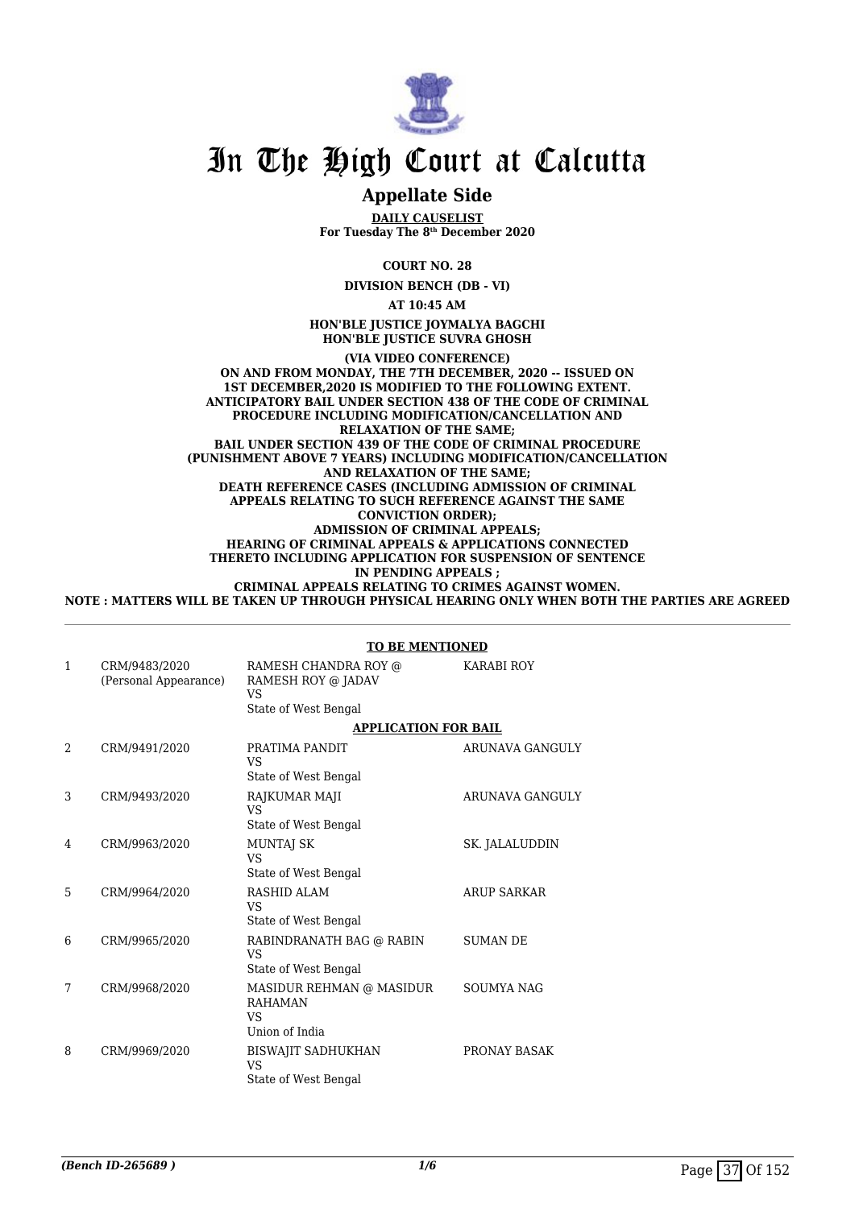

## **Appellate Side**

**DAILY CAUSELIST For Tuesday The 8th December 2020**

**COURT NO. 28**

**DIVISION BENCH (DB - VI)**

**AT 10:45 AM**

**HON'BLE JUSTICE JOYMALYA BAGCHI HON'BLE JUSTICE SUVRA GHOSH**

**(VIA VIDEO CONFERENCE) ON AND FROM MONDAY, THE 7TH DECEMBER, 2020 -- ISSUED ON 1ST DECEMBER,2020 IS MODIFIED TO THE FOLLOWING EXTENT. ANTICIPATORY BAIL UNDER SECTION 438 OF THE CODE OF CRIMINAL PROCEDURE INCLUDING MODIFICATION/CANCELLATION AND RELAXATION OF THE SAME; BAIL UNDER SECTION 439 OF THE CODE OF CRIMINAL PROCEDURE (PUNISHMENT ABOVE 7 YEARS) INCLUDING MODIFICATION/CANCELLATION AND RELAXATION OF THE SAME; DEATH REFERENCE CASES (INCLUDING ADMISSION OF CRIMINAL APPEALS RELATING TO SUCH REFERENCE AGAINST THE SAME CONVICTION ORDER); ADMISSION OF CRIMINAL APPEALS; HEARING OF CRIMINAL APPEALS & APPLICATIONS CONNECTED THERETO INCLUDING APPLICATION FOR SUSPENSION OF SENTENCE IN PENDING APPEALS ; CRIMINAL APPEALS RELATING TO CRIMES AGAINST WOMEN.**

**NOTE : MATTERS WILL BE TAKEN UP THROUGH PHYSICAL HEARING ONLY WHEN BOTH THE PARTIES ARE AGREED**

#### **TO BE MENTIONED**

| $\mathbf{1}$   | CRM/9483/2020<br>(Personal Appearance) | RAMESH CHANDRA ROY @<br>RAMESH ROY @ JADAV<br><b>VS</b><br>State of West Bengal | <b>KARABI ROY</b>  |
|----------------|----------------------------------------|---------------------------------------------------------------------------------|--------------------|
|                |                                        | <b>APPLICATION FOR BAIL</b>                                                     |                    |
| $\overline{2}$ | CRM/9491/2020                          | PRATIMA PANDIT<br>VS                                                            | ARUNAVA GANGULY    |
|                |                                        | State of West Bengal                                                            |                    |
| 3              | CRM/9493/2020                          | RAJKUMAR MAJI<br>VS                                                             | ARUNAVA GANGULY    |
|                |                                        | State of West Bengal                                                            |                    |
| 4              | CRM/9963/2020                          | MUNTAJ SK<br>VS                                                                 | SK. JALALUDDIN     |
|                |                                        | State of West Bengal                                                            |                    |
| 5              | CRM/9964/2020                          | RASHID ALAM<br>VS.                                                              | <b>ARUP SARKAR</b> |
|                |                                        | State of West Bengal                                                            |                    |
| 6              | CRM/9965/2020                          | RABINDRANATH BAG @ RABIN<br><b>VS</b>                                           | <b>SUMAN DE</b>    |
|                |                                        | State of West Bengal                                                            |                    |
| 7              | CRM/9968/2020                          | MASIDUR REHMAN @ MASIDUR<br><b>RAHAMAN</b><br>VS<br>Union of India              | <b>SOUMYA NAG</b>  |
| 8              | CRM/9969/2020                          | <b>BISWAJIT SADHUKHAN</b><br>VS.<br>State of West Bengal                        | PRONAY BASAK       |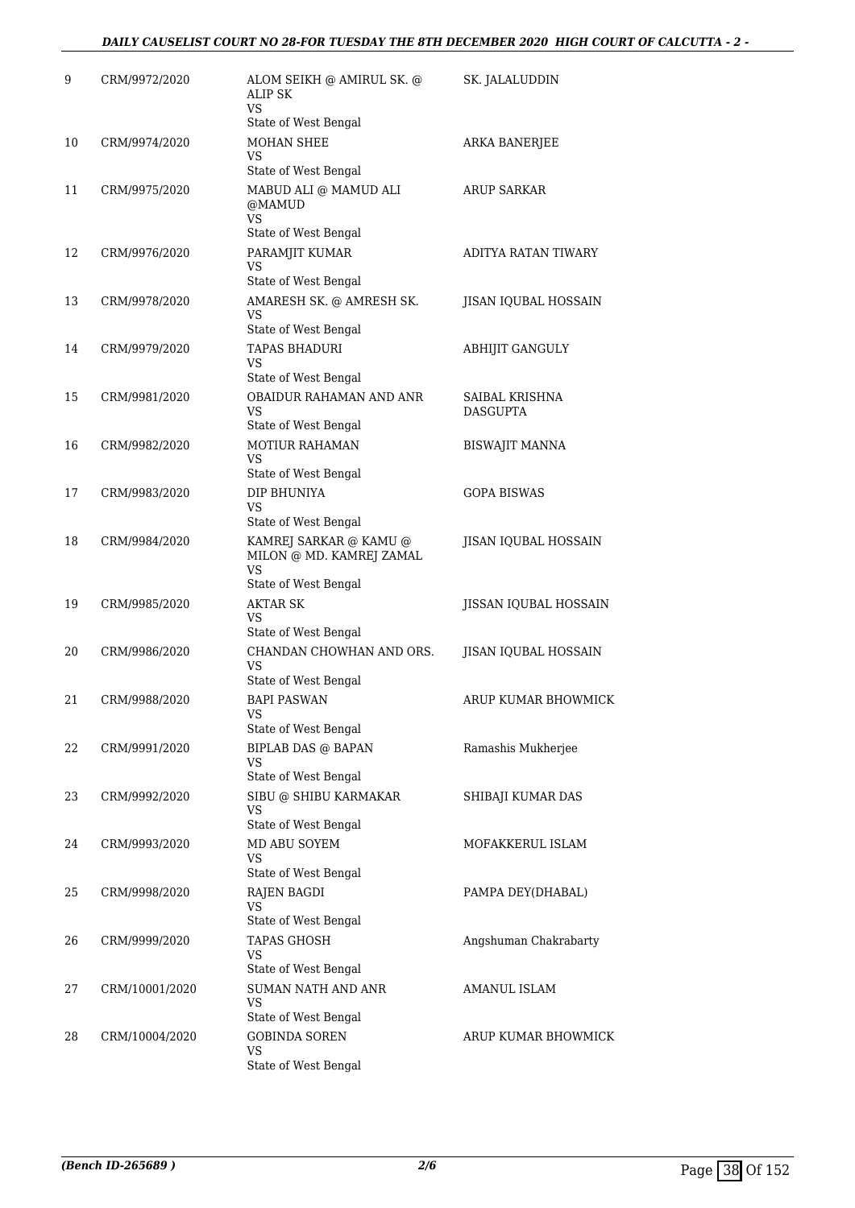| 9  | CRM/9972/2020  | ALOM SEIKH @ AMIRUL SK. @<br><b>ALIP SK</b><br>VS                                       | SK. JALALUDDIN                    |
|----|----------------|-----------------------------------------------------------------------------------------|-----------------------------------|
| 10 | CRM/9974/2020  | State of West Bengal<br><b>MOHAN SHEE</b><br>VS                                         | ARKA BANERJEE                     |
| 11 | CRM/9975/2020  | State of West Bengal<br>MABUD ALI @ MAMUD ALI<br>@MAMUD<br><b>VS</b>                    | ARUP SARKAR                       |
| 12 | CRM/9976/2020  | State of West Bengal<br>PARAMJIT KUMAR<br><b>VS</b><br>State of West Bengal             | ADITYA RATAN TIWARY               |
| 13 | CRM/9978/2020  | AMARESH SK. @ AMRESH SK.<br>VS                                                          | JISAN IQUBAL HOSSAIN              |
| 14 | CRM/9979/2020  | State of West Bengal<br><b>TAPAS BHADURI</b><br>VS                                      | ABHIJIT GANGULY                   |
| 15 | CRM/9981/2020  | State of West Bengal<br>OBAIDUR RAHAMAN AND ANR<br>VS                                   | SAIBAL KRISHNA<br><b>DASGUPTA</b> |
| 16 | CRM/9982/2020  | State of West Bengal<br><b>MOTIUR RAHAMAN</b><br>VS                                     | <b>BISWAJIT MANNA</b>             |
| 17 | CRM/9983/2020  | State of West Bengal<br>DIP BHUNIYA<br><b>VS</b>                                        | GOPA BISWAS                       |
| 18 | CRM/9984/2020  | State of West Bengal<br>KAMREJ SARKAR @ KAMU @<br>MILON @ MD. KAMREJ ZAMAL<br><b>VS</b> | JISAN IQUBAL HOSSAIN              |
| 19 | CRM/9985/2020  | State of West Bengal<br><b>AKTAR SK</b><br>VS                                           | JISSAN IQUBAL HOSSAIN             |
| 20 | CRM/9986/2020  | State of West Bengal<br>CHANDAN CHOWHAN AND ORS.<br>VS<br>State of West Bengal          | JISAN IQUBAL HOSSAIN              |
| 21 | CRM/9988/2020  | <b>BAPI PASWAN</b><br>VS                                                                | ARUP KUMAR BHOWMICK               |
| 22 | CRM/9991/2020  | State of West Bengal<br><b>BIPLAB DAS @ BAPAN</b><br>VS<br>State of West Bengal         | Ramashis Mukherjee                |
| 23 | CRM/9992/2020  | SIBU @ SHIBU KARMAKAR<br>VS<br>State of West Bengal                                     | SHIBAJI KUMAR DAS                 |
| 24 | CRM/9993/2020  | MD ABU SOYEM<br>VS<br>State of West Bengal                                              | MOFAKKERUL ISLAM                  |
| 25 | CRM/9998/2020  | <b>RAJEN BAGDI</b><br><b>VS</b>                                                         | PAMPA DEY(DHABAL)                 |
| 26 | CRM/9999/2020  | State of West Bengal<br><b>TAPAS GHOSH</b><br>VS                                        | Angshuman Chakrabarty             |
| 27 | CRM/10001/2020 | State of West Bengal<br><b>SUMAN NATH AND ANR</b><br>VS<br>State of West Bengal         | AMANUL ISLAM                      |
| 28 | CRM/10004/2020 | <b>GOBINDA SOREN</b><br>VS.<br>State of West Bengal                                     | ARUP KUMAR BHOWMICK               |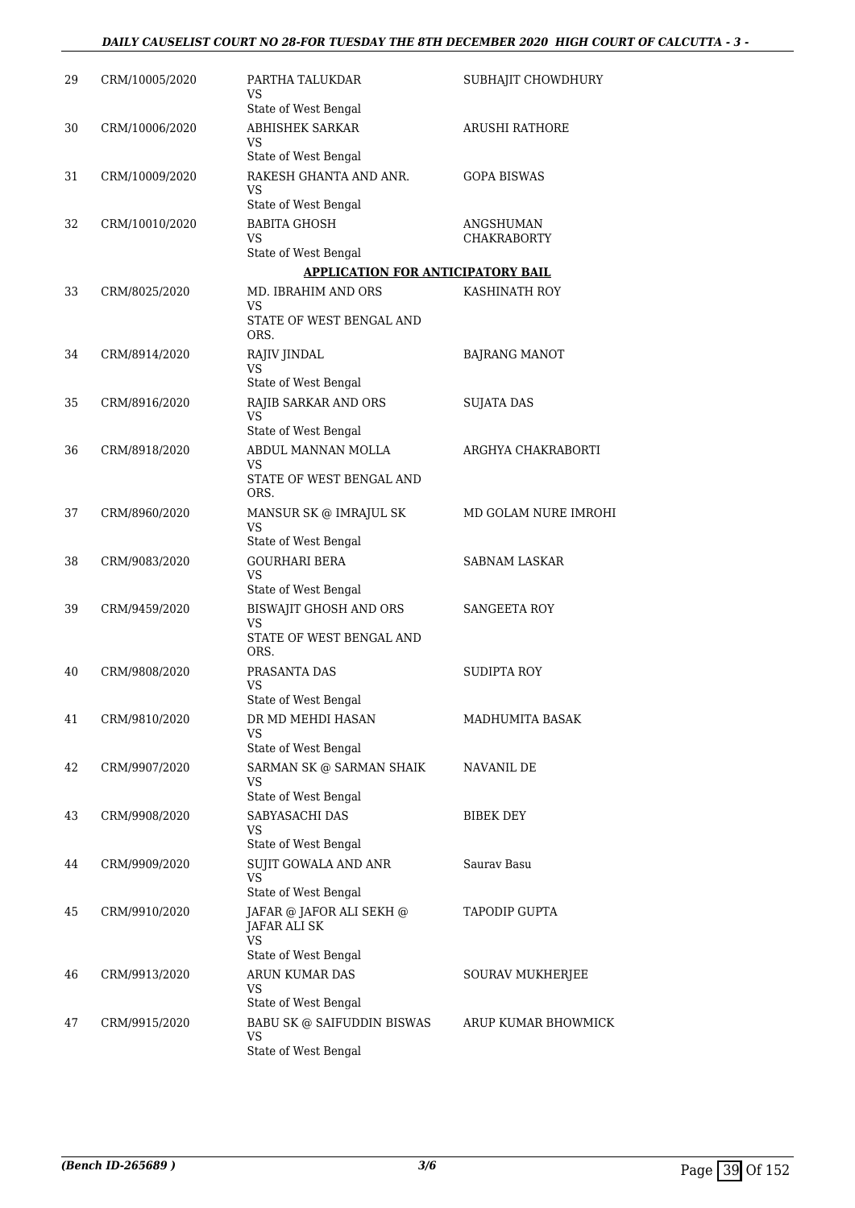| 29 | CRM/10005/2020 | PARTHA TALUKDAR<br>VS                                 | SUBHAJIT CHOWDHURY       |
|----|----------------|-------------------------------------------------------|--------------------------|
| 30 | CRM/10006/2020 | State of West Bengal<br><b>ABHISHEK SARKAR</b>        | <b>ARUSHI RATHORE</b>    |
|    |                | VS<br>State of West Bengal                            |                          |
| 31 | CRM/10009/2020 | RAKESH GHANTA AND ANR.<br>VS                          | <b>GOPA BISWAS</b>       |
|    |                | State of West Bengal                                  |                          |
| 32 | CRM/10010/2020 | <b>BABITA GHOSH</b><br>VS                             | ANGSHUMAN<br>CHAKRABORTY |
|    |                | State of West Bengal                                  |                          |
|    |                | <b>APPLICATION FOR ANTICIPATORY BAIL</b>              |                          |
| 33 | CRM/8025/2020  | MD. IBRAHIM AND ORS<br>VS<br>STATE OF WEST BENGAL AND | KASHINATH ROY            |
|    |                | ORS.                                                  |                          |
| 34 | CRM/8914/2020  | RAJIV JINDAL<br>VS                                    | <b>BAJRANG MANOT</b>     |
|    |                | State of West Bengal                                  |                          |
| 35 | CRM/8916/2020  | RAJIB SARKAR AND ORS<br><b>VS</b>                     | <b>SUJATA DAS</b>        |
|    |                | State of West Bengal                                  |                          |
| 36 | CRM/8918/2020  | ABDUL MANNAN MOLLA<br>VS                              | ARGHYA CHAKRABORTI       |
|    |                | STATE OF WEST BENGAL AND<br>ORS.                      |                          |
| 37 | CRM/8960/2020  | MANSUR SK @ IMRAJUL SK<br>VS                          | MD GOLAM NURE IMROHI     |
|    |                | State of West Bengal                                  |                          |
| 38 | CRM/9083/2020  | <b>GOURHARI BERA</b><br>VS<br>State of West Bengal    | <b>SABNAM LASKAR</b>     |
| 39 | CRM/9459/2020  | <b>BISWAJIT GHOSH AND ORS</b>                         | <b>SANGEETA ROY</b>      |
|    |                | <b>VS</b><br>STATE OF WEST BENGAL AND                 |                          |
|    |                | ORS.                                                  |                          |
| 40 | CRM/9808/2020  | PRASANTA DAS<br>VS                                    | SUDIPTA ROY              |
| 41 | CRM/9810/2020  | State of West Bengal<br>DR MD MEHDI HASAN             | MADHUMITA BASAK          |
|    |                | VS<br>State of West Bengal                            |                          |
| 42 | CRM/9907/2020  | SARMAN SK @ SARMAN SHAIK                              | NAVANIL DE               |
|    |                | VS<br>State of West Bengal                            |                          |
| 43 | CRM/9908/2020  | SABYASACHI DAS<br>VS                                  | BIBEK DEY                |
|    |                | State of West Bengal                                  |                          |
| 44 | CRM/9909/2020  | <b>SUJIT GOWALA AND ANR</b><br>VS                     | Saurav Basu              |
|    |                | State of West Bengal                                  |                          |
| 45 | CRM/9910/2020  | JAFAR @ JAFOR ALI SEKH @<br>JAFAR ALI SK<br>VS        | <b>TAPODIP GUPTA</b>     |
|    |                | State of West Bengal                                  |                          |
| 46 | CRM/9913/2020  | ARUN KUMAR DAS<br>VS<br>State of West Bengal          | SOURAV MUKHERJEE         |
| 47 | CRM/9915/2020  | BABU SK @ SAIFUDDIN BISWAS                            | ARUP KUMAR BHOWMICK      |
|    |                | <b>VS</b><br>State of West Bengal                     |                          |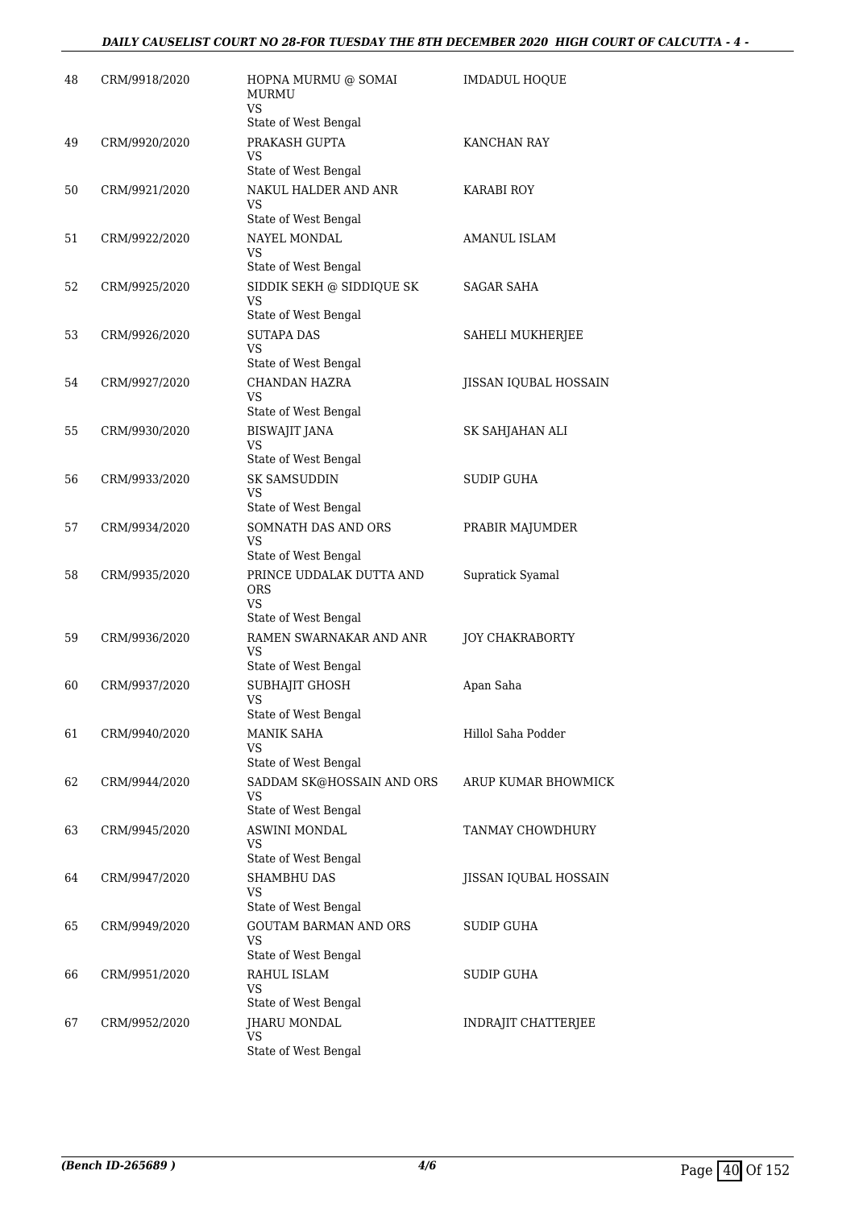| 48 | CRM/9918/2020 | HOPNA MURMU @ SOMAI<br><b>MURMU</b><br><b>VS</b>                                       | IMDADUL HOQUE          |
|----|---------------|----------------------------------------------------------------------------------------|------------------------|
| 49 | CRM/9920/2020 | State of West Bengal<br>PRAKASH GUPTA                                                  | KANCHAN RAY            |
|    |               | VS<br>State of West Bengal                                                             |                        |
| 50 | CRM/9921/2020 | NAKUL HALDER AND ANR<br>VS<br>State of West Bengal                                     | KARABI ROY             |
| 51 | CRM/9922/2020 | NAYEL MONDAL<br><b>VS</b>                                                              | AMANUL ISLAM           |
| 52 | CRM/9925/2020 | State of West Bengal<br>SIDDIK SEKH @ SIDDIQUE SK<br><b>VS</b><br>State of West Bengal | SAGAR SAHA             |
| 53 | CRM/9926/2020 | <b>SUTAPA DAS</b><br><b>VS</b><br>State of West Bengal                                 | SAHELI MUKHERJEE       |
| 54 | CRM/9927/2020 | CHANDAN HAZRA<br>VS                                                                    | JISSAN IQUBAL HOSSAIN  |
| 55 | CRM/9930/2020 | State of West Bengal<br><b>BISWAJIT JANA</b><br><b>VS</b><br>State of West Bengal      | SK SAHJAHAN ALI        |
| 56 | CRM/9933/2020 | <b>SK SAMSUDDIN</b><br>VS<br>State of West Bengal                                      | <b>SUDIP GUHA</b>      |
| 57 | CRM/9934/2020 | SOMNATH DAS AND ORS<br><b>VS</b><br>State of West Bengal                               | PRABIR MAJUMDER        |
| 58 | CRM/9935/2020 | PRINCE UDDALAK DUTTA AND<br><b>ORS</b><br><b>VS</b>                                    | Supratick Syamal       |
| 59 | CRM/9936/2020 | State of West Bengal<br>RAMEN SWARNAKAR AND ANR<br>VS<br>State of West Bengal          | <b>JOY CHAKRABORTY</b> |
| 60 | CRM/9937/2020 | SUBHAJIT GHOSH<br>VS<br>State of West Bengal                                           | Apan Saha              |
| 61 | CRM/9940/2020 | <b>MANIK SAHA</b><br>VS                                                                | Hillol Saha Podder     |
| 62 | CRM/9944/2020 | State of West Bengal<br>SADDAM SK@HOSSAIN AND ORS<br>VS<br>State of West Bengal        | ARUP KUMAR BHOWMICK    |
| 63 | CRM/9945/2020 | ASWINI MONDAL<br>VS<br>State of West Bengal                                            | TANMAY CHOWDHURY       |
| 64 | CRM/9947/2020 | <b>SHAMBHU DAS</b><br>VS<br>State of West Bengal                                       | JISSAN IQUBAL HOSSAIN  |
| 65 | CRM/9949/2020 | <b>GOUTAM BARMAN AND ORS</b><br>VS<br>State of West Bengal                             | SUDIP GUHA             |
| 66 | CRM/9951/2020 | RAHUL ISLAM<br>VS<br>State of West Bengal                                              | SUDIP GUHA             |
| 67 | CRM/9952/2020 | JHARU MONDAL<br>VS<br>State of West Bengal                                             | INDRAJIT CHATTERJEE    |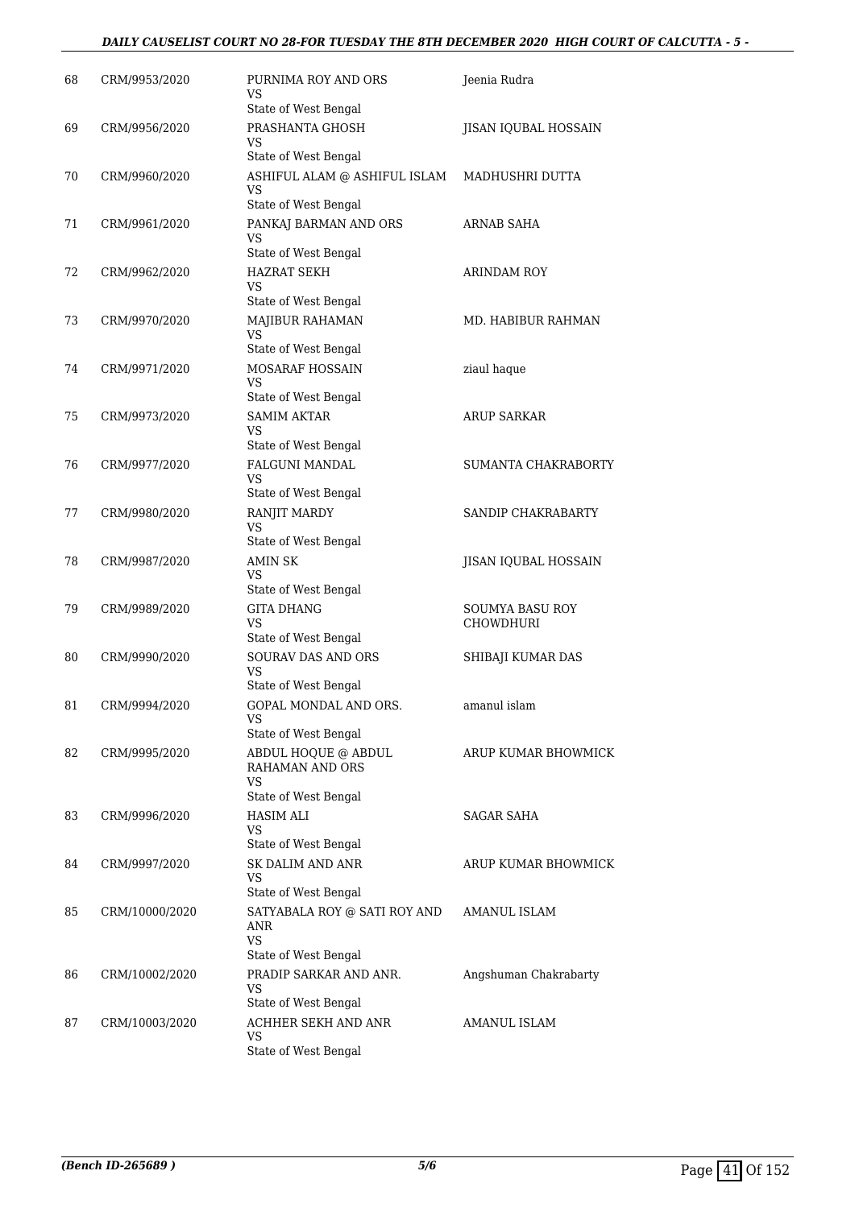### *DAILY CAUSELIST COURT NO 28-FOR TUESDAY THE 8TH DECEMBER 2020 HIGH COURT OF CALCUTTA - 5 -*

| 68 | CRM/9953/2020  | PURNIMA ROY AND ORS                                                      | Jeenia Rudra                 |
|----|----------------|--------------------------------------------------------------------------|------------------------------|
|    |                | VS<br>State of West Bengal                                               |                              |
| 69 | CRM/9956/2020  | PRASHANTA GHOSH<br>VS                                                    | JISAN IQUBAL HOSSAIN         |
|    |                | State of West Bengal                                                     |                              |
| 70 | CRM/9960/2020  | ASHIFUL ALAM @ ASHIFUL ISLAM<br><b>VS</b>                                | MADHUSHRI DUTTA              |
|    |                | State of West Bengal                                                     |                              |
| 71 | CRM/9961/2020  | PANKAJ BARMAN AND ORS<br>VS<br>State of West Bengal                      | <b>ARNAB SAHA</b>            |
| 72 | CRM/9962/2020  | <b>HAZRAT SEKH</b><br>VS                                                 | ARINDAM ROY                  |
|    |                | State of West Bengal                                                     |                              |
| 73 | CRM/9970/2020  | MAJIBUR RAHAMAN<br><b>VS</b>                                             | MD. HABIBUR RAHMAN           |
| 74 | CRM/9971/2020  | State of West Bengal<br>MOSARAF HOSSAIN                                  | ziaul haque                  |
|    |                | VS<br>State of West Bengal                                               |                              |
| 75 | CRM/9973/2020  | <b>SAMIM AKTAR</b>                                                       | <b>ARUP SARKAR</b>           |
|    |                | <b>VS</b>                                                                |                              |
| 76 | CRM/9977/2020  | State of West Bengal<br><b>FALGUNI MANDAL</b>                            | <b>SUMANTA CHAKRABORTY</b>   |
|    |                | VS                                                                       |                              |
|    |                | State of West Bengal                                                     |                              |
| 77 | CRM/9980/2020  | RANJIT MARDY<br>VS<br>State of West Bengal                               | SANDIP CHAKRABARTY           |
| 78 | CRM/9987/2020  | AMIN SK                                                                  | JISAN IQUBAL HOSSAIN         |
|    |                | <b>VS</b>                                                                |                              |
|    |                | State of West Bengal                                                     |                              |
| 79 | CRM/9989/2020  | <b>GITA DHANG</b><br>VS<br>State of West Bengal                          | SOUMYA BASU ROY<br>CHOWDHURI |
| 80 | CRM/9990/2020  | SOURAV DAS AND ORS                                                       | SHIBAJI KUMAR DAS            |
|    |                | <b>VS</b><br>State of West Bengal                                        |                              |
| 81 | CRM/9994/2020  | GOPAL MONDAL AND ORS.                                                    | amanul islam                 |
|    |                | <b>VS</b><br>State of West Bengal                                        |                              |
| 82 | CRM/9995/2020  | ABDUL HOQUE @ ABDUL<br>RAHAMAN AND ORS<br><b>VS</b>                      | ARUP KUMAR BHOWMICK          |
|    |                | State of West Bengal                                                     |                              |
| 83 | CRM/9996/2020  | <b>HASIM ALI</b><br>VS<br>State of West Bengal                           | SAGAR SAHA                   |
| 84 | CRM/9997/2020  | <b>SK DALIM AND ANR</b>                                                  | ARUP KUMAR BHOWMICK          |
|    |                | VS<br>State of West Bengal                                               |                              |
| 85 | CRM/10000/2020 | SATYABALA ROY @ SATI ROY AND<br>ANR<br><b>VS</b><br>State of West Bengal | AMANUL ISLAM                 |
| 86 | CRM/10002/2020 | PRADIP SARKAR AND ANR.<br><b>VS</b>                                      | Angshuman Chakrabarty        |
|    |                | State of West Bengal                                                     |                              |
| 87 | CRM/10003/2020 | ACHHER SEKH AND ANR<br>VS                                                | AMANUL ISLAM                 |
|    |                | State of West Bengal                                                     |                              |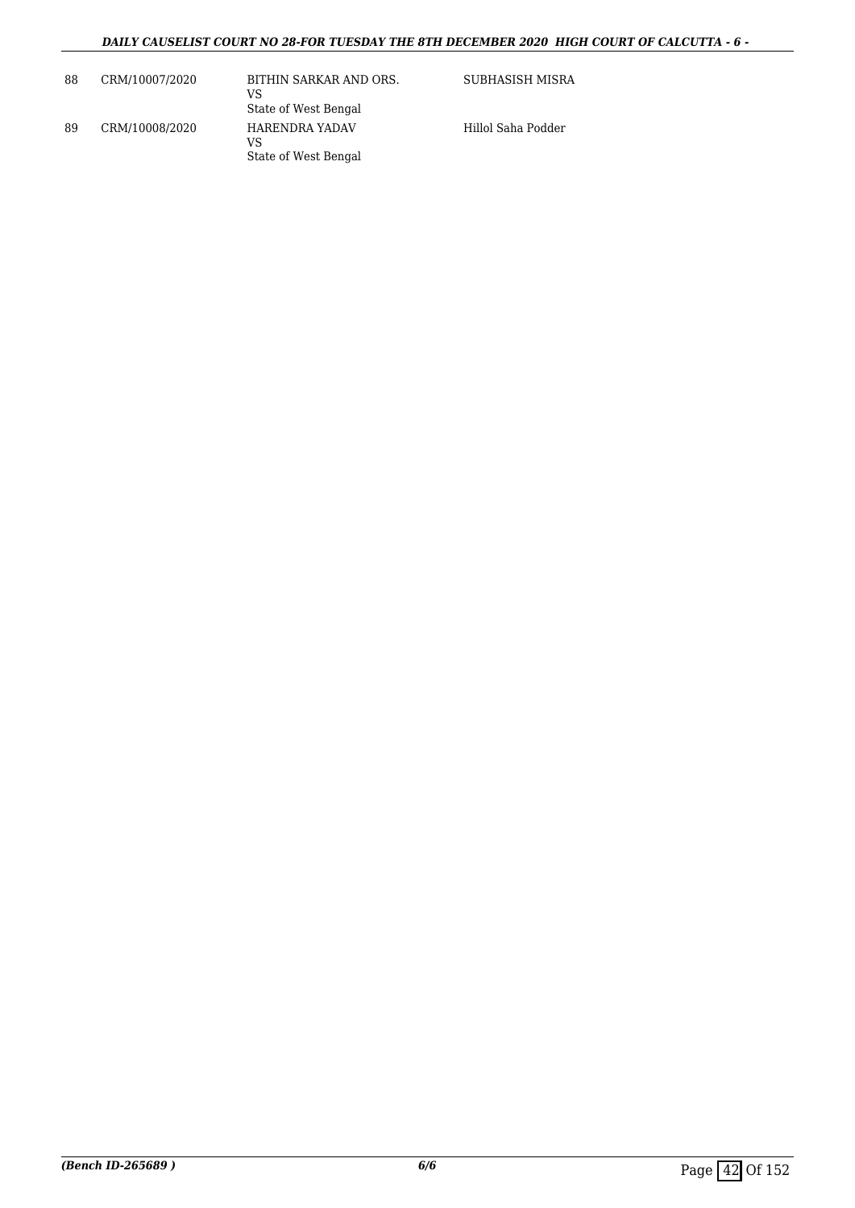| 88 | CRM/10007/2020 | BITHIN SARKAR AND ORS.<br>VS<br>State of West Bengal | SUBHASISH MISRA    |
|----|----------------|------------------------------------------------------|--------------------|
| 89 | CRM/10008/2020 | HARENDRA YADAV<br>VS<br>State of West Bengal         | Hillol Saha Podder |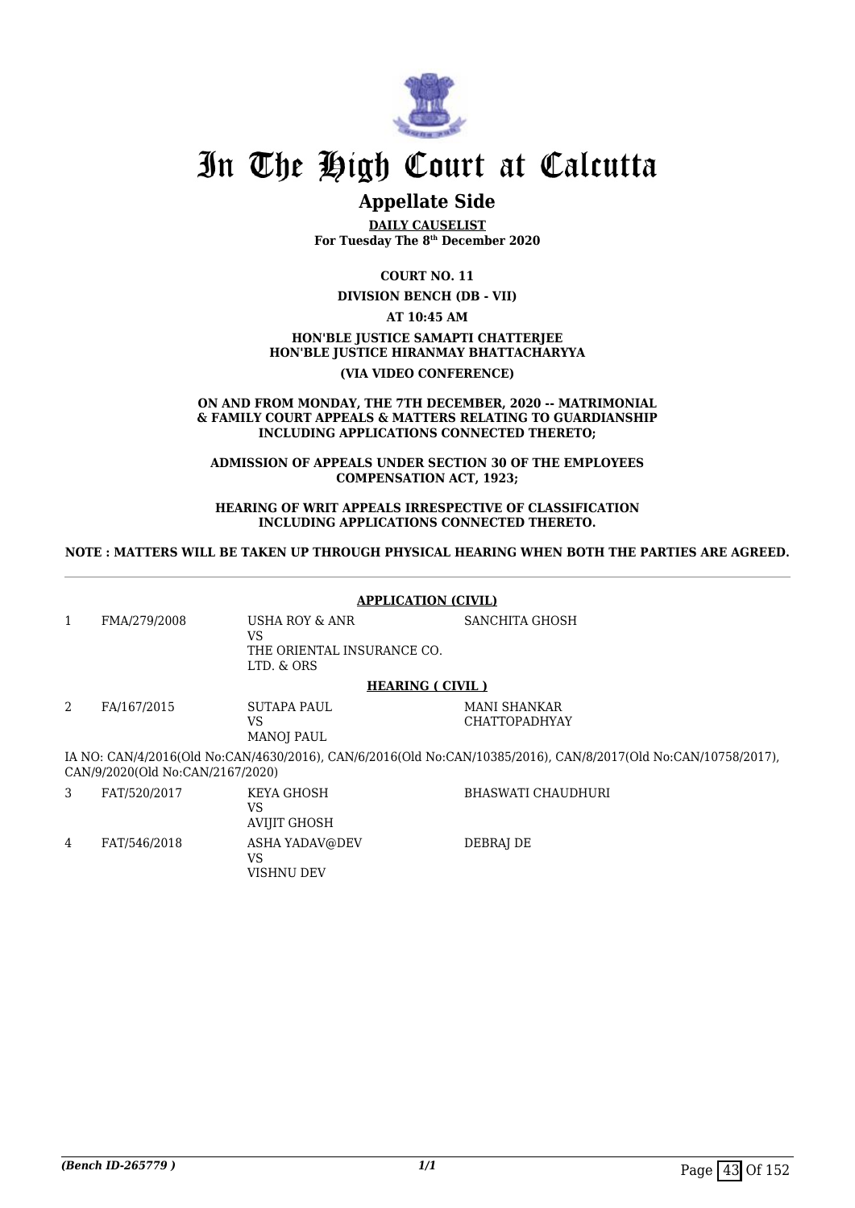

## **Appellate Side**

**DAILY CAUSELIST For Tuesday The 8th December 2020**

**COURT NO. 11**

**DIVISION BENCH (DB - VII)**

**AT 10:45 AM**

## **HON'BLE JUSTICE SAMAPTI CHATTERJEE HON'BLE JUSTICE HIRANMAY BHATTACHARYYA**

#### **(VIA VIDEO CONFERENCE)**

#### **ON AND FROM MONDAY, THE 7TH DECEMBER, 2020 -- MATRIMONIAL & FAMILY COURT APPEALS & MATTERS RELATING TO GUARDIANSHIP INCLUDING APPLICATIONS CONNECTED THERETO;**

**ADMISSION OF APPEALS UNDER SECTION 30 OF THE EMPLOYEES COMPENSATION ACT, 1923;**

**HEARING OF WRIT APPEALS IRRESPECTIVE OF CLASSIFICATION INCLUDING APPLICATIONS CONNECTED THERETO.**

**NOTE : MATTERS WILL BE TAKEN UP THROUGH PHYSICAL HEARING WHEN BOTH THE PARTIES ARE AGREED.**

#### **APPLICATION (CIVIL)** 1 FMA/279/2008 USHA ROY & ANR VS THE ORIENTAL INSURANCE CO. LTD. & ORS SANCHITA GHOSH **HEARING ( CIVIL )** 2 FA/167/2015 SUTAPA PAUL VS MANOJ PAUL MANI SHANKAR CHATTOPADHYAY IA NO: CAN/4/2016(Old No:CAN/4630/2016), CAN/6/2016(Old No:CAN/10385/2016), CAN/8/2017(Old No:CAN/10758/2017), CAN/9/2020(Old No:CAN/2167/2020) 3 FAT/520/2017 KEYA GHOSH VS BHASWATI CHAUDHURI

AVIJIT GHOSH 4 FAT/546/2018 ASHA YADAV@DEV VS VISHNU DEV DEBRAJ DE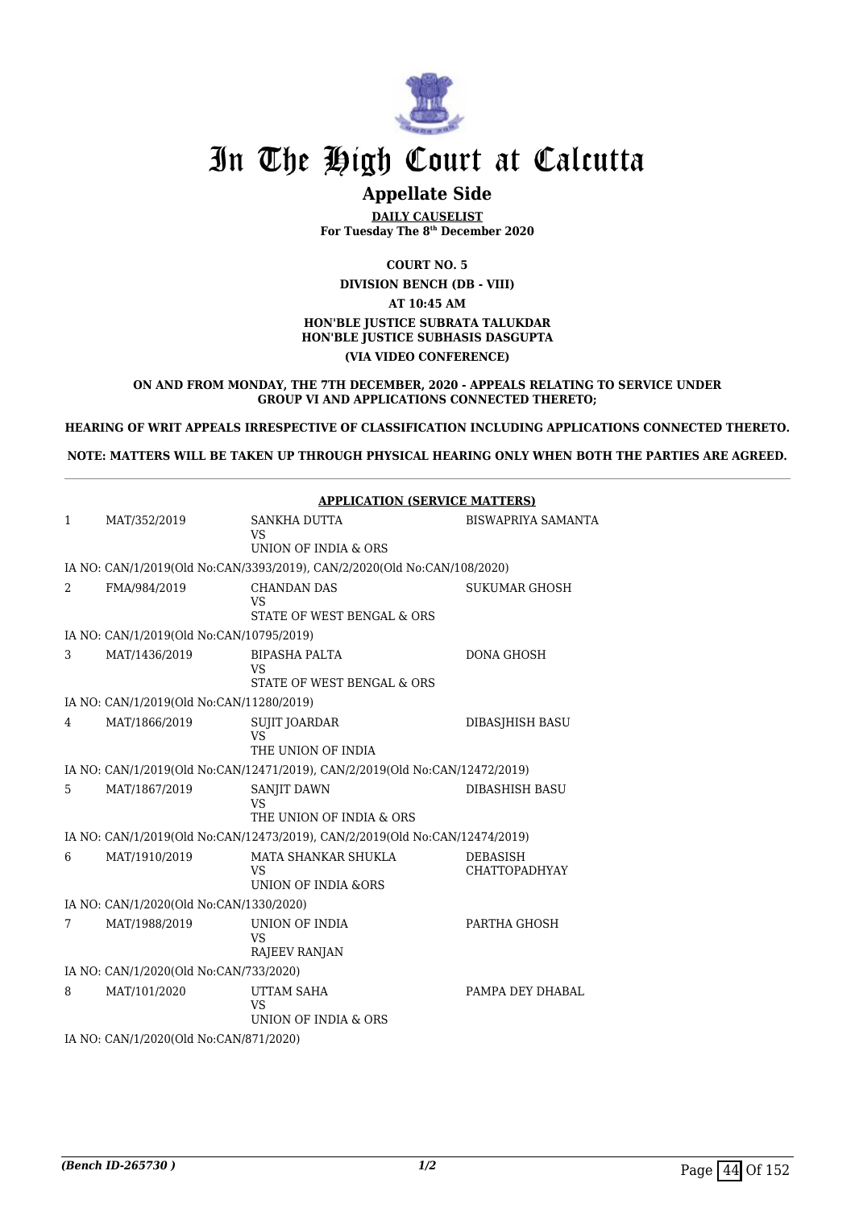

## **Appellate Side**

**DAILY CAUSELIST For Tuesday The 8th December 2020**

**COURT NO. 5 DIVISION BENCH (DB - VIII) AT 10:45 AM HON'BLE JUSTICE SUBRATA TALUKDAR HON'BLE JUSTICE SUBHASIS DASGUPTA (VIA VIDEO CONFERENCE)**

#### **ON AND FROM MONDAY, THE 7TH DECEMBER, 2020 - APPEALS RELATING TO SERVICE UNDER GROUP VI AND APPLICATIONS CONNECTED THERETO;**

**HEARING OF WRIT APPEALS IRRESPECTIVE OF CLASSIFICATION INCLUDING APPLICATIONS CONNECTED THERETO.**

**NOTE: MATTERS WILL BE TAKEN UP THROUGH PHYSICAL HEARING ONLY WHEN BOTH THE PARTIES ARE AGREED.**

|              |                                          | <b>APPLICATION (SERVICE MATTERS)</b>                                        |                                         |  |
|--------------|------------------------------------------|-----------------------------------------------------------------------------|-----------------------------------------|--|
| $\mathbf{1}$ | MAT/352/2019                             | SANKHA DUTTA<br><b>VS</b><br>UNION OF INDIA & ORS                           | <b>BISWAPRIYA SAMANTA</b>               |  |
|              |                                          | IA NO: CAN/1/2019(Old No:CAN/3393/2019), CAN/2/2020(Old No:CAN/108/2020)    |                                         |  |
| 2            | FMA/984/2019                             | <b>CHANDAN DAS</b><br>VS<br>STATE OF WEST BENGAL & ORS                      | <b>SUKUMAR GHOSH</b>                    |  |
|              | IA NO: CAN/1/2019(Old No:CAN/10795/2019) |                                                                             |                                         |  |
| 3            | MAT/1436/2019                            | BIPASHA PALTA<br>VS<br>STATE OF WEST BENGAL & ORS                           | <b>DONA GHOSH</b>                       |  |
|              | IA NO: CAN/1/2019(Old No:CAN/11280/2019) |                                                                             |                                         |  |
| 4            | MAT/1866/2019                            | SUJIT JOARDAR<br>VS<br>THE UNION OF INDIA                                   | DIBASJHISH BASU                         |  |
|              |                                          | IA NO: CAN/1/2019(Old No:CAN/12471/2019), CAN/2/2019(Old No:CAN/12472/2019) |                                         |  |
| 5            | MAT/1867/2019                            | SANJIT DAWN<br>VS<br>THE UNION OF INDIA & ORS                               | <b>DIBASHISH BASU</b>                   |  |
|              |                                          | IA NO: CAN/1/2019(Old No:CAN/12473/2019), CAN/2/2019(Old No:CAN/12474/2019) |                                         |  |
| 6            | MAT/1910/2019                            | MATA SHANKAR SHUKLA<br>VS<br>UNION OF INDIA &ORS                            | <b>DEBASISH</b><br><b>CHATTOPADHYAY</b> |  |
|              | IA NO: CAN/1/2020(Old No:CAN/1330/2020)  |                                                                             |                                         |  |
| 7            | MAT/1988/2019                            | UNION OF INDIA<br>VS<br>RAJEEV RANJAN                                       | PARTHA GHOSH                            |  |
|              | IA NO: CAN/1/2020(Old No:CAN/733/2020)   |                                                                             |                                         |  |
| 8            | MAT/101/2020                             | UTTAM SAHA<br><b>VS</b><br>UNION OF INDIA & ORS                             | PAMPA DEY DHABAL                        |  |
|              | IA NO: CAN/1/2020(Old No:CAN/871/2020)   |                                                                             |                                         |  |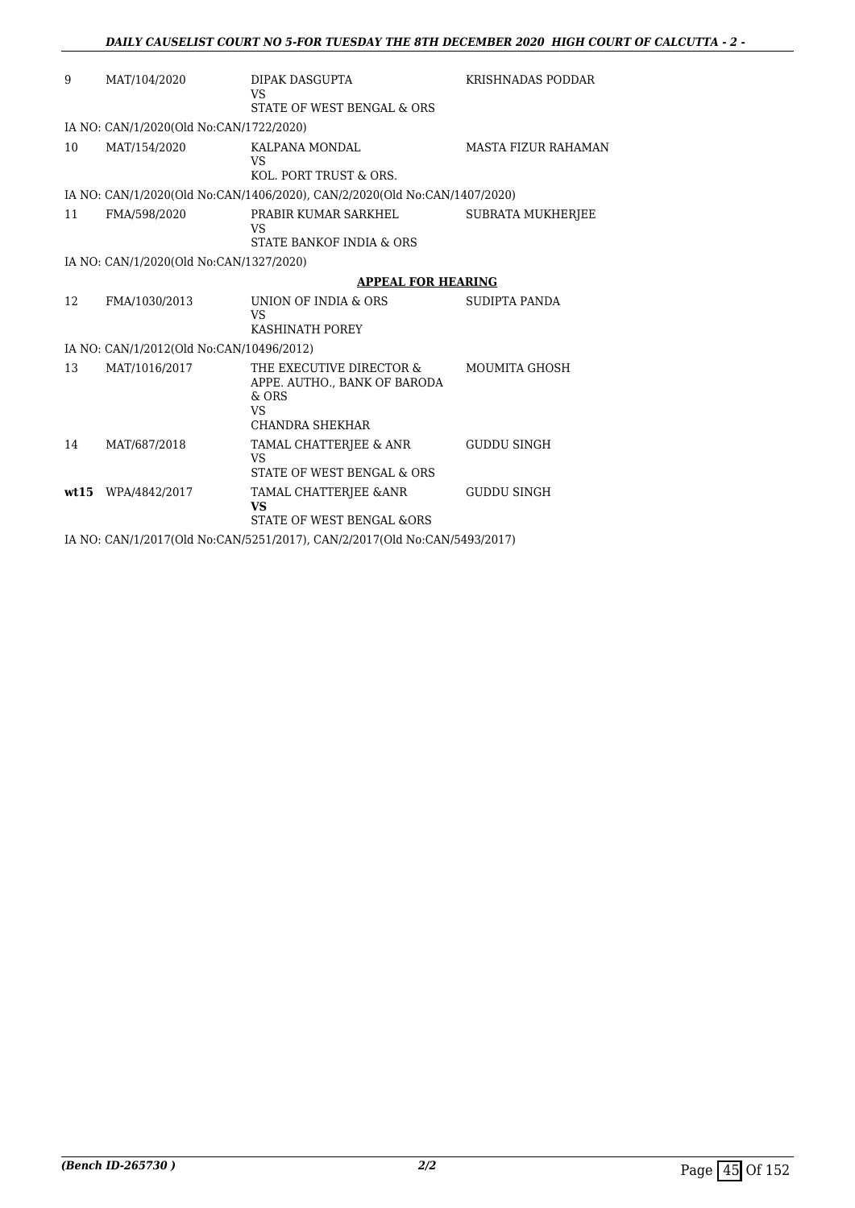| 9  | MAT/104/2020                             | DIPAK DASGUPTA<br>VS<br>STATE OF WEST BENGAL & ORS                                                  | KRISHNADAS PODDAR          |
|----|------------------------------------------|-----------------------------------------------------------------------------------------------------|----------------------------|
|    | IA NO: CAN/1/2020(Old No:CAN/1722/2020)  |                                                                                                     |                            |
| 10 | MAT/154/2020                             | KALPANA MONDAL<br>VS<br>KOL. PORT TRUST & ORS.                                                      | <b>MASTA FIZUR RAHAMAN</b> |
|    |                                          | IA NO: CAN/1/2020(Old No:CAN/1406/2020), CAN/2/2020(Old No:CAN/1407/2020)                           |                            |
| 11 | FMA/598/2020                             | PRABIR KUMAR SARKHEL<br>VS<br>STATE BANKOF INDIA & ORS                                              | <b>SUBRATA MUKHERJEE</b>   |
|    | IA NO: CAN/1/2020(Old No:CAN/1327/2020)  |                                                                                                     |                            |
|    |                                          | <b>APPEAL FOR HEARING</b>                                                                           |                            |
| 12 | FMA/1030/2013                            | UNION OF INDIA & ORS<br>VS<br>KASHINATH POREY                                                       | SUDIPTA PANDA              |
|    | IA NO: CAN/1/2012(Old No:CAN/10496/2012) |                                                                                                     |                            |
| 13 | MAT/1016/2017                            | THE EXECUTIVE DIRECTOR &<br>APPE. AUTHO., BANK OF BARODA<br>$&$ ORS<br><b>VS</b><br>CHANDRA SHEKHAR | MOUMITA GHOSH              |
| 14 | MAT/687/2018                             | TAMAL CHATTERJEE & ANR<br>VS<br>STATE OF WEST BENGAL & ORS                                          | <b>GUDDU SINGH</b>         |
|    | wt15 WPA/4842/2017                       | TAMAL CHATTERJEE & ANR<br><b>VS</b><br>STATE OF WEST BENGAL &ORS                                    | <b>GUDDU SINGH</b>         |
|    |                                          | IA NO: CAN/1/2017(Old No:CAN/5251/2017), CAN/2/2017(Old No:CAN/5493/2017)                           |                            |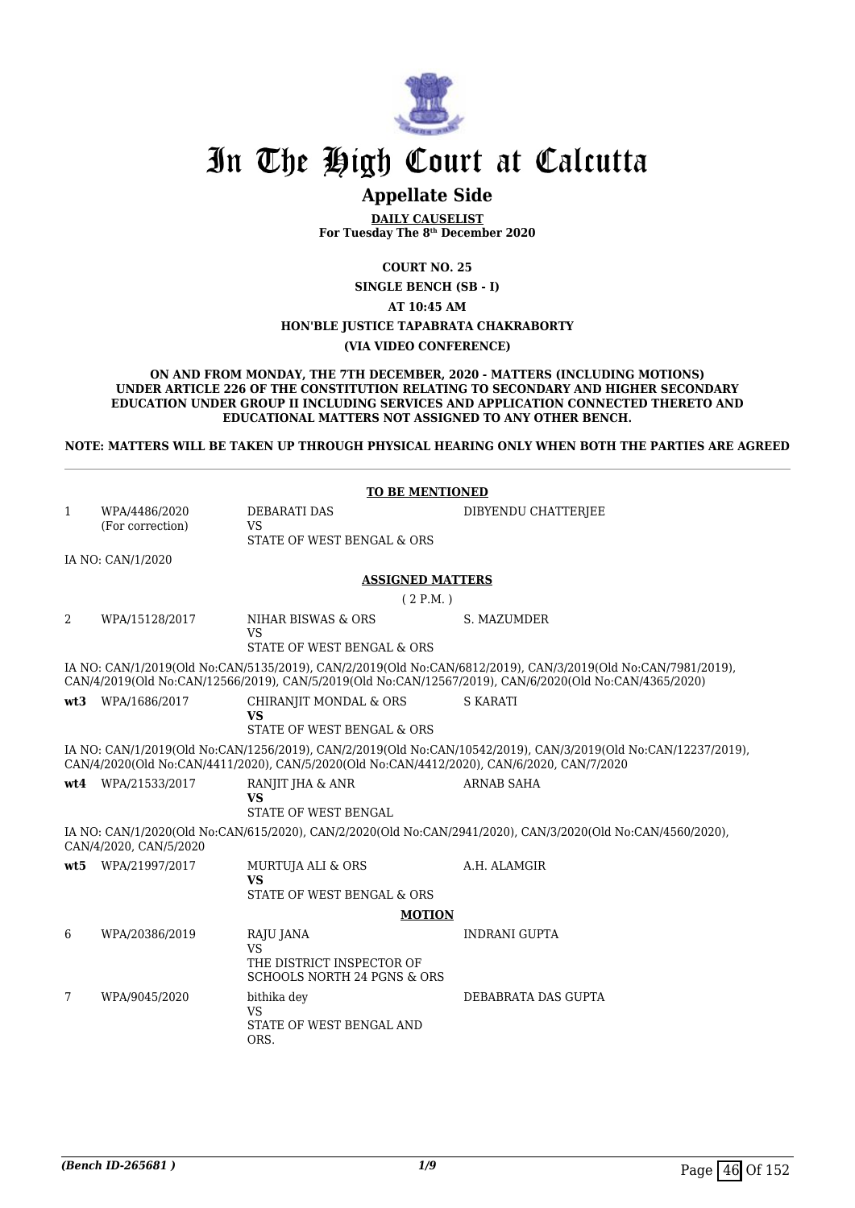

# **Appellate Side**

**DAILY CAUSELIST For Tuesday The 8th December 2020**

**COURT NO. 25**

**SINGLE BENCH (SB - I)**

**AT 10:45 AM**

#### **HON'BLE JUSTICE TAPABRATA CHAKRABORTY**

#### **(VIA VIDEO CONFERENCE)**

**ON AND FROM MONDAY, THE 7TH DECEMBER, 2020 - MATTERS (INCLUDING MOTIONS) UNDER ARTICLE 226 OF THE CONSTITUTION RELATING TO SECONDARY AND HIGHER SECONDARY EDUCATION UNDER GROUP II INCLUDING SERVICES AND APPLICATION CONNECTED THERETO AND EDUCATIONAL MATTERS NOT ASSIGNED TO ANY OTHER BENCH.**

**NOTE: MATTERS WILL BE TAKEN UP THROUGH PHYSICAL HEARING ONLY WHEN BOTH THE PARTIES ARE AGREED**

|      | <b>TO BE MENTIONED</b> |                                                                                            |                                                                                                                                                                                                                        |  |  |
|------|------------------------|--------------------------------------------------------------------------------------------|------------------------------------------------------------------------------------------------------------------------------------------------------------------------------------------------------------------------|--|--|
| 1    | WPA/4486/2020          | <b>DEBARATI DAS</b>                                                                        | DIBYENDU CHATTERJEE                                                                                                                                                                                                    |  |  |
|      | (For correction)       | VS<br>STATE OF WEST BENGAL & ORS                                                           |                                                                                                                                                                                                                        |  |  |
|      | IA NO: CAN/1/2020      |                                                                                            |                                                                                                                                                                                                                        |  |  |
|      |                        | <b>ASSIGNED MATTERS</b>                                                                    |                                                                                                                                                                                                                        |  |  |
|      |                        | (2 P.M.)                                                                                   |                                                                                                                                                                                                                        |  |  |
| 2    | WPA/15128/2017         | NIHAR BISWAS & ORS<br><b>VS</b>                                                            | S. MAZUMDER                                                                                                                                                                                                            |  |  |
|      |                        | STATE OF WEST BENGAL & ORS                                                                 |                                                                                                                                                                                                                        |  |  |
|      |                        |                                                                                            | IA NO: CAN/1/2019(Old No:CAN/5135/2019), CAN/2/2019(Old No:CAN/6812/2019), CAN/3/2019(Old No:CAN/7981/2019),<br>CAN/4/2019(Old No:CAN/12566/2019), CAN/5/2019(Old No:CAN/12567/2019), CAN/6/2020(Old No:CAN/4365/2020) |  |  |
|      | wt3 WPA/1686/2017      | CHIRANJIT MONDAL & ORS<br><b>VS</b>                                                        | <b>S KARATI</b>                                                                                                                                                                                                        |  |  |
|      |                        | STATE OF WEST BENGAL & ORS                                                                 |                                                                                                                                                                                                                        |  |  |
|      |                        | CAN/4/2020(Old No:CAN/4411/2020), CAN/5/2020(Old No:CAN/4412/2020), CAN/6/2020, CAN/7/2020 | IA NO: CAN/1/2019(Old No:CAN/1256/2019), CAN/2/2019(Old No:CAN/10542/2019), CAN/3/2019(Old No:CAN/12237/2019),                                                                                                         |  |  |
|      | wt4 WPA/21533/2017     | RANJIT JHA & ANR<br><b>VS</b><br><b>STATE OF WEST BENGAL</b>                               | <b>ARNAB SAHA</b>                                                                                                                                                                                                      |  |  |
|      | CAN/4/2020, CAN/5/2020 |                                                                                            | IA NO: CAN/1/2020(Old No:CAN/615/2020), CAN/2/2020(Old No:CAN/2941/2020), CAN/3/2020(Old No:CAN/4560/2020),                                                                                                            |  |  |
| wt.5 | WPA/21997/2017         | MURTUJA ALI & ORS<br><b>VS</b>                                                             | A.H. ALAMGIR                                                                                                                                                                                                           |  |  |
|      |                        | STATE OF WEST BENGAL & ORS                                                                 |                                                                                                                                                                                                                        |  |  |
|      |                        | <b>MOTION</b>                                                                              |                                                                                                                                                                                                                        |  |  |
| 6    | WPA/20386/2019         | RAJU JANA<br><b>VS</b>                                                                     | <b>INDRANI GUPTA</b>                                                                                                                                                                                                   |  |  |
|      |                        | THE DISTRICT INSPECTOR OF<br><b>SCHOOLS NORTH 24 PGNS &amp; ORS</b>                        |                                                                                                                                                                                                                        |  |  |
| 7    | WPA/9045/2020          | bithika dev<br><b>VS</b><br>STATE OF WEST BENGAL AND<br>ORS.                               | DEBABRATA DAS GUPTA                                                                                                                                                                                                    |  |  |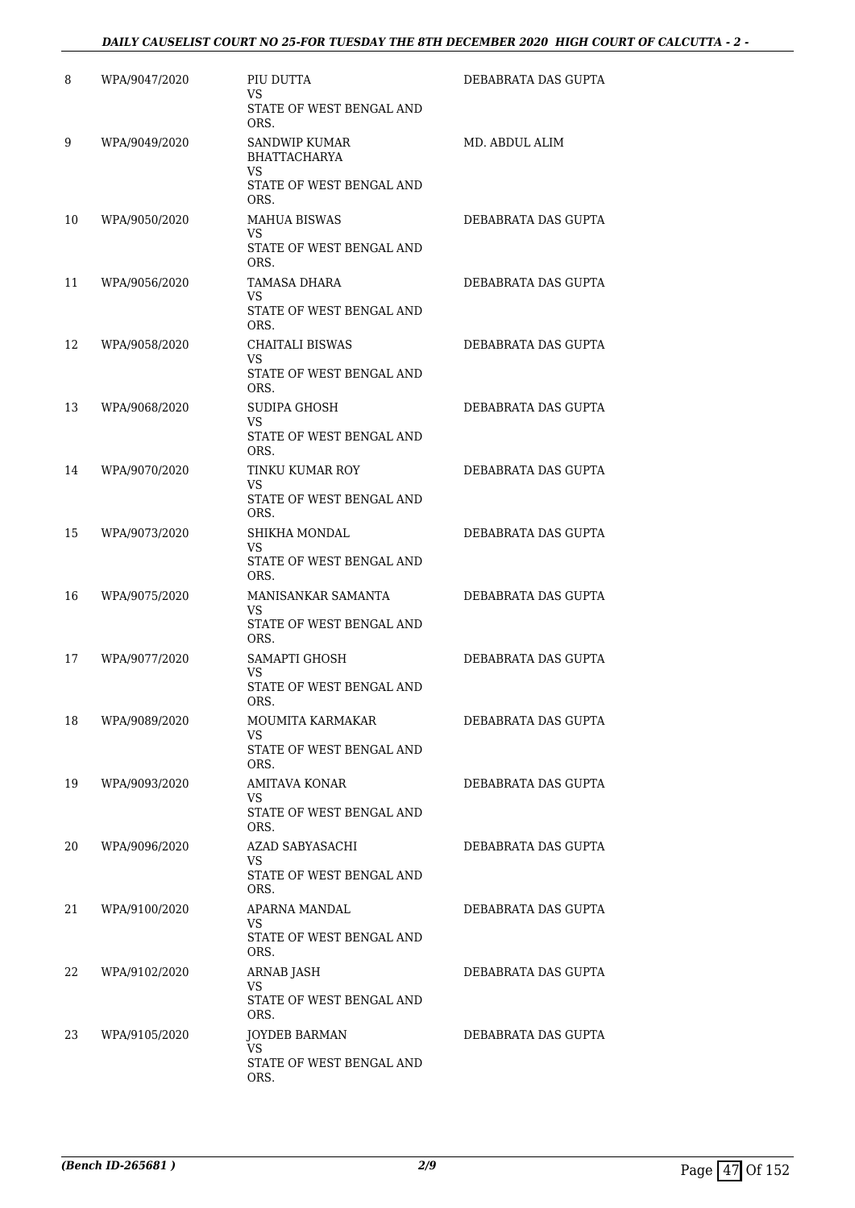### *DAILY CAUSELIST COURT NO 25-FOR TUESDAY THE 8TH DECEMBER 2020 HIGH COURT OF CALCUTTA - 2 -*

| 8  | WPA/9047/2020 | PIU DUTTA<br>VS<br>STATE OF WEST BENGAL AND<br>ORS.           | DEBABRATA DAS GUPTA |
|----|---------------|---------------------------------------------------------------|---------------------|
| 9  | WPA/9049/2020 | <b>SANDWIP KUMAR</b><br><b>BHATTACHARYA</b><br><b>VS</b>      | MD. ABDUL ALIM      |
|    |               | STATE OF WEST BENGAL AND<br>ORS.                              |                     |
| 10 | WPA/9050/2020 | <b>MAHUA BISWAS</b><br>VS.<br>STATE OF WEST BENGAL AND        | DEBABRATA DAS GUPTA |
|    |               | ORS.                                                          |                     |
| 11 | WPA/9056/2020 | TAMASA DHARA<br>VS<br>STATE OF WEST BENGAL AND<br>ORS.        | DEBABRATA DAS GUPTA |
| 12 | WPA/9058/2020 | CHAITALI BISWAS<br>VS.<br>STATE OF WEST BENGAL AND            | DEBABRATA DAS GUPTA |
| 13 | WPA/9068/2020 | ORS.<br>SUDIPA GHOSH<br><b>VS</b><br>STATE OF WEST BENGAL AND | DEBABRATA DAS GUPTA |
| 14 | WPA/9070/2020 | ORS.<br>TINKU KUMAR ROY<br>VS                                 | DEBABRATA DAS GUPTA |
|    |               | STATE OF WEST BENGAL AND<br>ORS.                              |                     |
| 15 | WPA/9073/2020 | SHIKHA MONDAL<br>VS.<br>STATE OF WEST BENGAL AND              | DEBABRATA DAS GUPTA |
| 16 | WPA/9075/2020 | ORS.<br>MANISANKAR SAMANTA                                    | DEBABRATA DAS GUPTA |
|    |               | VS<br>STATE OF WEST BENGAL AND<br>ORS.                        |                     |
| 17 | WPA/9077/2020 | SAMAPTI GHOSH<br>VS                                           | DEBABRATA DAS GUPTA |
|    |               | STATE OF WEST BENGAL AND<br>ORS.                              |                     |
| 18 | WPA/9089/2020 | MOUMITA KARMAKAR<br>VS<br>STATE OF WEST BENGAL AND            | DEBABRATA DAS GUPTA |
| 19 | WPA/9093/2020 | ORS.<br>AMITAVA KONAR                                         | DEBABRATA DAS GUPTA |
|    |               | VS.<br>STATE OF WEST BENGAL AND<br>ORS.                       |                     |
| 20 | WPA/9096/2020 | AZAD SABYASACHI<br>VS.                                        | DEBABRATA DAS GUPTA |
|    |               | STATE OF WEST BENGAL AND<br>ORS.                              |                     |
| 21 | WPA/9100/2020 | APARNA MANDAL<br>VS.<br>STATE OF WEST BENGAL AND<br>ORS.      | DEBABRATA DAS GUPTA |
| 22 | WPA/9102/2020 | ARNAB JASH                                                    | DEBABRATA DAS GUPTA |
|    |               | VS.<br>STATE OF WEST BENGAL AND<br>ORS.                       |                     |
| 23 | WPA/9105/2020 | <b>JOYDEB BARMAN</b><br><b>VS</b>                             | DEBABRATA DAS GUPTA |
|    |               | STATE OF WEST BENGAL AND<br>ORS.                              |                     |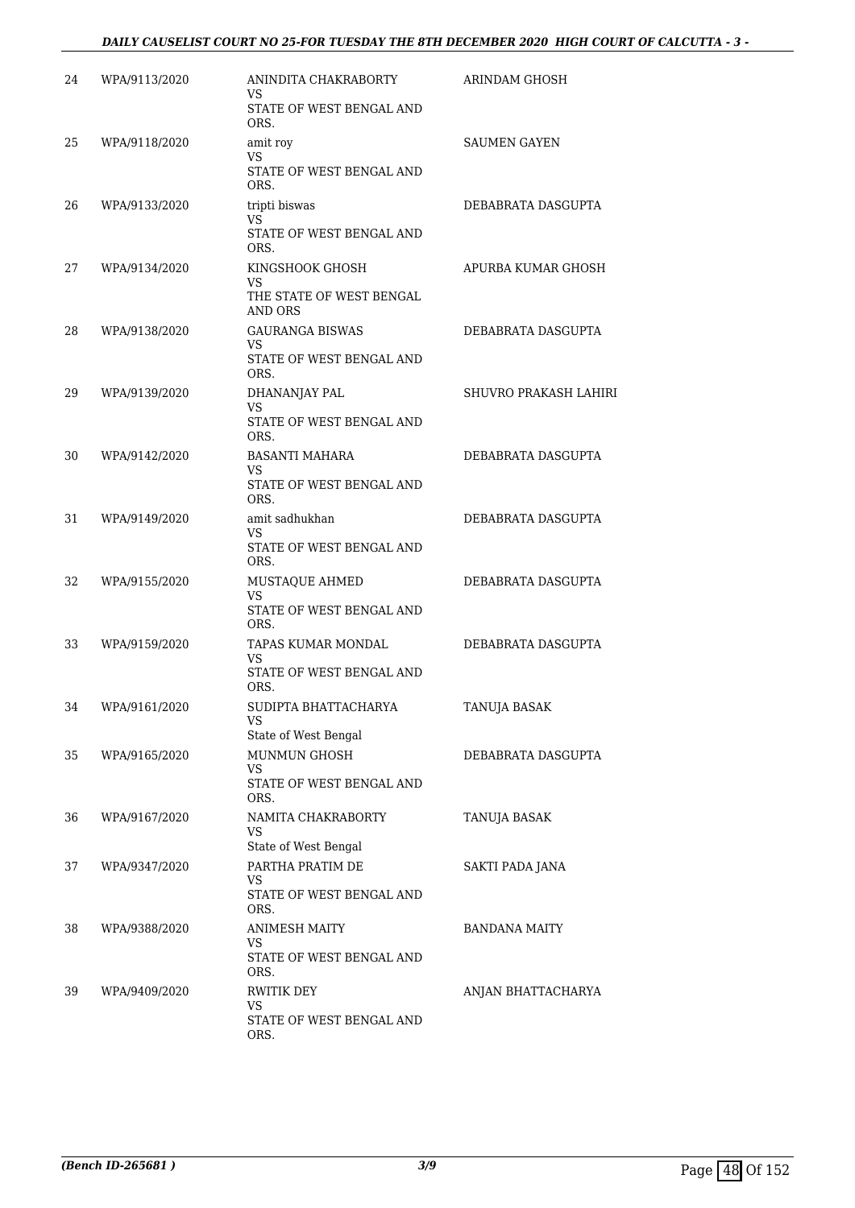### *DAILY CAUSELIST COURT NO 25-FOR TUESDAY THE 8TH DECEMBER 2020 HIGH COURT OF CALCUTTA - 3 -*

| 24 | WPA/9113/2020 | ANINDITA CHAKRABORTY<br>VS                       | ARINDAM GHOSH         |
|----|---------------|--------------------------------------------------|-----------------------|
|    |               | STATE OF WEST BENGAL AND<br>ORS.                 |                       |
| 25 | WPA/9118/2020 | amit roy<br><b>VS</b>                            | <b>SAUMEN GAYEN</b>   |
|    |               | STATE OF WEST BENGAL AND<br>ORS.                 |                       |
| 26 | WPA/9133/2020 | tripti biswas<br>VS.                             | DEBABRATA DASGUPTA    |
|    |               | STATE OF WEST BENGAL AND<br>ORS.                 |                       |
| 27 | WPA/9134/2020 | KINGSHOOK GHOSH<br>VS                            | APURBA KUMAR GHOSH    |
|    |               | THE STATE OF WEST BENGAL<br>AND ORS              |                       |
| 28 | WPA/9138/2020 | <b>GAURANGA BISWAS</b><br>VS                     | DEBABRATA DASGUPTA    |
|    |               | STATE OF WEST BENGAL AND<br>ORS.                 |                       |
| 29 | WPA/9139/2020 | DHANANJAY PAL<br>VS                              | SHUVRO PRAKASH LAHIRI |
|    |               | STATE OF WEST BENGAL AND<br>ORS.                 |                       |
| 30 | WPA/9142/2020 | <b>BASANTI MAHARA</b><br>VS                      | DEBABRATA DASGUPTA    |
|    |               | STATE OF WEST BENGAL AND<br>ORS.                 |                       |
| 31 | WPA/9149/2020 | amit sadhukhan<br>VS                             | DEBABRATA DASGUPTA    |
|    |               | STATE OF WEST BENGAL AND<br>ORS.                 |                       |
| 32 | WPA/9155/2020 | MUSTAQUE AHMED<br><b>VS</b>                      | DEBABRATA DASGUPTA    |
|    |               | STATE OF WEST BENGAL AND<br>ORS.                 |                       |
| 33 | WPA/9159/2020 | TAPAS KUMAR MONDAL<br>VS                         | DEBABRATA DASGUPTA    |
|    |               | STATE OF WEST BENGAL AND<br>ORS.                 |                       |
| 34 | WPA/9161/2020 | SUDIPTA BHATTACHARYA<br>VS                       | TANUJA BASAK          |
|    |               | State of West Bengal                             |                       |
| 35 | WPA/9165/2020 | MUNMUN GHOSH<br>VS                               | DEBABRATA DASGUPTA    |
|    |               | STATE OF WEST BENGAL AND<br>ORS.                 |                       |
| 36 | WPA/9167/2020 | NAMITA CHAKRABORTY<br>VS<br>State of West Bengal | TANUJA BASAK          |
| 37 | WPA/9347/2020 | PARTHA PRATIM DE                                 | SAKTI PADA JANA       |
|    |               | VS<br>STATE OF WEST BENGAL AND<br>ORS.           |                       |
| 38 | WPA/9388/2020 | <b>ANIMESH MAITY</b><br>VS                       | BANDANA MAITY         |
|    |               | STATE OF WEST BENGAL AND<br>ORS.                 |                       |
| 39 | WPA/9409/2020 | <b>RWITIK DEY</b>                                | ANJAN BHATTACHARYA    |
|    |               | VS<br>STATE OF WEST BENGAL AND<br>ORS.           |                       |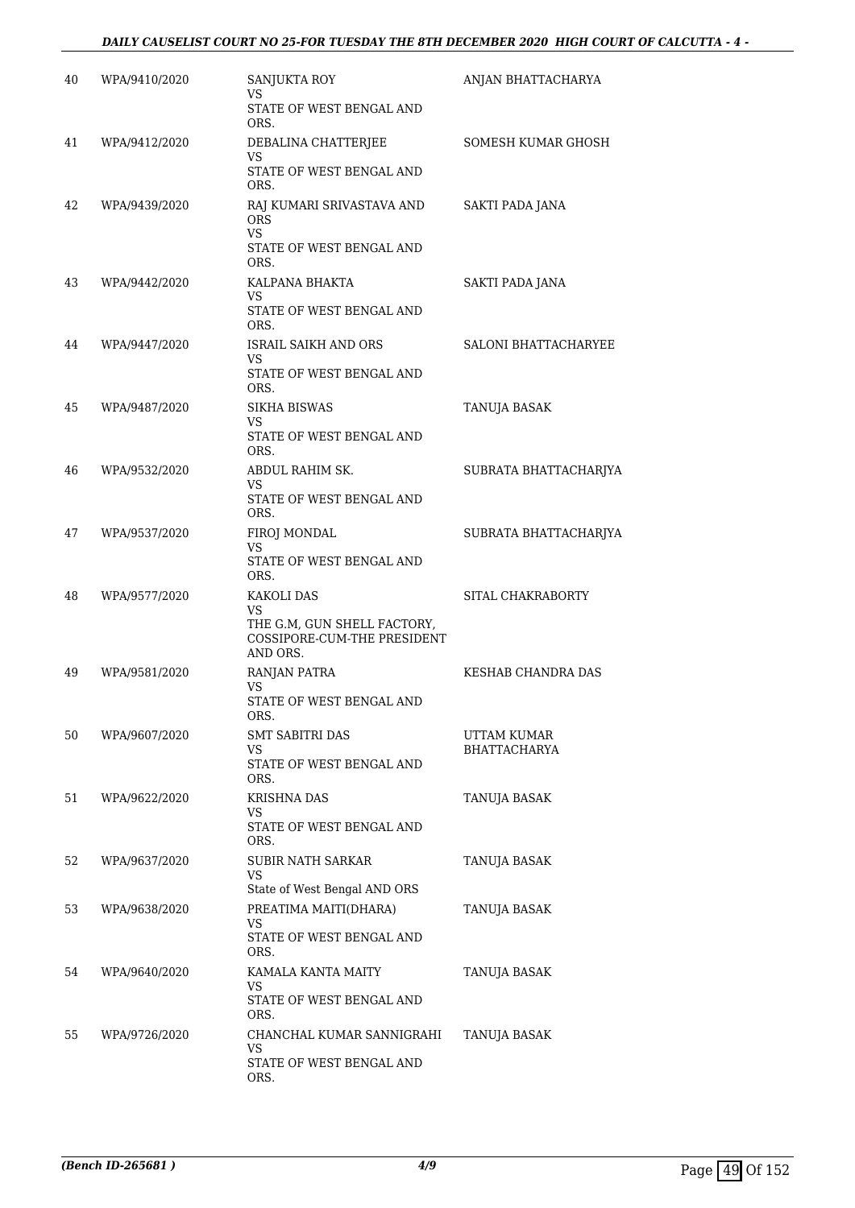| 40 | WPA/9410/2020 | <b>SANJUKTA ROY</b><br>VS<br>STATE OF WEST BENGAL AND                                      | ANJAN BHATTACHARYA                 |
|----|---------------|--------------------------------------------------------------------------------------------|------------------------------------|
| 41 | WPA/9412/2020 | ORS.<br>DEBALINA CHATTERJEE<br>VS<br>STATE OF WEST BENGAL AND<br>ORS.                      | SOMESH KUMAR GHOSH                 |
| 42 | WPA/9439/2020 | RAJ KUMARI SRIVASTAVA AND<br><b>ORS</b><br>VS.<br>STATE OF WEST BENGAL AND<br>ORS.         | SAKTI PADA JANA                    |
| 43 | WPA/9442/2020 | KALPANA BHAKTA<br>VS<br>STATE OF WEST BENGAL AND<br>ORS.                                   | SAKTI PADA JANA                    |
| 44 | WPA/9447/2020 | ISRAIL SAIKH AND ORS<br>VS<br>STATE OF WEST BENGAL AND<br>ORS.                             | SALONI BHATTACHARYEE               |
| 45 | WPA/9487/2020 | <b>SIKHA BISWAS</b><br>VS.<br>STATE OF WEST BENGAL AND<br>ORS.                             | TANUJA BASAK                       |
| 46 | WPA/9532/2020 | ABDUL RAHIM SK.<br>VS<br>STATE OF WEST BENGAL AND<br>ORS.                                  | SUBRATA BHATTACHARJYA              |
| 47 | WPA/9537/2020 | FIROJ MONDAL<br>VS.<br>STATE OF WEST BENGAL AND<br>ORS.                                    | SUBRATA BHATTACHARJYA              |
| 48 | WPA/9577/2020 | KAKOLI DAS<br>VS<br>THE G.M, GUN SHELL FACTORY,<br>COSSIPORE-CUM-THE PRESIDENT<br>AND ORS. | SITAL CHAKRABORTY                  |
| 49 | WPA/9581/2020 | RANJAN PATRA<br>VS<br>STATE OF WEST BENGAL AND<br>ORS.                                     | KESHAB CHANDRA DAS                 |
| 50 | WPA/9607/2020 | SMT SABITRI DAS<br>VS.<br>STATE OF WEST BENGAL AND<br>ORS.                                 | UTTAM KUMAR<br><b>BHATTACHARYA</b> |
| 51 | WPA/9622/2020 | <b>KRISHNA DAS</b><br>VS<br>STATE OF WEST BENGAL AND<br>ORS.                               | TANUJA BASAK                       |
| 52 | WPA/9637/2020 | <b>SUBIR NATH SARKAR</b><br>VS.<br>State of West Bengal AND ORS                            | TANUJA BASAK                       |
| 53 | WPA/9638/2020 | PREATIMA MAITI(DHARA)<br>VS<br>STATE OF WEST BENGAL AND<br>ORS.                            | TANUJA BASAK                       |
| 54 | WPA/9640/2020 | KAMALA KANTA MAITY<br>VS<br>STATE OF WEST BENGAL AND<br>ORS.                               | TANUJA BASAK                       |
| 55 | WPA/9726/2020 | CHANCHAL KUMAR SANNIGRAHI<br>VS<br>STATE OF WEST BENGAL AND<br>ORS.                        | TANUJA BASAK                       |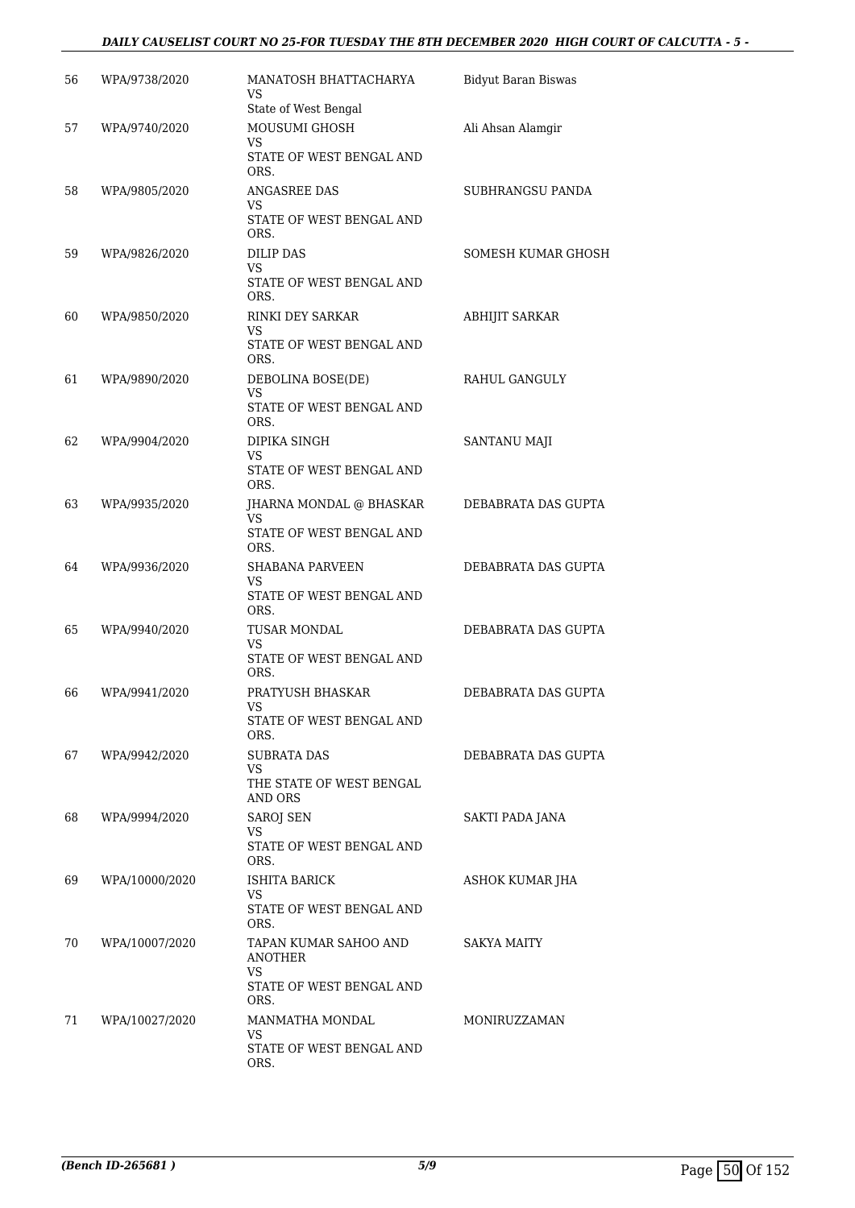#### *DAILY CAUSELIST COURT NO 25-FOR TUESDAY THE 8TH DECEMBER 2020 HIGH COURT OF CALCUTTA - 5 -*

| 56 | WPA/9738/2020  | MANATOSH BHATTACHARYA<br>VS<br>State of West Bengal                       | <b>Bidyut Baran Biswas</b> |
|----|----------------|---------------------------------------------------------------------------|----------------------------|
| 57 | WPA/9740/2020  | MOUSUMI GHOSH<br><b>VS</b><br>STATE OF WEST BENGAL AND                    | Ali Ahsan Alamgir          |
| 58 | WPA/9805/2020  | ORS.<br>ANGASREE DAS<br>VS<br>STATE OF WEST BENGAL AND<br>ORS.            | SUBHRANGSU PANDA           |
| 59 | WPA/9826/2020  | <b>DILIP DAS</b><br>VS<br>STATE OF WEST BENGAL AND<br>ORS.                | SOMESH KUMAR GHOSH         |
| 60 | WPA/9850/2020  | <b>RINKI DEY SARKAR</b><br>VS<br>STATE OF WEST BENGAL AND<br>ORS.         | <b>ABHIJIT SARKAR</b>      |
| 61 | WPA/9890/2020  | DEBOLINA BOSE(DE)<br>VS<br>STATE OF WEST BENGAL AND                       | RAHUL GANGULY              |
| 62 | WPA/9904/2020  | ORS.<br>DIPIKA SINGH<br><b>VS</b><br>STATE OF WEST BENGAL AND<br>ORS.     | SANTANU MAJI               |
| 63 | WPA/9935/2020  | JHARNA MONDAL @ BHASKAR<br>VS<br>STATE OF WEST BENGAL AND<br>ORS.         | DEBABRATA DAS GUPTA        |
| 64 | WPA/9936/2020  | <b>SHABANA PARVEEN</b><br>VS<br>STATE OF WEST BENGAL AND<br>ORS.          | DEBABRATA DAS GUPTA        |
| 65 | WPA/9940/2020  | TUSAR MONDAL<br>VS<br>STATE OF WEST BENGAL AND<br>ORS.                    | DEBABRATA DAS GUPTA        |
| 66 | WPA/9941/2020  | PRATYUSH BHASKAR<br>VS.<br>STATE OF WEST BENGAL AND<br>ORS.               | DEBABRATA DAS GUPTA        |
| 67 | WPA/9942/2020  | SUBRATA DAS<br>VS.<br>THE STATE OF WEST BENGAL<br><b>AND ORS</b>          | DEBABRATA DAS GUPTA        |
| 68 | WPA/9994/2020  | <b>SAROJ SEN</b><br>VS.<br>STATE OF WEST BENGAL AND                       | SAKTI PADA JANA            |
| 69 | WPA/10000/2020 | ORS.<br><b>ISHITA BARICK</b><br>VS.<br>STATE OF WEST BENGAL AND<br>ORS.   | ASHOK KUMAR JHA            |
| 70 | WPA/10007/2020 | TAPAN KUMAR SAHOO AND<br><b>ANOTHER</b><br>VS<br>STATE OF WEST BENGAL AND | SAKYA MAITY                |
| 71 | WPA/10027/2020 | ORS.<br>MANMATHA MONDAL<br>VS.<br>STATE OF WEST BENGAL AND<br>ORS.        | MONIRUZZAMAN               |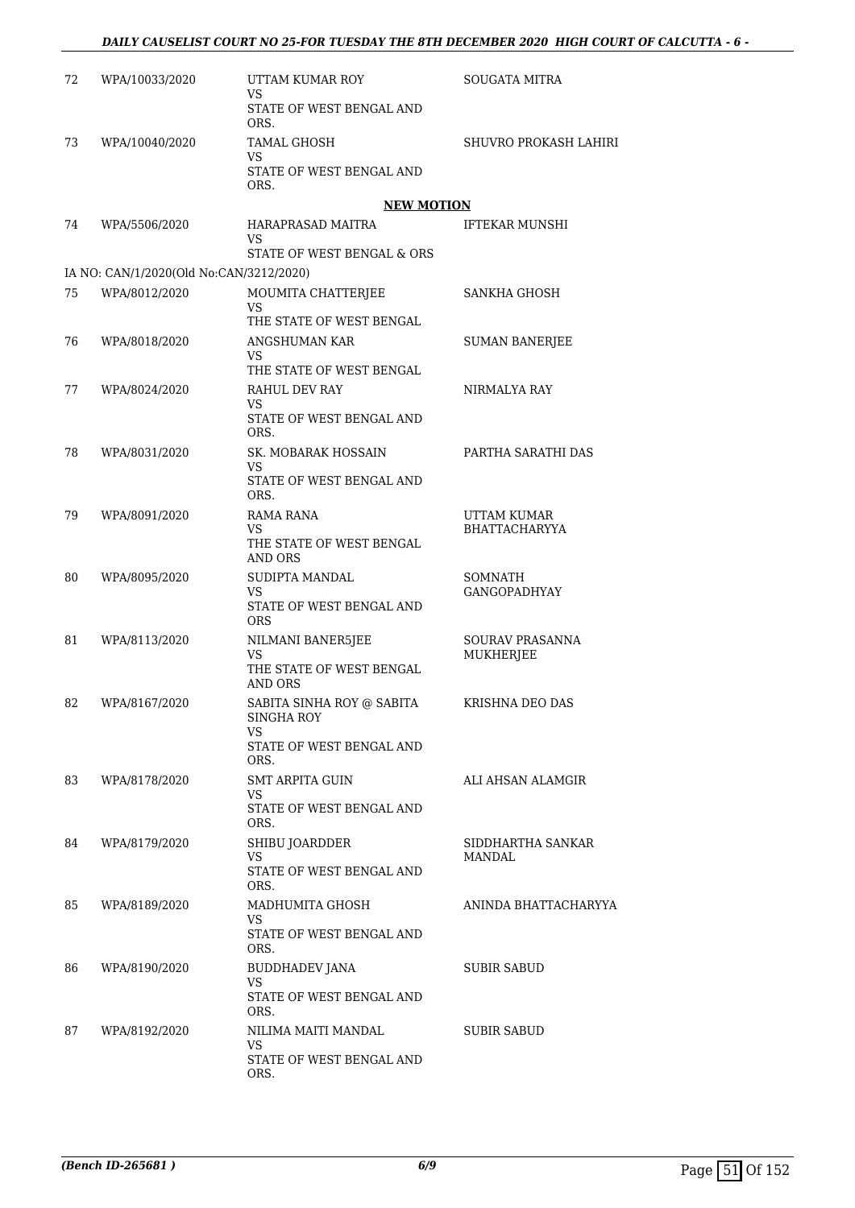| 72 | WPA/10033/2020                          | UTTAM KUMAR ROY<br>VS                                                             | <b>SOUGATA MITRA</b>                  |
|----|-----------------------------------------|-----------------------------------------------------------------------------------|---------------------------------------|
|    |                                         | STATE OF WEST BENGAL AND<br>ORS.                                                  |                                       |
| 73 | WPA/10040/2020                          | TAMAL GHOSH                                                                       | SHUVRO PROKASH LAHIRI                 |
|    |                                         | VS<br>STATE OF WEST BENGAL AND<br>ORS.                                            |                                       |
|    |                                         | <b>NEW MOTION</b>                                                                 |                                       |
| 74 | WPA/5506/2020                           | HARAPRASAD MAITRA<br>VS<br>STATE OF WEST BENGAL & ORS                             | <b>IFTEKAR MUNSHI</b>                 |
|    | IA NO: CAN/1/2020(Old No:CAN/3212/2020) |                                                                                   |                                       |
| 75 | WPA/8012/2020                           | MOUMITA CHATTERJEE                                                                | SANKHA GHOSH                          |
|    |                                         | VS<br>THE STATE OF WEST BENGAL                                                    |                                       |
| 76 | WPA/8018/2020                           | ANGSHUMAN KAR<br>VS<br>THE STATE OF WEST BENGAL                                   | <b>SUMAN BANERJEE</b>                 |
| 77 | WPA/8024/2020                           | RAHUL DEV RAY<br>VS                                                               | NIRMALYA RAY                          |
|    |                                         | STATE OF WEST BENGAL AND<br>ORS.                                                  |                                       |
| 78 | WPA/8031/2020                           | SK. MOBARAK HOSSAIN<br>VS<br>STATE OF WEST BENGAL AND                             | PARTHA SARATHI DAS                    |
|    |                                         | ORS.                                                                              |                                       |
| 79 | WPA/8091/2020                           | RAMA RANA                                                                         | UTTAM KUMAR                           |
|    |                                         | VS<br>THE STATE OF WEST BENGAL<br>AND ORS                                         | BHATTACHARYYA                         |
| 80 | WPA/8095/2020                           | SUDIPTA MANDAL<br>VS<br>STATE OF WEST BENGAL AND<br><b>ORS</b>                    | <b>SOMNATH</b><br><b>GANGOPADHYAY</b> |
| 81 | WPA/8113/2020                           | NILMANI BANER5JEE<br>VS.<br>THE STATE OF WEST BENGAL<br>AND ORS                   | <b>SOURAV PRASANNA</b><br>MUKHERJEE   |
| 82 | WPA/8167/2020                           | SABITA SINHA ROY @ SABITA<br>SINGHA ROY<br>VS<br>STATE OF WEST BENGAL AND<br>ORS. | KRISHNA DEO DAS                       |
| 83 | WPA/8178/2020                           | SMT ARPITA GUIN<br>VS<br>STATE OF WEST BENGAL AND<br>ORS.                         | ALI AHSAN ALAMGIR                     |
| 84 | WPA/8179/2020                           | SHIBU JOARDDER<br>VS<br>STATE OF WEST BENGAL AND<br>ORS.                          | SIDDHARTHA SANKAR<br>MANDAL           |
| 85 | WPA/8189/2020                           | MADHUMITA GHOSH<br>VS<br>STATE OF WEST BENGAL AND<br>ORS.                         | ANINDA BHATTACHARYYA                  |
| 86 | WPA/8190/2020                           | BUDDHADEV JANA<br>VS.<br>STATE OF WEST BENGAL AND<br>ORS.                         | SUBIR SABUD                           |
| 87 | WPA/8192/2020                           | NILIMA MAITI MANDAL<br>VS<br>STATE OF WEST BENGAL AND<br>ORS.                     | SUBIR SABUD                           |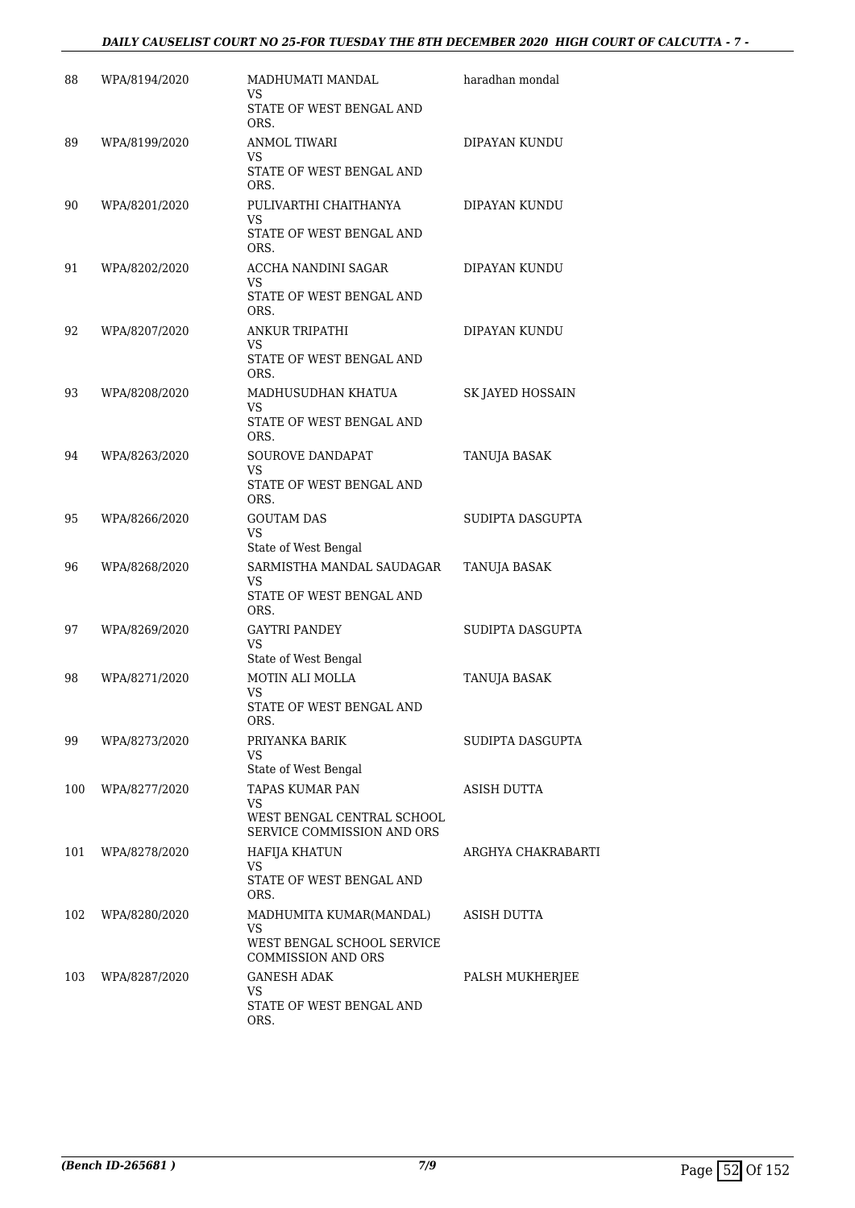### *DAILY CAUSELIST COURT NO 25-FOR TUESDAY THE 8TH DECEMBER 2020 HIGH COURT OF CALCUTTA - 7 -*

| 88  | WPA/8194/2020 | MADHUMATI MANDAL<br>VS                                  | haradhan mondal    |
|-----|---------------|---------------------------------------------------------|--------------------|
|     |               | STATE OF WEST BENGAL AND<br>ORS.                        |                    |
| 89  | WPA/8199/2020 | ANMOL TIWARI<br>VS                                      | DIPAYAN KUNDU      |
|     |               | STATE OF WEST BENGAL AND<br>ORS.                        |                    |
| 90  | WPA/8201/2020 | PULIVARTHI CHAITHANYA<br>VS                             | DIPAYAN KUNDU      |
|     |               | STATE OF WEST BENGAL AND<br>ORS.                        |                    |
| 91  | WPA/8202/2020 | ACCHA NANDINI SAGAR<br>VS                               | DIPAYAN KUNDU      |
|     |               | STATE OF WEST BENGAL AND<br>ORS.                        |                    |
| 92  | WPA/8207/2020 | <b>ANKUR TRIPATHI</b><br>VS                             | DIPAYAN KUNDU      |
|     |               | STATE OF WEST BENGAL AND<br>ORS.                        |                    |
| 93  | WPA/8208/2020 | MADHUSUDHAN KHATUA<br>VS                                | SK JAYED HOSSAIN   |
|     |               | STATE OF WEST BENGAL AND<br>ORS.                        |                    |
| 94  | WPA/8263/2020 | SOUROVE DANDAPAT<br><b>VS</b>                           | TANUJA BASAK       |
|     |               | STATE OF WEST BENGAL AND<br>ORS.                        |                    |
| 95  | WPA/8266/2020 | <b>GOUTAM DAS</b><br><b>VS</b>                          | SUDIPTA DASGUPTA   |
| 96  | WPA/8268/2020 | State of West Bengal<br>SARMISTHA MANDAL SAUDAGAR       | TANUJA BASAK       |
|     |               | VS<br>STATE OF WEST BENGAL AND                          |                    |
| 97  | WPA/8269/2020 | ORS.<br><b>GAYTRI PANDEY</b>                            | SUDIPTA DASGUPTA   |
|     |               | VS<br>State of West Bengal                              |                    |
| 98  | WPA/8271/2020 | MOTIN ALI MOLLA                                         | TANUJA BASAK       |
|     |               | <b>VS</b><br>STATE OF WEST BENGAL AND<br>ORS.           |                    |
| 99  | WPA/8273/2020 | PRIYANKA BARIK<br>VS                                    | SUDIPTA DASGUPTA   |
| 100 | WPA/8277/2020 | State of West Bengal<br>TAPAS KUMAR PAN                 | ASISH DUTTA        |
|     |               | VS<br>WEST BENGAL CENTRAL SCHOOL                        |                    |
|     |               | SERVICE COMMISSION AND ORS                              |                    |
| 101 | WPA/8278/2020 | <b>HAFIJA KHATUN</b><br>VS                              | ARGHYA CHAKRABARTI |
|     |               | STATE OF WEST BENGAL AND<br>ORS.                        |                    |
| 102 | WPA/8280/2020 | MADHUMITA KUMAR(MANDAL)<br>VS                           | ASISH DUTTA        |
|     |               | WEST BENGAL SCHOOL SERVICE<br><b>COMMISSION AND ORS</b> |                    |
| 103 | WPA/8287/2020 | <b>GANESH ADAK</b><br>VS                                | PALSH MUKHERJEE    |
|     |               | STATE OF WEST BENGAL AND<br>ORS.                        |                    |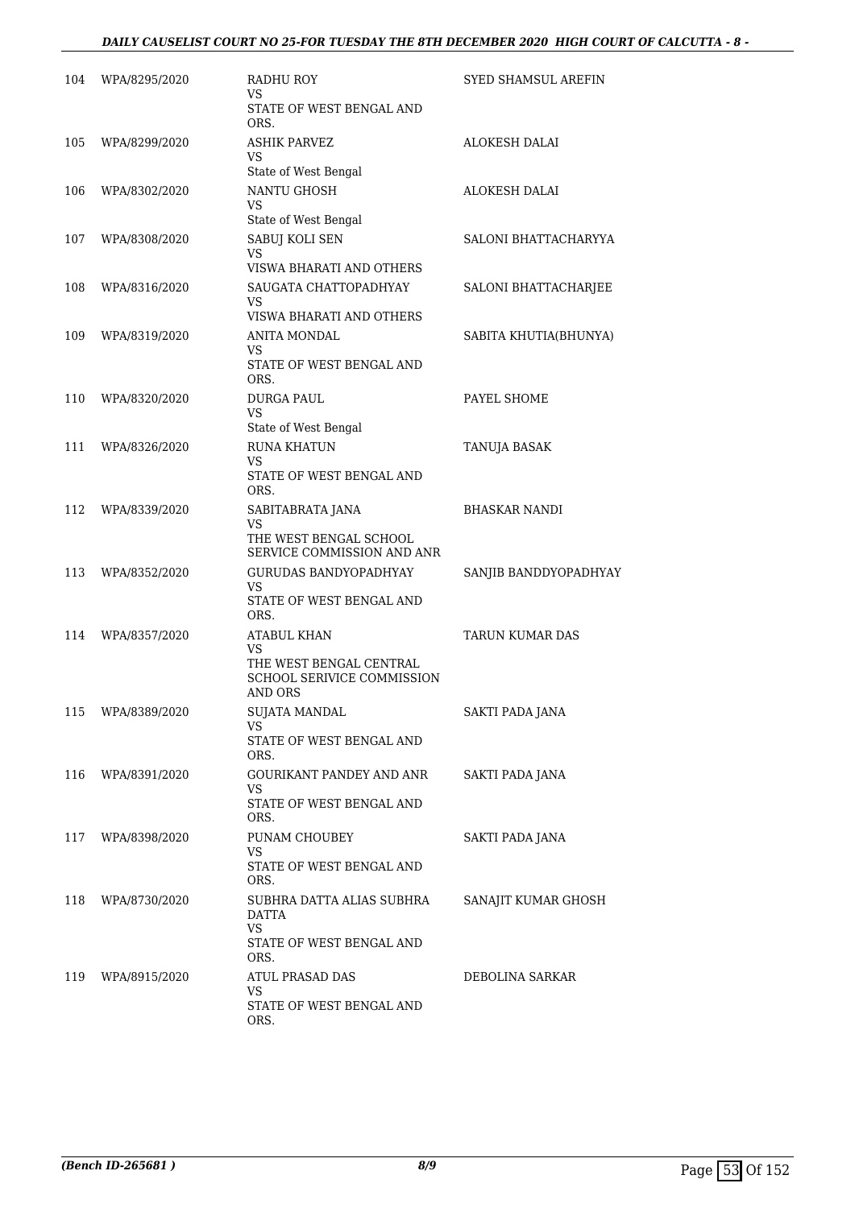| 104 | WPA/8295/2020     | <b>RADHU ROY</b><br>VS                                                  | SYED SHAMSUL AREFIN    |
|-----|-------------------|-------------------------------------------------------------------------|------------------------|
|     |                   | STATE OF WEST BENGAL AND<br>ORS.                                        |                        |
| 105 | WPA/8299/2020     | <b>ASHIK PARVEZ</b><br>VS.                                              | <b>ALOKESH DALAI</b>   |
| 106 | WPA/8302/2020     | State of West Bengal<br>NANTU GHOSH                                     | ALOKESH DALAI          |
|     |                   | VS<br>State of West Bengal                                              |                        |
| 107 | WPA/8308/2020     | SABUJ KOLI SEN<br><b>VS</b><br>VISWA BHARATI AND OTHERS                 | SALONI BHATTACHARYYA   |
| 108 | WPA/8316/2020     | SAUGATA CHATTOPADHYAY<br>VS<br>VISWA BHARATI AND OTHERS                 | SALONI BHATTACHARJEE   |
| 109 | WPA/8319/2020     | ANITA MONDAL                                                            | SABITA KHUTIA(BHUNYA)  |
|     |                   | VS.<br>STATE OF WEST BENGAL AND<br>ORS.                                 |                        |
| 110 | WPA/8320/2020     | <b>DURGA PAUL</b><br>VS<br>State of West Bengal                         | PAYEL SHOME            |
| 111 | WPA/8326/2020     | <b>RUNA KHATUN</b>                                                      | TANUJA BASAK           |
|     |                   | VS<br>STATE OF WEST BENGAL AND<br>ORS.                                  |                        |
| 112 | WPA/8339/2020     | SABITABRATA JANA                                                        | <b>BHASKAR NANDI</b>   |
|     |                   | <b>VS</b><br>THE WEST BENGAL SCHOOL<br>SERVICE COMMISSION AND ANR       |                        |
| 113 | WPA/8352/2020     | <b>GURUDAS BANDYOPADHYAY</b>                                            | SANJIB BANDDYOPADHYAY  |
|     |                   | VS<br>STATE OF WEST BENGAL AND<br>ORS.                                  |                        |
| 114 | WPA/8357/2020     | <b>ATABUL KHAN</b><br>VS                                                | <b>TARUN KUMAR DAS</b> |
|     |                   | THE WEST BENGAL CENTRAL<br><b>SCHOOL SERIVICE COMMISSION</b><br>AND ORS |                        |
|     | 115 WPA/8389/2020 | <b>SUJATA MANDAL</b>                                                    | SAKTI PADA JANA        |
|     |                   | VS.<br>STATE OF WEST BENGAL AND<br>ORS.                                 |                        |
| 116 | WPA/8391/2020     | GOURIKANT PANDEY AND ANR<br>VS.                                         | SAKTI PADA JANA        |
|     |                   | STATE OF WEST BENGAL AND<br>ORS.                                        |                        |
| 117 | WPA/8398/2020     | PUNAM CHOUBEY<br>VS                                                     | SAKTI PADA JANA        |
|     |                   | STATE OF WEST BENGAL AND<br>ORS.                                        |                        |
| 118 | WPA/8730/2020     | SUBHRA DATTA ALIAS SUBHRA<br><b>DATTA</b><br><b>VS</b>                  | SANAJIT KUMAR GHOSH    |
|     |                   | STATE OF WEST BENGAL AND<br>ORS.                                        |                        |
| 119 | WPA/8915/2020     | ATUL PRASAD DAS                                                         | DEBOLINA SARKAR        |
|     |                   | VS<br>STATE OF WEST BENGAL AND<br>ORS.                                  |                        |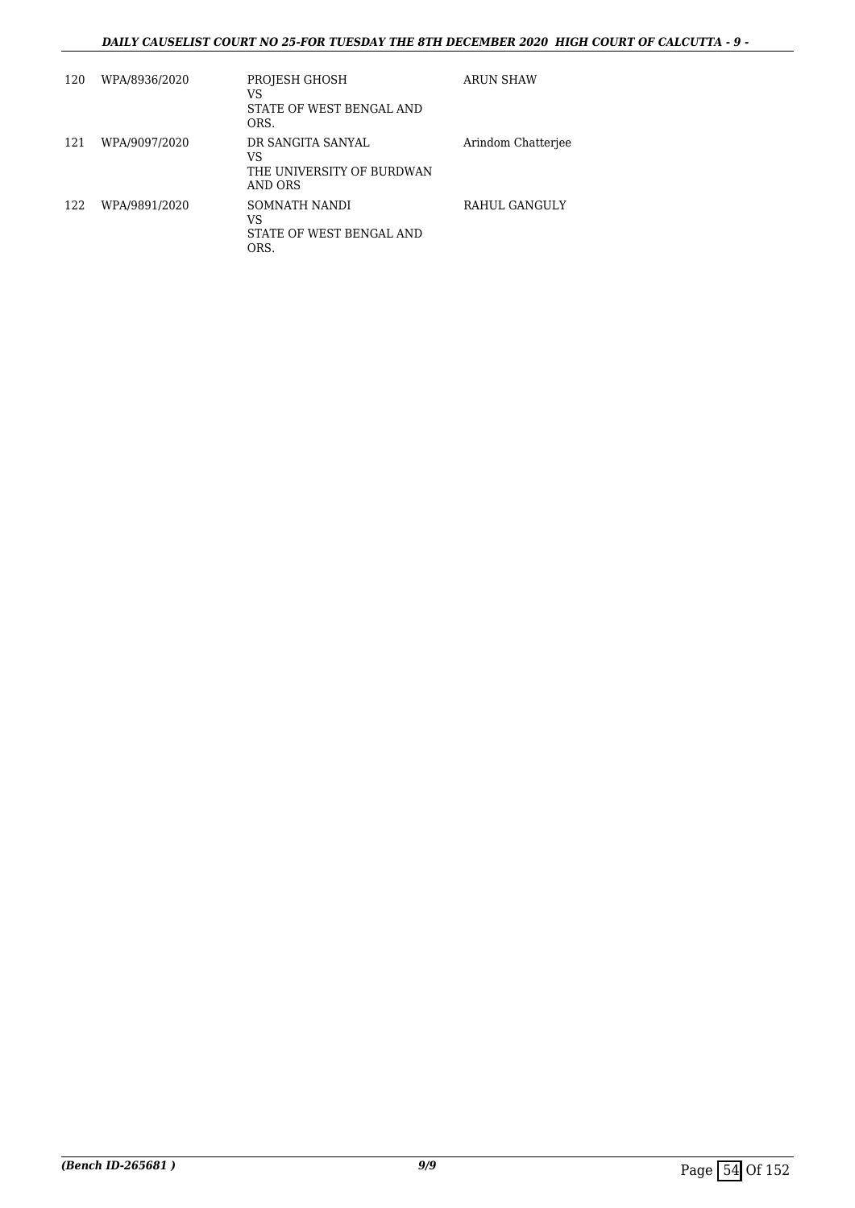### *DAILY CAUSELIST COURT NO 25-FOR TUESDAY THE 8TH DECEMBER 2020 HIGH COURT OF CALCUTTA - 9 -*

| 120 | WPA/8936/2020 | PROJESH GHOSH<br>VS<br>STATE OF WEST BENGAL AND<br>ORS.         | <b>ARUN SHAW</b>   |
|-----|---------------|-----------------------------------------------------------------|--------------------|
| 121 | WPA/9097/2020 | DR SANGITA SANYAL<br>VS<br>THE UNIVERSITY OF BURDWAN<br>AND ORS | Arindom Chatteriee |
| 122 | WPA/9891/2020 | SOMNATH NANDI<br>VS<br>STATE OF WEST BENGAL AND<br>ORS.         | RAHUL GANGULY      |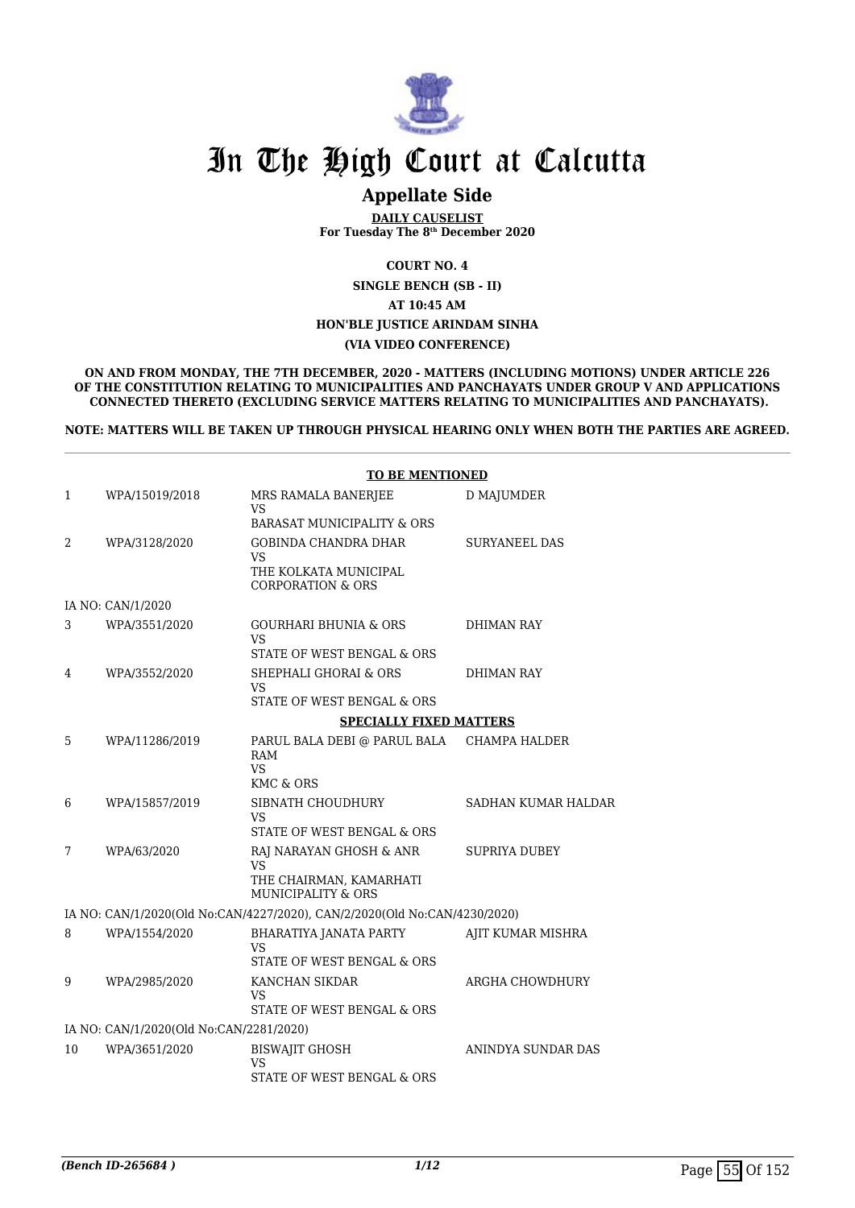

# **Appellate Side**

**DAILY CAUSELIST For Tuesday The 8th December 2020**

**COURT NO. 4**

**SINGLE BENCH (SB - II)**

**AT 10:45 AM**

**HON'BLE JUSTICE ARINDAM SINHA**

#### **(VIA VIDEO CONFERENCE)**

**ON AND FROM MONDAY, THE 7TH DECEMBER, 2020 - MATTERS (INCLUDING MOTIONS) UNDER ARTICLE 226 OF THE CONSTITUTION RELATING TO MUNICIPALITIES AND PANCHAYATS UNDER GROUP V AND APPLICATIONS CONNECTED THERETO (EXCLUDING SERVICE MATTERS RELATING TO MUNICIPALITIES AND PANCHAYATS).**

**NOTE: MATTERS WILL BE TAKEN UP THROUGH PHYSICAL HEARING ONLY WHEN BOTH THE PARTIES ARE AGREED.**

|    |                                         | <b>TO BE MENTIONED</b>                                                                           |                      |
|----|-----------------------------------------|--------------------------------------------------------------------------------------------------|----------------------|
| 1  | WPA/15019/2018                          | MRS RAMALA BANERJEE<br>VS                                                                        | D MAJUMDER           |
|    |                                         | BARASAT MUNICIPALITY & ORS                                                                       |                      |
| 2  | WPA/3128/2020                           | <b>GOBINDA CHANDRA DHAR</b><br>VS<br>THE KOLKATA MUNICIPAL<br><b>CORPORATION &amp; ORS</b>       | SURYANEEL DAS        |
|    | IA NO: CAN/1/2020                       |                                                                                                  |                      |
| 3  | WPA/3551/2020                           | <b>GOURHARI BHUNIA &amp; ORS</b><br><b>VS</b><br>STATE OF WEST BENGAL & ORS                      | <b>DHIMAN RAY</b>    |
| 4  | WPA/3552/2020                           | SHEPHALI GHORAI & ORS<br>VS<br>STATE OF WEST BENGAL & ORS                                        | DHIMAN RAY           |
|    |                                         | <b>SPECIALLY FIXED MATTERS</b>                                                                   |                      |
| 5  | WPA/11286/2019                          | PARUL BALA DEBI @ PARUL BALA                                                                     | CHAMPA HALDER        |
|    |                                         | RAM<br><b>VS</b><br>KMC & ORS                                                                    |                      |
| 6  | WPA/15857/2019                          | SIBNATH CHOUDHURY<br>VS<br>STATE OF WEST BENGAL & ORS                                            | SADHAN KUMAR HALDAR  |
| 7  | WPA/63/2020                             | RAJ NARAYAN GHOSH & ANR<br><b>VS</b><br>THE CHAIRMAN, KAMARHATI<br><b>MUNICIPALITY &amp; ORS</b> | <b>SUPRIYA DUBEY</b> |
|    |                                         | IA NO: CAN/1/2020(Old No:CAN/4227/2020), CAN/2/2020(Old No:CAN/4230/2020)                        |                      |
| 8  | WPA/1554/2020                           | BHARATIYA JANATA PARTY<br><b>VS</b><br>STATE OF WEST BENGAL & ORS                                | AJIT KUMAR MISHRA    |
| 9  | WPA/2985/2020                           | KANCHAN SIKDAR<br>VS<br>STATE OF WEST BENGAL & ORS                                               | ARGHA CHOWDHURY      |
|    | IA NO: CAN/1/2020(Old No:CAN/2281/2020) |                                                                                                  |                      |
| 10 | WPA/3651/2020                           | <b>BISWAJIT GHOSH</b><br><b>VS</b><br>STATE OF WEST BENGAL & ORS                                 | ANINDYA SUNDAR DAS   |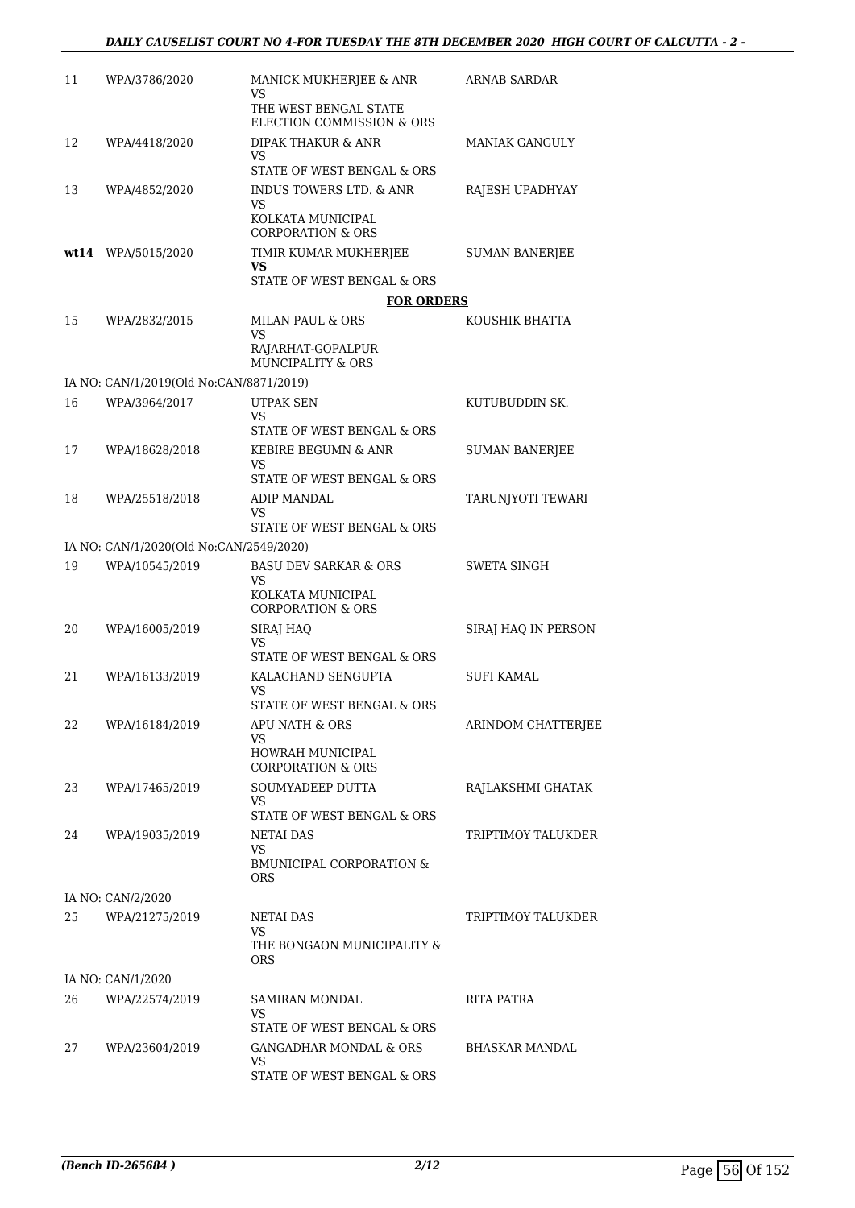| 11 | WPA/3786/2020                           | MANICK MUKHERJEE & ANR<br>VS                             | ARNAB SARDAR          |
|----|-----------------------------------------|----------------------------------------------------------|-----------------------|
|    |                                         | THE WEST BENGAL STATE<br>ELECTION COMMISSION & ORS       |                       |
| 12 | WPA/4418/2020                           | DIPAK THAKUR & ANR<br>VS                                 | <b>MANIAK GANGULY</b> |
|    |                                         | STATE OF WEST BENGAL & ORS                               |                       |
| 13 | WPA/4852/2020                           | <b>INDUS TOWERS LTD. &amp; ANR</b><br>VS                 | RAJESH UPADHYAY       |
|    |                                         | KOLKATA MUNICIPAL<br><b>CORPORATION &amp; ORS</b>        |                       |
|    | wt14 WPA/5015/2020                      | TIMIR KUMAR MUKHERJEE<br>VS                              | <b>SUMAN BANERJEE</b> |
|    |                                         | STATE OF WEST BENGAL & ORS                               |                       |
|    |                                         | <b>FOR ORDERS</b>                                        |                       |
| 15 | WPA/2832/2015                           | MILAN PAUL & ORS<br>VS<br>RAJARHAT-GOPALPUR              | KOUSHIK BHATTA        |
|    |                                         | MUNCIPALITY & ORS                                        |                       |
|    | IA NO: CAN/1/2019(Old No:CAN/8871/2019) |                                                          |                       |
| 16 | WPA/3964/2017                           | <b>UTPAK SEN</b><br>VS.                                  | KUTUBUDDIN SK.        |
|    |                                         | STATE OF WEST BENGAL & ORS                               |                       |
| 17 | WPA/18628/2018                          | KEBIRE BEGUMN & ANR<br>VS                                | <b>SUMAN BANERJEE</b> |
|    |                                         | STATE OF WEST BENGAL & ORS                               |                       |
| 18 | WPA/25518/2018                          | ADIP MANDAL                                              | TARUNJYOTI TEWARI     |
|    |                                         | VS.<br>STATE OF WEST BENGAL & ORS                        |                       |
|    | IA NO: CAN/1/2020(Old No:CAN/2549/2020) |                                                          |                       |
| 19 | WPA/10545/2019                          | <b>BASU DEV SARKAR &amp; ORS</b>                         | SWETA SINGH           |
|    |                                         | VS.<br>KOLKATA MUNICIPAL<br><b>CORPORATION &amp; ORS</b> |                       |
| 20 | WPA/16005/2019                          | SIRAJ HAQ<br>VS                                          | SIRAJ HAQ IN PERSON   |
| 21 | WPA/16133/2019                          | STATE OF WEST BENGAL & ORS<br>KALACHAND SENGUPTA         | <b>SUFI KAMAL</b>     |
|    |                                         | VS.<br>STATE OF WEST BENGAL & ORS                        |                       |
| 22 | WPA/16184/2019                          | APU NATH & ORS                                           | ARINDOM CHATTERJEE    |
|    |                                         | VS.<br>HOWRAH MUNICIPAL<br><b>CORPORATION &amp; ORS</b>  |                       |
| 23 | WPA/17465/2019                          | SOUMYADEEP DUTTA                                         | RAJLAKSHMI GHATAK     |
|    |                                         | VS.<br>STATE OF WEST BENGAL & ORS                        |                       |
| 24 | WPA/19035/2019                          | <b>NETAI DAS</b>                                         | TRIPTIMOY TALUKDER    |
|    |                                         | VS<br><b>BMUNICIPAL CORPORATION &amp;</b><br><b>ORS</b>  |                       |
|    | IA NO: CAN/2/2020                       |                                                          |                       |
| 25 | WPA/21275/2019                          | NETAI DAS                                                | TRIPTIMOY TALUKDER    |
|    |                                         | VS.<br>THE BONGAON MUNICIPALITY &<br><b>ORS</b>          |                       |
|    | IA NO: CAN/1/2020                       |                                                          |                       |
| 26 | WPA/22574/2019                          | SAMIRAN MONDAL                                           | RITA PATRA            |
|    |                                         | VS<br>STATE OF WEST BENGAL & ORS                         |                       |
| 27 | WPA/23604/2019                          | GANGADHAR MONDAL & ORS                                   | BHASKAR MANDAL        |
|    |                                         | VS.                                                      |                       |
|    |                                         | STATE OF WEST BENGAL & ORS                               |                       |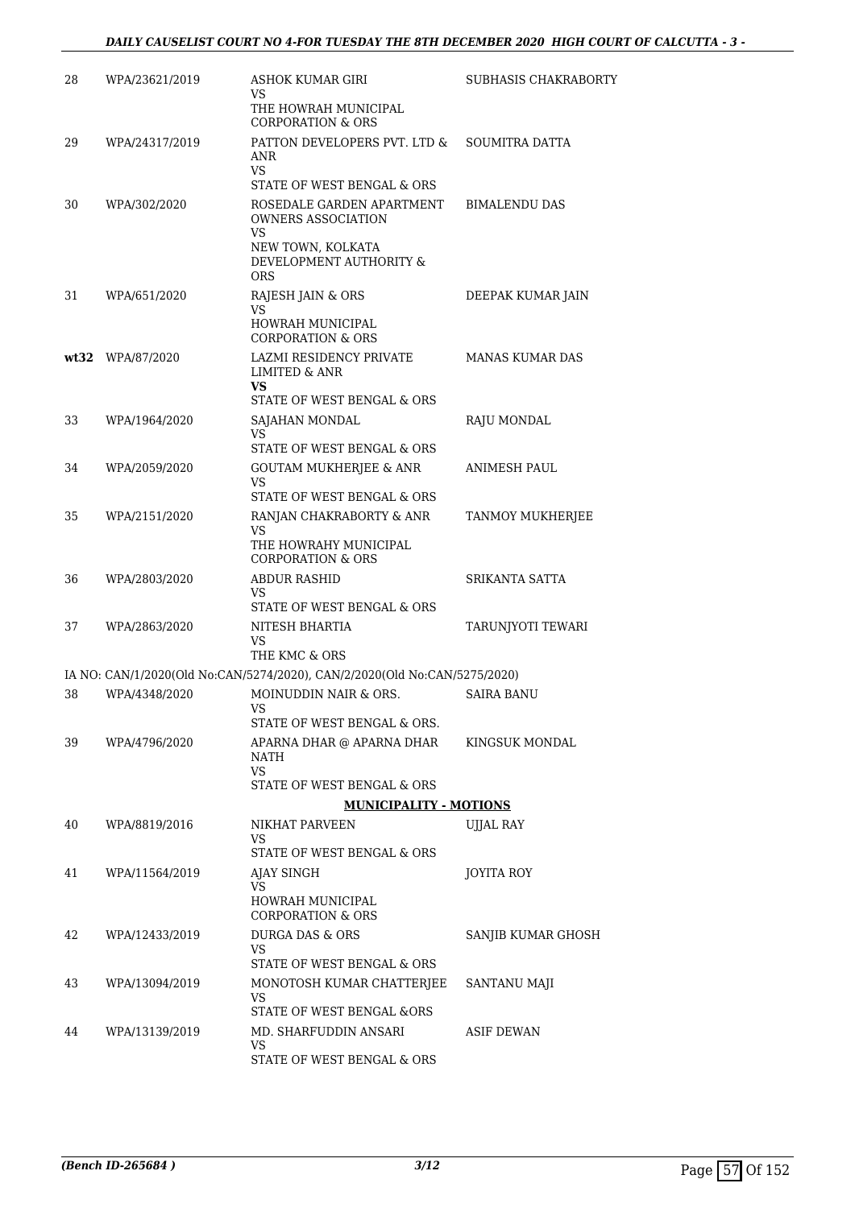| 28 | WPA/23621/2019   | ASHOK KUMAR GIRI<br>VS<br>THE HOWRAH MUNICIPAL                            | SUBHASIS CHAKRABORTY   |
|----|------------------|---------------------------------------------------------------------------|------------------------|
|    |                  | <b>CORPORATION &amp; ORS</b>                                              |                        |
| 29 | WPA/24317/2019   | PATTON DEVELOPERS PVT. LTD &<br>ANR<br>VS                                 | SOUMITRA DATTA         |
|    |                  | STATE OF WEST BENGAL & ORS                                                |                        |
| 30 | WPA/302/2020     | ROSEDALE GARDEN APARTMENT<br><b>OWNERS ASSOCIATION</b><br>VS              | <b>BIMALENDU DAS</b>   |
|    |                  | NEW TOWN, KOLKATA<br>DEVELOPMENT AUTHORITY &<br><b>ORS</b>                |                        |
| 31 | WPA/651/2020     | RAJESH JAIN & ORS<br>VS.<br>HOWRAH MUNICIPAL                              | DEEPAK KUMAR JAIN      |
|    |                  | <b>CORPORATION &amp; ORS</b>                                              |                        |
|    | wt32 WPA/87/2020 | <b>LAZMI RESIDENCY PRIVATE</b><br><b>LIMITED &amp; ANR</b><br>VS          | <b>MANAS KUMAR DAS</b> |
| 33 | WPA/1964/2020    | STATE OF WEST BENGAL & ORS<br>SAJAHAN MONDAL                              | RAJU MONDAL            |
|    |                  | VS                                                                        |                        |
|    |                  | STATE OF WEST BENGAL & ORS                                                |                        |
| 34 | WPA/2059/2020    | <b>GOUTAM MUKHERIEE &amp; ANR</b><br>VS                                   | ANIMESH PAUL           |
|    |                  | STATE OF WEST BENGAL & ORS                                                |                        |
| 35 | WPA/2151/2020    | RANJAN CHAKRABORTY & ANR<br>VS<br>THE HOWRAHY MUNICIPAL                   | TANMOY MUKHERJEE       |
|    |                  | <b>CORPORATION &amp; ORS</b>                                              |                        |
| 36 | WPA/2803/2020    | <b>ABDUR RASHID</b><br>VS<br>STATE OF WEST BENGAL & ORS                   | SRIKANTA SATTA         |
| 37 | WPA/2863/2020    | NITESH BHARTIA<br>VS                                                      | TARUNJYOTI TEWARI      |
|    |                  | THE KMC & ORS                                                             |                        |
|    |                  | IA NO: CAN/1/2020(Old No:CAN/5274/2020), CAN/2/2020(Old No:CAN/5275/2020) |                        |
| 38 | WPA/4348/2020    | MOINUDDIN NAIR & ORS.<br>VS                                               | SAIRA BANU             |
|    |                  | STATE OF WEST BENGAL & ORS.                                               |                        |
| 39 | WPA/4796/2020    | APARNA DHAR @ APARNA DHAR<br>NATH<br>VS                                   | KINGSUK MONDAL         |
|    |                  | STATE OF WEST BENGAL & ORS                                                |                        |
|    |                  | <b>MUNICIPALITY - MOTIONS</b>                                             |                        |
| 40 | WPA/8819/2016    | NIKHAT PARVEEN<br>VS                                                      | UJJAL RAY              |
|    |                  | STATE OF WEST BENGAL & ORS                                                |                        |
| 41 | WPA/11564/2019   | AJAY SINGH<br>VS                                                          | JOYITA ROY             |
|    |                  | HOWRAH MUNICIPAL<br><b>CORPORATION &amp; ORS</b>                          |                        |
| 42 | WPA/12433/2019   | <b>DURGA DAS &amp; ORS</b><br>VS                                          | SANJIB KUMAR GHOSH     |
| 43 | WPA/13094/2019   | STATE OF WEST BENGAL & ORS<br>MONOTOSH KUMAR CHATTERJEE                   | SANTANU MAJI           |
|    |                  | VS<br>STATE OF WEST BENGAL &ORS                                           |                        |
| 44 | WPA/13139/2019   | MD. SHARFUDDIN ANSARI                                                     | ASIF DEWAN             |
|    |                  | VS<br>STATE OF WEST BENGAL & ORS                                          |                        |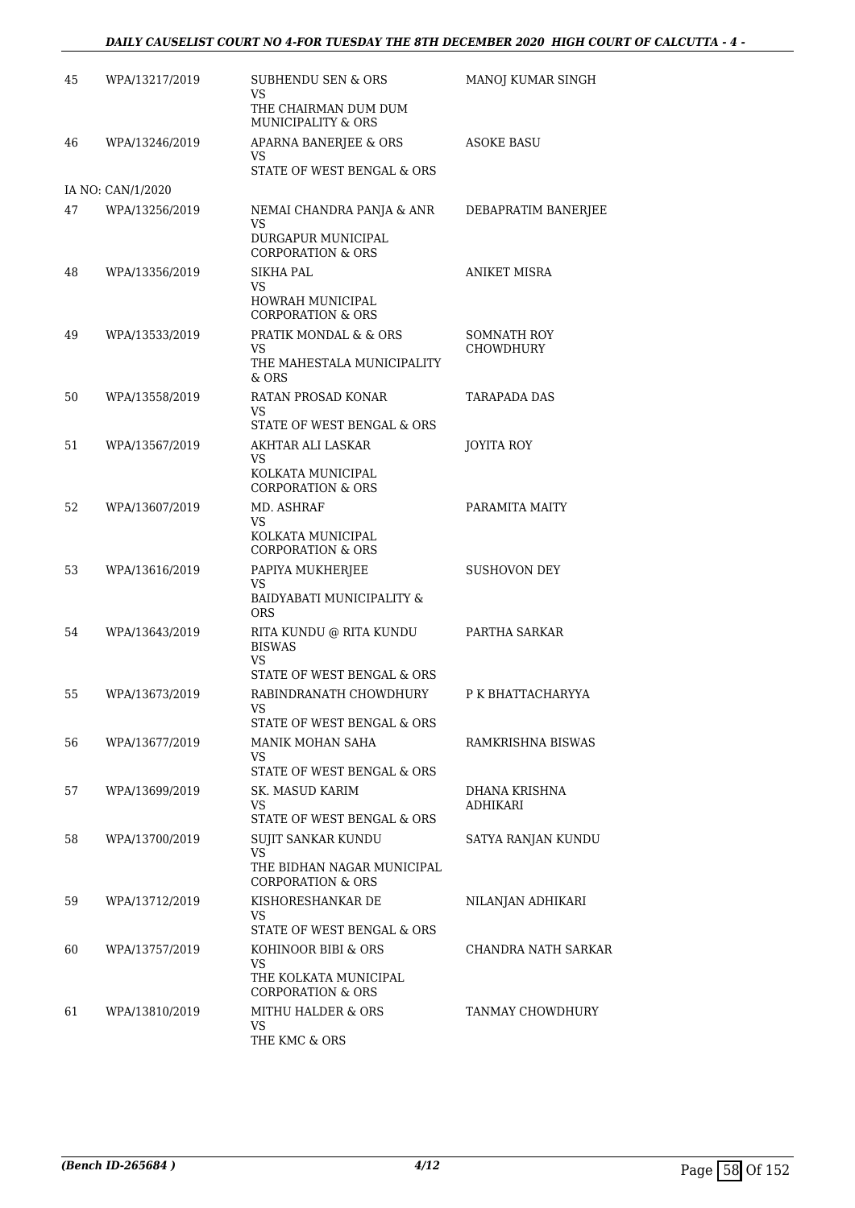### *DAILY CAUSELIST COURT NO 4-FOR TUESDAY THE 8TH DECEMBER 2020 HIGH COURT OF CALCUTTA - 4 -*

| 45 | WPA/13217/2019    | SUBHENDU SEN & ORS<br>VS<br>THE CHAIRMAN DUM DUM                                                                     | MANOJ KUMAR SINGH               |
|----|-------------------|----------------------------------------------------------------------------------------------------------------------|---------------------------------|
| 46 | WPA/13246/2019    | MUNICIPALITY & ORS<br>APARNA BANERJEE & ORS<br>VS                                                                    | ASOKE BASU                      |
|    | IA NO: CAN/1/2020 | STATE OF WEST BENGAL & ORS                                                                                           |                                 |
| 47 | WPA/13256/2019    | NEMAI CHANDRA PANJA & ANR<br>VS                                                                                      | DEBAPRATIM BANERJEE             |
|    |                   | DURGAPUR MUNICIPAL<br><b>CORPORATION &amp; ORS</b>                                                                   |                                 |
| 48 | WPA/13356/2019    | SIKHA PAL                                                                                                            | ANIKET MISRA                    |
|    |                   | VS<br>HOWRAH MUNICIPAL<br><b>CORPORATION &amp; ORS</b>                                                               |                                 |
| 49 | WPA/13533/2019    | PRATIK MONDAL & & ORS<br>VS<br>THE MAHESTALA MUNICIPALITY<br>& ORS                                                   | SOMNATH ROY<br><b>CHOWDHURY</b> |
| 50 | WPA/13558/2019    | RATAN PROSAD KONAR<br>VS                                                                                             | TARAPADA DAS                    |
|    |                   | STATE OF WEST BENGAL & ORS                                                                                           |                                 |
| 51 | WPA/13567/2019    | AKHTAR ALI LASKAR<br>VS<br>KOLKATA MUNICIPAL<br><b>CORPORATION &amp; ORS</b>                                         | JOYITA ROY                      |
| 52 | WPA/13607/2019    | MD. ASHRAF<br>VS<br>KOLKATA MUNICIPAL<br><b>CORPORATION &amp; ORS</b>                                                | PARAMITA MAITY                  |
| 53 | WPA/13616/2019    | PAPIYA MUKHERJEE<br>VS<br>BAIDYABATI MUNICIPALITY &<br><b>ORS</b>                                                    | <b>SUSHOVON DEY</b>             |
| 54 | WPA/13643/2019    | RITA KUNDU @ RITA KUNDU<br><b>BISWAS</b><br>VS                                                                       | PARTHA SARKAR                   |
|    |                   | STATE OF WEST BENGAL & ORS                                                                                           |                                 |
| 55 | WPA/13673/2019    | RABINDRANATH CHOWDHURY<br>VS –<br>STATE OF WEST BENGAL & ORS                                                         | P K BHATTACHARYYA               |
| 56 | WPA/13677/2019    | MANIK MOHAN SAHA<br>VS<br>STATE OF WEST BENGAL & ORS                                                                 | RAMKRISHNA BISWAS               |
| 57 | WPA/13699/2019    | SK. MASUD KARIM<br>VS                                                                                                | DHANA KRISHNA<br>ADHIKARI       |
| 58 | WPA/13700/2019    | STATE OF WEST BENGAL & ORS<br>SUJIT SANKAR KUNDU<br>VS<br>THE BIDHAN NAGAR MUNICIPAL<br><b>CORPORATION &amp; ORS</b> | SATYA RANJAN KUNDU              |
| 59 | WPA/13712/2019    | KISHORESHANKAR DE<br>VS<br>STATE OF WEST BENGAL & ORS                                                                | NILANJAN ADHIKARI               |
| 60 | WPA/13757/2019    | KOHINOOR BIBI & ORS<br>VS<br>THE KOLKATA MUNICIPAL                                                                   | CHANDRA NATH SARKAR             |
|    |                   | <b>CORPORATION &amp; ORS</b>                                                                                         |                                 |
| 61 | WPA/13810/2019    | MITHU HALDER & ORS<br>VS<br>THE KMC & ORS                                                                            | TANMAY CHOWDHURY                |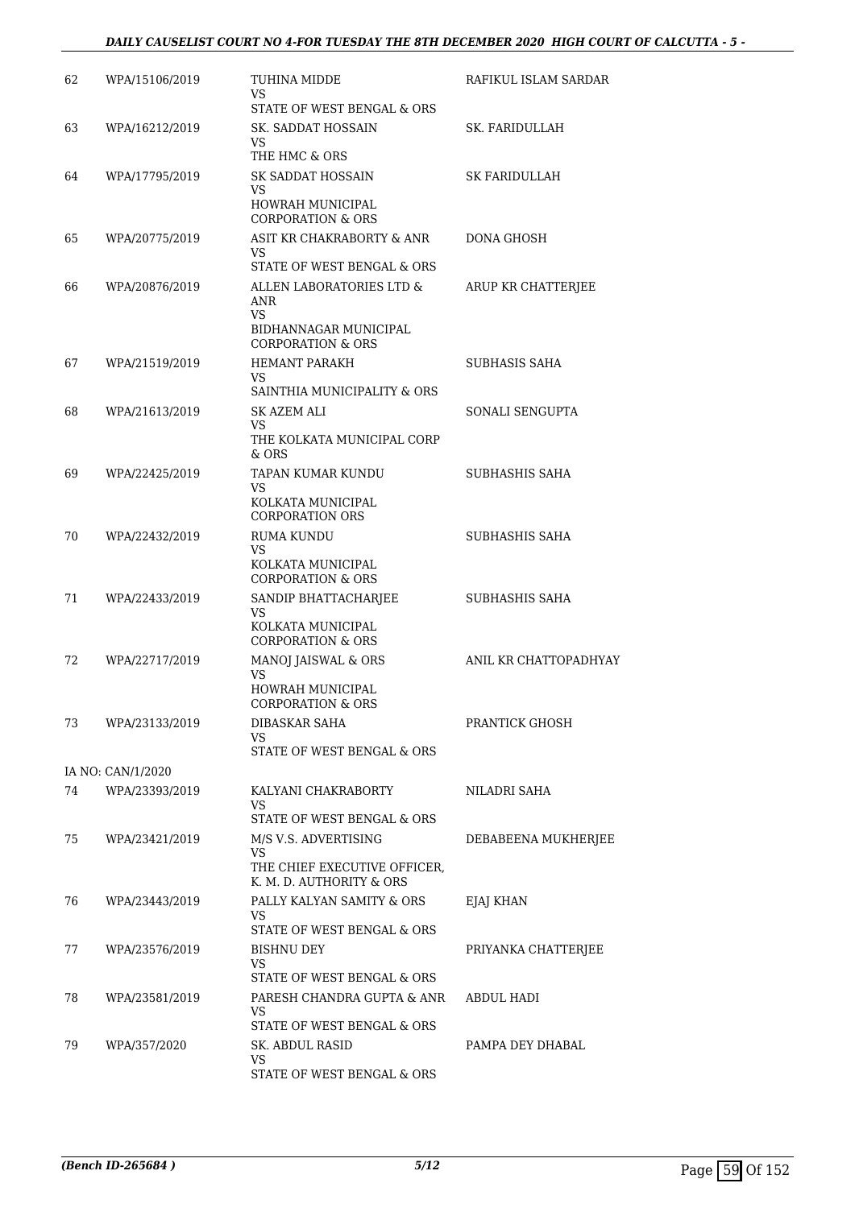| STATE OF WEST BENGAL & ORS<br>63<br>SK. SADDAT HOSSAIN<br>WPA/16212/2019<br>SK. FARIDULLAH<br>VS<br>THE HMC & ORS<br>SK SADDAT HOSSAIN<br>64<br>WPA/17795/2019<br>SK FARIDULLAH<br>VS<br><b>HOWRAH MUNICIPAL</b><br><b>CORPORATION &amp; ORS</b> |                       |
|--------------------------------------------------------------------------------------------------------------------------------------------------------------------------------------------------------------------------------------------------|-----------------------|
|                                                                                                                                                                                                                                                  |                       |
|                                                                                                                                                                                                                                                  |                       |
|                                                                                                                                                                                                                                                  |                       |
|                                                                                                                                                                                                                                                  |                       |
| 65<br>WPA/20775/2019<br>ASIT KR CHAKRABORTY & ANR<br>DONA GHOSH<br>VS.                                                                                                                                                                           |                       |
| STATE OF WEST BENGAL & ORS<br>ALLEN LABORATORIES LTD &<br>66<br>WPA/20876/2019<br>ARUP KR CHATTERJEE<br>ANR<br>VS.<br>BIDHANNAGAR MUNICIPAL                                                                                                      |                       |
| <b>CORPORATION &amp; ORS</b><br><b>HEMANT PARAKH</b><br>SUBHASIS SAHA<br>67<br>WPA/21519/2019<br>VS.                                                                                                                                             |                       |
| SAINTHIA MUNICIPALITY & ORS<br>SONALI SENGUPTA<br>68<br>WPA/21613/2019<br>SK AZEM ALI                                                                                                                                                            |                       |
| VS<br>THE KOLKATA MUNICIPAL CORP<br>& ORS                                                                                                                                                                                                        |                       |
| WPA/22425/2019<br>TAPAN KUMAR KUNDU<br>SUBHASHIS SAHA<br>69<br>VS                                                                                                                                                                                |                       |
| KOLKATA MUNICIPAL<br><b>CORPORATION ORS</b>                                                                                                                                                                                                      |                       |
| <b>RUMA KUNDU</b><br>SUBHASHIS SAHA<br>70<br>WPA/22432/2019<br>VS                                                                                                                                                                                |                       |
| KOLKATA MUNICIPAL<br>CORPORATION & ORS                                                                                                                                                                                                           |                       |
| SANDIP BHATTACHARJEE<br>71<br>WPA/22433/2019<br>SUBHASHIS SAHA<br>VS                                                                                                                                                                             |                       |
| KOLKATA MUNICIPAL<br><b>CORPORATION &amp; ORS</b>                                                                                                                                                                                                |                       |
| MANOJ JAISWAL & ORS<br>72<br>WPA/22717/2019<br><b>VS</b>                                                                                                                                                                                         | ANIL KR CHATTOPADHYAY |
| HOWRAH MUNICIPAL<br>CORPORATION & ORS                                                                                                                                                                                                            |                       |
| <b>DIBASKAR SAHA</b><br>PRANTICK GHOSH<br>73<br>WPA/23133/2019<br>VS                                                                                                                                                                             |                       |
| STATE OF WEST BENGAL & ORS                                                                                                                                                                                                                       |                       |
| IA NO: CAN/1/2020<br>74<br>WPA/23393/2019<br>KALYANI CHAKRABORTY<br>NILADRI SAHA                                                                                                                                                                 |                       |
| VS                                                                                                                                                                                                                                               |                       |
| STATE OF WEST BENGAL & ORS<br>75<br>WPA/23421/2019<br>M/S V.S. ADVERTISING                                                                                                                                                                       | DEBABEENA MUKHERJEE   |
| VS.<br>THE CHIEF EXECUTIVE OFFICER,<br>K. M. D. AUTHORITY & ORS                                                                                                                                                                                  |                       |
| PALLY KALYAN SAMITY & ORS<br>76<br>WPA/23443/2019<br>EJAJ KHAN<br>VS                                                                                                                                                                             |                       |
| STATE OF WEST BENGAL & ORS<br>77<br>WPA/23576/2019<br>BISHNU DEY<br>PRIYANKA CHATTERJEE                                                                                                                                                          |                       |
| VS.<br>STATE OF WEST BENGAL & ORS                                                                                                                                                                                                                |                       |
| 78<br>WPA/23581/2019<br>PARESH CHANDRA GUPTA & ANR<br>ABDUL HADI                                                                                                                                                                                 |                       |
| VS<br>STATE OF WEST BENGAL & ORS                                                                                                                                                                                                                 |                       |
| PAMPA DEY DHABAL<br>79<br>WPA/357/2020<br>SK. ABDUL RASID                                                                                                                                                                                        |                       |
| VS<br>STATE OF WEST BENGAL & ORS                                                                                                                                                                                                                 |                       |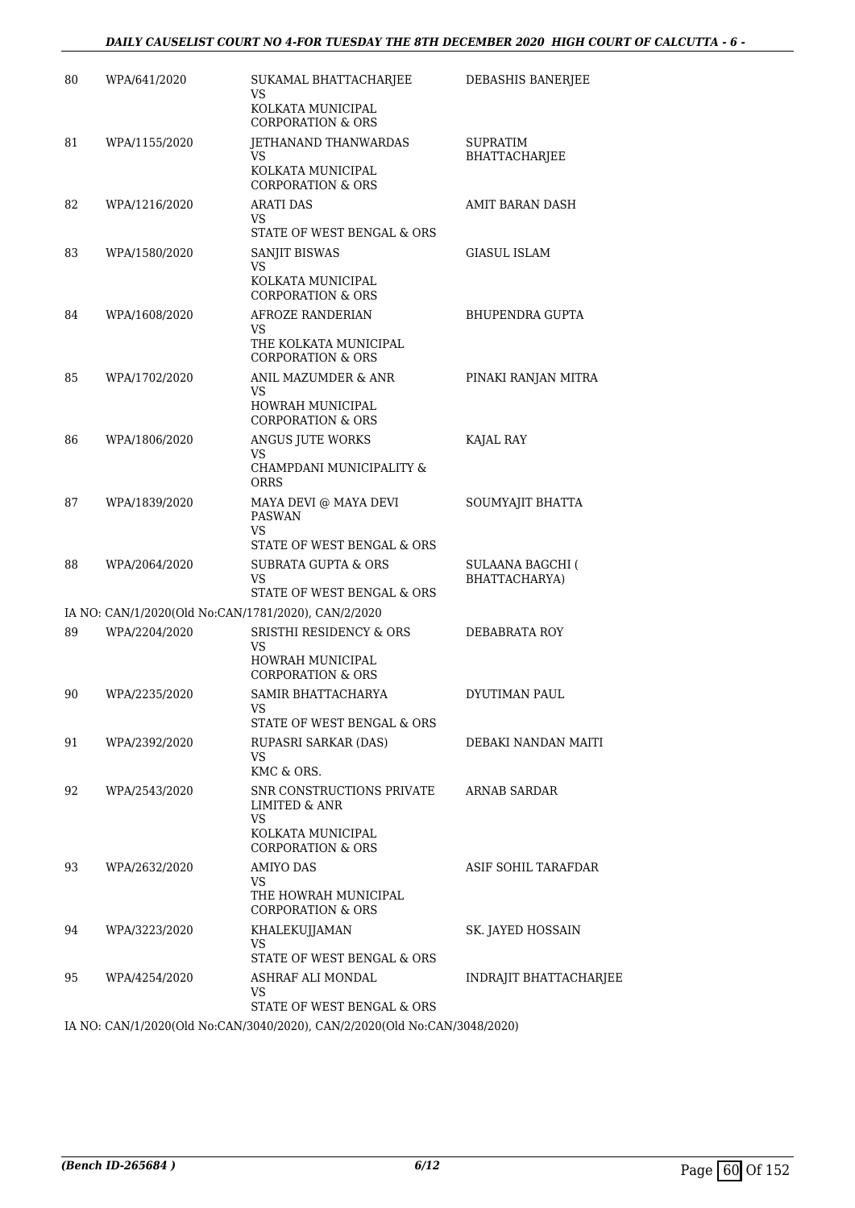| 80 | WPA/641/2020  | SUKAMAL BHATTACHARJEE<br>VS<br>KOLKATA MUNICIPAL<br><b>CORPORATION &amp; ORS</b>                       | DEBASHIS BANERJEE                        |
|----|---------------|--------------------------------------------------------------------------------------------------------|------------------------------------------|
| 81 | WPA/1155/2020 | JETHANAND THANWARDAS<br>VS<br>KOLKATA MUNICIPAL<br><b>CORPORATION &amp; ORS</b>                        | <b>SUPRATIM</b><br>BHATTACHARJEE         |
| 82 | WPA/1216/2020 | ARATI DAS<br>VS<br>STATE OF WEST BENGAL & ORS                                                          | AMIT BARAN DASH                          |
| 83 | WPA/1580/2020 | SANJIT BISWAS<br><b>VS</b><br>KOLKATA MUNICIPAL<br><b>CORPORATION &amp; ORS</b>                        | <b>GIASUL ISLAM</b>                      |
| 84 | WPA/1608/2020 | AFROZE RANDERIAN<br>VS<br>THE KOLKATA MUNICIPAL<br><b>CORPORATION &amp; ORS</b>                        | BHUPENDRA GUPTA                          |
| 85 | WPA/1702/2020 | ANIL MAZUMDER & ANR<br>VS.<br>HOWRAH MUNICIPAL<br><b>CORPORATION &amp; ORS</b>                         | PINAKI RANJAN MITRA                      |
| 86 | WPA/1806/2020 | ANGUS JUTE WORKS<br>VS<br>CHAMPDANI MUNICIPALITY &<br>ORRS                                             | KAJAL RAY                                |
| 87 | WPA/1839/2020 | MAYA DEVI @ MAYA DEVI<br><b>PASWAN</b><br>VS<br>STATE OF WEST BENGAL & ORS                             | SOUMYAJIT BHATTA                         |
| 88 | WPA/2064/2020 | SUBRATA GUPTA & ORS<br>VS<br>STATE OF WEST BENGAL & ORS                                                | <b>SULAANA BAGCHI (</b><br>BHATTACHARYA) |
|    |               | IA NO: CAN/1/2020(Old No:CAN/1781/2020), CAN/2/2020                                                    |                                          |
| 89 | WPA/2204/2020 | <b>SRISTHI RESIDENCY &amp; ORS</b><br>VS<br>HOWRAH MUNICIPAL<br><b>CORPORATION &amp; ORS</b>           | DEBABRATA ROY                            |
| 90 | WPA/2235/2020 | SAMIR BHATTACHARYA<br>VS –<br>STATE OF WEST BENGAL & ORS                                               | DYUTIMAN PAUL                            |
| 91 | WPA/2392/2020 | RUPASRI SARKAR (DAS)<br>VS<br>KMC & ORS.                                                               | DEBAKI NANDAN MAITI                      |
| 92 | WPA/2543/2020 | SNR CONSTRUCTIONS PRIVATE<br>LIMITED & ANR<br>VS.<br>KOLKATA MUNICIPAL<br><b>CORPORATION &amp; ORS</b> | ARNAB SARDAR                             |
| 93 | WPA/2632/2020 | <b>AMIYO DAS</b><br>VS.<br>THE HOWRAH MUNICIPAL<br><b>CORPORATION &amp; ORS</b>                        | ASIF SOHIL TARAFDAR                      |
| 94 | WPA/3223/2020 | KHALEKUJJAMAN<br>VS<br>STATE OF WEST BENGAL & ORS                                                      | SK. JAYED HOSSAIN                        |
| 95 | WPA/4254/2020 | ASHRAF ALI MONDAL<br>VS<br>STATE OF WEST BENGAL & ORS                                                  | INDRAJIT BHATTACHARJEE                   |
|    |               | IA MO. CANIH 12020(OL No CANI204012020), CANI2020(OL No CANI204912020)                                 |                                          |

IA NO: CAN/1/2020(Old No:CAN/3040/2020), CAN/2/2020(Old No:CAN/3048/2020)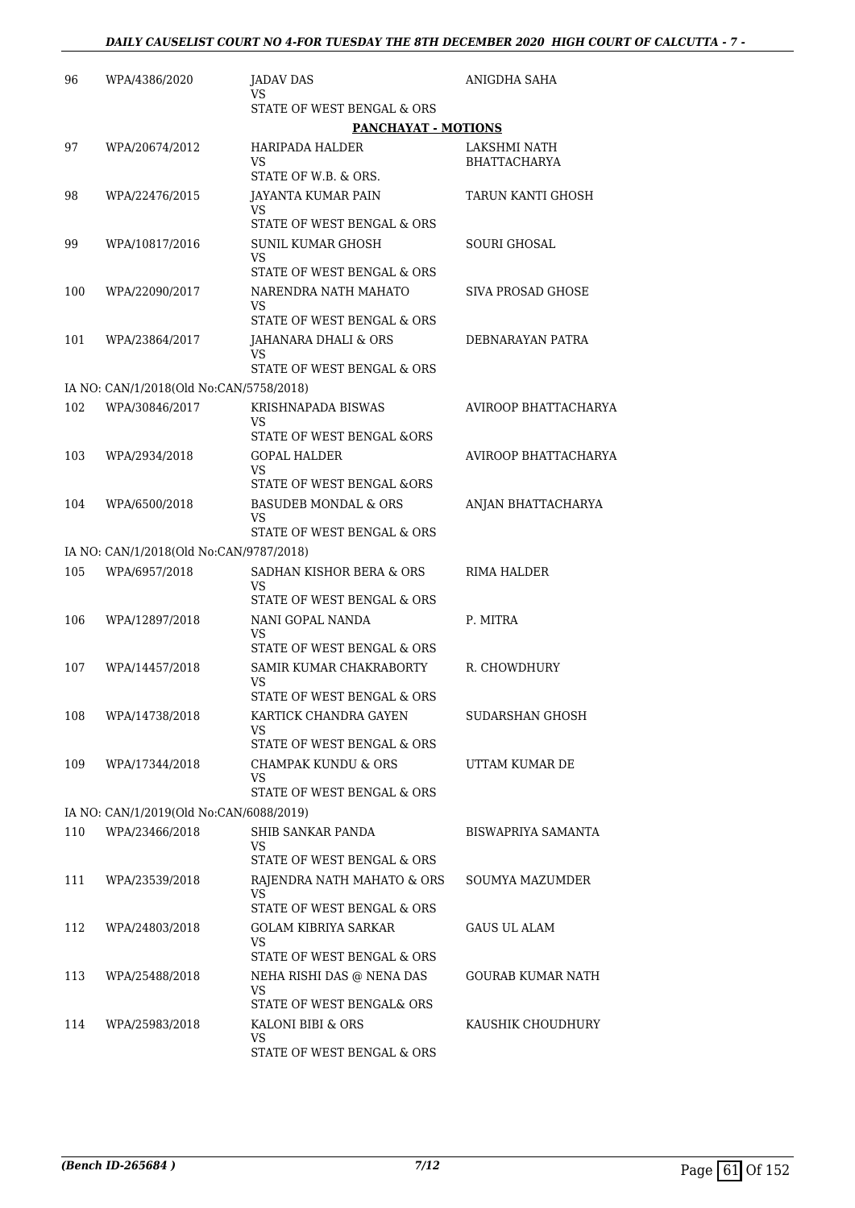| 96  | WPA/4386/2020                                            | JADAV DAS<br>VS                                                                             | ANIGDHA SAHA                        |
|-----|----------------------------------------------------------|---------------------------------------------------------------------------------------------|-------------------------------------|
|     |                                                          | STATE OF WEST BENGAL & ORS                                                                  |                                     |
|     |                                                          | <b>PANCHAYAT - MOTIONS</b>                                                                  |                                     |
| 97  | WPA/20674/2012                                           | <b>HARIPADA HALDER</b><br>VS.<br>STATE OF W.B. & ORS.                                       | LAKSHMI NATH<br><b>BHATTACHARYA</b> |
| 98  | WPA/22476/2015                                           | JAYANTA KUMAR PAIN<br>VS                                                                    | TARUN KANTI GHOSH                   |
|     |                                                          | STATE OF WEST BENGAL & ORS                                                                  |                                     |
| 99  | WPA/10817/2016                                           | <b>SUNIL KUMAR GHOSH</b><br>VS<br>STATE OF WEST BENGAL & ORS                                | <b>SOURI GHOSAL</b>                 |
| 100 | WPA/22090/2017                                           | NARENDRA NATH MAHATO<br>VS<br>STATE OF WEST BENGAL & ORS                                    | SIVA PROSAD GHOSE                   |
| 101 | WPA/23864/2017                                           | JAHANARA DHALI & ORS<br>VS                                                                  | DEBNARAYAN PATRA                    |
|     |                                                          | STATE OF WEST BENGAL & ORS                                                                  |                                     |
|     | IA NO: CAN/1/2018(Old No:CAN/5758/2018)                  |                                                                                             |                                     |
| 102 | WPA/30846/2017                                           | KRISHNAPADA BISWAS<br>VS<br>STATE OF WEST BENGAL &ORS                                       | <b>AVIROOP BHATTACHARYA</b>         |
| 103 | WPA/2934/2018                                            | <b>GOPAL HALDER</b>                                                                         | AVIROOP BHATTACHARYA                |
|     |                                                          | VS<br>STATE OF WEST BENGAL &ORS                                                             |                                     |
| 104 | WPA/6500/2018                                            | <b>BASUDEB MONDAL &amp; ORS</b><br>VS<br>STATE OF WEST BENGAL & ORS                         | ANJAN BHATTACHARYA                  |
|     |                                                          |                                                                                             |                                     |
| 105 | IA NO: CAN/1/2018(Old No:CAN/9787/2018)<br>WPA/6957/2018 | SADHAN KISHOR BERA & ORS                                                                    | <b>RIMA HALDER</b>                  |
|     |                                                          | VS<br>STATE OF WEST BENGAL & ORS                                                            |                                     |
| 106 | WPA/12897/2018                                           | NANI GOPAL NANDA<br>VS<br>STATE OF WEST BENGAL & ORS                                        | P. MITRA                            |
| 107 | WPA/14457/2018                                           | SAMIR KUMAR CHAKRABORTY<br>VS                                                               | R. CHOWDHURY                        |
| 108 | WPA/14738/2018                                           | STATE OF WEST BENGAL & ORS<br>KARTICK CHANDRA GAYEN<br>VS.                                  | SUDARSHAN GHOSH                     |
|     |                                                          | STATE OF WEST BENGAL & ORS                                                                  |                                     |
| 109 | WPA/17344/2018                                           | <b>CHAMPAK KUNDU &amp; ORS</b><br>VS.<br>STATE OF WEST BENGAL & ORS                         | UTTAM KUMAR DE                      |
|     | IA NO: CAN/1/2019(Old No:CAN/6088/2019)                  |                                                                                             |                                     |
| 110 | WPA/23466/2018                                           | SHIB SANKAR PANDA                                                                           | BISWAPRIYA SAMANTA                  |
|     |                                                          | VS.<br>STATE OF WEST BENGAL & ORS                                                           |                                     |
| 111 | WPA/23539/2018                                           | RAJENDRA NATH MAHATO & ORS<br>VS                                                            | SOUMYA MAZUMDER                     |
| 112 | WPA/24803/2018                                           | STATE OF WEST BENGAL & ORS<br>GOLAM KIBRIYA SARKAR<br>VS.                                   | <b>GAUS UL ALAM</b>                 |
| 113 | WPA/25488/2018                                           | STATE OF WEST BENGAL & ORS<br>NEHA RISHI DAS @ NENA DAS<br>VS.<br>STATE OF WEST BENGAL& ORS | GOURAB KUMAR NATH                   |
| 114 | WPA/25983/2018                                           | KALONI BIBI & ORS<br>VS<br>STATE OF WEST BENGAL & ORS                                       | KAUSHIK CHOUDHURY                   |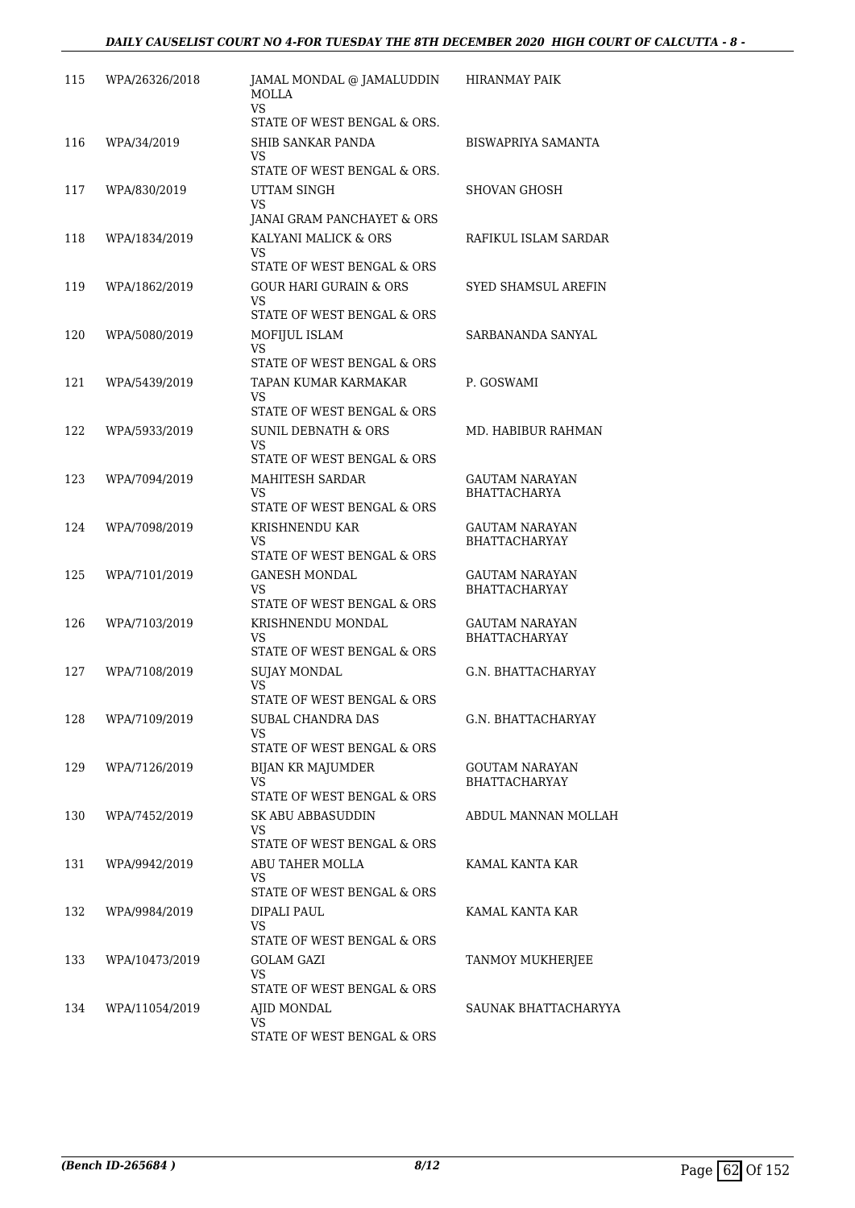| 115 | WPA/26326/2018 | JAMAL MONDAL @ JAMALUDDIN<br><b>MOLLA</b><br><b>VS</b>             | <b>HIRANMAY PAIK</b>                   |
|-----|----------------|--------------------------------------------------------------------|----------------------------------------|
|     |                | STATE OF WEST BENGAL & ORS.                                        |                                        |
| 116 | WPA/34/2019    | <b>SHIB SANKAR PANDA</b><br>VS                                     | <b>BISWAPRIYA SAMANTA</b>              |
| 117 | WPA/830/2019   | STATE OF WEST BENGAL & ORS.<br>UTTAM SINGH                         | SHOVAN GHOSH                           |
|     |                | VS                                                                 |                                        |
|     |                | JANAI GRAM PANCHAYET & ORS                                         |                                        |
| 118 | WPA/1834/2019  | KALYANI MALICK & ORS<br>VS                                         | RAFIKUL ISLAM SARDAR                   |
| 119 | WPA/1862/2019  | STATE OF WEST BENGAL & ORS<br><b>GOUR HARI GURAIN &amp; ORS</b>    | SYED SHAMSUL AREFIN                    |
|     |                | VS.<br>STATE OF WEST BENGAL & ORS                                  |                                        |
| 120 | WPA/5080/2019  | MOFIJUL ISLAM                                                      | SARBANANDA SANYAL                      |
|     |                | VS<br>STATE OF WEST BENGAL & ORS                                   |                                        |
| 121 | WPA/5439/2019  | TAPAN KUMAR KARMAKAR                                               | P. GOSWAMI                             |
|     |                | VS                                                                 |                                        |
|     |                | STATE OF WEST BENGAL & ORS                                         |                                        |
| 122 | WPA/5933/2019  | <b>SUNIL DEBNATH &amp; ORS</b><br>VS<br>STATE OF WEST BENGAL & ORS | MD. HABIBUR RAHMAN                     |
| 123 | WPA/7094/2019  | MAHITESH SARDAR                                                    | GAUTAM NARAYAN                         |
|     |                | VS                                                                 | <b>BHATTACHARYA</b>                    |
|     |                | STATE OF WEST BENGAL & ORS                                         |                                        |
| 124 | WPA/7098/2019  | KRISHNENDU KAR<br>VS<br>STATE OF WEST BENGAL & ORS                 | GAUTAM NARAYAN<br><b>BHATTACHARYAY</b> |
| 125 | WPA/7101/2019  | <b>GANESH MONDAL</b>                                               | GAUTAM NARAYAN                         |
|     |                | <b>VS</b><br>STATE OF WEST BENGAL & ORS                            | <b>BHATTACHARYAY</b>                   |
| 126 | WPA/7103/2019  | KRISHNENDU MONDAL                                                  | <b>GAUTAM NARAYAN</b>                  |
|     |                | VS<br>STATE OF WEST BENGAL & ORS                                   | <b>BHATTACHARYAY</b>                   |
| 127 | WPA/7108/2019  | <b>SUJAY MONDAL</b>                                                | G.N. BHATTACHARYAY                     |
|     |                | VS                                                                 |                                        |
|     |                | STATE OF WEST BENGAL & ORS                                         |                                        |
| 128 | WPA/7109/2019  | SUBAL CHANDRA DAS<br>VS.                                           | G.N. BHATTACHARYAY                     |
|     |                | STATE OF WEST BENGAL & ORS                                         |                                        |
| 129 | WPA/7126/2019  | <b>BIJAN KR MAJUMDER</b>                                           | GOUTAM NARAYAN                         |
|     |                | VS.<br>STATE OF WEST BENGAL & ORS                                  | BHATTACHARYAY                          |
| 130 | WPA/7452/2019  | SK ABU ABBASUDDIN                                                  | ABDUL MANNAN MOLLAH                    |
|     |                | VS                                                                 |                                        |
| 131 | WPA/9942/2019  | STATE OF WEST BENGAL & ORS<br>ABU TAHER MOLLA                      | KAMAL KANTA KAR                        |
|     |                | VS.                                                                |                                        |
|     |                | STATE OF WEST BENGAL & ORS                                         |                                        |
| 132 | WPA/9984/2019  | DIPALI PAUL<br>VS                                                  | KAMAL KANTA KAR                        |
|     |                | STATE OF WEST BENGAL & ORS                                         |                                        |
| 133 | WPA/10473/2019 | GOLAM GAZI                                                         | TANMOY MUKHERJEE                       |
|     |                | VS.<br>STATE OF WEST BENGAL & ORS                                  |                                        |
| 134 | WPA/11054/2019 | AJID MONDAL                                                        | SAUNAK BHATTACHARYYA                   |
|     |                | VS                                                                 |                                        |
|     |                | STATE OF WEST BENGAL & ORS                                         |                                        |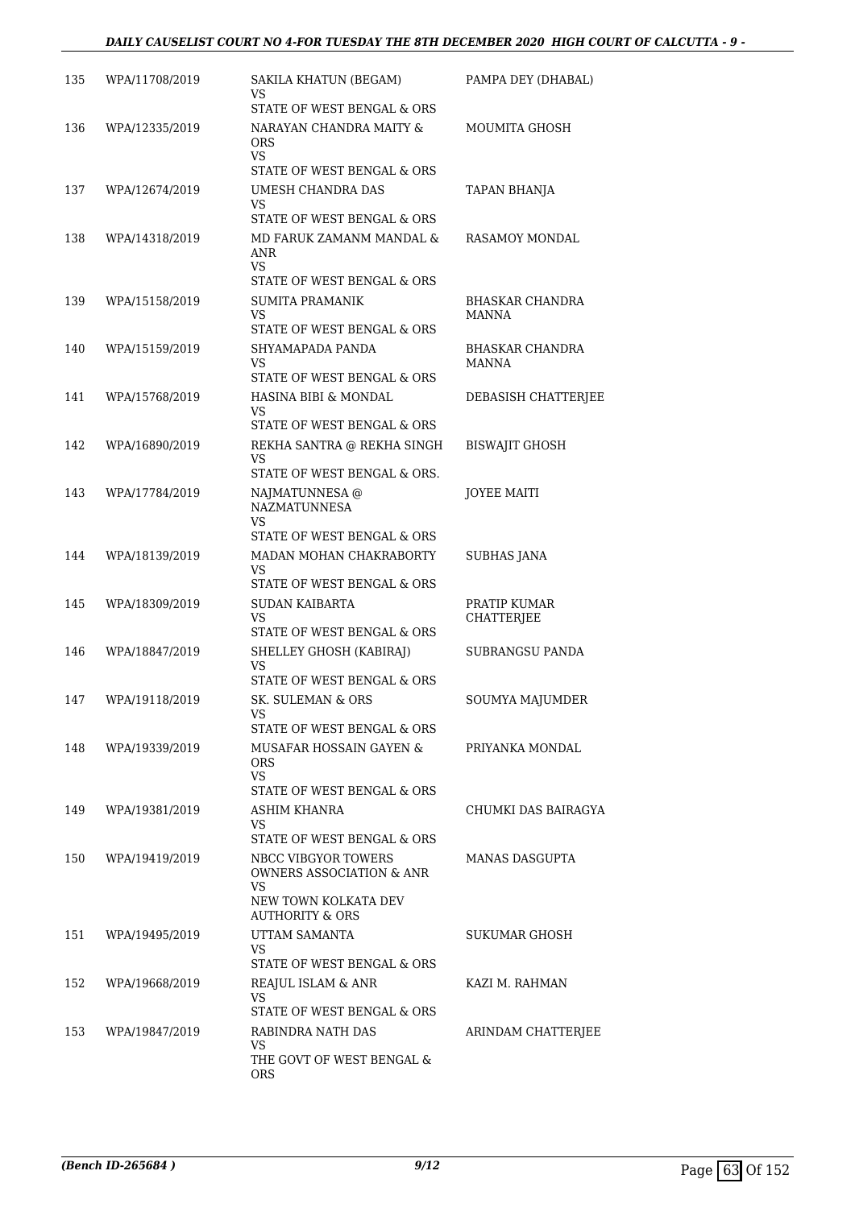| 135 | WPA/11708/2019 | SAKILA KHATUN (BEGAM)<br>VS                                     | PAMPA DEY (DHABAL)       |
|-----|----------------|-----------------------------------------------------------------|--------------------------|
| 136 | WPA/12335/2019 | STATE OF WEST BENGAL & ORS<br>NARAYAN CHANDRA MAITY &           | MOUMITA GHOSH            |
|     |                | <b>ORS</b><br>VS.                                               |                          |
|     |                | STATE OF WEST BENGAL & ORS                                      |                          |
| 137 | WPA/12674/2019 | UMESH CHANDRA DAS<br>VS.<br>STATE OF WEST BENGAL & ORS          | TAPAN BHANJA             |
| 138 | WPA/14318/2019 | MD FARUK ZAMANM MANDAL &                                        | RASAMOY MONDAL           |
|     |                | ANR<br>VS.                                                      |                          |
|     |                | STATE OF WEST BENGAL & ORS                                      |                          |
| 139 | WPA/15158/2019 | SUMITA PRAMANIK<br>VS.<br>STATE OF WEST BENGAL & ORS            | BHASKAR CHANDRA<br>MANNA |
| 140 | WPA/15159/2019 | SHYAMAPADA PANDA                                                | <b>BHASKAR CHANDRA</b>   |
|     |                | VS                                                              | <b>MANNA</b>             |
|     |                | STATE OF WEST BENGAL & ORS                                      |                          |
| 141 | WPA/15768/2019 | HASINA BIBI & MONDAL<br>VS                                      | DEBASISH CHATTERJEE      |
|     |                | STATE OF WEST BENGAL & ORS                                      |                          |
| 142 | WPA/16890/2019 | REKHA SANTRA @ REKHA SINGH<br>VS<br>STATE OF WEST BENGAL & ORS. | <b>BISWAJIT GHOSH</b>    |
| 143 | WPA/17784/2019 | NAJMATUNNESA @                                                  | <b>JOYEE MAITI</b>       |
|     |                | <b>NAZMATUNNESA</b><br>VS.                                      |                          |
|     |                | STATE OF WEST BENGAL & ORS                                      |                          |
| 144 | WPA/18139/2019 | MADAN MOHAN CHAKRABORTY<br>VS<br>STATE OF WEST BENGAL & ORS     | <b>SUBHAS JANA</b>       |
| 145 | WPA/18309/2019 | <b>SUDAN KAIBARTA</b>                                           | PRATIP KUMAR             |
|     |                | VS<br>STATE OF WEST BENGAL & ORS                                | CHATTERJEE               |
| 146 | WPA/18847/2019 | SHELLEY GHOSH (KABIRAJ)                                         | SUBRANGSU PANDA          |
|     |                | VS<br>STATE OF WEST BENGAL & ORS                                |                          |
| 147 | WPA/19118/2019 | SK. SULEMAN & ORS                                               | <b>SOUMYA MAJUMDER</b>   |
|     |                | STATE OF WEST BENGAL & ORS                                      |                          |
| 148 | WPA/19339/2019 | MUSAFAR HOSSAIN GAYEN &                                         | PRIYANKA MONDAL          |
|     |                | <b>ORS</b><br>VS                                                |                          |
|     |                | STATE OF WEST BENGAL & ORS                                      |                          |
| 149 | WPA/19381/2019 | ASHIM KHANRA<br>VS.                                             | CHUMKI DAS BAIRAGYA      |
|     |                | STATE OF WEST BENGAL & ORS                                      |                          |
| 150 | WPA/19419/2019 | NBCC VIBGYOR TOWERS<br><b>OWNERS ASSOCIATION &amp; ANR</b>      | MANAS DASGUPTA           |
|     |                | VS.<br>NEW TOWN KOLKATA DEV<br><b>AUTHORITY &amp; ORS</b>       |                          |
| 151 | WPA/19495/2019 | UTTAM SAMANTA                                                   | SUKUMAR GHOSH            |
|     |                | VS.                                                             |                          |
|     |                | STATE OF WEST BENGAL & ORS                                      |                          |
| 152 | WPA/19668/2019 | REAJUL ISLAM & ANR<br>VS                                        | KAZI M. RAHMAN           |
|     |                | STATE OF WEST BENGAL & ORS                                      |                          |
| 153 | WPA/19847/2019 | RABINDRA NATH DAS<br>VS<br>THE GOVT OF WEST BENGAL &            | ARINDAM CHATTERJEE       |
|     |                | <b>ORS</b>                                                      |                          |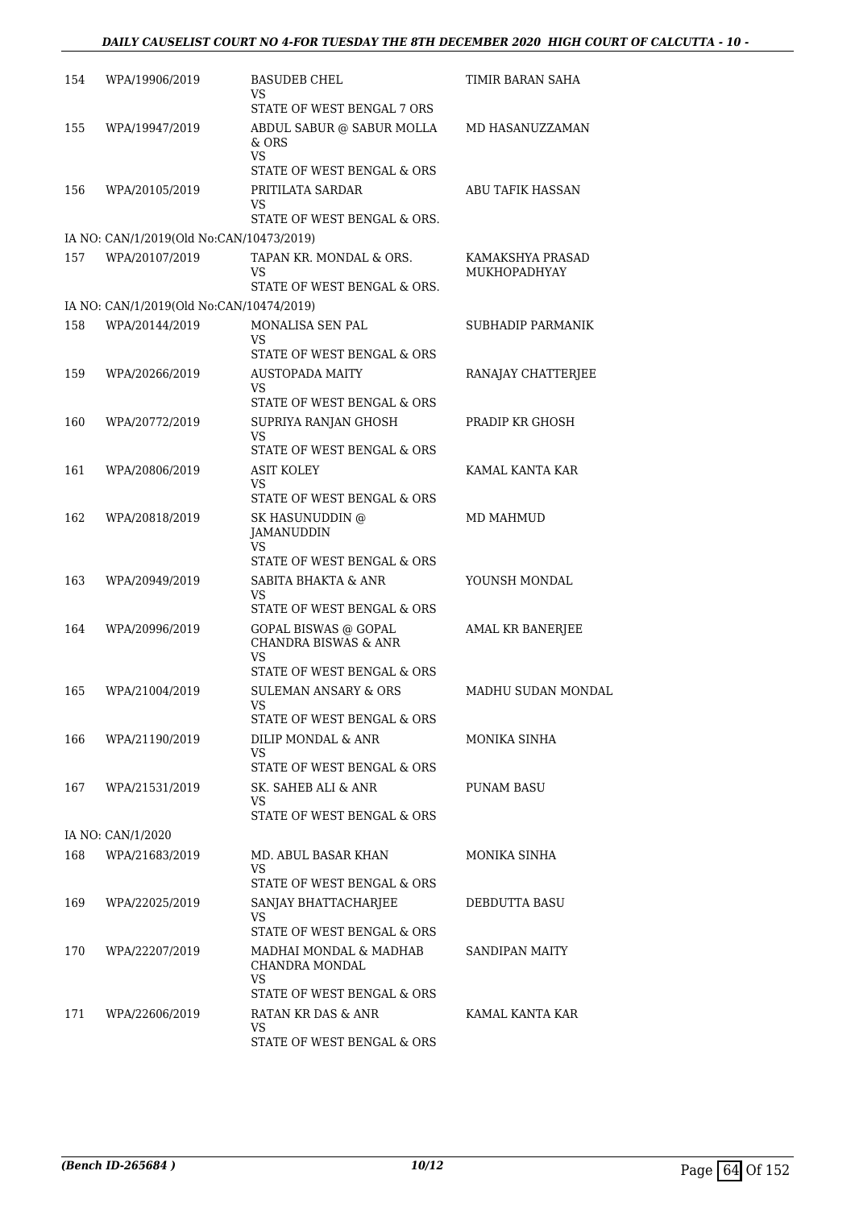| 154 | WPA/19906/2019                           | <b>BASUDEB CHEL</b><br>VS                                                   | TIMIR BARAN SAHA        |
|-----|------------------------------------------|-----------------------------------------------------------------------------|-------------------------|
|     |                                          | STATE OF WEST BENGAL 7 ORS                                                  |                         |
| 155 | WPA/19947/2019                           | ABDUL SABUR @ SABUR MOLLA<br>& ORS                                          | MD HASANUZZAMAN         |
|     |                                          | VS<br>STATE OF WEST BENGAL & ORS                                            |                         |
| 156 | WPA/20105/2019                           | PRITILATA SARDAR                                                            | <b>ABU TAFIK HASSAN</b> |
|     |                                          | VS<br>STATE OF WEST BENGAL & ORS.                                           |                         |
|     | IA NO: CAN/1/2019(Old No:CAN/10473/2019) |                                                                             |                         |
| 157 | WPA/20107/2019                           | TAPAN KR. MONDAL & ORS.                                                     | KAMAKSHYA PRASAD        |
|     |                                          | VS<br>STATE OF WEST BENGAL & ORS.                                           | MUKHOPADHYAY            |
|     | IA NO: CAN/1/2019(Old No:CAN/10474/2019) |                                                                             |                         |
| 158 | WPA/20144/2019                           | MONALISA SEN PAL<br>VS                                                      | SUBHADIP PARMANIK       |
|     |                                          | STATE OF WEST BENGAL & ORS                                                  |                         |
| 159 | WPA/20266/2019                           | <b>AUSTOPADA MAITY</b><br>VS                                                | RANAJAY CHATTERJEE      |
|     |                                          | STATE OF WEST BENGAL & ORS                                                  |                         |
| 160 | WPA/20772/2019                           | SUPRIYA RANJAN GHOSH                                                        | PRADIP KR GHOSH         |
|     |                                          | VS<br>STATE OF WEST BENGAL & ORS                                            |                         |
| 161 | WPA/20806/2019                           | ASIT KOLEY                                                                  | KAMAL KANTA KAR         |
|     |                                          | <b>VS</b><br>STATE OF WEST BENGAL & ORS                                     |                         |
| 162 | WPA/20818/2019                           | SK HASUNUDDIN @<br>JAMANUDDIN<br>VS                                         | MD MAHMUD               |
|     |                                          | STATE OF WEST BENGAL & ORS                                                  |                         |
| 163 | WPA/20949/2019                           | SABITA BHAKTA & ANR<br>VS                                                   | YOUNSH MONDAL           |
|     |                                          | STATE OF WEST BENGAL & ORS                                                  |                         |
| 164 | WPA/20996/2019                           | <b>GOPAL BISWAS @ GOPAL</b><br><b>CHANDRA BISWAS &amp; ANR</b><br><b>VS</b> | <b>AMAL KR BANERJEE</b> |
|     |                                          | STATE OF WEST BENGAL & ORS                                                  |                         |
| 165 | WPA/21004/2019                           | <b>SULEMAN ANSARY &amp; ORS</b><br>VS                                       | MADHU SUDAN MONDAL      |
|     |                                          | STATE OF WEST BENGAL & ORS                                                  |                         |
| 166 | WPA/21190/2019                           | DILIP MONDAL & ANR<br>VS                                                    | MONIKA SINHA            |
|     |                                          | STATE OF WEST BENGAL & ORS                                                  |                         |
| 167 | WPA/21531/2019                           | SK. SAHEB ALI & ANR<br>VS<br>STATE OF WEST BENGAL & ORS                     | PUNAM BASU              |
|     |                                          |                                                                             |                         |
|     | IA NO: CAN/1/2020                        |                                                                             |                         |
| 168 | WPA/21683/2019                           | MD. ABUL BASAR KHAN<br>VS<br>STATE OF WEST BENGAL & ORS                     | MONIKA SINHA            |
| 169 | WPA/22025/2019                           | SANJAY BHATTACHARJEE                                                        | DEBDUTTA BASU           |
|     |                                          | VS<br>STATE OF WEST BENGAL & ORS                                            |                         |
| 170 | WPA/22207/2019                           | MADHAI MONDAL & MADHAB<br>CHANDRA MONDAL<br>VS                              | SANDIPAN MAITY          |
|     |                                          | STATE OF WEST BENGAL & ORS                                                  |                         |
| 171 | WPA/22606/2019                           | RATAN KR DAS & ANR<br>VS<br>STATE OF WEST BENGAL & ORS                      | KAMAL KANTA KAR         |
|     |                                          |                                                                             |                         |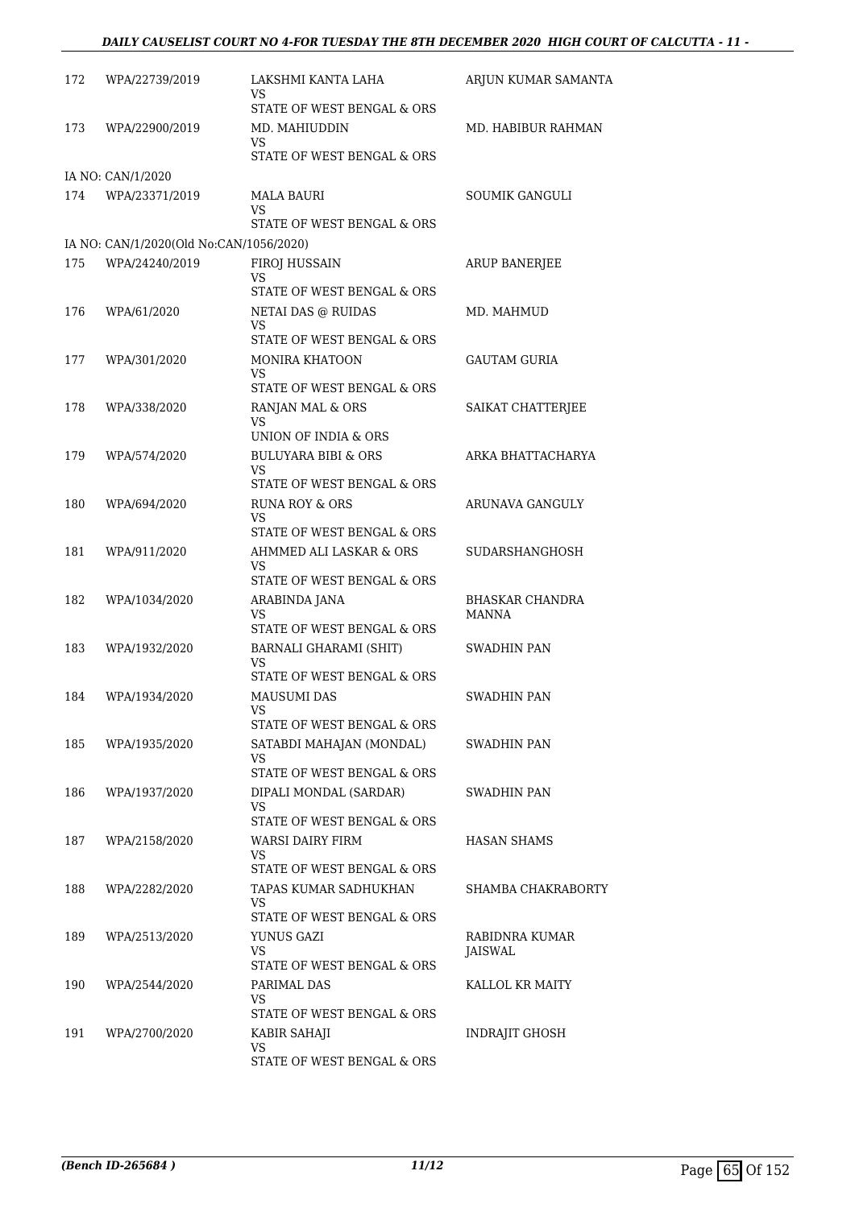### *DAILY CAUSELIST COURT NO 4-FOR TUESDAY THE 8TH DECEMBER 2020 HIGH COURT OF CALCUTTA - 11 -*

| 172 | WPA/22739/2019                          | LAKSHMI KANTA LAHA<br>VS                                   | ARJUN KUMAR SAMANTA      |
|-----|-----------------------------------------|------------------------------------------------------------|--------------------------|
| 173 | WPA/22900/2019                          | STATE OF WEST BENGAL & ORS<br>MD. MAHIUDDIN                | MD. HABIBUR RAHMAN       |
|     |                                         | VS.<br>STATE OF WEST BENGAL & ORS                          |                          |
|     | IA NO: CAN/1/2020                       |                                                            |                          |
| 174 | WPA/23371/2019                          | MALA BAURI<br>VS                                           | <b>SOUMIK GANGULI</b>    |
|     |                                         | STATE OF WEST BENGAL & ORS                                 |                          |
|     | IA NO: CAN/1/2020(Old No:CAN/1056/2020) |                                                            |                          |
| 175 | WPA/24240/2019                          | FIROJ HUSSAIN<br>VS<br>STATE OF WEST BENGAL & ORS          | <b>ARUP BANERJEE</b>     |
| 176 | WPA/61/2020                             | NETAI DAS @ RUIDAS<br>VS                                   | MD. MAHMUD               |
|     |                                         | STATE OF WEST BENGAL & ORS                                 |                          |
| 177 | WPA/301/2020                            | <b>MONIRA KHATOON</b><br>VS                                | GAUTAM GURIA             |
|     |                                         | STATE OF WEST BENGAL & ORS                                 |                          |
| 178 | WPA/338/2020                            | RANJAN MAL & ORS<br>VS<br>UNION OF INDIA & ORS             | SAIKAT CHATTERIEE        |
|     |                                         | <b>BULUYARA BIBI &amp; ORS</b>                             | ARKA BHATTACHARYA        |
| 179 | WPA/574/2020                            | VS<br>STATE OF WEST BENGAL & ORS                           |                          |
| 180 | WPA/694/2020                            | <b>RUNA ROY &amp; ORS</b>                                  | ARUNAVA GANGULY          |
|     |                                         | VS<br>STATE OF WEST BENGAL & ORS                           |                          |
| 181 | WPA/911/2020                            | AHMMED ALI LASKAR & ORS                                    | SUDARSHANGHOSH           |
|     |                                         | VS<br>STATE OF WEST BENGAL & ORS                           |                          |
| 182 | WPA/1034/2020                           | ARABINDA JANA<br>VS<br>STATE OF WEST BENGAL & ORS          | BHASKAR CHANDRA<br>MANNA |
|     |                                         |                                                            |                          |
| 183 | WPA/1932/2020                           | BARNALI GHARAMI (SHIT)<br>VS<br>STATE OF WEST BENGAL & ORS | <b>SWADHIN PAN</b>       |
| 184 | WPA/1934/2020                           | MAUSUMI DAS                                                | SWADHIN PAN              |
|     |                                         | VS.<br>STATE OF WEST BENGAL & ORS                          |                          |
| 185 | WPA/1935/2020                           | SATABDI MAHAJAN (MONDAL)<br>VS                             | <b>SWADHIN PAN</b>       |
|     |                                         | STATE OF WEST BENGAL & ORS                                 |                          |
| 186 | WPA/1937/2020                           | DIPALI MONDAL (SARDAR)<br>VS<br>STATE OF WEST BENGAL & ORS | SWADHIN PAN              |
|     |                                         |                                                            |                          |
| 187 | WPA/2158/2020                           | WARSI DAIRY FIRM<br>VS<br>STATE OF WEST BENGAL & ORS       | HASAN SHAMS              |
| 188 | WPA/2282/2020                           | TAPAS KUMAR SADHUKHAN                                      | SHAMBA CHAKRABORTY       |
|     |                                         | VS<br>STATE OF WEST BENGAL & ORS                           |                          |
| 189 | WPA/2513/2020                           | YUNUS GAZI                                                 | RABIDNRA KUMAR           |
|     |                                         | VS<br>STATE OF WEST BENGAL & ORS                           | JAISWAL                  |
| 190 | WPA/2544/2020                           | PARIMAL DAS<br>VS.                                         | KALLOL KR MAITY          |
|     |                                         | STATE OF WEST BENGAL & ORS                                 |                          |
| 191 | WPA/2700/2020                           | KABIR SAHAJI<br>VS<br>STATE OF WEST BENGAL & ORS           | INDRAJIT GHOSH           |
|     |                                         |                                                            |                          |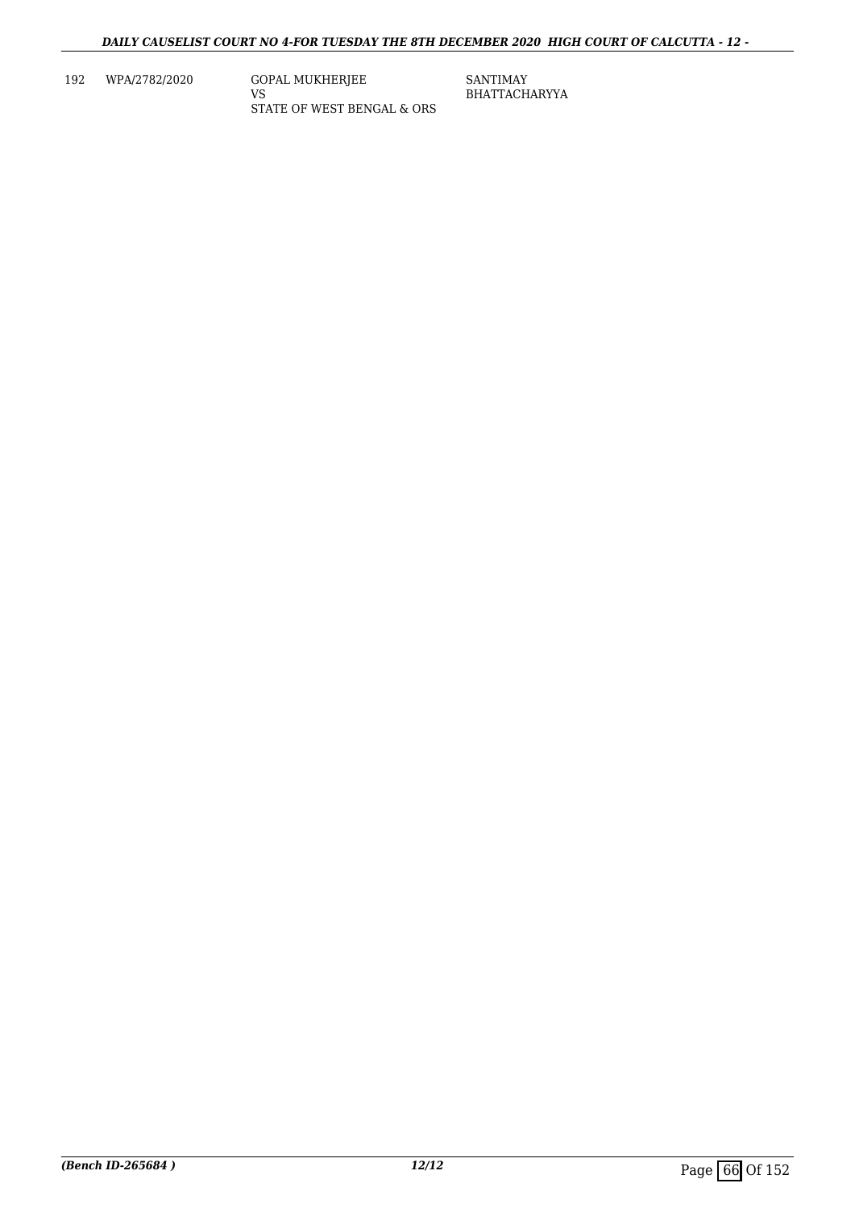192 WPA/2782/2020 GOPAL MUKHERJEE

VS STATE OF WEST BENGAL & ORS SANTIMAY BHATTACHARYYA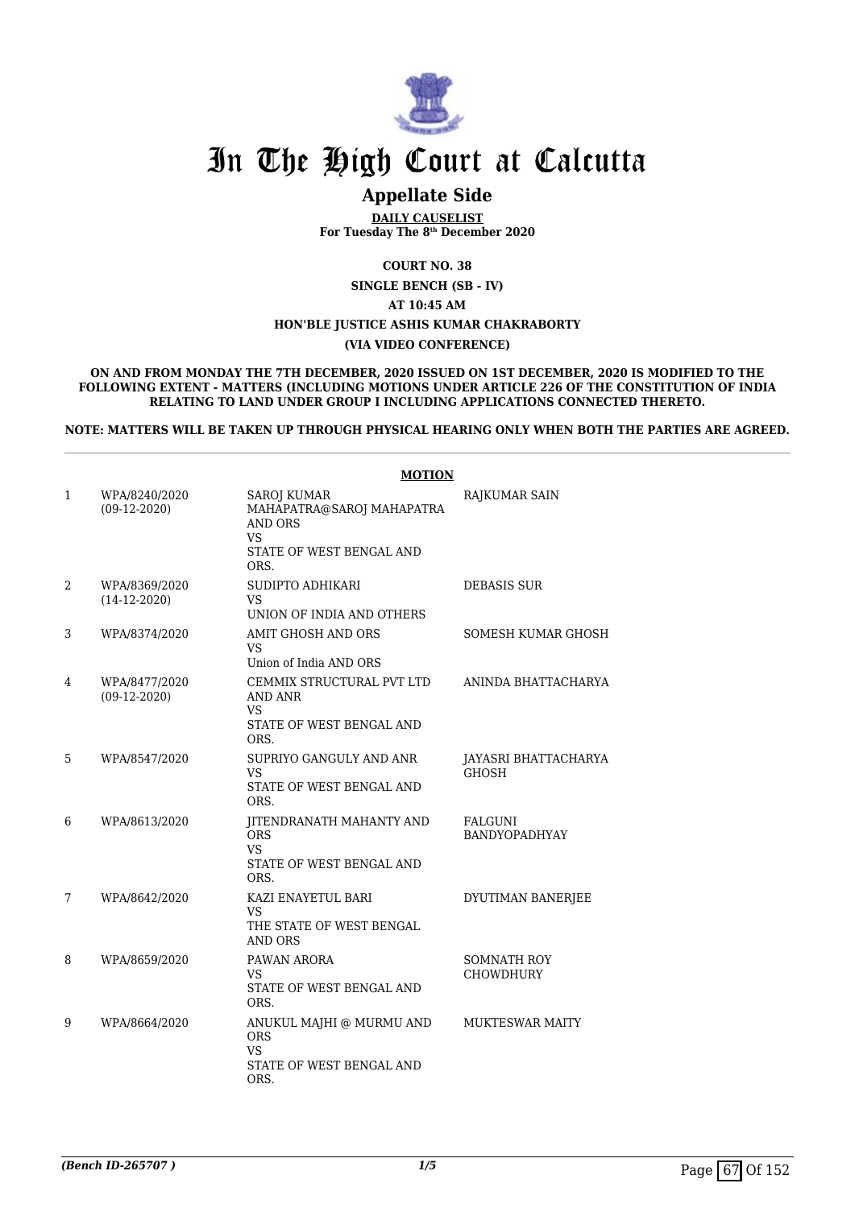

## **Appellate Side**

**DAILY CAUSELIST For Tuesday The 8th December 2020**

**COURT NO. 38**

**SINGLE BENCH (SB - IV)**

**AT 10:45 AM**

**HON'BLE JUSTICE ASHIS KUMAR CHAKRABORTY**

#### **(VIA VIDEO CONFERENCE)**

**ON AND FROM MONDAY THE 7TH DECEMBER, 2020 ISSUED ON 1ST DECEMBER, 2020 IS MODIFIED TO THE FOLLOWING EXTENT - MATTERS (INCLUDING MOTIONS UNDER ARTICLE 226 OF THE CONSTITUTION OF INDIA RELATING TO LAND UNDER GROUP I INCLUDING APPLICATIONS CONNECTED THERETO.**

**NOTE: MATTERS WILL BE TAKEN UP THROUGH PHYSICAL HEARING ONLY WHEN BOTH THE PARTIES ARE AGREED.**

|   |                                 | <b>MOTION</b>                                                                                                      |                                        |
|---|---------------------------------|--------------------------------------------------------------------------------------------------------------------|----------------------------------------|
| 1 | WPA/8240/2020<br>$(09-12-2020)$ | <b>SAROJ KUMAR</b><br>MAHAPATRA@SAROJ MAHAPATRA<br><b>AND ORS</b><br><b>VS</b><br>STATE OF WEST BENGAL AND<br>ORS. | RAJKUMAR SAIN                          |
| 2 | WPA/8369/2020<br>$(14-12-2020)$ | SUDIPTO ADHIKARI<br>VS<br>UNION OF INDIA AND OTHERS                                                                | <b>DEBASIS SUR</b>                     |
| 3 | WPA/8374/2020                   | AMIT GHOSH AND ORS<br>VS.<br>Union of India AND ORS                                                                | SOMESH KUMAR GHOSH                     |
| 4 | WPA/8477/2020<br>$(09-12-2020)$ | CEMMIX STRUCTURAL PVT LTD<br>AND ANR<br>VS<br>STATE OF WEST BENGAL AND<br>ORS.                                     | ANINDA BHATTACHARYA                    |
| 5 | WPA/8547/2020                   | SUPRIYO GANGULY AND ANR<br>VS<br>STATE OF WEST BENGAL AND<br>ORS.                                                  | JAYASRI BHATTACHARYA<br><b>GHOSH</b>   |
| 6 | WPA/8613/2020                   | JITENDRANATH MAHANTY AND<br><b>ORS</b><br><b>VS</b><br>STATE OF WEST BENGAL AND<br>ORS.                            | FALGUNI<br><b>BANDYOPADHYAY</b>        |
| 7 | WPA/8642/2020                   | KAZI ENAYETUL BARI<br><b>VS</b><br>THE STATE OF WEST BENGAL<br>AND ORS                                             | DYUTIMAN BANERJEE                      |
| 8 | WPA/8659/2020                   | PAWAN ARORA<br>VS<br>STATE OF WEST BENGAL AND<br>ORS.                                                              | <b>SOMNATH ROY</b><br><b>CHOWDHURY</b> |
| 9 | WPA/8664/2020                   | ANUKUL MAJHI @ MURMU AND<br><b>ORS</b><br><b>VS</b><br>STATE OF WEST BENGAL AND<br>ORS.                            | <b>MUKTESWAR MAITY</b>                 |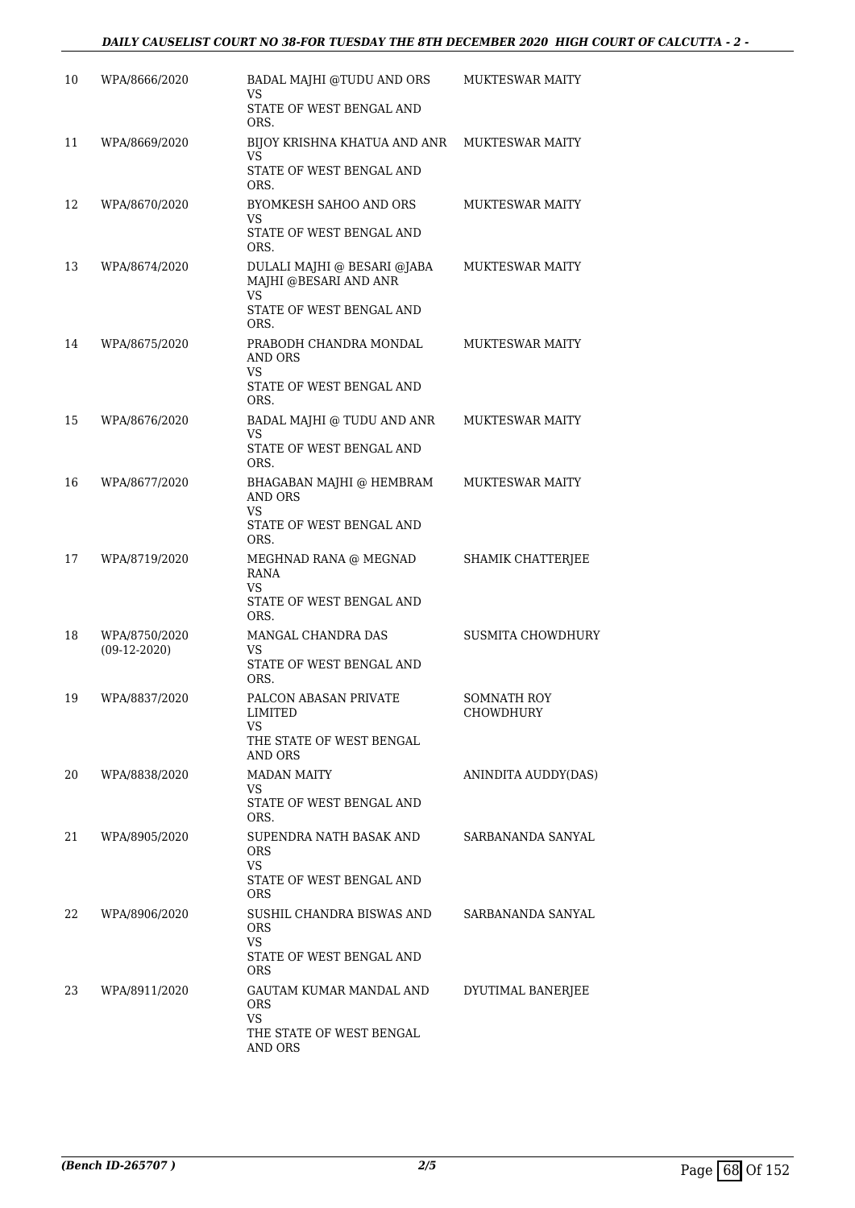| 10  | WPA/8666/2020  | BADAL MAJHI @TUDU AND ORS<br>VS                                  | <b>MUKTESWAR MAITY</b>   |
|-----|----------------|------------------------------------------------------------------|--------------------------|
|     |                | STATE OF WEST BENGAL AND<br>ORS.                                 |                          |
| 11  | WPA/8669/2020  | BIJOY KRISHNA KHATUA AND ANR<br>VS.                              | <b>MUKTESWAR MAITY</b>   |
|     |                | STATE OF WEST BENGAL AND<br>ORS.                                 |                          |
| 12  | WPA/8670/2020  | BYOMKESH SAHOO AND ORS<br>VS.                                    | <b>MUKTESWAR MAITY</b>   |
|     |                | STATE OF WEST BENGAL AND<br>ORS.                                 |                          |
| 13  | WPA/8674/2020  | DULALI MAJHI @ BESARI @JABA<br>MAJHI @BESARI AND ANR<br>VS.      | <b>MUKTESWAR MAITY</b>   |
|     |                | STATE OF WEST BENGAL AND<br>ORS.                                 |                          |
| 14  | WPA/8675/2020  | PRABODH CHANDRA MONDAL<br><b>AND ORS</b><br>VS.                  | <b>MUKTESWAR MAITY</b>   |
|     |                | STATE OF WEST BENGAL AND<br>ORS.                                 |                          |
| 15  | WPA/8676/2020  | BADAL MAJHI @ TUDU AND ANR<br>VS                                 | <b>MUKTESWAR MAITY</b>   |
|     |                | STATE OF WEST BENGAL AND<br>ORS.                                 |                          |
| 16  | WPA/8677/2020  | BHAGABAN MAJHI @ HEMBRAM<br>AND ORS<br>VS                        | <b>MUKTESWAR MAITY</b>   |
|     |                | STATE OF WEST BENGAL AND<br>ORS.                                 |                          |
| 17  | WPA/8719/2020  | MEGHNAD RANA @ MEGNAD<br>RANA<br>VS.<br>STATE OF WEST BENGAL AND | SHAMIK CHATTERJEE        |
| 18  | WPA/8750/2020  | ORS.<br>MANGAL CHANDRA DAS                                       | <b>SUSMITA CHOWDHURY</b> |
|     | $(09-12-2020)$ | VS.<br>STATE OF WEST BENGAL AND<br>ORS.                          |                          |
| 19  | WPA/8837/2020  | PALCON ABASAN PRIVATE<br>LIMITED<br>VS                           | SOMNATH ROY<br>CHOWDHURY |
|     |                | THE STATE OF WEST BENGAL<br>AND ORS                              |                          |
| 20  | WPA/8838/2020  | <b>MADAN MAITY</b><br>VS.                                        | ANINDITA AUDDY(DAS)      |
|     |                | STATE OF WEST BENGAL AND<br>ORS.                                 |                          |
| 21  | WPA/8905/2020  | SUPENDRA NATH BASAK AND<br>ORS<br>VS.                            | SARBANANDA SANYAL        |
|     |                | STATE OF WEST BENGAL AND<br>ORS                                  |                          |
| 22. | WPA/8906/2020  | SUSHIL CHANDRA BISWAS AND<br>ORS<br><b>VS</b>                    | SARBANANDA SANYAL        |
|     |                | STATE OF WEST BENGAL AND<br>ORS                                  |                          |
| 23  | WPA/8911/2020  | GAUTAM KUMAR MANDAL AND<br><b>ORS</b><br>VS                      | DYUTIMAL BANERJEE        |
|     |                | THE STATE OF WEST BENGAL<br>AND ORS                              |                          |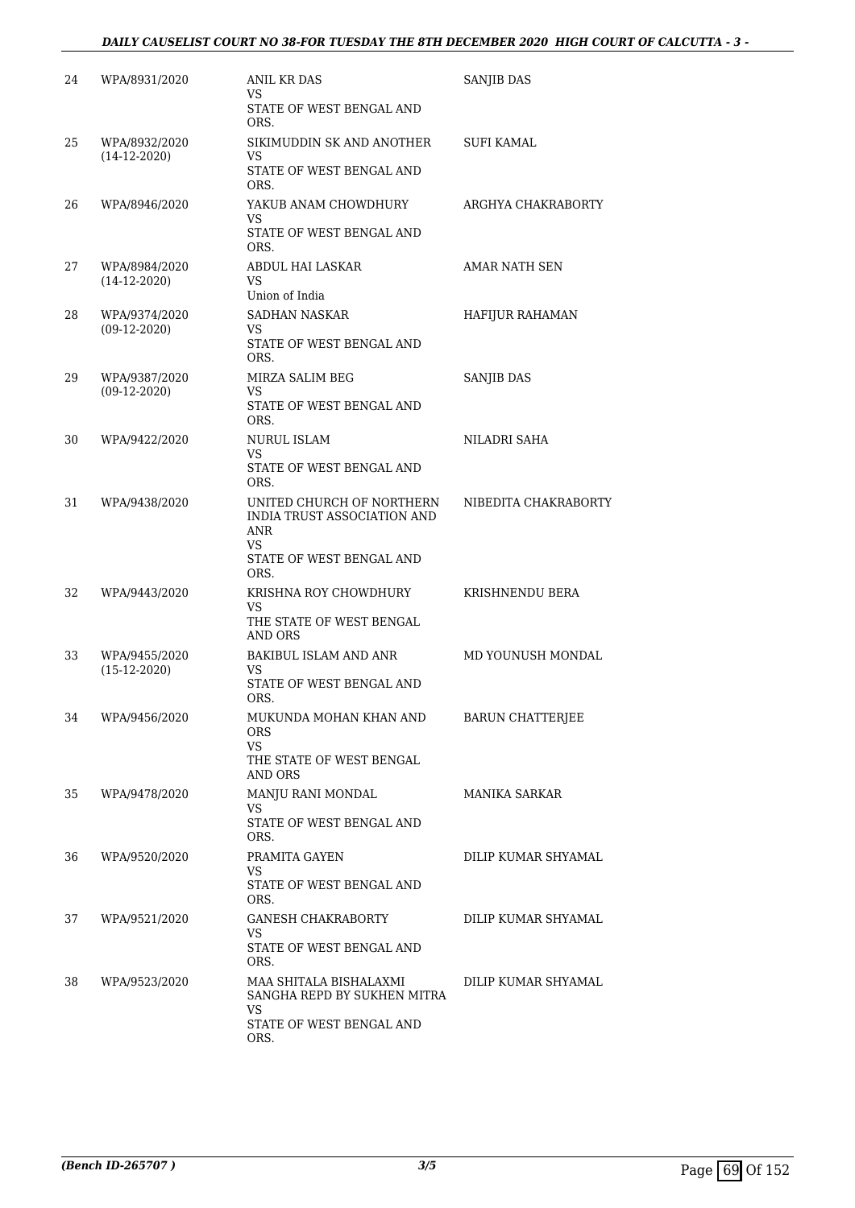### *DAILY CAUSELIST COURT NO 38-FOR TUESDAY THE 8TH DECEMBER 2020 HIGH COURT OF CALCUTTA - 3 -*

| 24 | WPA/8931/2020                   | ANIL KR DAS<br>VS.                                                                                                 | SANJIB DAS              |
|----|---------------------------------|--------------------------------------------------------------------------------------------------------------------|-------------------------|
|    |                                 | STATE OF WEST BENGAL AND<br>ORS.                                                                                   |                         |
| 25 | WPA/8932/2020<br>$(14-12-2020)$ | SIKIMUDDIN SK AND ANOTHER<br>VS.<br>STATE OF WEST BENGAL AND<br>ORS.                                               | SUFI KAMAL              |
| 26 | WPA/8946/2020                   | YAKUB ANAM CHOWDHURY<br>VS.<br>STATE OF WEST BENGAL AND<br>ORS.                                                    | ARGHYA CHAKRABORTY      |
| 27 | WPA/8984/2020<br>$(14-12-2020)$ | ABDUL HAI LASKAR<br>VS.<br>Union of India                                                                          | AMAR NATH SEN           |
| 28 | WPA/9374/2020<br>$(09-12-2020)$ | <b>SADHAN NASKAR</b><br>VS.<br>STATE OF WEST BENGAL AND<br>ORS.                                                    | HAFIJUR RAHAMAN         |
| 29 | WPA/9387/2020<br>$(09-12-2020)$ | MIRZA SALIM BEG<br>VS.<br>STATE OF WEST BENGAL AND<br>ORS.                                                         | <b>SANJIB DAS</b>       |
| 30 | WPA/9422/2020                   | NURUL ISLAM<br>VS.<br>STATE OF WEST BENGAL AND                                                                     | NILADRI SAHA            |
| 31 | WPA/9438/2020                   | ORS.<br>UNITED CHURCH OF NORTHERN<br>INDIA TRUST ASSOCIATION AND<br>ANR<br>VS.<br>STATE OF WEST BENGAL AND<br>ORS. | NIBEDITA CHAKRABORTY    |
| 32 | WPA/9443/2020                   | KRISHNA ROY CHOWDHURY<br>VS.<br>THE STATE OF WEST BENGAL<br><b>AND ORS</b>                                         | KRISHNENDU BERA         |
| 33 | WPA/9455/2020<br>$(15-12-2020)$ | <b>BAKIBUL ISLAM AND ANR</b><br>VS<br>STATE OF WEST BENGAL AND<br>ORS.                                             | MD YOUNUSH MONDAL       |
| 34 | WPA/9456/2020                   | MUKUNDA MOHAN KHAN AND<br>ORS<br><b>VS</b><br>THE STATE OF WEST BENGAL<br><b>AND ORS</b>                           | <b>BARUN CHATTERJEE</b> |
| 35 | WPA/9478/2020                   | MANJU RANI MONDAL<br>VS.<br>STATE OF WEST BENGAL AND<br>ORS.                                                       | MANIKA SARKAR           |
| 36 | WPA/9520/2020                   | PRAMITA GAYEN<br>VS.<br>STATE OF WEST BENGAL AND<br>ORS.                                                           | DILIP KUMAR SHYAMAL     |
| 37 | WPA/9521/2020                   | <b>GANESH CHAKRABORTY</b><br>VS.<br>STATE OF WEST BENGAL AND<br>ORS.                                               | DILIP KUMAR SHYAMAL     |
| 38 | WPA/9523/2020                   | MAA SHITALA BISHALAXMI<br>SANGHA REPD BY SUKHEN MITRA<br>VS.<br>STATE OF WEST BENGAL AND<br>ORS.                   | DILIP KUMAR SHYAMAL     |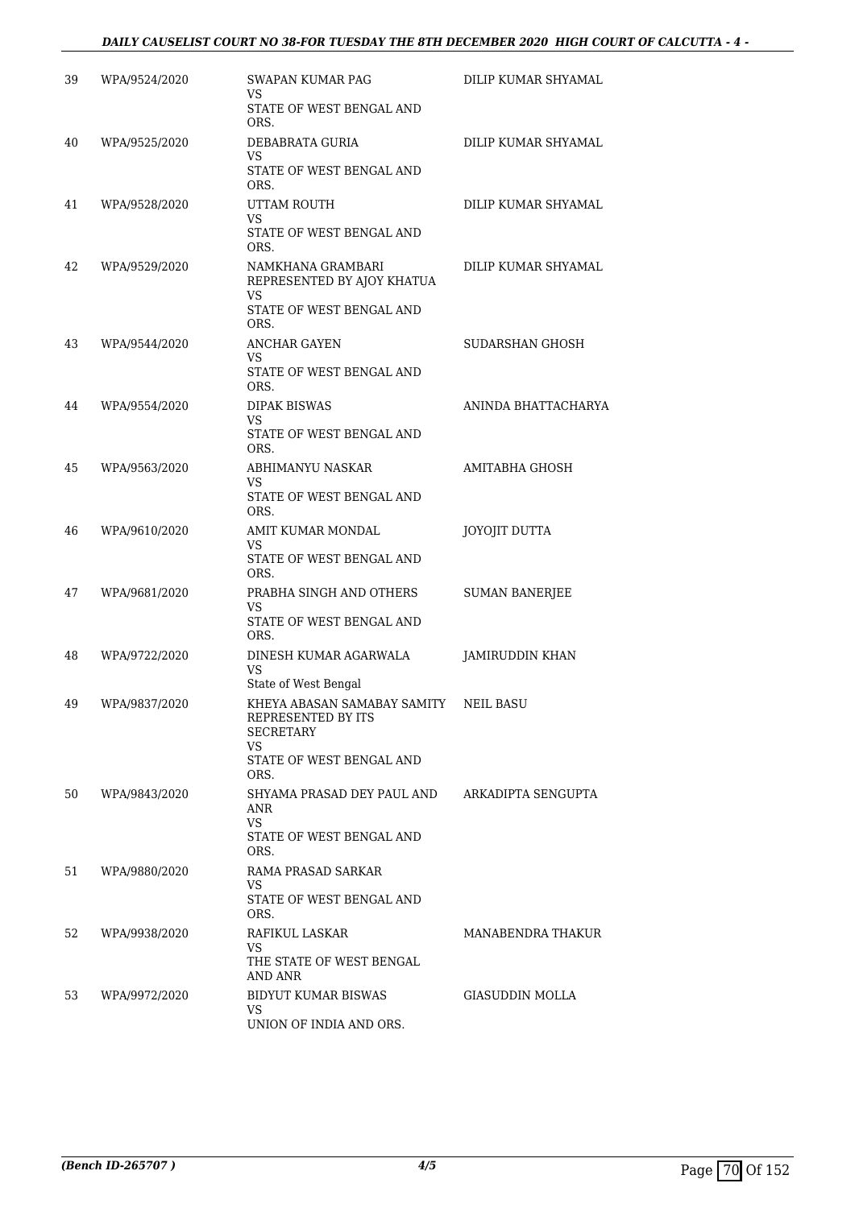### *DAILY CAUSELIST COURT NO 38-FOR TUESDAY THE 8TH DECEMBER 2020 HIGH COURT OF CALCUTTA - 4 -*

| 39 | WPA/9524/2020 | SWAPAN KUMAR PAG<br>VS<br>STATE OF WEST BENGAL AND                                       | DILIP KUMAR SHYAMAL   |
|----|---------------|------------------------------------------------------------------------------------------|-----------------------|
|    |               | ORS.                                                                                     |                       |
| 40 | WPA/9525/2020 | DEBABRATA GURIA<br>VS                                                                    | DILIP KUMAR SHYAMAL   |
|    |               | STATE OF WEST BENGAL AND<br>ORS.                                                         |                       |
| 41 | WPA/9528/2020 | UTTAM ROUTH<br>VS                                                                        | DILIP KUMAR SHYAMAL   |
|    |               | STATE OF WEST BENGAL AND<br>ORS.                                                         |                       |
| 42 | WPA/9529/2020 | NAMKHANA GRAMBARI<br>REPRESENTED BY AJOY KHATUA<br><b>VS</b><br>STATE OF WEST BENGAL AND | DILIP KUMAR SHYAMAL   |
|    |               | ORS.                                                                                     |                       |
| 43 | WPA/9544/2020 | ANCHAR GAYEN<br>VS                                                                       | SUDARSHAN GHOSH       |
|    |               | STATE OF WEST BENGAL AND<br>ORS.                                                         |                       |
| 44 | WPA/9554/2020 | <b>DIPAK BISWAS</b><br>VS                                                                | ANINDA BHATTACHARYA   |
|    |               | STATE OF WEST BENGAL AND<br>ORS.                                                         |                       |
| 45 | WPA/9563/2020 | ABHIMANYU NASKAR<br>VS                                                                   | AMITABHA GHOSH        |
|    |               | STATE OF WEST BENGAL AND<br>ORS.                                                         |                       |
| 46 | WPA/9610/2020 | AMIT KUMAR MONDAL<br>VS                                                                  | JOYOJIT DUTTA         |
|    |               | STATE OF WEST BENGAL AND<br>ORS.                                                         |                       |
| 47 | WPA/9681/2020 | PRABHA SINGH AND OTHERS<br>VS                                                            | <b>SUMAN BANERJEE</b> |
|    |               | STATE OF WEST BENGAL AND<br>ORS.                                                         |                       |
| 48 | WPA/9722/2020 | DINESH KUMAR AGARWALA<br><b>VS</b>                                                       | JAMIRUDDIN KHAN       |
| 49 | WPA/9837/2020 | State of West Bengal<br>KHEYA ABASAN SAMABAY SAMITY                                      | NEIL BASU             |
|    |               | REPRESENTED BY ITS<br><b>SECRETARY</b>                                                   |                       |
|    |               | VS.<br>STATE OF WEST BENGAL AND<br>ORS.                                                  |                       |
| 50 | WPA/9843/2020 | SHYAMA PRASAD DEY PAUL AND<br>ANR                                                        | ARKADIPTA SENGUPTA    |
|    |               | <b>VS</b><br>STATE OF WEST BENGAL AND<br>ORS.                                            |                       |
| 51 | WPA/9880/2020 | RAMA PRASAD SARKAR<br>VS                                                                 |                       |
|    |               | STATE OF WEST BENGAL AND<br>ORS.                                                         |                       |
| 52 | WPA/9938/2020 | RAFIKUL LASKAR<br>VS.                                                                    | MANABENDRA THAKUR     |
|    |               | THE STATE OF WEST BENGAL<br>AND ANR                                                      |                       |
| 53 | WPA/9972/2020 | BIDYUT KUMAR BISWAS<br>VS.                                                               | GIASUDDIN MOLLA       |
|    |               | UNION OF INDIA AND ORS.                                                                  |                       |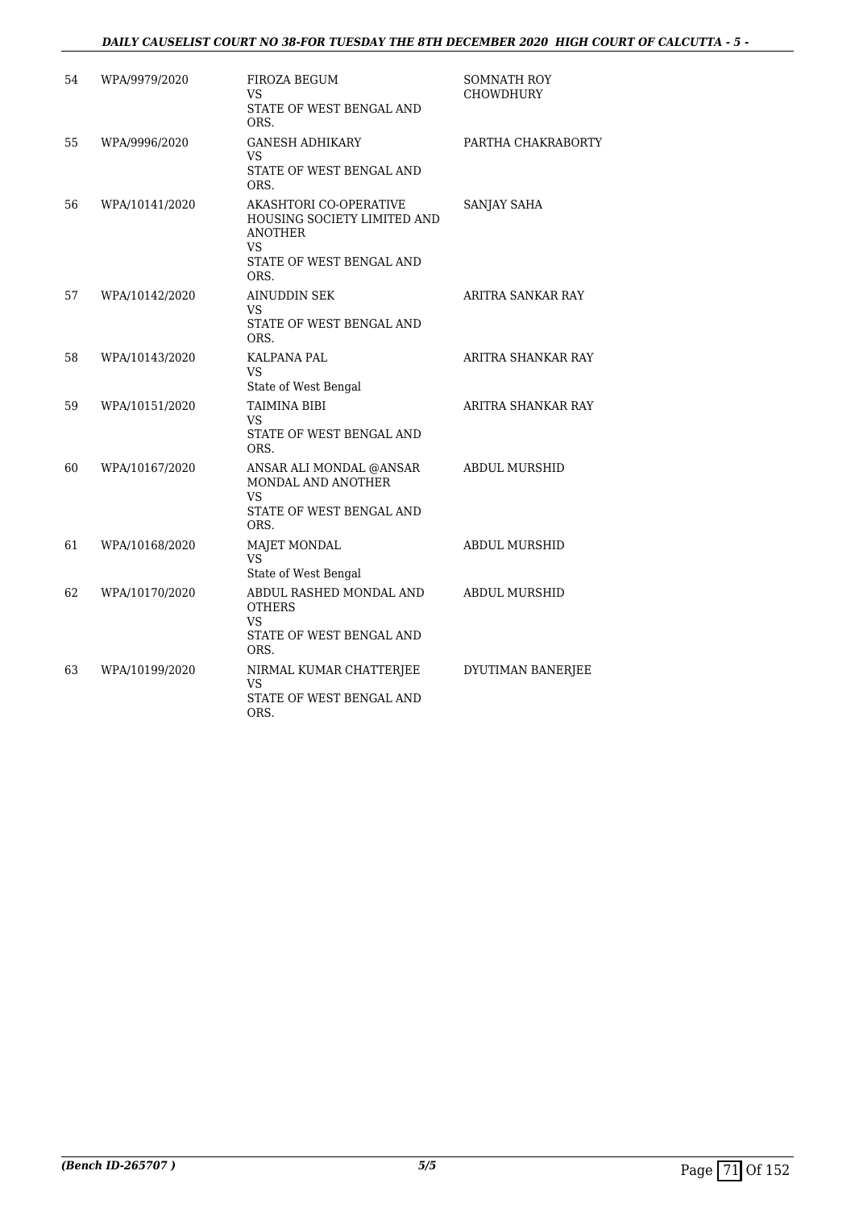### *DAILY CAUSELIST COURT NO 38-FOR TUESDAY THE 8TH DECEMBER 2020 HIGH COURT OF CALCUTTA - 5 -*

| 54 | WPA/9979/2020  | FIROZA BEGUM<br>VS<br>STATE OF WEST BENGAL AND<br>ORS.                                                             | <b>SOMNATH ROY</b><br><b>CHOWDHURY</b> |
|----|----------------|--------------------------------------------------------------------------------------------------------------------|----------------------------------------|
| 55 | WPA/9996/2020  | <b>GANESH ADHIKARY</b><br>VS<br>STATE OF WEST BENGAL AND<br>ORS.                                                   | PARTHA CHAKRABORTY                     |
| 56 | WPA/10141/2020 | AKASHTORI CO-OPERATIVE<br>HOUSING SOCIETY LIMITED AND<br><b>ANOTHER</b><br>VS.<br>STATE OF WEST BENGAL AND<br>ORS. | SANJAY SAHA                            |
| 57 | WPA/10142/2020 | AINUDDIN SEK<br>VS<br>STATE OF WEST BENGAL AND<br>ORS.                                                             | ARITRA SANKAR RAY                      |
| 58 | WPA/10143/2020 | KALPANA PAL<br>VS<br>State of West Bengal                                                                          | ARITRA SHANKAR RAY                     |
| 59 | WPA/10151/2020 | TAIMINA BIBI<br><b>VS</b><br>STATE OF WEST BENGAL AND<br>ORS.                                                      | ARITRA SHANKAR RAY                     |
| 60 | WPA/10167/2020 | ANSAR ALI MONDAL @ANSAR<br>MONDAL AND ANOTHER<br><b>VS</b><br>STATE OF WEST BENGAL AND<br>ORS.                     | <b>ABDUL MURSHID</b>                   |
| 61 | WPA/10168/2020 | <b>MAJET MONDAL</b><br>VS<br>State of West Bengal                                                                  | <b>ABDUL MURSHID</b>                   |
| 62 | WPA/10170/2020 | ABDUL RASHED MONDAL AND<br><b>OTHERS</b><br><b>VS</b><br>STATE OF WEST BENGAL AND<br>ORS.                          | <b>ABDUL MURSHID</b>                   |
| 63 | WPA/10199/2020 | NIRMAL KUMAR CHATTERJEE<br>VS<br>STATE OF WEST BENGAL AND<br>ORS.                                                  | DYUTIMAN BANERJEE                      |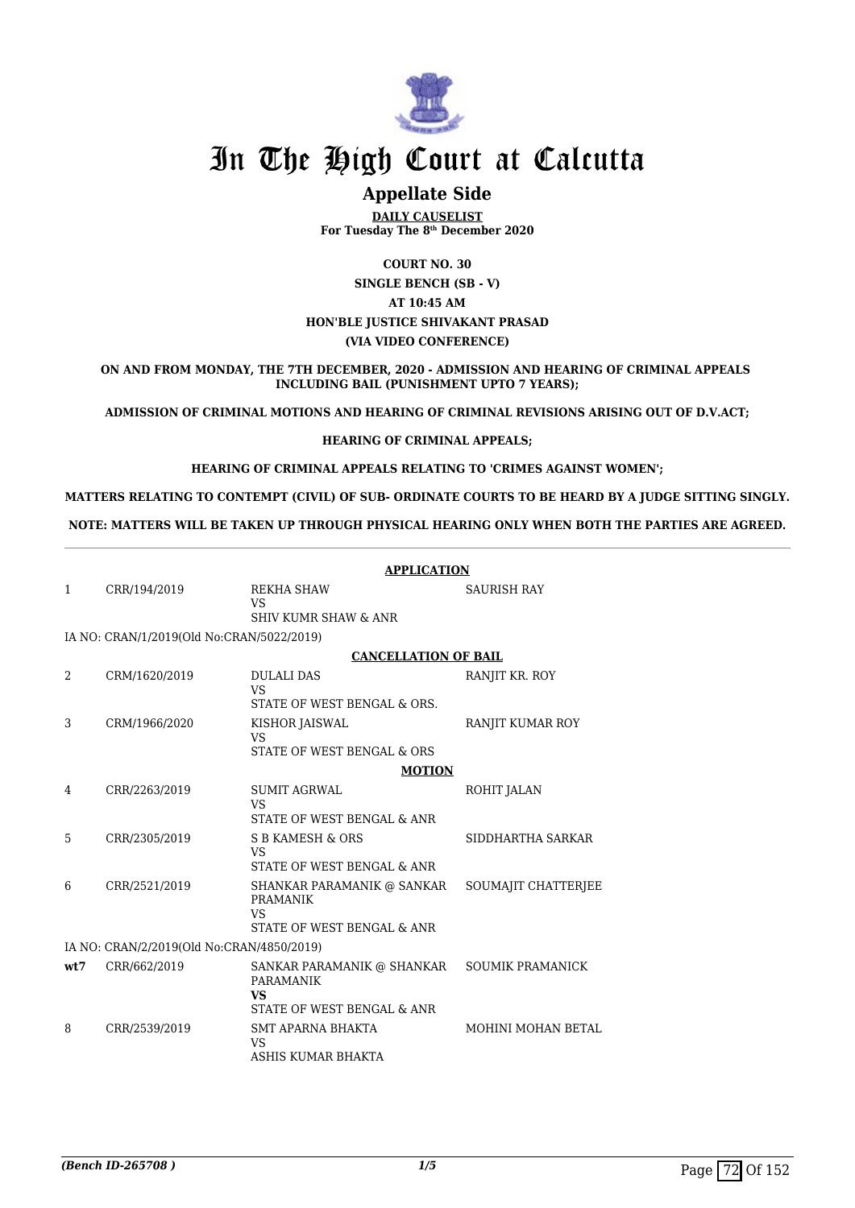

# **Appellate Side**

**DAILY CAUSELIST For Tuesday The 8th December 2020**

**COURT NO. 30 SINGLE BENCH (SB - V) AT 10:45 AM HON'BLE JUSTICE SHIVAKANT PRASAD (VIA VIDEO CONFERENCE)**

**ON AND FROM MONDAY, THE 7TH DECEMBER, 2020 - ADMISSION AND HEARING OF CRIMINAL APPEALS INCLUDING BAIL (PUNISHMENT UPTO 7 YEARS);**

**ADMISSION OF CRIMINAL MOTIONS AND HEARING OF CRIMINAL REVISIONS ARISING OUT OF D.V.ACT;**

#### **HEARING OF CRIMINAL APPEALS;**

**HEARING OF CRIMINAL APPEALS RELATING TO 'CRIMES AGAINST WOMEN';**

**MATTERS RELATING TO CONTEMPT (CIVIL) OF SUB- ORDINATE COURTS TO BE HEARD BY A JUDGE SITTING SINGLY.**

**NOTE: MATTERS WILL BE TAKEN UP THROUGH PHYSICAL HEARING ONLY WHEN BOTH THE PARTIES ARE AGREED.**

|      |                                           | <b>APPLICATION</b>                                                                 |                           |
|------|-------------------------------------------|------------------------------------------------------------------------------------|---------------------------|
| 1    | CRR/194/2019                              | <b>REKHA SHAW</b><br>VS                                                            | <b>SAURISH RAY</b>        |
|      |                                           | <b>SHIV KUMR SHAW &amp; ANR</b>                                                    |                           |
|      | IA NO: CRAN/1/2019(Old No:CRAN/5022/2019) |                                                                                    |                           |
|      |                                           | <b>CANCELLATION OF BAIL</b>                                                        |                           |
| 2    | CRM/1620/2019                             | <b>DULALI DAS</b><br><b>VS</b>                                                     | RANJIT KR. ROY            |
|      |                                           | STATE OF WEST BENGAL & ORS.                                                        |                           |
| 3    | CRM/1966/2020                             | <b>KISHOR JAISWAL</b><br><b>VS</b>                                                 | RANJIT KUMAR ROY          |
|      |                                           | STATE OF WEST BENGAL & ORS                                                         |                           |
|      |                                           | <b>MOTION</b>                                                                      |                           |
| 4    | CRR/2263/2019                             | <b>SUMIT AGRWAL</b><br>VS<br>STATE OF WEST BENGAL & ANR                            | ROHIT JALAN               |
| 5    |                                           | <b>S B KAMESH &amp; ORS</b>                                                        | SIDDHARTHA SARKAR         |
|      | CRR/2305/2019                             | <b>VS</b>                                                                          |                           |
|      |                                           | STATE OF WEST BENGAL & ANR                                                         |                           |
| 6    | CRR/2521/2019                             | SHANKAR PARAMANIK @ SANKAR<br><b>PRAMANIK</b><br><b>VS</b>                         | SOUMAJIT CHATTERJEE       |
|      |                                           | STATE OF WEST BENGAL & ANR                                                         |                           |
|      | IA NO: CRAN/2/2019(Old No:CRAN/4850/2019) |                                                                                    |                           |
| wt:7 | CRR/662/2019                              | SANKAR PARAMANIK @ SHANKAR<br><b>PARAMANIK</b><br>VS<br>STATE OF WEST BENGAL & ANR | <b>SOUMIK PRAMANICK</b>   |
| 8    | CRR/2539/2019                             | SMT APARNA BHAKTA<br>VS<br>ASHIS KUMAR BHAKTA                                      | <b>MOHINI MOHAN BETAL</b> |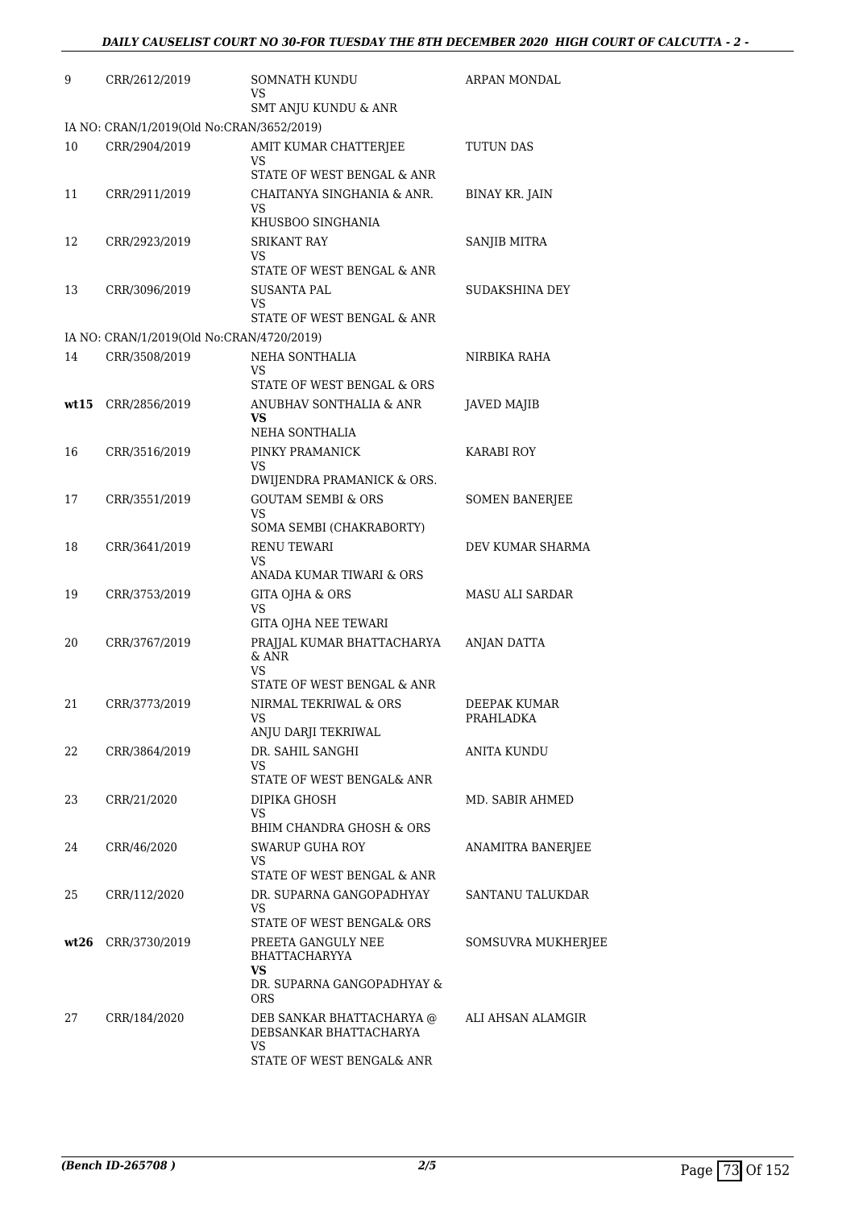| 9    | CRR/2612/2019                             | <b>SOMNATH KUNDU</b><br>VS                                                       | ARPAN MONDAL              |
|------|-------------------------------------------|----------------------------------------------------------------------------------|---------------------------|
|      |                                           | SMT ANJU KUNDU & ANR                                                             |                           |
|      | IA NO: CRAN/1/2019(Old No:CRAN/3652/2019) |                                                                                  |                           |
| 10   | CRR/2904/2019                             | AMIT KUMAR CHATTERJEE<br>VS<br>STATE OF WEST BENGAL & ANR                        | TUTUN DAS                 |
| 11   | CRR/2911/2019                             | CHAITANYA SINGHANIA & ANR.<br>VS<br>KHUSBOO SINGHANIA                            | <b>BINAY KR. JAIN</b>     |
| 12   | CRR/2923/2019                             | SRIKANT RAY                                                                      | SANJIB MITRA              |
|      |                                           | VS<br>STATE OF WEST BENGAL & ANR                                                 |                           |
| 13   | CRR/3096/2019                             | SUSANTA PAL<br>VS<br>STATE OF WEST BENGAL & ANR                                  | SUDAKSHINA DEY            |
|      | IA NO: CRAN/1/2019(Old No:CRAN/4720/2019) |                                                                                  |                           |
| 14   | CRR/3508/2019                             | NEHA SONTHALIA<br>VS                                                             | NIRBIKA RAHA              |
|      |                                           | STATE OF WEST BENGAL & ORS                                                       |                           |
| wt15 | CRR/2856/2019                             | ANUBHAV SONTHALIA & ANR<br>VS<br>NEHA SONTHALIA                                  | JAVED MAJIB               |
| 16   | CRR/3516/2019                             | PINKY PRAMANICK                                                                  | <b>KARABI ROY</b>         |
|      |                                           | VS<br>DWIJENDRA PRAMANICK & ORS.                                                 |                           |
| 17   | CRR/3551/2019                             | <b>GOUTAM SEMBI &amp; ORS</b><br>VS<br>SOMA SEMBI (CHAKRABORTY)                  | <b>SOMEN BANERJEE</b>     |
| 18   | CRR/3641/2019                             | <b>RENU TEWARI</b><br>VS                                                         | DEV KUMAR SHARMA          |
|      |                                           | ANADA KUMAR TIWARI & ORS                                                         |                           |
| 19   | CRR/3753/2019                             | GITA OJHA & ORS<br>VS<br>GITA OJHA NEE TEWARI                                    | <b>MASU ALI SARDAR</b>    |
| 20   | CRR/3767/2019                             | PRAJJAL KUMAR BHATTACHARYA<br>$&$ ANR<br>VS                                      | ANJAN DATTA               |
|      |                                           | STATE OF WEST BENGAL & ANR                                                       |                           |
| 21   | CRR/3773/2019                             | NIRMAL TEKRIWAL & ORS<br>VS<br>ANJU DARJI TEKRIWAL                               | DEEPAK KUMAR<br>PRAHLADKA |
| 22   | CRR/3864/2019                             | DR. SAHIL SANGHI                                                                 | ANITA KUNDU               |
|      |                                           | VS<br>STATE OF WEST BENGAL& ANR                                                  |                           |
| 23   | CRR/21/2020                               | DIPIKA GHOSH<br>VS                                                               | MD. SABIR AHMED           |
| 24   | CRR/46/2020                               | BHIM CHANDRA GHOSH & ORS<br>SWARUP GUHA ROY                                      | ANAMITRA BANERJEE         |
|      |                                           | VS<br>STATE OF WEST BENGAL & ANR                                                 |                           |
| 25   | CRR/112/2020                              | DR. SUPARNA GANGOPADHYAY<br>VS<br>STATE OF WEST BENGAL& ORS                      | SANTANU TALUKDAR          |
|      | wt26 CRR/3730/2019                        | PREETA GANGULY NEE<br>BHATTACHARYYA<br>VS.<br>DR. SUPARNA GANGOPADHYAY &<br>ORS. | SOMSUVRA MUKHERJEE        |
| 27   | CRR/184/2020                              | DEB SANKAR BHATTACHARYA @<br>DEBSANKAR BHATTACHARYA<br>VS                        | ALI AHSAN ALAMGIR         |
|      |                                           | STATE OF WEST BENGAL& ANR                                                        |                           |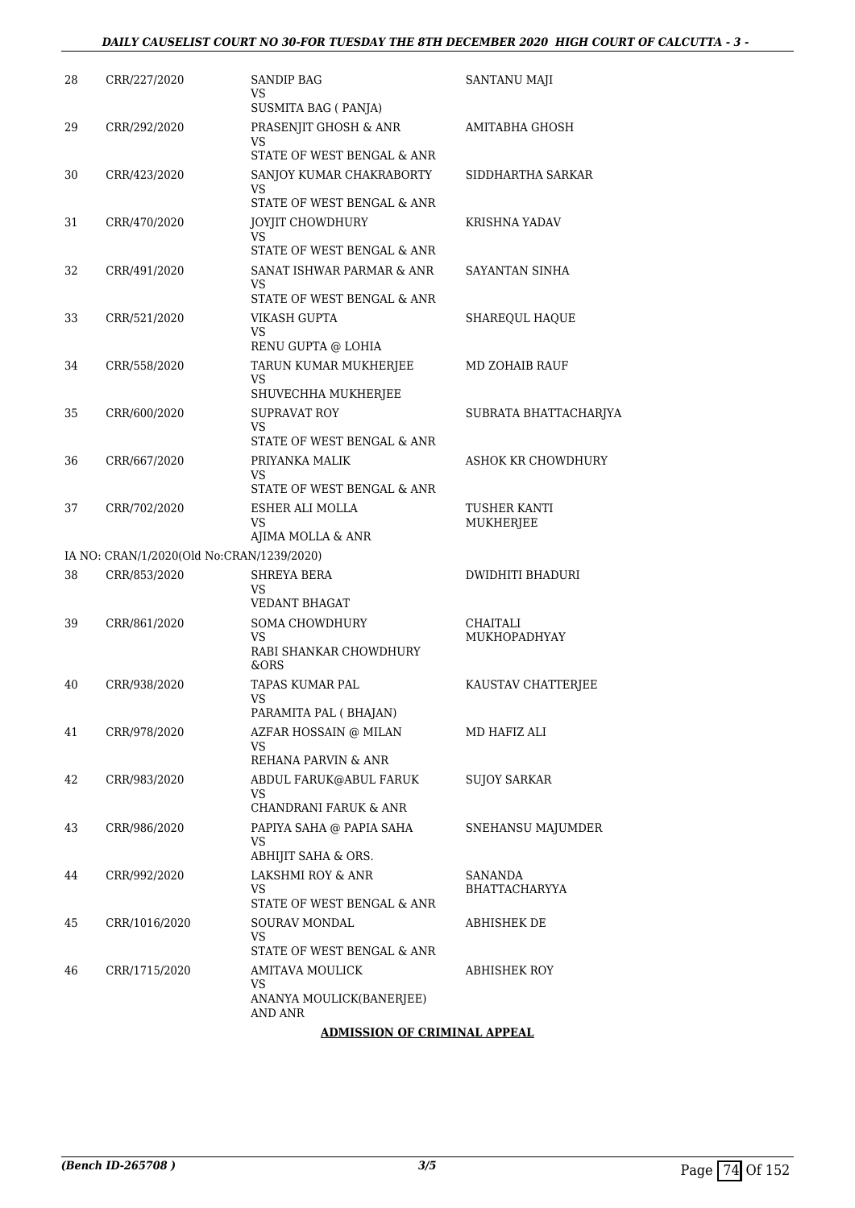| 28 | CRR/227/2020                              | <b>SANDIP BAG</b><br>VS<br>SUSMITA BAG (PANJA)                                                 | SANTANU MAJI                    |
|----|-------------------------------------------|------------------------------------------------------------------------------------------------|---------------------------------|
| 29 | CRR/292/2020                              | PRASENJIT GHOSH & ANR<br>VS<br>STATE OF WEST BENGAL & ANR                                      | AMITABHA GHOSH                  |
| 30 | CRR/423/2020                              | SANJOY KUMAR CHAKRABORTY<br>VS<br>STATE OF WEST BENGAL & ANR                                   | SIDDHARTHA SARKAR               |
| 31 | CRR/470/2020                              | JOYJIT CHOWDHURY<br>VS<br>STATE OF WEST BENGAL & ANR                                           | KRISHNA YADAV                   |
| 32 | CRR/491/2020                              | SANAT ISHWAR PARMAR & ANR<br>VS<br>STATE OF WEST BENGAL & ANR                                  | SAYANTAN SINHA                  |
| 33 | CRR/521/2020                              | VIKASH GUPTA<br>VS<br>RENU GUPTA @ LOHIA                                                       | SHAREQUL HAQUE                  |
| 34 | CRR/558/2020                              | TARUN KUMAR MUKHERJEE<br>VS<br>SHUVECHHA MUKHERJEE                                             | MD ZOHAIB RAUF                  |
| 35 | CRR/600/2020                              | <b>SUPRAVAT ROY</b><br>VS<br>STATE OF WEST BENGAL & ANR                                        | SUBRATA BHATTACHARJYA           |
| 36 | CRR/667/2020                              | PRIYANKA MALIK<br>VS<br>STATE OF WEST BENGAL & ANR                                             | ASHOK KR CHOWDHURY              |
| 37 | CRR/702/2020                              | ESHER ALI MOLLA<br>VS<br>AJIMA MOLLA & ANR                                                     | TUSHER KANTI<br>MUKHERJEE       |
|    | IA NO: CRAN/1/2020(Old No:CRAN/1239/2020) |                                                                                                |                                 |
| 38 | CRR/853/2020                              | <b>SHREYA BERA</b><br>VS<br><b>VEDANT BHAGAT</b>                                               | DWIDHITI BHADURI                |
| 39 | CRR/861/2020                              | <b>SOMA CHOWDHURY</b><br>VS<br>RABI SHANKAR CHOWDHURY<br>&ORS                                  | CHAITALI<br>MUKHOPADHYAY        |
| 40 | CRR/938/2020                              | TAPAS KUMAR PAL<br>VS<br>PARAMITA PAL (BHAJAN)                                                 | KAUSTAV CHATTERJEE              |
| 41 | CRR/978/2020                              | AZFAR HOSSAIN @ MILAN<br>VS<br>REHANA PARVIN & ANR                                             | MD HAFIZ ALI                    |
| 42 | CRR/983/2020                              | ABDUL FARUK@ABUL FARUK<br>VS<br>CHANDRANI FARUK & ANR                                          | <b>SUJOY SARKAR</b>             |
| 43 | CRR/986/2020                              | PAPIYA SAHA @ PAPIA SAHA<br>VS<br>ABHIJIT SAHA & ORS.                                          | SNEHANSU MAJUMDER               |
| 44 | CRR/992/2020                              | LAKSHMI ROY & ANR<br>VS<br>STATE OF WEST BENGAL & ANR                                          | SANANDA<br><b>BHATTACHARYYA</b> |
| 45 | CRR/1016/2020                             | SOURAV MONDAL<br>VS<br>STATE OF WEST BENGAL & ANR                                              | ABHISHEK DE                     |
| 46 | CRR/1715/2020                             | AMITAVA MOULICK<br>VS<br>ANANYA MOULICK(BANERJEE)<br>AND ANR<br>A DAJICCIONI OF ODIAJIAI A DDF | ABHISHEK ROY                    |

#### **ADMISSION OF CRIMINAL APPEAL**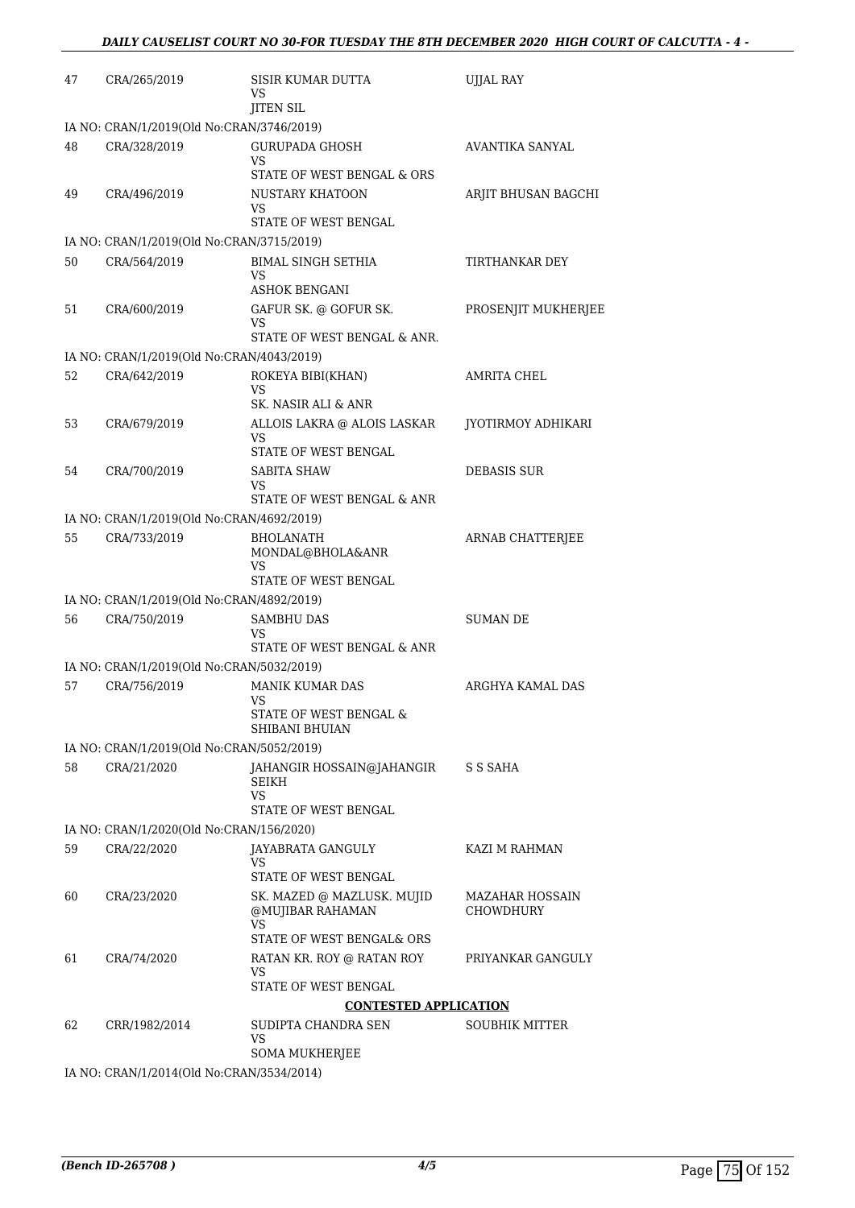| 47 | CRA/265/2019                              | SISIR KUMAR DUTTA<br>VS<br><b>JITEN SIL</b>                                                               | UJJAL RAY                    |
|----|-------------------------------------------|-----------------------------------------------------------------------------------------------------------|------------------------------|
|    | IA NO: CRAN/1/2019(Old No:CRAN/3746/2019) |                                                                                                           |                              |
| 48 | CRA/328/2019                              | <b>GURUPADA GHOSH</b><br>VS<br>STATE OF WEST BENGAL & ORS                                                 | AVANTIKA SANYAL              |
| 49 | CRA/496/2019                              | NUSTARY KHATOON<br>VS<br>STATE OF WEST BENGAL                                                             | ARJIT BHUSAN BAGCHI          |
|    | IA NO: CRAN/1/2019(Old No:CRAN/3715/2019) |                                                                                                           |                              |
| 50 | CRA/564/2019                              | <b>BIMAL SINGH SETHIA</b><br>VS                                                                           | TIRTHANKAR DEY               |
| 51 | CRA/600/2019                              | ASHOK BENGANI<br>GAFUR SK. @ GOFUR SK.<br>VS                                                              | PROSENJIT MUKHERJEE          |
|    |                                           | STATE OF WEST BENGAL & ANR.                                                                               |                              |
|    | IA NO: CRAN/1/2019(Old No:CRAN/4043/2019) |                                                                                                           |                              |
| 52 | CRA/642/2019                              | ROKEYA BIBI(KHAN)<br>VS<br>SK. NASIR ALI & ANR                                                            | AMRITA CHEL                  |
| 53 | CRA/679/2019                              | ALLOIS LAKRA @ ALOIS LASKAR<br>VS<br>STATE OF WEST BENGAL                                                 | JYOTIRMOY ADHIKARI           |
| 54 | CRA/700/2019                              | SABITA SHAW<br>VS                                                                                         | DEBASIS SUR                  |
|    |                                           | STATE OF WEST BENGAL & ANR                                                                                |                              |
|    | IA NO: CRAN/1/2019(Old No:CRAN/4692/2019) |                                                                                                           |                              |
| 55 | CRA/733/2019                              | <b>BHOLANATH</b><br>MONDAL@BHOLA&ANR<br>VS<br>STATE OF WEST BENGAL                                        | ARNAB CHATTERJEE             |
|    | IA NO: CRAN/1/2019(Old No:CRAN/4892/2019) |                                                                                                           |                              |
| 56 | CRA/750/2019                              | <b>SAMBHU DAS</b><br>VS                                                                                   | SUMAN DE                     |
|    |                                           | STATE OF WEST BENGAL & ANR                                                                                |                              |
|    | IA NO: CRAN/1/2019(Old No:CRAN/5032/2019) |                                                                                                           |                              |
| 57 | CRA/756/2019                              | MANIK KUMAR DAS<br>VS<br>STATE OF WEST BENGAL $\&$<br>SHIBANI BHUIAN                                      | ARGHYA KAMAL DAS             |
|    | IA NO: CRAN/1/2019(Old No:CRAN/5052/2019) |                                                                                                           |                              |
| 58 | CRA/21/2020                               | JAHANGIR HOSSAIN@JAHANGIR<br>SEIKH<br>VS<br>STATE OF WEST BENGAL                                          | S S SAHA                     |
|    | IA NO: CRAN/1/2020(Old No:CRAN/156/2020)  |                                                                                                           |                              |
| 59 | CRA/22/2020                               | JAYABRATA GANGULY<br>VS                                                                                   | KAZI M RAHMAN                |
| 60 | CRA/23/2020                               | STATE OF WEST BENGAL<br>SK. MAZED @ MAZLUSK. MUJID<br>@MUJIBAR RAHAMAN<br>VS<br>STATE OF WEST BENGAL& ORS | MAZAHAR HOSSAIN<br>CHOWDHURY |
|    |                                           |                                                                                                           |                              |
| 61 | CRA/74/2020                               | RATAN KR. ROY @ RATAN ROY<br>VS<br>STATE OF WEST BENGAL                                                   | PRIYANKAR GANGULY            |
|    |                                           | <b>CONTESTED APPLICATION</b>                                                                              |                              |
| 62 | CRR/1982/2014                             | SUDIPTA CHANDRA SEN<br>VS                                                                                 | <b>SOUBHIK MITTER</b>        |
|    | IA NO: CRAN/1/2014(Old No:CRAN/3534/2014) | SOMA MUKHERJEE                                                                                            |                              |
|    |                                           |                                                                                                           |                              |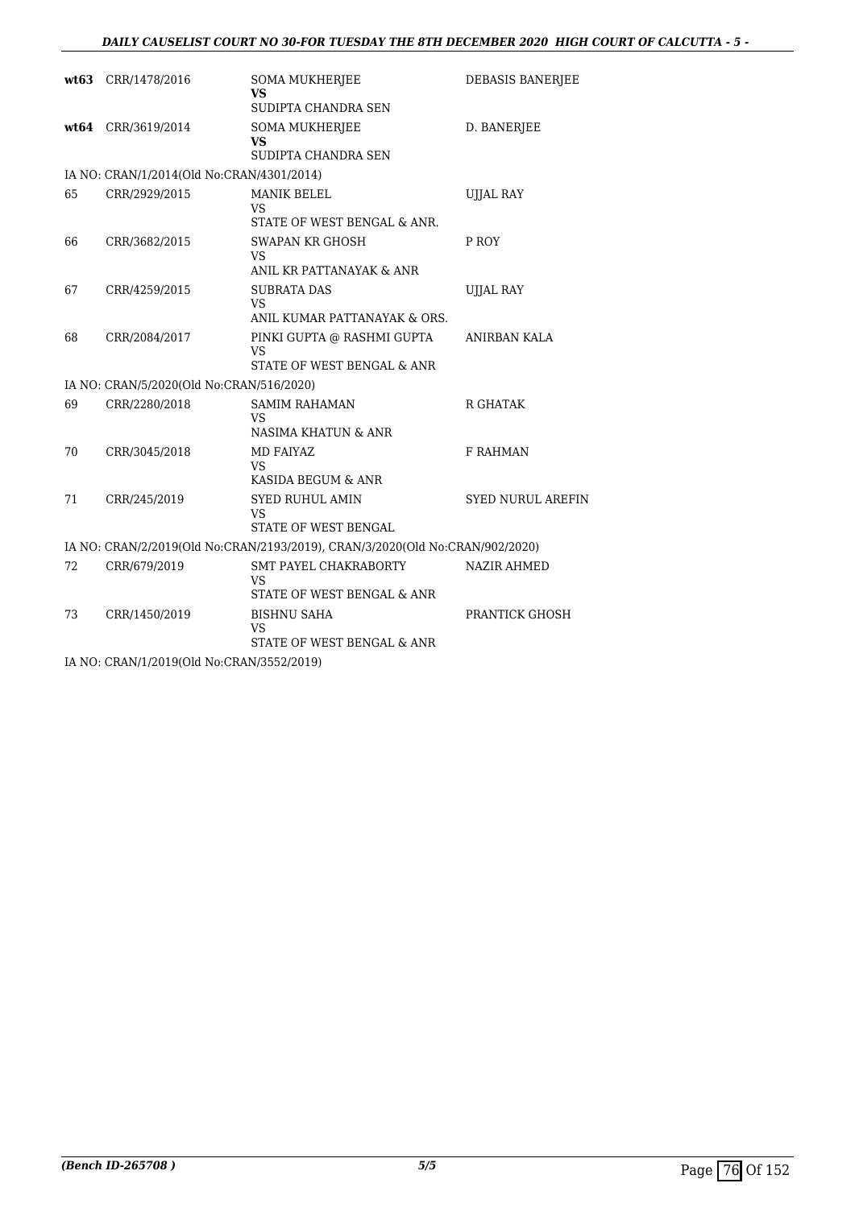## *DAILY CAUSELIST COURT NO 30-FOR TUESDAY THE 8TH DECEMBER 2020 HIGH COURT OF CALCUTTA - 5 -*

|    | wt63 CRR/1478/2016                        | <b>SOMA MUKHERJEE</b><br><b>VS</b>                                           | <b>DEBASIS BANERJEE</b>  |
|----|-------------------------------------------|------------------------------------------------------------------------------|--------------------------|
|    |                                           | SUDIPTA CHANDRA SEN                                                          |                          |
|    | wt64 CRR/3619/2014                        | <b>SOMA MUKHERJEE</b><br>VS                                                  | D. BANERJEE              |
|    |                                           | SUDIPTA CHANDRA SEN                                                          |                          |
|    | IA NO: CRAN/1/2014(Old No:CRAN/4301/2014) |                                                                              |                          |
| 65 | CRR/2929/2015                             | <b>MANIK BELEL</b><br>VS                                                     | <b>UJJAL RAY</b>         |
|    |                                           | STATE OF WEST BENGAL & ANR.                                                  |                          |
| 66 | CRR/3682/2015                             | <b>SWAPAN KR GHOSH</b><br>VS                                                 | P ROY                    |
|    |                                           | ANIL KR PATTANAYAK & ANR                                                     |                          |
| 67 | CRR/4259/2015                             | <b>SUBRATA DAS</b><br>VS                                                     | <b>UJJAL RAY</b>         |
|    |                                           | ANIL KUMAR PATTANAYAK & ORS.                                                 |                          |
| 68 | CRR/2084/2017                             | PINKI GUPTA @ RASHMI GUPTA<br>VS                                             | <b>ANIRBAN KALA</b>      |
|    |                                           | STATE OF WEST BENGAL & ANR                                                   |                          |
|    | IA NO: CRAN/5/2020(Old No:CRAN/516/2020)  |                                                                              |                          |
| 69 | CRR/2280/2018                             | <b>SAMIM RAHAMAN</b><br>VS                                                   | R GHATAK                 |
|    |                                           | NASIMA KHATUN & ANR                                                          |                          |
| 70 | CRR/3045/2018                             | <b>MD FAIYAZ</b><br>VS                                                       | <b>F RAHMAN</b>          |
|    |                                           | KASIDA BEGUM & ANR                                                           |                          |
| 71 | CRR/245/2019                              | <b>SYED RUHUL AMIN</b><br>VS                                                 | <b>SYED NURUL AREFIN</b> |
|    |                                           | STATE OF WEST BENGAL                                                         |                          |
|    |                                           | IA NO: CRAN/2/2019(Old No:CRAN/2193/2019), CRAN/3/2020(Old No:CRAN/902/2020) |                          |
| 72 | CRR/679/2019                              | SMT PAYEL CHAKRABORTY<br><b>VS</b>                                           | <b>NAZIR AHMED</b>       |
|    |                                           | STATE OF WEST BENGAL & ANR                                                   |                          |
| 73 | CRR/1450/2019                             | <b>BISHNU SAHA</b><br>VS                                                     | PRANTICK GHOSH           |
|    |                                           | STATE OF WEST BENGAL & ANR                                                   |                          |
|    |                                           |                                                                              |                          |

IA NO: CRAN/1/2019(Old No:CRAN/3552/2019)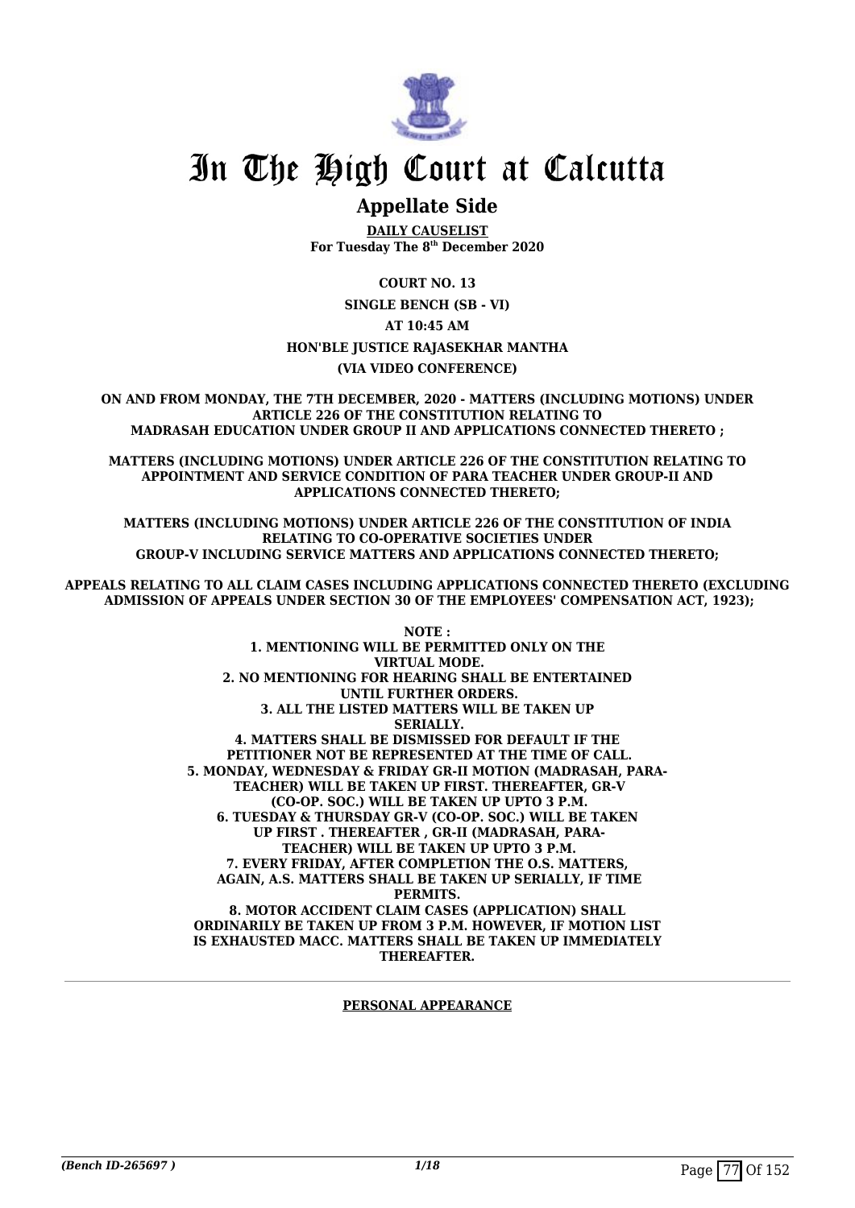

## **Appellate Side**

**DAILY CAUSELIST For Tuesday The 8th December 2020**

**COURT NO. 13 SINGLE BENCH (SB - VI) AT 10:45 AM HON'BLE JUSTICE RAJASEKHAR MANTHA (VIA VIDEO CONFERENCE)**

**ON AND FROM MONDAY, THE 7TH DECEMBER, 2020 - MATTERS (INCLUDING MOTIONS) UNDER ARTICLE 226 OF THE CONSTITUTION RELATING TO MADRASAH EDUCATION UNDER GROUP II AND APPLICATIONS CONNECTED THERETO ;**

**MATTERS (INCLUDING MOTIONS) UNDER ARTICLE 226 OF THE CONSTITUTION RELATING TO APPOINTMENT AND SERVICE CONDITION OF PARA TEACHER UNDER GROUP-II AND APPLICATIONS CONNECTED THERETO;**

**MATTERS (INCLUDING MOTIONS) UNDER ARTICLE 226 OF THE CONSTITUTION OF INDIA RELATING TO CO-OPERATIVE SOCIETIES UNDER GROUP-V INCLUDING SERVICE MATTERS AND APPLICATIONS CONNECTED THERETO;**

**APPEALS RELATING TO ALL CLAIM CASES INCLUDING APPLICATIONS CONNECTED THERETO (EXCLUDING ADMISSION OF APPEALS UNDER SECTION 30 OF THE EMPLOYEES' COMPENSATION ACT, 1923);**

> **NOTE : 1. MENTIONING WILL BE PERMITTED ONLY ON THE VIRTUAL MODE. 2. NO MENTIONING FOR HEARING SHALL BE ENTERTAINED UNTIL FURTHER ORDERS. 3. ALL THE LISTED MATTERS WILL BE TAKEN UP SERIALLY. 4. MATTERS SHALL BE DISMISSED FOR DEFAULT IF THE PETITIONER NOT BE REPRESENTED AT THE TIME OF CALL. 5. MONDAY, WEDNESDAY & FRIDAY GR-II MOTION (MADRASAH, PARA- TEACHER) WILL BE TAKEN UP FIRST. THEREAFTER, GR-V (CO-OP. SOC.) WILL BE TAKEN UP UPTO 3 P.M. 6. TUESDAY & THURSDAY GR-V (CO-OP. SOC.) WILL BE TAKEN UP FIRST . THEREAFTER , GR-II (MADRASAH, PARA- TEACHER) WILL BE TAKEN UP UPTO 3 P.M. 7. EVERY FRIDAY, AFTER COMPLETION THE O.S. MATTERS, AGAIN, A.S. MATTERS SHALL BE TAKEN UP SERIALLY, IF TIME PERMITS. 8. MOTOR ACCIDENT CLAIM CASES (APPLICATION) SHALL ORDINARILY BE TAKEN UP FROM 3 P.M. HOWEVER, IF MOTION LIST IS EXHAUSTED MACC. MATTERS SHALL BE TAKEN UP IMMEDIATELY THEREAFTER.**

#### **PERSONAL APPEARANCE**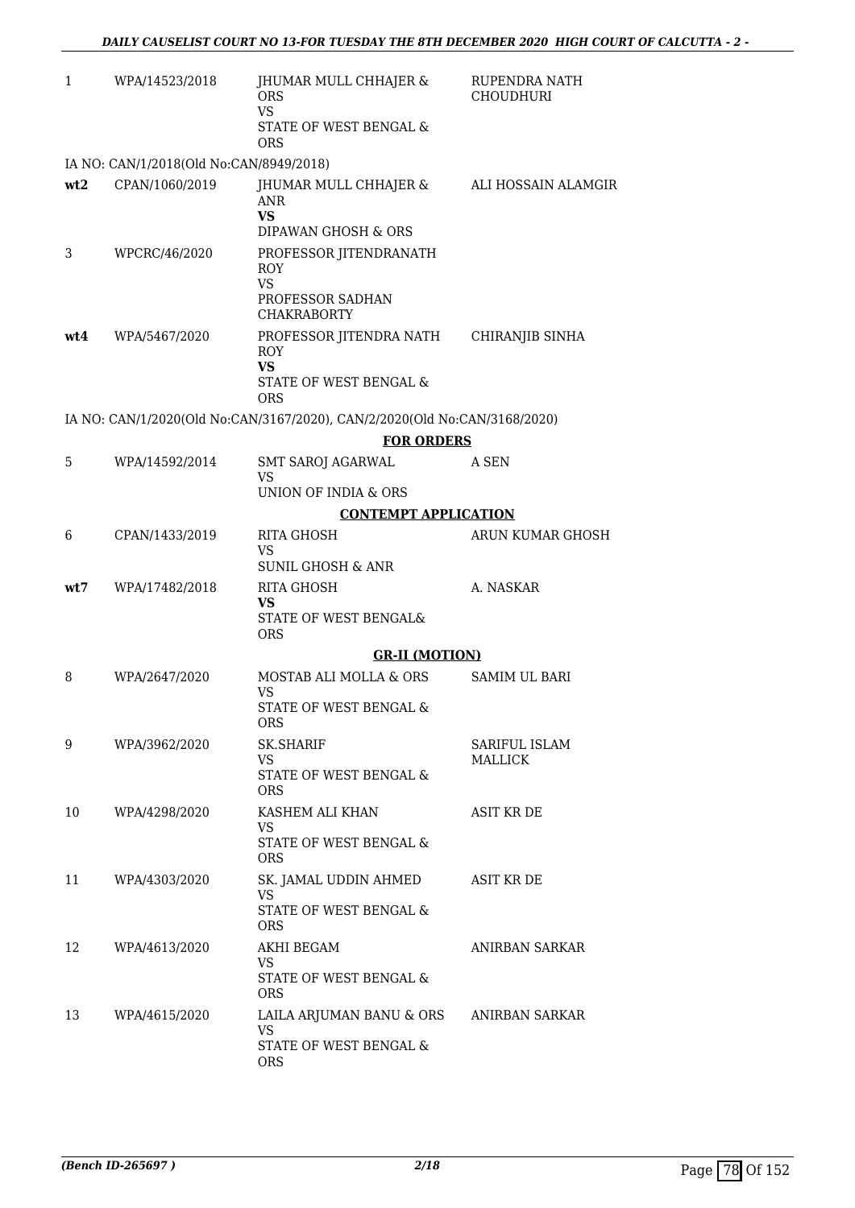| $\mathbf{1}$ | WPA/14523/2018                          | JHUMAR MULL CHHAJER &<br><b>ORS</b><br><b>VS</b><br>STATE OF WEST BENGAL &<br><b>ORS</b>    | RUPENDRA NATH<br><b>CHOUDHURI</b> |
|--------------|-----------------------------------------|---------------------------------------------------------------------------------------------|-----------------------------------|
|              | IA NO: CAN/1/2018(Old No:CAN/8949/2018) |                                                                                             |                                   |
| wt2          | CPAN/1060/2019                          | JHUMAR MULL CHHAJER &<br><b>ANR</b><br><b>VS</b><br>DIPAWAN GHOSH & ORS                     | ALI HOSSAIN ALAMGIR               |
| 3            | WPCRC/46/2020                           | PROFESSOR JITENDRANATH<br><b>ROY</b><br><b>VS</b><br>PROFESSOR SADHAN<br><b>CHAKRABORTY</b> |                                   |
| wt4          | WPA/5467/2020                           | PROFESSOR JITENDRA NATH<br><b>ROY</b><br><b>VS</b><br>STATE OF WEST BENGAL &<br>ORS         | CHIRANJIB SINHA                   |
|              |                                         | IA NO: CAN/1/2020(Old No:CAN/3167/2020), CAN/2/2020(Old No:CAN/3168/2020)                   |                                   |
|              |                                         | <b>FOR ORDERS</b>                                                                           |                                   |
| 5            | WPA/14592/2014                          | <b>SMT SAROJ AGARWAL</b><br><b>VS</b><br>UNION OF INDIA & ORS                               | A SEN                             |
|              |                                         | <b>CONTEMPT APPLICATION</b>                                                                 |                                   |
| 6            | CPAN/1433/2019                          | RITA GHOSH                                                                                  | ARUN KUMAR GHOSH                  |
|              |                                         | VS<br><b>SUNIL GHOSH &amp; ANR</b>                                                          |                                   |
| wt7          | WPA/17482/2018                          | RITA GHOSH<br>VS.<br>STATE OF WEST BENGAL&<br><b>ORS</b>                                    | A. NASKAR                         |
|              |                                         | <b>GR-II (MOTION)</b>                                                                       |                                   |
| 8            | WPA/2647/2020                           | MOSTAB ALI MOLLA & ORS<br><b>VS</b>                                                         | SAMIM UL BARI                     |
|              |                                         | STATE OF WEST BENGAL &<br><b>ORS</b>                                                        |                                   |
| 9            | WPA/3962/2020                           | <b>SK.SHARIF</b><br>VS.                                                                     | SARIFUL ISLAM<br>MALLICK          |
|              |                                         | STATE OF WEST BENGAL &<br><b>ORS</b>                                                        |                                   |
| 10           | WPA/4298/2020                           | KASHEM ALI KHAN<br>VS.<br>STATE OF WEST BENGAL &<br>ORS                                     | <b>ASIT KR DE</b>                 |
| 11           | WPA/4303/2020                           | SK. JAMAL UDDIN AHMED<br>VS.<br>STATE OF WEST BENGAL &<br><b>ORS</b>                        | <b>ASIT KR DE</b>                 |
| 12           | WPA/4613/2020                           | AKHI BEGAM<br><b>VS</b><br>STATE OF WEST BENGAL &<br><b>ORS</b>                             | ANIRBAN SARKAR                    |
| 13           | WPA/4615/2020                           | LAILA ARJUMAN BANU & ORS<br><b>VS</b><br>STATE OF WEST BENGAL &<br>ORS                      | ANIRBAN SARKAR                    |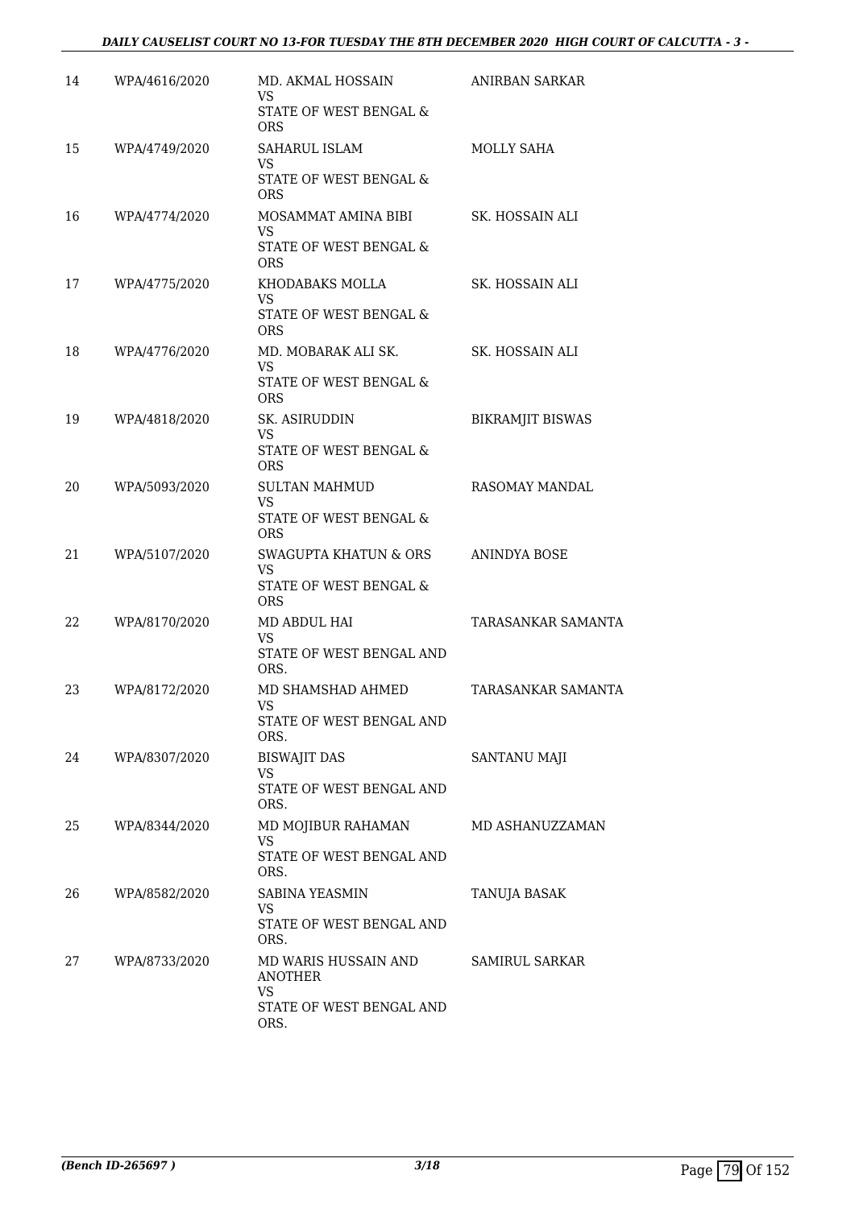## *DAILY CAUSELIST COURT NO 13-FOR TUESDAY THE 8TH DECEMBER 2020 HIGH COURT OF CALCUTTA - 3 -*

| 14 | WPA/4616/2020 | MD. AKMAL HOSSAIN<br>VS<br>STATE OF WEST BENGAL & | ANIRBAN SARKAR            |
|----|---------------|---------------------------------------------------|---------------------------|
|    |               | <b>ORS</b>                                        |                           |
| 15 | WPA/4749/2020 | <b>SAHARUL ISLAM</b><br><b>VS</b>                 | <b>MOLLY SAHA</b>         |
|    |               | STATE OF WEST BENGAL &<br><b>ORS</b>              |                           |
| 16 | WPA/4774/2020 | MOSAMMAT AMINA BIBI<br><b>VS</b>                  | SK. HOSSAIN ALI           |
|    |               | STATE OF WEST BENGAL &<br><b>ORS</b>              |                           |
| 17 | WPA/4775/2020 | KHODABAKS MOLLA<br>VS                             | SK. HOSSAIN ALI           |
|    |               | STATE OF WEST BENGAL &<br><b>ORS</b>              |                           |
| 18 | WPA/4776/2020 | MD. MOBARAK ALI SK.<br><b>VS</b>                  | SK. HOSSAIN ALI           |
|    |               | STATE OF WEST BENGAL &<br><b>ORS</b>              |                           |
| 19 | WPA/4818/2020 | SK. ASIRUDDIN<br><b>VS</b>                        | <b>BIKRAMJIT BISWAS</b>   |
|    |               | STATE OF WEST BENGAL &<br><b>ORS</b>              |                           |
| 20 | WPA/5093/2020 | <b>SULTAN MAHMUD</b><br><b>VS</b>                 | <b>RASOMAY MANDAL</b>     |
|    |               | STATE OF WEST BENGAL &<br><b>ORS</b>              |                           |
| 21 | WPA/5107/2020 | <b>SWAGUPTA KHATUN &amp; ORS</b><br><b>VS</b>     | <b>ANINDYA BOSE</b>       |
|    |               | STATE OF WEST BENGAL &<br><b>ORS</b>              |                           |
| 22 | WPA/8170/2020 | MD ABDUL HAI<br><b>VS</b>                         | <b>TARASANKAR SAMANTA</b> |
|    |               | STATE OF WEST BENGAL AND<br>ORS.                  |                           |
| 23 | WPA/8172/2020 | MD SHAMSHAD AHMED<br>VS                           | TARASANKAR SAMANTA        |
|    |               | STATE OF WEST BENGAL AND<br>ORS.                  |                           |
| 24 | WPA/8307/2020 | <b>BISWAJIT DAS</b><br>VS.                        | SANTANU MAJI              |
|    |               | STATE OF WEST BENGAL AND<br>ORS.                  |                           |
| 25 | WPA/8344/2020 | MD MOJIBUR RAHAMAN<br>VS                          | MD ASHANUZZAMAN           |
|    |               | STATE OF WEST BENGAL AND<br>ORS.                  |                           |
| 26 | WPA/8582/2020 | <b>SABINA YEASMIN</b><br>VS.                      | TANUJA BASAK              |
|    |               | STATE OF WEST BENGAL AND<br>ORS.                  |                           |
| 27 | WPA/8733/2020 | MD WARIS HUSSAIN AND<br><b>ANOTHER</b>            | <b>SAMIRUL SARKAR</b>     |
|    |               | <b>VS</b><br>STATE OF WEST BENGAL AND<br>ORS.     |                           |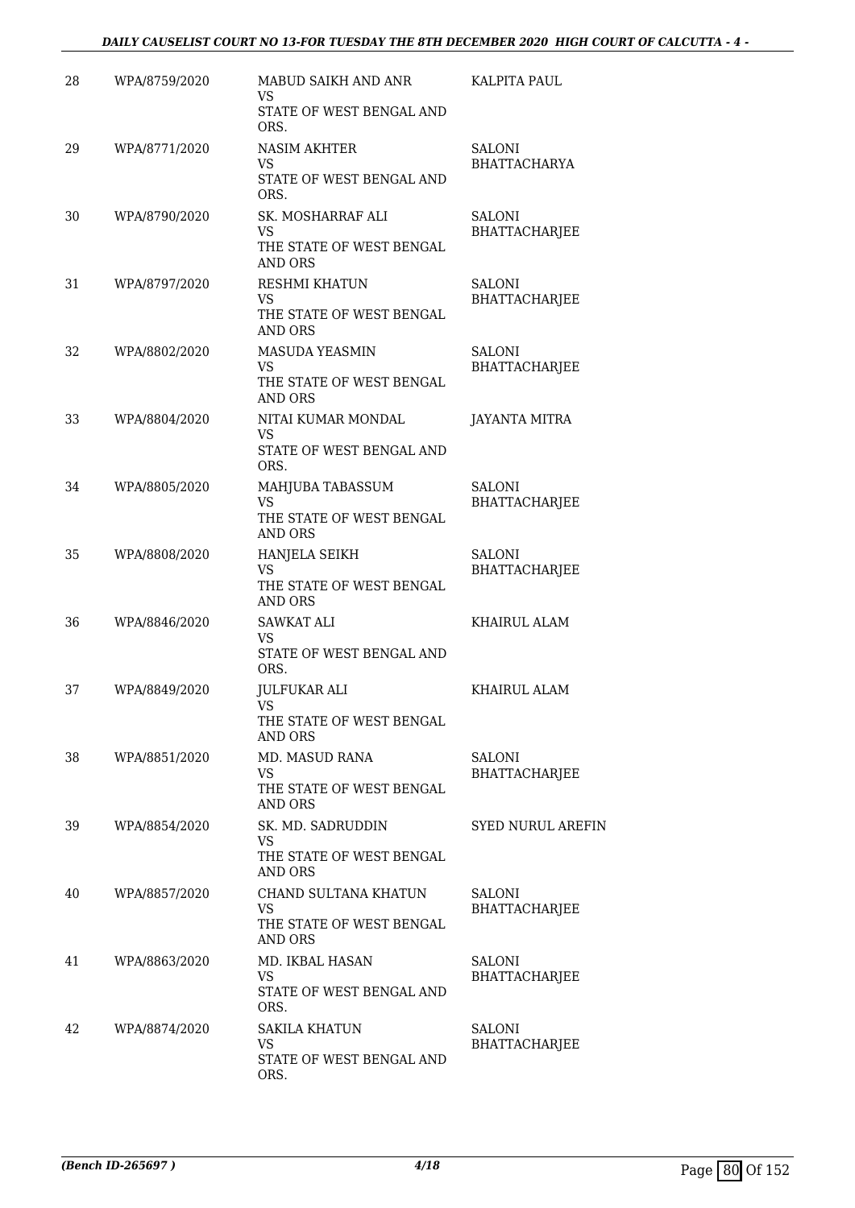### *DAILY CAUSELIST COURT NO 13-FOR TUESDAY THE 8TH DECEMBER 2020 HIGH COURT OF CALCUTTA - 4 -*

| 28 | WPA/8759/2020 | MABUD SAIKH AND ANR<br>VS                                                        | KALPITA PAUL                          |
|----|---------------|----------------------------------------------------------------------------------|---------------------------------------|
|    |               | STATE OF WEST BENGAL AND<br>ORS.                                                 |                                       |
| 29 | WPA/8771/2020 | <b>NASIM AKHTER</b><br><b>VS</b><br>STATE OF WEST BENGAL AND<br>ORS.             | <b>SALONI</b><br><b>BHATTACHARYA</b>  |
| 30 | WPA/8790/2020 | SK. MOSHARRAF ALI<br><b>VS</b><br>THE STATE OF WEST BENGAL<br><b>AND ORS</b>     | <b>SALONI</b><br><b>BHATTACHARJEE</b> |
| 31 | WPA/8797/2020 | RESHMI KHATUN<br>VS<br>THE STATE OF WEST BENGAL<br><b>AND ORS</b>                | <b>SALONI</b><br><b>BHATTACHARJEE</b> |
| 32 | WPA/8802/2020 | <b>MASUDA YEASMIN</b><br><b>VS</b><br>THE STATE OF WEST BENGAL<br><b>AND ORS</b> | <b>SALONI</b><br><b>BHATTACHARJEE</b> |
| 33 | WPA/8804/2020 | NITAI KUMAR MONDAL<br><b>VS</b><br>STATE OF WEST BENGAL AND<br>ORS.              | <b>JAYANTA MITRA</b>                  |
| 34 | WPA/8805/2020 | MAHJUBA TABASSUM<br><b>VS</b><br>THE STATE OF WEST BENGAL<br><b>AND ORS</b>      | <b>SALONI</b><br><b>BHATTACHARJEE</b> |
| 35 | WPA/8808/2020 | HANJELA SEIKH<br><b>VS</b><br>THE STATE OF WEST BENGAL<br><b>AND ORS</b>         | <b>SALONI</b><br><b>BHATTACHARJEE</b> |
| 36 | WPA/8846/2020 | <b>SAWKAT ALI</b><br>VS<br>STATE OF WEST BENGAL AND<br>ORS.                      | KHAIRUL ALAM                          |
| 37 | WPA/8849/2020 | JULFUKAR ALI<br>VS<br>THE STATE OF WEST BENGAL<br><b>AND ORS</b>                 | <b>KHAIRUL ALAM</b>                   |
| 38 | WPA/8851/2020 | MD. MASUD RANA<br><b>VS</b><br>THE STATE OF WEST BENGAL<br><b>AND ORS</b>        | SALONI<br><b>BHATTACHARJEE</b>        |
| 39 | WPA/8854/2020 | SK. MD. SADRUDDIN<br><b>VS</b><br>THE STATE OF WEST BENGAL<br><b>AND ORS</b>     | <b>SYED NURUL AREFIN</b>              |
| 40 | WPA/8857/2020 | CHAND SULTANA KHATUN<br><b>VS</b><br>THE STATE OF WEST BENGAL<br><b>AND ORS</b>  | <b>SALONI</b><br><b>BHATTACHARJEE</b> |
| 41 | WPA/8863/2020 | MD. IKBAL HASAN<br>VS.<br>STATE OF WEST BENGAL AND<br>ORS.                       | <b>SALONI</b><br><b>BHATTACHARJEE</b> |
| 42 | WPA/8874/2020 | <b>SAKILA KHATUN</b><br><b>VS</b><br>STATE OF WEST BENGAL AND<br>ORS.            | <b>SALONI</b><br><b>BHATTACHARJEE</b> |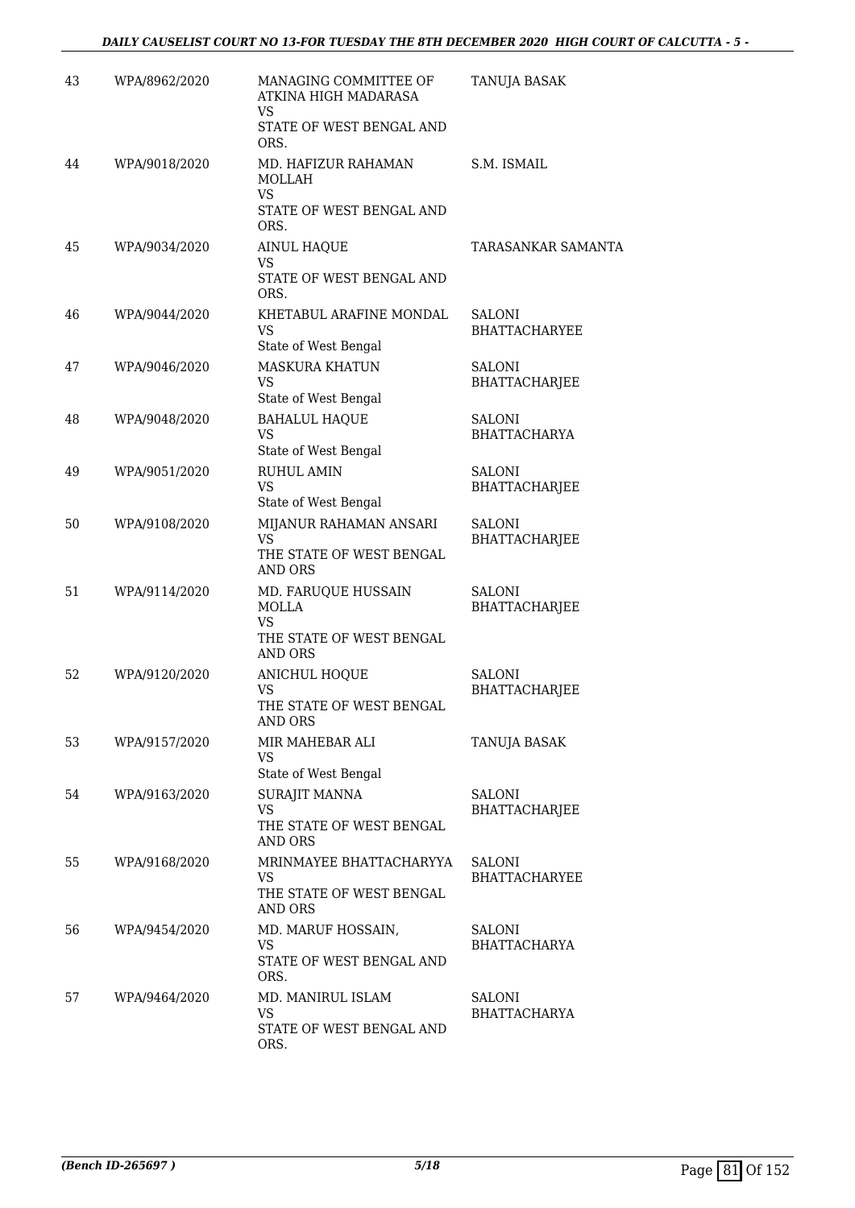| 43 | WPA/8962/2020 | MANAGING COMMITTEE OF<br>ATKINA HIGH MADARASA<br>VS         | TANUJA BASAK                          |
|----|---------------|-------------------------------------------------------------|---------------------------------------|
|    |               | STATE OF WEST BENGAL AND<br>ORS.                            |                                       |
| 44 | WPA/9018/2020 | MD. HAFIZUR RAHAMAN<br>MOLLAH<br><b>VS</b>                  | S.M. ISMAIL                           |
|    |               | STATE OF WEST BENGAL AND<br>ORS.                            |                                       |
| 45 | WPA/9034/2020 | <b>AINUL HAQUE</b><br><b>VS</b><br>STATE OF WEST BENGAL AND | TARASANKAR SAMANTA                    |
|    |               | ORS.                                                        |                                       |
| 46 | WPA/9044/2020 | KHETABUL ARAFINE MONDAL<br>VS<br>State of West Bengal       | SALONI<br><b>BHATTACHARYEE</b>        |
| 47 | WPA/9046/2020 | <b>MASKURA KHATUN</b>                                       | <b>SALONI</b>                         |
|    |               | <b>VS</b><br>State of West Bengal                           | <b>BHATTACHARJEE</b>                  |
| 48 | WPA/9048/2020 | <b>BAHALUL HAQUE</b>                                        | <b>SALONI</b>                         |
|    |               | <b>VS</b><br>State of West Bengal                           | <b>BHATTACHARYA</b>                   |
| 49 | WPA/9051/2020 | <b>RUHUL AMIN</b>                                           | <b>SALONI</b>                         |
|    |               | <b>VS</b><br>State of West Bengal                           | BHATTACHARJEE                         |
| 50 | WPA/9108/2020 | MIJANUR RAHAMAN ANSARI<br><b>VS</b>                         | <b>SALONI</b><br><b>BHATTACHARJEE</b> |
|    |               | THE STATE OF WEST BENGAL<br><b>AND ORS</b>                  |                                       |
| 51 | WPA/9114/2020 | MD. FARUQUE HUSSAIN<br><b>MOLLA</b>                         | <b>SALONI</b><br>BHATTACHARJEE        |
|    |               | <b>VS</b><br>THE STATE OF WEST BENGAL<br><b>AND ORS</b>     |                                       |
| 52 | WPA/9120/2020 | <b>ANICHUL HOQUE</b>                                        | <b>SALONI</b>                         |
|    |               | <b>VS</b><br>THE STATE OF WEST BENGAL<br><b>AND ORS</b>     | <b>BHATTACHARJEE</b>                  |
| 53 | WPA/9157/2020 | MIR MAHEBAR ALI                                             | TANUJA BASAK                          |
|    |               | VS<br>State of West Bengal                                  |                                       |
| 54 | WPA/9163/2020 | <b>SURAJIT MANNA</b>                                        | SALONI                                |
|    |               | <b>VS</b><br>THE STATE OF WEST BENGAL<br><b>AND ORS</b>     | <b>BHATTACHARJEE</b>                  |
| 55 | WPA/9168/2020 | MRINMAYEE BHATTACHARYYA                                     | <b>SALONI</b>                         |
|    |               | <b>VS</b><br>THE STATE OF WEST BENGAL<br><b>AND ORS</b>     | <b>BHATTACHARYEE</b>                  |
| 56 | WPA/9454/2020 | MD. MARUF HOSSAIN,                                          | SALONI                                |
|    |               | <b>VS</b><br>STATE OF WEST BENGAL AND<br>ORS.               | <b>BHATTACHARYA</b>                   |
| 57 | WPA/9464/2020 | MD. MANIRUL ISLAM                                           | SALONI                                |
|    |               | <b>VS</b>                                                   | <b>BHATTACHARYA</b>                   |
|    |               | STATE OF WEST BENGAL AND<br>ORS.                            |                                       |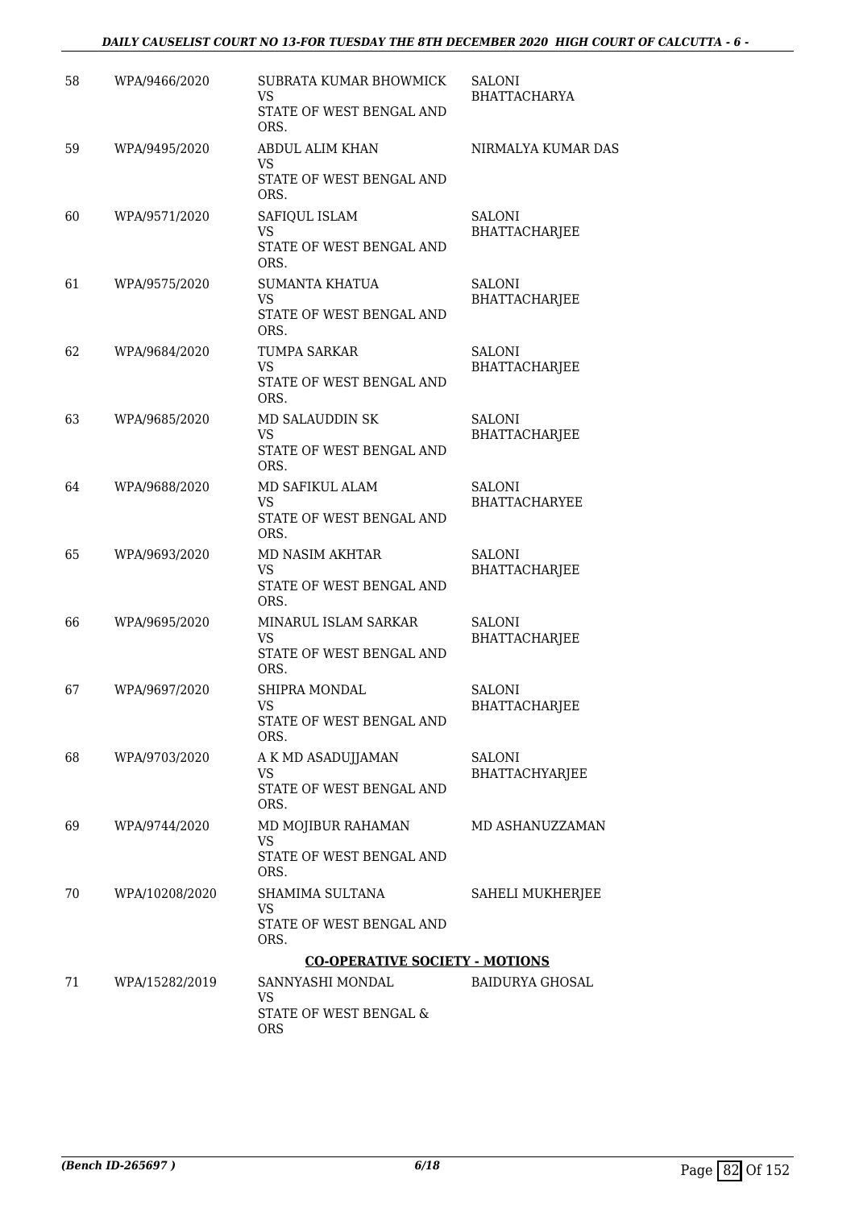### *DAILY CAUSELIST COURT NO 13-FOR TUESDAY THE 8TH DECEMBER 2020 HIGH COURT OF CALCUTTA - 6 -*

| 58 | WPA/9466/2020  | SUBRATA KUMAR BHOWMICK<br>VS<br>STATE OF WEST BENGAL AND<br>ORS.       | SALONI<br><b>BHATTACHARYA</b>         |
|----|----------------|------------------------------------------------------------------------|---------------------------------------|
| 59 | WPA/9495/2020  | ABDUL ALIM KHAN<br>VS<br>STATE OF WEST BENGAL AND<br>ORS.              | NIRMALYA KUMAR DAS                    |
| 60 | WPA/9571/2020  | SAFIQUL ISLAM<br><b>VS</b><br>STATE OF WEST BENGAL AND<br>ORS.         | SALONI<br><b>BHATTACHARJEE</b>        |
| 61 | WPA/9575/2020  | <b>SUMANTA KHATUA</b><br><b>VS</b><br>STATE OF WEST BENGAL AND<br>ORS. | <b>SALONI</b><br>BHATTACHARJEE        |
| 62 | WPA/9684/2020  | TUMPA SARKAR<br>VS<br>STATE OF WEST BENGAL AND<br>ORS.                 | SALONI<br><b>BHATTACHARJEE</b>        |
| 63 | WPA/9685/2020  | MD SALAUDDIN SK<br><b>VS</b><br>STATE OF WEST BENGAL AND<br>ORS.       | <b>SALONI</b><br><b>BHATTACHARJEE</b> |
| 64 | WPA/9688/2020  | MD SAFIKUL ALAM<br><b>VS</b><br>STATE OF WEST BENGAL AND<br>ORS.       | <b>SALONI</b><br><b>BHATTACHARYEE</b> |
| 65 | WPA/9693/2020  | MD NASIM AKHTAR<br><b>VS</b><br>STATE OF WEST BENGAL AND<br>ORS.       | <b>SALONI</b><br>BHATTACHARJEE        |
| 66 | WPA/9695/2020  | MINARUL ISLAM SARKAR<br><b>VS</b><br>STATE OF WEST BENGAL AND<br>ORS.  | <b>SALONI</b><br><b>BHATTACHARJEE</b> |
| 67 | WPA/9697/2020  | <b>SHIPRA MONDAL</b><br><b>VS</b><br>STATE OF WEST BENGAL AND<br>ORS.  | <b>SALONI</b><br><b>BHATTACHARJEE</b> |
| 68 | WPA/9703/2020  | A K MD ASADUJJAMAN<br><b>VS</b><br>STATE OF WEST BENGAL AND<br>ORS.    | SALONI<br>BHATTACHYARJEE              |
| 69 | WPA/9744/2020  | MD MOJIBUR RAHAMAN<br><b>VS</b><br>STATE OF WEST BENGAL AND<br>ORS.    | MD ASHANUZZAMAN                       |
| 70 | WPA/10208/2020 | SHAMIMA SULTANA<br>VS.<br>STATE OF WEST BENGAL AND<br>ORS.             | SAHELI MUKHERJEE                      |
|    |                | <b>CO-OPERATIVE SOCIETY - MOTIONS</b>                                  |                                       |
| 71 | WPA/15282/2019 | SANNYASHI MONDAL<br>VS                                                 | <b>BAIDURYA GHOSAL</b>                |
|    |                | STATE OF WEST BENGAL &<br><b>ORS</b>                                   |                                       |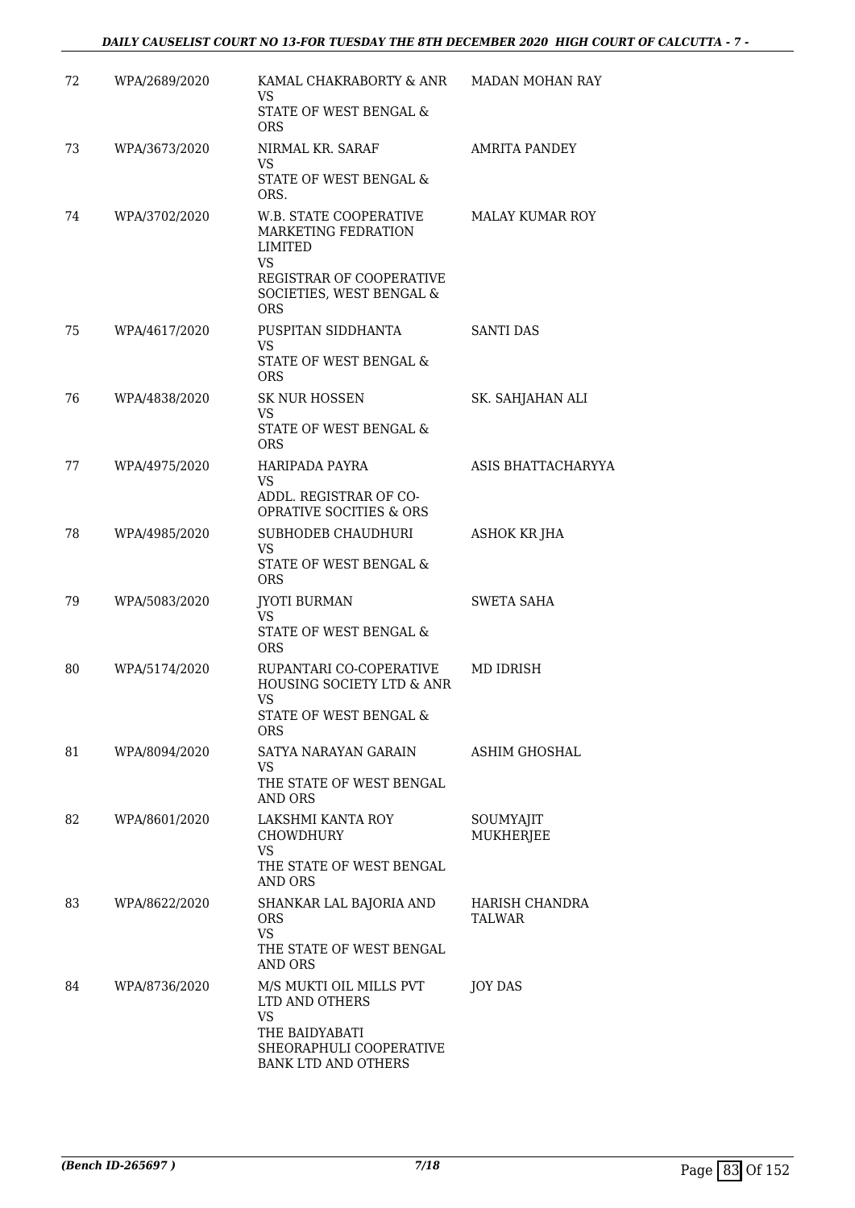| 72 | WPA/2689/2020 | KAMAL CHAKRABORTY & ANR<br>VS.<br>STATE OF WEST BENGAL &<br><b>ORS</b>                                                               | <b>MADAN MOHAN RAY</b>          |
|----|---------------|--------------------------------------------------------------------------------------------------------------------------------------|---------------------------------|
| 73 | WPA/3673/2020 | NIRMAL KR. SARAF<br>VS.<br>STATE OF WEST BENGAL &<br>ORS.                                                                            | <b>AMRITA PANDEY</b>            |
| 74 | WPA/3702/2020 | W.B. STATE COOPERATIVE<br>MARKETING FEDRATION<br>LIMITED<br>VS<br>REGISTRAR OF COOPERATIVE<br>SOCIETIES, WEST BENGAL &<br><b>ORS</b> | <b>MALAY KUMAR ROY</b>          |
| 75 | WPA/4617/2020 | PUSPITAN SIDDHANTA<br>VS.<br>STATE OF WEST BENGAL &<br><b>ORS</b>                                                                    | <b>SANTI DAS</b>                |
| 76 | WPA/4838/2020 | <b>SK NUR HOSSEN</b><br><b>VS</b><br>STATE OF WEST BENGAL &<br><b>ORS</b>                                                            | SK. SAHJAHAN ALI                |
| 77 | WPA/4975/2020 | HARIPADA PAYRA<br>VS.<br>ADDL. REGISTRAR OF CO-<br><b>OPRATIVE SOCITIES &amp; ORS</b>                                                | ASIS BHATTACHARYYA              |
| 78 | WPA/4985/2020 | SUBHODEB CHAUDHURI<br>VS.<br>STATE OF WEST BENGAL &<br><b>ORS</b>                                                                    | <b>ASHOK KR JHA</b>             |
| 79 | WPA/5083/2020 | <b>JYOTI BURMAN</b><br>VS.<br>STATE OF WEST BENGAL &<br><b>ORS</b>                                                                   | SWETA SAHA                      |
| 80 | WPA/5174/2020 | RUPANTARI CO-COPERATIVE<br>HOUSING SOCIETY LTD & ANR<br><b>VS</b><br>STATE OF WEST BENGAL &<br>ORS                                   | MD IDRISH                       |
| 81 | WPA/8094/2020 | SATYA NARAYAN GARAIN<br>VS<br>THE STATE OF WEST BENGAL<br>AND ORS                                                                    | <b>ASHIM GHOSHAL</b>            |
| 82 | WPA/8601/2020 | LAKSHMI KANTA ROY<br><b>CHOWDHURY</b><br><b>VS</b><br>THE STATE OF WEST BENGAL<br><b>AND ORS</b>                                     | SOUMYAJIT<br><b>MUKHERJEE</b>   |
| 83 | WPA/8622/2020 | SHANKAR LAL BAJORIA AND<br>ORS.<br><b>VS</b><br>THE STATE OF WEST BENGAL<br><b>AND ORS</b>                                           | HARISH CHANDRA<br><b>TALWAR</b> |
| 84 | WPA/8736/2020 | M/S MUKTI OIL MILLS PVT<br>LTD AND OTHERS<br><b>VS</b><br>THE BAIDYABATI<br>SHEORAPHULI COOPERATIVE<br><b>BANK LTD AND OTHERS</b>    | <b>JOY DAS</b>                  |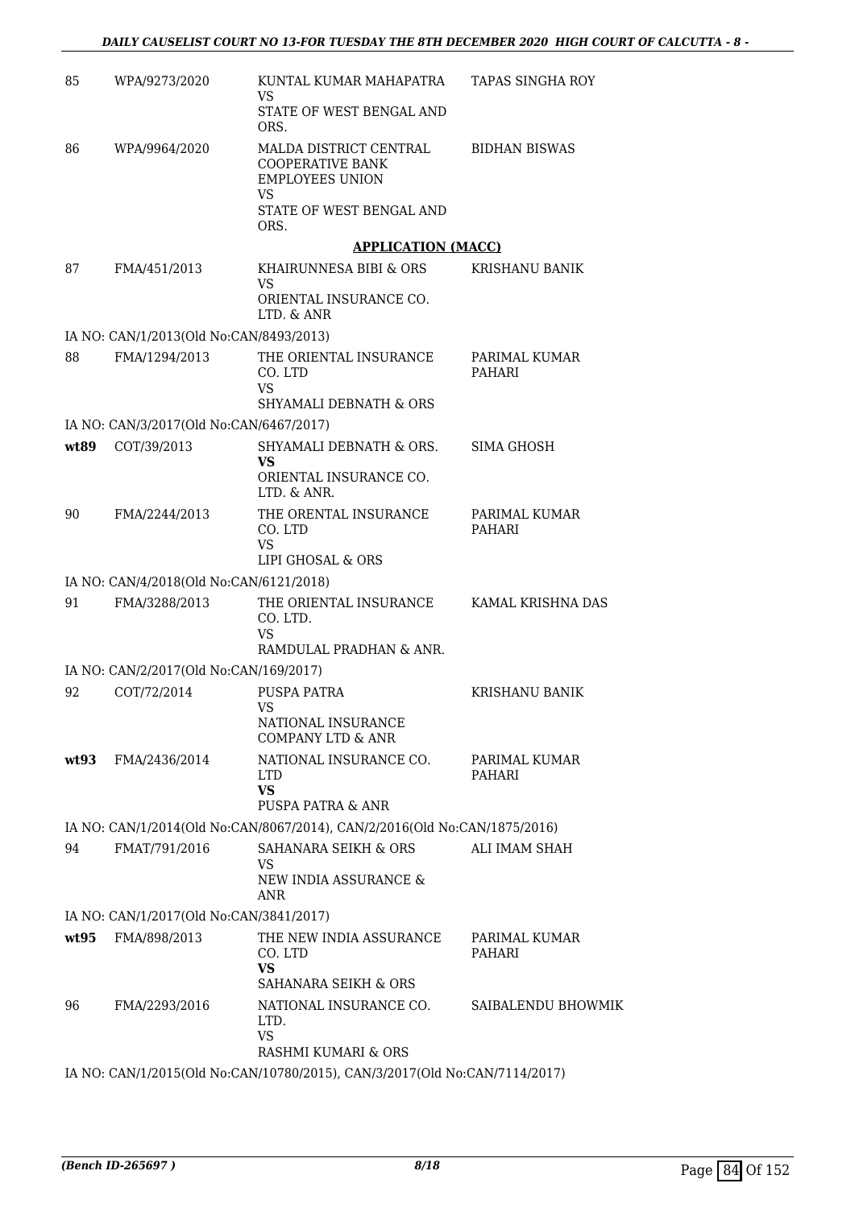| 85   | WPA/9273/2020                           | KUNTAL KUMAR MAHAPATRA<br>VS.                                                     | <b>TAPAS SINGHA ROY</b>        |
|------|-----------------------------------------|-----------------------------------------------------------------------------------|--------------------------------|
|      |                                         | STATE OF WEST BENGAL AND<br>ORS.                                                  |                                |
| 86   | WPA/9964/2020                           | MALDA DISTRICT CENTRAL<br>COOPERATIVE BANK<br><b>EMPLOYEES UNION</b><br><b>VS</b> | <b>BIDHAN BISWAS</b>           |
|      |                                         | STATE OF WEST BENGAL AND<br>ORS.                                                  |                                |
|      |                                         | <b>APPLICATION (MACC)</b>                                                         |                                |
| 87   | FMA/451/2013                            | KHAIRUNNESA BIBI & ORS<br>VS.                                                     | <b>KRISHANU BANIK</b>          |
|      |                                         | ORIENTAL INSURANCE CO.<br>LTD. & ANR                                              |                                |
|      | IA NO: CAN/1/2013(Old No:CAN/8493/2013) |                                                                                   |                                |
| 88   | FMA/1294/2013                           | THE ORIENTAL INSURANCE<br>CO. LTD<br><b>VS</b>                                    | PARIMAL KUMAR<br><b>PAHARI</b> |
|      |                                         | <b>SHYAMALI DEBNATH &amp; ORS</b>                                                 |                                |
|      | IA NO: CAN/3/2017(Old No:CAN/6467/2017) |                                                                                   |                                |
| wt89 | COT/39/2013                             | SHYAMALI DEBNATH & ORS.<br>VS<br>ORIENTAL INSURANCE CO.                           | SIMA GHOSH                     |
|      |                                         | LTD. & ANR.                                                                       |                                |
| 90   | FMA/2244/2013                           | THE ORENTAL INSURANCE<br>CO. LTD<br><b>VS</b>                                     | PARIMAL KUMAR<br><b>PAHARI</b> |
|      |                                         | LIPI GHOSAL & ORS                                                                 |                                |
|      | IA NO: CAN/4/2018(Old No:CAN/6121/2018) |                                                                                   |                                |
| 91   | FMA/3288/2013                           | THE ORIENTAL INSURANCE KAMAL KRISHNA DAS<br>CO. LTD.<br><b>VS</b>                 |                                |
|      |                                         | RAMDULAL PRADHAN & ANR.                                                           |                                |
|      | IA NO: CAN/2/2017(Old No:CAN/169/2017)  |                                                                                   |                                |
| 92   | COT/72/2014                             | PUSPA PATRA<br><b>VS</b><br>NATIONAL INSURANCE<br><b>COMPANY LTD &amp; ANR</b>    | <b>KRISHANU BANIK</b>          |
| wt93 | FMA/2436/2014                           | NATIONAL INSURANCE CO.<br>LTD.<br><b>VS</b>                                       | PARIMAL KUMAR<br>PAHARI        |
|      |                                         | PUSPA PATRA & ANR                                                                 |                                |
|      |                                         | IA NO: CAN/1/2014(Old No:CAN/8067/2014), CAN/2/2016(Old No:CAN/1875/2016)         |                                |
| 94   | FMAT/791/2016                           | SAHANARA SEIKH & ORS                                                              | ALI IMAM SHAH                  |
|      |                                         | VS.<br>NEW INDIA ASSURANCE &<br><b>ANR</b>                                        |                                |
|      | IA NO: CAN/1/2017(Old No:CAN/3841/2017) |                                                                                   |                                |
| wt95 | FMA/898/2013                            | THE NEW INDIA ASSURANCE<br>CO. LTD<br><b>VS</b>                                   | PARIMAL KUMAR<br><b>PAHARI</b> |
|      |                                         | SAHANARA SEIKH & ORS                                                              |                                |
| 96   | FMA/2293/2016                           | NATIONAL INSURANCE CO.<br>LTD.<br><b>VS</b>                                       | SAIBALENDU BHOWMIK             |
|      |                                         | RASHMI KUMARI & ORS                                                               |                                |
|      |                                         | IA NO: CAN/1/2015(Old No:CAN/10780/2015), CAN/3/2017(Old No:CAN/7114/2017)        |                                |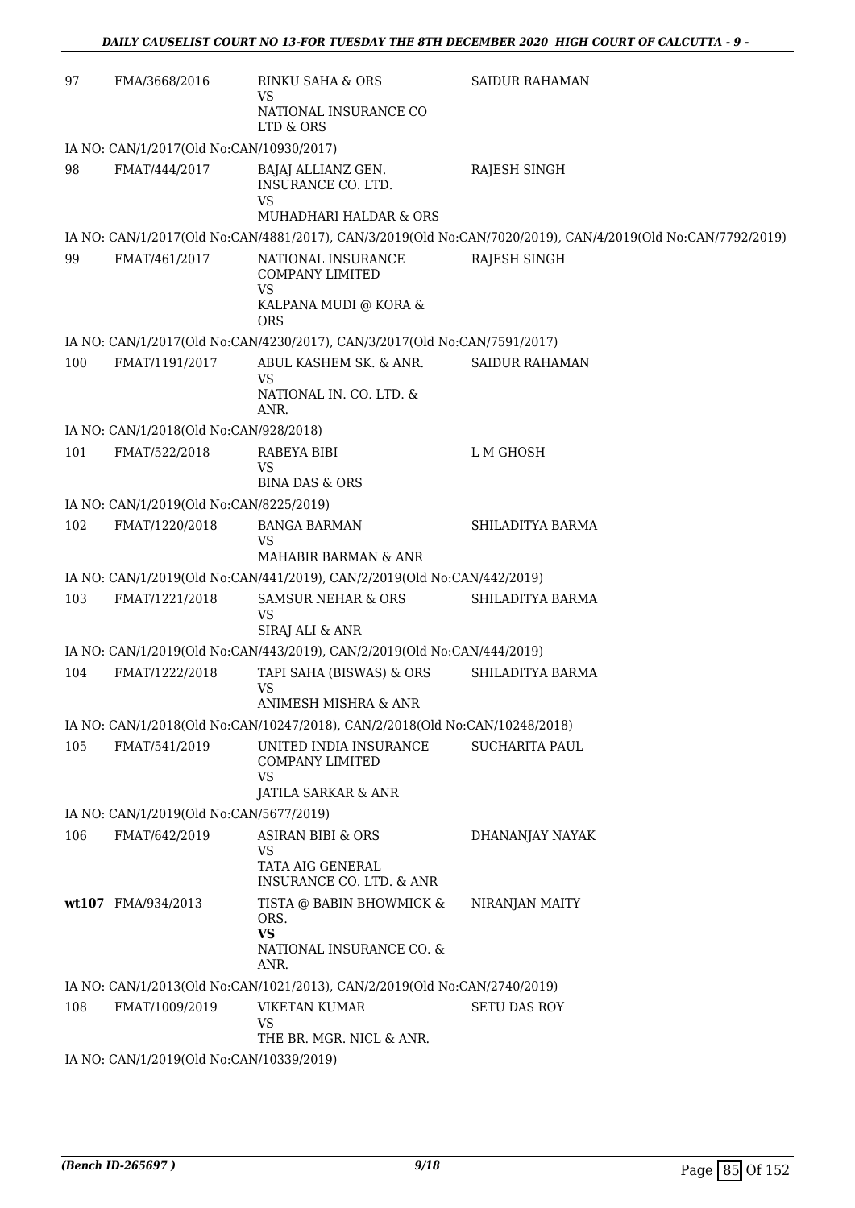| 97  | FMA/3668/2016                            | <b>RINKU SAHA &amp; ORS</b><br>VS<br>NATIONAL INSURANCE CO                                       | <b>SAIDUR RAHAMAN</b>                                                                                       |  |  |
|-----|------------------------------------------|--------------------------------------------------------------------------------------------------|-------------------------------------------------------------------------------------------------------------|--|--|
|     |                                          | LTD & ORS                                                                                        |                                                                                                             |  |  |
|     | IA NO: CAN/1/2017(Old No:CAN/10930/2017) |                                                                                                  |                                                                                                             |  |  |
| 98  | FMAT/444/2017                            | BAJAJ ALLIANZ GEN.<br>INSURANCE CO. LTD.<br><b>VS</b>                                            | RAJESH SINGH                                                                                                |  |  |
|     |                                          | MUHADHARI HALDAR & ORS                                                                           |                                                                                                             |  |  |
|     |                                          |                                                                                                  | IA NO: CAN/1/2017(Old No:CAN/4881/2017), CAN/3/2019(Old No:CAN/7020/2019), CAN/4/2019(Old No:CAN/7792/2019) |  |  |
| 99  | FMAT/461/2017                            | NATIONAL INSURANCE<br><b>COMPANY LIMITED</b><br><b>VS</b><br>KALPANA MUDI @ KORA &<br><b>ORS</b> | RAJESH SINGH                                                                                                |  |  |
|     |                                          | IA NO: CAN/1/2017(Old No:CAN/4230/2017), CAN/3/2017(Old No:CAN/7591/2017)                        |                                                                                                             |  |  |
| 100 | FMAT/1191/2017                           | ABUL KASHEM SK. & ANR.<br><b>VS</b><br>NATIONAL IN. CO. LTD. &<br>ANR.                           | <b>SAIDUR RAHAMAN</b>                                                                                       |  |  |
|     | IA NO: CAN/1/2018(Old No:CAN/928/2018)   |                                                                                                  |                                                                                                             |  |  |
| 101 | FMAT/522/2018                            | RABEYA BIBI<br><b>VS</b>                                                                         | L M GHOSH                                                                                                   |  |  |
|     |                                          | <b>BINA DAS &amp; ORS</b>                                                                        |                                                                                                             |  |  |
|     | IA NO: CAN/1/2019(Old No:CAN/8225/2019)  |                                                                                                  |                                                                                                             |  |  |
| 102 | FMAT/1220/2018                           | <b>BANGA BARMAN</b><br>VS<br><b>MAHABIR BARMAN &amp; ANR</b>                                     | SHILADITYA BARMA                                                                                            |  |  |
|     |                                          | IA NO: CAN/1/2019(Old No:CAN/441/2019), CAN/2/2019(Old No:CAN/442/2019)                          |                                                                                                             |  |  |
| 103 | FMAT/1221/2018                           | <b>SAMSUR NEHAR &amp; ORS</b>                                                                    | SHILADITYA BARMA                                                                                            |  |  |
|     |                                          | <b>VS</b><br>SIRAJ ALI & ANR                                                                     |                                                                                                             |  |  |
|     |                                          | IA NO: CAN/1/2019(Old No:CAN/443/2019), CAN/2/2019(Old No:CAN/444/2019)                          |                                                                                                             |  |  |
| 104 | FMAT/1222/2018                           | TAPI SAHA (BISWAS) & ORS<br><b>VS</b>                                                            | SHILADITYA BARMA                                                                                            |  |  |
|     |                                          | ANIMESH MISHRA & ANR                                                                             |                                                                                                             |  |  |
|     |                                          | IA NO: CAN/1/2018(Old No:CAN/10247/2018), CAN/2/2018(Old No:CAN/10248/2018)                      |                                                                                                             |  |  |
| 105 | FMAT/541/2019                            | UNITED INDIA INSURANCE<br><b>COMPANY LIMITED</b><br><b>VS</b>                                    | <b>SUCHARITA PAUL</b>                                                                                       |  |  |
|     |                                          | <b>JATILA SARKAR &amp; ANR</b>                                                                   |                                                                                                             |  |  |
|     | IA NO: CAN/1/2019(Old No:CAN/5677/2019)  |                                                                                                  |                                                                                                             |  |  |
| 106 | FMAT/642/2019                            | ASIRAN BIBI & ORS<br><b>VS</b><br>TATA AIG GENERAL<br>INSURANCE CO. LTD. & ANR                   | DHANANJAY NAYAK                                                                                             |  |  |
|     | wt107 FMA/934/2013                       | TISTA @ BABIN BHOWMICK &<br>ORS.<br><b>VS</b><br>NATIONAL INSURANCE CO. &<br>ANR.                | NIRANJAN MAITY                                                                                              |  |  |
|     |                                          | IA NO: CAN/1/2013(Old No:CAN/1021/2013), CAN/2/2019(Old No:CAN/2740/2019)                        |                                                                                                             |  |  |
| 108 | FMAT/1009/2019                           | <b>VIKETAN KUMAR</b><br><b>VS</b><br>THE BR. MGR. NICL & ANR.                                    | <b>SETU DAS ROY</b>                                                                                         |  |  |
|     | IA NO: CAN/1/2019(Old No:CAN/10339/2019) |                                                                                                  |                                                                                                             |  |  |
|     |                                          |                                                                                                  |                                                                                                             |  |  |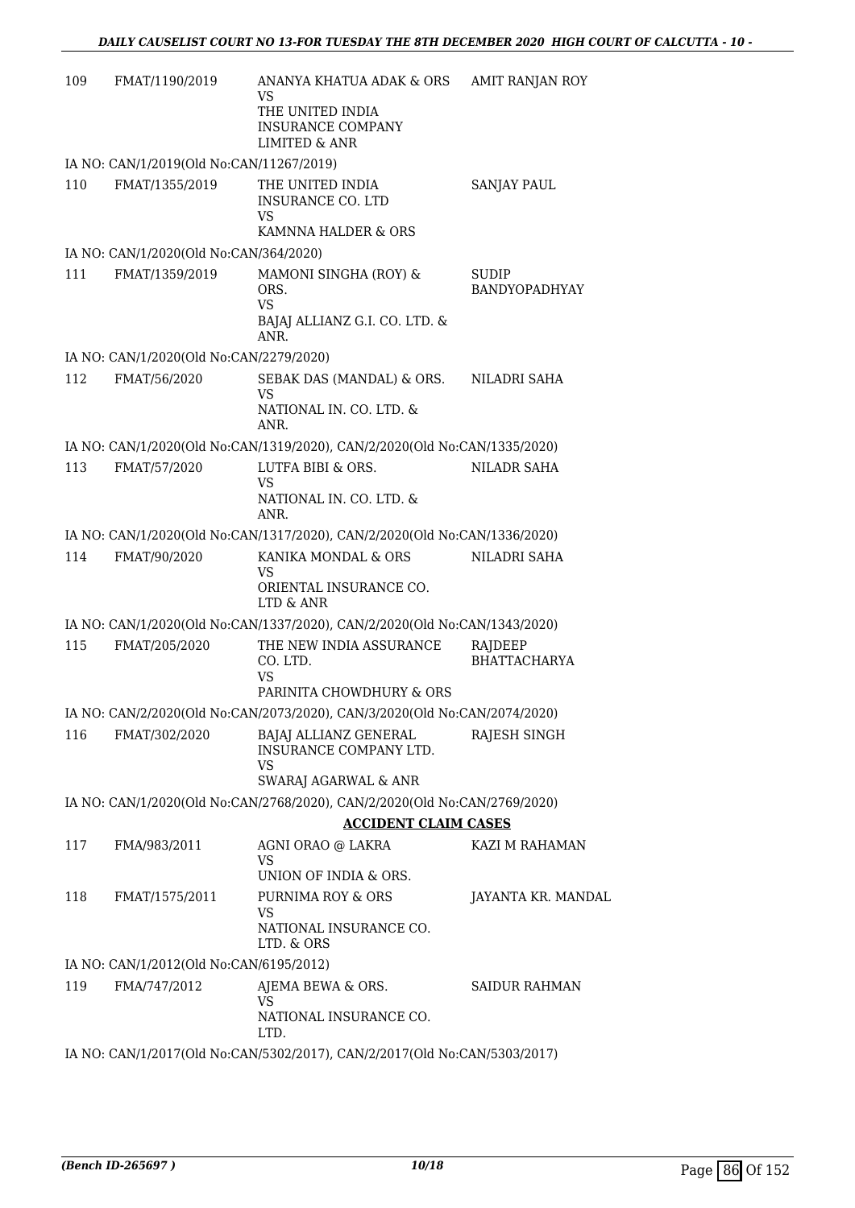| 109 | FMAT/1190/2019                           | ANANYA KHATUA ADAK & ORS<br>VS<br>THE UNITED INDIA<br><b>INSURANCE COMPANY</b><br><b>LIMITED &amp; ANR</b>  | <b>AMIT RANJAN ROY</b>         |
|-----|------------------------------------------|-------------------------------------------------------------------------------------------------------------|--------------------------------|
|     | IA NO: CAN/1/2019(Old No:CAN/11267/2019) |                                                                                                             |                                |
| 110 | FMAT/1355/2019                           | THE UNITED INDIA<br>INSURANCE CO. LTD<br>VS                                                                 | <b>SANJAY PAUL</b>             |
|     |                                          | KAMNNA HALDER & ORS                                                                                         |                                |
|     | IA NO: CAN/1/2020(Old No:CAN/364/2020)   |                                                                                                             |                                |
| 111 | FMAT/1359/2019                           | MAMONI SINGHA (ROY) &<br>ORS.<br><b>VS</b><br>BAJAJ ALLIANZ G.I. CO. LTD. &<br>ANR.                         | <b>SUDIP</b><br>BANDYOPADHYAY  |
|     | IA NO: CAN/1/2020(Old No:CAN/2279/2020)  |                                                                                                             |                                |
| 112 | FMAT/56/2020                             | SEBAK DAS (MANDAL) & ORS.<br>VS<br>NATIONAL IN. CO. LTD. &<br>ANR.                                          | NILADRI SAHA                   |
|     |                                          | IA NO: CAN/1/2020(Old No:CAN/1319/2020), CAN/2/2020(Old No:CAN/1335/2020)                                   |                                |
| 113 | FMAT/57/2020                             | LUTFA BIBI & ORS.<br><b>VS</b>                                                                              | <b>NILADR SAHA</b>             |
|     |                                          | NATIONAL IN. CO. LTD. &<br>ANR.                                                                             |                                |
|     |                                          | IA NO: CAN/1/2020(Old No:CAN/1317/2020), CAN/2/2020(Old No:CAN/1336/2020)                                   |                                |
| 114 | FMAT/90/2020                             | KANIKA MONDAL & ORS<br>VS<br>ORIENTAL INSURANCE CO.<br>LTD & ANR                                            | NILADRI SAHA                   |
|     |                                          | IA NO: CAN/1/2020(Old No:CAN/1337/2020), CAN/2/2020(Old No:CAN/1343/2020)                                   |                                |
| 115 | FMAT/205/2020                            | THE NEW INDIA ASSURANCE<br>CO. LTD.<br><b>VS</b><br>PARINITA CHOWDHURY & ORS                                | RAJDEEP<br><b>BHATTACHARYA</b> |
|     |                                          | IA NO: CAN/2/2020(Old No:CAN/2073/2020), CAN/3/2020(Old No:CAN/2074/2020)                                   |                                |
| 116 | FMAT/302/2020                            | BAJAJ ALLIANZ GENERAL<br>INSURANCE COMPANY LTD.<br><b>VS</b><br>SWARAJ AGARWAL & ANR                        | RAJESH SINGH                   |
|     |                                          | IA NO: CAN/1/2020(Old No:CAN/2768/2020), CAN/2/2020(Old No:CAN/2769/2020)                                   |                                |
|     |                                          | <b>ACCIDENT CLAIM CASES</b>                                                                                 |                                |
| 117 | FMA/983/2011                             | AGNI ORAO @ LAKRA                                                                                           | KAZI M RAHAMAN                 |
|     |                                          | VS<br>UNION OF INDIA & ORS.                                                                                 |                                |
| 118 | FMAT/1575/2011                           | PURNIMA ROY & ORS<br>VS<br>NATIONAL INSURANCE CO.<br>LTD. & ORS                                             | JAYANTA KR. MANDAL             |
|     | IA NO: CAN/1/2012(Old No:CAN/6195/2012)  |                                                                                                             |                                |
| 119 | FMA/747/2012                             | AJEMA BEWA & ORS.<br>VS                                                                                     | <b>SAIDUR RAHMAN</b>           |
|     |                                          | NATIONAL INSURANCE CO.<br>LTD.<br>IA NO: CAN/1/2017(Old No:CAN/5302/2017), CAN/2/2017(Old No:CAN/5303/2017) |                                |
|     |                                          |                                                                                                             |                                |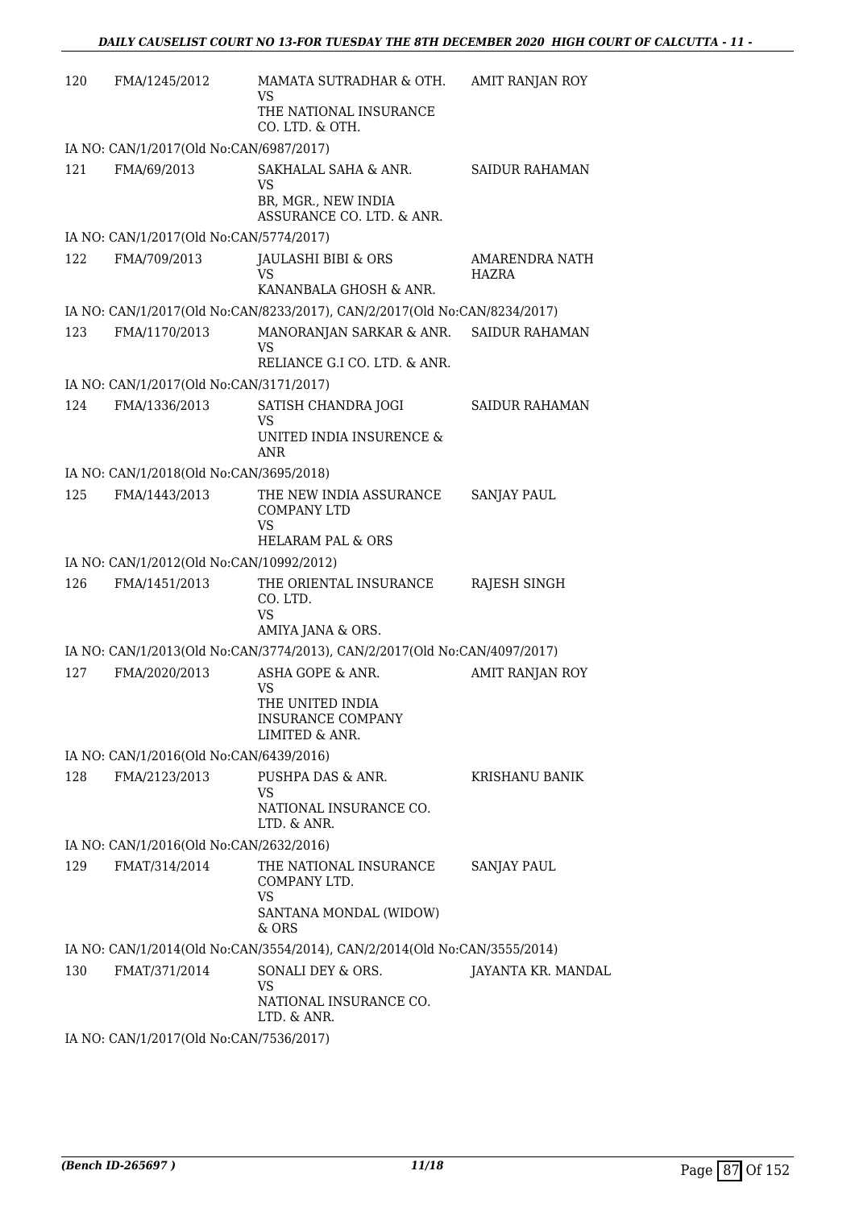| 120 | FMA/1245/2012                            | MAMATA SUTRADHAR & OTH.<br>VS<br>THE NATIONAL INSURANCE<br>CO. LTD. & OTH.                      | AMIT RANJAN ROY         |
|-----|------------------------------------------|-------------------------------------------------------------------------------------------------|-------------------------|
|     | IA NO: CAN/1/2017(Old No:CAN/6987/2017)  |                                                                                                 |                         |
| 121 | FMA/69/2013                              | SAKHALAL SAHA & ANR.<br>VS<br>BR, MGR., NEW INDIA<br>ASSURANCE CO. LTD. & ANR.                  | <b>SAIDUR RAHAMAN</b>   |
|     | IA NO: CAN/1/2017(Old No:CAN/5774/2017)  |                                                                                                 |                         |
| 122 | FMA/709/2013                             | JAULASHI BIBI & ORS<br>VS<br>KANANBALA GHOSH & ANR.                                             | AMARENDRA NATH<br>HAZRA |
|     |                                          | IA NO: CAN/1/2017(Old No:CAN/8233/2017), CAN/2/2017(Old No:CAN/8234/2017)                       |                         |
| 123 | FMA/1170/2013                            | MANORANJAN SARKAR & ANR.<br>VS<br>RELIANCE G.I CO. LTD. & ANR.                                  | <b>SAIDUR RAHAMAN</b>   |
|     | IA NO: CAN/1/2017(Old No:CAN/3171/2017)  |                                                                                                 |                         |
| 124 | FMA/1336/2013                            | SATISH CHANDRA JOGI<br>VS<br>UNITED INDIA INSURENCE &<br><b>ANR</b>                             | <b>SAIDUR RAHAMAN</b>   |
|     | IA NO: CAN/1/2018(Old No:CAN/3695/2018)  |                                                                                                 |                         |
| 125 | FMA/1443/2013                            | THE NEW INDIA ASSURANCE<br><b>COMPANY LTD</b><br>VS<br><b>HELARAM PAL &amp; ORS</b>             | SANJAY PAUL             |
|     | IA NO: CAN/1/2012(Old No:CAN/10992/2012) |                                                                                                 |                         |
| 126 | FMA/1451/2013                            | THE ORIENTAL INSURANCE<br>CO. LTD.<br><b>VS</b><br>AMIYA JANA & ORS.                            | RAJESH SINGH            |
|     |                                          | IA NO: CAN/1/2013(Old No:CAN/3774/2013), CAN/2/2017(Old No:CAN/4097/2017)                       |                         |
| 127 | FMA/2020/2013                            | ASHA GOPE & ANR.<br><b>VS</b><br>THE UNITED INDIA<br><b>INSURANCE COMPANY</b><br>LIMITED & ANR. | AMIT RANJAN ROY         |
|     | IA NO: CAN/1/2016(Old No:CAN/6439/2016)  |                                                                                                 |                         |
| 128 | FMA/2123/2013                            | PUSHPA DAS & ANR.<br><b>VS</b><br>NATIONAL INSURANCE CO.<br>LTD. & ANR.                         | <b>KRISHANU BANIK</b>   |
|     | IA NO: CAN/1/2016(Old No:CAN/2632/2016)  |                                                                                                 |                         |
| 129 | FMAT/314/2014                            | THE NATIONAL INSURANCE<br>COMPANY LTD.<br>VS<br>SANTANA MONDAL (WIDOW)<br>& ORS                 | <b>SANJAY PAUL</b>      |
|     |                                          | IA NO: CAN/1/2014(Old No:CAN/3554/2014), CAN/2/2014(Old No:CAN/3555/2014)                       |                         |
| 130 | FMAT/371/2014                            | SONALI DEY & ORS.<br>VS<br>NATIONAL INSURANCE CO.<br>LTD. & ANR.                                | JAYANTA KR. MANDAL      |
|     | IA NO: CAN/1/2017(Old No:CAN/7536/2017)  |                                                                                                 |                         |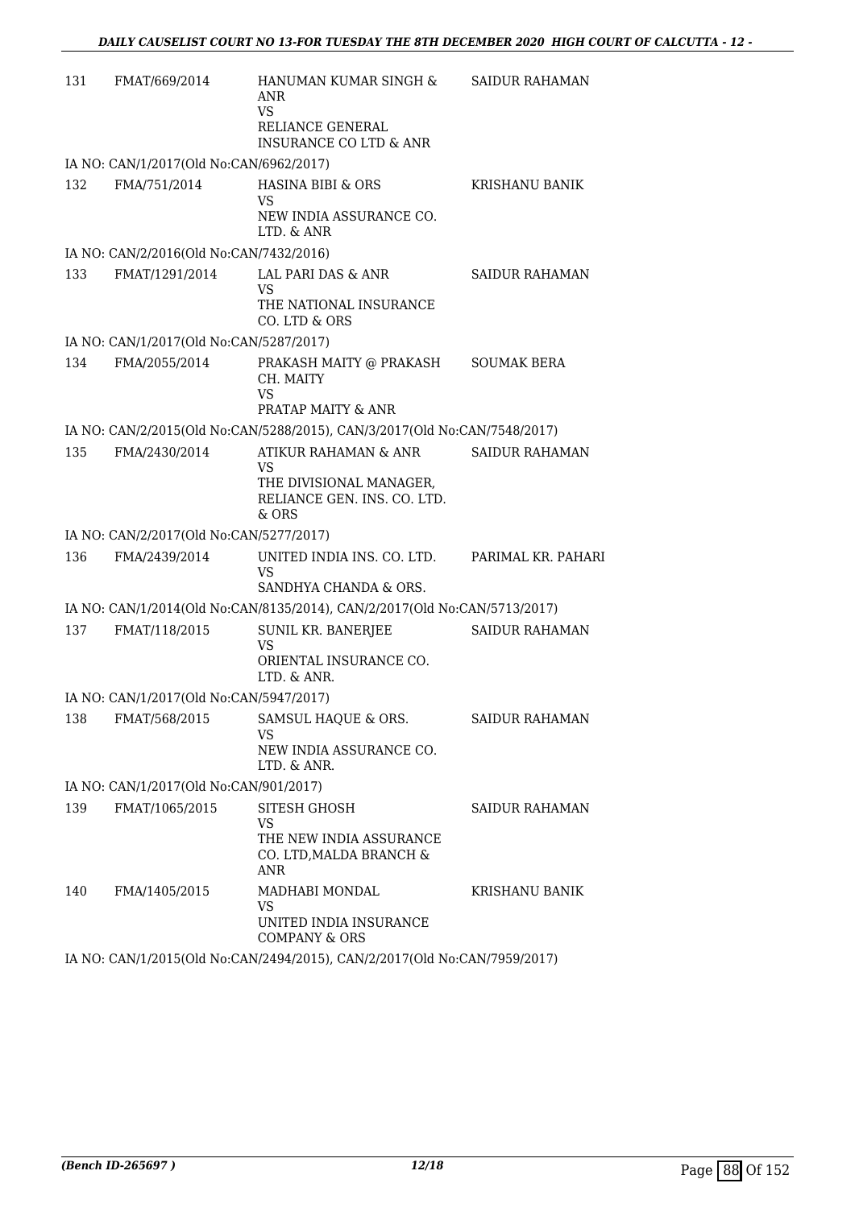| 131 | FMAT/669/2014                           | HANUMAN KUMAR SINGH &<br>ANR<br><b>VS</b><br>RELIANCE GENERAL<br><b>INSURANCE CO LTD &amp; ANR</b> | <b>SAIDUR RAHAMAN</b> |
|-----|-----------------------------------------|----------------------------------------------------------------------------------------------------|-----------------------|
|     | IA NO: CAN/1/2017(Old No:CAN/6962/2017) |                                                                                                    |                       |
| 132 | FMA/751/2014                            | <b>HASINA BIBI &amp; ORS</b><br>VS<br>NEW INDIA ASSURANCE CO.<br>LTD. & ANR                        | KRISHANU BANIK        |
|     | IA NO: CAN/2/2016(Old No:CAN/7432/2016) |                                                                                                    |                       |
| 133 | FMAT/1291/2014                          | LAL PARI DAS & ANR<br><b>VS</b><br>THE NATIONAL INSURANCE<br>CO. LTD & ORS                         | <b>SAIDUR RAHAMAN</b> |
|     | IA NO: CAN/1/2017(Old No:CAN/5287/2017) |                                                                                                    |                       |
| 134 | FMA/2055/2014                           | PRAKASH MAITY @ PRAKASH<br>CH. MAITY<br><b>VS</b><br>PRATAP MAITY & ANR                            | <b>SOUMAK BERA</b>    |
|     |                                         | IA NO: CAN/2/2015(Old No:CAN/5288/2015), CAN/3/2017(Old No:CAN/7548/2017)                          |                       |
| 135 | FMA/2430/2014                           | ATIKUR RAHAMAN & ANR<br>VS<br>THE DIVISIONAL MANAGER,<br>RELIANCE GEN. INS. CO. LTD.<br>& ORS      | <b>SAIDUR RAHAMAN</b> |
|     | IA NO: CAN/2/2017(Old No:CAN/5277/2017) |                                                                                                    |                       |
| 136 | FMA/2439/2014                           | UNITED INDIA INS. CO. LTD.<br><b>VS</b><br>SANDHYA CHANDA & ORS.                                   | PARIMAL KR. PAHARI    |
|     |                                         | IA NO: CAN/1/2014(Old No:CAN/8135/2014), CAN/2/2017(Old No:CAN/5713/2017)                          |                       |
| 137 | FMAT/118/2015                           | SUNIL KR. BANERJEE<br>VS<br>ORIENTAL INSURANCE CO.<br>LTD. & ANR.                                  | <b>SAIDUR RAHAMAN</b> |
|     | IA NO: CAN/1/2017(Old No:CAN/5947/2017) |                                                                                                    |                       |
| 138 | FMAT/568/2015                           | SAMSUL HAQUE & ORS.<br>VS<br>NEW INDIA ASSURANCE CO.<br>LTD. & ANR.                                | <b>SAIDUR RAHAMAN</b> |
|     | IA NO: CAN/1/2017(Old No:CAN/901/2017)  |                                                                                                    |                       |
| 139 | FMAT/1065/2015                          | SITESH GHOSH<br><b>VS</b><br>THE NEW INDIA ASSURANCE<br>CO. LTD, MALDA BRANCH &<br><b>ANR</b>      | <b>SAIDUR RAHAMAN</b> |
| 140 | FMA/1405/2015                           | MADHABI MONDAL<br><b>VS</b><br>UNITED INDIA INSURANCE<br><b>COMPANY &amp; ORS</b>                  | KRISHANU BANIK        |
|     |                                         | IA NO: CAN/1/2015(Old No:CAN/2494/2015) CAN/2/2017(Old No:CAN/7959/2017)                           |                       |

IA NO: CAN/1/2015(Old No:CAN/2494/2015), CAN/2/2017(Old No:CAN/7959/2017)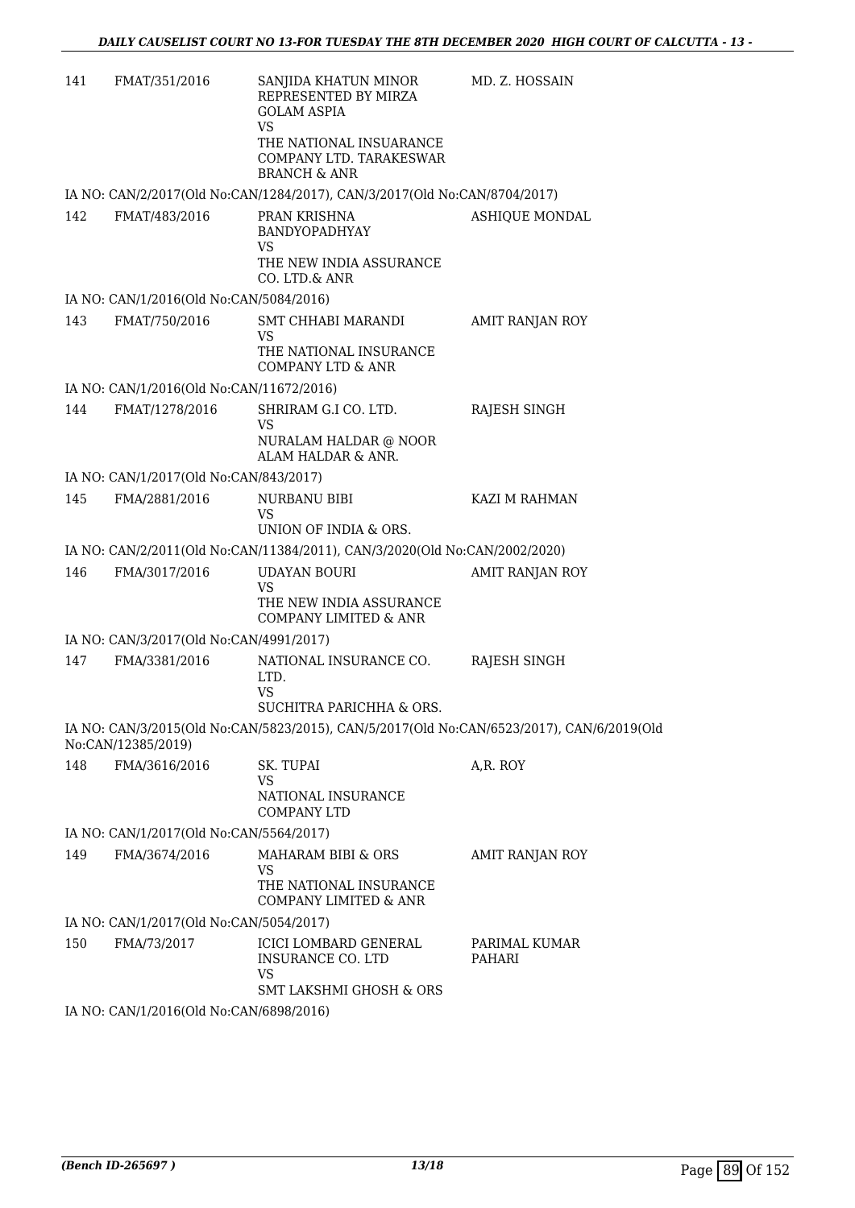| 141 | FMAT/351/2016                            | SANJIDA KHATUN MINOR<br>REPRESENTED BY MIRZA<br><b>GOLAM ASPIA</b><br><b>VS</b>               | MD. Z. HOSSAIN          |
|-----|------------------------------------------|-----------------------------------------------------------------------------------------------|-------------------------|
|     |                                          | THE NATIONAL INSUARANCE<br>COMPANY LTD. TARAKESWAR<br><b>BRANCH &amp; ANR</b>                 |                         |
|     |                                          | IA NO: CAN/2/2017(Old No:CAN/1284/2017), CAN/3/2017(Old No:CAN/8704/2017)                     |                         |
| 142 | FMAT/483/2016                            | PRAN KRISHNA<br>BANDYOPADHYAY<br>VS                                                           | <b>ASHIQUE MONDAL</b>   |
|     |                                          | THE NEW INDIA ASSURANCE<br>CO. LTD.& ANR                                                      |                         |
|     | IA NO: CAN/1/2016(Old No:CAN/5084/2016)  |                                                                                               |                         |
| 143 | FMAT/750/2016                            | SMT CHHABI MARANDI<br><b>VS</b>                                                               | AMIT RANJAN ROY         |
|     |                                          | THE NATIONAL INSURANCE<br><b>COMPANY LTD &amp; ANR</b>                                        |                         |
|     | IA NO: CAN/1/2016(Old No:CAN/11672/2016) |                                                                                               |                         |
| 144 | FMAT/1278/2016                           | SHRIRAM G.I CO. LTD.<br>VS                                                                    | RAJESH SINGH            |
|     |                                          | NURALAM HALDAR @ NOOR<br>ALAM HALDAR & ANR.                                                   |                         |
|     | IA NO: CAN/1/2017(Old No:CAN/843/2017)   |                                                                                               |                         |
| 145 | FMA/2881/2016                            | NURBANU BIBI<br>VS<br>UNION OF INDIA & ORS.                                                   | KAZI M RAHMAN           |
|     |                                          | IA NO: CAN/2/2011(Old No:CAN/11384/2011), CAN/3/2020(Old No:CAN/2002/2020)                    |                         |
| 146 | FMA/3017/2016                            | <b>UDAYAN BOURI</b>                                                                           | AMIT RANJAN ROY         |
|     |                                          | <b>VS</b><br>THE NEW INDIA ASSURANCE<br>COMPANY LIMITED & ANR                                 |                         |
|     | IA NO: CAN/3/2017(Old No:CAN/4991/2017)  |                                                                                               |                         |
| 147 | FMA/3381/2016                            | NATIONAL INSURANCE CO.<br>LTD.<br>VS<br>SUCHITRA PARICHHA & ORS.                              | RAJESH SINGH            |
|     |                                          | IA NO: CAN/3/2015(Old No:CAN/5823/2015), CAN/5/2017(Old No:CAN/6523/2017), CAN/6/2019(Old     |                         |
|     | No:CAN/12385/2019)                       |                                                                                               |                         |
| 148 | FMA/3616/2016                            | SK. TUPAI<br><b>VS</b>                                                                        | A,R. ROY                |
|     |                                          | NATIONAL INSURANCE<br><b>COMPANY LTD</b>                                                      |                         |
|     | IA NO: CAN/1/2017(Old No:CAN/5564/2017)  |                                                                                               |                         |
| 149 | FMA/3674/2016                            | MAHARAM BIBI & ORS<br><b>VS</b>                                                               | AMIT RANJAN ROY         |
|     |                                          | THE NATIONAL INSURANCE<br>COMPANY LIMITED & ANR                                               |                         |
|     | IA NO: CAN/1/2017(Old No:CAN/5054/2017)  |                                                                                               |                         |
| 150 | FMA/73/2017                              | ICICI LOMBARD GENERAL<br>INSURANCE CO. LTD<br><b>VS</b><br><b>SMT LAKSHMI GHOSH &amp; ORS</b> | PARIMAL KUMAR<br>PAHARI |
|     | IA NO: CAN/1/2016(Old No:CAN/6898/2016)  |                                                                                               |                         |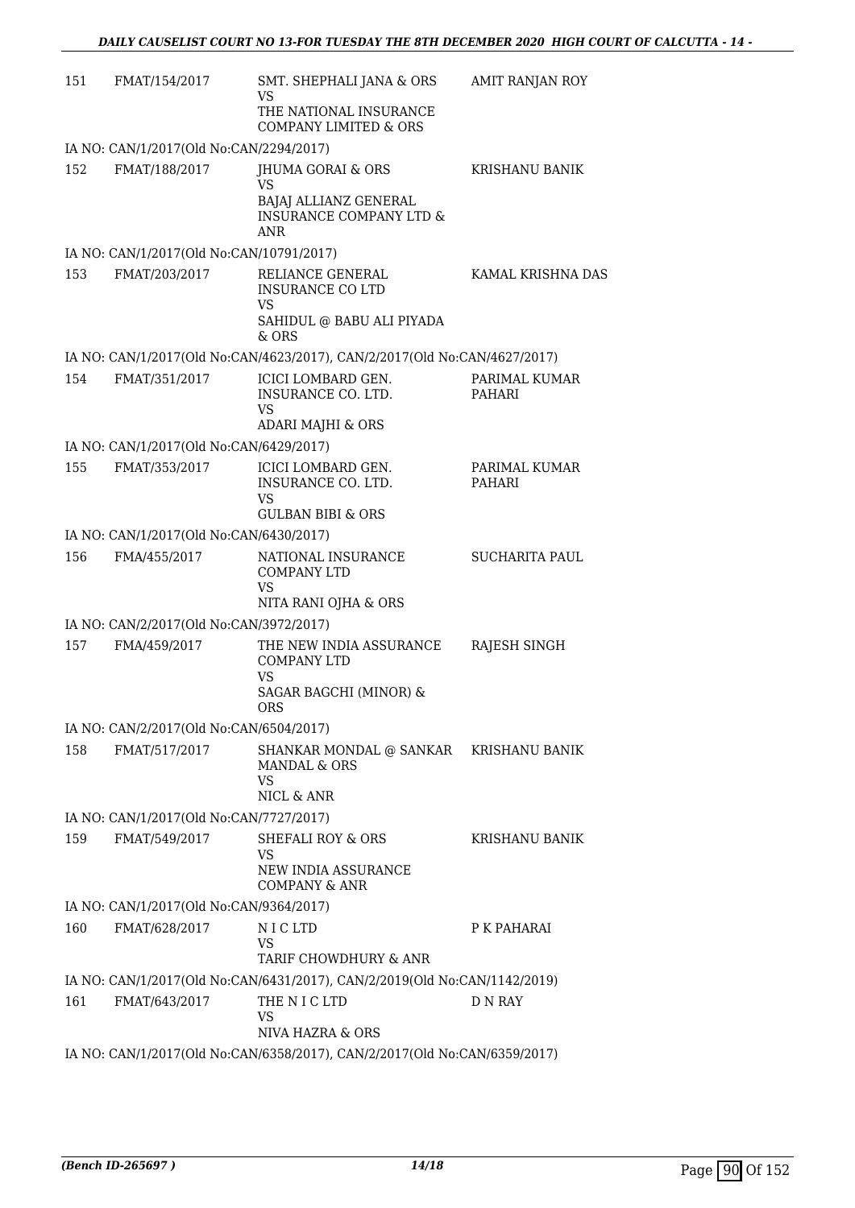| 151 | FMAT/154/2017                            | SMT. SHEPHALI JANA & ORS<br>VS<br>THE NATIONAL INSURANCE<br><b>COMPANY LIMITED &amp; ORS</b>                | <b>AMIT RANJAN ROY</b>  |
|-----|------------------------------------------|-------------------------------------------------------------------------------------------------------------|-------------------------|
|     | IA NO: CAN/1/2017(Old No:CAN/2294/2017)  |                                                                                                             |                         |
| 152 | FMAT/188/2017                            | JHUMA GORAI & ORS<br><b>VS</b><br>BAJAJ ALLIANZ GENERAL<br><b>INSURANCE COMPANY LTD &amp;</b><br><b>ANR</b> | <b>KRISHANU BANIK</b>   |
|     | IA NO: CAN/1/2017(Old No:CAN/10791/2017) |                                                                                                             |                         |
| 153 | FMAT/203/2017                            | RELIANCE GENERAL<br><b>INSURANCE CO LTD</b><br><b>VS</b><br>SAHIDUL @ BABU ALI PIYADA<br>& ORS              | KAMAL KRISHNA DAS       |
|     |                                          | IA NO: CAN/1/2017(Old No:CAN/4623/2017), CAN/2/2017(Old No:CAN/4627/2017)                                   |                         |
| 154 | FMAT/351/2017                            | ICICI LOMBARD GEN.<br>INSURANCE CO. LTD.<br>VS<br>ADARI MAJHI & ORS                                         | PARIMAL KUMAR<br>PAHARI |
|     | IA NO: CAN/1/2017(Old No:CAN/6429/2017)  |                                                                                                             |                         |
| 155 | FMAT/353/2017                            | ICICI LOMBARD GEN.<br>INSURANCE CO. LTD.<br>VS<br><b>GULBAN BIBI &amp; ORS</b>                              | PARIMAL KUMAR<br>PAHARI |
|     | IA NO: CAN/1/2017(Old No:CAN/6430/2017)  |                                                                                                             |                         |
| 156 | FMA/455/2017                             | NATIONAL INSURANCE<br><b>COMPANY LTD</b><br><b>VS</b><br>NITA RANI OJHA & ORS                               | <b>SUCHARITA PAUL</b>   |
|     | IA NO: CAN/2/2017(Old No:CAN/3972/2017)  |                                                                                                             |                         |
| 157 | FMA/459/2017                             | THE NEW INDIA ASSURANCE<br><b>COMPANY LTD</b><br><b>VS</b><br>SAGAR BAGCHI (MINOR) &<br><b>ORS</b>          | RAJESH SINGH            |
|     | IA NO: CAN/2/2017(Old No:CAN/6504/2017)  |                                                                                                             |                         |
| 158 | FMAT/517/2017                            | SHANKAR MONDAL @ SANKAR KRISHANU BANIK<br><b>MANDAL &amp; ORS</b><br>VS<br>NICL & ANR                       |                         |
|     | IA NO: CAN/1/2017(Old No:CAN/7727/2017)  |                                                                                                             |                         |
| 159 | FMAT/549/2017                            | SHEFALI ROY & ORS<br>VS<br>NEW INDIA ASSURANCE<br><b>COMPANY &amp; ANR</b>                                  | KRISHANU BANIK          |
|     | IA NO: CAN/1/2017(Old No:CAN/9364/2017)  |                                                                                                             |                         |
| 160 | FMAT/628/2017                            | N I C LTD<br><b>VS</b><br>TARIF CHOWDHURY & ANR                                                             | P K PAHARAI             |
|     |                                          | IA NO: CAN/1/2017(Old No:CAN/6431/2017), CAN/2/2019(Old No:CAN/1142/2019)                                   |                         |
| 161 | FMAT/643/2017                            | THE N I C LTD<br><b>VS</b><br>NIVA HAZRA & ORS                                                              | D N RAY                 |
|     |                                          | IA NO: CAN/1/2017(Old No:CAN/6358/2017), CAN/2/2017(Old No:CAN/6359/2017)                                   |                         |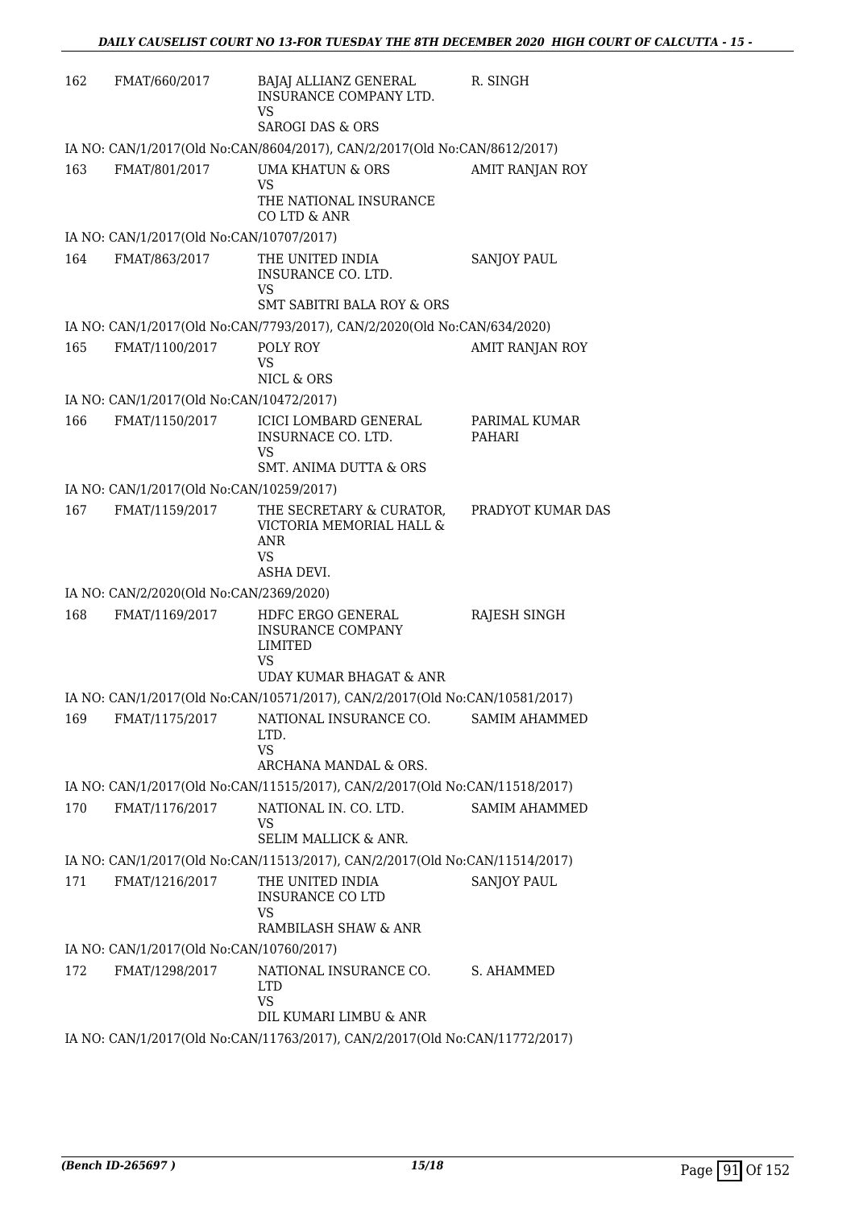| 162 | FMAT/660/2017                            | BAJAJ ALLIANZ GENERAL<br>INSURANCE COMPANY LTD.<br><b>VS</b>                                         | R. SINGH                       |
|-----|------------------------------------------|------------------------------------------------------------------------------------------------------|--------------------------------|
|     |                                          | <b>SAROGI DAS &amp; ORS</b>                                                                          |                                |
|     |                                          | IA NO: CAN/1/2017(Old No:CAN/8604/2017), CAN/2/2017(Old No:CAN/8612/2017)                            |                                |
| 163 | FMAT/801/2017                            | UMA KHATUN & ORS<br>VS<br>THE NATIONAL INSURANCE<br>CO LTD & ANR                                     | AMIT RANJAN ROY                |
|     | IA NO: CAN/1/2017(Old No:CAN/10707/2017) |                                                                                                      |                                |
| 164 | FMAT/863/2017                            | THE UNITED INDIA                                                                                     | <b>SANJOY PAUL</b>             |
|     |                                          | INSURANCE CO. LTD.<br>VS                                                                             |                                |
|     |                                          | <b>SMT SABITRI BALA ROY &amp; ORS</b>                                                                |                                |
|     |                                          | IA NO: CAN/1/2017(Old No:CAN/7793/2017), CAN/2/2020(Old No:CAN/634/2020)                             |                                |
| 165 | FMAT/1100/2017                           | POLY ROY<br>VS<br>NICL & ORS                                                                         | AMIT RANJAN ROY                |
|     | IA NO: CAN/1/2017(Old No:CAN/10472/2017) |                                                                                                      |                                |
| 166 | FMAT/1150/2017                           | <b>ICICI LOMBARD GENERAL</b><br>INSURNACE CO. LTD.<br>VS                                             | PARIMAL KUMAR<br><b>PAHARI</b> |
|     |                                          | <b>SMT. ANIMA DUTTA &amp; ORS</b>                                                                    |                                |
|     | IA NO: CAN/1/2017(Old No:CAN/10259/2017) |                                                                                                      |                                |
| 167 | FMAT/1159/2017                           | THE SECRETARY & CURATOR,<br>VICTORIA MEMORIAL HALL &<br><b>ANR</b><br>VS.<br>ASHA DEVI.              | PRADYOT KUMAR DAS              |
|     | IA NO: CAN/2/2020(Old No:CAN/2369/2020)  |                                                                                                      |                                |
| 168 | FMAT/1169/2017                           | HDFC ERGO GENERAL                                                                                    | <b>RAJESH SINGH</b>            |
|     |                                          | <b>INSURANCE COMPANY</b><br>LIMITED<br>VS                                                            |                                |
|     |                                          | <b>UDAY KUMAR BHAGAT &amp; ANR</b>                                                                   |                                |
|     |                                          | IA NO: CAN/1/2017(Old No:CAN/10571/2017), CAN/2/2017(Old No:CAN/10581/2017)                          |                                |
| 169 | FMAT/1175/2017                           | NATIONAL INSURANCE CO.<br>LTD.<br><b>VS</b>                                                          | SAMIM AHAMMED                  |
|     |                                          | ARCHANA MANDAL & ORS.                                                                                |                                |
| 170 | FMAT/1176/2017                           | IA NO: CAN/1/2017(Old No:CAN/11515/2017), CAN/2/2017(Old No:CAN/11518/2017)<br>NATIONAL IN. CO. LTD. | <b>SAMIM AHAMMED</b>           |
|     |                                          | VS<br><b>SELIM MALLICK &amp; ANR.</b>                                                                |                                |
|     |                                          | IA NO: CAN/1/2017(Old No:CAN/11513/2017), CAN/2/2017(Old No:CAN/11514/2017)                          |                                |
| 171 | FMAT/1216/2017                           | THE UNITED INDIA<br><b>INSURANCE CO LTD</b><br>VS                                                    | <b>SANJOY PAUL</b>             |
|     |                                          | RAMBILASH SHAW & ANR                                                                                 |                                |
|     | IA NO: CAN/1/2017(Old No:CAN/10760/2017) |                                                                                                      |                                |
| 172 | FMAT/1298/2017                           | NATIONAL INSURANCE CO.<br>LTD.<br><b>VS</b>                                                          | S. AHAMMED                     |
|     |                                          | DIL KUMARI LIMBU & ANR                                                                               |                                |
|     |                                          | IA NO: CAN/1/2017(Old No:CAN/11763/2017), CAN/2/2017(Old No:CAN/11772/2017)                          |                                |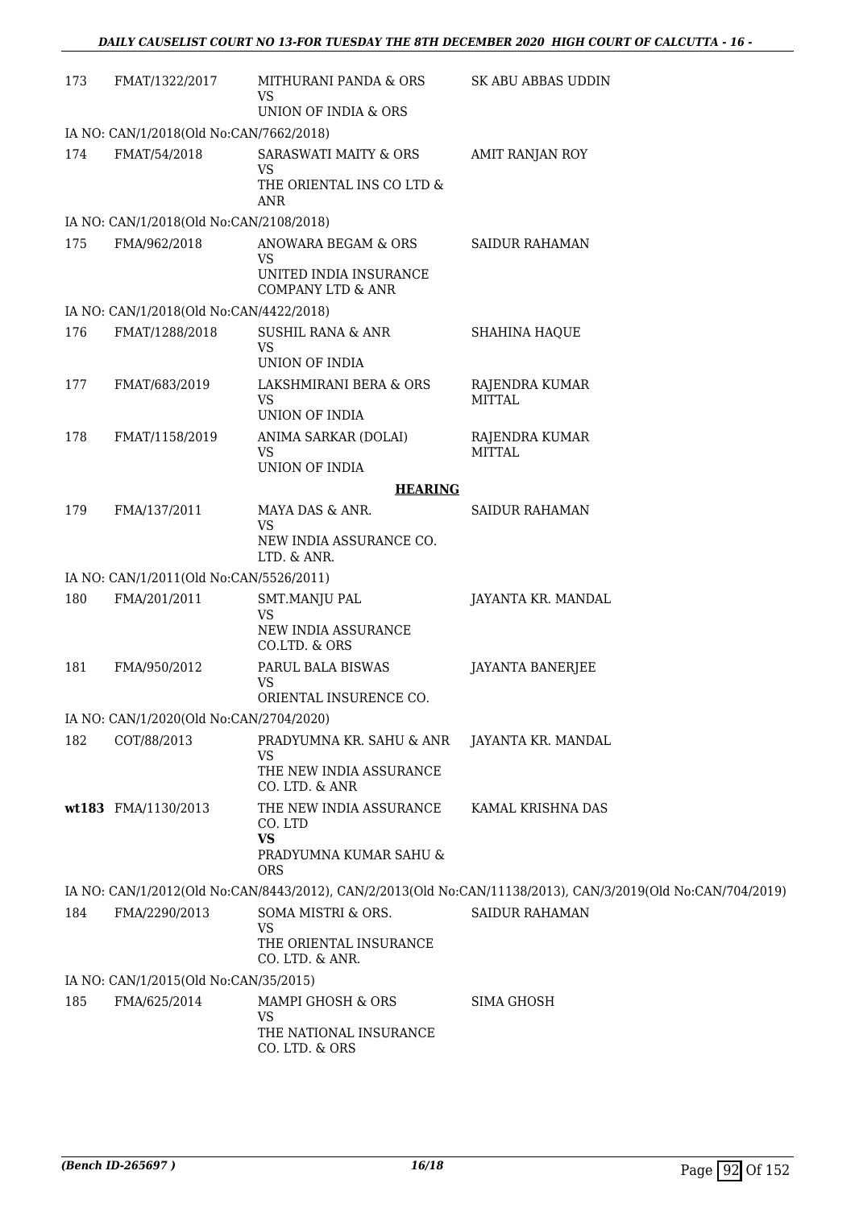| 173 | FMAT/1322/2017                          | MITHURANI PANDA & ORS<br>VS<br>UNION OF INDIA & ORS                                     | SK ABU ABBAS UDDIN                                                                                          |
|-----|-----------------------------------------|-----------------------------------------------------------------------------------------|-------------------------------------------------------------------------------------------------------------|
|     | IA NO: CAN/1/2018(Old No:CAN/7662/2018) |                                                                                         |                                                                                                             |
| 174 | FMAT/54/2018                            | SARASWATI MAITY & ORS<br><b>VS</b><br>THE ORIENTAL INS CO LTD &                         | AMIT RANJAN ROY                                                                                             |
|     | IA NO: CAN/1/2018(Old No:CAN/2108/2018) | <b>ANR</b>                                                                              |                                                                                                             |
| 175 | FMA/962/2018                            | ANOWARA BEGAM & ORS                                                                     | <b>SAIDUR RAHAMAN</b>                                                                                       |
|     |                                         | VS<br>UNITED INDIA INSURANCE<br>COMPANY LTD & ANR                                       |                                                                                                             |
|     | IA NO: CAN/1/2018(Old No:CAN/4422/2018) |                                                                                         |                                                                                                             |
| 176 | FMAT/1288/2018                          | <b>SUSHIL RANA &amp; ANR</b><br><b>VS</b><br>UNION OF INDIA                             | SHAHINA HAQUE                                                                                               |
| 177 | FMAT/683/2019                           | LAKSHMIRANI BERA & ORS<br><b>VS</b><br>UNION OF INDIA                                   | RAJENDRA KUMAR<br><b>MITTAL</b>                                                                             |
| 178 | FMAT/1158/2019                          | ANIMA SARKAR (DOLAI)<br><b>VS</b><br><b>UNION OF INDIA</b>                              | RAJENDRA KUMAR<br>MITTAI.                                                                                   |
|     |                                         | <b>HEARING</b>                                                                          |                                                                                                             |
| 179 | FMA/137/2011                            | MAYA DAS & ANR.                                                                         | <b>SAIDUR RAHAMAN</b>                                                                                       |
|     |                                         | VS<br>NEW INDIA ASSURANCE CO.<br>LTD. & ANR.                                            |                                                                                                             |
|     | IA NO: CAN/1/2011(Old No:CAN/5526/2011) |                                                                                         |                                                                                                             |
| 180 | FMA/201/2011                            | <b>SMT.MANJU PAL</b><br><b>VS</b><br>NEW INDIA ASSURANCE<br>CO.LTD. & ORS               | JAYANTA KR. MANDAL                                                                                          |
| 181 | FMA/950/2012                            | PARUL BALA BISWAS<br><b>VS</b><br>ORIENTAL INSURENCE CO.                                | <b>JAYANTA BANERJEE</b>                                                                                     |
|     | IA NO: CAN/1/2020(Old No:CAN/2704/2020) |                                                                                         |                                                                                                             |
| 182 | COT/88/2013                             | PRADYUMNA KR. SAHU & ANR                                                                | JAYANTA KR. MANDAL                                                                                          |
|     |                                         | <b>VS</b><br>THE NEW INDIA ASSURANCE<br>CO. LTD. & ANR                                  |                                                                                                             |
|     | wt183 FMA/1130/2013                     | THE NEW INDIA ASSURANCE<br>CO. LTD<br><b>VS</b><br>PRADYUMNA KUMAR SAHU &<br><b>ORS</b> | KAMAL KRISHNA DAS                                                                                           |
|     |                                         |                                                                                         | IA NO: CAN/1/2012(Old No:CAN/8443/2012), CAN/2/2013(Old No:CAN/11138/2013), CAN/3/2019(Old No:CAN/704/2019) |
| 184 | FMA/2290/2013                           | SOMA MISTRI & ORS.                                                                      | <b>SAIDUR RAHAMAN</b>                                                                                       |
|     |                                         | <b>VS</b><br>THE ORIENTAL INSURANCE<br>CO. LTD. & ANR.                                  |                                                                                                             |
|     | IA NO: CAN/1/2015(Old No:CAN/35/2015)   |                                                                                         |                                                                                                             |
| 185 | FMA/625/2014                            | MAMPI GHOSH & ORS<br><b>VS</b>                                                          | <b>SIMA GHOSH</b>                                                                                           |
|     |                                         | THE NATIONAL INSURANCE<br>CO. LTD. & ORS                                                |                                                                                                             |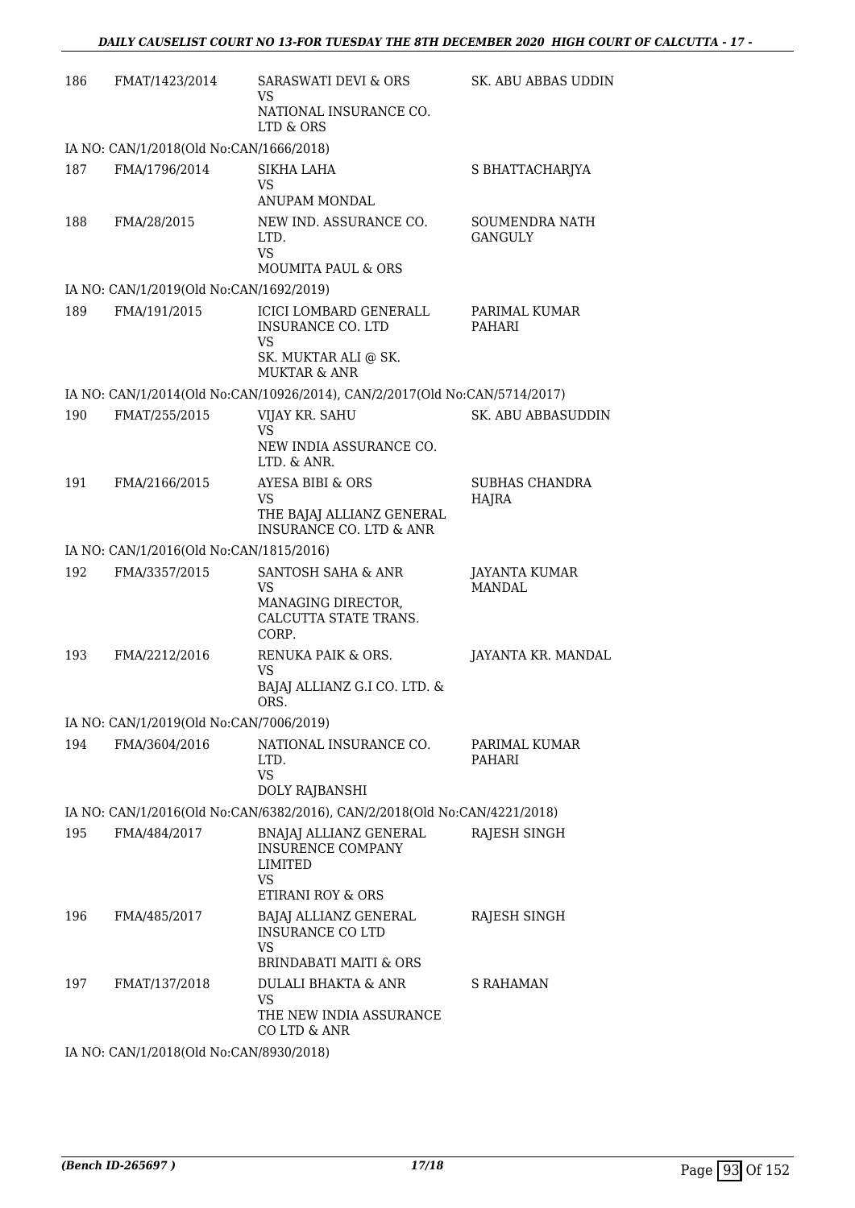| 186 | FMAT/1423/2014                          | <b>SARASWATI DEVI &amp; ORS</b><br>VS                                                                                     | SK. ABU ABBAS UDDIN                   |
|-----|-----------------------------------------|---------------------------------------------------------------------------------------------------------------------------|---------------------------------------|
|     |                                         | NATIONAL INSURANCE CO.<br>LTD & ORS                                                                                       |                                       |
|     | IA NO: CAN/1/2018(Old No:CAN/1666/2018) |                                                                                                                           |                                       |
| 187 | FMA/1796/2014                           | SIKHA LAHA<br>VS                                                                                                          | S BHATTACHARJYA                       |
| 188 | FMA/28/2015                             | ANUPAM MONDAL<br>NEW IND. ASSURANCE CO.<br>LTD.<br><b>VS</b><br><b>MOUMITA PAUL &amp; ORS</b>                             | SOUMENDRA NATH<br>GANGULY             |
|     | IA NO: CAN/1/2019(Old No:CAN/1692/2019) |                                                                                                                           |                                       |
| 189 | FMA/191/2015                            | <b>ICICI LOMBARD GENERALL</b><br><b>INSURANCE CO. LTD</b><br><b>VS</b><br>SK. MUKTAR ALI @ SK.<br><b>MUKTAR &amp; ANR</b> | PARIMAL KUMAR<br><b>PAHARI</b>        |
|     |                                         | IA NO: CAN/1/2014(Old No:CAN/10926/2014), CAN/2/2017(Old No:CAN/5714/2017)                                                |                                       |
| 190 | FMAT/255/2015                           | VIJAY KR. SAHU<br><b>VS</b><br>NEW INDIA ASSURANCE CO.<br>LTD. & ANR.                                                     | SK. ABU ABBASUDDIN                    |
| 191 | FMA/2166/2015                           | <b>AYESA BIBI &amp; ORS</b><br>VS<br>THE BAJAJ ALLIANZ GENERAL<br><b>INSURANCE CO. LTD &amp; ANR</b>                      | <b>SUBHAS CHANDRA</b><br><b>HAJRA</b> |
|     | IA NO: CAN/1/2016(Old No:CAN/1815/2016) |                                                                                                                           |                                       |
| 192 | FMA/3357/2015                           | SANTOSH SAHA & ANR<br><b>VS</b><br>MANAGING DIRECTOR,<br>CALCUTTA STATE TRANS.<br>CORP.                                   | JAYANTA KUMAR<br><b>MANDAL</b>        |
| 193 | FMA/2212/2016                           | RENUKA PAIK & ORS.<br>VS<br>BAJAJ ALLIANZ G.I CO. LTD. &<br>ORS.                                                          | JAYANTA KR. MANDAL                    |
|     | IA NO: CAN/1/2019(Old No:CAN/7006/2019) |                                                                                                                           |                                       |
| 194 | FMA/3604/2016                           | NATIONAL INSURANCE CO.<br>LTD.<br><b>VS</b><br>DOLY RAJBANSHI                                                             | PARIMAL KUMAR<br>PAHARI               |
|     |                                         | IA NO: CAN/1/2016(Old No:CAN/6382/2016), CAN/2/2018(Old No:CAN/4221/2018)                                                 |                                       |
| 195 | FMA/484/2017                            | BNAJAJ ALLIANZ GENERAL<br><b>INSURENCE COMPANY</b><br>LIMITED<br>VS.<br>ETIRANI ROY & ORS                                 | RAJESH SINGH                          |
| 196 | FMA/485/2017                            | BAJAJ ALLIANZ GENERAL<br><b>INSURANCE CO LTD</b><br>VS<br><b>BRINDABATI MAITI &amp; ORS</b>                               | RAJESH SINGH                          |
| 197 | FMAT/137/2018                           | DULALI BHAKTA & ANR<br>VS<br>THE NEW INDIA ASSURANCE<br>CO LTD & ANR                                                      | S RAHAMAN                             |
|     | IA NO: CAN/1/2018(Old No:CAN/8930/2018) |                                                                                                                           |                                       |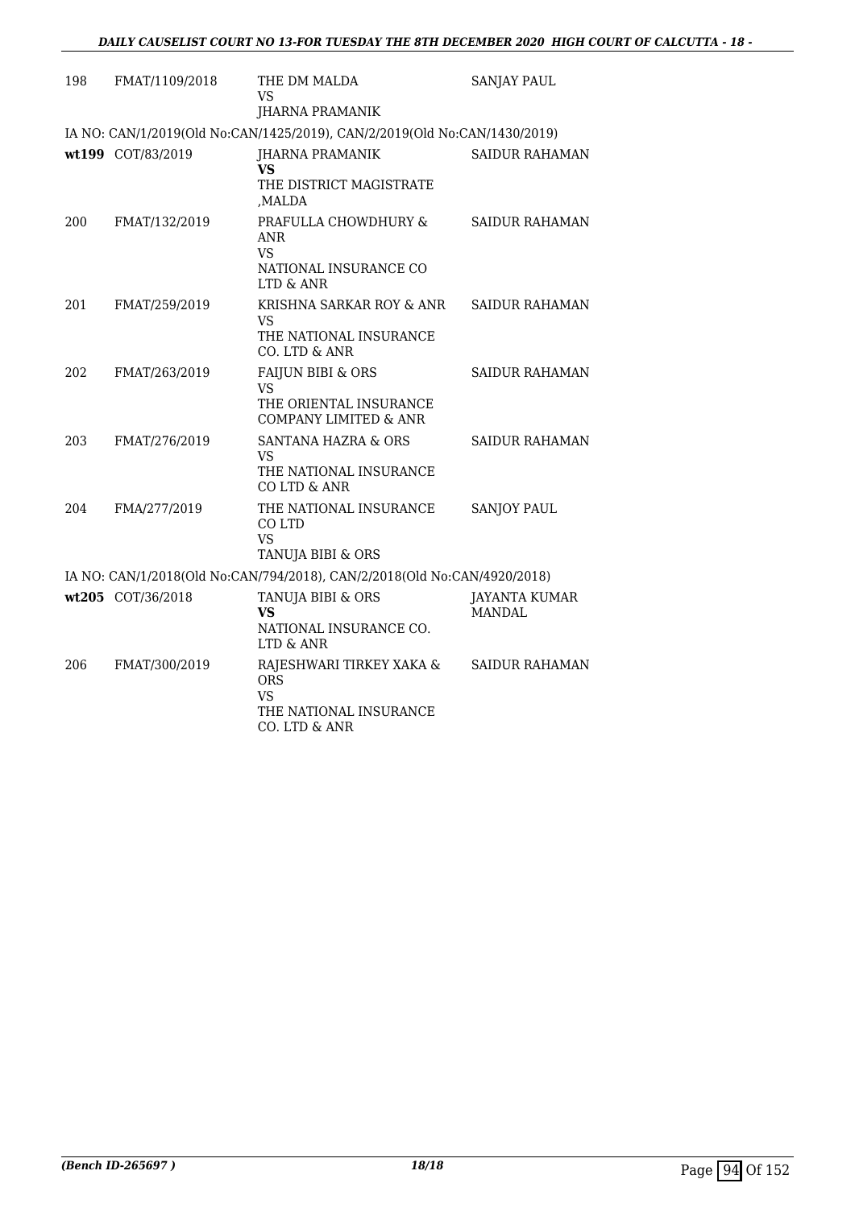| 198 | FMAT/1109/2018    | THE DM MALDA<br>VS                                                                             | <b>SANJAY PAUL</b>      |
|-----|-------------------|------------------------------------------------------------------------------------------------|-------------------------|
|     |                   | JHARNA PRAMANIK                                                                                |                         |
|     |                   | IA NO: CAN/1/2019(Old No:CAN/1425/2019), CAN/2/2019(Old No:CAN/1430/2019)                      |                         |
|     | wt199 COT/83/2019 | JHARNA PRAMANIK<br>VS<br>THE DISTRICT MAGISTRATE                                               | SAIDUR RAHAMAN          |
| 200 | FMAT/132/2019     | MALDA.<br>PRAFULLA CHOWDHURY &<br>ANR<br>VS.<br>NATIONAL INSURANCE CO<br>LTD & ANR             | <b>SAIDUR RAHAMAN</b>   |
| 201 | FMAT/259/2019     | KRISHNA SARKAR ROY & ANR<br>VS<br>THE NATIONAL INSURANCE<br>CO. LTD & ANR                      | <b>SAIDUR RAHAMAN</b>   |
| 202 | FMAT/263/2019     | FAIJUN BIBI & ORS<br>VS<br>THE ORIENTAL INSURANCE<br><b>COMPANY LIMITED &amp; ANR</b>          | <b>SAIDUR RAHAMAN</b>   |
| 203 | FMAT/276/2019     | <b>SANTANA HAZRA &amp; ORS</b><br>VS<br>THE NATIONAL INSURANCE<br>CO LTD & ANR                 | SAIDUR RAHAMAN          |
| 204 | FMA/277/2019      | THE NATIONAL INSURANCE<br>CO LTD<br><b>VS</b><br>TANUJA BIBI & ORS                             | <b>SANJOY PAUL</b>      |
|     |                   | IA NO: CAN/1/2018(Old No:CAN/794/2018), CAN/2/2018(Old No:CAN/4920/2018)                       |                         |
|     | wt205 COT/36/2018 | TANUJA BIBI & ORS<br>VS<br>NATIONAL INSURANCE CO.<br>LTD & ANR                                 | JAYANTA KUMAR<br>MANDAL |
| 206 | FMAT/300/2019     | RAJESHWARI TIRKEY XAKA &<br><b>ORS</b><br><b>VS</b><br>THE NATIONAL INSURANCE<br>CO. LTD & ANR | <b>SAIDUR RAHAMAN</b>   |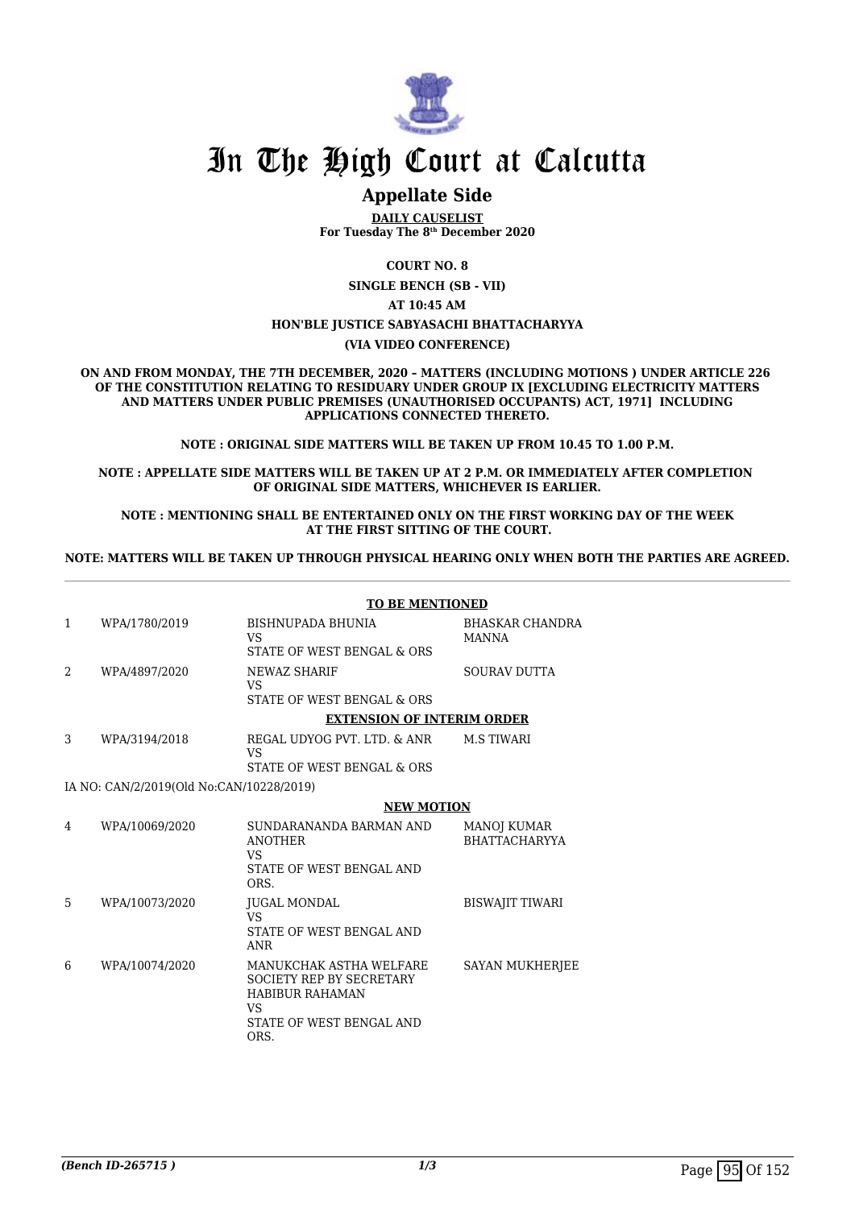

# **Appellate Side**

**DAILY CAUSELIST For Tuesday The 8th December 2020**

**COURT NO. 8**

**SINGLE BENCH (SB - VII)**

**AT 10:45 AM**

## **HON'BLE JUSTICE SABYASACHI BHATTACHARYYA**

**(VIA VIDEO CONFERENCE)**

**ON AND FROM MONDAY, THE 7TH DECEMBER, 2020 – MATTERS (INCLUDING MOTIONS ) UNDER ARTICLE 226 OF THE CONSTITUTION RELATING TO RESIDUARY UNDER GROUP IX [EXCLUDING ELECTRICITY MATTERS AND MATTERS UNDER PUBLIC PREMISES (UNAUTHORISED OCCUPANTS) ACT, 1971] INCLUDING APPLICATIONS CONNECTED THERETO.**

**NOTE : ORIGINAL SIDE MATTERS WILL BE TAKEN UP FROM 10.45 TO 1.00 P.M.**

**NOTE : APPELLATE SIDE MATTERS WILL BE TAKEN UP AT 2 P.M. OR IMMEDIATELY AFTER COMPLETION OF ORIGINAL SIDE MATTERS, WHICHEVER IS EARLIER.**

**NOTE : MENTIONING SHALL BE ENTERTAINED ONLY ON THE FIRST WORKING DAY OF THE WEEK AT THE FIRST SITTING OF THE COURT.**

**NOTE: MATTERS WILL BE TAKEN UP THROUGH PHYSICAL HEARING ONLY WHEN BOTH THE PARTIES ARE AGREED.**

|                                          | <b>TO BE MENTIONED</b> |                                                                                                                                       |                                            |
|------------------------------------------|------------------------|---------------------------------------------------------------------------------------------------------------------------------------|--------------------------------------------|
| 1                                        | WPA/1780/2019          | BISHNUPADA BHUNIA<br><b>VS</b><br>STATE OF WEST BENGAL & ORS                                                                          | <b>BHASKAR CHANDRA</b><br>MANNA            |
| 2                                        | WPA/4897/2020          | NEWAZ SHARIF<br><b>VS</b><br>STATE OF WEST BENGAL & ORS                                                                               | <b>SOURAV DUTTA</b>                        |
|                                          |                        | <b>EXTENSION OF INTERIM ORDER</b>                                                                                                     |                                            |
| 3                                        | WPA/3194/2018          | REGAL UDYOG PVT, LTD, & ANR<br>VS                                                                                                     | <b>M.S TIWARI</b>                          |
|                                          |                        | STATE OF WEST BENGAL & ORS                                                                                                            |                                            |
| IA NO: CAN/2/2019(Old No:CAN/10228/2019) |                        |                                                                                                                                       |                                            |
|                                          |                        | <b>NEW MOTION</b>                                                                                                                     |                                            |
| 4                                        | WPA/10069/2020         | SUNDARANANDA BARMAN AND<br><b>ANOTHER</b><br>VS.<br>STATE OF WEST BENGAL AND<br>ORS.                                                  | <b>MANOJ KUMAR</b><br><b>BHATTACHARYYA</b> |
| 5                                        | WPA/10073/2020         | JUGAL MONDAL<br><b>VS</b><br>STATE OF WEST BENGAL AND<br>ANR                                                                          | <b>BISWAJIT TIWARI</b>                     |
| 6                                        | WPA/10074/2020         | MANUKCHAK ASTHA WELFARE<br><b>SOCIETY REP BY SECRETARY</b><br><b>HABIBUR RAHAMAN</b><br><b>VS</b><br>STATE OF WEST BENGAL AND<br>ORS. | SAYAN MUKHERJEE                            |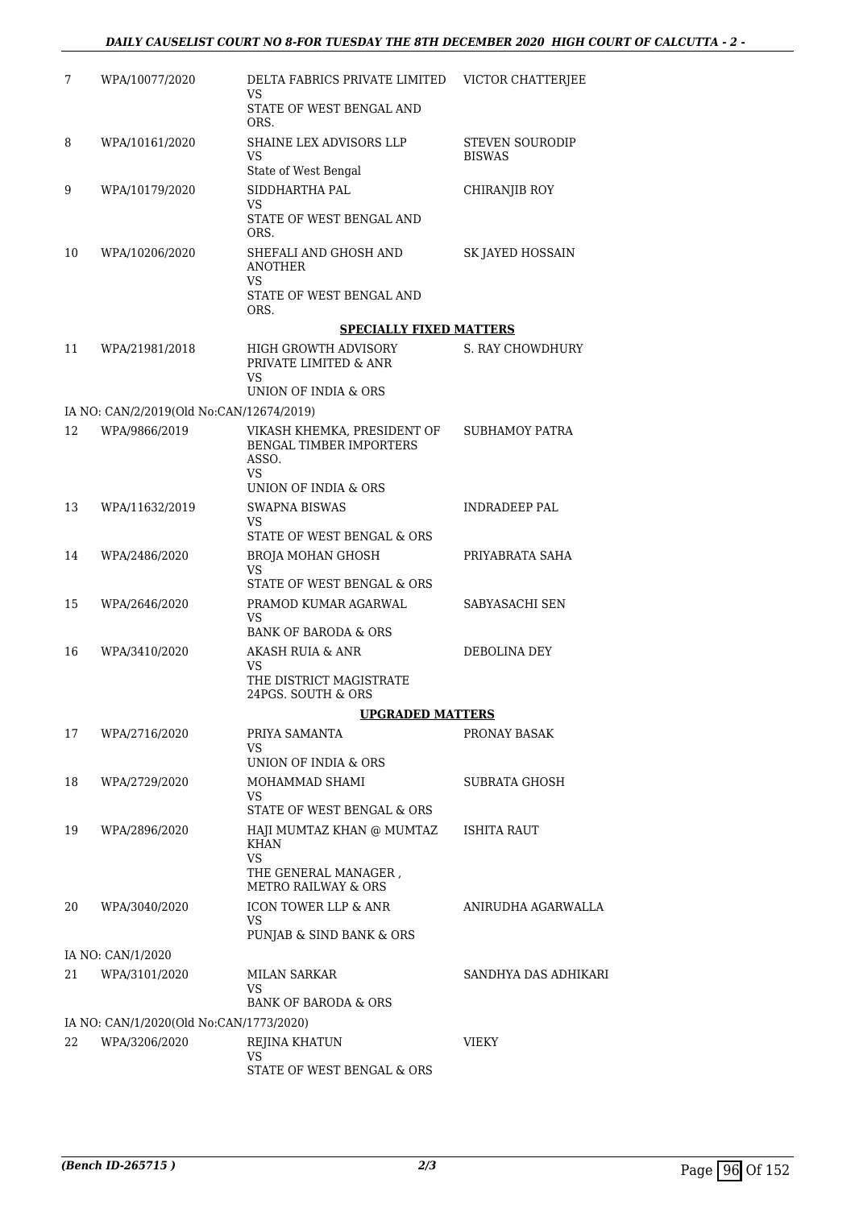| 7  | WPA/10077/2020                           | DELTA FABRICS PRIVATE LIMITED<br><b>VS</b>                                   | VICTOR CHATTERJEE                       |
|----|------------------------------------------|------------------------------------------------------------------------------|-----------------------------------------|
|    |                                          | STATE OF WEST BENGAL AND<br>ORS.                                             |                                         |
| 8  | WPA/10161/2020                           | <b>SHAINE LEX ADVISORS LLP</b><br>VS<br>State of West Bengal                 | <b>STEVEN SOURODIP</b><br><b>BISWAS</b> |
| 9  | WPA/10179/2020                           | SIDDHARTHA PAL<br>VS.                                                        | <b>CHIRANJIB ROY</b>                    |
|    |                                          | STATE OF WEST BENGAL AND<br>ORS.                                             |                                         |
| 10 | WPA/10206/2020                           | SHEFALI AND GHOSH AND<br><b>ANOTHER</b><br>VS                                | SK JAYED HOSSAIN                        |
|    |                                          | STATE OF WEST BENGAL AND<br>ORS.                                             |                                         |
|    |                                          | <b>SPECIALLY FIXED MATTERS</b>                                               |                                         |
| 11 | WPA/21981/2018                           | HIGH GROWTH ADVISORY<br>PRIVATE LIMITED & ANR<br>VS                          | <b>S. RAY CHOWDHURY</b>                 |
|    |                                          | UNION OF INDIA & ORS                                                         |                                         |
|    | IA NO: CAN/2/2019(Old No:CAN/12674/2019) |                                                                              |                                         |
| 12 | WPA/9866/2019                            | VIKASH KHEMKA, PRESIDENT OF<br><b>BENGAL TIMBER IMPORTERS</b><br>ASSO.<br>VS | <b>SUBHAMOY PATRA</b>                   |
|    |                                          | UNION OF INDIA & ORS                                                         |                                         |
| 13 | WPA/11632/2019                           | <b>SWAPNA BISWAS</b><br>VS<br>STATE OF WEST BENGAL & ORS                     | INDRADEEP PAL                           |
| 14 | WPA/2486/2020                            | <b>BROJA MOHAN GHOSH</b>                                                     | PRIYABRATA SAHA                         |
|    |                                          | VS<br>STATE OF WEST BENGAL & ORS                                             |                                         |
| 15 | WPA/2646/2020                            | PRAMOD KUMAR AGARWAL                                                         | SABYASACHI SEN                          |
|    |                                          | VS.<br><b>BANK OF BARODA &amp; ORS</b>                                       |                                         |
| 16 | WPA/3410/2020                            | AKASH RUIA & ANR                                                             | DEBOLINA DEY                            |
|    |                                          | VS<br>THE DISTRICT MAGISTRATE<br>24PGS. SOUTH & ORS                          |                                         |
|    |                                          | <b>UPGRADED MATTERS</b>                                                      |                                         |
| 17 | WPA/2716/2020                            | PRIYA SAMANTA<br>VS<br>UNION OF INDIA & ORS                                  | PRONAY BASAK                            |
| 18 | WPA/2729/2020                            | MOHAMMAD SHAMI                                                               | SUBRATA GHOSH                           |
|    |                                          | VS.<br>STATE OF WEST BENGAL & ORS                                            |                                         |
| 19 | WPA/2896/2020                            | HAJI MUMTAZ KHAN @ MUMTAZ<br><b>KHAN</b><br>VS                               | <b>ISHITA RAUT</b>                      |
|    |                                          | THE GENERAL MANAGER,<br><b>METRO RAILWAY &amp; ORS</b>                       |                                         |
| 20 | WPA/3040/2020                            | <b>ICON TOWER LLP &amp; ANR</b><br>VS<br>PUNJAB & SIND BANK & ORS            | ANIRUDHA AGARWALLA                      |
|    | IA NO: CAN/1/2020                        |                                                                              |                                         |
| 21 | WPA/3101/2020                            | MILAN SARKAR<br>VS.                                                          | SANDHYA DAS ADHIKARI                    |
|    |                                          | BANK OF BARODA & ORS                                                         |                                         |
|    | IA NO: CAN/1/2020(Old No:CAN/1773/2020)  |                                                                              |                                         |
| 22 | WPA/3206/2020                            | REJINA KHATUN<br>VS                                                          | <b>VIEKY</b>                            |
|    |                                          | STATE OF WEST BENGAL & ORS                                                   |                                         |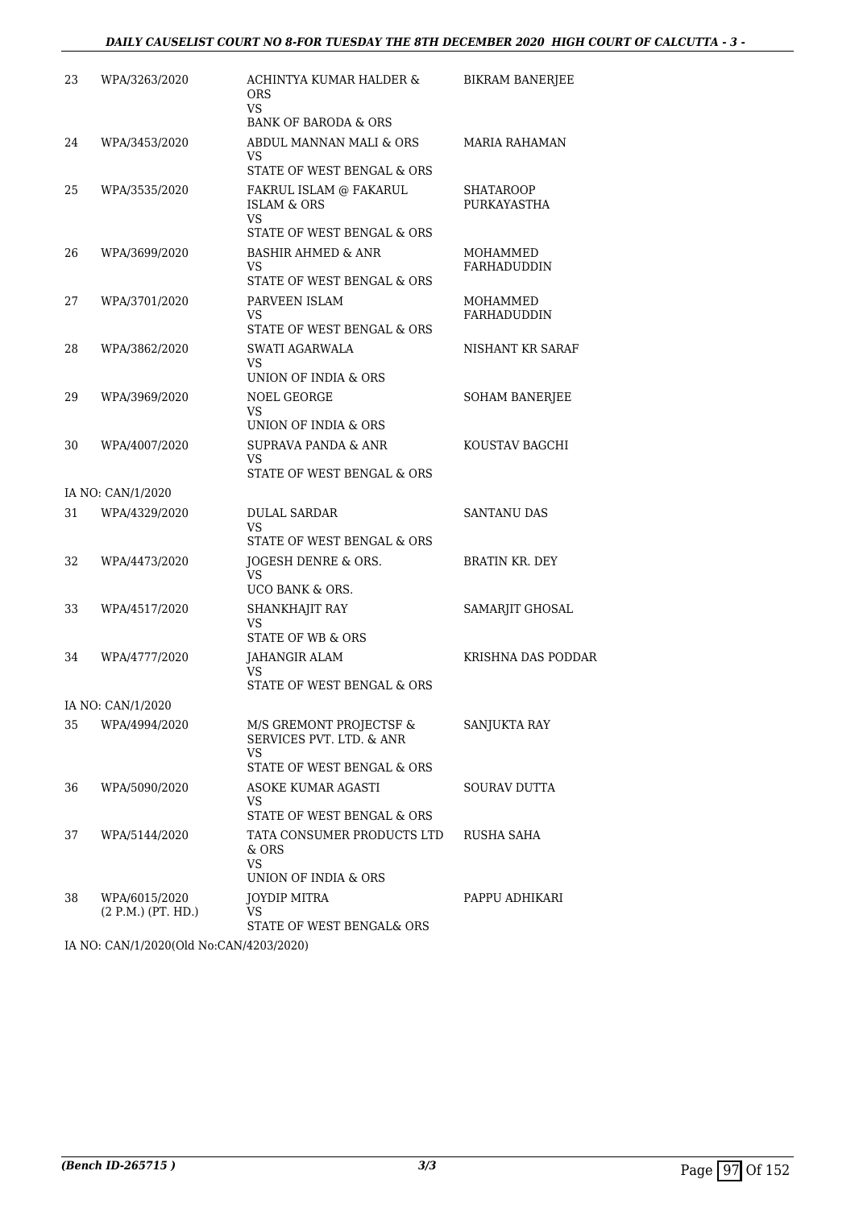### *DAILY CAUSELIST COURT NO 8-FOR TUESDAY THE 8TH DECEMBER 2020 HIGH COURT OF CALCUTTA - 3 -*

| 23 | WPA/3263/2020                       | ACHINTYA KUMAR HALDER &<br><b>ORS</b><br>VS.<br><b>BANK OF BARODA &amp; ORS</b>       | <b>BIKRAM BANERJEE</b>   |
|----|-------------------------------------|---------------------------------------------------------------------------------------|--------------------------|
| 24 | WPA/3453/2020                       | ABDUL MANNAN MALI & ORS                                                               | <b>MARIA RAHAMAN</b>     |
|    |                                     | VS                                                                                    |                          |
|    |                                     | STATE OF WEST BENGAL & ORS                                                            |                          |
| 25 | WPA/3535/2020                       | FAKRUL ISLAM @ FAKARUL<br><b>ISLAM &amp; ORS</b><br>VS.<br>STATE OF WEST BENGAL & ORS | SHATAROOP<br>PURKAYASTHA |
| 26 | WPA/3699/2020                       | <b>BASHIR AHMED &amp; ANR</b>                                                         | MOHAMMED                 |
|    |                                     | VS<br>STATE OF WEST BENGAL & ORS                                                      | FARHADUDDIN              |
| 27 | WPA/3701/2020                       | PARVEEN ISLAM<br>VS.                                                                  | MOHAMMED<br>FARHADUDDIN  |
|    |                                     | STATE OF WEST BENGAL & ORS                                                            |                          |
| 28 | WPA/3862/2020                       | SWATI AGARWALA<br><b>VS</b>                                                           | NISHANT KR SARAF         |
|    |                                     | UNION OF INDIA & ORS                                                                  |                          |
| 29 | WPA/3969/2020                       | NOEL GEORGE<br>VS                                                                     | <b>SOHAM BANERJEE</b>    |
|    |                                     | UNION OF INDIA & ORS                                                                  |                          |
| 30 | WPA/4007/2020                       | <b>SUPRAVA PANDA &amp; ANR</b><br>VS.                                                 | KOUSTAV BAGCHI           |
|    |                                     | STATE OF WEST BENGAL & ORS                                                            |                          |
|    | IA NO: CAN/1/2020                   |                                                                                       |                          |
| 31 | WPA/4329/2020                       | <b>DULAL SARDAR</b><br>VS<br>STATE OF WEST BENGAL & ORS                               | SANTANU DAS              |
| 32 | WPA/4473/2020                       | JOGESH DENRE & ORS.                                                                   | <b>BRATIN KR. DEY</b>    |
|    |                                     | VS<br>UCO BANK & ORS.                                                                 |                          |
| 33 | WPA/4517/2020                       | SHANKHAJIT RAY<br>VS                                                                  | SAMARJIT GHOSAL          |
|    |                                     | <b>STATE OF WB &amp; ORS</b>                                                          |                          |
| 34 | WPA/4777/2020                       | JAHANGIR ALAM<br>VS                                                                   | KRISHNA DAS PODDAR       |
|    |                                     | STATE OF WEST BENGAL & ORS                                                            |                          |
|    | IA NO: CAN/1/2020                   |                                                                                       |                          |
| 35 | WPA/4994/2020                       | M/S GREMONT PROJECTSF &<br>SERVICES PVT. LTD. & ANR<br>VS.                            | SANJUKTA RAY             |
|    |                                     | STATE OF WEST BENGAL & ORS                                                            |                          |
| 36 | WPA/5090/2020                       | ASOKE KUMAR AGASTI<br>VS<br>STATE OF WEST BENGAL & ORS                                | SOURAV DUTTA             |
| 37 | WPA/5144/2020                       | TATA CONSUMER PRODUCTS LTD                                                            | RUSHA SAHA               |
|    |                                     | & ORS<br><b>VS</b>                                                                    |                          |
|    |                                     | UNION OF INDIA & ORS                                                                  |                          |
| 38 | WPA/6015/2020<br>(2 P.M.) (PT. HD.) | JOYDIP MITRA<br>VS<br>STATE OF WEST BENGAL& ORS                                       | PAPPU ADHIKARI           |
|    |                                     |                                                                                       |                          |

IA NO: CAN/1/2020(Old No:CAN/4203/2020)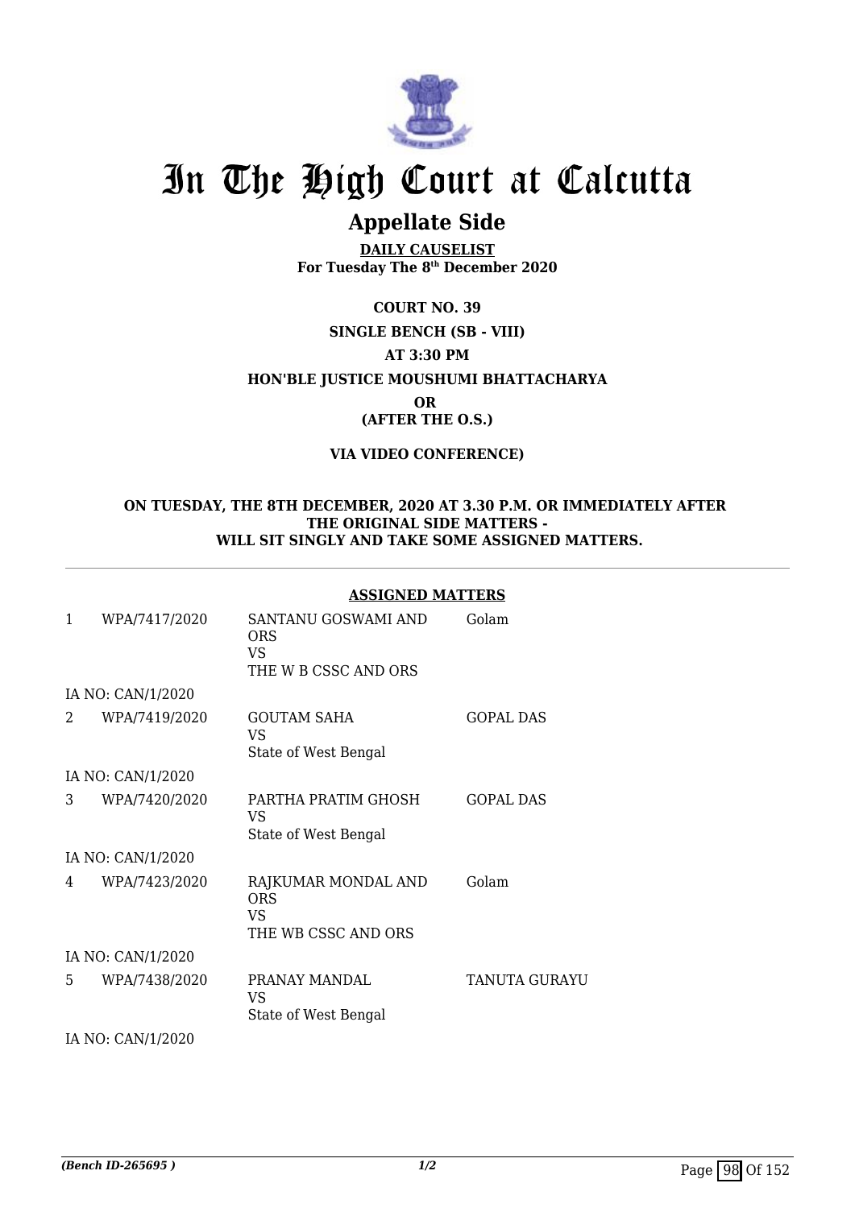

# **Appellate Side**

**DAILY CAUSELIST For Tuesday The 8th December 2020**

**COURT NO. 39 SINGLE BENCH (SB - VIII) AT 3:30 PM HON'BLE JUSTICE MOUSHUMI BHATTACHARYA OR (AFTER THE O.S.)**

## **VIA VIDEO CONFERENCE)**

#### **ON TUESDAY, THE 8TH DECEMBER, 2020 AT 3.30 P.M. OR IMMEDIATELY AFTER THE ORIGINAL SIDE MATTERS - WILL SIT SINGLY AND TAKE SOME ASSIGNED MATTERS.**

## **ASSIGNED MATTERS**

| 1  | WPA/7417/2020     | SANTANU GOSWAMI AND<br><b>ORS</b><br>VS<br>THE W B CSSC AND ORS | Golam            |
|----|-------------------|-----------------------------------------------------------------|------------------|
|    | IA NO: CAN/1/2020 |                                                                 |                  |
| 2  | WPA/7419/2020     | <b>GOUTAM SAHA</b><br>VS<br>State of West Bengal                | <b>GOPAL DAS</b> |
|    | IA NO: CAN/1/2020 |                                                                 |                  |
| 3  | WPA/7420/2020     | PARTHA PRATIM GHOSH<br>VS<br>State of West Bengal               | <b>GOPAL DAS</b> |
|    | IA NO: CAN/1/2020 |                                                                 |                  |
| 4  | WPA/7423/2020     | RAJKUMAR MONDAL AND<br><b>ORS</b><br>VS<br>THE WB CSSC AND ORS  | Golam            |
|    | IA NO: CAN/1/2020 |                                                                 |                  |
| 5. | WPA/7438/2020     | PRANAY MANDAL<br>VS<br>State of West Bengal                     | TANUTA GURAYU    |

IA NO: CAN/1/2020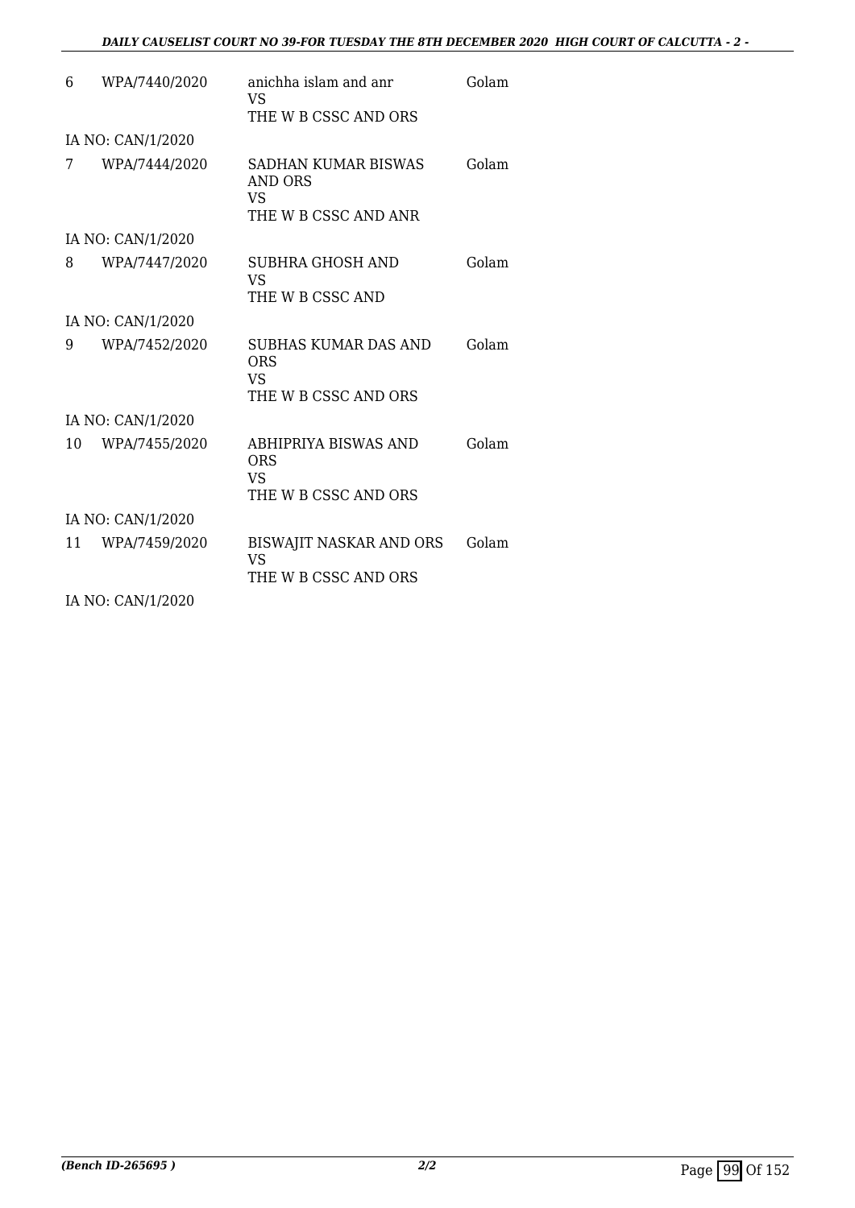## *DAILY CAUSELIST COURT NO 39-FOR TUESDAY THE 8TH DECEMBER 2020 HIGH COURT OF CALCUTTA - 2 -*

| 6  | WPA/7440/2020     | anichha islam and anr<br>VS                                  | Golam |
|----|-------------------|--------------------------------------------------------------|-------|
|    |                   | THE W B CSSC AND ORS                                         |       |
|    | IA NO: CAN/1/2020 |                                                              |       |
| 7  | WPA/7444/2020     | SADHAN KUMAR BISWAS<br>AND ORS<br>VS<br>THE W B CSSC AND ANR | Golam |
|    | IA NO: CAN/1/2020 |                                                              |       |
| 8  | WPA/7447/2020     | SUBHRA GHOSH AND<br>VS                                       | Golam |
|    |                   | THE W B CSSC AND                                             |       |
|    | IA NO: CAN/1/2020 |                                                              |       |
| 9  | WPA/7452/2020     | <b>SUBHAS KUMAR DAS AND</b><br><b>ORS</b><br><b>VS</b>       | Golam |
|    |                   | THE W B CSSC AND ORS                                         |       |
|    | IA NO: CAN/1/2020 |                                                              |       |
| 10 | WPA/7455/2020     | ABHIPRIYA BISWAS AND<br><b>ORS</b><br>VS                     | Golam |
|    |                   | THE W B CSSC AND ORS                                         |       |
|    | IA NO: CAN/1/2020 |                                                              |       |
| 11 | WPA/7459/2020     | BISWAJIT NASKAR AND ORS<br>VS                                | Golam |
|    |                   | THE W B CSSC AND ORS                                         |       |
|    | IA NO: CAN/1/2020 |                                                              |       |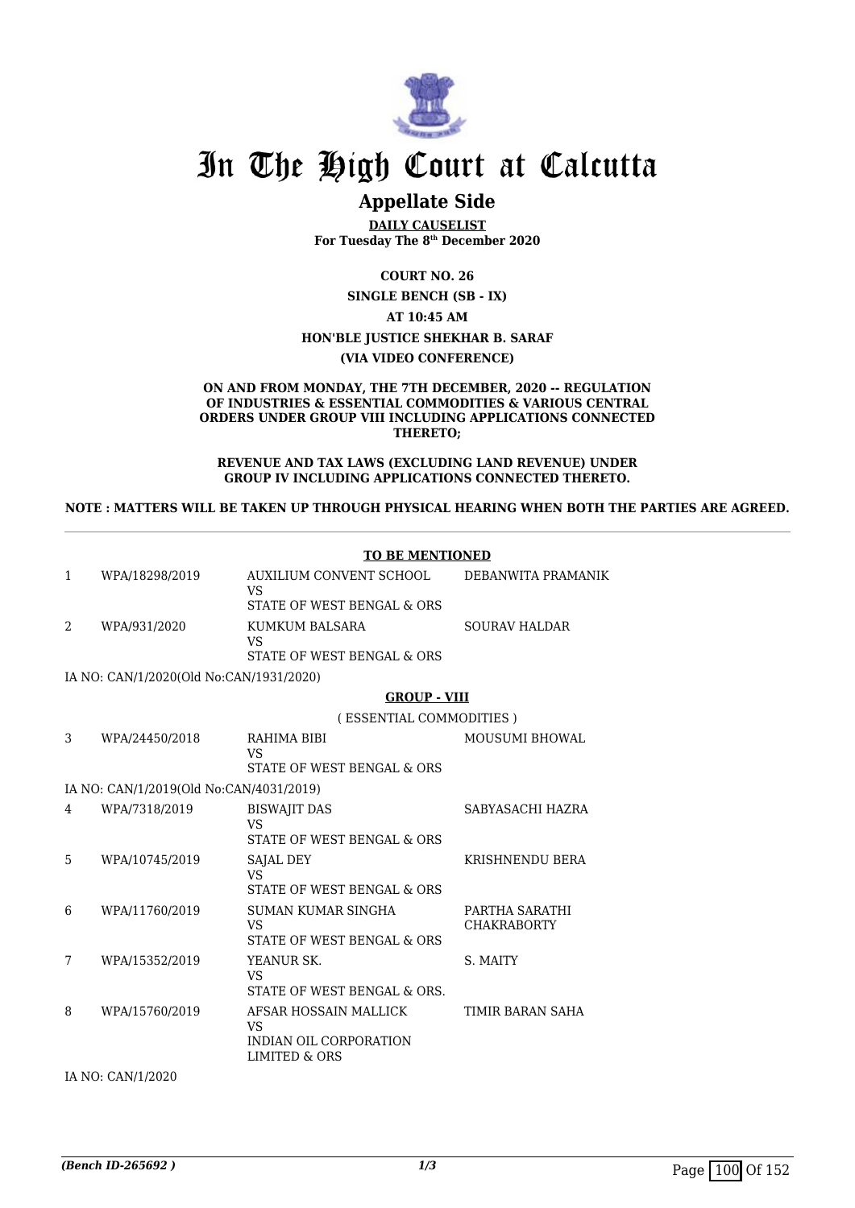

# **Appellate Side**

**DAILY CAUSELIST For Tuesday The 8th December 2020**

**COURT NO. 26**

**SINGLE BENCH (SB - IX)**

**AT 10:45 AM**

#### **HON'BLE JUSTICE SHEKHAR B. SARAF**

#### **(VIA VIDEO CONFERENCE)**

#### **ON AND FROM MONDAY, THE 7TH DECEMBER, 2020 -- REGULATION OF INDUSTRIES & ESSENTIAL COMMODITIES & VARIOUS CENTRAL ORDERS UNDER GROUP VIII INCLUDING APPLICATIONS CONNECTED THERETO;**

#### **REVENUE AND TAX LAWS (EXCLUDING LAND REVENUE) UNDER GROUP IV INCLUDING APPLICATIONS CONNECTED THERETO.**

**NOTE : MATTERS WILL BE TAKEN UP THROUGH PHYSICAL HEARING WHEN BOTH THE PARTIES ARE AGREED.**

|              |                                         | <b>TO BE MENTIONED</b>                                                        |                                      |  |
|--------------|-----------------------------------------|-------------------------------------------------------------------------------|--------------------------------------|--|
| $\mathbf{1}$ | WPA/18298/2019                          | AUXILIUM CONVENT SCHOOL<br><b>VS</b>                                          | DEBANWITA PRAMANIK                   |  |
|              |                                         | STATE OF WEST BENGAL & ORS                                                    |                                      |  |
| 2            | WPA/931/2020                            | KUMKUM BALSARA<br><b>VS</b><br>STATE OF WEST BENGAL & ORS                     | <b>SOURAV HALDAR</b>                 |  |
|              | IA NO: CAN/1/2020(Old No:CAN/1931/2020) |                                                                               |                                      |  |
|              |                                         | <b>GROUP - VIII</b>                                                           |                                      |  |
|              |                                         | (ESSENTIAL COMMODITIES)                                                       |                                      |  |
| 3            | WPA/24450/2018                          | RAHIMA BIBI<br><b>VS</b><br>STATE OF WEST BENGAL & ORS                        | <b>MOUSUMI BHOWAL</b>                |  |
|              |                                         |                                                                               |                                      |  |
|              | IA NO: CAN/1/2019(Old No:CAN/4031/2019) |                                                                               |                                      |  |
| 4            | WPA/7318/2019                           | <b>BISWAJIT DAS</b><br><b>VS</b><br>STATE OF WEST BENGAL & ORS                | SABYASACHI HAZRA                     |  |
| 5            | WPA/10745/2019                          | SAJAL DEY<br>VS<br>STATE OF WEST BENGAL & ORS                                 | <b>KRISHNENDU BERA</b>               |  |
| 6            | WPA/11760/2019                          | SUMAN KUMAR SINGHA<br><b>VS</b><br>STATE OF WEST BENGAL & ORS                 | PARTHA SARATHI<br><b>CHAKRABORTY</b> |  |
| 7            | WPA/15352/2019                          | YEANUR SK.<br><b>VS</b><br>STATE OF WEST BENGAL & ORS.                        | S. MAITY                             |  |
| 8            | WPA/15760/2019                          | AFSAR HOSSAIN MALLICK<br><b>VS</b><br>INDIAN OIL CORPORATION<br>LIMITED & ORS | TIMIR BARAN SAHA                     |  |
|              | IA NO: CAN/1/2020                       |                                                                               |                                      |  |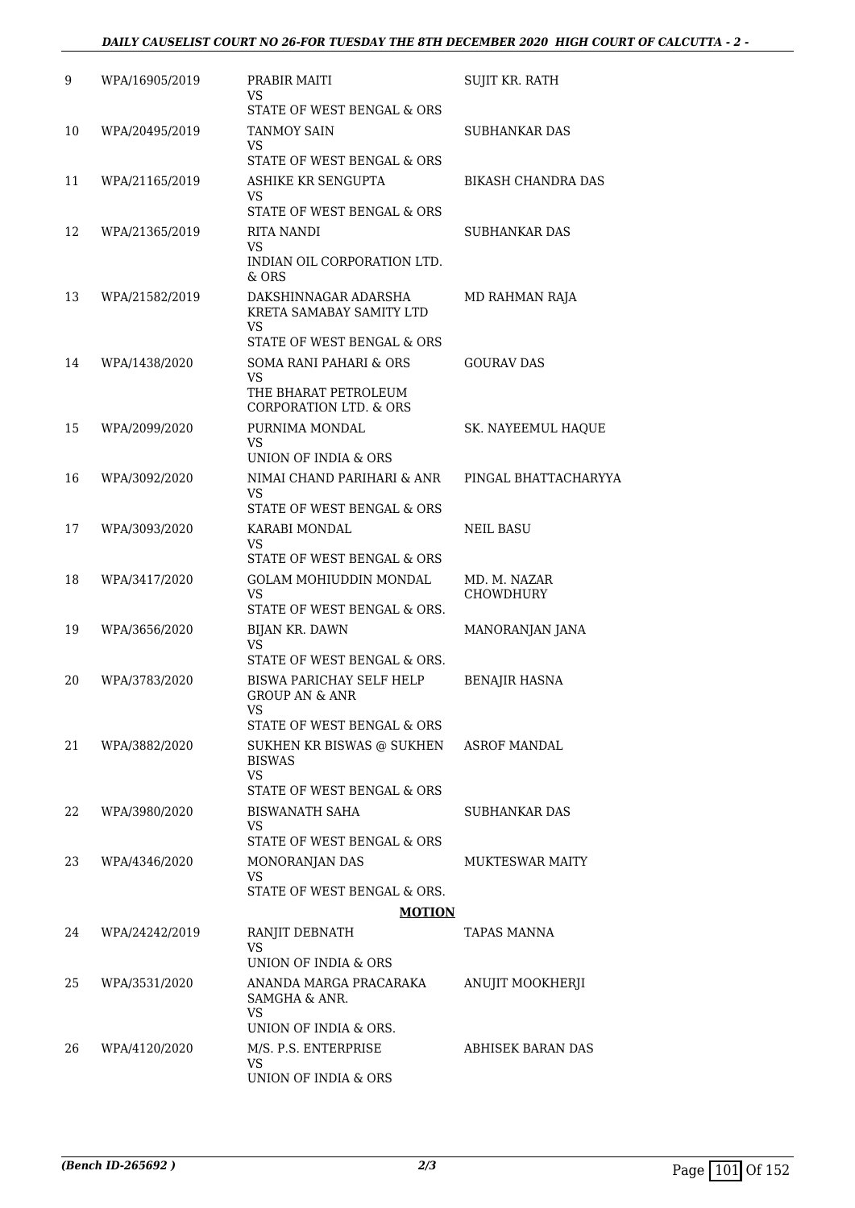## *DAILY CAUSELIST COURT NO 26-FOR TUESDAY THE 8TH DECEMBER 2020 HIGH COURT OF CALCUTTA - 2 -*

| 9  | WPA/16905/2019 | PRABIR MAITI<br>VS                                                                   | SUJIT KR. RATH            |
|----|----------------|--------------------------------------------------------------------------------------|---------------------------|
| 10 | WPA/20495/2019 | STATE OF WEST BENGAL & ORS<br><b>TANMOY SAIN</b><br>VS                               | <b>SUBHANKAR DAS</b>      |
|    |                | STATE OF WEST BENGAL & ORS                                                           |                           |
| 11 | WPA/21165/2019 | ASHIKE KR SENGUPTA<br>VS                                                             | <b>BIKASH CHANDRA DAS</b> |
| 12 |                | STATE OF WEST BENGAL & ORS                                                           | <b>SUBHANKAR DAS</b>      |
|    | WPA/21365/2019 | RITA NANDI<br>VS<br>INDIAN OIL CORPORATION LTD.<br>& ORS                             |                           |
| 13 | WPA/21582/2019 | DAKSHINNAGAR ADARSHA<br>KRETA SAMABAY SAMITY LTD<br>VS<br>STATE OF WEST BENGAL & ORS | MD RAHMAN RAJA            |
| 14 | WPA/1438/2020  | SOMA RANI PAHARI & ORS                                                               | <b>GOURAV DAS</b>         |
|    |                | VS<br>THE BHARAT PETROLEUM                                                           |                           |
|    |                | <b>CORPORATION LTD. &amp; ORS</b>                                                    |                           |
| 15 | WPA/2099/2020  | PURNIMA MONDAL<br>VS<br>UNION OF INDIA & ORS                                         | SK. NAYEEMUL HAQUE        |
| 16 | WPA/3092/2020  | NIMAI CHAND PARIHARI & ANR                                                           | PINGAL BHATTACHARYYA      |
|    |                | VS<br>STATE OF WEST BENGAL & ORS                                                     |                           |
| 17 | WPA/3093/2020  | KARABI MONDAL<br>VS<br>STATE OF WEST BENGAL & ORS                                    | NEIL BASU                 |
| 18 | WPA/3417/2020  | <b>GOLAM MOHIUDDIN MONDAL</b>                                                        | MD. M. NAZAR              |
|    |                | <b>VS</b><br>STATE OF WEST BENGAL & ORS.                                             | CHOWDHURY                 |
| 19 | WPA/3656/2020  | <b>BIJAN KR. DAWN</b><br>VS                                                          | MANORANJAN JANA           |
| 20 | WPA/3783/2020  | STATE OF WEST BENGAL & ORS.<br>BISWA PARICHAY SELF HELP<br><b>GROUP AN &amp; ANR</b> | <b>BENAJIR HASNA</b>      |
|    |                | VS<br>STATE OF WEST BENGAL & ORS                                                     |                           |
| 21 | WPA/3882/2020  | SUKHEN KR BISWAS @ SUKHEN<br><b>BISWAS</b><br><b>VS</b>                              | <b>ASROF MANDAL</b>       |
|    |                | STATE OF WEST BENGAL & ORS                                                           |                           |
| 22 | WPA/3980/2020  | BISWANATH SAHA<br>VS<br>STATE OF WEST BENGAL & ORS                                   | SUBHANKAR DAS             |
| 23 | WPA/4346/2020  | MONORANJAN DAS                                                                       | <b>MUKTESWAR MAITY</b>    |
|    |                | VS<br>STATE OF WEST BENGAL & ORS.                                                    |                           |
|    |                | <b>MOTION</b>                                                                        |                           |
| 24 | WPA/24242/2019 | RANJIT DEBNATH<br>VS<br>UNION OF INDIA & ORS                                         | TAPAS MANNA               |
| 25 | WPA/3531/2020  | ANANDA MARGA PRACARAKA<br>SAMGHA & ANR.<br>VS<br>UNION OF INDIA & ORS.               | ANUJIT MOOKHERJI          |
| 26 | WPA/4120/2020  | M/S. P.S. ENTERPRISE                                                                 | <b>ABHISEK BARAN DAS</b>  |
|    |                | VS<br>UNION OF INDIA & ORS                                                           |                           |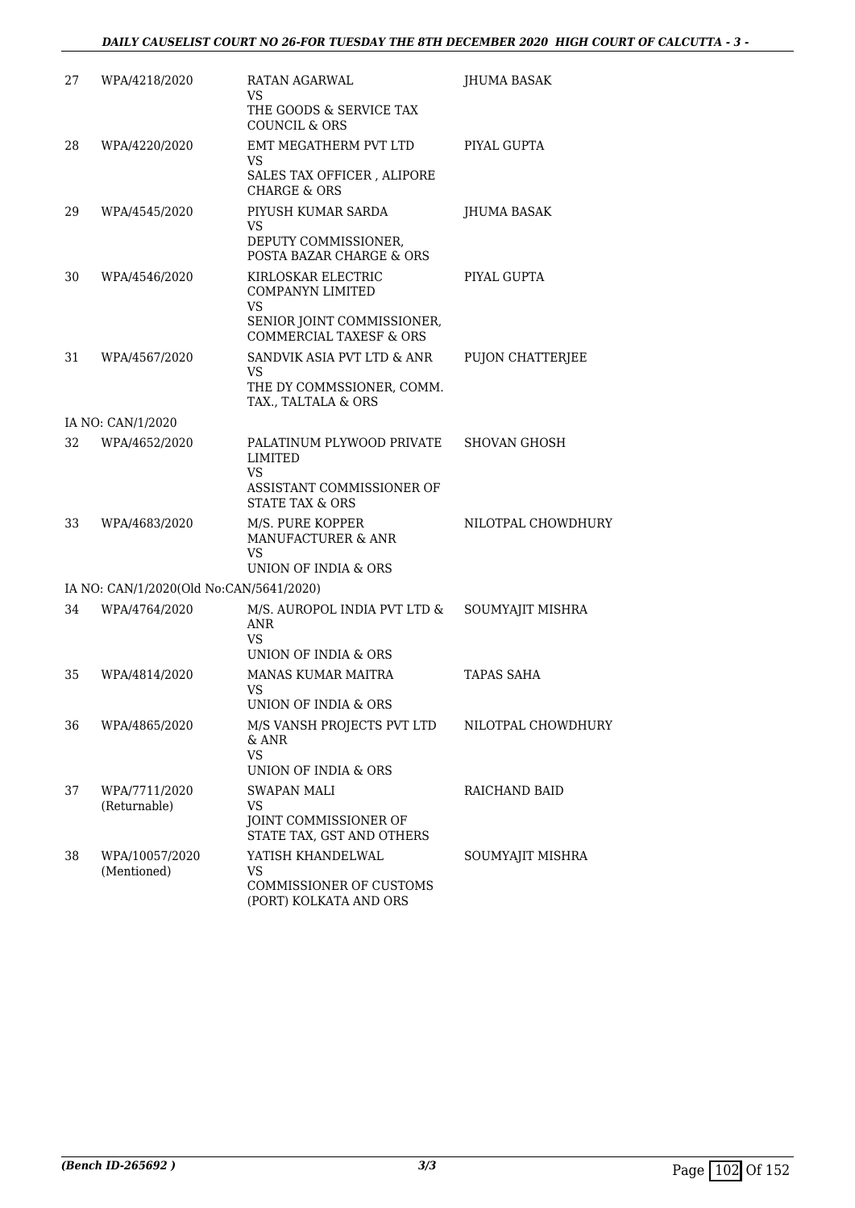| 27 | WPA/4218/2020                           | RATAN AGARWAL<br>VS                                                                                                               | JHUMA BASAK         |
|----|-----------------------------------------|-----------------------------------------------------------------------------------------------------------------------------------|---------------------|
|    |                                         | THE GOODS & SERVICE TAX<br><b>COUNCIL &amp; ORS</b>                                                                               |                     |
| 28 | WPA/4220/2020                           | EMT MEGATHERM PVT LTD<br>VS<br>SALES TAX OFFICER, ALIPORE<br><b>CHARGE &amp; ORS</b>                                              | PIYAL GUPTA         |
| 29 | WPA/4545/2020                           | PIYUSH KUMAR SARDA<br><b>VS</b><br>DEPUTY COMMISSIONER,<br>POSTA BAZAR CHARGE & ORS                                               | <b>IHUMA BASAK</b>  |
| 30 | WPA/4546/2020                           | KIRLOSKAR ELECTRIC<br><b>COMPANYN LIMITED</b><br><b>VS</b><br>SENIOR JOINT COMMISSIONER,                                          | PIYAL GUPTA         |
| 31 | WPA/4567/2020                           | <b>COMMERCIAL TAXESF &amp; ORS</b><br>SANDVIK ASIA PVT LTD & ANR<br><b>VS</b><br>THE DY COMMSSIONER, COMM.<br>TAX., TALTALA & ORS | PUJON CHATTERJEE    |
|    | IA NO: CAN/1/2020                       |                                                                                                                                   |                     |
| 32 | WPA/4652/2020                           | PALATINUM PLYWOOD PRIVATE<br><b>LIMITED</b><br>VS<br>ASSISTANT COMMISSIONER OF<br><b>STATE TAX &amp; ORS</b>                      | <b>SHOVAN GHOSH</b> |
| 33 | WPA/4683/2020                           | M/S. PURE KOPPER<br>MANUFACTURER & ANR<br>VS<br>UNION OF INDIA & ORS                                                              | NILOTPAL CHOWDHURY  |
|    | IA NO: CAN/1/2020(Old No:CAN/5641/2020) |                                                                                                                                   |                     |
| 34 | WPA/4764/2020                           | M/S. AUROPOL INDIA PVT LTD &<br>ANR<br>VS<br>UNION OF INDIA & ORS                                                                 | SOUMYAJIT MISHRA    |
| 35 | WPA/4814/2020                           | MANAS KUMAR MAITRA<br>VS<br>UNION OF INDIA & ORS                                                                                  | TAPAS SAHA          |
| 36 | WPA/4865/2020                           | M/S VANSH PROJECTS PVT LTD<br>& ANR<br><b>VS</b><br>UNION OF INDIA & ORS                                                          | NILOTPAL CHOWDHURY  |
| 37 | WPA/7711/2020<br>(Returnable)           | SWAPAN MALI<br>VS<br>JOINT COMMISSIONER OF<br>STATE TAX, GST AND OTHERS                                                           | RAICHAND BAID       |
| 38 | WPA/10057/2020<br>(Mentioned)           | YATISH KHANDELWAL<br><b>VS</b><br>COMMISSIONER OF CUSTOMS<br>(PORT) KOLKATA AND ORS                                               | SOUMYAJIT MISHRA    |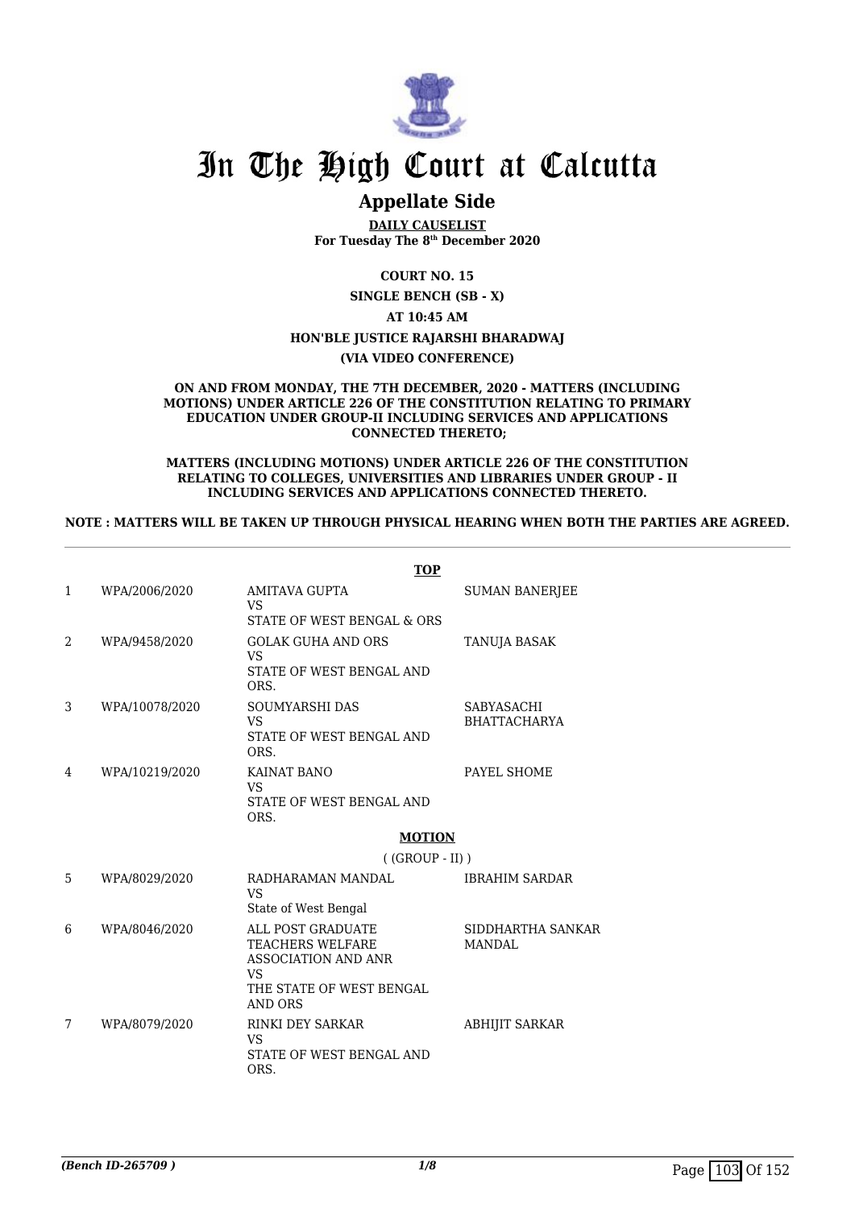

# **Appellate Side**

**DAILY CAUSELIST For Tuesday The 8th December 2020**

**COURT NO. 15**

**SINGLE BENCH (SB - X) AT 10:45 AM HON'BLE JUSTICE RAJARSHI BHARADWAJ**

#### **(VIA VIDEO CONFERENCE)**

#### **ON AND FROM MONDAY, THE 7TH DECEMBER, 2020 - MATTERS (INCLUDING MOTIONS) UNDER ARTICLE 226 OF THE CONSTITUTION RELATING TO PRIMARY EDUCATION UNDER GROUP-II INCLUDING SERVICES AND APPLICATIONS CONNECTED THERETO;**

#### **MATTERS (INCLUDING MOTIONS) UNDER ARTICLE 226 OF THE CONSTITUTION RELATING TO COLLEGES, UNIVERSITIES AND LIBRARIES UNDER GROUP - II INCLUDING SERVICES AND APPLICATIONS CONNECTED THERETO.**

#### **NOTE : MATTERS WILL BE TAKEN UP THROUGH PHYSICAL HEARING WHEN BOTH THE PARTIES ARE AGREED.**

|   |                | <b>TOP</b>                                                                                                                     |                                          |
|---|----------------|--------------------------------------------------------------------------------------------------------------------------------|------------------------------------------|
| 1 | WPA/2006/2020  | AMITAVA GUPTA<br><b>VS</b><br>STATE OF WEST BENGAL & ORS                                                                       | <b>SUMAN BANERJEE</b>                    |
| 2 | WPA/9458/2020  | <b>GOLAK GUHA AND ORS</b><br><b>VS</b><br>STATE OF WEST BENGAL AND<br>ORS.                                                     | TANUJA BASAK                             |
| 3 | WPA/10078/2020 | <b>SOUMYARSHI DAS</b><br>VS<br>STATE OF WEST BENGAL AND<br>ORS.                                                                | <b>SABYASACHI</b><br><b>BHATTACHARYA</b> |
| 4 | WPA/10219/2020 | KAINAT BANO<br>VS<br>STATE OF WEST BENGAL AND<br>ORS.                                                                          | PAYEL SHOME                              |
|   |                | <b>MOTION</b>                                                                                                                  |                                          |
|   |                | $((GROUP - II))$                                                                                                               |                                          |
| 5 | WPA/8029/2020  | RADHARAMAN MANDAL<br>VS<br>State of West Bengal                                                                                | <b>IBRAHIM SARDAR</b>                    |
| 6 | WPA/8046/2020  | ALL POST GRADUATE<br>TEACHERS WELFARE<br><b>ASSOCIATION AND ANR</b><br><b>VS</b><br>THE STATE OF WEST BENGAL<br><b>AND ORS</b> | SIDDHARTHA SANKAR<br><b>MANDAL</b>       |
| 7 | WPA/8079/2020  | <b>RINKI DEY SARKAR</b><br>VS<br>STATE OF WEST BENGAL AND<br>ORS.                                                              | <b>ABHIJIT SARKAR</b>                    |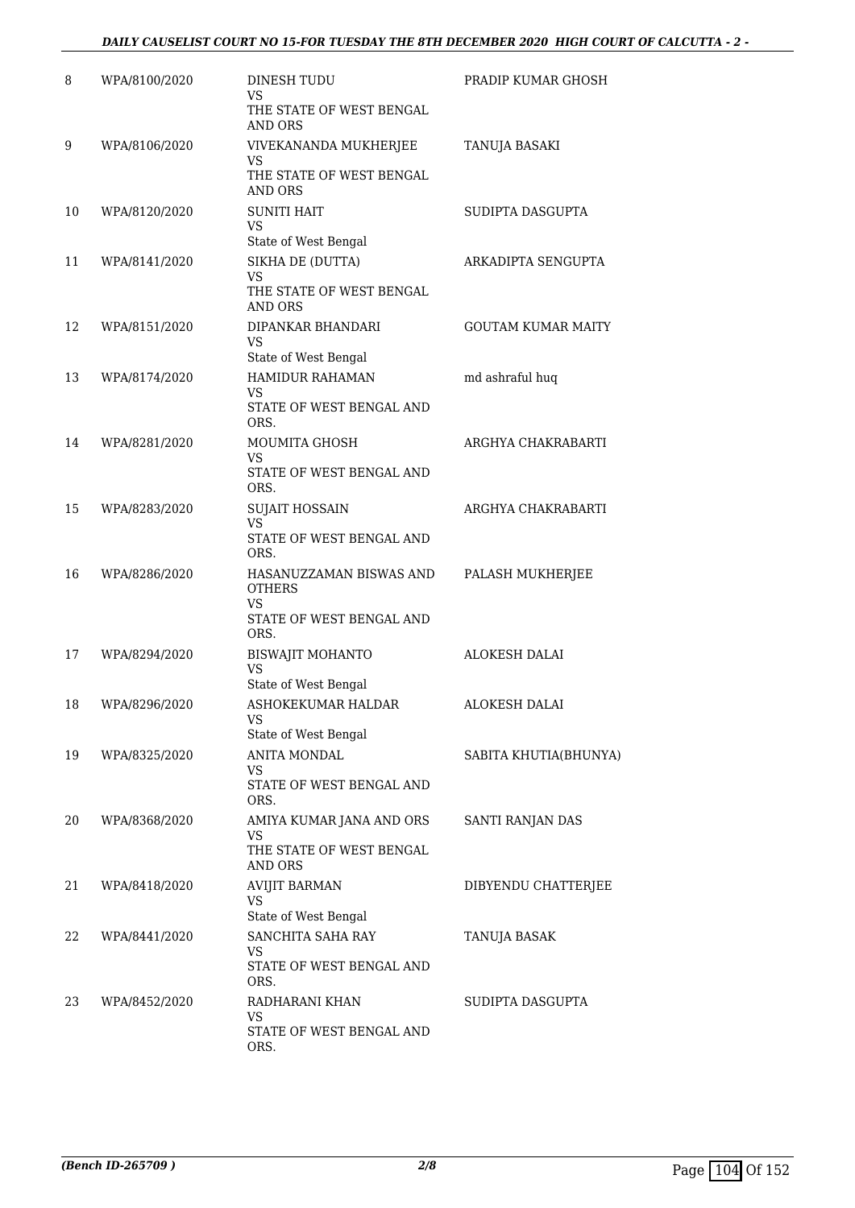| 8  | WPA/8100/2020 | <b>DINESH TUDU</b><br><b>VS</b><br>THE STATE OF WEST BENGAL<br>AND ORS                    | PRADIP KUMAR GHOSH        |
|----|---------------|-------------------------------------------------------------------------------------------|---------------------------|
| 9  | WPA/8106/2020 | VIVEKANANDA MUKHERJEE<br>VS<br>THE STATE OF WEST BENGAL<br><b>AND ORS</b>                 | TANUJA BASAKI             |
| 10 | WPA/8120/2020 | <b>SUNITI HAIT</b><br>VS<br>State of West Bengal                                          | SUDIPTA DASGUPTA          |
| 11 | WPA/8141/2020 | SIKHA DE (DUTTA)<br><b>VS</b><br>THE STATE OF WEST BENGAL<br>AND ORS                      | ARKADIPTA SENGUPTA        |
| 12 | WPA/8151/2020 | DIPANKAR BHANDARI<br>VS<br>State of West Bengal                                           | <b>GOUTAM KUMAR MAITY</b> |
| 13 | WPA/8174/2020 | <b>HAMIDUR RAHAMAN</b><br>VS<br>STATE OF WEST BENGAL AND<br>ORS.                          | md ashraful huq           |
| 14 | WPA/8281/2020 | <b>MOUMITA GHOSH</b><br>VS<br>STATE OF WEST BENGAL AND<br>ORS.                            | ARGHYA CHAKRABARTI        |
| 15 | WPA/8283/2020 | <b>SUJAIT HOSSAIN</b><br><b>VS</b><br>STATE OF WEST BENGAL AND<br>ORS.                    | ARGHYA CHAKRABARTI        |
| 16 | WPA/8286/2020 | HASANUZZAMAN BISWAS AND<br><b>OTHERS</b><br><b>VS</b><br>STATE OF WEST BENGAL AND<br>ORS. | PALASH MUKHERJEE          |
| 17 | WPA/8294/2020 | <b>BISWAJIT MOHANTO</b><br><b>VS</b><br>State of West Bengal                              | <b>ALOKESH DALAI</b>      |
| 18 | WPA/8296/2020 | ASHOKEKUMAR HALDAR<br><b>VS</b><br>State of West Bengal                                   | <b>ALOKESH DALAI</b>      |
| 19 | WPA/8325/2020 | ANITA MONDAL<br>VS<br>STATE OF WEST BENGAL AND<br>ORS.                                    | SABITA KHUTIA(BHUNYA)     |
| 20 | WPA/8368/2020 | AMIYA KUMAR JANA AND ORS<br>VS<br>THE STATE OF WEST BENGAL<br>AND ORS                     | SANTI RANJAN DAS          |
| 21 | WPA/8418/2020 | <b>AVIJIT BARMAN</b><br>VS<br>State of West Bengal                                        | DIBYENDU CHATTERJEE       |
| 22 | WPA/8441/2020 | SANCHITA SAHA RAY<br>VS<br>STATE OF WEST BENGAL AND<br>ORS.                               | TANUJA BASAK              |
| 23 | WPA/8452/2020 | RADHARANI KHAN<br>VS<br>STATE OF WEST BENGAL AND<br>ORS.                                  | SUDIPTA DASGUPTA          |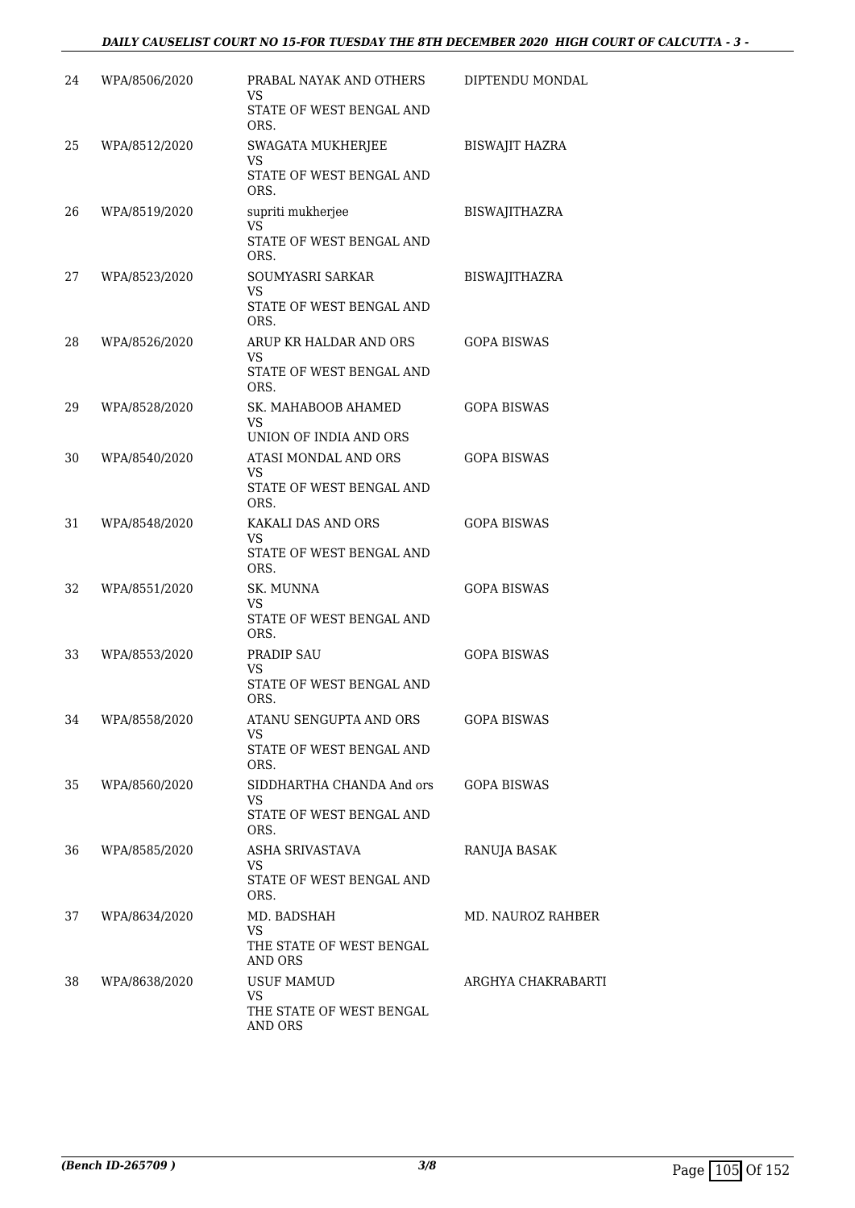## *DAILY CAUSELIST COURT NO 15-FOR TUESDAY THE 8TH DECEMBER 2020 HIGH COURT OF CALCUTTA - 3 -*

| 24 | WPA/8506/2020 | PRABAL NAYAK AND OTHERS<br>VS<br>STATE OF WEST BENGAL AND                 | DIPTENDU MONDAL       |
|----|---------------|---------------------------------------------------------------------------|-----------------------|
| 25 | WPA/8512/2020 | ORS.<br>SWAGATA MUKHERJEE<br>VS<br>STATE OF WEST BENGAL AND               | <b>BISWAJIT HAZRA</b> |
| 26 | WPA/8519/2020 | ORS.<br>supriti mukherjee<br>VS<br>STATE OF WEST BENGAL AND               | <b>BISWAJITHAZRA</b>  |
| 27 | WPA/8523/2020 | ORS.<br><b>SOUMYASRI SARKAR</b><br><b>VS</b><br>STATE OF WEST BENGAL AND  | <b>BISWAJITHAZRA</b>  |
| 28 | WPA/8526/2020 | ORS.<br>ARUP KR HALDAR AND ORS<br>VS<br>STATE OF WEST BENGAL AND          | <b>GOPA BISWAS</b>    |
| 29 | WPA/8528/2020 | ORS.<br>SK. MAHABOOB AHAMED<br>VS<br>UNION OF INDIA AND ORS               | <b>GOPA BISWAS</b>    |
| 30 | WPA/8540/2020 | ATASI MONDAL AND ORS<br>VS<br>STATE OF WEST BENGAL AND<br>ORS.            | <b>GOPA BISWAS</b>    |
| 31 | WPA/8548/2020 | KAKALI DAS AND ORS<br>VS<br>STATE OF WEST BENGAL AND<br>ORS.              | <b>GOPA BISWAS</b>    |
| 32 | WPA/8551/2020 | SK. MUNNA<br>VS<br>STATE OF WEST BENGAL AND<br>ORS.                       | <b>GOPA BISWAS</b>    |
| 33 | WPA/8553/2020 | PRADIP SAU<br><b>VS</b><br>STATE OF WEST BENGAL AND<br>ORS.               | <b>GOPA BISWAS</b>    |
| 34 | WPA/8558/2020 | ATANU SENGUPTA AND ORS<br><b>VS</b><br>STATE OF WEST BENGAL AND           | <b>GOPA BISWAS</b>    |
| 35 | WPA/8560/2020 | ORS.<br>SIDDHARTHA CHANDA And ors<br>VS<br>STATE OF WEST BENGAL AND       | <b>GOPA BISWAS</b>    |
| 36 | WPA/8585/2020 | ORS.<br>ASHA SRIVASTAVA<br>VS<br>STATE OF WEST BENGAL AND<br>ORS.         | RANUJA BASAK          |
| 37 | WPA/8634/2020 | MD. BADSHAH<br>VS<br>THE STATE OF WEST BENGAL                             | MD. NAUROZ RAHBER     |
| 38 | WPA/8638/2020 | AND ORS<br><b>USUF MAMUD</b><br>VS<br>THE STATE OF WEST BENGAL<br>AND ORS | ARGHYA CHAKRABARTI    |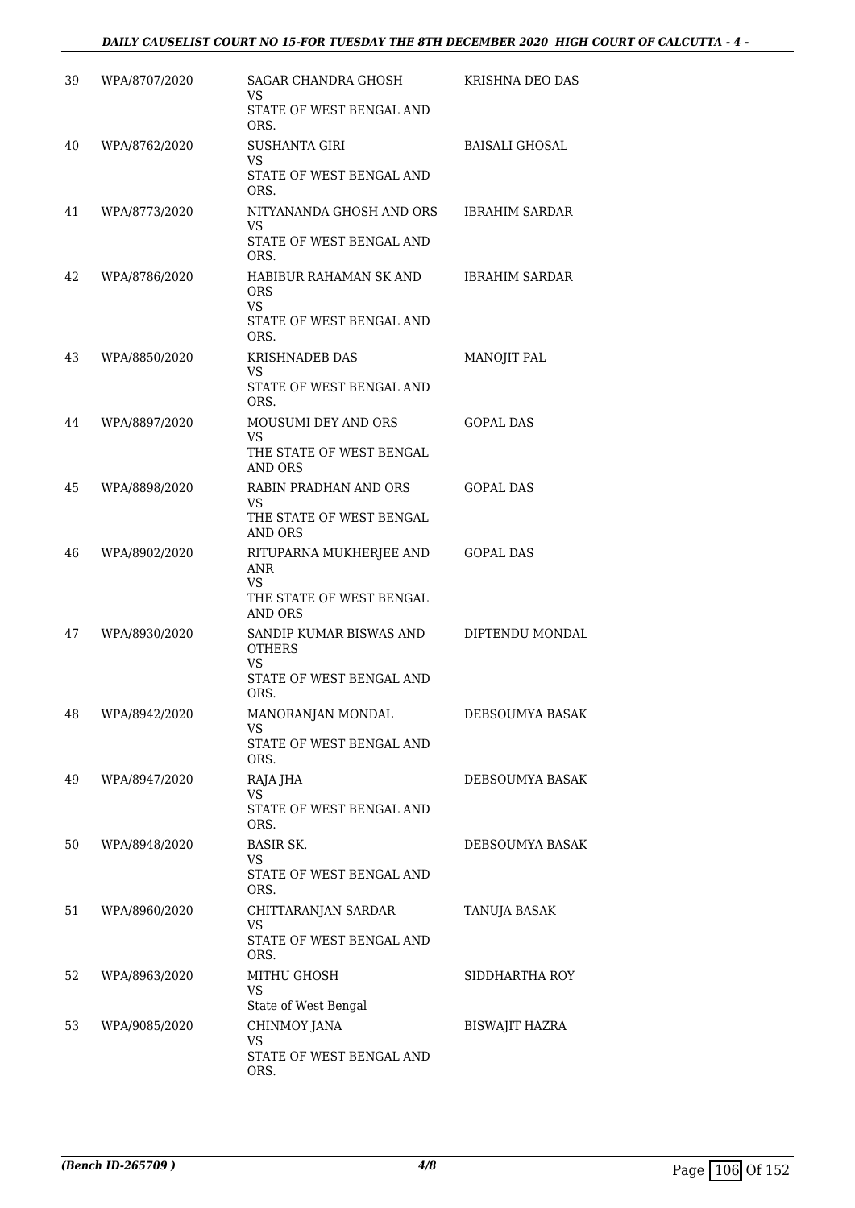### *DAILY CAUSELIST COURT NO 15-FOR TUESDAY THE 8TH DECEMBER 2020 HIGH COURT OF CALCUTTA - 4 -*

| 39 | WPA/8707/2020 | SAGAR CHANDRA GHOSH<br>VS<br>STATE OF WEST BENGAL AND<br>ORS.                         | KRISHNA DEO DAS       |
|----|---------------|---------------------------------------------------------------------------------------|-----------------------|
| 40 | WPA/8762/2020 | <b>SUSHANTA GIRI</b><br>VS.<br>STATE OF WEST BENGAL AND<br>ORS.                       | <b>BAISALI GHOSAL</b> |
| 41 | WPA/8773/2020 | NITYANANDA GHOSH AND ORS<br>VS<br>STATE OF WEST BENGAL AND<br>ORS.                    | <b>IBRAHIM SARDAR</b> |
| 42 | WPA/8786/2020 | HABIBUR RAHAMAN SK AND<br><b>ORS</b><br><b>VS</b><br>STATE OF WEST BENGAL AND<br>ORS. | <b>IBRAHIM SARDAR</b> |
| 43 | WPA/8850/2020 | <b>KRISHNADEB DAS</b><br>VS.<br>STATE OF WEST BENGAL AND<br>ORS.                      | MANOJIT PAL           |
| 44 | WPA/8897/2020 | <b>MOUSUMI DEY AND ORS</b><br>VS<br>THE STATE OF WEST BENGAL<br>AND ORS               | <b>GOPAL DAS</b>      |
| 45 | WPA/8898/2020 | RABIN PRADHAN AND ORS<br>VS.<br>THE STATE OF WEST BENGAL<br>AND ORS                   | <b>GOPAL DAS</b>      |
| 46 | WPA/8902/2020 | RITUPARNA MUKHERJEE AND<br>ANR<br>VS.<br>THE STATE OF WEST BENGAL<br>AND ORS          | <b>GOPAL DAS</b>      |
| 47 | WPA/8930/2020 | SANDIP KUMAR BISWAS AND<br><b>OTHERS</b><br>VS<br>STATE OF WEST BENGAL AND<br>ORS.    | DIPTENDU MONDAL       |
| 48 | WPA/8942/2020 | MANORANJAN MONDAL<br>VS<br>STATE OF WEST BENGAL AND<br>ORS.                           | DEBSOUMYA BASAK       |
| 49 | WPA/8947/2020 | RAJA JHA<br>VS<br>STATE OF WEST BENGAL AND<br>ORS.                                    | DEBSOUMYA BASAK       |
| 50 | WPA/8948/2020 | <b>BASIR SK.</b><br>VS.<br>STATE OF WEST BENGAL AND<br>ORS.                           | DEBSOUMYA BASAK       |
| 51 | WPA/8960/2020 | CHITTARANJAN SARDAR<br><b>VS</b><br>STATE OF WEST BENGAL AND<br>ORS.                  | TANUJA BASAK          |
| 52 | WPA/8963/2020 | MITHU GHOSH<br>VS<br>State of West Bengal                                             | SIDDHARTHA ROY        |
| 53 | WPA/9085/2020 | CHINMOY JANA<br>VS<br>STATE OF WEST BENGAL AND<br>ORS.                                | BISWAJIT HAZRA        |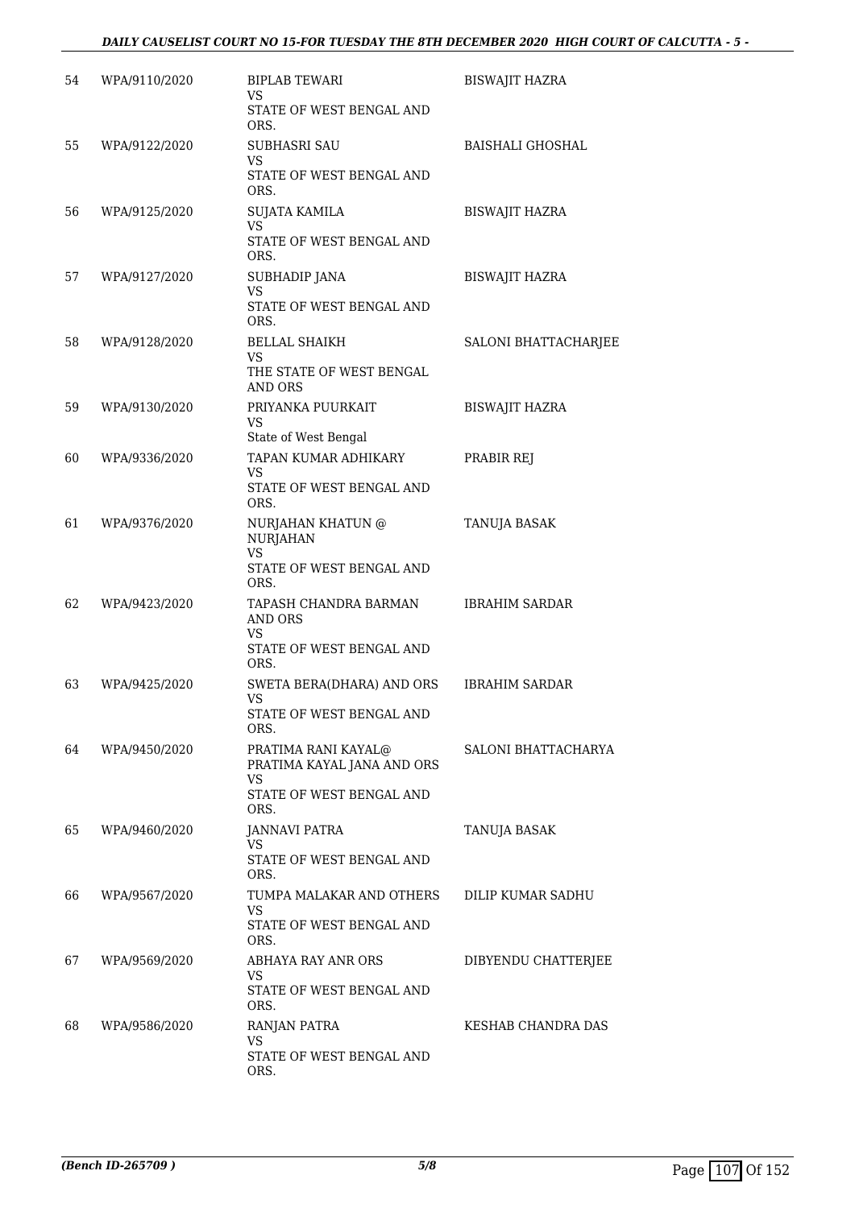### *DAILY CAUSELIST COURT NO 15-FOR TUESDAY THE 8TH DECEMBER 2020 HIGH COURT OF CALCUTTA - 5 -*

| 54 | WPA/9110/2020 | <b>BIPLAB TEWARI</b><br>VS.<br>STATE OF WEST BENGAL AND<br>ORS.                             | <b>BISWAJIT HAZRA</b>   |
|----|---------------|---------------------------------------------------------------------------------------------|-------------------------|
| 55 | WPA/9122/2020 | <b>SUBHASRI SAU</b><br>VS<br>STATE OF WEST BENGAL AND<br>ORS.                               | <b>BAISHALI GHOSHAL</b> |
| 56 | WPA/9125/2020 | <b>SUJATA KAMILA</b><br><b>VS</b><br>STATE OF WEST BENGAL AND<br>ORS.                       | <b>BISWAJIT HAZRA</b>   |
| 57 | WPA/9127/2020 | SUBHADIP JANA<br><b>VS</b><br>STATE OF WEST BENGAL AND<br>ORS.                              | <b>BISWAJIT HAZRA</b>   |
| 58 | WPA/9128/2020 | <b>BELLAL SHAIKH</b><br>VS<br>THE STATE OF WEST BENGAL<br><b>AND ORS</b>                    | SALONI BHATTACHARJEE    |
| 59 | WPA/9130/2020 | PRIYANKA PUURKAIT<br><b>VS</b><br>State of West Bengal                                      | <b>BISWAJIT HAZRA</b>   |
| 60 | WPA/9336/2020 | TAPAN KUMAR ADHIKARY<br>VS<br>STATE OF WEST BENGAL AND<br>ORS.                              | PRABIR REJ              |
| 61 | WPA/9376/2020 | NURJAHAN KHATUN @<br><b>NURJAHAN</b><br><b>VS</b><br>STATE OF WEST BENGAL AND<br>ORS.       | TANUJA BASAK            |
| 62 | WPA/9423/2020 | TAPASH CHANDRA BARMAN<br>AND ORS<br>VS<br>STATE OF WEST BENGAL AND<br>ORS.                  | <b>IBRAHIM SARDAR</b>   |
| 63 | WPA/9425/2020 | SWETA BERA(DHARA) AND ORS<br>VS<br>STATE OF WEST BENGAL AND<br>ORS.                         | <b>IBRAHIM SARDAR</b>   |
| 64 | WPA/9450/2020 | PRATIMA RANI KAYAL@<br>PRATIMA KAYAL JANA AND ORS<br>VS<br>STATE OF WEST BENGAL AND<br>ORS. | SALONI BHATTACHARYA     |
| 65 | WPA/9460/2020 | <b>JANNAVI PATRA</b><br>VS<br>STATE OF WEST BENGAL AND<br>ORS.                              | TANUJA BASAK            |
| 66 | WPA/9567/2020 | TUMPA MALAKAR AND OTHERS<br><b>VS</b><br>STATE OF WEST BENGAL AND<br>ORS.                   | DILIP KUMAR SADHU       |
| 67 | WPA/9569/2020 | ABHAYA RAY ANR ORS<br>VS<br>STATE OF WEST BENGAL AND<br>ORS.                                | DIBYENDU CHATTERJEE     |
| 68 | WPA/9586/2020 | RANJAN PATRA<br>VS<br>STATE OF WEST BENGAL AND<br>ORS.                                      | KESHAB CHANDRA DAS      |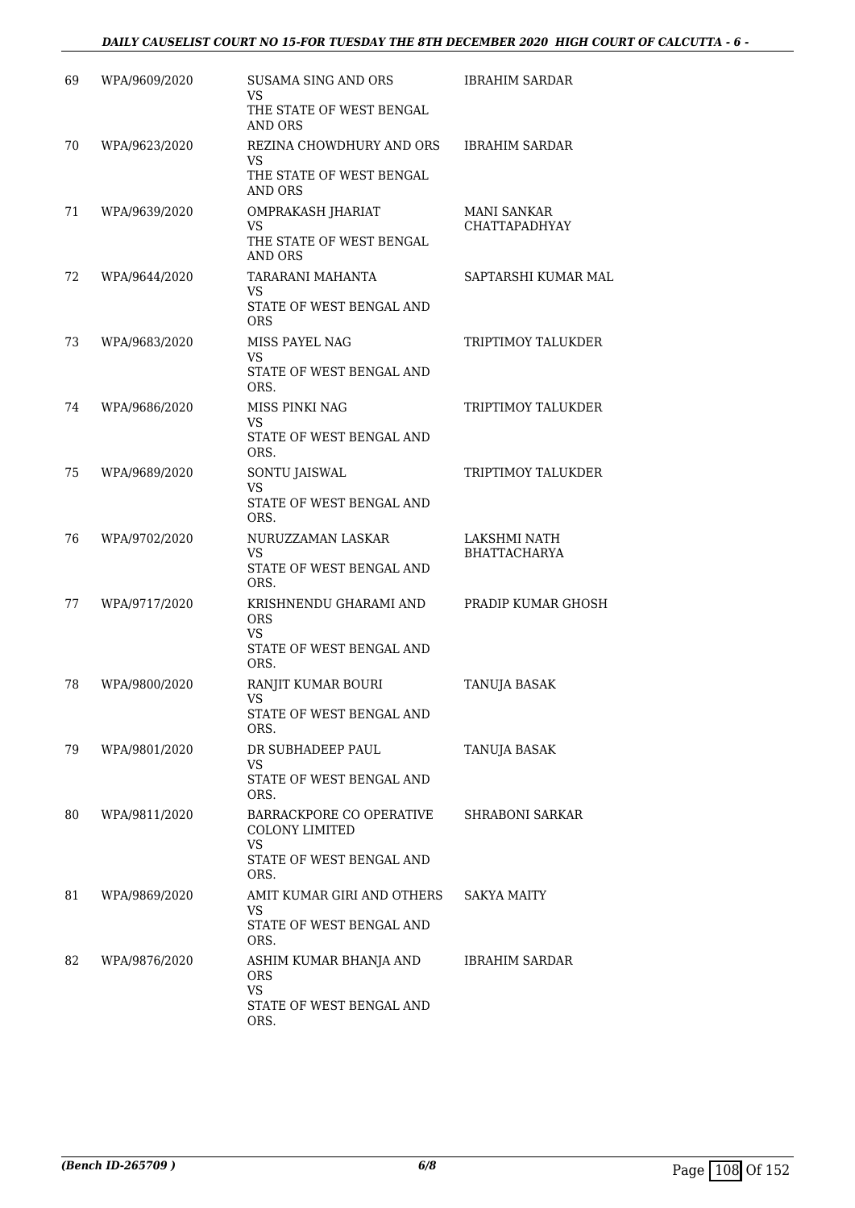| 69 | WPA/9609/2020 | <b>SUSAMA SING AND ORS</b><br>VS<br>THE STATE OF WEST BENGAL                                  | <b>IBRAHIM SARDAR</b>                      |
|----|---------------|-----------------------------------------------------------------------------------------------|--------------------------------------------|
| 70 | WPA/9623/2020 | <b>AND ORS</b><br>REZINA CHOWDHURY AND ORS<br>VS.<br>THE STATE OF WEST BENGAL                 | <b>IBRAHIM SARDAR</b>                      |
| 71 | WPA/9639/2020 | <b>AND ORS</b><br>OMPRAKASH JHARIAT<br><b>VS</b>                                              | <b>MANI SANKAR</b><br><b>CHATTAPADHYAY</b> |
|    |               | THE STATE OF WEST BENGAL<br>AND ORS                                                           |                                            |
| 72 | WPA/9644/2020 | TARARANI MAHANTA<br>VS<br>STATE OF WEST BENGAL AND<br><b>ORS</b>                              | SAPTARSHI KUMAR MAL                        |
| 73 | WPA/9683/2020 | MISS PAYEL NAG<br>VS<br>STATE OF WEST BENGAL AND                                              | TRIPTIMOY TALUKDER                         |
| 74 | WPA/9686/2020 | ORS.<br>MISS PINKI NAG                                                                        | TRIPTIMOY TALUKDER                         |
|    |               | VS<br>STATE OF WEST BENGAL AND<br>ORS.                                                        |                                            |
| 75 | WPA/9689/2020 | SONTU JAISWAL<br>VS                                                                           | TRIPTIMOY TALUKDER                         |
|    |               | STATE OF WEST BENGAL AND<br>ORS.                                                              |                                            |
| 76 | WPA/9702/2020 | NURUZZAMAN LASKAR<br>VS<br>STATE OF WEST BENGAL AND<br>ORS.                                   | LAKSHMI NATH<br><b>BHATTACHARYA</b>        |
| 77 | WPA/9717/2020 | KRISHNENDU GHARAMI AND<br><b>ORS</b><br><b>VS</b><br>STATE OF WEST BENGAL AND<br>ORS.         | PRADIP KUMAR GHOSH                         |
| 78 | WPA/9800/2020 | RANJIT KUMAR BOURI<br>VS<br>STATE OF WEST BENGAL AND<br>ORS.                                  | TANUJA BASAK                               |
| 79 | WPA/9801/2020 | DR SUBHADEEP PAUL<br>VS.<br>STATE OF WEST BENGAL AND                                          | TANUJA BASAK                               |
| 80 | WPA/9811/2020 | ORS.<br>BARRACKPORE CO OPERATIVE<br><b>COLONY LIMITED</b><br>VS.                              | SHRABONI SARKAR                            |
|    |               | STATE OF WEST BENGAL AND<br>ORS.                                                              |                                            |
| 81 | WPA/9869/2020 | AMIT KUMAR GIRI AND OTHERS<br>VS.<br>STATE OF WEST BENGAL AND                                 | SAKYA MAITY                                |
| 82 | WPA/9876/2020 | ORS.<br>ASHIM KUMAR BHANJA AND<br><b>ORS</b><br><b>VS</b><br>STATE OF WEST BENGAL AND<br>ORS. | <b>IBRAHIM SARDAR</b>                      |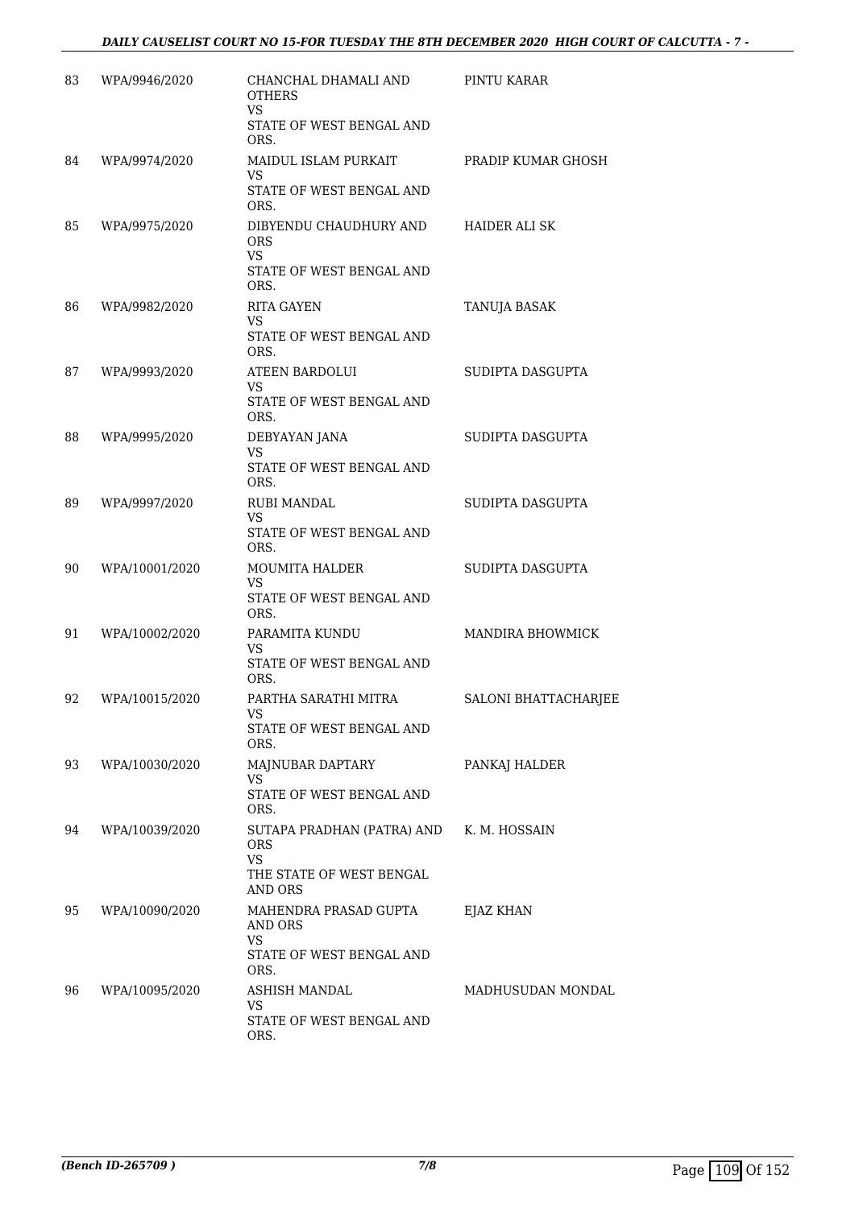| 83 | WPA/9946/2020  | CHANCHAL DHAMALI AND<br>OTHERS<br>VS                                                         | PINTU KARAR          |
|----|----------------|----------------------------------------------------------------------------------------------|----------------------|
|    |                | STATE OF WEST BENGAL AND<br>ORS.                                                             |                      |
| 84 | WPA/9974/2020  | MAIDUL ISLAM PURKAIT<br><b>VS</b><br>STATE OF WEST BENGAL AND<br>ORS.                        | PRADIP KUMAR GHOSH   |
| 85 | WPA/9975/2020  | DIBYENDU CHAUDHURY AND<br>ORS<br><b>VS</b><br>STATE OF WEST BENGAL AND<br>ORS.               | <b>HAIDER ALI SK</b> |
| 86 | WPA/9982/2020  | <b>RITA GAYEN</b><br>VS<br>STATE OF WEST BENGAL AND<br>ORS.                                  | TANUJA BASAK         |
| 87 | WPA/9993/2020  | <b>ATEEN BARDOLUI</b><br>VS<br>STATE OF WEST BENGAL AND<br>ORS.                              | SUDIPTA DASGUPTA     |
| 88 | WPA/9995/2020  | DEBYAYAN JANA<br><b>VS</b><br>STATE OF WEST BENGAL AND<br>ORS.                               | SUDIPTA DASGUPTA     |
| 89 | WPA/9997/2020  | <b>RUBI MANDAL</b><br><b>VS</b><br>STATE OF WEST BENGAL AND<br>ORS.                          | SUDIPTA DASGUPTA     |
| 90 | WPA/10001/2020 | <b>MOUMITA HALDER</b><br>VS<br>STATE OF WEST BENGAL AND<br>ORS.                              | SUDIPTA DASGUPTA     |
| 91 | WPA/10002/2020 | PARAMITA KUNDU<br>VS<br>STATE OF WEST BENGAL AND<br>ORS.                                     | MANDIRA BHOWMICK     |
| 92 | WPA/10015/2020 | PARTHA SARATHI MITRA<br>VS<br>STATE OF WEST BENGAL AND<br>ORS.                               | SALONI BHATTACHARJEE |
| 93 | WPA/10030/2020 | MAJNUBAR DAPTARY<br>VS.<br>STATE OF WEST BENGAL AND<br>ORS.                                  | PANKAJ HALDER        |
| 94 | WPA/10039/2020 | SUTAPA PRADHAN (PATRA) AND<br><b>ORS</b><br><b>VS</b><br>THE STATE OF WEST BENGAL<br>AND ORS | K. M. HOSSAIN        |
| 95 | WPA/10090/2020 | MAHENDRA PRASAD GUPTA<br>AND ORS<br><b>VS</b><br>STATE OF WEST BENGAL AND<br>ORS.            | EJAZ KHAN            |
| 96 | WPA/10095/2020 | <b>ASHISH MANDAL</b><br>VS<br>STATE OF WEST BENGAL AND<br>ORS.                               | MADHUSUDAN MONDAL    |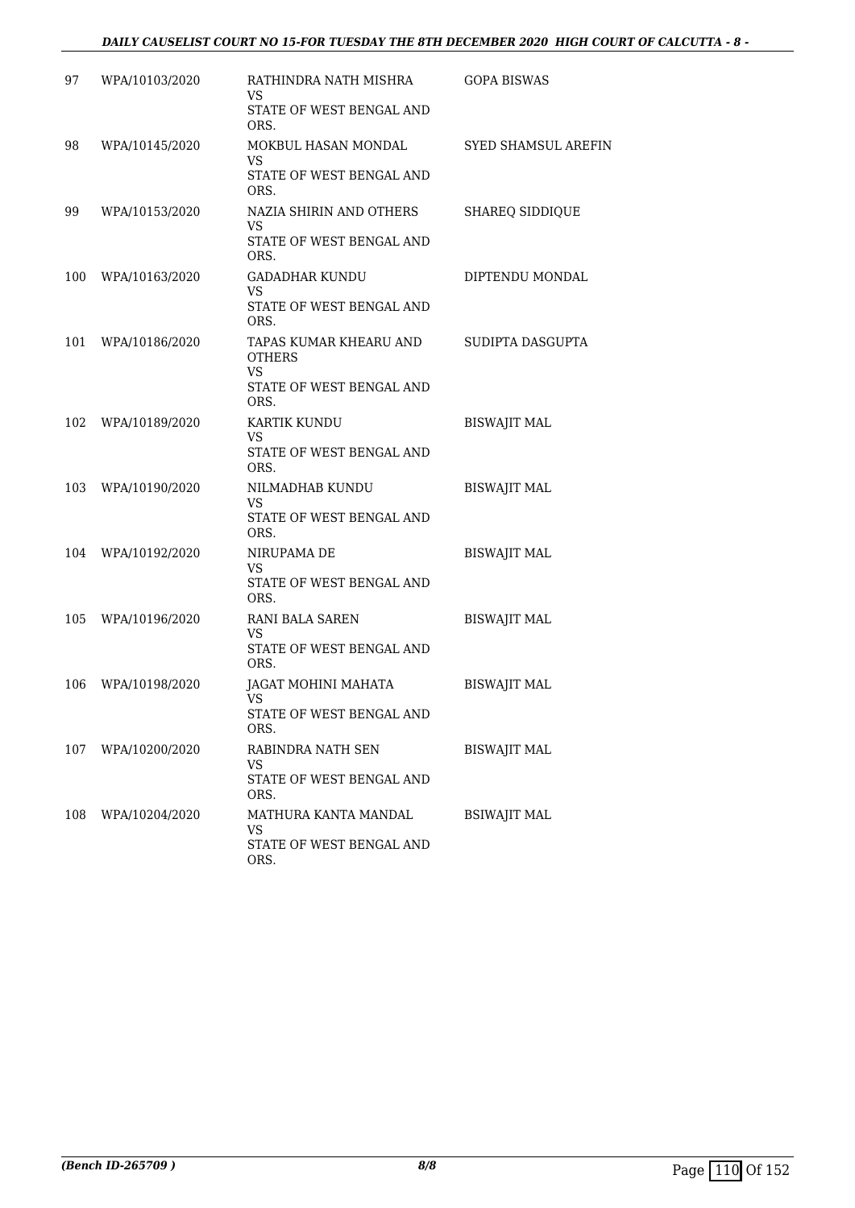#### *DAILY CAUSELIST COURT NO 15-FOR TUESDAY THE 8TH DECEMBER 2020 HIGH COURT OF CALCUTTA - 8 -*

| 97  | WPA/10103/2020 | RATHINDRA NATH MISHRA<br>VS<br>STATE OF WEST BENGAL AND<br>ORS.                   | <b>GOPA BISWAS</b>         |
|-----|----------------|-----------------------------------------------------------------------------------|----------------------------|
| 98  | WPA/10145/2020 | MOKBUL HASAN MONDAL<br>VS<br>STATE OF WEST BENGAL AND<br>ORS.                     | <b>SYED SHAMSUL AREFIN</b> |
| 99  | WPA/10153/2020 | NAZIA SHIRIN AND OTHERS<br>VS<br>STATE OF WEST BENGAL AND<br>ORS.                 | <b>SHAREQ SIDDIQUE</b>     |
| 100 | WPA/10163/2020 | GADADHAR KUNDU<br>VS<br>STATE OF WEST BENGAL AND<br>ORS.                          | DIPTENDU MONDAL            |
| 101 | WPA/10186/2020 | TAPAS KUMAR KHEARU AND<br><b>OTHERS</b><br>VS<br>STATE OF WEST BENGAL AND<br>ORS. | SUDIPTA DASGUPTA           |
| 102 | WPA/10189/2020 | KARTIK KUNDU<br>VS<br>STATE OF WEST BENGAL AND<br>ORS.                            | <b>BISWAJIT MAL</b>        |
| 103 | WPA/10190/2020 | NILMADHAB KUNDU<br>VS<br>STATE OF WEST BENGAL AND<br>ORS.                         | <b>BISWAJIT MAL</b>        |
| 104 | WPA/10192/2020 | NIRUPAMA DE<br>VS<br>STATE OF WEST BENGAL AND<br>ORS.                             | <b>BISWAJIT MAL</b>        |
| 105 | WPA/10196/2020 | RANI BALA SAREN<br>VS<br>STATE OF WEST BENGAL AND<br>ORS.                         | <b>BISWAJIT MAL</b>        |
| 106 | WPA/10198/2020 | JAGAT MOHINI MAHATA<br>VS<br>STATE OF WEST BENGAL AND<br>ORS.                     | <b>BISWAJIT MAL</b>        |
| 107 | WPA/10200/2020 | RABINDRA NATH SEN<br>VS<br>STATE OF WEST BENGAL AND<br>ORS.                       | <b>BISWAJIT MAL</b>        |
| 108 | WPA/10204/2020 | MATHURA KANTA MANDAL<br>VS<br>STATE OF WEST BENGAL AND<br>ORS.                    | <b>BSIWAJIT MAL</b>        |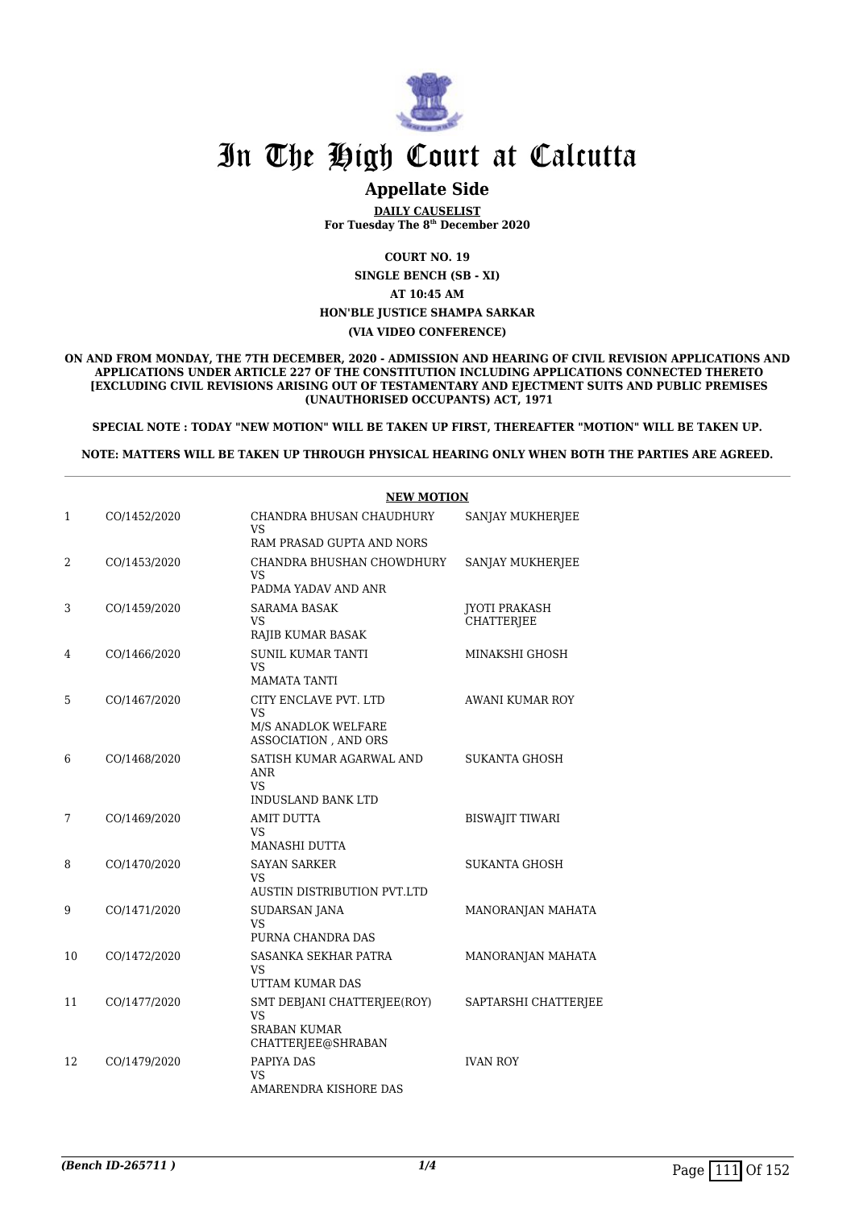

### **Appellate Side**

**DAILY CAUSELIST For Tuesday The 8th December 2020**

**COURT NO. 19**

**SINGLE BENCH (SB - XI) AT 10:45 AM HON'BLE JUSTICE SHAMPA SARKAR**

**(VIA VIDEO CONFERENCE)**

#### **ON AND FROM MONDAY, THE 7TH DECEMBER, 2020 - ADMISSION AND HEARING OF CIVIL REVISION APPLICATIONS AND APPLICATIONS UNDER ARTICLE 227 OF THE CONSTITUTION INCLUDING APPLICATIONS CONNECTED THERETO [EXCLUDING CIVIL REVISIONS ARISING OUT OF TESTAMENTARY AND EJECTMENT SUITS AND PUBLIC PREMISES (UNAUTHORISED OCCUPANTS) ACT, 1971**

**SPECIAL NOTE : TODAY "NEW MOTION" WILL BE TAKEN UP FIRST, THEREAFTER "MOTION" WILL BE TAKEN UP.**

**NOTE: MATTERS WILL BE TAKEN UP THROUGH PHYSICAL HEARING ONLY WHEN BOTH THE PARTIES ARE AGREED.**

|    |              | <b>NEW MOTION</b>                                                              |                                    |  |
|----|--------------|--------------------------------------------------------------------------------|------------------------------------|--|
| 1  | CO/1452/2020 | CHANDRA BHUSAN CHAUDHURY<br><b>VS</b>                                          | SANJAY MUKHERJEE                   |  |
|    |              | RAM PRASAD GUPTA AND NORS                                                      |                                    |  |
| 2  | CO/1453/2020 | CHANDRA BHUSHAN CHOWDHURY<br>VS<br>PADMA YADAV AND ANR                         | SANJAY MUKHERJEE                   |  |
| 3  | CO/1459/2020 | SARAMA BASAK<br>VS<br>RAJIB KUMAR BASAK                                        | JYOTI PRAKASH<br><b>CHATTERJEE</b> |  |
| 4  | CO/1466/2020 | <b>SUNIL KUMAR TANTI</b><br>VS<br><b>MAMATA TANTI</b>                          | MINAKSHI GHOSH                     |  |
| 5  | CO/1467/2020 | CITY ENCLAVE PVT. LTD<br>VS.<br>M/S ANADLOK WELFARE<br>ASSOCIATION, AND ORS    | <b>AWANI KUMAR ROY</b>             |  |
| 6  | CO/1468/2020 | SATISH KUMAR AGARWAL AND<br><b>ANR</b><br>VS.<br>INDUSLAND BANK LTD            | <b>SUKANTA GHOSH</b>               |  |
| 7  | CO/1469/2020 | AMIT DUTTA<br>VS.<br>MANASHI DUTTA                                             | <b>BISWAJIT TIWARI</b>             |  |
| 8  | CO/1470/2020 | <b>SAYAN SARKER</b><br>VS<br>AUSTIN DISTRIBUTION PVT.LTD                       | SUKANTA GHOSH                      |  |
| 9  | CO/1471/2020 | <b>SUDARSAN JANA</b><br>VS.<br>PURNA CHANDRA DAS                               | MANORANJAN MAHATA                  |  |
| 10 | CO/1472/2020 | SASANKA SEKHAR PATRA<br>VS<br>UTTAM KUMAR DAS                                  | MANORANJAN MAHATA                  |  |
| 11 | CO/1477/2020 | SMT DEBJANI CHATTERJEE(ROY)<br>VS<br><b>SRABAN KUMAR</b><br>CHATTERJEE@SHRABAN | SAPTARSHI CHATTERJEE               |  |
| 12 | CO/1479/2020 | PAPIYA DAS<br>VS<br>AMARENDRA KISHORE DAS                                      | <b>IVAN ROY</b>                    |  |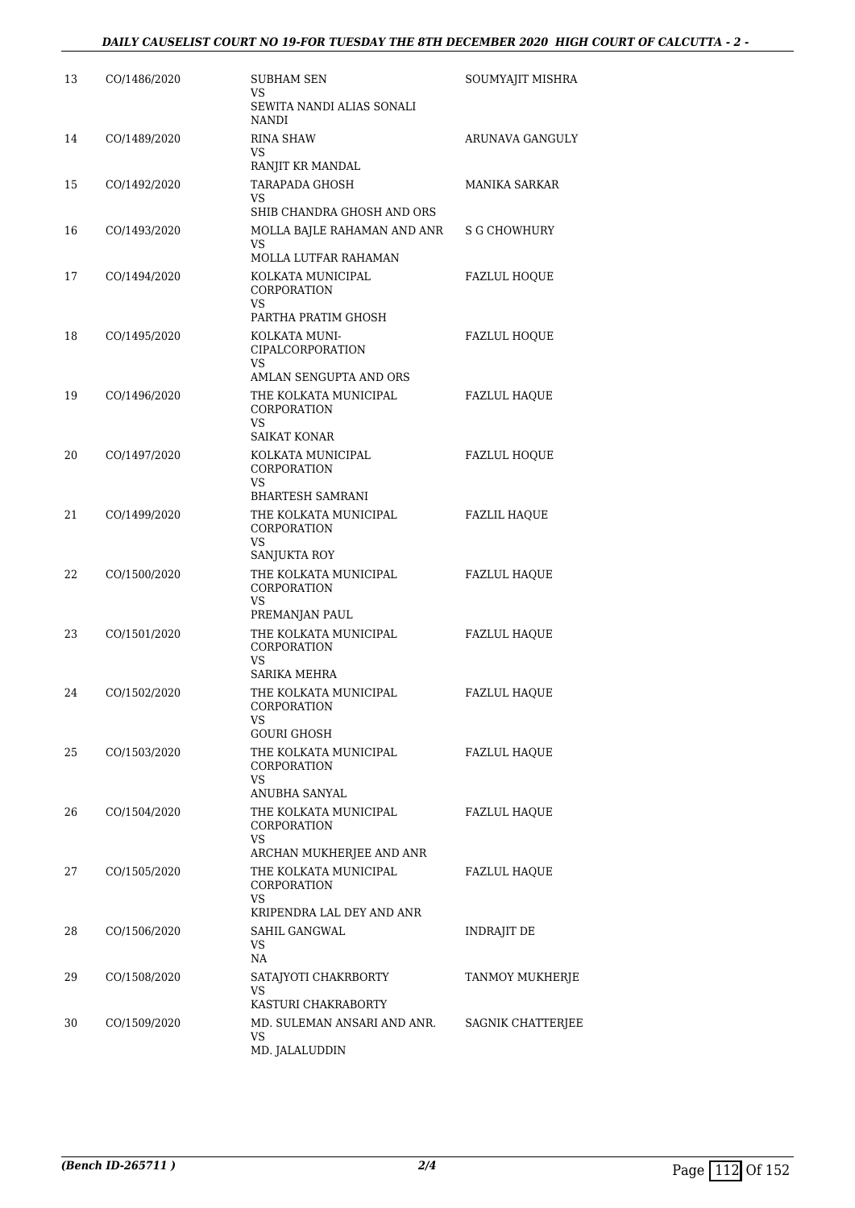| 13 | CO/1486/2020 | <b>SUBHAM SEN</b><br>VS.<br>SEWITA NANDI ALIAS SONALI                   | SOUMYAJIT MISHRA     |
|----|--------------|-------------------------------------------------------------------------|----------------------|
| 14 | CO/1489/2020 | <b>NANDI</b><br>RINA SHAW<br>VS                                         | ARUNAVA GANGULY      |
|    |              | RANJIT KR MANDAL                                                        |                      |
| 15 | CO/1492/2020 | <b>TARAPADA GHOSH</b><br><b>VS</b>                                      | <b>MANIKA SARKAR</b> |
|    |              | SHIB CHANDRA GHOSH AND ORS                                              |                      |
| 16 | CO/1493/2020 | MOLLA BAJLE RAHAMAN AND ANR<br><b>VS</b><br><b>MOLLA LUTFAR RAHAMAN</b> | S G CHOWHURY         |
| 17 | CO/1494/2020 | KOLKATA MUNICIPAL<br>CORPORATION<br><b>VS</b>                           | FAZLUL HOQUE         |
| 18 | CO/1495/2020 | PARTHA PRATIM GHOSH<br>KOLKATA MUNI-<br>CIPALCORPORATION<br>VS          | <b>FAZLUL HOQUE</b>  |
|    |              | AMLAN SENGUPTA AND ORS                                                  |                      |
| 19 | CO/1496/2020 | THE KOLKATA MUNICIPAL<br>CORPORATION<br>VS                              | <b>FAZLUL HAQUE</b>  |
|    |              | <b>SAIKAT KONAR</b>                                                     |                      |
| 20 | CO/1497/2020 | KOLKATA MUNICIPAL<br><b>CORPORATION</b><br><b>VS</b>                    | <b>FAZLUL HOQUE</b>  |
|    |              | <b>BHARTESH SAMRANI</b>                                                 |                      |
| 21 | CO/1499/2020 | THE KOLKATA MUNICIPAL<br>CORPORATION<br><b>VS</b>                       | <b>FAZLIL HAQUE</b>  |
|    |              | SANJUKTA ROY                                                            |                      |
| 22 | CO/1500/2020 | THE KOLKATA MUNICIPAL<br>CORPORATION<br><b>VS</b>                       | <b>FAZLUL HAQUE</b>  |
|    |              | PREMANJAN PAUL                                                          |                      |
| 23 | CO/1501/2020 | THE KOLKATA MUNICIPAL<br><b>CORPORATION</b><br><b>VS</b>                | FAZLUL HAQUE         |
|    |              | SARIKA MEHRA                                                            |                      |
| 24 | CO/1502/2020 | THE KOLKATA MUNICIPAL<br>CORPORATION<br>VS                              | <b>FAZLUL HAQUE</b>  |
|    |              | <b>GOURI GHOSH</b>                                                      |                      |
| 25 | CO/1503/2020 | THE KOLKATA MUNICIPAL<br>CORPORATION<br>VS                              | FAZLUL HAQUE         |
|    |              | ANUBHA SANYAL                                                           |                      |
| 26 | CO/1504/2020 | THE KOLKATA MUNICIPAL<br>CORPORATION<br><b>VS</b>                       | FAZLUL HAQUE         |
|    |              | ARCHAN MUKHERJEE AND ANR                                                |                      |
| 27 | CO/1505/2020 | THE KOLKATA MUNICIPAL<br>CORPORATION<br>VS                              | <b>FAZLUL HAQUE</b>  |
|    |              | KRIPENDRA LAL DEY AND ANR                                               |                      |
| 28 | CO/1506/2020 | SAHIL GANGWAL<br><b>VS</b><br><b>NA</b>                                 | INDRAJIT DE          |
| 29 | CO/1508/2020 | SATAJYOTI CHAKRBORTY<br>VS                                              | TANMOY MUKHERJE      |
|    |              | KASTURI CHAKRABORTY                                                     |                      |
| 30 | CO/1509/2020 | MD. SULEMAN ANSARI AND ANR.<br>VS<br>MD. JALALUDDIN                     | SAGNIK CHATTERJEE    |
|    |              |                                                                         |                      |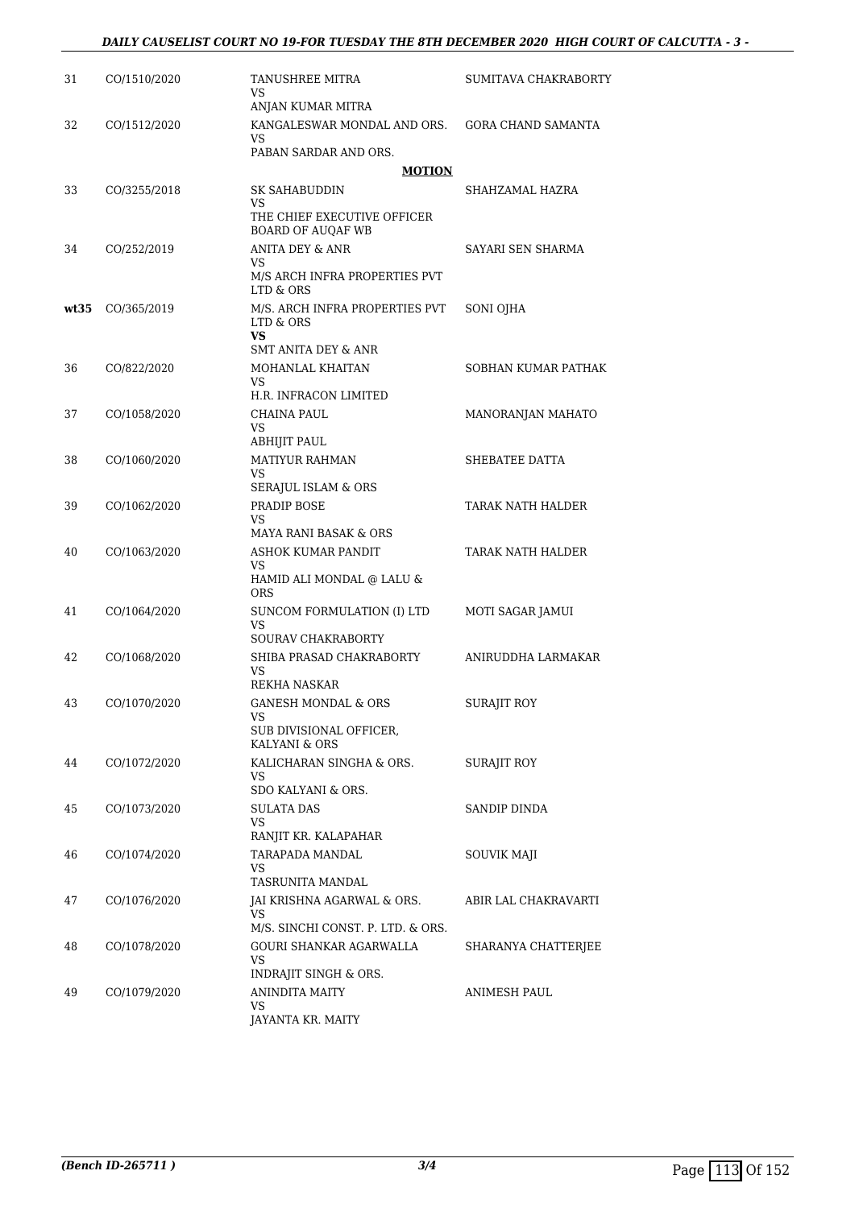| 31   | CO/1510/2020 | TANUSHREE MITRA<br>VS<br>ANJAN KUMAR MITRA                               | SUMITAVA CHAKRABORTY |
|------|--------------|--------------------------------------------------------------------------|----------------------|
| 32   | CO/1512/2020 | KANGALESWAR MONDAL AND ORS.<br>VS<br>PABAN SARDAR AND ORS.               | GORA CHAND SAMANTA   |
|      |              | <b>MOTION</b>                                                            |                      |
| 33   | CO/3255/2018 | SK SAHABUDDIN                                                            | SHAHZAMAL HAZRA      |
|      |              | VS<br>THE CHIEF EXECUTIVE OFFICER<br><b>BOARD OF AUQAF WB</b>            |                      |
| 34   | CO/252/2019  | <b>ANITA DEY &amp; ANR</b>                                               | SAYARI SEN SHARMA    |
|      |              | VS<br>M/S ARCH INFRA PROPERTIES PVT<br>LTD & ORS                         |                      |
| wt35 | CO/365/2019  | M/S. ARCH INFRA PROPERTIES PVT<br>LTD & ORS<br>VS<br>SMT ANITA DEY & ANR | SONI OJHA            |
| 36   | CO/822/2020  | MOHANLAL KHAITAN<br>VS                                                   | SOBHAN KUMAR PATHAK  |
|      |              | H.R. INFRACON LIMITED                                                    |                      |
| 37   | CO/1058/2020 | CHAINA PAUL<br>VS                                                        | MANORANJAN MAHATO    |
|      |              | ABHIJIT PAUL                                                             |                      |
| 38   | CO/1060/2020 | <b>MATIYUR RAHMAN</b><br>VS<br>SERAJUL ISLAM & ORS                       | SHEBATEE DATTA       |
| 39   | CO/1062/2020 | PRADIP BOSE<br>VS<br>MAYA RANI BASAK & ORS                               | TARAK NATH HALDER    |
| 40   | CO/1063/2020 | ASHOK KUMAR PANDIT                                                       | TARAK NATH HALDER    |
|      |              | VS<br>HAMID ALI MONDAL @ LALU &<br><b>ORS</b>                            |                      |
| 41   | CO/1064/2020 | SUNCOM FORMULATION (I) LTD<br>VS                                         | MOTI SAGAR JAMUI     |
|      |              | SOURAV CHAKRABORTY                                                       |                      |
| 42   | CO/1068/2020 | SHIBA PRASAD CHAKRABORTY<br>VS<br>REKHA NASKAR                           | ANIRUDDHA LARMAKAR   |
| 43   | CO/1070/2020 | GANESH MONDAL & ORS<br>VS<br>SUB DIVISIONAL OFFICER,<br>KALYANI & ORS    | <b>SURAJIT ROY</b>   |
| 44   | CO/1072/2020 | KALICHARAN SINGHA & ORS.<br>VS<br>SDO KALYANI & ORS.                     | SURAJIT ROY          |
| 45   | CO/1073/2020 | <b>SULATA DAS</b><br>VS                                                  | SANDIP DINDA         |
| 46   | CO/1074/2020 | RANJIT KR. KALAPAHAR<br>TARAPADA MANDAL                                  | SOUVIK MAJI          |
|      |              | VS                                                                       |                      |
|      |              | TASRUNITA MANDAL                                                         |                      |
| 47   | CO/1076/2020 | JAI KRISHNA AGARWAL & ORS.<br>VS<br>M/S. SINCHI CONST. P. LTD. & ORS.    | ABIR LAL CHAKRAVARTI |
| 48   | CO/1078/2020 | GOURI SHANKAR AGARWALLA<br>VS                                            | SHARANYA CHATTERJEE  |
| 49   | CO/1079/2020 | INDRAJIT SINGH & ORS.<br>ANINDITA MAITY                                  | ANIMESH PAUL         |
|      |              | VS<br>JAYANTA KR. MAITY                                                  |                      |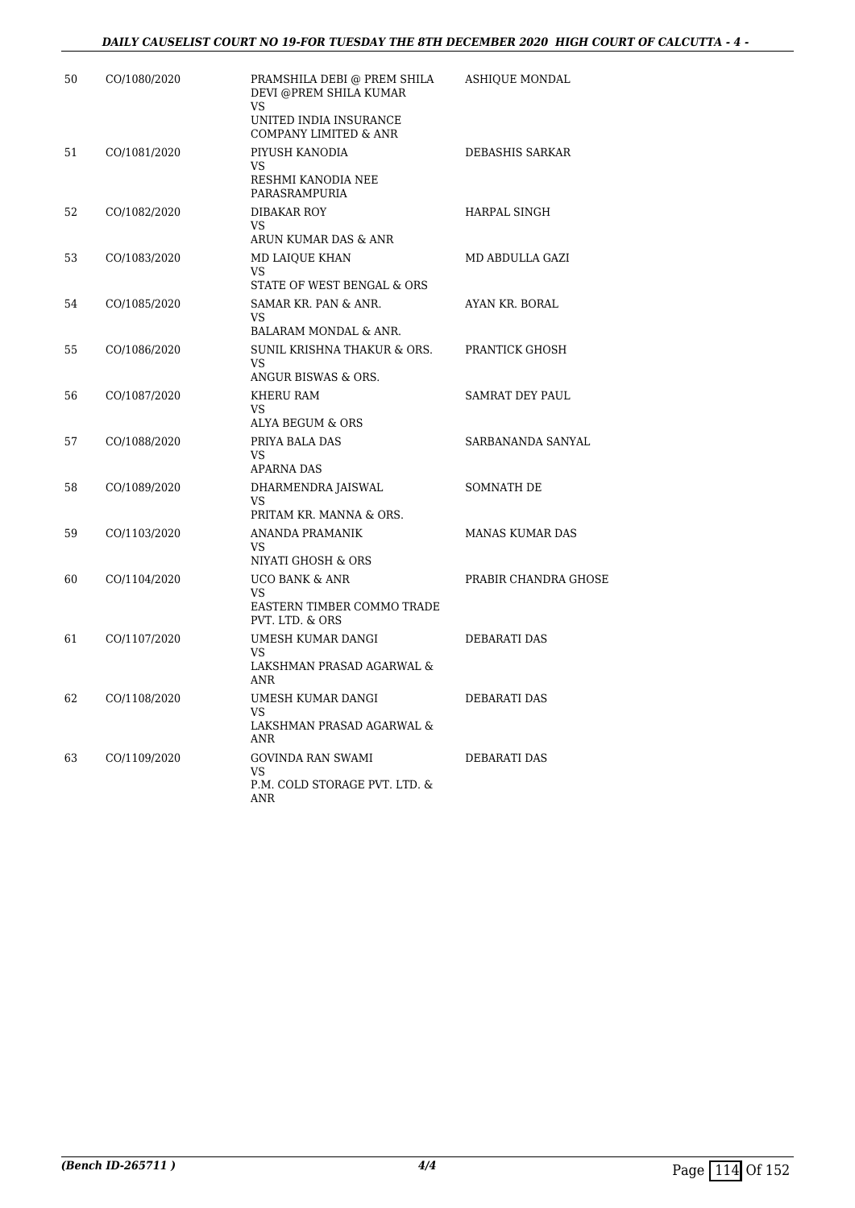| 50 | CO/1080/2020 | PRAMSHILA DEBI @ PREM SHILA<br>DEVI @PREM SHILA KUMAR<br><b>VS</b><br>UNITED INDIA INSURANCE<br>COMPANY LIMITED & ANR | ASHIQUE MONDAL         |
|----|--------------|-----------------------------------------------------------------------------------------------------------------------|------------------------|
| 51 | CO/1081/2020 | PIYUSH KANODIA<br>VS<br>RESHMI KANODIA NEE<br>PARASRAMPURIA                                                           | DEBASHIS SARKAR        |
| 52 | CO/1082/2020 | <b>DIBAKAR ROY</b><br>VS.<br>ARUN KUMAR DAS & ANR                                                                     | HARPAL SINGH           |
| 53 | CO/1083/2020 | MD LAIOUE KHAN<br><b>VS</b><br>STATE OF WEST BENGAL & ORS                                                             | MD ABDULLA GAZI        |
| 54 | CO/1085/2020 | SAMAR KR. PAN & ANR.<br><b>VS</b><br>BALARAM MONDAL & ANR.                                                            | AYAN KR. BORAL         |
| 55 | CO/1086/2020 | SUNIL KRISHNA THAKUR & ORS.<br><b>VS</b><br>ANGUR BISWAS & ORS.                                                       | PRANTICK GHOSH         |
| 56 | CO/1087/2020 | KHERU RAM<br><b>VS</b><br>ALYA BEGUM & ORS                                                                            | SAMRAT DEY PAUL        |
| 57 | CO/1088/2020 | PRIYA BALA DAS<br>VS<br><b>APARNA DAS</b>                                                                             | SARBANANDA SANYAL      |
| 58 | CO/1089/2020 | DHARMENDRA JAISWAL<br>VS.<br>PRITAM KR. MANNA & ORS.                                                                  | <b>SOMNATH DE</b>      |
| 59 | CO/1103/2020 | ANANDA PRAMANIK<br><b>VS</b><br>NIYATI GHOSH & ORS                                                                    | <b>MANAS KUMAR DAS</b> |
| 60 | CO/1104/2020 | <b>UCO BANK &amp; ANR</b><br><b>VS</b><br>EASTERN TIMBER COMMO TRADE<br>PVT. LTD. & ORS                               | PRABIR CHANDRA GHOSE   |
| 61 | CO/1107/2020 | UMESH KUMAR DANGI<br><b>VS</b><br>LAKSHMAN PRASAD AGARWAL &<br>ANR                                                    | DEBARATI DAS           |
| 62 | CO/1108/2020 | UMESH KUMAR DANGI<br>VS<br>LAKSHMAN PRASAD AGARWAL &<br>ANR                                                           | DEBARATI DAS           |
| 63 | CO/1109/2020 | <b>GOVINDA RAN SWAMI</b><br>VS<br>P.M. COLD STORAGE PVT. LTD. &<br>ANR                                                | DEBARATI DAS           |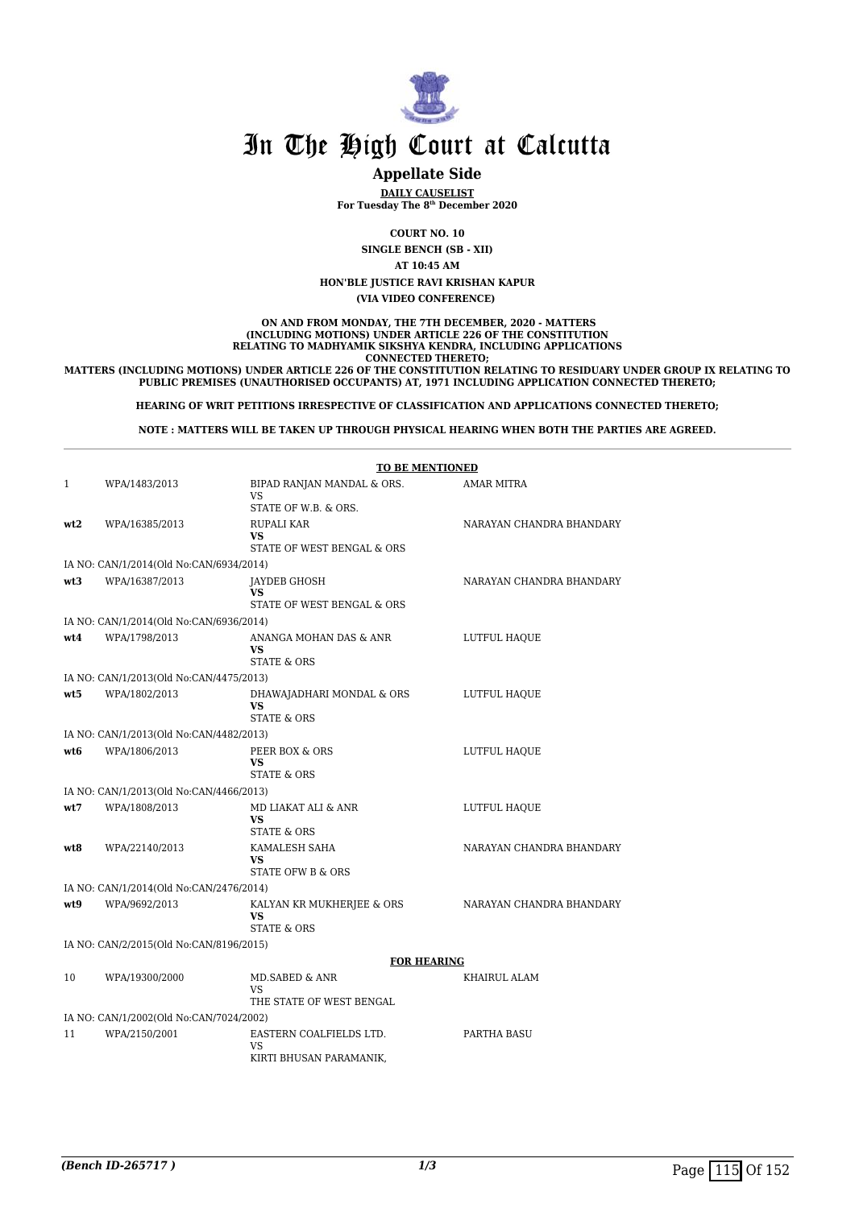

### **Appellate Side**

**DAILY CAUSELIST For Tuesday The 8th December 2020**

**COURT NO. 10**

**SINGLE BENCH (SB - XII)**

**AT 10:45 AM**

**HON'BLE JUSTICE RAVI KRISHAN KAPUR**

**(VIA VIDEO CONFERENCE)** 

 **ON AND FROM MONDAY, THE 7TH DECEMBER, 2020 - MATTERS (INCLUDING MOTIONS) UNDER ARTICLE 226 OF THE CONSTITUTION RELATING TO MADHYAMIK SIKSHYA KENDRA, INCLUDING APPLICATIONS CONNECTED THERETO;**

**MATTERS (INCLUDING MOTIONS) UNDER ARTICLE 226 OF THE CONSTITUTION RELATING TO RESIDUARY UNDER GROUP IX RELATING TO PUBLIC PREMISES (UNAUTHORISED OCCUPANTS) AT, 1971 INCLUDING APPLICATION CONNECTED THERETO;**

**HEARING OF WRIT PETITIONS IRRESPECTIVE OF CLASSIFICATION AND APPLICATIONS CONNECTED THERETO;**

**NOTE : MATTERS WILL BE TAKEN UP THROUGH PHYSICAL HEARING WHEN BOTH THE PARTIES ARE AGREED.**

|                                         |                                         | <b>TO BE MENTIONED</b>                                           |                          |  |  |
|-----------------------------------------|-----------------------------------------|------------------------------------------------------------------|--------------------------|--|--|
| 1                                       | WPA/1483/2013                           | BIPAD RANJAN MANDAL & ORS.<br>VS<br>STATE OF W.B. & ORS.         | AMAR MITRA               |  |  |
| wt2                                     | WPA/16385/2013                          | RUPALI KAR<br>VS<br>STATE OF WEST BENGAL & ORS                   | NARAYAN CHANDRA BHANDARY |  |  |
|                                         | IA NO: CAN/1/2014(Old No:CAN/6934/2014) |                                                                  |                          |  |  |
| wt3                                     | WPA/16387/2013                          | JAYDEB GHOSH<br><b>VS</b><br>STATE OF WEST BENGAL & ORS          | NARAYAN CHANDRA BHANDARY |  |  |
|                                         | IA NO: CAN/1/2014(Old No:CAN/6936/2014) |                                                                  |                          |  |  |
| wt4                                     | WPA/1798/2013                           | ANANGA MOHAN DAS & ANR<br>VS<br><b>STATE &amp; ORS</b>           | LUTFUL HAQUE             |  |  |
|                                         | IA NO: CAN/1/2013(Old No:CAN/4475/2013) |                                                                  |                          |  |  |
| wt5                                     | WPA/1802/2013                           | DHAWAJADHARI MONDAL & ORS<br><b>VS</b><br><b>STATE &amp; ORS</b> | LUTFUL HAQUE             |  |  |
|                                         | IA NO: CAN/1/2013(Old No:CAN/4482/2013) |                                                                  |                          |  |  |
| wt6                                     | WPA/1806/2013                           | PEER BOX & ORS<br><b>VS</b><br><b>STATE &amp; ORS</b>            | LUTFUL HAQUE             |  |  |
|                                         | IA NO: CAN/1/2013(Old No:CAN/4466/2013) |                                                                  |                          |  |  |
| wt7                                     | WPA/1808/2013                           | MD LIAKAT ALI & ANR<br>VS.<br><b>STATE &amp; ORS</b>             | LUTFUL HAQUE             |  |  |
| wt8                                     | WPA/22140/2013                          | KAMALESH SAHA<br><b>VS</b><br><b>STATE OFW B &amp; ORS</b>       | NARAYAN CHANDRA BHANDARY |  |  |
|                                         | IA NO: CAN/1/2014(Old No:CAN/2476/2014) |                                                                  |                          |  |  |
| wt9                                     | WPA/9692/2013                           | KALYAN KR MUKHERJEE & ORS<br><b>VS</b><br><b>STATE &amp; ORS</b> | NARAYAN CHANDRA BHANDARY |  |  |
| IA NO: CAN/2/2015(Old No:CAN/8196/2015) |                                         |                                                                  |                          |  |  |
|                                         |                                         | <b>FOR HEARING</b>                                               |                          |  |  |
| 10                                      | WPA/19300/2000                          | <b>MD.SABED &amp; ANR</b><br>VS<br>THE STATE OF WEST BENGAL      | KHAIRUL ALAM             |  |  |
|                                         | IA NO: CAN/1/2002(Old No:CAN/7024/2002) |                                                                  |                          |  |  |
| 11                                      | WPA/2150/2001                           | EASTERN COALFIELDS LTD.<br>VS<br>KIRTI BHUSAN PARAMANIK,         | <b>PARTHA BASU</b>       |  |  |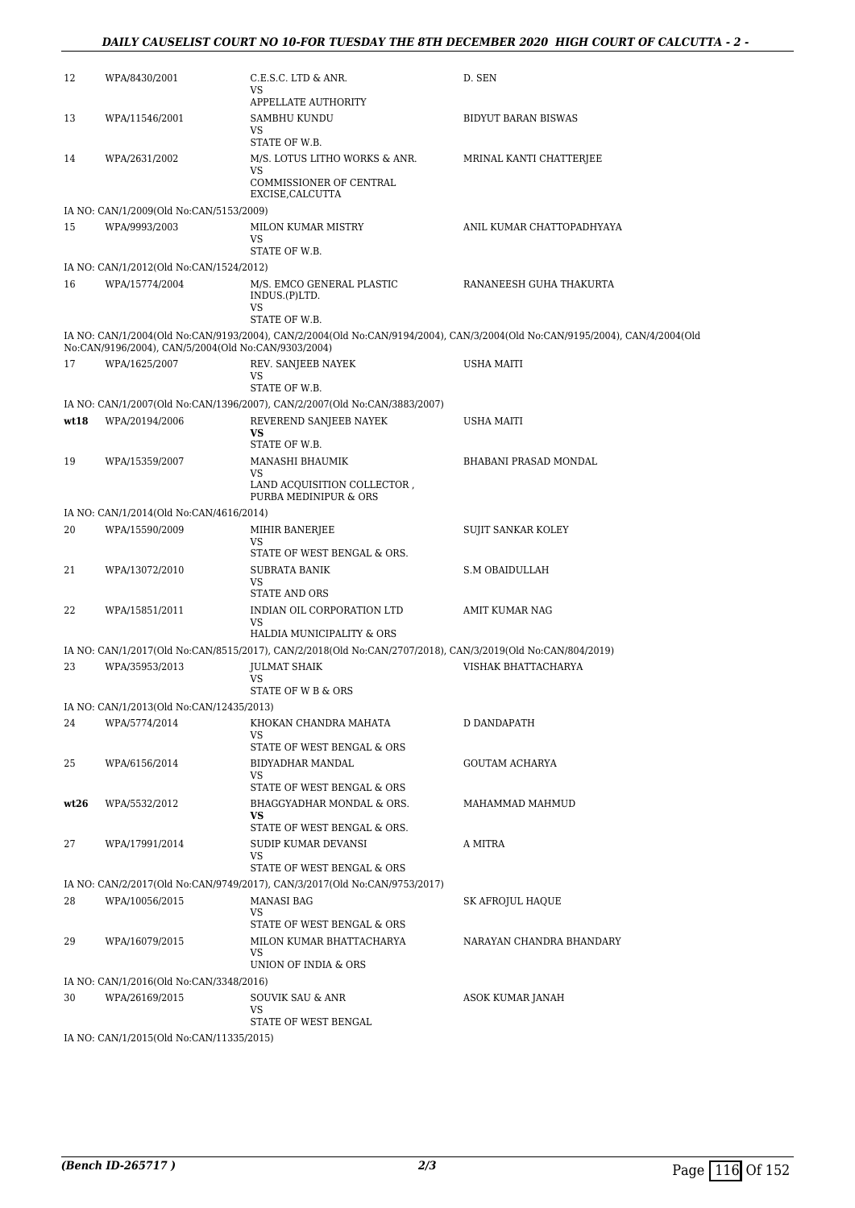#### *DAILY CAUSELIST COURT NO 10-FOR TUESDAY THE 8TH DECEMBER 2020 HIGH COURT OF CALCUTTA - 2 -*

| 12   | WPA/8430/2001                                             | C.E.S.C. LTD & ANR.<br>VS                                                                                  | D. SEN                                                                                                                      |
|------|-----------------------------------------------------------|------------------------------------------------------------------------------------------------------------|-----------------------------------------------------------------------------------------------------------------------------|
| 13   | WPA/11546/2001                                            | APPELLATE AUTHORITY<br>SAMBHU KUNDU                                                                        | <b>BIDYUT BARAN BISWAS</b>                                                                                                  |
|      |                                                           | VS.<br>STATE OF W.B.                                                                                       |                                                                                                                             |
| 14   | WPA/2631/2002                                             | M/S. LOTUS LITHO WORKS & ANR.<br>VS                                                                        | MRINAL KANTI CHATTERJEE                                                                                                     |
|      |                                                           | COMMISSIONER OF CENTRAL<br>EXCISE, CALCUTTA                                                                |                                                                                                                             |
|      | IA NO: CAN/1/2009(Old No:CAN/5153/2009)                   |                                                                                                            |                                                                                                                             |
| 15   | WPA/9993/2003                                             | MILON KUMAR MISTRY<br><b>VS</b>                                                                            | ANIL KUMAR CHATTOPADHYAYA                                                                                                   |
|      |                                                           | STATE OF W.B.                                                                                              |                                                                                                                             |
| 16   | IA NO: CAN/1/2012(Old No:CAN/1524/2012)<br>WPA/15774/2004 | M/S. EMCO GENERAL PLASTIC                                                                                  | RANANEESH GUHA THAKURTA                                                                                                     |
|      |                                                           | INDUS.(P)LTD.<br>VS                                                                                        |                                                                                                                             |
|      |                                                           | STATE OF W.B.                                                                                              |                                                                                                                             |
|      | No:CAN/9196/2004), CAN/5/2004(Old No:CAN/9303/2004)       |                                                                                                            | IA NO: CAN/1/2004(Old No:CAN/9193/2004), CAN/2/2004(Old No:CAN/9194/2004), CAN/3/2004(Old No:CAN/9195/2004), CAN/4/2004(Old |
| 17   | WPA/1625/2007                                             | REV. SANJEEB NAYEK<br>VS                                                                                   | USHA MAITI                                                                                                                  |
|      |                                                           | STATE OF W.B.                                                                                              |                                                                                                                             |
|      |                                                           | IA NO: CAN/1/2007(Old No:CAN/1396/2007), CAN/2/2007(Old No:CAN/3883/2007)                                  |                                                                                                                             |
| wt18 | WPA/20194/2006                                            | REVEREND SANJEEB NAYEK<br><b>VS</b>                                                                        | USHA MAITI                                                                                                                  |
|      |                                                           | STATE OF W.B.                                                                                              |                                                                                                                             |
| 19   | WPA/15359/2007                                            | MANASHI BHAUMIK<br>VS                                                                                      | BHABANI PRASAD MONDAL                                                                                                       |
|      |                                                           | LAND ACQUISITION COLLECTOR,<br>PURBA MEDINIPUR & ORS                                                       |                                                                                                                             |
|      | IA NO: CAN/1/2014(Old No:CAN/4616/2014)                   |                                                                                                            |                                                                                                                             |
| 20   | WPA/15590/2009                                            | MIHIR BANERJEE<br>VS                                                                                       | SUJIT SANKAR KOLEY                                                                                                          |
| 21   | WPA/13072/2010                                            | STATE OF WEST BENGAL & ORS.<br><b>SUBRATA BANIK</b>                                                        | <b>S.M OBAIDULLAH</b>                                                                                                       |
|      |                                                           | VS<br><b>STATE AND ORS</b>                                                                                 |                                                                                                                             |
| 22   | WPA/15851/2011                                            | INDIAN OIL CORPORATION LTD<br><b>VS</b>                                                                    | AMIT KUMAR NAG                                                                                                              |
|      |                                                           | HALDIA MUNICIPALITY & ORS                                                                                  |                                                                                                                             |
|      |                                                           | IA NO: CAN/1/2017(Old No:CAN/8515/2017), CAN/2/2018(Old No:CAN/2707/2018), CAN/3/2019(Old No:CAN/804/2019) |                                                                                                                             |
| 23   | WPA/35953/2013                                            | <b>JULMAT SHAIK</b><br>VS                                                                                  | VISHAK BHATTACHARYA                                                                                                         |
|      |                                                           | STATE OF W B & ORS                                                                                         |                                                                                                                             |
|      | IA NO: CAN/1/2013(Old No:CAN/12435/2013)                  |                                                                                                            |                                                                                                                             |
| 24   | WPA/5774/2014                                             | KHOKAN CHANDRA MAHATA<br>VS                                                                                | D DANDAPATH                                                                                                                 |
|      |                                                           | STATE OF WEST BENGAL & ORS                                                                                 |                                                                                                                             |
| 25   | WPA/6156/2014                                             | BIDYADHAR MANDAL                                                                                           | <b>GOUTAM ACHARYA</b>                                                                                                       |
|      |                                                           | VS.<br>STATE OF WEST BENGAL & ORS                                                                          |                                                                                                                             |
| wt26 | WPA/5532/2012                                             | BHAGGYADHAR MONDAL & ORS.<br>VS                                                                            | MAHAMMAD MAHMUD                                                                                                             |
|      |                                                           | STATE OF WEST BENGAL & ORS.                                                                                |                                                                                                                             |
| 27   | WPA/17991/2014                                            | SUDIP KUMAR DEVANSI<br>VS                                                                                  | A MITRA                                                                                                                     |
|      |                                                           | STATE OF WEST BENGAL & ORS                                                                                 |                                                                                                                             |
|      |                                                           | IA NO: CAN/2/2017(Old No:CAN/9749/2017), CAN/3/2017(Old No:CAN/9753/2017)                                  |                                                                                                                             |
| 28   | WPA/10056/2015                                            | <b>MANASI BAG</b><br>VS.                                                                                   | SK AFROJUL HAQUE                                                                                                            |
| 29   | WPA/16079/2015                                            | STATE OF WEST BENGAL & ORS<br>MILON KUMAR BHATTACHARYA                                                     | NARAYAN CHANDRA BHANDARY                                                                                                    |
|      |                                                           | VS<br>UNION OF INDIA & ORS                                                                                 |                                                                                                                             |
|      | IA NO: CAN/1/2016(Old No:CAN/3348/2016)                   |                                                                                                            |                                                                                                                             |
| 30   | WPA/26169/2015                                            | SOUVIK SAU & ANR<br>VS                                                                                     | ASOK KUMAR JANAH                                                                                                            |
|      |                                                           | STATE OF WEST BENGAL                                                                                       |                                                                                                                             |
|      | IA NO: CAN/1/2015(Old No:CAN/11335/2015)                  |                                                                                                            |                                                                                                                             |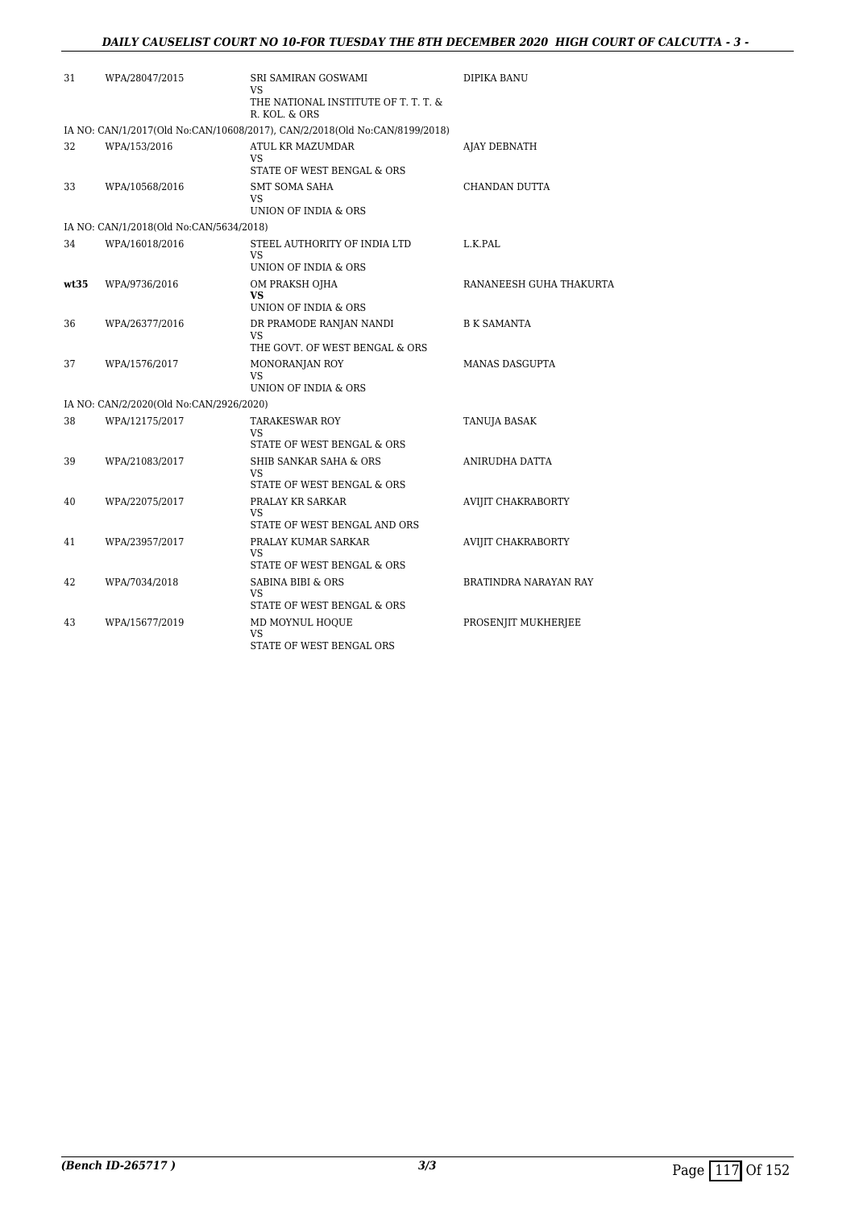| 31   | WPA/28047/2015                          | SRI SAMIRAN GOSWAMI<br>VS<br>THE NATIONAL INSTITUTE OF T. T. T. &<br>R. KOL. & ORS | DIPIKA BANU               |
|------|-----------------------------------------|------------------------------------------------------------------------------------|---------------------------|
|      |                                         | IA NO: CAN/1/2017(Old No:CAN/10608/2017), CAN/2/2018(Old No:CAN/8199/2018)         |                           |
| 32   | WPA/153/2016                            | ATUL KR MAZUMDAR<br>VS<br>STATE OF WEST BENGAL & ORS                               | AJAY DEBNATH              |
| 33   | WPA/10568/2016                          | <b>SMT SOMA SAHA</b><br>VS<br>UNION OF INDIA & ORS                                 | CHANDAN DUTTA             |
|      | IA NO: CAN/1/2018(Old No:CAN/5634/2018) |                                                                                    |                           |
| 34   | WPA/16018/2016                          | STEEL AUTHORITY OF INDIA LTD<br>VS<br>UNION OF INDIA & ORS                         | L.K.PAL                   |
| wt35 | WPA/9736/2016                           | OM PRAKSH OJHA<br>VS<br>UNION OF INDIA & ORS                                       | RANANEESH GUHA THAKURTA   |
| 36   | WPA/26377/2016                          | DR PRAMODE RANJAN NANDI<br>VS<br>THE GOVT. OF WEST BENGAL & ORS                    | <b>B K SAMANTA</b>        |
| 37   | WPA/1576/2017                           | MONORANJAN ROY<br>VS<br>UNION OF INDIA & ORS                                       | MANAS DASGUPTA            |
|      | IA NO: CAN/2/2020(Old No:CAN/2926/2020) |                                                                                    |                           |
| 38   | WPA/12175/2017                          | <b>TARAKESWAR ROY</b><br>VS<br>STATE OF WEST BENGAL & ORS                          | TANUJA BASAK              |
| 39   | WPA/21083/2017                          | SHIB SANKAR SAHA & ORS<br>VS<br>STATE OF WEST BENGAL & ORS                         | ANIRUDHA DATTA            |
| 40   | WPA/22075/2017                          | PRALAY KR SARKAR<br>VS<br>STATE OF WEST BENGAL AND ORS                             | <b>AVIJIT CHAKRABORTY</b> |
| 41   | WPA/23957/2017                          | PRALAY KUMAR SARKAR<br>VS<br>STATE OF WEST BENGAL & ORS                            | <b>AVIJIT CHAKRABORTY</b> |
| 42   | WPA/7034/2018                           | <b>SABINA BIBI &amp; ORS</b><br>VS<br>STATE OF WEST BENGAL & ORS                   | BRATINDRA NARAYAN RAY     |
| 43   | WPA/15677/2019                          | MD MOYNUL HOQUE<br>VS<br>STATE OF WEST BENGAL ORS                                  | PROSENJIT MUKHERJEE       |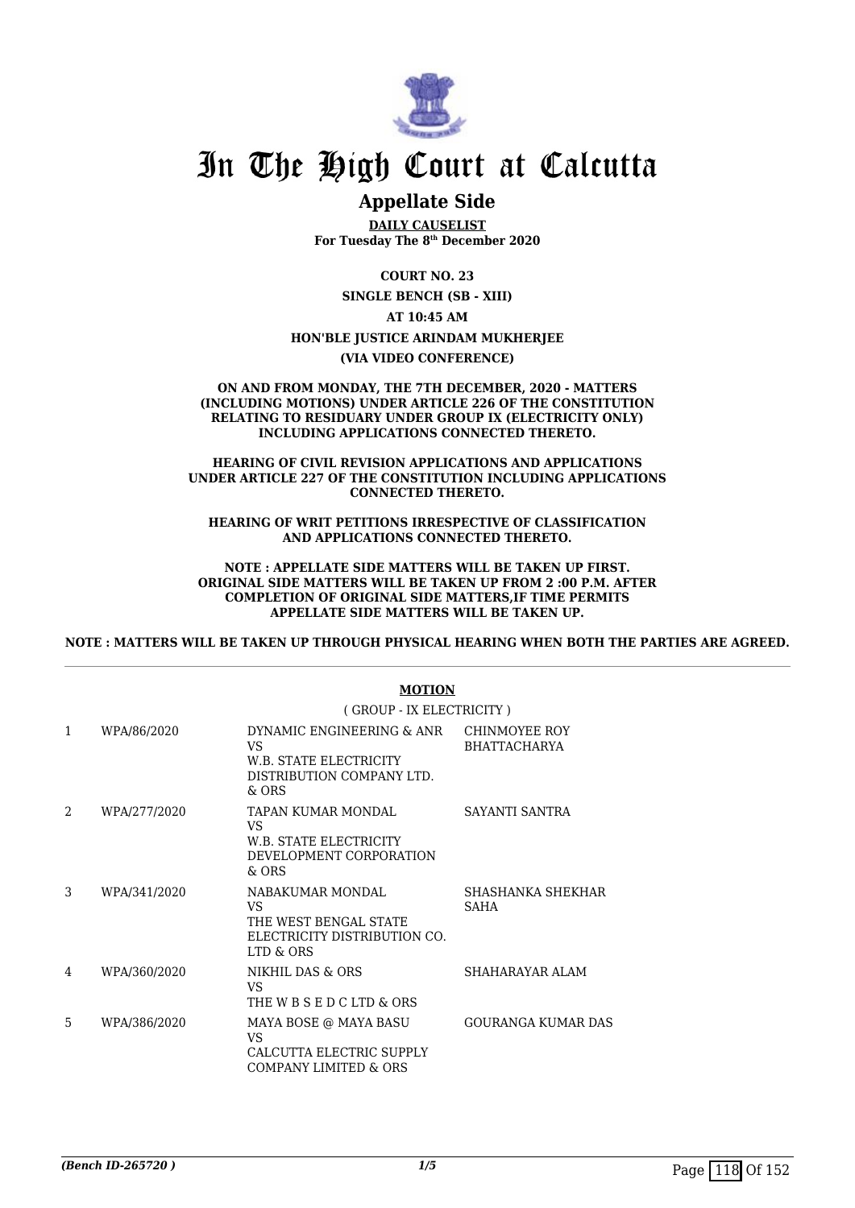

### **Appellate Side**

**DAILY CAUSELIST For Tuesday The 8th December 2020**

**COURT NO. 23**

**SINGLE BENCH (SB - XIII)**

**AT 10:45 AM**

**HON'BLE JUSTICE ARINDAM MUKHERJEE**

**(VIA VIDEO CONFERENCE)**

#### **ON AND FROM MONDAY, THE 7TH DECEMBER, 2020 - MATTERS (INCLUDING MOTIONS) UNDER ARTICLE 226 OF THE CONSTITUTION RELATING TO RESIDUARY UNDER GROUP IX (ELECTRICITY ONLY) INCLUDING APPLICATIONS CONNECTED THERETO.**

#### **HEARING OF CIVIL REVISION APPLICATIONS AND APPLICATIONS UNDER ARTICLE 227 OF THE CONSTITUTION INCLUDING APPLICATIONS CONNECTED THERETO.**

**HEARING OF WRIT PETITIONS IRRESPECTIVE OF CLASSIFICATION AND APPLICATIONS CONNECTED THERETO.**

#### **NOTE : APPELLATE SIDE MATTERS WILL BE TAKEN UP FIRST. ORIGINAL SIDE MATTERS WILL BE TAKEN UP FROM 2 :00 P.M. AFTER COMPLETION OF ORIGINAL SIDE MATTERS,IF TIME PERMITS APPELLATE SIDE MATTERS WILL BE TAKEN UP.**

**NOTE : MATTERS WILL BE TAKEN UP THROUGH PHYSICAL HEARING WHEN BOTH THE PARTIES ARE AGREED.**

|   |              | <b>MOTION</b><br>(GROUP - IX ELECTRICITY)                                                          |                                      |  |
|---|--------------|----------------------------------------------------------------------------------------------------|--------------------------------------|--|
|   |              |                                                                                                    |                                      |  |
| 1 | WPA/86/2020  | DYNAMIC ENGINEERING & ANR<br>VS.<br>W.B. STATE ELECTRICITY<br>DISTRIBUTION COMPANY LTD.<br>$&$ ORS | CHINMOYEE ROY<br><b>BHATTACHARYA</b> |  |
| 2 | WPA/277/2020 | TAPAN KUMAR MONDAL<br>VS<br>W.B. STATE ELECTRICITY<br>DEVELOPMENT CORPORATION<br>& ORS             | SAYANTI SANTRA                       |  |
| 3 | WPA/341/2020 | NABAKUMAR MONDAL<br>VS.<br>THE WEST BENGAL STATE<br>ELECTRICITY DISTRIBUTION CO.<br>LTD & ORS      | SHASHANKA SHEKHAR<br><b>SAHA</b>     |  |
| 4 | WPA/360/2020 | NIKHIL DAS & ORS<br>VS<br>THE W B S E D C LTD & ORS                                                | SHAHARAYAR ALAM                      |  |
| 5 | WPA/386/2020 | MAYA BOSE @ MAYA BASU<br>VS.<br>CALCUTTA ELECTRIC SUPPLY<br>COMPANY LIMITED & ORS                  | <b>GOURANGA KUMAR DAS</b>            |  |

#### **MOTION**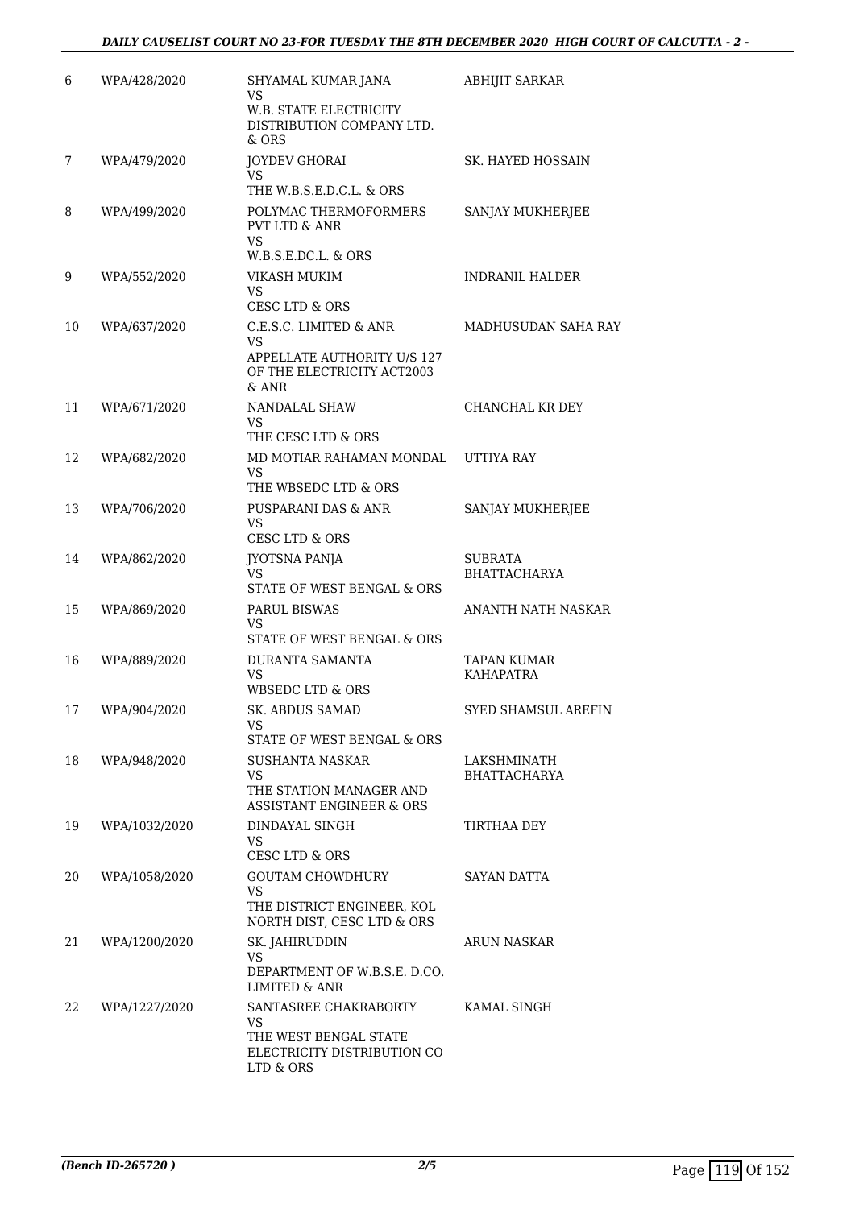| 6  | WPA/428/2020  | SHYAMAL KUMAR JANA<br>VS<br>W.B. STATE ELECTRICITY<br>DISTRIBUTION COMPANY LTD.<br>& ORS                | <b>ABHIJIT SARKAR</b>                 |
|----|---------------|---------------------------------------------------------------------------------------------------------|---------------------------------------|
| 7  | WPA/479/2020  | JOYDEV GHORAI<br>VS<br>THE W.B.S.E.D.C.L. & ORS                                                         | SK. HAYED HOSSAIN                     |
| 8  | WPA/499/2020  | POLYMAC THERMOFORMERS<br><b>PVT LTD &amp; ANR</b><br>VS<br>W.B.S.E.DC.L. & ORS                          | SANJAY MUKHERJEE                      |
| 9  | WPA/552/2020  | VIKASH MUKIM<br>VS<br>CESC LTD & ORS                                                                    | <b>INDRANIL HALDER</b>                |
| 10 | WPA/637/2020  | C.E.S.C. LIMITED & ANR<br>VS<br>APPELLATE AUTHORITY U/S 127<br>OF THE ELECTRICITY ACT2003<br>$&$ ANR    | MADHUSUDAN SAHA RAY                   |
| 11 | WPA/671/2020  | <b>NANDALAL SHAW</b><br>VS<br>THE CESC LTD & ORS                                                        | CHANCHAL KR DEY                       |
| 12 | WPA/682/2020  | MD MOTIAR RAHAMAN MONDAL<br>VS.<br>THE WBSEDC LTD & ORS                                                 | UTTIYA RAY                            |
| 13 | WPA/706/2020  | PUSPARANI DAS & ANR<br>VS<br>CESC LTD & ORS                                                             | SANJAY MUKHERJEE                      |
| 14 | WPA/862/2020  | JYOTSNA PANJA<br><b>VS</b><br>STATE OF WEST BENGAL & ORS                                                | <b>SUBRATA</b><br><b>BHATTACHARYA</b> |
| 15 | WPA/869/2020  | PARUL BISWAS<br>VS<br>STATE OF WEST BENGAL & ORS                                                        | ANANTH NATH NASKAR                    |
| 16 | WPA/889/2020  | <b>DURANTA SAMANTA</b><br>VS<br>WBSEDC LTD & ORS                                                        | <b>TAPAN KUMAR</b><br>KAHAPATRA       |
| 17 | WPA/904/2020  | <b>SK. ABDUS SAMAD</b><br>VS<br>STATE OF WEST BENGAL & ORS                                              | SYED SHAMSUL AREFIN                   |
| 18 | WPA/948/2020  | SUSHANTA NASKAR<br><b>VS</b><br>THE STATION MANAGER AND<br>ASSISTANT ENGINEER & ORS                     | LAKSHMINATH<br><b>BHATTACHARYA</b>    |
| 19 | WPA/1032/2020 | DINDAYAL SINGH<br>VS.<br><b>CESC LTD &amp; ORS</b>                                                      | TIRTHAA DEY                           |
| 20 | WPA/1058/2020 | <b>GOUTAM CHOWDHURY</b><br><b>VS</b><br>THE DISTRICT ENGINEER, KOL<br>NORTH DIST, CESC LTD & ORS        | <b>SAYAN DATTA</b>                    |
| 21 | WPA/1200/2020 | SK. JAHIRUDDIN<br>VS<br>DEPARTMENT OF W.B.S.E. D.CO.<br><b>LIMITED &amp; ANR</b>                        | <b>ARUN NASKAR</b>                    |
| 22 | WPA/1227/2020 | SANTASREE CHAKRABORTY<br><b>VS</b><br>THE WEST BENGAL STATE<br>ELECTRICITY DISTRIBUTION CO<br>LTD & ORS | KAMAL SINGH                           |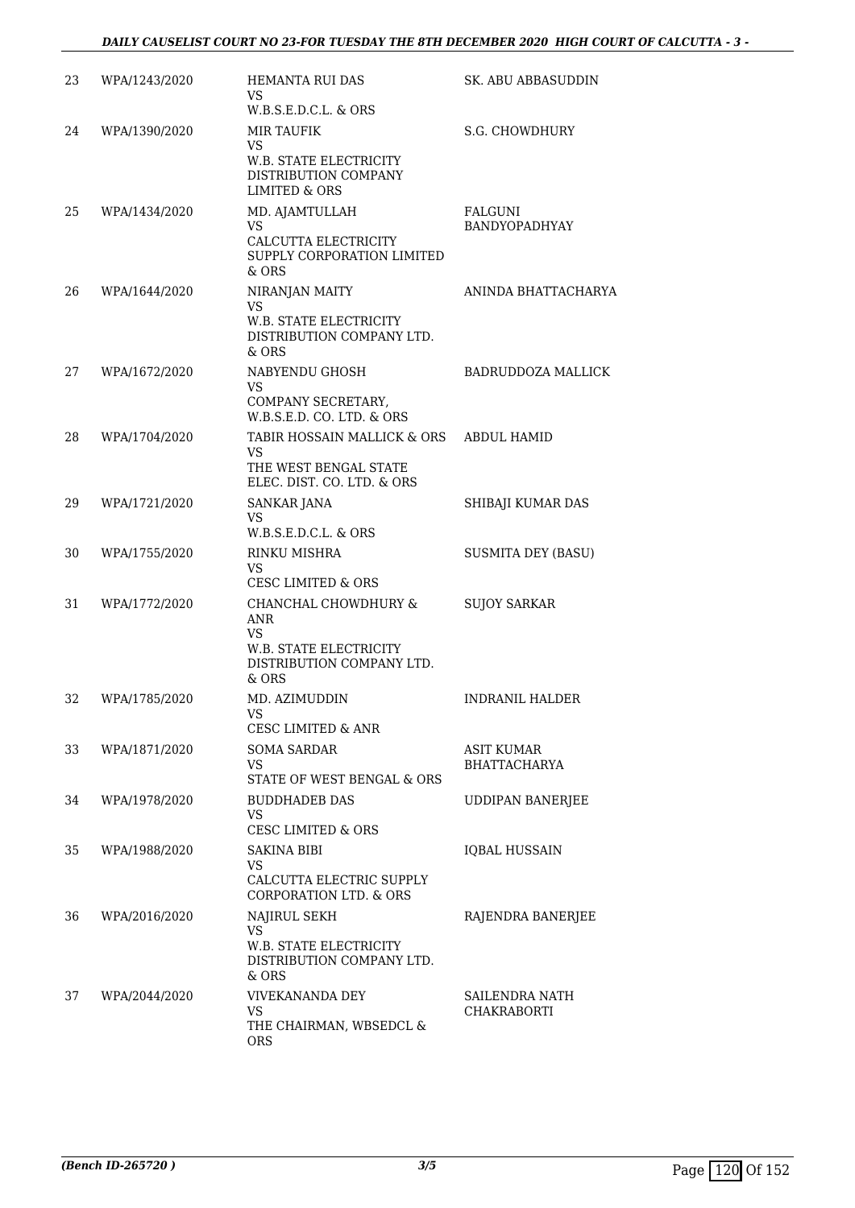| 23 | WPA/1243/2020 | HEMANTA RUI DAS<br>VS<br>W.B.S.E.D.C.L. & ORS                                                                | SK. ABU ABBASUDDIN                |
|----|---------------|--------------------------------------------------------------------------------------------------------------|-----------------------------------|
| 24 | WPA/1390/2020 | <b>MIR TAUFIK</b><br>VS<br><b>W.B. STATE ELECTRICITY</b><br>DISTRIBUTION COMPANY<br><b>LIMITED &amp; ORS</b> | S.G. CHOWDHURY                    |
| 25 | WPA/1434/2020 | MD. AJAMTULLAH<br><b>VS</b><br>CALCUTTA ELECTRICITY<br>SUPPLY CORPORATION LIMITED<br>& ORS                   | <b>FALGUNI</b><br>BANDYOPADHYAY   |
| 26 | WPA/1644/2020 | NIRANJAN MAITY<br>VS<br>W.B. STATE ELECTRICITY<br>DISTRIBUTION COMPANY LTD.<br>$&$ ORS                       | ANINDA BHATTACHARYA               |
| 27 | WPA/1672/2020 | NABYENDU GHOSH<br><b>VS</b><br>COMPANY SECRETARY,<br>W.B.S.E.D. CO. LTD. & ORS                               | <b>BADRUDDOZA MALLICK</b>         |
| 28 | WPA/1704/2020 | TABIR HOSSAIN MALLICK & ORS<br><b>VS</b><br>THE WEST BENGAL STATE<br>ELEC. DIST. CO. LTD. & ORS              | <b>ABDUL HAMID</b>                |
| 29 | WPA/1721/2020 | SANKAR JANA<br>VS<br>$W.B.S.E.D.C.L. \& ORS$                                                                 | SHIBAJI KUMAR DAS                 |
| 30 | WPA/1755/2020 | RINKU MISHRA<br><b>VS</b><br><b>CESC LIMITED &amp; ORS</b>                                                   | <b>SUSMITA DEY (BASU)</b>         |
| 31 | WPA/1772/2020 | CHANCHAL CHOWDHURY &<br>ANR<br><b>VS</b><br>W.B. STATE ELECTRICITY<br>DISTRIBUTION COMPANY LTD.<br>& ORS     | <b>SUJOY SARKAR</b>               |
| 32 | WPA/1785/2020 | MD. AZIMUDDIN<br>vs<br>CESC LIMITED & ANR                                                                    | <b>INDRANIL HALDER</b>            |
| 33 | WPA/1871/2020 | <b>SOMA SARDAR</b><br><b>VS</b><br>STATE OF WEST BENGAL & ORS                                                | ASIT KUMAR<br><b>BHATTACHARYA</b> |
| 34 | WPA/1978/2020 | <b>BUDDHADEB DAS</b><br>VS<br><b>CESC LIMITED &amp; ORS</b>                                                  | <b>UDDIPAN BANERJEE</b>           |
| 35 | WPA/1988/2020 | SAKINA BIBI<br>VS<br>CALCUTTA ELECTRIC SUPPLY<br><b>CORPORATION LTD. &amp; ORS</b>                           | <b>IOBAL HUSSAIN</b>              |
| 36 | WPA/2016/2020 | NAJIRUL SEKH<br>VS<br>W.B. STATE ELECTRICITY<br>DISTRIBUTION COMPANY LTD.<br>& ORS                           | RAJENDRA BANERJEE                 |
| 37 | WPA/2044/2020 | VIVEKANANDA DEY<br><b>VS</b><br>THE CHAIRMAN, WBSEDCL &<br><b>ORS</b>                                        | SAILENDRA NATH<br>CHAKRABORTI     |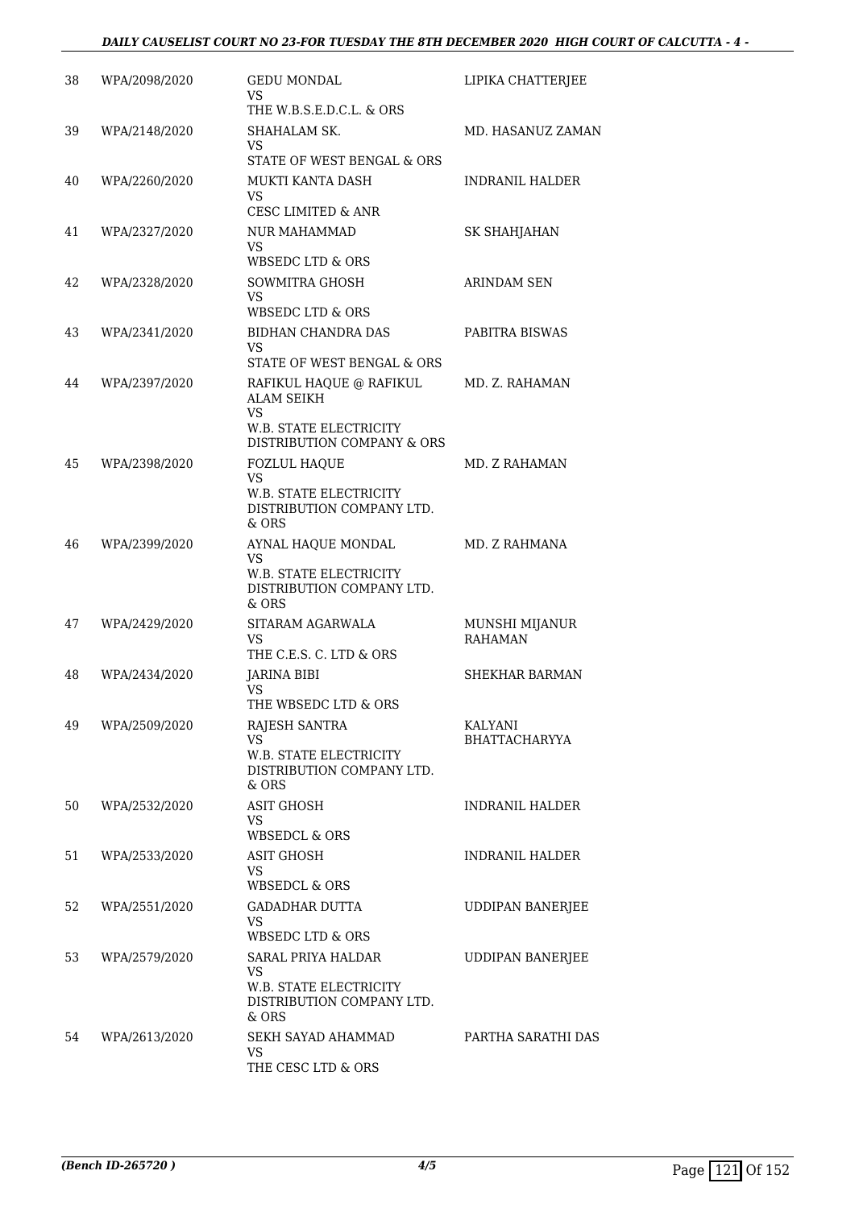#### *DAILY CAUSELIST COURT NO 23-FOR TUESDAY THE 8TH DECEMBER 2020 HIGH COURT OF CALCUTTA - 4 -*

| WPA/2098/2020 | <b>GEDU MONDAL</b><br>VS                                                                   | LIPIKA CHATTERJEE                                                                                                                                                                                                                                                                                                                                                                                 |
|---------------|--------------------------------------------------------------------------------------------|---------------------------------------------------------------------------------------------------------------------------------------------------------------------------------------------------------------------------------------------------------------------------------------------------------------------------------------------------------------------------------------------------|
|               | THE W.B.S.E.D.C.L. & ORS                                                                   |                                                                                                                                                                                                                                                                                                                                                                                                   |
| WPA/2148/2020 | SHAHALAM SK.<br>VS                                                                         | MD. HASANUZ ZAMAN                                                                                                                                                                                                                                                                                                                                                                                 |
|               |                                                                                            |                                                                                                                                                                                                                                                                                                                                                                                                   |
|               | VS                                                                                         | <b>INDRANIL HALDER</b>                                                                                                                                                                                                                                                                                                                                                                            |
| WPA/2327/2020 | <b>NUR MAHAMMAD</b><br>VS                                                                  | SK SHAHJAHAN                                                                                                                                                                                                                                                                                                                                                                                      |
|               | <b>WBSEDC LTD &amp; ORS</b>                                                                |                                                                                                                                                                                                                                                                                                                                                                                                   |
| WPA/2328/2020 | SOWMITRA GHOSH<br>VS                                                                       | ARINDAM SEN                                                                                                                                                                                                                                                                                                                                                                                       |
|               |                                                                                            |                                                                                                                                                                                                                                                                                                                                                                                                   |
|               | VS.                                                                                        | PABITRA BISWAS                                                                                                                                                                                                                                                                                                                                                                                    |
| WPA/2397/2020 | RAFIKUL HAQUE @ RAFIKUL<br><b>ALAM SEIKH</b><br>VS                                         | MD. Z. RAHAMAN                                                                                                                                                                                                                                                                                                                                                                                    |
|               | DISTRIBUTION COMPANY & ORS                                                                 |                                                                                                                                                                                                                                                                                                                                                                                                   |
| WPA/2398/2020 | <b>FOZLUL HAQUE</b><br><b>VS</b>                                                           | MD. Z RAHAMAN                                                                                                                                                                                                                                                                                                                                                                                     |
|               | DISTRIBUTION COMPANY LTD.<br>& ORS                                                         |                                                                                                                                                                                                                                                                                                                                                                                                   |
| WPA/2399/2020 | AYNAL HAQUE MONDAL<br>VS<br>W.B. STATE ELECTRICITY<br>DISTRIBUTION COMPANY LTD.<br>$&$ ORS | MD. Z RAHMANA                                                                                                                                                                                                                                                                                                                                                                                     |
| WPA/2429/2020 | SITARAM AGARWALA<br>VS                                                                     | MUNSHI MIJANUR<br><b>RAHAMAN</b>                                                                                                                                                                                                                                                                                                                                                                  |
|               |                                                                                            | SHEKHAR BARMAN                                                                                                                                                                                                                                                                                                                                                                                    |
|               | <b>VS</b><br>THE WBSEDC LTD & ORS                                                          |                                                                                                                                                                                                                                                                                                                                                                                                   |
| WPA/2509/2020 | RAJESH SANTRA                                                                              | KALYANI                                                                                                                                                                                                                                                                                                                                                                                           |
|               | VS<br>W.B. STATE ELECTRICITY<br>DISTRIBUTION COMPANY LTD.                                  | <b>BHATTACHARYYA</b>                                                                                                                                                                                                                                                                                                                                                                              |
| WPA/2532/2020 | <b>ASIT GHOSH</b><br><b>VS</b>                                                             | INDRANIL HALDER                                                                                                                                                                                                                                                                                                                                                                                   |
|               |                                                                                            |                                                                                                                                                                                                                                                                                                                                                                                                   |
| WPA/2533/2020 | ASIT GHOSH<br>VS                                                                           | <b>INDRANIL HALDER</b>                                                                                                                                                                                                                                                                                                                                                                            |
| WPA/2551/2020 | GADADHAR DUTTA<br>VS                                                                       | <b>UDDIPAN BANERJEE</b>                                                                                                                                                                                                                                                                                                                                                                           |
|               |                                                                                            |                                                                                                                                                                                                                                                                                                                                                                                                   |
|               | <b>VS</b>                                                                                  | <b>UDDIPAN BANERJEE</b>                                                                                                                                                                                                                                                                                                                                                                           |
|               | DISTRIBUTION COMPANY LTD.<br>& ORS                                                         |                                                                                                                                                                                                                                                                                                                                                                                                   |
| WPA/2613/2020 | SEKH SAYAD AHAMMAD<br><b>VS</b><br>THE CESC LTD & ORS                                      | PARTHA SARATHI DAS                                                                                                                                                                                                                                                                                                                                                                                |
|               | WPA/2260/2020<br>WPA/2341/2020<br>WPA/2434/2020<br>WPA/2579/2020                           | STATE OF WEST BENGAL & ORS<br>MUKTI KANTA DASH<br><b>CESC LIMITED &amp; ANR</b><br>WBSEDC LTD & ORS<br>BIDHAN CHANDRA DAS<br>STATE OF WEST BENGAL & ORS<br>W.B. STATE ELECTRICITY<br><b>W.B. STATE ELECTRICITY</b><br>THE C.E.S. C. LTD & ORS<br>JARINA BIBI<br>& ORS<br><b>WBSEDCL &amp; ORS</b><br><b>WBSEDCL &amp; ORS</b><br>WBSEDC LTD & ORS<br>SARAL PRIYA HALDAR<br>W.B. STATE ELECTRICITY |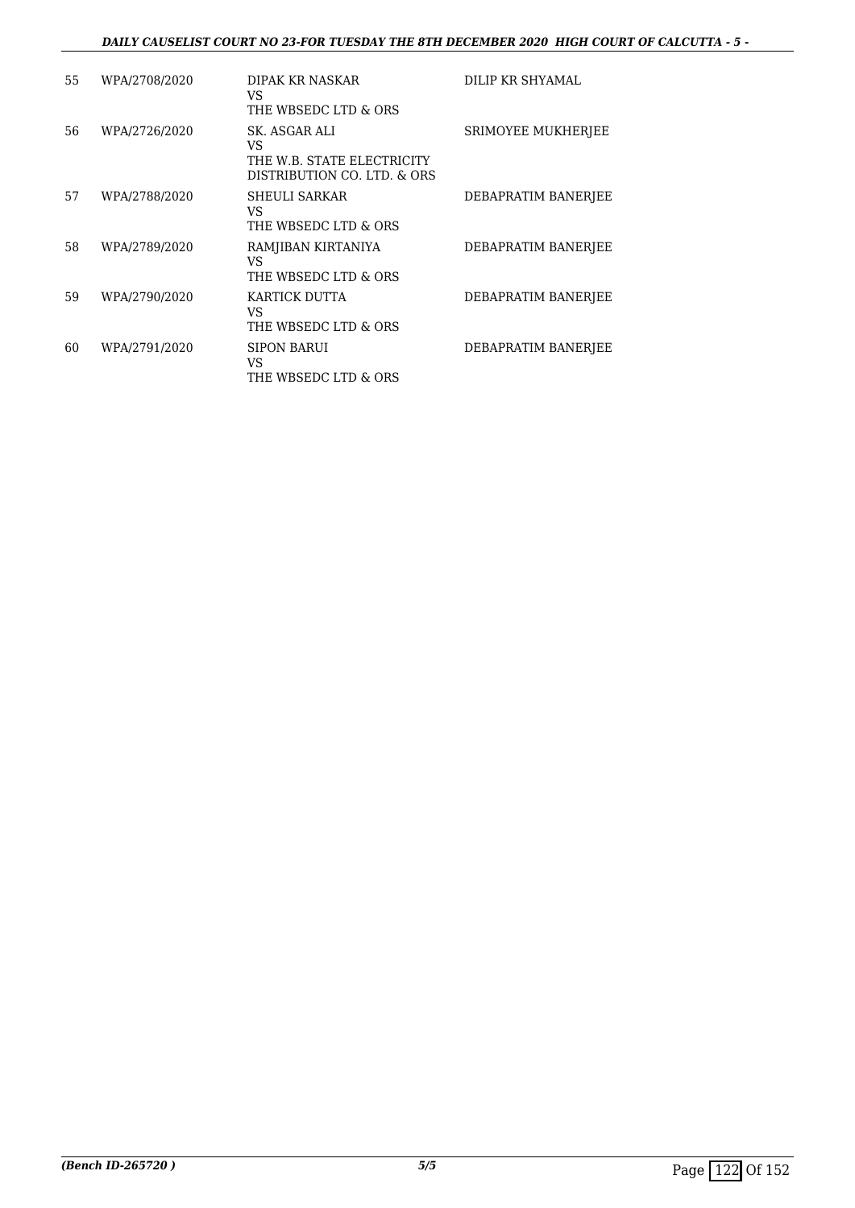#### *DAILY CAUSELIST COURT NO 23-FOR TUESDAY THE 8TH DECEMBER 2020 HIGH COURT OF CALCUTTA - 5 -*

| 55 | WPA/2708/2020 | DIPAK KR NASKAR<br>VS<br>THE WBSEDC LTD & ORS                                    | DILIP KR SHYAMAL    |
|----|---------------|----------------------------------------------------------------------------------|---------------------|
| 56 | WPA/2726/2020 | SK. ASGAR ALI<br>VS<br>THE W.B. STATE ELECTRICITY<br>DISTRIBUTION CO. LTD. & ORS | SRIMOYEE MUKHERJEE  |
| 57 | WPA/2788/2020 | SHEULI SARKAR<br>VS<br>THE WBSEDC LTD & ORS                                      | DEBAPRATIM BANERJEE |
| 58 | WPA/2789/2020 | RAMJIBAN KIRTANIYA<br>VS<br>THE WBSEDC LTD & ORS                                 | DEBAPRATIM BANERJEE |
| 59 | WPA/2790/2020 | KARTICK DUTTA<br>VS<br>THE WBSEDC LTD & ORS                                      | DEBAPRATIM BANERJEE |
| 60 | WPA/2791/2020 | <b>SIPON BARUI</b><br>VS<br>THE WBSEDC LTD & ORS                                 | DEBAPRATIM BANERJEE |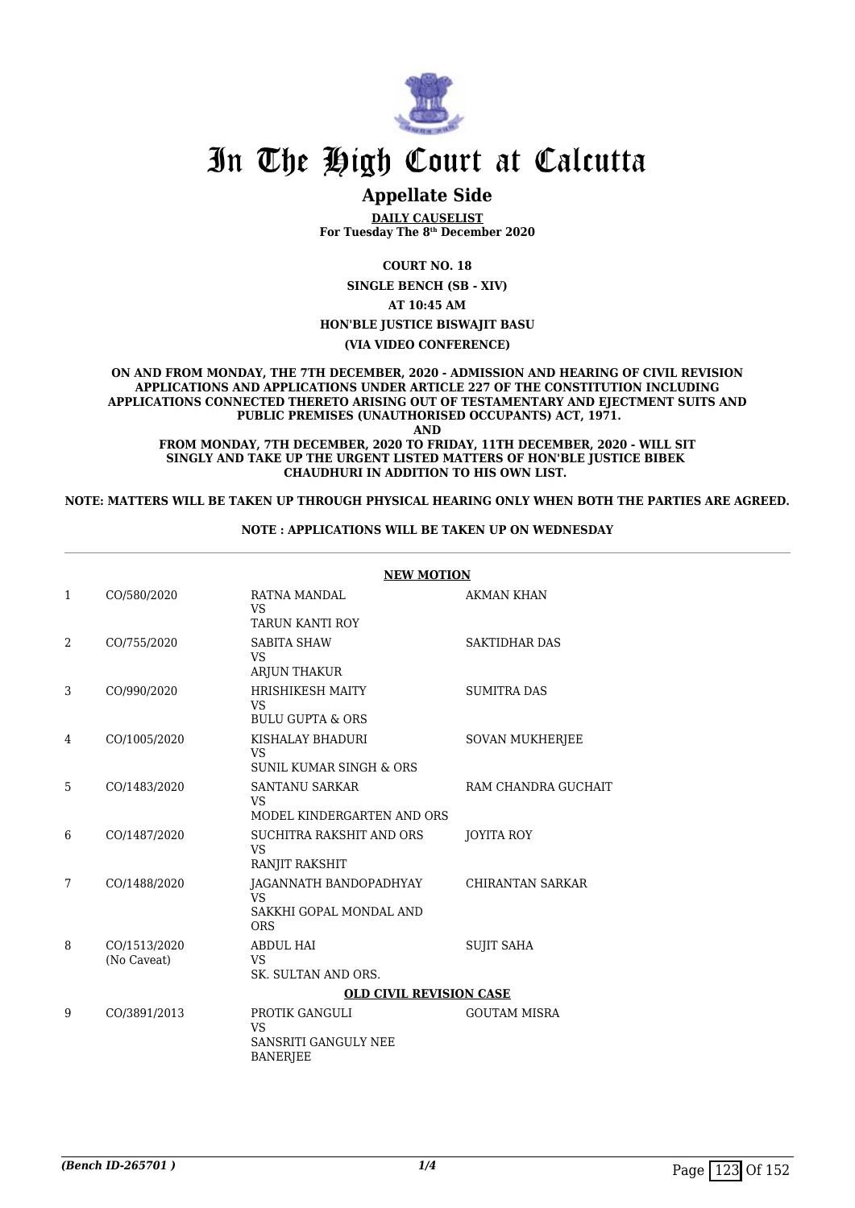

### **Appellate Side**

**DAILY CAUSELIST For Tuesday The 8th December 2020**

**COURT NO. 18**

**SINGLE BENCH (SB - XIV)**

**AT 10:45 AM**

**HON'BLE JUSTICE BISWAJIT BASU**

**(VIA VIDEO CONFERENCE)**

**ON AND FROM MONDAY, THE 7TH DECEMBER, 2020 - ADMISSION AND HEARING OF CIVIL REVISION APPLICATIONS AND APPLICATIONS UNDER ARTICLE 227 OF THE CONSTITUTION INCLUDING APPLICATIONS CONNECTED THERETO ARISING OUT OF TESTAMENTARY AND EJECTMENT SUITS AND PUBLIC PREMISES (UNAUTHORISED OCCUPANTS) ACT, 1971.**

**AND**

**FROM MONDAY, 7TH DECEMBER, 2020 TO FRIDAY, 11TH DECEMBER, 2020 - WILL SIT SINGLY AND TAKE UP THE URGENT LISTED MATTERS OF HON'BLE JUSTICE BIBEK CHAUDHURI IN ADDITION TO HIS OWN LIST.** 

**NOTE: MATTERS WILL BE TAKEN UP THROUGH PHYSICAL HEARING ONLY WHEN BOTH THE PARTIES ARE AGREED.**

#### **NOTE : APPLICATIONS WILL BE TAKEN UP ON WEDNESDAY**

|                |                             | <b>NEW MOTION</b>                                                            |                         |
|----------------|-----------------------------|------------------------------------------------------------------------------|-------------------------|
| 1              | CO/580/2020                 | RATNA MANDAL<br><b>VS</b><br><b>TARUN KANTI ROY</b>                          | AKMAN KHAN              |
| $\overline{2}$ | CO/755/2020                 | <b>SABITA SHAW</b><br><b>VS</b><br>ARJUN THAKUR                              | <b>SAKTIDHAR DAS</b>    |
| 3              | CO/990/2020                 | <b>HRISHIKESH MAITY</b><br><b>VS</b><br><b>BULU GUPTA &amp; ORS</b>          | <b>SUMITRA DAS</b>      |
| 4              | CO/1005/2020                | KISHALAY BHADURI<br><b>VS</b><br><b>SUNIL KUMAR SINGH &amp; ORS</b>          | <b>SOVAN MUKHERJEE</b>  |
| 5              | CO/1483/2020                | <b>SANTANU SARKAR</b><br><b>VS</b><br>MODEL KINDERGARTEN AND ORS             | RAM CHANDRA GUCHAIT     |
| 6              | CO/1487/2020                | SUCHITRA RAKSHIT AND ORS<br><b>VS</b><br>RANJIT RAKSHIT                      | JOYITA ROY              |
| 7              | CO/1488/2020                | JAGANNATH BANDOPADHYAY<br><b>VS</b><br>SAKKHI GOPAL MONDAL AND<br><b>ORS</b> | <b>CHIRANTAN SARKAR</b> |
| 8              | CO/1513/2020<br>(No Caveat) | <b>ABDUL HAI</b><br><b>VS</b><br>SK. SULTAN AND ORS.                         | <b>SUJIT SAHA</b>       |
|                |                             | <b>OLD CIVIL REVISION CASE</b>                                               |                         |
| 9              | CO/3891/2013                | PROTIK GANGULI<br><b>VS</b><br>SANSRITI GANGULY NEE<br><b>BANERJEE</b>       | <b>GOUTAM MISRA</b>     |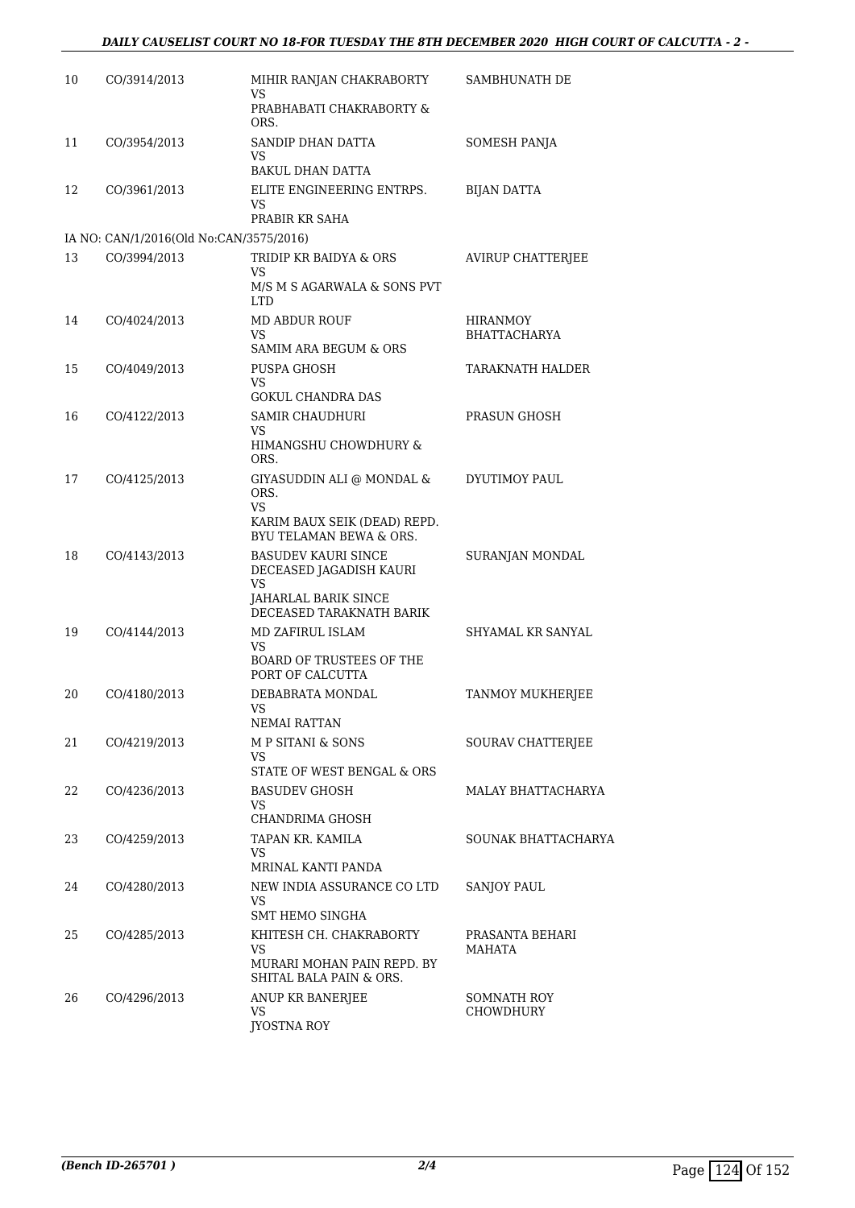| 10 | CO/3914/2013                            | MIHIR RANJAN CHAKRABORTY<br>VS                                                                                                                                                                                                                                     | SAMBHUNATH DE                          |
|----|-----------------------------------------|--------------------------------------------------------------------------------------------------------------------------------------------------------------------------------------------------------------------------------------------------------------------|----------------------------------------|
|    |                                         | PRABHABATI CHAKRABORTY &<br>ORS.                                                                                                                                                                                                                                   |                                        |
| 11 | CO/3954/2013                            | SANDIP DHAN DATTA<br>VS<br><b>BAKUL DHAN DATTA</b>                                                                                                                                                                                                                 | SOMESH PANJA                           |
| 12 | CO/3961/2013                            | ELITE ENGINEERING ENTRPS.                                                                                                                                                                                                                                          | <b>BIJAN DATTA</b>                     |
|    |                                         | VS<br>PRABIR KR SAHA                                                                                                                                                                                                                                               |                                        |
|    | IA NO: CAN/1/2016(Old No:CAN/3575/2016) |                                                                                                                                                                                                                                                                    |                                        |
| 13 | CO/3994/2013                            | TRIDIP KR BAIDYA & ORS<br>VS                                                                                                                                                                                                                                       | <b>AVIRUP CHATTERJEE</b>               |
|    |                                         | M/S M S AGARWALA & SONS PVT<br>LTD                                                                                                                                                                                                                                 |                                        |
| 14 | CO/4024/2013                            | MD ABDUR ROUF<br>VS                                                                                                                                                                                                                                                | <b>HIRANMOY</b><br><b>BHATTACHARYA</b> |
|    |                                         | SAMIM ARA BEGUM & ORS                                                                                                                                                                                                                                              |                                        |
| 15 | CO/4049/2013                            | PUSPA GHOSH                                                                                                                                                                                                                                                        | TARAKNATH HALDER                       |
|    |                                         | VS<br><b>GOKUL CHANDRA DAS</b>                                                                                                                                                                                                                                     |                                        |
| 16 | CO/4122/2013                            | <b>SAMIR CHAUDHURI</b>                                                                                                                                                                                                                                             | PRASUN GHOSH                           |
|    |                                         | VS<br>HIMANGSHU CHOWDHURY &<br>ORS.                                                                                                                                                                                                                                |                                        |
| 17 | CO/4125/2013                            | GIYASUDDIN ALI @ MONDAL &<br>ORS.                                                                                                                                                                                                                                  | DYUTIMOY PAUL                          |
|    |                                         | VS<br>KARIM BAUX SEIK (DEAD) REPD.<br>BYU TELAMAN BEWA & ORS.                                                                                                                                                                                                      |                                        |
| 18 | CO/4143/2013                            | <b>BASUDEV KAURI SINCE</b><br>DECEASED JAGADISH KAURI<br>VS<br>JAHARLAL BARIK SINCE                                                                                                                                                                                | SURANJAN MONDAL                        |
|    |                                         | DECEASED TARAKNATH BARIK                                                                                                                                                                                                                                           |                                        |
| 19 | CO/4144/2013                            | MD ZAFIRUL ISLAM<br>VS                                                                                                                                                                                                                                             | SHYAMAL KR SANYAL                      |
|    |                                         | <b>BOARD OF TRUSTEES OF THE</b><br>PORT OF CALCUTTA                                                                                                                                                                                                                |                                        |
| 20 | CO/4180/2013                            | DEBABRATA MONDAL<br>VS and the set of the set of the set of the set of the set of the set of the set of the set of the set of the set of the set of the set of the set of the set of the set of the set of the set of the set of the set of the se<br>NEMAI RATTAN | TANMOY MUKHERJEE                       |
| 21 | CO/4219/2013                            | M P SITANI & SONS                                                                                                                                                                                                                                                  | SOURAV CHATTERJEE                      |
|    |                                         | VS.<br>STATE OF WEST BENGAL & ORS                                                                                                                                                                                                                                  |                                        |
| 22 | CO/4236/2013                            | <b>BASUDEV GHOSH</b><br>VS<br>CHANDRIMA GHOSH                                                                                                                                                                                                                      | MALAY BHATTACHARYA                     |
| 23 | CO/4259/2013                            | TAPAN KR. KAMILA                                                                                                                                                                                                                                                   | SOUNAK BHATTACHARYA                    |
|    |                                         | VS<br>MRINAL KANTI PANDA                                                                                                                                                                                                                                           |                                        |
| 24 | CO/4280/2013                            | NEW INDIA ASSURANCE CO LTD<br>VS<br><b>SMT HEMO SINGHA</b>                                                                                                                                                                                                         | <b>SANJOY PAUL</b>                     |
| 25 | CO/4285/2013                            | KHITESH CH. CHAKRABORTY<br>VS<br>MURARI MOHAN PAIN REPD. BY<br>SHITAL BALA PAIN & ORS.                                                                                                                                                                             | PRASANTA BEHARI<br>MAHATA              |
| 26 | CO/4296/2013                            | ANUP KR BANERJEE<br>VS<br>JYOSTNA ROY                                                                                                                                                                                                                              | SOMNATH ROY<br><b>CHOWDHURY</b>        |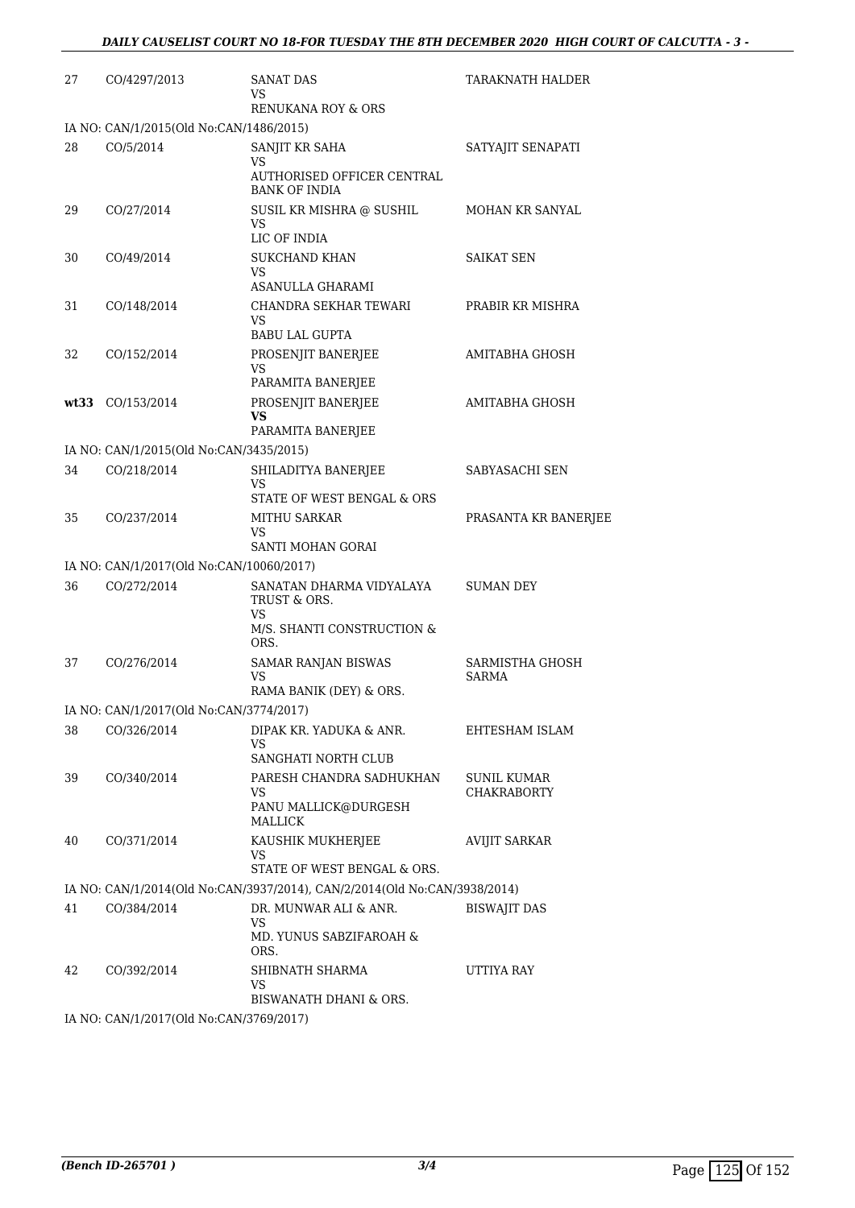| 27 | CO/4297/2013                                           | SANAT DAS<br>VS<br>RENUKANA ROY & ORS                                     | TARAKNATH HALDER                |
|----|--------------------------------------------------------|---------------------------------------------------------------------------|---------------------------------|
|    | IA NO: CAN/1/2015(Old No:CAN/1486/2015)                |                                                                           |                                 |
| 28 | CO/5/2014                                              | SANJIT KR SAHA                                                            | SATYAJIT SENAPATI               |
|    |                                                        | VS                                                                        |                                 |
|    |                                                        | AUTHORISED OFFICER CENTRAL<br><b>BANK OF INDIA</b>                        |                                 |
| 29 | CO/27/2014                                             | SUSIL KR MISHRA @ SUSHIL                                                  | MOHAN KR SANYAL                 |
|    |                                                        | VS<br>LIC OF INDIA                                                        |                                 |
| 30 | CO/49/2014                                             | <b>SUKCHAND KHAN</b><br>VS                                                | SAIKAT SEN                      |
|    |                                                        | ASANULLA GHARAMI                                                          |                                 |
| 31 | CO/148/2014                                            | CHANDRA SEKHAR TEWARI<br>VS<br><b>BABU LAL GUPTA</b>                      | PRABIR KR MISHRA                |
|    |                                                        | PROSENJIT BANERJEE                                                        |                                 |
| 32 | CO/152/2014                                            | VS<br>PARAMITA BANERJEE                                                   | AMITABHA GHOSH                  |
|    | wt33 CO/153/2014                                       | PROSENJIT BANERJEE                                                        | AMITABHA GHOSH                  |
|    |                                                        | <b>VS</b>                                                                 |                                 |
|    | IA NO: CAN/1/2015(Old No:CAN/3435/2015)                | PARAMITA BANERJEE                                                         |                                 |
| 34 | CO/218/2014                                            | SHILADITYA BANERJEE                                                       | SABYASACHI SEN                  |
|    |                                                        | VS<br>STATE OF WEST BENGAL & ORS                                          |                                 |
| 35 | CO/237/2014                                            | <b>MITHU SARKAR</b>                                                       | PRASANTA KR BANERJEE            |
|    |                                                        | VS<br>SANTI MOHAN GORAI                                                   |                                 |
|    | IA NO: CAN/1/2017(Old No:CAN/10060/2017)               |                                                                           |                                 |
| 36 | CO/272/2014                                            | SANATAN DHARMA VIDYALAYA<br>TRUST & ORS.<br>VS                            | <b>SUMAN DEY</b>                |
|    |                                                        | M/S. SHANTI CONSTRUCTION &<br>ORS.                                        |                                 |
| 37 | CO/276/2014                                            | SAMAR RANJAN BISWAS<br>VS                                                 | SARMISTHA GHOSH<br><b>SARMA</b> |
|    |                                                        | RAMA BANIK (DEY) & ORS.                                                   |                                 |
|    | IA NO: CAN/1/2017(Old No:CAN/3774/2017)                |                                                                           |                                 |
| 38 | CO/326/2014                                            | DIPAK KR. YADUKA & ANR.<br>VS<br>SANGHATI NORTH CLUB                      | EHTESHAM ISLAM                  |
| 39 | CO/340/2014                                            | PARESH CHANDRA SADHUKHAN                                                  | <b>SUNIL KUMAR</b>              |
|    |                                                        | VS<br>PANU MALLICK@DURGESH<br>MALLICK                                     | <b>CHAKRABORTY</b>              |
| 40 | CO/371/2014                                            | KAUSHIK MUKHERJEE                                                         | <b>AVIJIT SARKAR</b>            |
|    |                                                        | VS<br>STATE OF WEST BENGAL & ORS.                                         |                                 |
|    |                                                        | IA NO: CAN/1/2014(Old No:CAN/3937/2014), CAN/2/2014(Old No:CAN/3938/2014) |                                 |
| 41 | CO/384/2014                                            | DR. MUNWAR ALI & ANR.                                                     | <b>BISWAJIT DAS</b>             |
|    |                                                        | VS.<br>MD. YUNUS SABZIFAROAH &<br>ORS.                                    |                                 |
| 42 | CO/392/2014                                            | SHIBNATH SHARMA                                                           | UTTIYA RAY                      |
|    |                                                        | VS<br>BISWANATH DHANI & ORS.                                              |                                 |
|    | IA NO $\cdot$ CANI1/2017(Old No $\cdot$ CANI3769/2017) |                                                                           |                                 |

IA NO: CAN/1/2017(Old No:CAN/3769/2017)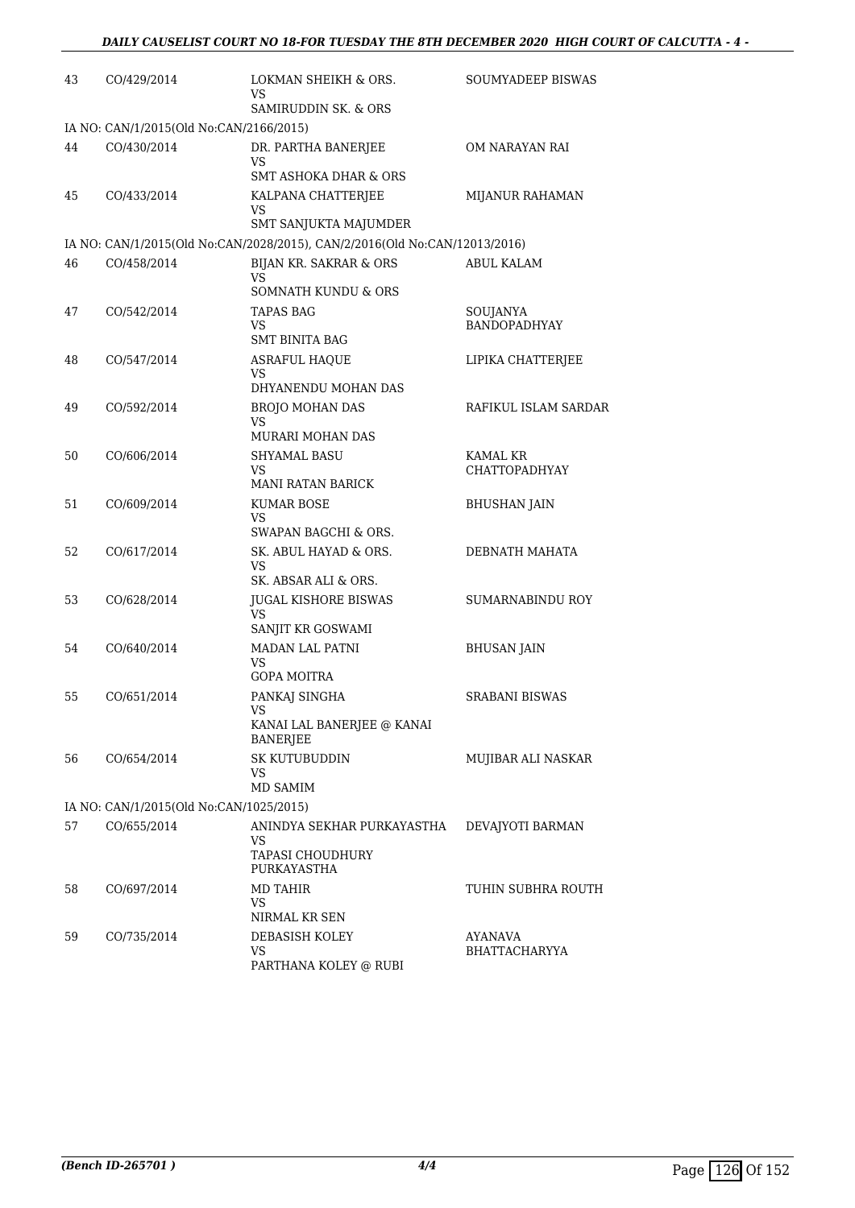| 43 | CO/429/2014                             | LOKMAN SHEIKH & ORS.<br>VS.                                                | <b>SOUMYADEEP BISWAS</b>        |
|----|-----------------------------------------|----------------------------------------------------------------------------|---------------------------------|
|    |                                         | SAMIRUDDIN SK. & ORS                                                       |                                 |
|    | IA NO: CAN/1/2015(Old No:CAN/2166/2015) |                                                                            |                                 |
| 44 | CO/430/2014                             | DR. PARTHA BANERJEE<br>VS                                                  | OM NARAYAN RAI                  |
|    |                                         | <b>SMT ASHOKA DHAR &amp; ORS</b>                                           |                                 |
| 45 | CO/433/2014                             | KALPANA CHATTERJEE<br>VS.<br>SMT SANJUKTA MAJUMDER                         | MIJANUR RAHAMAN                 |
|    |                                         | IA NO: CAN/1/2015(Old No:CAN/2028/2015), CAN/2/2016(Old No:CAN/12013/2016) |                                 |
| 46 | CO/458/2014                             | BIJAN KR. SAKRAR & ORS<br>VS                                               | <b>ABUL KALAM</b>               |
|    |                                         | SOMNATH KUNDU & ORS                                                        |                                 |
| 47 | CO/542/2014                             | <b>TAPAS BAG</b><br>VS<br><b>SMT BINITA BAG</b>                            | SOUJANYA<br><b>BANDOPADHYAY</b> |
| 48 | CO/547/2014                             | <b>ASRAFUL HAQUE</b>                                                       | LIPIKA CHATTERJEE               |
|    |                                         | VS.<br>DHYANENDU MOHAN DAS                                                 |                                 |
| 49 | CO/592/2014                             | <b>BROJO MOHAN DAS</b>                                                     | RAFIKUL ISLAM SARDAR            |
|    |                                         | VS<br>MURARI MOHAN DAS                                                     |                                 |
| 50 | CO/606/2014                             | <b>SHYAMAL BASU</b>                                                        | <b>KAMAL KR</b>                 |
|    |                                         | VS.<br>MANI RATAN BARICK                                                   | CHATTOPADHYAY                   |
| 51 | CO/609/2014                             | <b>KUMAR BOSE</b>                                                          | <b>BHUSHAN JAIN</b>             |
|    |                                         | VS.<br>SWAPAN BAGCHI & ORS.                                                |                                 |
| 52 | CO/617/2014                             | SK. ABUL HAYAD & ORS.<br>VS.<br>SK. ABSAR ALI & ORS.                       | DEBNATH MAHATA                  |
| 53 | CO/628/2014                             | <b>JUGAL KISHORE BISWAS</b>                                                | SUMARNABINDU ROY                |
|    |                                         | VS.<br>SANJIT KR GOSWAMI                                                   |                                 |
| 54 | CO/640/2014                             | MADAN LAL PATNI                                                            | <b>BHUSAN JAIN</b>              |
|    |                                         | VS<br>GOPA MOITRA                                                          |                                 |
| 55 | CO/651/2014                             | PANKAJ SINGHA                                                              | SRABANI BISWAS                  |
|    |                                         | KANAI LAL BANERJEE @ KANAI<br>BANERJEE                                     |                                 |
| 56 | CO/654/2014                             | SK KUTUBUDDIN<br>VS.                                                       | MUJIBAR ALI NASKAR              |
|    |                                         | MD SAMIM                                                                   |                                 |
|    | IA NO: CAN/1/2015(Old No:CAN/1025/2015) |                                                                            |                                 |
| 57 | CO/655/2014                             | ANINDYA SEKHAR PURKAYASTHA<br>VS                                           | DEVAJYOTI BARMAN                |
|    |                                         | <b>TAPASI CHOUDHURY</b><br>PURKAYASTHA                                     |                                 |
| 58 | CO/697/2014                             | <b>MD TAHIR</b>                                                            | TUHIN SUBHRA ROUTH              |
|    |                                         | VS<br>NIRMAL KR SEN                                                        |                                 |
| 59 | CO/735/2014                             | DEBASISH KOLEY                                                             | AYANAVA                         |
|    |                                         | VS                                                                         | BHATTACHARYYA                   |
|    |                                         | PARTHANA KOLEY @ RUBI                                                      |                                 |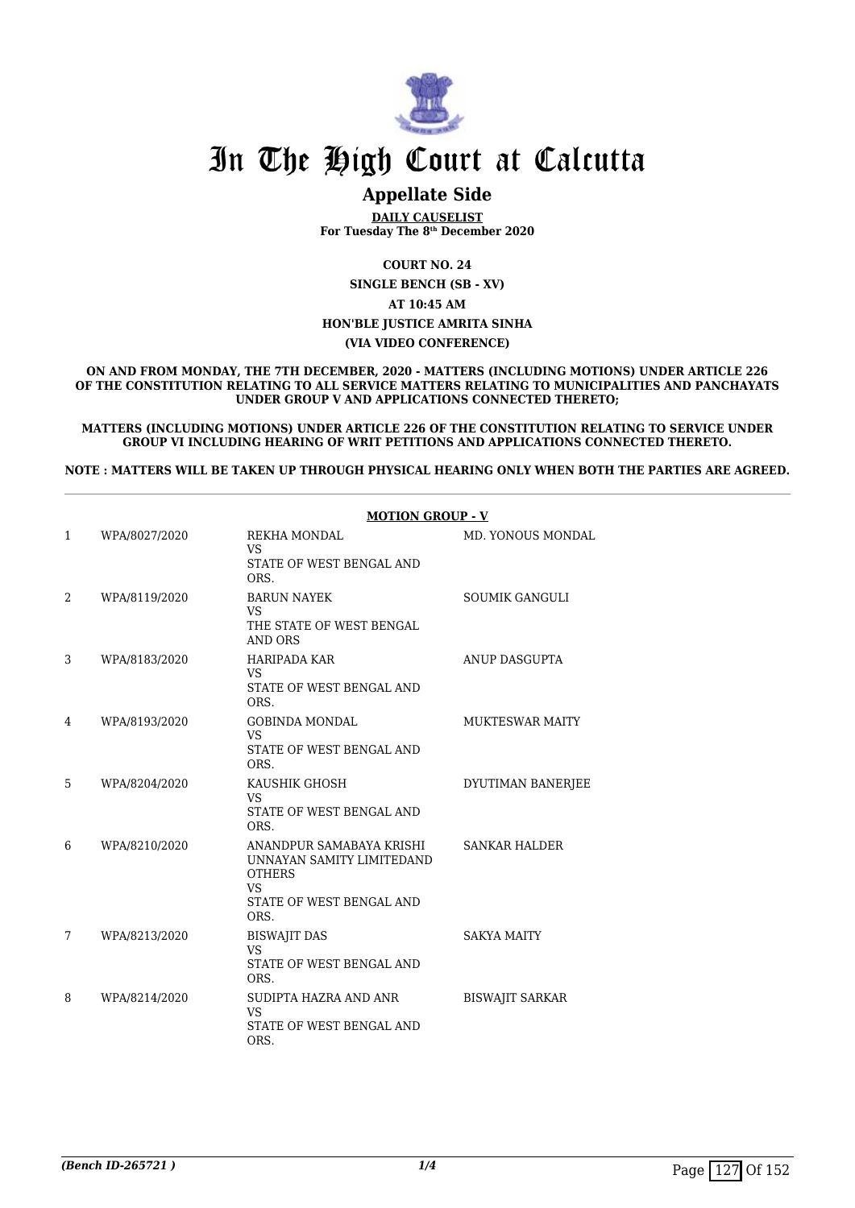

### **Appellate Side**

**DAILY CAUSELIST For Tuesday The 8th December 2020**

**COURT NO. 24**

**SINGLE BENCH (SB - XV)**

#### **AT 10:45 AM**

#### **HON'BLE JUSTICE AMRITA SINHA**

#### **(VIA VIDEO CONFERENCE)**

**ON AND FROM MONDAY, THE 7TH DECEMBER, 2020 - MATTERS (INCLUDING MOTIONS) UNDER ARTICLE 226 OF THE CONSTITUTION RELATING TO ALL SERVICE MATTERS RELATING TO MUNICIPALITIES AND PANCHAYATS UNDER GROUP V AND APPLICATIONS CONNECTED THERETO;**

**MATTERS (INCLUDING MOTIONS) UNDER ARTICLE 226 OF THE CONSTITUTION RELATING TO SERVICE UNDER GROUP VI INCLUDING HEARING OF WRIT PETITIONS AND APPLICATIONS CONNECTED THERETO.**

**NOTE : MATTERS WILL BE TAKEN UP THROUGH PHYSICAL HEARING ONLY WHEN BOTH THE PARTIES ARE AGREED.**

|              |               | <b>MOTION GROUP - V</b>                                                                                                 |                        |
|--------------|---------------|-------------------------------------------------------------------------------------------------------------------------|------------------------|
| $\mathbf{1}$ | WPA/8027/2020 | REKHA MONDAL<br><b>VS</b><br>STATE OF WEST BENGAL AND<br>ORS.                                                           | MD. YONOUS MONDAL      |
| 2            | WPA/8119/2020 | <b>BARUN NAYEK</b><br><b>VS</b><br>THE STATE OF WEST BENGAL<br><b>AND ORS</b>                                           | <b>SOUMIK GANGULI</b>  |
| 3            | WPA/8183/2020 | <b>HARIPADA KAR</b><br>VS.<br>STATE OF WEST BENGAL AND<br>ORS.                                                          | <b>ANUP DASGUPTA</b>   |
| 4            | WPA/8193/2020 | <b>GOBINDA MONDAL</b><br><b>VS</b><br>STATE OF WEST BENGAL AND<br>ORS.                                                  | <b>MUKTESWAR MAITY</b> |
| 5            | WPA/8204/2020 | KAUSHIK GHOSH<br><b>VS</b><br>STATE OF WEST BENGAL AND<br>ORS.                                                          | DYUTIMAN BANERJEE      |
| 6            | WPA/8210/2020 | ANANDPUR SAMABAYA KRISHI<br>UNNAYAN SAMITY LIMITEDAND<br><b>OTHERS</b><br><b>VS</b><br>STATE OF WEST BENGAL AND<br>ORS. | <b>SANKAR HALDER</b>   |
| 7            | WPA/8213/2020 | <b>BISWAJIT DAS</b><br><b>VS</b><br>STATE OF WEST BENGAL AND<br>ORS.                                                    | <b>SAKYA MAITY</b>     |
| 8            | WPA/8214/2020 | SUDIPTA HAZRA AND ANR<br><b>VS</b><br>STATE OF WEST BENGAL AND<br>ORS.                                                  | <b>BISWAJIT SARKAR</b> |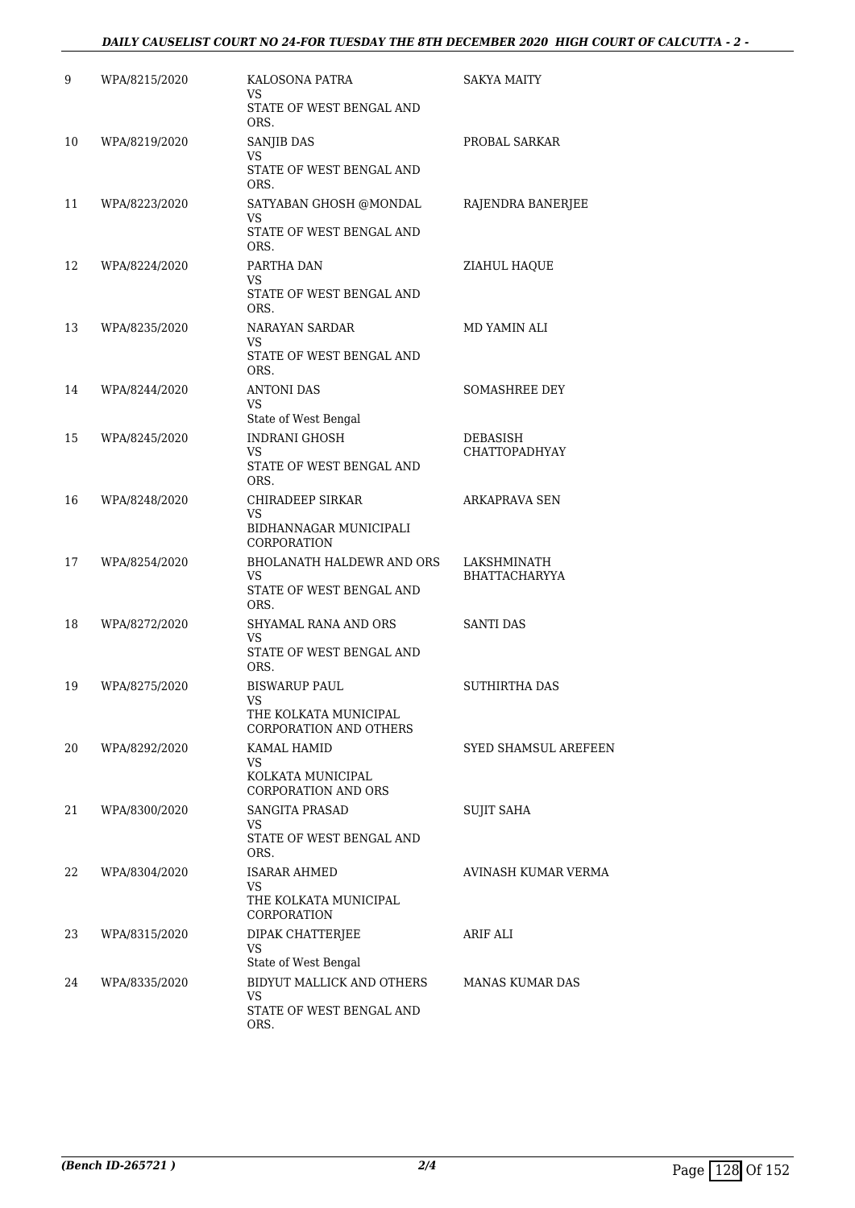#### *DAILY CAUSELIST COURT NO 24-FOR TUESDAY THE 8TH DECEMBER 2020 HIGH COURT OF CALCUTTA - 2 -*

| 9  | WPA/8215/2020 | KALOSONA PATRA<br>VS                            | SAKYA MAITY                      |
|----|---------------|-------------------------------------------------|----------------------------------|
|    |               | STATE OF WEST BENGAL AND<br>ORS.                |                                  |
| 10 | WPA/8219/2020 | SANJIB DAS<br>VS.                               | PROBAL SARKAR                    |
|    |               | STATE OF WEST BENGAL AND<br>ORS.                |                                  |
| 11 | WPA/8223/2020 | SATYABAN GHOSH @MONDAL<br>VS                    | RAJENDRA BANERJEE                |
|    |               | STATE OF WEST BENGAL AND<br>ORS.                |                                  |
| 12 | WPA/8224/2020 | PARTHA DAN<br>VS.                               | ZIAHUL HAQUE                     |
|    |               | STATE OF WEST BENGAL AND<br>ORS.                |                                  |
| 13 | WPA/8235/2020 | NARAYAN SARDAR<br>VS.                           | MD YAMIN ALI                     |
|    |               | STATE OF WEST BENGAL AND<br>ORS.                |                                  |
| 14 | WPA/8244/2020 | <b>ANTONI DAS</b><br>VS.                        | <b>SOMASHREE DEY</b>             |
|    |               | State of West Bengal                            |                                  |
| 15 | WPA/8245/2020 | <b>INDRANI GHOSH</b><br>VS.                     | DEBASISH<br><b>CHATTOPADHYAY</b> |
|    |               | STATE OF WEST BENGAL AND<br>ORS.                |                                  |
| 16 | WPA/8248/2020 | CHIRADEEP SIRKAR<br>VS                          | <b>ARKAPRAVA SEN</b>             |
|    |               | BIDHANNAGAR MUNICIPALI<br>CORPORATION           |                                  |
| 17 | WPA/8254/2020 | <b>BHOLANATH HALDEWR AND ORS</b><br>VS          | LAKSHMINATH<br>BHATTACHARYYA     |
|    |               | STATE OF WEST BENGAL AND<br>ORS.                |                                  |
| 18 | WPA/8272/2020 | SHYAMAL RANA AND ORS                            | <b>SANTI DAS</b>                 |
|    |               | VS<br>STATE OF WEST BENGAL AND<br>ORS.          |                                  |
| 19 | WPA/8275/2020 | <b>BISWARUP PAUL</b><br><b>VS</b>               | <b>SUTHIRTHA DAS</b>             |
|    |               | THE KOLKATA MUNICIPAL<br>CORPORATION AND OTHERS |                                  |
| 20 | WPA/8292/2020 | KAMAL HAMID<br>VS.                              | <b>SYED SHAMSUL AREFEEN</b>      |
|    |               | KOLKATA MUNICIPAL<br><b>CORPORATION AND ORS</b> |                                  |
| 21 | WPA/8300/2020 | SANGITA PRASAD<br>VS.                           | <b>SUJIT SAHA</b>                |
|    |               | STATE OF WEST BENGAL AND<br>ORS.                |                                  |
| 22 | WPA/8304/2020 | <b>ISARAR AHMED</b><br>VS.                      | AVINASH KUMAR VERMA              |
|    |               | THE KOLKATA MUNICIPAL<br>CORPORATION            |                                  |
| 23 | WPA/8315/2020 | DIPAK CHATTERJEE                                | ARIF ALI                         |
|    |               | VS.<br>State of West Bengal                     |                                  |
| 24 | WPA/8335/2020 | BIDYUT MALLICK AND OTHERS<br>VS                 | MANAS KUMAR DAS                  |
|    |               | STATE OF WEST BENGAL AND<br>ORS.                |                                  |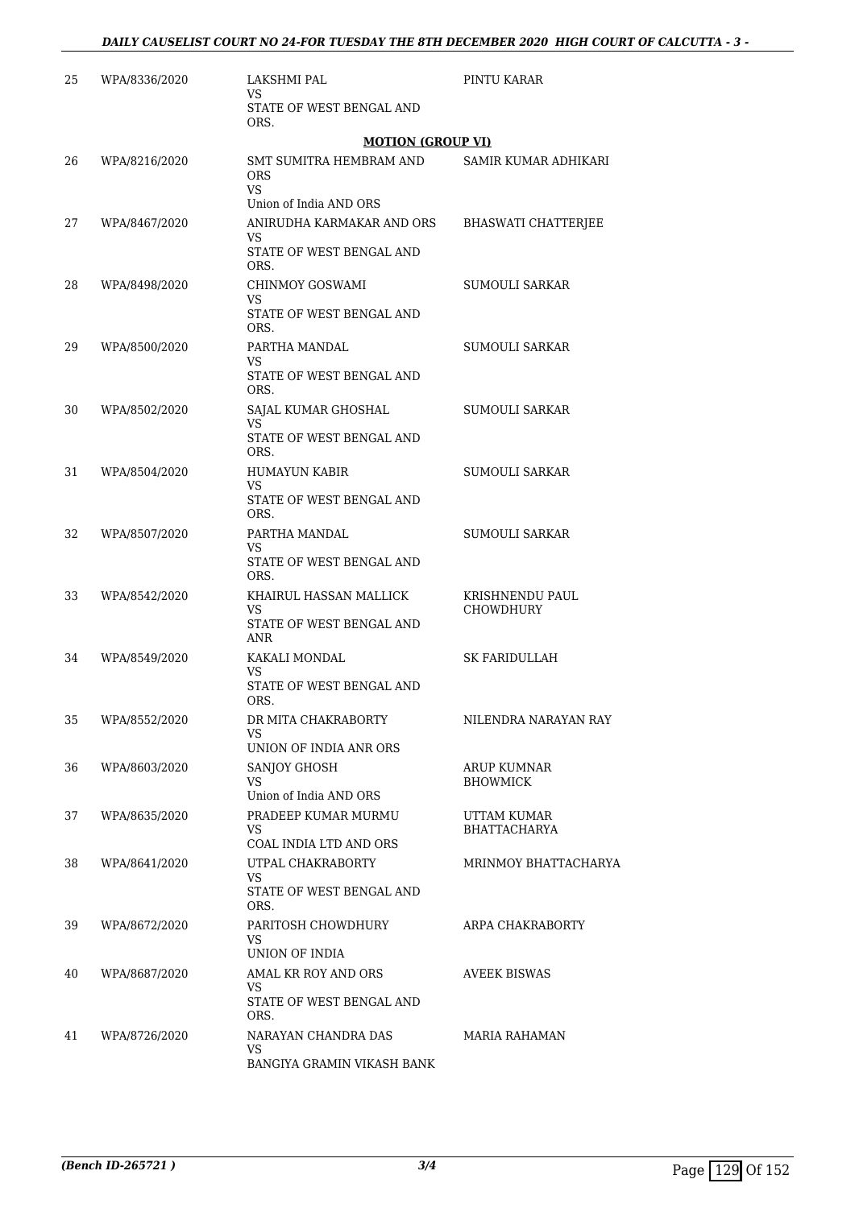| 25 | WPA/8336/2020 | LAKSHMI PAL<br>VS.                                              | PINTU KARAR                |
|----|---------------|-----------------------------------------------------------------|----------------------------|
|    |               | STATE OF WEST BENGAL AND<br>ORS.                                |                            |
|    |               | <b>MOTION (GROUP VI)</b>                                        |                            |
| 26 | WPA/8216/2020 | SMT SUMITRA HEMBRAM AND<br>ORS<br>VS.<br>Union of India AND ORS | SAMIR KUMAR ADHIKARI       |
| 27 | WPA/8467/2020 | ANIRUDHA KARMAKAR AND ORS                                       | <b>BHASWATI CHATTERJEE</b> |
|    |               | VS<br>STATE OF WEST BENGAL AND<br>ORS.                          |                            |
| 28 | WPA/8498/2020 | CHINMOY GOSWAMI                                                 | SUMOULI SARKAR             |
|    |               | VS<br>STATE OF WEST BENGAL AND<br>ORS.                          |                            |
| 29 | WPA/8500/2020 | PARTHA MANDAL                                                   | SUMOULI SARKAR             |
|    |               | VS<br>STATE OF WEST BENGAL AND<br>ORS.                          |                            |
| 30 | WPA/8502/2020 | SAJAL KUMAR GHOSHAL                                             | SUMOULI SARKAR             |
|    |               | VS.<br>STATE OF WEST BENGAL AND<br>ORS.                         |                            |
| 31 | WPA/8504/2020 | <b>HUMAYUN KABIR</b>                                            | <b>SUMOULI SARKAR</b>      |
|    |               | VS<br>STATE OF WEST BENGAL AND<br>ORS.                          |                            |
| 32 | WPA/8507/2020 | PARTHA MANDAL                                                   | SUMOULI SARKAR             |
|    |               | VS<br>STATE OF WEST BENGAL AND<br>ORS.                          |                            |
| 33 | WPA/8542/2020 | KHAIRUL HASSAN MALLICK                                          | KRISHNENDU PAUL            |
|    |               | VS<br>STATE OF WEST BENGAL AND<br>ANR                           | <b>CHOWDHURY</b>           |
| 34 | WPA/8549/2020 | KAKALI MONDAL                                                   | SK FARIDULLAH              |
|    |               | VS.<br>STATE OF WEST BENGAL AND<br>ORS.                         |                            |
| 35 | WPA/8552/2020 | DR MITA CHAKRABORTY                                             | NILENDRA NARAYAN RAY       |
|    |               | VS.<br>UNION OF INDIA ANR ORS                                   |                            |
| 36 | WPA/8603/2020 | SANJOY GHOSH                                                    | ARUP KUMNAR                |
|    |               | VS.<br>Union of India AND ORS                                   | <b>BHOWMICK</b>            |
| 37 | WPA/8635/2020 | PRADEEP KUMAR MURMU                                             | UTTAM KUMAR                |
|    |               | VS                                                              | <b>BHATTACHARYA</b>        |
| 38 |               | COAL INDIA LTD AND ORS<br>UTPAL CHAKRABORTY                     |                            |
|    | WPA/8641/2020 | VS.<br>STATE OF WEST BENGAL AND                                 | MRINMOY BHATTACHARYA       |
|    |               | ORS.                                                            |                            |
| 39 | WPA/8672/2020 | PARITOSH CHOWDHURY<br>VS<br>UNION OF INDIA                      | ARPA CHAKRABORTY           |
| 40 | WPA/8687/2020 | AMAL KR ROY AND ORS                                             | <b>AVEEK BISWAS</b>        |
|    |               | VS<br>STATE OF WEST BENGAL AND<br>ORS.                          |                            |
| 41 | WPA/8726/2020 | NARAYAN CHANDRA DAS                                             | MARIA RAHAMAN              |
|    |               | VS.<br>BANGIYA GRAMIN VIKASH BANK                               |                            |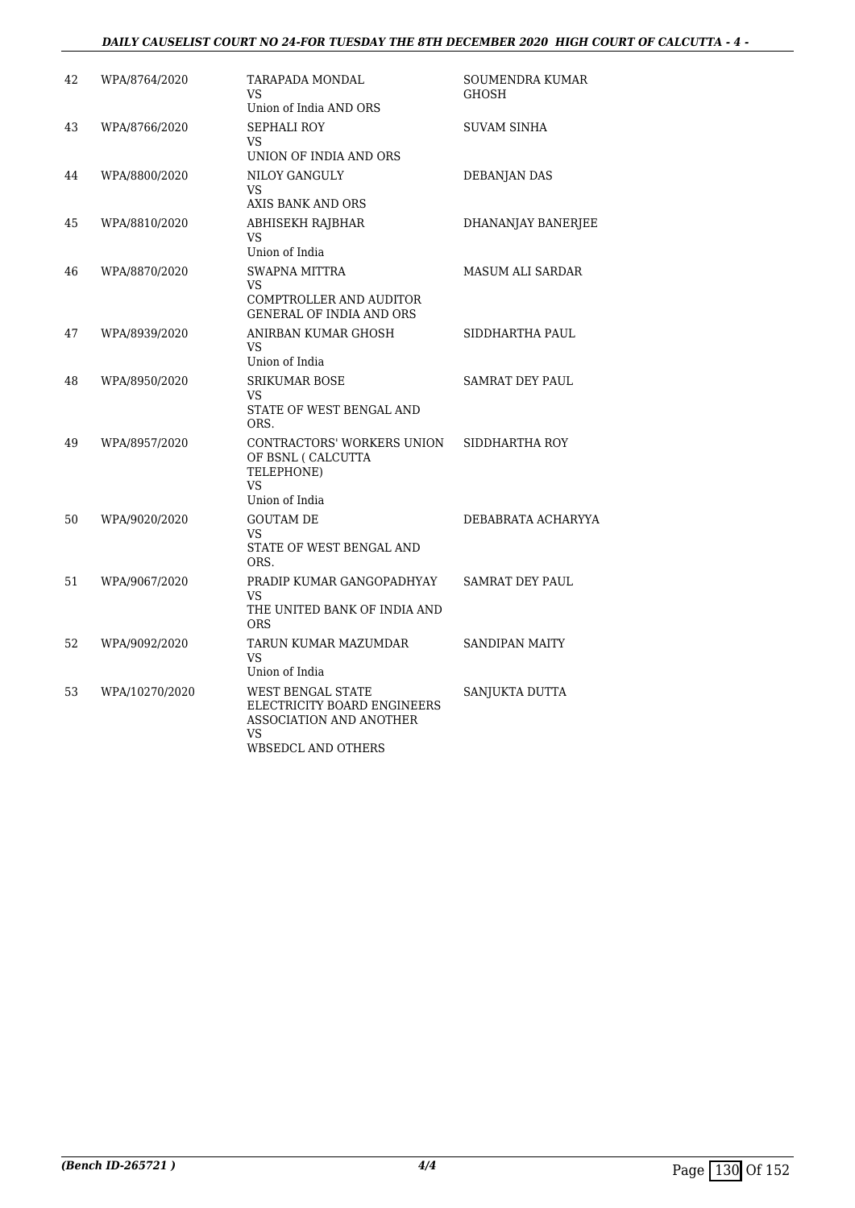#### *DAILY CAUSELIST COURT NO 24-FOR TUESDAY THE 8TH DECEMBER 2020 HIGH COURT OF CALCUTTA - 4 -*

| 42 | WPA/8764/2020  | TARAPADA MONDAL<br>VS.<br>Union of India AND ORS                                                        | SOUMENDRA KUMAR<br><b>GHOSH</b> |
|----|----------------|---------------------------------------------------------------------------------------------------------|---------------------------------|
| 43 | WPA/8766/2020  | <b>SEPHALI ROY</b><br>VS<br>UNION OF INDIA AND ORS                                                      | <b>SUVAM SINHA</b>              |
| 44 | WPA/8800/2020  | NILOY GANGULY<br>VS<br>AXIS BANK AND ORS                                                                | DEBANJAN DAS                    |
| 45 | WPA/8810/2020  | ABHISEKH RAJBHAR<br>VS<br>Union of India                                                                | DHANANJAY BANERJEE              |
| 46 | WPA/8870/2020  | <b>SWAPNA MITTRA</b><br>VS.<br>COMPTROLLER AND AUDITOR<br>GENERAL OF INDIA AND ORS                      | MASUM ALI SARDAR                |
| 47 | WPA/8939/2020  | ANIRBAN KUMAR GHOSH<br>VS<br>Union of India                                                             | SIDDHARTHA PAUL                 |
| 48 | WPA/8950/2020  | <b>SRIKUMAR BOSE</b><br>VS<br>STATE OF WEST BENGAL AND<br>ORS.                                          | <b>SAMRAT DEY PAUL</b>          |
| 49 | WPA/8957/2020  | CONTRACTORS' WORKERS UNION<br>OF BSNL ( CALCUTTA<br>TELEPHONE)<br>VS<br>Union of India                  | SIDDHARTHA ROY                  |
| 50 | WPA/9020/2020  | <b>GOUTAM DE</b><br>VS<br>STATE OF WEST BENGAL AND<br>ORS.                                              | DEBABRATA ACHARYYA              |
| 51 | WPA/9067/2020  | PRADIP KUMAR GANGOPADHYAY<br>VS<br>THE UNITED BANK OF INDIA AND<br><b>ORS</b>                           | <b>SAMRAT DEY PAUL</b>          |
| 52 | WPA/9092/2020  | TARUN KUMAR MAZUMDAR<br>VS<br>Union of India                                                            | <b>SANDIPAN MAITY</b>           |
| 53 | WPA/10270/2020 | WEST BENGAL STATE<br>ELECTRICITY BOARD ENGINEERS<br>ASSOCIATION AND ANOTHER<br>VS<br>WBSEDCL AND OTHERS | SANJUKTA DUTTA                  |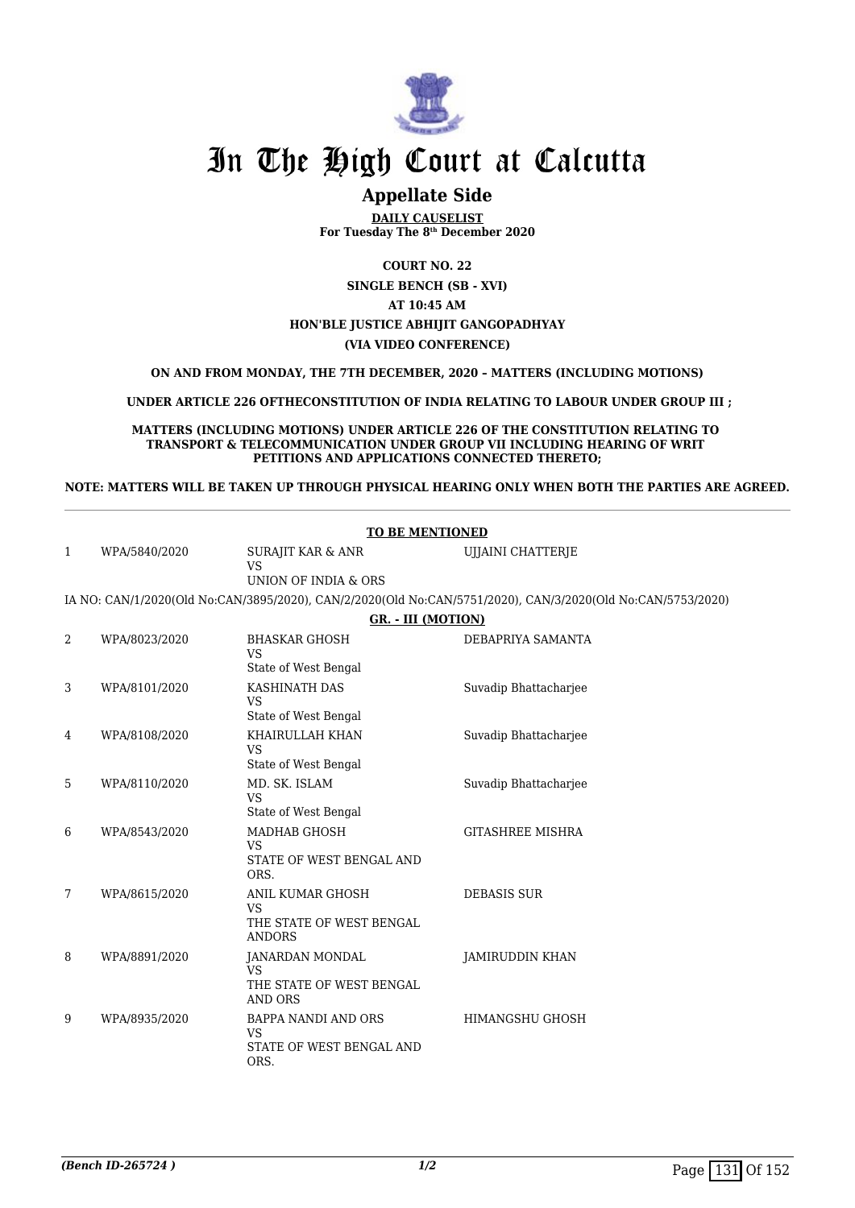

### **Appellate Side**

**DAILY CAUSELIST For Tuesday The 8th December 2020**

**COURT NO. 22**

**SINGLE BENCH (SB - XVI) AT 10:45 AM HON'BLE JUSTICE ABHIJIT GANGOPADHYAY (VIA VIDEO CONFERENCE)**

**ON AND FROM MONDAY, THE 7TH DECEMBER, 2020 – MATTERS (INCLUDING MOTIONS)**

 **UNDER ARTICLE 226 OFTHECONSTITUTION OF INDIA RELATING TO LABOUR UNDER GROUP III ;**

**MATTERS (INCLUDING MOTIONS) UNDER ARTICLE 226 OF THE CONSTITUTION RELATING TO TRANSPORT & TELECOMMUNICATION UNDER GROUP VII INCLUDING HEARING OF WRIT PETITIONS AND APPLICATIONS CONNECTED THERETO;**

**NOTE: MATTERS WILL BE TAKEN UP THROUGH PHYSICAL HEARING ONLY WHEN BOTH THE PARTIES ARE AGREED.**

|              | <b>TO BE MENTIONED</b> |                                                                             |                                                                                                             |  |
|--------------|------------------------|-----------------------------------------------------------------------------|-------------------------------------------------------------------------------------------------------------|--|
| $\mathbf{1}$ | WPA/5840/2020          | <b>SURAJIT KAR &amp; ANR</b><br><b>VS</b>                                   | UJJAINI CHATTERJE                                                                                           |  |
|              |                        | UNION OF INDIA & ORS                                                        |                                                                                                             |  |
|              |                        |                                                                             | IA NO: CAN/1/2020(Old No:CAN/3895/2020), CAN/2/2020(Old No:CAN/5751/2020), CAN/3/2020(Old No:CAN/5753/2020) |  |
|              |                        | <b>GR. - III (MOTION)</b>                                                   |                                                                                                             |  |
| 2            | WPA/8023/2020          | <b>BHASKAR GHOSH</b><br><b>VS</b>                                           | DEBAPRIYA SAMANTA                                                                                           |  |
|              |                        | State of West Bengal                                                        |                                                                                                             |  |
| 3            | WPA/8101/2020          | KASHINATH DAS<br><b>VS</b><br>State of West Bengal                          | Suvadip Bhattacharjee                                                                                       |  |
| 4            | WPA/8108/2020          | KHAIRULLAH KHAN<br><b>VS</b><br>State of West Bengal                        | Suvadip Bhattacharjee                                                                                       |  |
| 5            | WPA/8110/2020          | MD. SK. ISLAM<br><b>VS</b><br>State of West Bengal                          | Suvadip Bhattacharjee                                                                                       |  |
| 6            | WPA/8543/2020          | MADHAB GHOSH<br><b>VS</b><br>STATE OF WEST BENGAL AND<br>ORS.               | <b>GITASHREE MISHRA</b>                                                                                     |  |
| 7            | WPA/8615/2020          | ANIL KUMAR GHOSH<br><b>VS</b><br>THE STATE OF WEST BENGAL<br><b>ANDORS</b>  | <b>DEBASIS SUR</b>                                                                                          |  |
| 8            | WPA/8891/2020          | JANARDAN MONDAL<br><b>VS</b><br>THE STATE OF WEST BENGAL<br><b>AND ORS</b>  | JAMIRUDDIN KHAN                                                                                             |  |
| 9            | WPA/8935/2020          | <b>BAPPA NANDI AND ORS</b><br><b>VS</b><br>STATE OF WEST BENGAL AND<br>ORS. | <b>HIMANGSHU GHOSH</b>                                                                                      |  |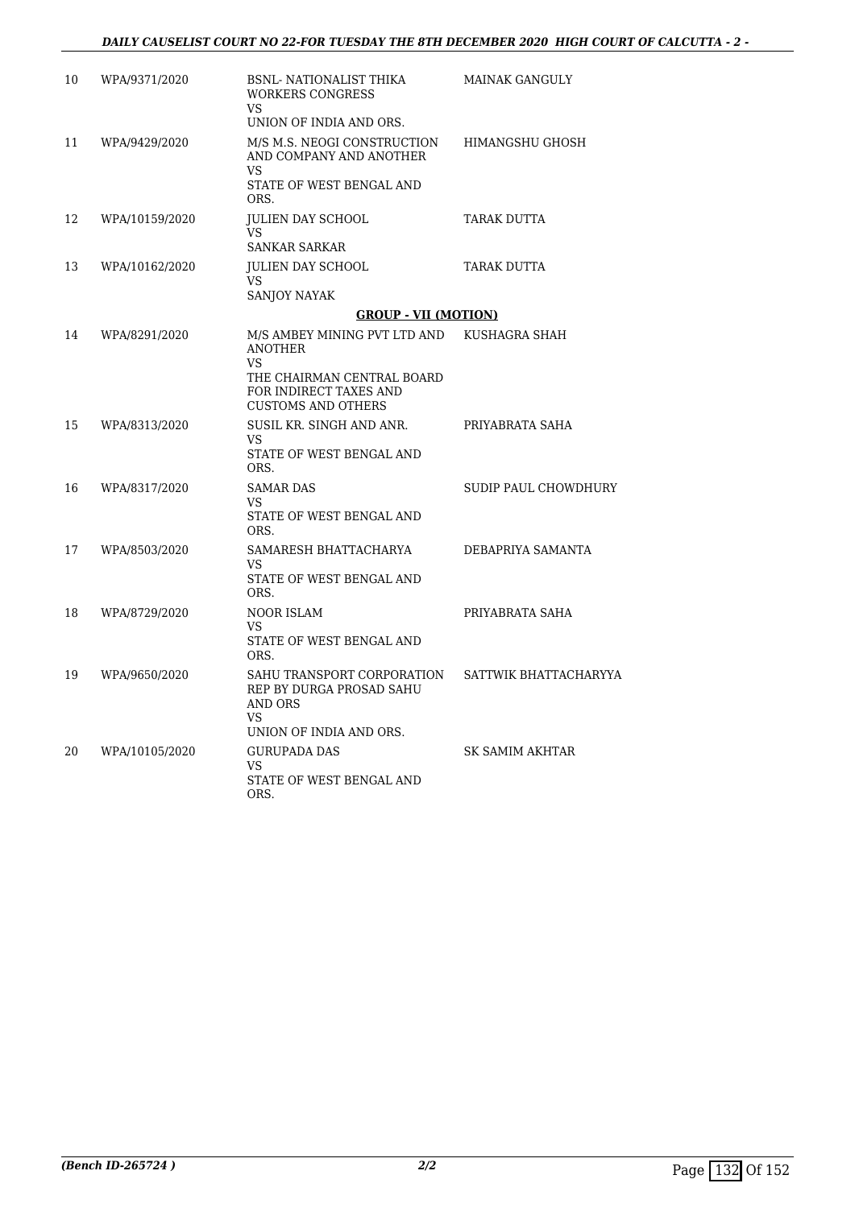| 10 | WPA/9371/2020  | <b>BSNL- NATIONALIST THIKA</b><br><b>WORKERS CONGRESS</b><br>VS.                                          | MAINAK GANGULY        |
|----|----------------|-----------------------------------------------------------------------------------------------------------|-----------------------|
|    |                | UNION OF INDIA AND ORS.                                                                                   |                       |
| 11 | WPA/9429/2020  | M/S M.S. NEOGI CONSTRUCTION<br>AND COMPANY AND ANOTHER<br><b>VS</b>                                       | HIMANGSHU GHOSH       |
|    |                | STATE OF WEST BENGAL AND<br>ORS.                                                                          |                       |
| 12 | WPA/10159/2020 | <b>JULIEN DAY SCHOOL</b><br>VS.                                                                           | TARAK DUTTA           |
|    |                | <b>SANKAR SARKAR</b>                                                                                      |                       |
| 13 | WPA/10162/2020 | <b>JULIEN DAY SCHOOL</b><br>VS.                                                                           | TARAK DUTTA           |
|    |                | SANJOY NAYAK                                                                                              |                       |
|    |                | <b>GROUP - VII (MOTION)</b>                                                                               |                       |
| 14 | WPA/8291/2020  | M/S AMBEY MINING PVT LTD AND<br>ANOTHER<br>VS.                                                            | KUSHAGRA SHAH         |
|    |                | THE CHAIRMAN CENTRAL BOARD<br>FOR INDIRECT TAXES AND<br><b>CUSTOMS AND OTHERS</b>                         |                       |
| 15 | WPA/8313/2020  | SUSIL KR. SINGH AND ANR.<br>VS<br>STATE OF WEST BENGAL AND                                                | PRIYABRATA SAHA       |
|    |                | ORS.                                                                                                      |                       |
| 16 | WPA/8317/2020  | <b>SAMAR DAS</b><br>VS.<br>STATE OF WEST BENGAL AND<br>ORS.                                               | SUDIP PAUL CHOWDHURY  |
| 17 | WPA/8503/2020  | SAMARESH BHATTACHARYA<br>VS.<br>STATE OF WEST BENGAL AND                                                  | DEBAPRIYA SAMANTA     |
|    |                | ORS.                                                                                                      |                       |
| 18 | WPA/8729/2020  | NOOR ISLAM<br>VS.<br>STATE OF WEST BENGAL AND<br>ORS.                                                     | PRIYABRATA SAHA       |
| 19 | WPA/9650/2020  | SAHU TRANSPORT CORPORATION<br>REP BY DURGA PROSAD SAHU<br>AND ORS<br><b>VS</b><br>UNION OF INDIA AND ORS. | SATTWIK BHATTACHARYYA |
| 20 | WPA/10105/2020 | <b>GURUPADA DAS</b><br>VS.<br>STATE OF WEST BENGAL AND<br>ORS.                                            | SK SAMIM AKHTAR       |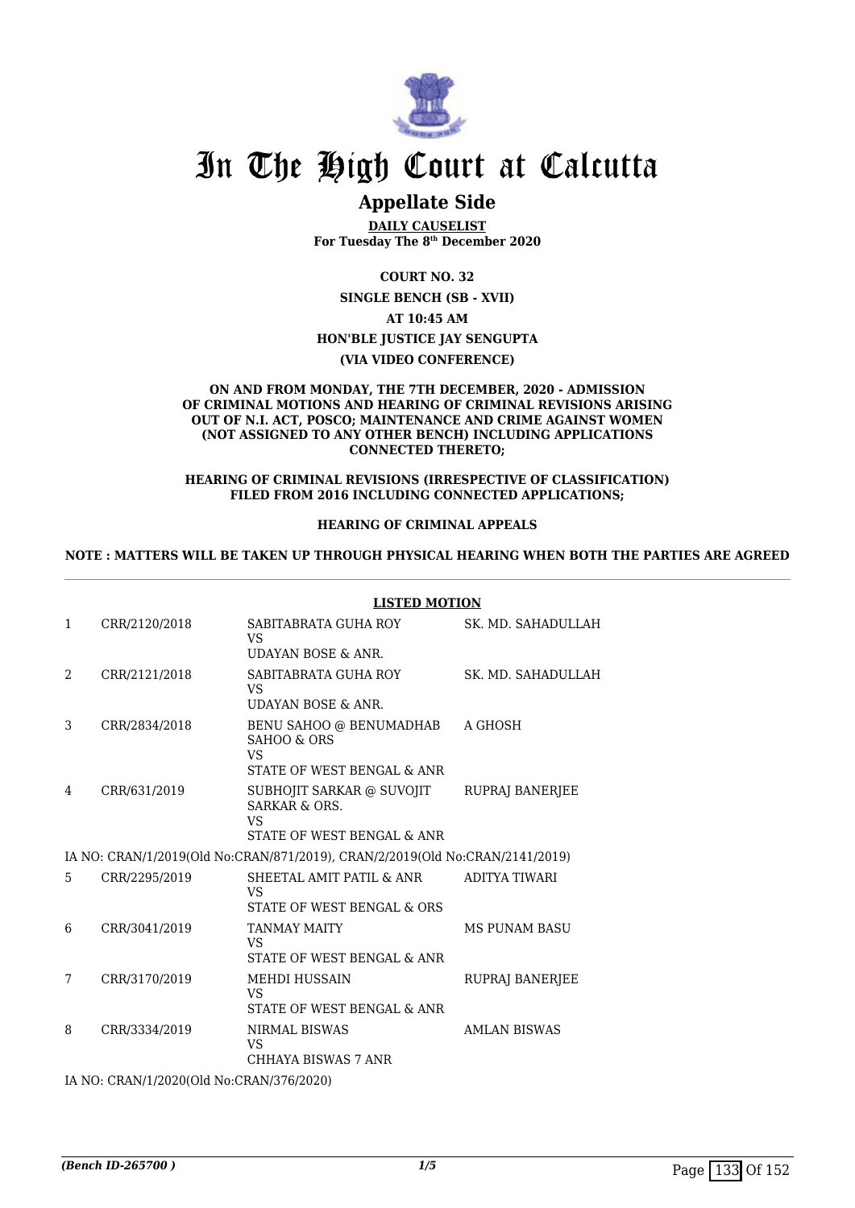

### **Appellate Side**

**DAILY CAUSELIST For Tuesday The 8th December 2020**

**COURT NO. 32**

**SINGLE BENCH (SB - XVII)**

**AT 10:45 AM**

**HON'BLE JUSTICE JAY SENGUPTA**

**(VIA VIDEO CONFERENCE)**

#### **ON AND FROM MONDAY, THE 7TH DECEMBER, 2020 - ADMISSION OF CRIMINAL MOTIONS AND HEARING OF CRIMINAL REVISIONS ARISING OUT OF N.I. ACT, POSCO; MAINTENANCE AND CRIME AGAINST WOMEN (NOT ASSIGNED TO ANY OTHER BENCH) INCLUDING APPLICATIONS CONNECTED THERETO;**

**HEARING OF CRIMINAL REVISIONS (IRRESPECTIVE OF CLASSIFICATION) FILED FROM 2016 INCLUDING CONNECTED APPLICATIONS;**

#### **HEARING OF CRIMINAL APPEALS**

#### **NOTE : MATTERS WILL BE TAKEN UP THROUGH PHYSICAL HEARING WHEN BOTH THE PARTIES ARE AGREED**

|              |                                          | <b>LISTED MOTION</b>                                                                      |                      |  |
|--------------|------------------------------------------|-------------------------------------------------------------------------------------------|----------------------|--|
| $\mathbf{1}$ | CRR/2120/2018                            | SABITABRATA GUHA ROY<br>VS                                                                | SK. MD. SAHADULLAH   |  |
|              |                                          | UDAYAN BOSE & ANR.                                                                        |                      |  |
| 2            | CRR/2121/2018                            | SABITABRATA GUHA ROY<br>VS<br>UDAYAN BOSE & ANR.                                          | SK. MD. SAHADULLAH   |  |
| 3            | CRR/2834/2018                            | BENU SAHOO @ BENUMADHAB<br>SAHOO & ORS<br>VS<br>STATE OF WEST BENGAL & ANR                | A GHOSH              |  |
| 4            | CRR/631/2019                             | SUBHOJIT SARKAR @ SUVOJIT<br><b>SARKAR &amp; ORS.</b><br>VS<br>STATE OF WEST BENGAL & ANR | RUPRAJ BANERJEE      |  |
|              |                                          | IA NO: CRAN/1/2019(Old No:CRAN/871/2019), CRAN/2/2019(Old No:CRAN/2141/2019)              |                      |  |
| 5            | CRR/2295/2019                            | SHEETAL AMIT PATIL & ANR<br>VS<br>STATE OF WEST BENGAL & ORS                              | ADITYA TIWARI        |  |
| 6            | CRR/3041/2019                            | <b>TANMAY MAITY</b><br>VS<br>STATE OF WEST BENGAL & ANR                                   | <b>MS PUNAM BASU</b> |  |
| 7            | CRR/3170/2019                            | <b>MEHDI HUSSAIN</b><br>VS<br>STATE OF WEST BENGAL & ANR                                  | RUPRAJ BANERJEE      |  |
| 8            | CRR/3334/2019                            | <b>NIRMAL BISWAS</b><br>VS<br>CHHAYA BISWAS 7 ANR                                         | <b>AMLAN BISWAS</b>  |  |
|              | IA NO: CRAN/1/2020(Old No:CRAN/376/2020) |                                                                                           |                      |  |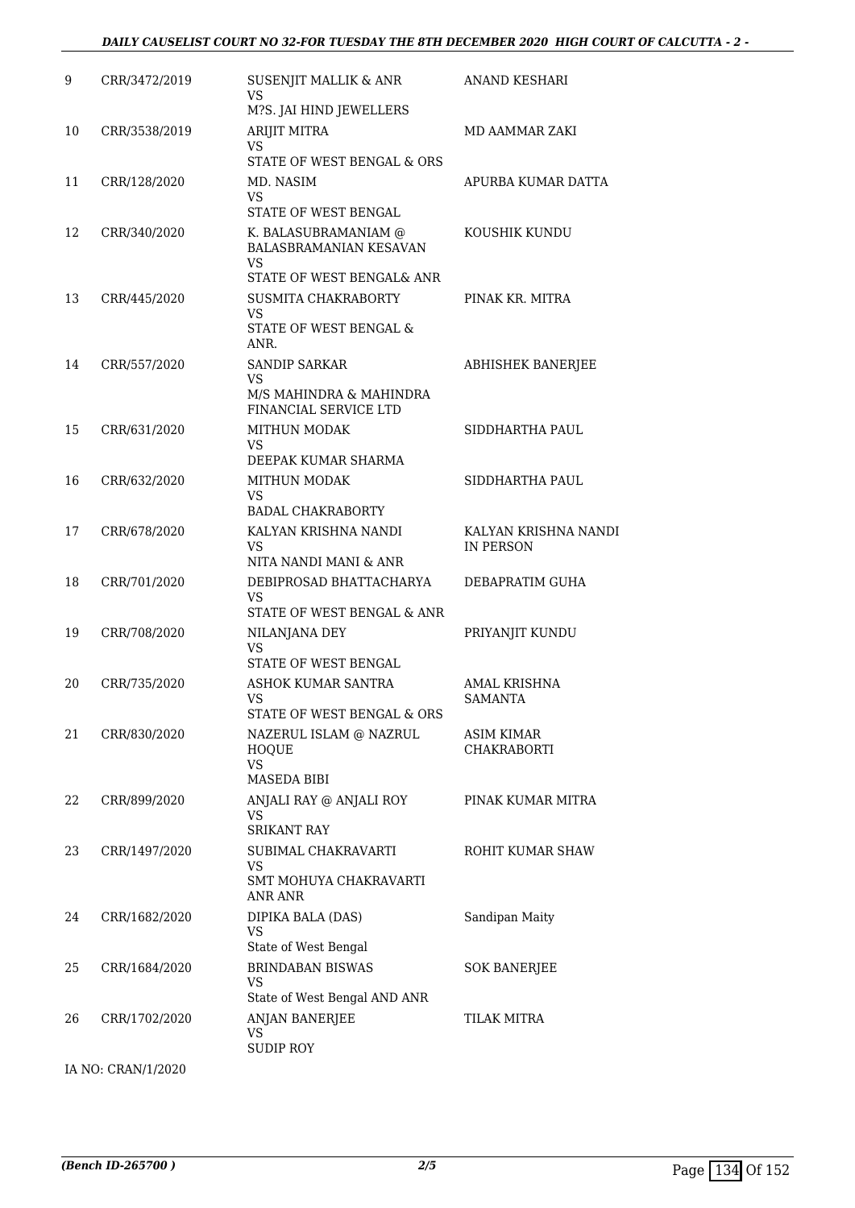#### *DAILY CAUSELIST COURT NO 32-FOR TUESDAY THE 8TH DECEMBER 2020 HIGH COURT OF CALCUTTA - 2 -*

| 9  | CRR/3472/2019      | SUSENJIT MALLIK & ANR<br>VS<br>M?S. JAI HIND JEWELLERS                                                           | ANAND KESHARI                     |
|----|--------------------|------------------------------------------------------------------------------------------------------------------|-----------------------------------|
| 10 | CRR/3538/2019      | ARIJIT MITRA<br>VS.<br>STATE OF WEST BENGAL & ORS                                                                | MD AAMMAR ZAKI                    |
| 11 | CRR/128/2020       | MD. NASIM<br>VS.                                                                                                 | APURBA KUMAR DATTA                |
| 12 | CRR/340/2020       | STATE OF WEST BENGAL<br>K. BALASUBRAMANIAM @<br><b>BALASBRAMANIAN KESAVAN</b><br>VS<br>STATE OF WEST BENGAL& ANR | KOUSHIK KUNDU                     |
| 13 | CRR/445/2020       | SUSMITA CHAKRABORTY<br>VS<br>STATE OF WEST BENGAL &<br>ANR.                                                      | PINAK KR. MITRA                   |
| 14 | CRR/557/2020       | SANDIP SARKAR<br>VS<br>M/S MAHINDRA & MAHINDRA<br><b>FINANCIAL SERVICE LTD</b>                                   | <b>ABHISHEK BANERJEE</b>          |
| 15 | CRR/631/2020       | <b>MITHUN MODAK</b><br><b>VS</b><br>DEEPAK KUMAR SHARMA                                                          | SIDDHARTHA PAUL                   |
| 16 | CRR/632/2020       | <b>MITHUN MODAK</b><br>VS<br><b>BADAL CHAKRABORTY</b>                                                            | SIDDHARTHA PAUL                   |
| 17 | CRR/678/2020       | KALYAN KRISHNA NANDI<br>VS<br>NITA NANDI MANI & ANR                                                              | KALYAN KRISHNA NANDI<br>IN PERSON |
| 18 | CRR/701/2020       | DEBIPROSAD BHATTACHARYA<br><b>VS</b><br>STATE OF WEST BENGAL & ANR                                               | DEBAPRATIM GUHA                   |
| 19 | CRR/708/2020       | NILANJANA DEY<br>VS<br>STATE OF WEST BENGAL                                                                      | PRIYANJIT KUNDU                   |
| 20 | CRR/735/2020       | ASHOK KUMAR SANTRA<br><b>VS</b><br>STATE OF WEST BENGAL & ORS                                                    | AMAL KRISHNA<br>SAMANTA           |
| 21 | CRR/830/2020       | NAZERUL ISLAM @ NAZRUL<br>HOQUE<br><b>VS</b><br><b>MASEDA BIBI</b>                                               | ASIM KIMAR<br>CHAKRABORTI         |
| 22 | CRR/899/2020       | ANJALI RAY @ ANJALI ROY<br><b>VS</b><br><b>SRIKANT RAY</b>                                                       | PINAK KUMAR MITRA                 |
| 23 | CRR/1497/2020      | SUBIMAL CHAKRAVARTI<br><b>VS</b><br>SMT MOHUYA CHAKRAVARTI<br>ANR ANR                                            | ROHIT KUMAR SHAW                  |
| 24 | CRR/1682/2020      | DIPIKA BALA (DAS)<br>VS<br>State of West Bengal                                                                  | Sandipan Maity                    |
| 25 | CRR/1684/2020      | <b>BRINDABAN BISWAS</b><br>VS<br>State of West Bengal AND ANR                                                    | <b>SOK BANERJEE</b>               |
| 26 | CRR/1702/2020      | ANJAN BANERJEE<br>VS<br><b>SUDIP ROY</b>                                                                         | TILAK MITRA                       |
|    | IA NO: CRAN/1/2020 |                                                                                                                  |                                   |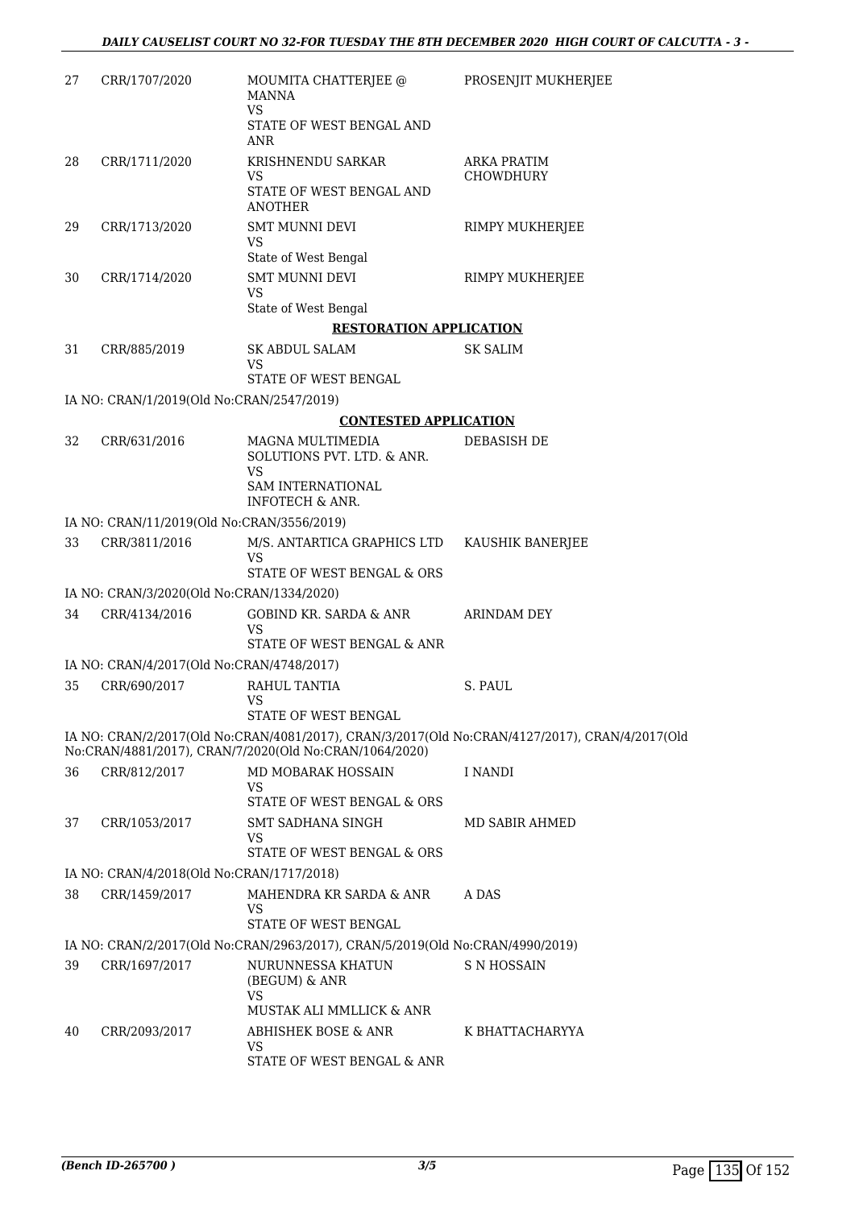| 27 | CRR/1707/2020                              | MOUMITA CHATTERJEE @<br><b>MANNA</b><br><b>VS</b>                             | PROSENJIT MUKHERJEE                                                                            |
|----|--------------------------------------------|-------------------------------------------------------------------------------|------------------------------------------------------------------------------------------------|
|    |                                            | STATE OF WEST BENGAL AND<br>ANR                                               |                                                                                                |
| 28 | CRR/1711/2020                              | KRISHNENDU SARKAR                                                             | <b>ARKA PRATIM</b>                                                                             |
|    |                                            | VS<br>STATE OF WEST BENGAL AND<br><b>ANOTHER</b>                              | <b>CHOWDHURY</b>                                                                               |
| 29 | CRR/1713/2020                              | <b>SMT MUNNI DEVI</b><br>VS                                                   | RIMPY MUKHERJEE                                                                                |
| 30 | CRR/1714/2020                              | State of West Bengal<br><b>SMT MUNNI DEVI</b><br><b>VS</b>                    | RIMPY MUKHERJEE                                                                                |
|    |                                            | State of West Bengal                                                          |                                                                                                |
|    |                                            | <b>RESTORATION APPLICATION</b>                                                |                                                                                                |
| 31 | CRR/885/2019                               | SK ABDUL SALAM<br>VS<br>STATE OF WEST BENGAL                                  | <b>SK SALIM</b>                                                                                |
|    | IA NO: CRAN/1/2019(Old No:CRAN/2547/2019)  |                                                                               |                                                                                                |
|    |                                            | <b>CONTESTED APPLICATION</b>                                                  |                                                                                                |
| 32 | CRR/631/2016                               | MAGNA MULTIMEDIA                                                              | DEBASISH DE                                                                                    |
|    |                                            | SOLUTIONS PVT. LTD. & ANR.<br><b>VS</b><br>SAM INTERNATIONAL                  |                                                                                                |
|    | IA NO: CRAN/11/2019(Old No:CRAN/3556/2019) | <b>INFOTECH &amp; ANR.</b>                                                    |                                                                                                |
| 33 | CRR/3811/2016                              | M/S. ANTARTICA GRAPHICS LTD                                                   |                                                                                                |
|    |                                            | VS<br>STATE OF WEST BENGAL & ORS                                              | KAUSHIK BANERJEE                                                                               |
|    | IA NO: CRAN/3/2020(Old No:CRAN/1334/2020)  |                                                                               |                                                                                                |
| 34 | CRR/4134/2016                              | GOBIND KR. SARDA & ANR<br>VS                                                  | ARINDAM DEY                                                                                    |
|    |                                            | STATE OF WEST BENGAL & ANR                                                    |                                                                                                |
|    | IA NO: CRAN/4/2017(Old No:CRAN/4748/2017)  |                                                                               |                                                                                                |
| 35 | CRR/690/2017                               | RAHUL TANTIA<br><b>VS</b><br>STATE OF WEST BENGAL                             | S. PAUL                                                                                        |
|    |                                            | No:CRAN/4881/2017), CRAN/7/2020(Old No:CRAN/1064/2020)                        | IA NO: CRAN/2/2017(Old No:CRAN/4081/2017), CRAN/3/2017(Old No:CRAN/4127/2017), CRAN/4/2017(Old |
| 36 | CRR/812/2017                               | MD MOBARAK HOSSAIN<br>VS<br>STATE OF WEST BENGAL & ORS                        | I NANDI                                                                                        |
| 37 | CRR/1053/2017                              | <b>SMT SADHANA SINGH</b><br><b>VS</b>                                         | MD SABIR AHMED                                                                                 |
|    |                                            | STATE OF WEST BENGAL & ORS                                                    |                                                                                                |
|    | IA NO: CRAN/4/2018(Old No:CRAN/1717/2018)  |                                                                               |                                                                                                |
| 38 | CRR/1459/2017                              | MAHENDRA KR SARDA & ANR<br>VS<br>STATE OF WEST BENGAL                         | A DAS                                                                                          |
|    |                                            | IA NO: CRAN/2/2017(Old No:CRAN/2963/2017), CRAN/5/2019(Old No:CRAN/4990/2019) |                                                                                                |
| 39 | CRR/1697/2017                              | NURUNNESSA KHATUN                                                             | S N HOSSAIN                                                                                    |
|    |                                            | (BEGUM) & ANR<br><b>VS</b>                                                    |                                                                                                |
|    |                                            | MUSTAK ALI MMLLICK & ANR                                                      |                                                                                                |
| 40 | CRR/2093/2017                              | ABHISHEK BOSE & ANR<br><b>VS</b><br>STATE OF WEST BENGAL & ANR                | K BHATTACHARYYA                                                                                |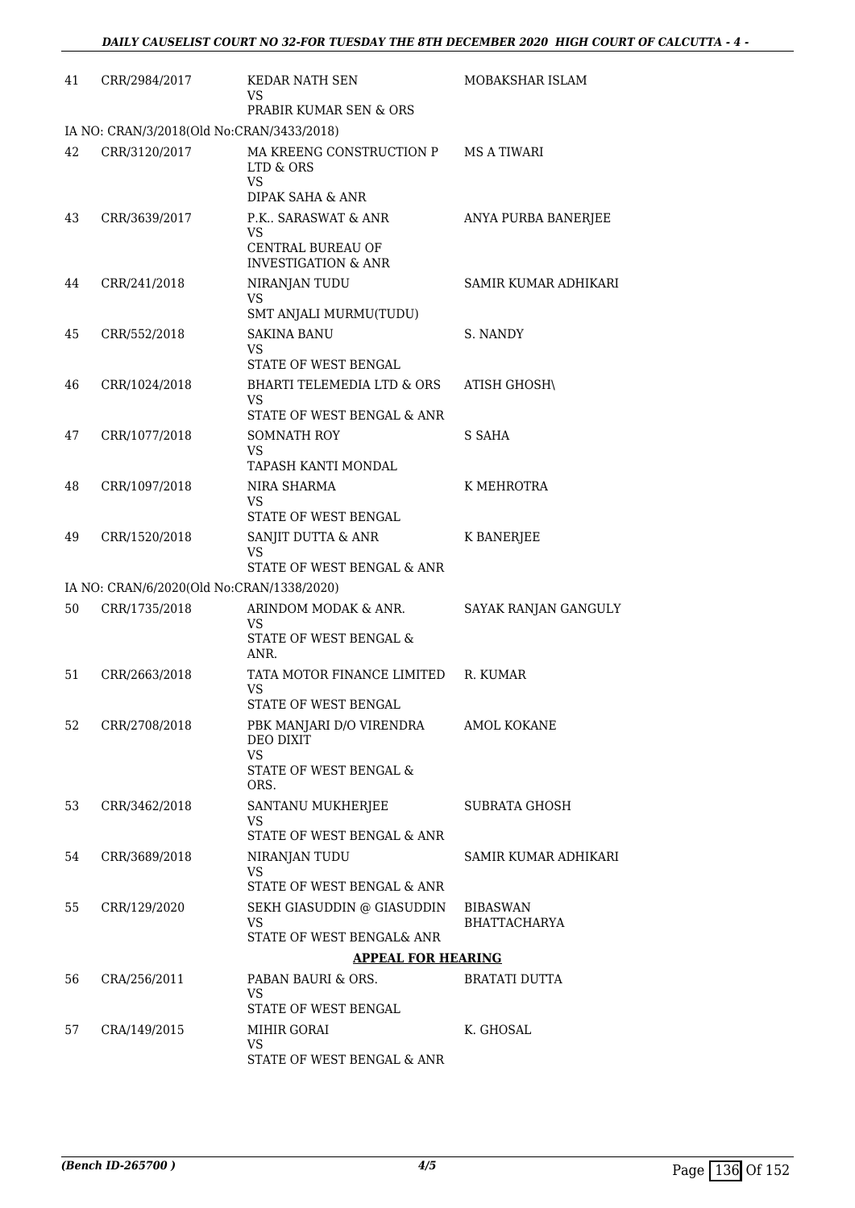| 41 | CRR/2984/2017                                              | <b>KEDAR NATH SEN</b><br>VS                                             | MOBAKSHAR ISLAM                        |
|----|------------------------------------------------------------|-------------------------------------------------------------------------|----------------------------------------|
|    |                                                            | PRABIR KUMAR SEN & ORS                                                  |                                        |
| 42 | IA NO: CRAN/3/2018(Old No:CRAN/3433/2018)<br>CRR/3120/2017 | MA KREENG CONSTRUCTION P<br>LTD & ORS<br>VS<br>DIPAK SAHA & ANR         | <b>MS A TIWARI</b>                     |
| 43 | CRR/3639/2017                                              | P.K., SARASWAT & ANR<br>VS<br>CENTRAL BUREAU OF                         | ANYA PURBA BANERJEE                    |
| 44 | CRR/241/2018                                               | <b>INVESTIGATION &amp; ANR</b><br>NIRANJAN TUDU                         | SAMIR KUMAR ADHIKARI                   |
|    |                                                            | VS<br>SMT ANJALI MURMU(TUDU)                                            |                                        |
| 45 | CRR/552/2018                                               | <b>SAKINA BANU</b><br>VS<br>STATE OF WEST BENGAL                        | S. NANDY                               |
| 46 | CRR/1024/2018                                              | BHARTI TELEMEDIA LTD & ORS<br>VS<br>STATE OF WEST BENGAL & ANR          | <b>ATISH GHOSH\</b>                    |
| 47 | CRR/1077/2018                                              | <b>SOMNATH ROY</b><br>VS<br>TAPASH KANTI MONDAL                         | S SAHA                                 |
| 48 | CRR/1097/2018                                              | <b>NIRA SHARMA</b><br>VS<br>STATE OF WEST BENGAL                        | K MEHROTRA                             |
| 49 | CRR/1520/2018                                              | SANJIT DUTTA & ANR<br>VS<br>STATE OF WEST BENGAL & ANR                  | <b>K BANERJEE</b>                      |
|    | IA NO: CRAN/6/2020(Old No:CRAN/1338/2020)                  |                                                                         |                                        |
| 50 | CRR/1735/2018                                              | ARINDOM MODAK & ANR.<br>VS<br>STATE OF WEST BENGAL &                    | SAYAK RANJAN GANGULY                   |
| 51 | CRR/2663/2018                                              | ANR.<br>TATA MOTOR FINANCE LIMITED<br><b>VS</b><br>STATE OF WEST BENGAL | R. KUMAR                               |
| 52 | CRR/2708/2018                                              | PBK MANJARI D/O VIRENDRA<br><b>DEO DIXIT</b><br><b>VS</b>               | <b>AMOL KOKANE</b>                     |
|    |                                                            | STATE OF WEST BENGAL &<br>ORS.                                          |                                        |
| 53 | CRR/3462/2018                                              | SANTANU MUKHERJEE<br>VS<br>STATE OF WEST BENGAL & ANR                   | SUBRATA GHOSH                          |
| 54 | CRR/3689/2018                                              | NIRANJAN TUDU<br>VS                                                     | SAMIR KUMAR ADHIKARI                   |
| 55 | CRR/129/2020                                               | STATE OF WEST BENGAL & ANR<br>SEKH GIASUDDIN @ GIASUDDIN<br><b>VS</b>   | <b>BIBASWAN</b><br><b>BHATTACHARYA</b> |
|    |                                                            | STATE OF WEST BENGAL& ANR                                               |                                        |
|    |                                                            | <b>APPEAL FOR HEARING</b>                                               |                                        |
| 56 | CRA/256/2011                                               | PABAN BAURI & ORS.<br>VS<br>STATE OF WEST BENGAL                        | <b>BRATATI DUTTA</b>                   |
| 57 | CRA/149/2015                                               | MIHIR GORAI                                                             | K. GHOSAL                              |
|    |                                                            | VS<br>STATE OF WEST BENGAL & ANR                                        |                                        |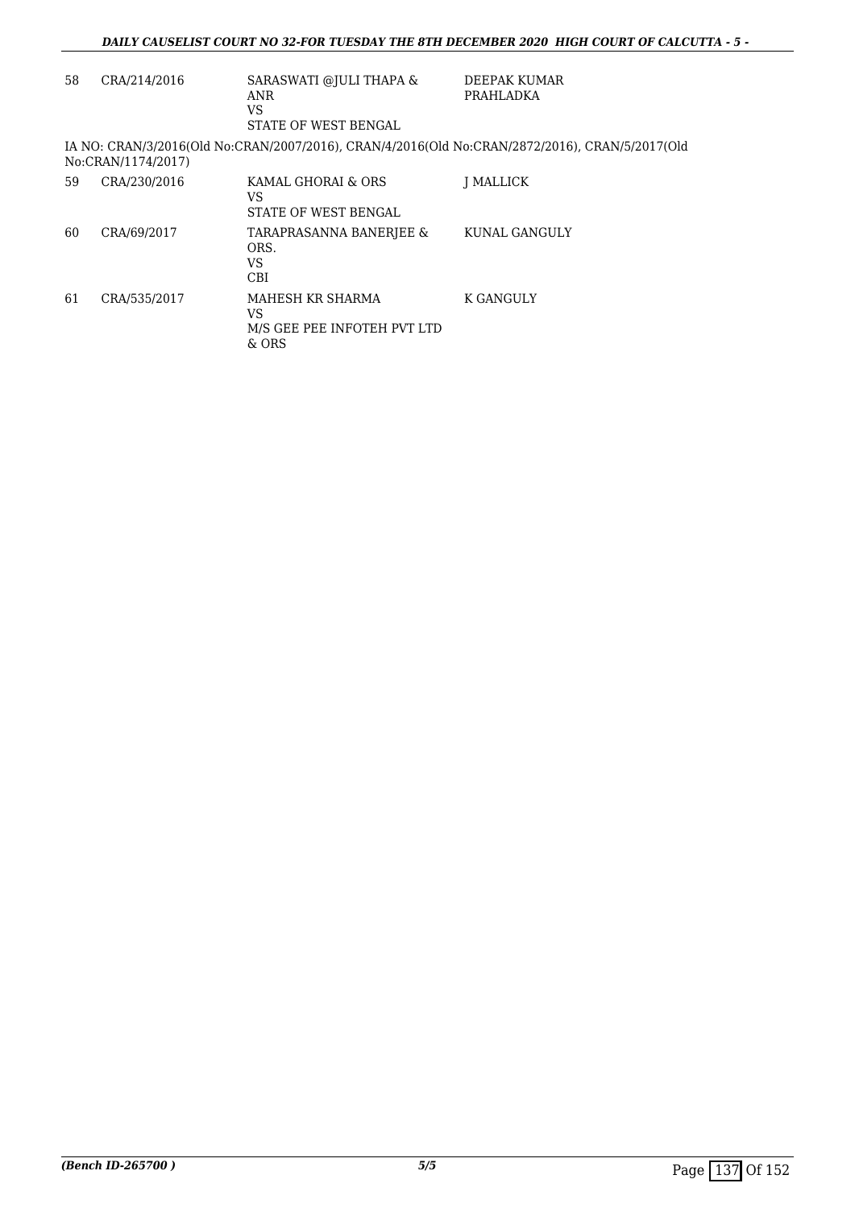| 58 | CRA/214/2016       | SARASWATI @JULI THAPA &<br>ANR<br>VS<br>STATE OF WEST BENGAL   | DEEPAK KUMAR<br>PRAHLADKA                                                                      |
|----|--------------------|----------------------------------------------------------------|------------------------------------------------------------------------------------------------|
|    | No:CRAN/1174/2017) |                                                                | IA NO: CRAN/3/2016(Old No:CRAN/2007/2016), CRAN/4/2016(Old No:CRAN/2872/2016), CRAN/5/2017(Old |
| 59 | CRA/230/2016       | KAMAL GHORAI & ORS<br>VS.<br>STATE OF WEST BENGAL              | <b>I MALLICK</b>                                                                               |
| 60 | CRA/69/2017        | TARAPRASANNA BANERJEE &<br>ORS.<br>VS.<br>CBI                  | KUNAL GANGULY                                                                                  |
| 61 | CRA/535/2017       | MAHESH KR SHARMA<br>VS<br>M/S GEE PEE INFOTEH PVT LTD<br>& ORS | K GANGULY                                                                                      |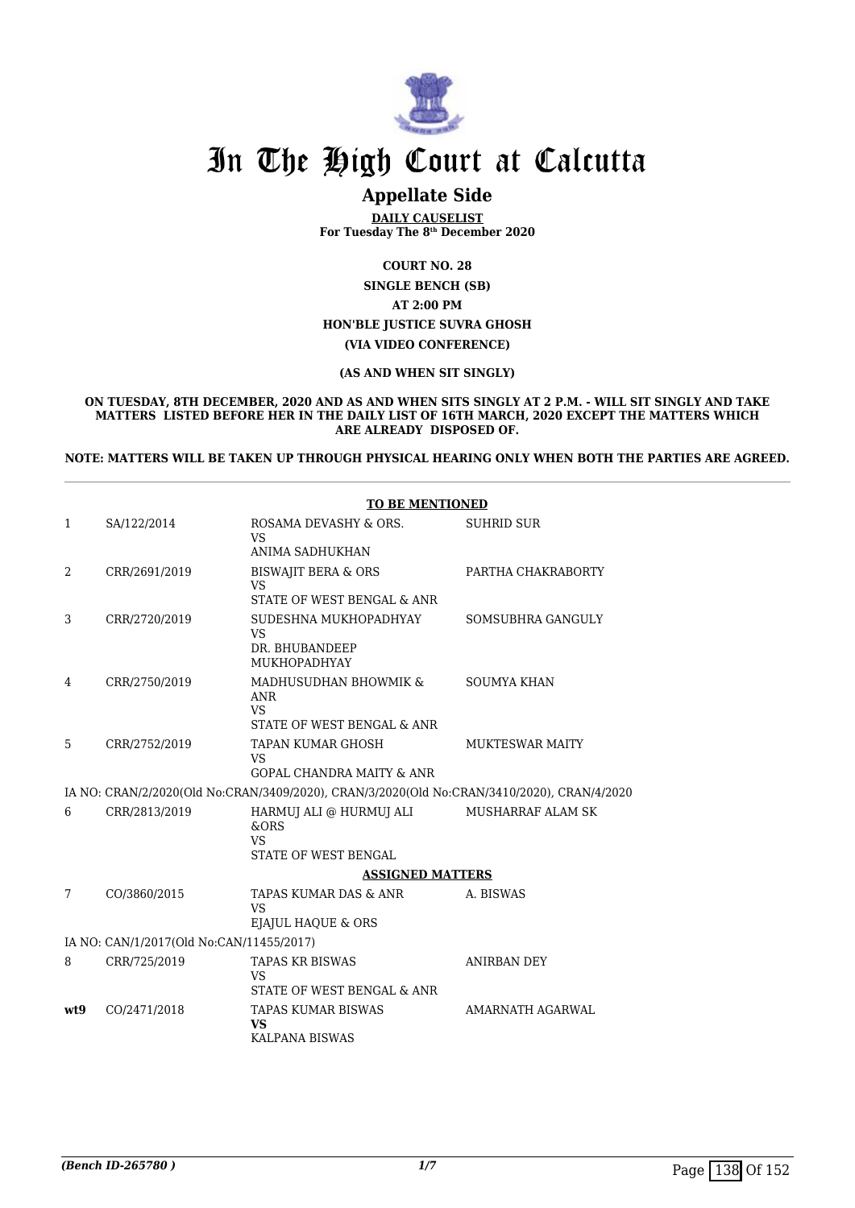

### **Appellate Side**

**DAILY CAUSELIST For Tuesday The 8th December 2020**

**COURT NO. 28**

**SINGLE BENCH (SB) AT 2:00 PM HON'BLE JUSTICE SUVRA GHOSH (VIA VIDEO CONFERENCE)**

**(AS AND WHEN SIT SINGLY)**

**ON TUESDAY, 8TH DECEMBER, 2020 AND AS AND WHEN SITS SINGLY AT 2 P.M. - WILL SIT SINGLY AND TAKE MATTERS LISTED BEFORE HER IN THE DAILY LIST OF 16TH MARCH, 2020 EXCEPT THE MATTERS WHICH ARE ALREADY DISPOSED OF.**

**NOTE: MATTERS WILL BE TAKEN UP THROUGH PHYSICAL HEARING ONLY WHEN BOTH THE PARTIES ARE AGREED.**

|                |                                          | <b>TO BE MENTIONED</b>                                                                     |                        |
|----------------|------------------------------------------|--------------------------------------------------------------------------------------------|------------------------|
| $\mathbf{1}$   | SA/122/2014                              | ROSAMA DEVASHY & ORS.<br><b>VS</b>                                                         | <b>SUHRID SUR</b>      |
|                |                                          | ANIMA SADHUKHAN                                                                            |                        |
| $\overline{2}$ | CRR/2691/2019                            | <b>BISWAJIT BERA &amp; ORS</b><br>VS<br>STATE OF WEST BENGAL & ANR                         | PARTHA CHAKRABORTY     |
| 3              | CRR/2720/2019                            | SUDESHNA MUKHOPADHYAY<br><b>VS</b><br>DR. BHUBANDEEP<br><b>MUKHOPADHYAY</b>                | SOMSUBHRA GANGULY      |
| 4              | CRR/2750/2019                            | MADHUSUDHAN BHOWMIK &<br><b>ANR</b><br>VS<br>STATE OF WEST BENGAL & ANR                    | <b>SOUMYA KHAN</b>     |
| 5              | CRR/2752/2019                            | <b>TAPAN KUMAR GHOSH</b><br>VS<br><b>GOPAL CHANDRA MAITY &amp; ANR</b>                     | <b>MUKTESWAR MAITY</b> |
|                |                                          | IA NO: CRAN/2/2020(Old No:CRAN/3409/2020), CRAN/3/2020(Old No:CRAN/3410/2020), CRAN/4/2020 |                        |
| 6              | CRR/2813/2019                            | HARMUJ ALI @ HURMUJ ALI<br>&ORS<br><b>VS</b><br>STATE OF WEST BENGAL                       | MUSHARRAF ALAM SK      |
|                |                                          | <b>ASSIGNED MATTERS</b>                                                                    |                        |
| 7              | CO/3860/2015                             | TAPAS KUMAR DAS & ANR<br><b>VS</b><br>EJAJUL HAQUE & ORS                                   | A. BISWAS              |
|                | IA NO: CAN/1/2017(Old No:CAN/11455/2017) |                                                                                            |                        |
| 8              | CRR/725/2019                             | <b>TAPAS KR BISWAS</b><br>VS<br>STATE OF WEST BENGAL & ANR                                 | ANIRBAN DEY            |
| wt9            | CO/2471/2018                             | TAPAS KUMAR BISWAS<br><b>VS</b><br>KALPANA BISWAS                                          | AMARNATH AGARWAL       |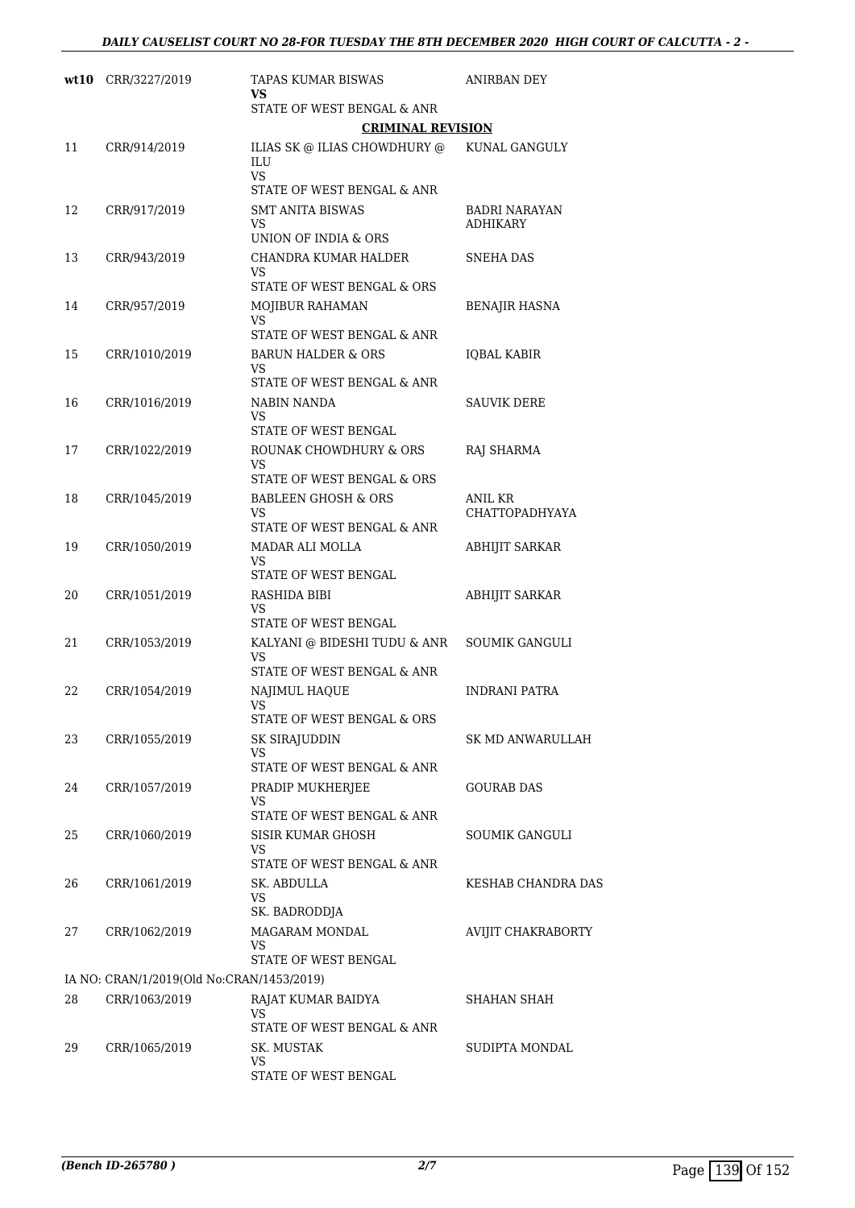|    | wt10 CRR/3227/2019                        | TAPAS KUMAR BISWAS<br>VS                                           | ANIRBAN DEY                             |
|----|-------------------------------------------|--------------------------------------------------------------------|-----------------------------------------|
|    |                                           | STATE OF WEST BENGAL & ANR                                         |                                         |
|    |                                           | <b>CRIMINAL REVISION</b>                                           |                                         |
| 11 | CRR/914/2019                              | ILIAS SK @ ILIAS CHOWDHURY @<br>ILU<br><b>VS</b>                   | KUNAL GANGULY                           |
|    |                                           | STATE OF WEST BENGAL & ANR                                         |                                         |
| 12 | CRR/917/2019                              | <b>SMT ANITA BISWAS</b><br>VS<br>UNION OF INDIA & ORS              | <b>BADRI NARAYAN</b><br><b>ADHIKARY</b> |
| 13 | CRR/943/2019                              | CHANDRA KUMAR HALDER<br>VS                                         | <b>SNEHA DAS</b>                        |
|    |                                           | STATE OF WEST BENGAL & ORS                                         |                                         |
| 14 | CRR/957/2019                              | MOJIBUR RAHAMAN<br>VS                                              | BENAJIR HASNA                           |
|    |                                           | STATE OF WEST BENGAL & ANR                                         |                                         |
| 15 | CRR/1010/2019                             | <b>BARUN HALDER &amp; ORS</b><br>VS<br>STATE OF WEST BENGAL & ANR  | <b>IOBAL KABIR</b>                      |
| 16 | CRR/1016/2019                             | NABIN NANDA<br><b>VS</b>                                           | SAUVIK DERE                             |
|    |                                           | STATE OF WEST BENGAL                                               |                                         |
| 17 | CRR/1022/2019                             | ROUNAK CHOWDHURY & ORS<br>VS                                       | RAJ SHARMA                              |
|    |                                           | STATE OF WEST BENGAL & ORS                                         |                                         |
| 18 | CRR/1045/2019                             | <b>BABLEEN GHOSH &amp; ORS</b><br>VS<br>STATE OF WEST BENGAL & ANR | ANIL KR<br><b>CHATTOPADHYAYA</b>        |
| 19 | CRR/1050/2019                             | MADAR ALI MOLLA<br>VS                                              | ABHIJIT SARKAR                          |
|    |                                           | STATE OF WEST BENGAL                                               |                                         |
| 20 | CRR/1051/2019                             | RASHIDA BIBI<br>VS<br>STATE OF WEST BENGAL                         | <b>ABHIJIT SARKAR</b>                   |
| 21 | CRR/1053/2019                             | KALYANI @ BIDESHI TUDU & ANR                                       | SOUMIK GANGULI                          |
|    |                                           | <b>VS</b><br>STATE OF WEST BENGAL & ANR                            |                                         |
| 22 | CRR/1054/2019                             | NAJIMUL HAQUE<br>VS                                                | <b>INDRANI PATRA</b>                    |
|    |                                           | STATE OF WEST BENGAL & ORS                                         |                                         |
| 23 | CRR/1055/2019                             | SK SIRAJUDDIN<br>VS<br>STATE OF WEST BENGAL & ANR                  | SK MD ANWARULLAH                        |
| 24 | CRR/1057/2019                             | PRADIP MUKHERJEE                                                   | <b>GOURAB DAS</b>                       |
|    |                                           | VS<br>STATE OF WEST BENGAL & ANR                                   |                                         |
| 25 | CRR/1060/2019                             | <b>SISIR KUMAR GHOSH</b><br>VS                                     | SOUMIK GANGULI                          |
|    |                                           | STATE OF WEST BENGAL & ANR                                         |                                         |
| 26 | CRR/1061/2019                             | SK. ABDULLA<br>VS<br>SK. BADRODDJA                                 | KESHAB CHANDRA DAS                      |
| 27 | CRR/1062/2019                             | MAGARAM MONDAL<br>VS                                               | AVIJIT CHAKRABORTY                      |
|    |                                           | STATE OF WEST BENGAL                                               |                                         |
|    | IA NO: CRAN/1/2019(Old No:CRAN/1453/2019) |                                                                    |                                         |
| 28 | CRR/1063/2019                             | RAJAT KUMAR BAIDYA<br>VS<br>STATE OF WEST BENGAL & ANR             | SHAHAN SHAH                             |
| 29 | CRR/1065/2019                             | SK. MUSTAK                                                         | SUDIPTA MONDAL                          |
|    |                                           | VS<br>STATE OF WEST BENGAL                                         |                                         |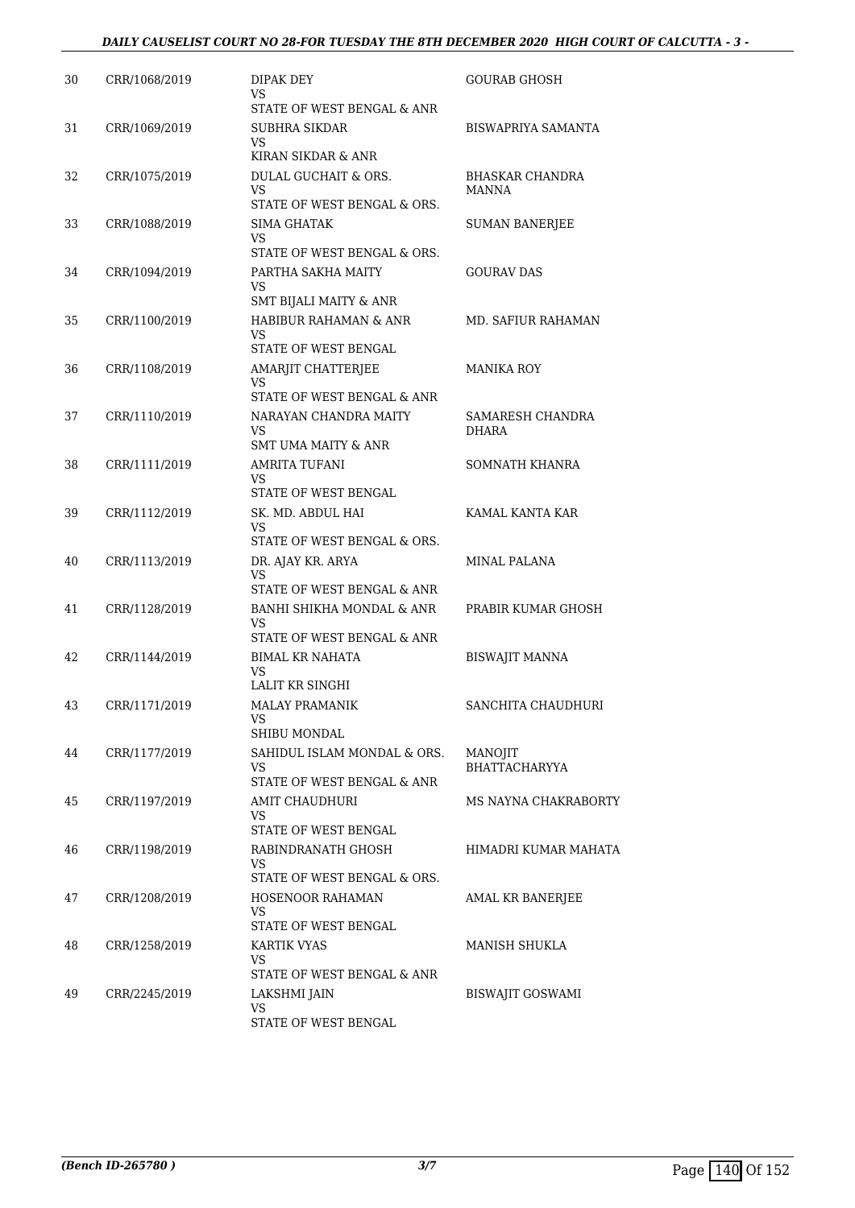#### *DAILY CAUSELIST COURT NO 28-FOR TUESDAY THE 8TH DECEMBER 2020 HIGH COURT OF CALCUTTA - 3 -*

| 30 | CRR/1068/2019 | DIPAK DEY<br>VS<br>STATE OF WEST BENGAL & ANR                   | GOURAB GHOSH                           |
|----|---------------|-----------------------------------------------------------------|----------------------------------------|
| 31 | CRR/1069/2019 | SUBHRA SIKDAR<br>VS.<br>KIRAN SIKDAR & ANR                      | BISWAPRIYA SAMANTA                     |
| 32 | CRR/1075/2019 | DULAL GUCHAIT & ORS.<br>VS<br>STATE OF WEST BENGAL & ORS.       | <b>BHASKAR CHANDRA</b><br><b>MANNA</b> |
| 33 | CRR/1088/2019 | <b>SIMA GHATAK</b><br>VS<br>STATE OF WEST BENGAL & ORS.         | <b>SUMAN BANERJEE</b>                  |
| 34 | CRR/1094/2019 | PARTHA SAKHA MAITY<br>VS<br>SMT BIJALI MAITY & ANR              | <b>GOURAV DAS</b>                      |
| 35 | CRR/1100/2019 | HABIBUR RAHAMAN & ANR<br>VS<br>STATE OF WEST BENGAL             | MD. SAFIUR RAHAMAN                     |
| 36 | CRR/1108/2019 | AMARJIT CHATTERJEE<br>VS<br>STATE OF WEST BENGAL & ANR          | MANIKA ROY                             |
| 37 | CRR/1110/2019 | NARAYAN CHANDRA MAITY<br>VS<br>SMT UMA MAITY & ANR              | SAMARESH CHANDRA<br><b>DHARA</b>       |
| 38 | CRR/1111/2019 | <b>AMRITA TUFANI</b><br>VS<br>STATE OF WEST BENGAL              | SOMNATH KHANRA                         |
| 39 | CRR/1112/2019 | SK. MD. ABDUL HAI<br>VS<br>STATE OF WEST BENGAL & ORS.          | KAMAL KANTA KAR                        |
| 40 | CRR/1113/2019 | DR. AJAY KR. ARYA<br>VS<br>STATE OF WEST BENGAL & ANR           | MINAL PALANA                           |
| 41 | CRR/1128/2019 | BANHI SHIKHA MONDAL & ANR<br>VS<br>STATE OF WEST BENGAL & ANR   | PRABIR KUMAR GHOSH                     |
| 42 | CRR/1144/2019 | BIMAL KR NAHATA<br>VS<br>LALIT KR SINGHI                        | <b>BISWAJIT MANNA</b>                  |
| 43 | CRR/1171/2019 | MALAY PRAMANIK<br>VS<br>SHIBU MONDAL                            | SANCHITA CHAUDHURI                     |
| 44 | CRR/1177/2019 | SAHIDUL ISLAM MONDAL & ORS.<br>VS<br>STATE OF WEST BENGAL & ANR | MANOJIT<br><b>BHATTACHARYYA</b>        |
| 45 | CRR/1197/2019 | AMIT CHAUDHURI<br>VS<br>STATE OF WEST BENGAL                    | MS NAYNA CHAKRABORTY                   |
| 46 | CRR/1198/2019 | RABINDRANATH GHOSH<br>VS<br>STATE OF WEST BENGAL & ORS.         | HIMADRI KUMAR MAHATA                   |
| 47 | CRR/1208/2019 | HOSENOOR RAHAMAN<br>VS<br>STATE OF WEST BENGAL                  | AMAL KR BANERJEE                       |
| 48 | CRR/1258/2019 | KARTIK VYAS<br>VS<br>STATE OF WEST BENGAL & ANR                 | MANISH SHUKLA                          |
| 49 | CRR/2245/2019 | LAKSHMI JAIN<br>VS<br>STATE OF WEST BENGAL                      | BISWAJIT GOSWAMI                       |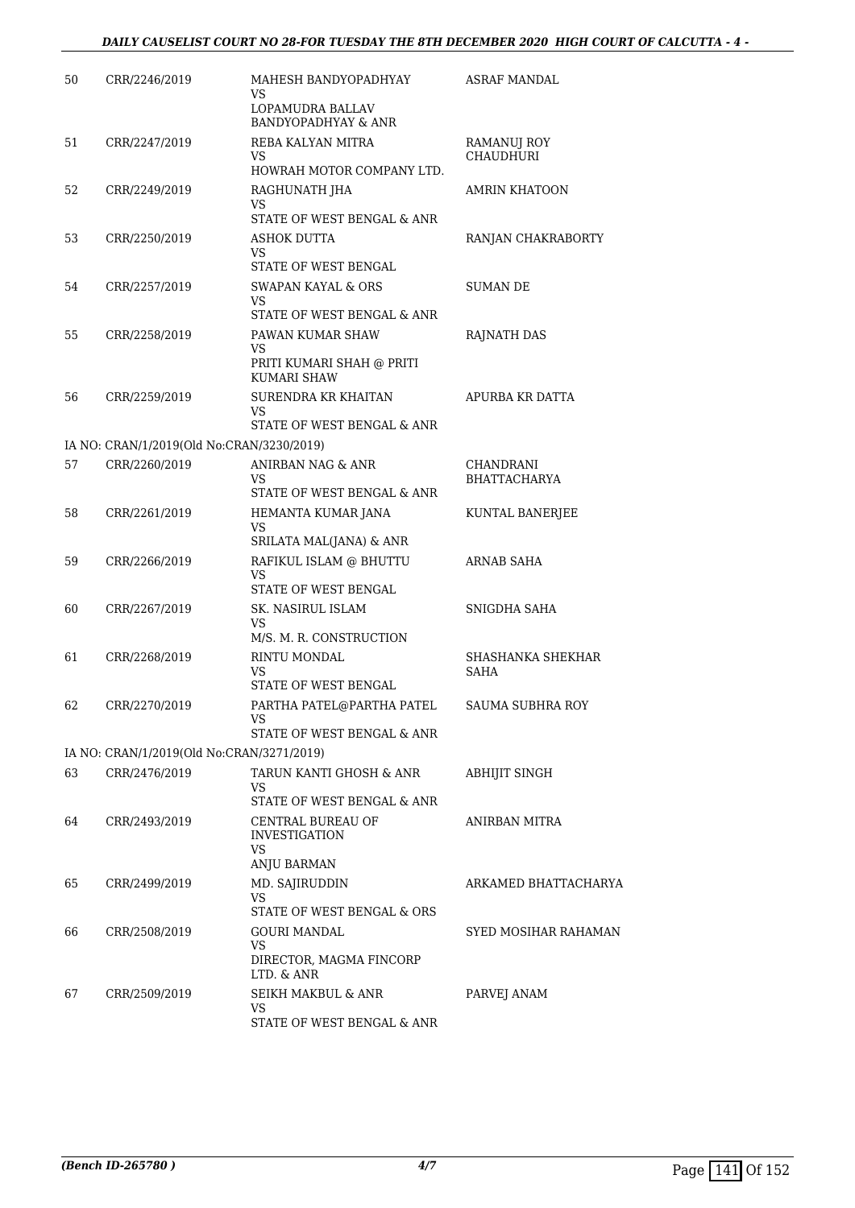| 50 | CRR/2246/2019                             | MAHESH BANDYOPADHYAY<br>VS<br>LOPAMUDRA BALLAV                    | <b>ASRAF MANDAL</b>              |
|----|-------------------------------------------|-------------------------------------------------------------------|----------------------------------|
| 51 | CRR/2247/2019                             | <b>BANDYOPADHYAY &amp; ANR</b><br>REBA KALYAN MITRA<br>VS         | RAMANUJ ROY<br><b>CHAUDHURI</b>  |
|    |                                           | HOWRAH MOTOR COMPANY LTD.                                         |                                  |
| 52 | CRR/2249/2019                             | RAGHUNATH JHA<br>VS                                               | AMRIN KHATOON                    |
|    |                                           | STATE OF WEST BENGAL & ANR                                        |                                  |
| 53 | CRR/2250/2019                             | ASHOK DUTTA<br>VS                                                 | RANJAN CHAKRABORTY               |
|    |                                           | STATE OF WEST BENGAL                                              |                                  |
| 54 | CRR/2257/2019                             | <b>SWAPAN KAYAL &amp; ORS</b><br>VS<br>STATE OF WEST BENGAL & ANR | SUMAN DE                         |
| 55 | CRR/2258/2019                             | PAWAN KUMAR SHAW                                                  | RAJNATH DAS                      |
|    |                                           | VS<br>PRITI KUMARI SHAH @ PRITI<br>KUMARI SHAW                    |                                  |
| 56 | CRR/2259/2019                             | SURENDRA KR KHAITAN                                               | APURBA KR DATTA                  |
|    |                                           | VS<br>STATE OF WEST BENGAL & ANR                                  |                                  |
|    | IA NO: CRAN/1/2019(Old No:CRAN/3230/2019) |                                                                   |                                  |
| 57 | CRR/2260/2019                             | ANIRBAN NAG & ANR<br>VS<br>STATE OF WEST BENGAL & ANR             | CHANDRANI<br><b>BHATTACHARYA</b> |
| 58 | CRR/2261/2019                             | HEMANTA KUMAR JANA                                                | KUNTAL BANERJEE                  |
|    |                                           | VS<br>SRILATA MAL(JANA) & ANR                                     |                                  |
| 59 | CRR/2266/2019                             | RAFIKUL ISLAM @ BHUTTU<br>VS                                      | <b>ARNAB SAHA</b>                |
|    |                                           | STATE OF WEST BENGAL                                              |                                  |
| 60 | CRR/2267/2019                             | SK. NASIRUL ISLAM<br>VS<br>M/S. M. R. CONSTRUCTION                | SNIGDHA SAHA                     |
| 61 | CRR/2268/2019                             | RINTU MONDAL                                                      | SHASHANKA SHEKHAR                |
|    |                                           | VS<br>STATE OF WEST BENGAL                                        | SAHA                             |
| 62 | CRR/2270/2019                             | PARTHA PATEL@PARTHA PATEL<br>VS<br>STATE OF WEST BENGAL & ANR     | <b>SAUMA SUBHRA ROY</b>          |
|    | IA NO: CRAN/1/2019(Old No:CRAN/3271/2019) |                                                                   |                                  |
| 63 | CRR/2476/2019                             | TARUN KANTI GHOSH & ANR<br>VS                                     | <b>ABHIJIT SINGH</b>             |
|    |                                           | STATE OF WEST BENGAL & ANR                                        |                                  |
| 64 | CRR/2493/2019                             | CENTRAL BUREAU OF<br><b>INVESTIGATION</b><br>VS                   | ANIRBAN MITRA                    |
|    |                                           | ANJU BARMAN                                                       |                                  |
| 65 | CRR/2499/2019                             | MD. SAJIRUDDIN<br>VS                                              | ARKAMED BHATTACHARYA             |
|    |                                           | STATE OF WEST BENGAL & ORS                                        |                                  |
| 66 | CRR/2508/2019                             | <b>GOURI MANDAL</b><br>VS                                         | SYED MOSIHAR RAHAMAN             |
|    |                                           | DIRECTOR, MAGMA FINCORP<br>LTD. & ANR                             |                                  |
| 67 | CRR/2509/2019                             | SEIKH MAKBUL & ANR<br>VS                                          | PARVEJ ANAM                      |
|    |                                           | STATE OF WEST BENGAL & ANR                                        |                                  |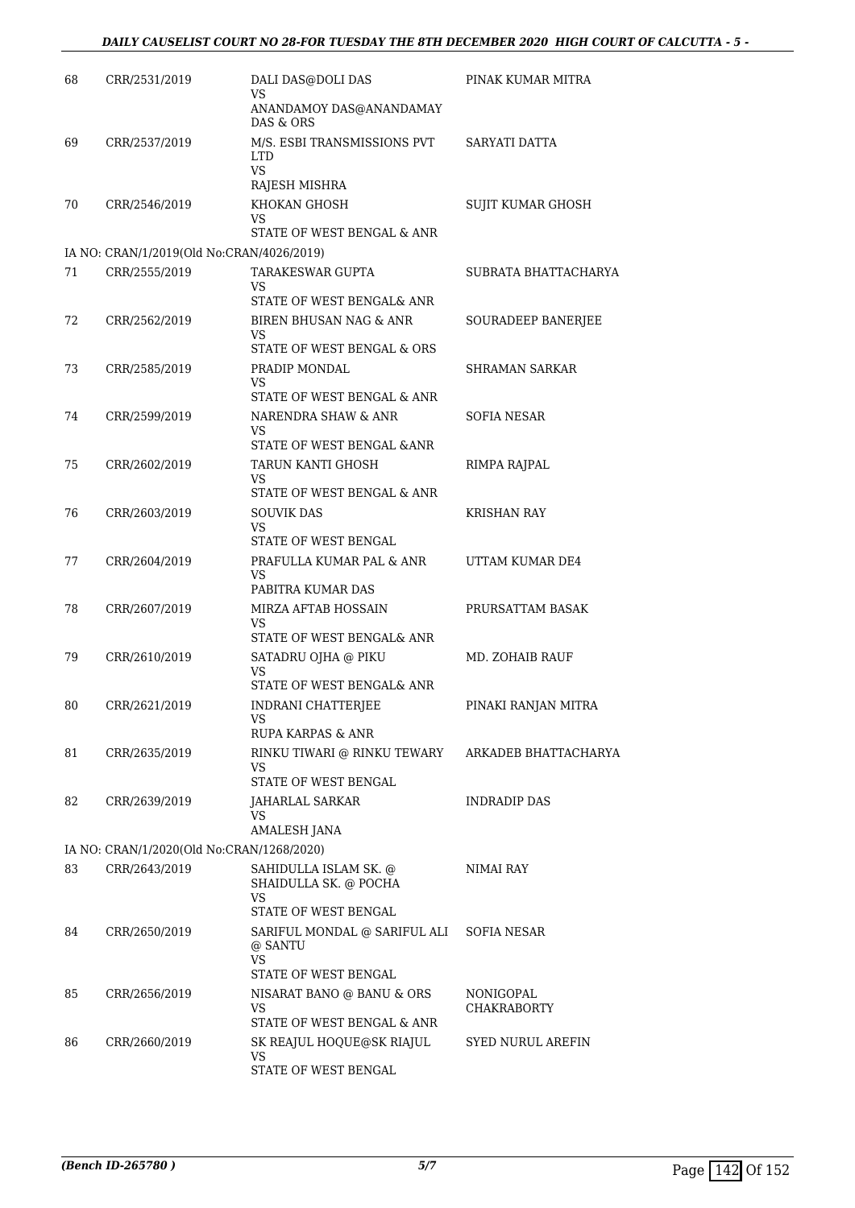| 68 | CRR/2531/2019                             | DALI DAS@DOLI DAS<br>VS                                                                 | PINAK KUMAR MITRA               |
|----|-------------------------------------------|-----------------------------------------------------------------------------------------|---------------------------------|
|    |                                           | ANANDAMOY DAS@ANANDAMAY<br>DAS & ORS                                                    |                                 |
| 69 | CRR/2537/2019                             | M/S. ESBI TRANSMISSIONS PVT<br><b>LTD</b><br><b>VS</b>                                  | SARYATI DATTA                   |
|    |                                           | RAJESH MISHRA                                                                           |                                 |
| 70 | CRR/2546/2019                             | KHOKAN GHOSH<br>VS<br>STATE OF WEST BENGAL & ANR                                        | SUJIT KUMAR GHOSH               |
|    | IA NO: CRAN/1/2019(Old No:CRAN/4026/2019) |                                                                                         |                                 |
| 71 | CRR/2555/2019                             | <b>TARAKESWAR GUPTA</b><br>VS                                                           | SUBRATA BHATTACHARYA            |
| 72 | CRR/2562/2019                             | STATE OF WEST BENGAL& ANR<br>BIREN BHUSAN NAG & ANR<br>VS<br>STATE OF WEST BENGAL & ORS | SOURADEEP BANERJEE              |
| 73 | CRR/2585/2019                             | PRADIP MONDAL<br>VS                                                                     | <b>SHRAMAN SARKAR</b>           |
| 74 | CRR/2599/2019                             | STATE OF WEST BENGAL & ANR<br>NARENDRA SHAW & ANR<br>VS<br>STATE OF WEST BENGAL & ANR   | <b>SOFIA NESAR</b>              |
| 75 | CRR/2602/2019                             | TARUN KANTI GHOSH<br>VS<br>STATE OF WEST BENGAL & ANR                                   | RIMPA RAJPAL                    |
| 76 | CRR/2603/2019                             | <b>SOUVIK DAS</b><br>VS<br>STATE OF WEST BENGAL                                         | KRISHAN RAY                     |
| 77 | CRR/2604/2019                             | PRAFULLA KUMAR PAL & ANR<br>VS<br>PABITRA KUMAR DAS                                     | UTTAM KUMAR DE4                 |
| 78 | CRR/2607/2019                             | MIRZA AFTAB HOSSAIN<br>VS<br>STATE OF WEST BENGAL& ANR                                  | PRURSATTAM BASAK                |
| 79 | CRR/2610/2019                             | SATADRU OJHA @ PIKU<br>VS<br>STATE OF WEST BENGAL& ANR                                  | MD. ZOHAIB RAUF                 |
| 80 | CRR/2621/2019                             | <b>INDRANI CHATTERJEE</b><br>VS                                                         | PINAKI RANJAN MITRA             |
| 81 | CRR/2635/2019                             | RUPA KARPAS & ANR<br>RINKU TIWARI @ RINKU TEWARY<br>VS<br>STATE OF WEST BENGAL          | ARKADEB BHATTACHARYA            |
| 82 | CRR/2639/2019                             | <b>JAHARLAL SARKAR</b><br>VS.<br>AMALESH JANA                                           | <b>INDRADIP DAS</b>             |
|    | IA NO: CRAN/1/2020(Old No:CRAN/1268/2020) |                                                                                         |                                 |
| 83 | CRR/2643/2019                             | SAHIDULLA ISLAM SK. @<br>SHAIDULLA SK. @ POCHA<br>VS<br>STATE OF WEST BENGAL            | NIMAI RAY                       |
| 84 | CRR/2650/2019                             | SARIFUL MONDAL @ SARIFUL ALI<br>@ SANTU<br>VS                                           | SOFIA NESAR                     |
| 85 | CRR/2656/2019                             | STATE OF WEST BENGAL<br>NISARAT BANO @ BANU & ORS<br>VS<br>STATE OF WEST BENGAL & ANR   | NONIGOPAL<br><b>CHAKRABORTY</b> |
| 86 | CRR/2660/2019                             | SK REAJUL HOQUE@SK RIAJUL<br>VS<br>STATE OF WEST BENGAL                                 | <b>SYED NURUL AREFIN</b>        |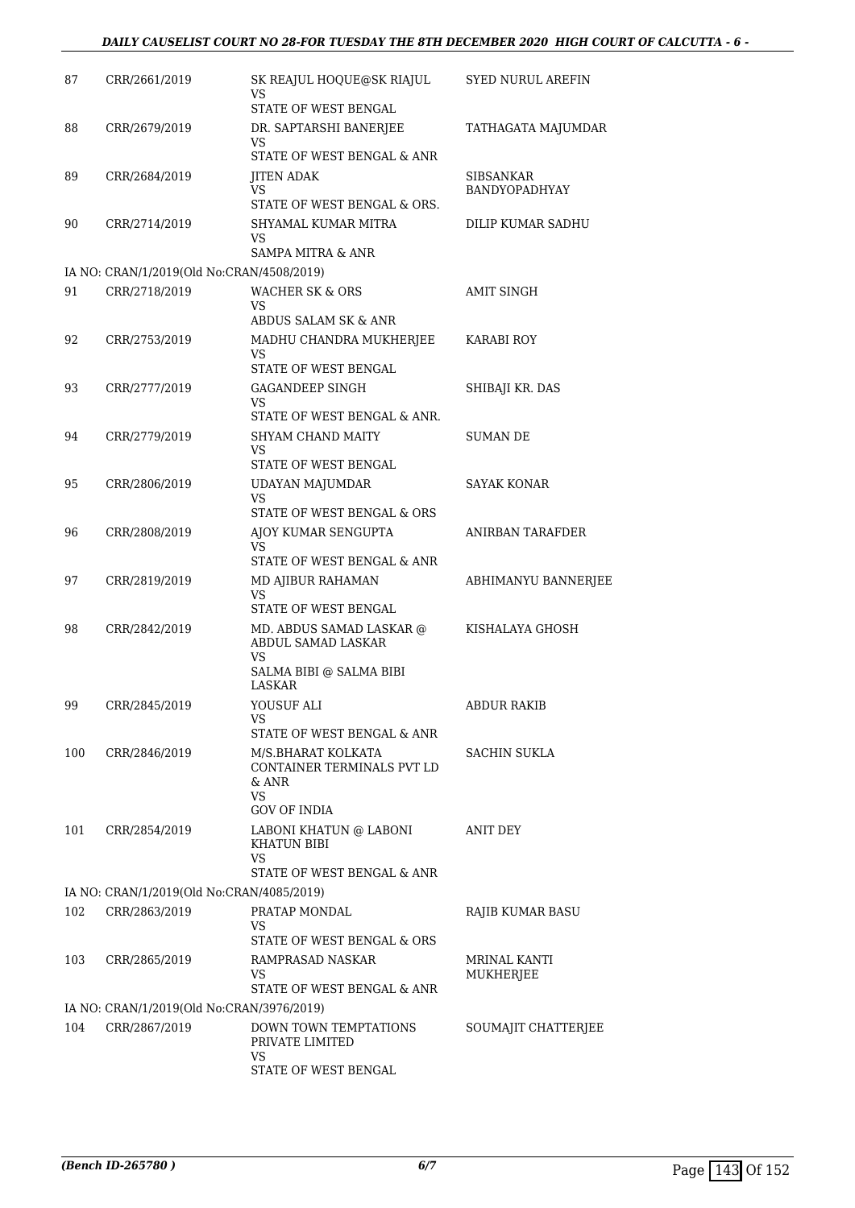#### *DAILY CAUSELIST COURT NO 28-FOR TUESDAY THE 8TH DECEMBER 2020 HIGH COURT OF CALCUTTA - 6 -*

| 87  | CRR/2661/2019                             | SK REAJUL HOQUE@SK RIAJUL<br>VS                        | <b>SYED NURUL AREFIN</b> |
|-----|-------------------------------------------|--------------------------------------------------------|--------------------------|
| 88  | CRR/2679/2019                             | STATE OF WEST BENGAL<br>DR. SAPTARSHI BANERJEE         | TATHAGATA MAJUMDAR       |
|     |                                           | VS<br>STATE OF WEST BENGAL & ANR                       |                          |
| 89  | CRR/2684/2019                             | <b>JITEN ADAK</b>                                      | SIBSANKAR                |
|     |                                           | VS<br>STATE OF WEST BENGAL & ORS.                      | <b>BANDYOPADHYAY</b>     |
| 90  | CRR/2714/2019                             | SHYAMAL KUMAR MITRA                                    | DILIP KUMAR SADHU        |
|     |                                           | VS                                                     |                          |
|     | IA NO: CRAN/1/2019(Old No:CRAN/4508/2019) | SAMPA MITRA & ANR                                      |                          |
| 91  | CRR/2718/2019                             | <b>WACHER SK &amp; ORS</b>                             | AMIT SINGH               |
|     |                                           | VS<br>ABDUS SALAM SK & ANR                             |                          |
| 92  | CRR/2753/2019                             | MADHU CHANDRA MUKHERJEE                                | KARABI ROY               |
|     |                                           | VS<br>STATE OF WEST BENGAL                             |                          |
| 93  | CRR/2777/2019                             | GAGANDEEP SINGH                                        | SHIBAJI KR. DAS          |
|     |                                           | VS<br>STATE OF WEST BENGAL & ANR.                      |                          |
| 94  | CRR/2779/2019                             | SHYAM CHAND MAITY                                      | SUMAN DE                 |
|     |                                           | VS                                                     |                          |
|     |                                           | STATE OF WEST BENGAL                                   |                          |
| 95  | CRR/2806/2019                             | UDAYAN MAJUMDAR<br><b>VS</b>                           | SAYAK KONAR              |
|     |                                           | STATE OF WEST BENGAL & ORS                             |                          |
| 96  | CRR/2808/2019                             | AJOY KUMAR SENGUPTA<br>VS                              | ANIRBAN TARAFDER         |
|     |                                           | STATE OF WEST BENGAL & ANR                             |                          |
| 97  | CRR/2819/2019                             | <b>MD AJIBUR RAHAMAN</b><br>VS<br>STATE OF WEST BENGAL | ABHIMANYU BANNERJEE      |
| 98  | CRR/2842/2019                             | MD. ABDUS SAMAD LASKAR @<br>ABDUL SAMAD LASKAR         | KISHALAYA GHOSH          |
|     |                                           | VS<br>SALMA BIBI @ SALMA BIBI<br><b>LASKAR</b>         |                          |
| 99  | CRR/2845/2019                             | YOUSUF ALI                                             | ABDUR RAKIB              |
|     |                                           | VS                                                     |                          |
| 100 | CRR/2846/2019                             | STATE OF WEST BENGAL & ANR<br>M/S.BHARAT KOLKATA       | SACHIN SUKLA             |
|     |                                           | CONTAINER TERMINALS PVT LD                             |                          |
|     |                                           | & ANR<br>VS.                                           |                          |
|     |                                           | <b>GOV OF INDIA</b>                                    |                          |
| 101 | CRR/2854/2019                             | LABONI KHATUN @ LABONI<br>KHATUN BIBI<br>VS            | ANIT DEY                 |
|     |                                           | STATE OF WEST BENGAL & ANR                             |                          |
|     | IA NO: CRAN/1/2019(Old No:CRAN/4085/2019) |                                                        |                          |
| 102 | CRR/2863/2019                             | PRATAP MONDAL<br>VS                                    | RAJIB KUMAR BASU         |
|     |                                           | STATE OF WEST BENGAL & ORS                             |                          |
| 103 | CRR/2865/2019                             | RAMPRASAD NASKAR<br>VS.                                | MRINAL KANTI             |
|     |                                           | STATE OF WEST BENGAL & ANR                             | MUKHERJEE                |
|     | IA NO: CRAN/1/2019(Old No:CRAN/3976/2019) |                                                        |                          |
| 104 | CRR/2867/2019                             | DOWN TOWN TEMPTATIONS<br>PRIVATE LIMITED<br>VS         | SOUMAJIT CHATTERJEE      |
|     |                                           | STATE OF WEST BENGAL                                   |                          |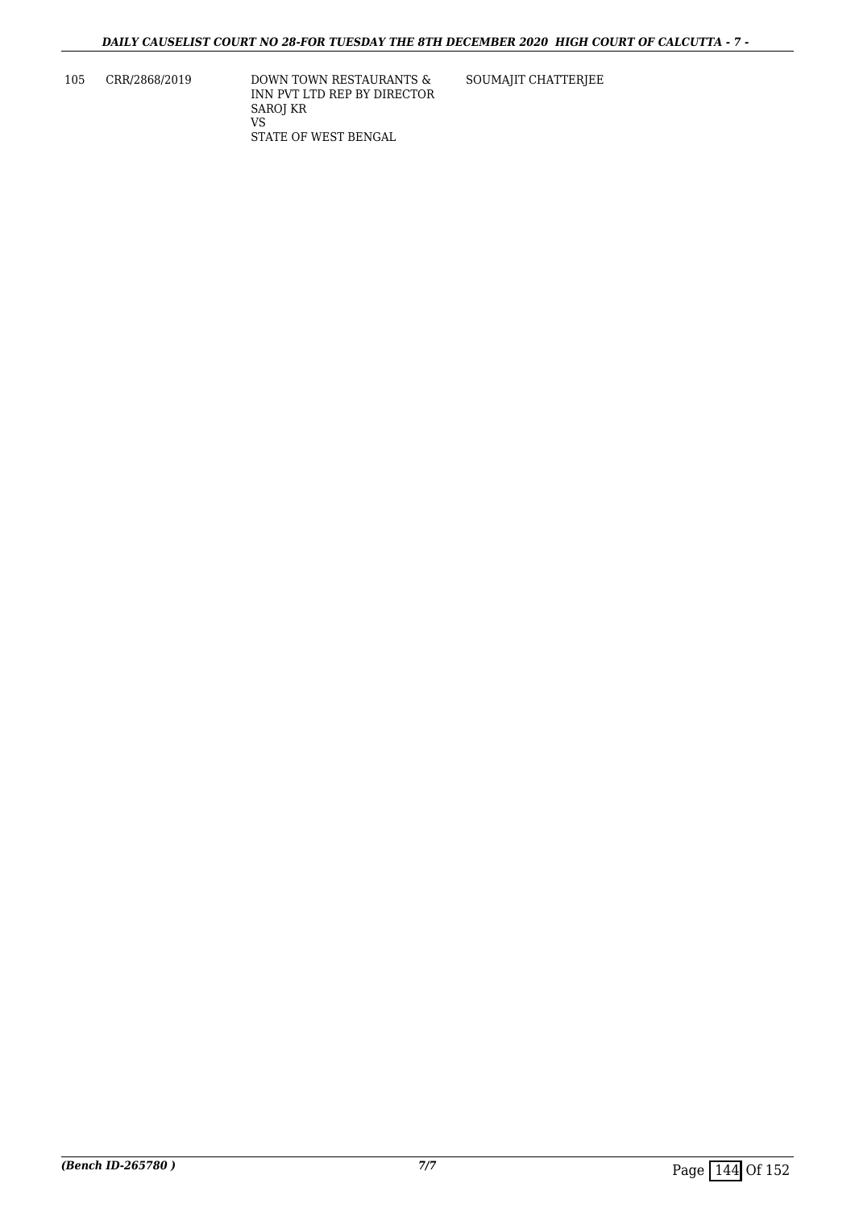105 CRR/2868/2019 DOWN TOWN RESTAURANTS & INN PVT LTD REP BY DIRECTOR SAROJ KR VS STATE OF WEST BENGAL

SOUMAJIT CHATTERJEE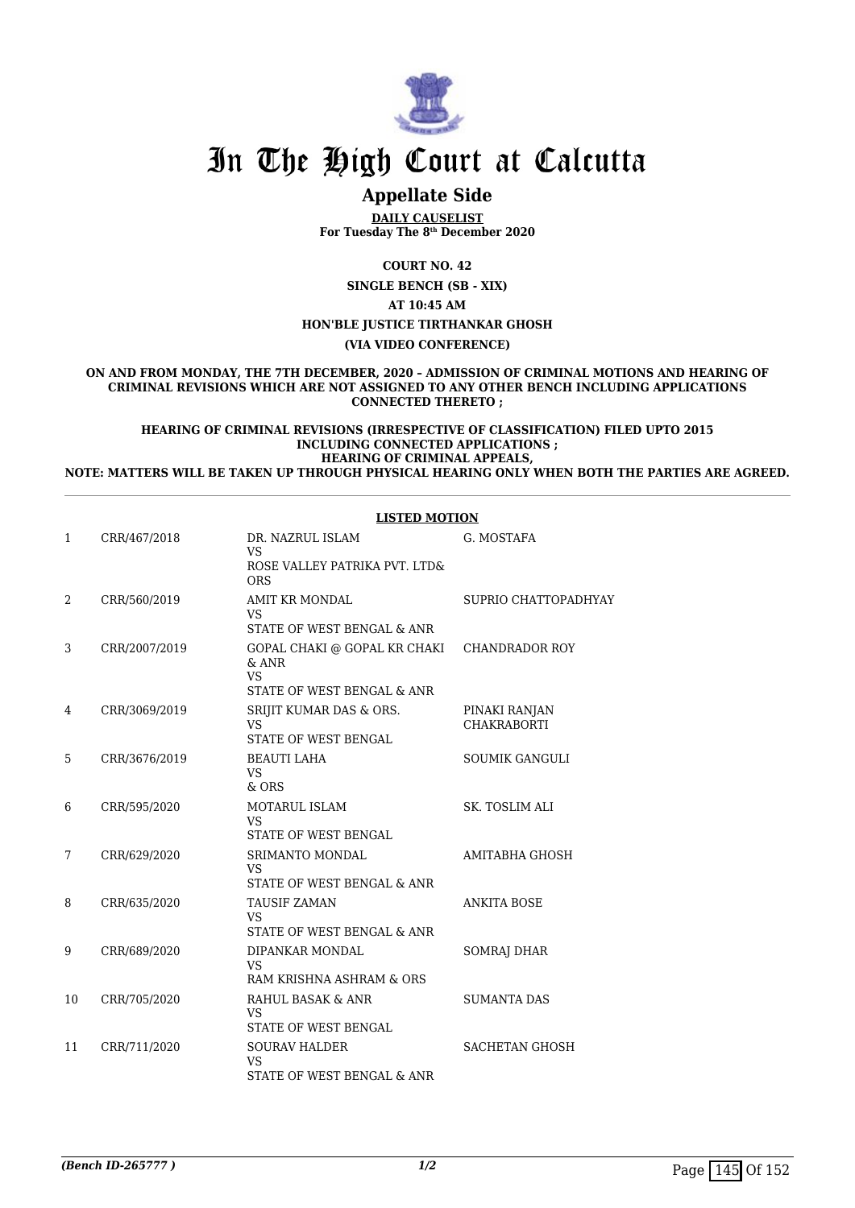

# In The High Court at Calcutta

## **Appellate Side**

**DAILY CAUSELIST For Tuesday The 8th December 2020**

**COURT NO. 42**

**SINGLE BENCH (SB - XIX)**

**AT 10:45 AM**

## **HON'BLE JUSTICE TIRTHANKAR GHOSH**

**(VIA VIDEO CONFERENCE)**

**ON AND FROM MONDAY, THE 7TH DECEMBER, 2020 – ADMISSION OF CRIMINAL MOTIONS AND HEARING OF CRIMINAL REVISIONS WHICH ARE NOT ASSIGNED TO ANY OTHER BENCH INCLUDING APPLICATIONS CONNECTED THERETO ;**

**HEARING OF CRIMINAL REVISIONS (IRRESPECTIVE OF CLASSIFICATION) FILED UPTO 2015 INCLUDING CONNECTED APPLICATIONS ; HEARING OF CRIMINAL APPEALS,**

**NOTE: MATTERS WILL BE TAKEN UP THROUGH PHYSICAL HEARING ONLY WHEN BOTH THE PARTIES ARE AGREED.**

|              |               | <b>LISTED MOTION</b>                                                               |                                     |
|--------------|---------------|------------------------------------------------------------------------------------|-------------------------------------|
| $\mathbf{1}$ | CRR/467/2018  | DR. NAZRUL ISLAM<br><b>VS</b><br>ROSE VALLEY PATRIKA PVT. LTD&<br><b>ORS</b>       | G. MOSTAFA                          |
| 2            | CRR/560/2019  | <b>AMIT KR MONDAL</b><br><b>VS</b><br>STATE OF WEST BENGAL & ANR                   | SUPRIO CHATTOPADHYAY                |
| 3            | CRR/2007/2019 | GOPAL CHAKI @ GOPAL KR CHAKI<br>$&$ ANR<br><b>VS</b><br>STATE OF WEST BENGAL & ANR | <b>CHANDRADOR ROY</b>               |
| 4            | CRR/3069/2019 | SRIJIT KUMAR DAS & ORS.<br>VS<br>STATE OF WEST BENGAL                              | PINAKI RANJAN<br><b>CHAKRABORTI</b> |
| 5            | CRR/3676/2019 | <b>BEAUTI LAHA</b><br>VS.<br>$&$ ORS                                               | <b>SOUMIK GANGULI</b>               |
| 6            | CRR/595/2020  | MOTARUL ISLAM<br><b>VS</b><br><b>STATE OF WEST BENGAL</b>                          | <b>SK. TOSLIM ALI</b>               |
| 7            | CRR/629/2020  | SRIMANTO MONDAL<br>VS<br>STATE OF WEST BENGAL & ANR                                | AMITABHA GHOSH                      |
| 8            | CRR/635/2020  | TAUSIF ZAMAN<br><b>VS</b><br>STATE OF WEST BENGAL & ANR                            | <b>ANKITA BOSE</b>                  |
| 9            | CRR/689/2020  | DIPANKAR MONDAL<br><b>VS</b><br>RAM KRISHNA ASHRAM & ORS                           | SOMRAJ DHAR                         |
| 10           | CRR/705/2020  | RAHUL BASAK & ANR<br><b>VS</b><br>STATE OF WEST BENGAL                             | <b>SUMANTA DAS</b>                  |
| 11           | CRR/711/2020  | <b>SOURAV HALDER</b><br><b>VS</b><br>STATE OF WEST BENGAL & ANR                    | <b>SACHETAN GHOSH</b>               |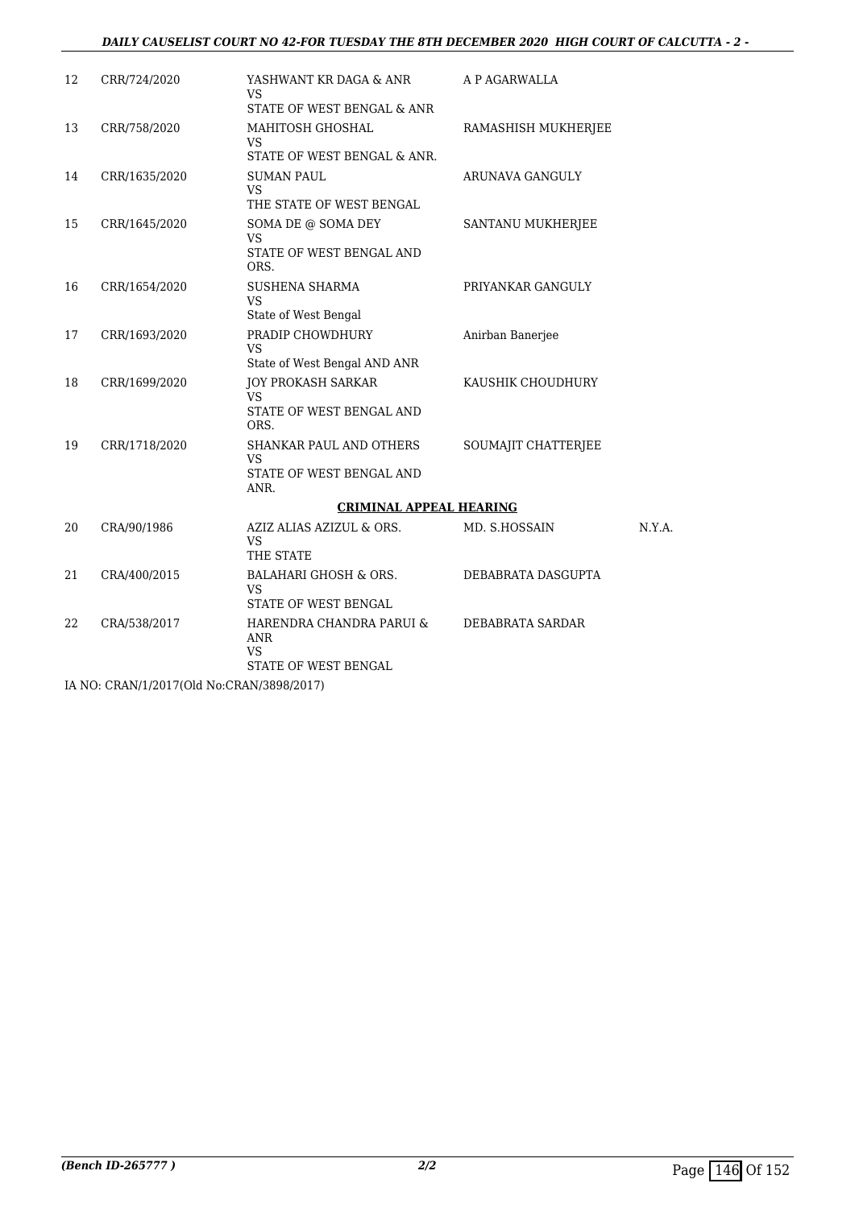### *DAILY CAUSELIST COURT NO 42-FOR TUESDAY THE 8TH DECEMBER 2020 HIGH COURT OF CALCUTTA - 2 -*

| 12 | CRR/724/2020  | YASHWANT KR DAGA & ANR<br><b>VS</b>                                         | A P AGARWALLA          |        |
|----|---------------|-----------------------------------------------------------------------------|------------------------|--------|
|    |               | STATE OF WEST BENGAL & ANR                                                  |                        |        |
| 13 | CRR/758/2020  | MAHITOSH GHOSHAL<br>VS                                                      | RAMASHISH MUKHERJEE    |        |
|    |               | STATE OF WEST BENGAL & ANR.                                                 |                        |        |
| 14 | CRR/1635/2020 | <b>SUMAN PAUL</b><br>VS                                                     | <b>ARUNAVA GANGULY</b> |        |
|    |               | THE STATE OF WEST BENGAL                                                    |                        |        |
| 15 | CRR/1645/2020 | SOMA DE @ SOMA DEY<br>VS<br>STATE OF WEST BENGAL AND                        | SANTANU MUKHERJEE      |        |
|    |               | ORS.                                                                        |                        |        |
| 16 | CRR/1654/2020 | <b>SUSHENA SHARMA</b><br><b>VS</b>                                          | PRIYANKAR GANGULY      |        |
|    |               | State of West Bengal                                                        |                        |        |
| 17 | CRR/1693/2020 | PRADIP CHOWDHURY<br><b>VS</b><br>State of West Bengal AND ANR               | Anirban Banerjee       |        |
| 18 | CRR/1699/2020 | <b>JOY PROKASH SARKAR</b><br>VS.                                            | KAUSHIK CHOUDHURY      |        |
|    |               | STATE OF WEST BENGAL AND<br>ORS.                                            |                        |        |
| 19 | CRR/1718/2020 | SHANKAR PAUL AND OTHERS<br><b>VS</b>                                        | SOUMAJIT CHATTERJEE    |        |
|    |               | STATE OF WEST BENGAL AND<br>ANR.                                            |                        |        |
|    |               | <b>CRIMINAL APPEAL HEARING</b>                                              |                        |        |
| 20 | CRA/90/1986   | AZIZ ALIAS AZIZUL & ORS.<br><b>VS</b><br>THE STATE                          | MD. S.HOSSAIN          | N.Y.A. |
| 21 | CRA/400/2015  | BALAHARI GHOSH & ORS.<br>VS.<br>STATE OF WEST BENGAL                        | DEBABRATA DASGUPTA     |        |
| 22 | CRA/538/2017  | HARENDRA CHANDRA PARUI &<br><b>ANR</b><br><b>VS</b><br>STATE OF WEST BENGAL | DEBABRATA SARDAR       |        |
|    |               |                                                                             |                        |        |

IA NO: CRAN/1/2017(Old No:CRAN/3898/2017)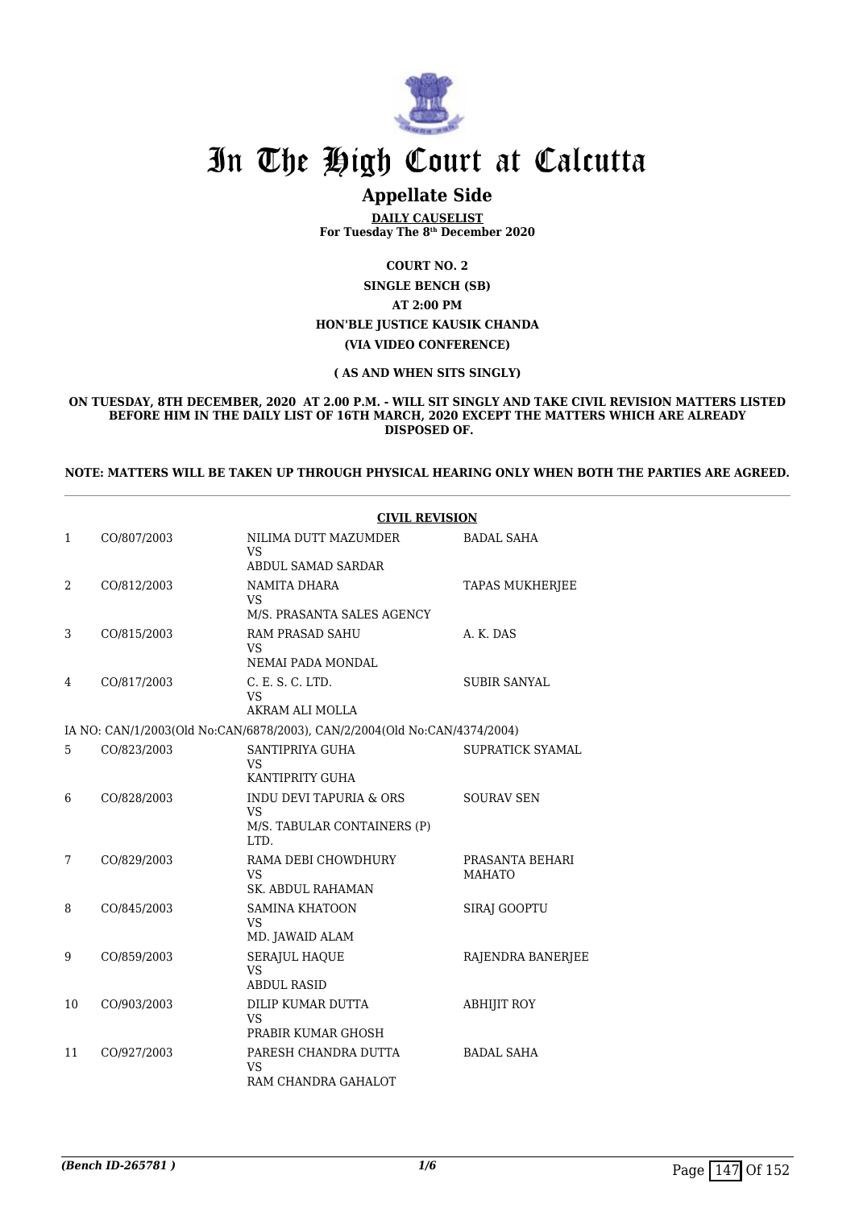

# In The High Court at Calcutta

## **Appellate Side**

**DAILY CAUSELIST For Tuesday The 8th December 2020**

**COURT NO. 2**

**SINGLE BENCH (SB) AT 2:00 PM HON'BLE JUSTICE KAUSIK CHANDA (VIA VIDEO CONFERENCE)**

#### **( AS AND WHEN SITS SINGLY)**

**ON TUESDAY, 8TH DECEMBER, 2020 AT 2.00 P.M. - WILL SIT SINGLY AND TAKE CIVIL REVISION MATTERS LISTED BEFORE HIM IN THE DAILY LIST OF 16TH MARCH, 2020 EXCEPT THE MATTERS WHICH ARE ALREADY DISPOSED OF.**

#### **NOTE: MATTERS WILL BE TAKEN UP THROUGH PHYSICAL HEARING ONLY WHEN BOTH THE PARTIES ARE AGREED.**

|    |             | <b>CIVIL REVISION</b>                                                       |                                  |
|----|-------------|-----------------------------------------------------------------------------|----------------------------------|
| 1  | CO/807/2003 | NILIMA DUTT MAZUMDER<br>VS.                                                 | BADAL SAHA                       |
|    |             | ABDUL SAMAD SARDAR                                                          |                                  |
| 2  | CO/812/2003 | NAMITA DHARA<br>VS<br>M/S. PRASANTA SALES AGENCY                            | <b>TAPAS MUKHERJEE</b>           |
| 3  | CO/815/2003 | <b>RAM PRASAD SAHU</b><br>VS<br>NEMAI PADA MONDAL                           | A. K. DAS                        |
| 4  | CO/817/2003 | C. E. S. C. LTD.<br>VS<br>AKRAM ALI MOLLA                                   | <b>SUBIR SANYAL</b>              |
|    |             | IA NO: CAN/1/2003(Old No:CAN/6878/2003), CAN/2/2004(Old No:CAN/4374/2004)   |                                  |
| 5  | CO/823/2003 | SANTIPRIYA GUHA<br>VS<br>KANTIPRITY GUHA                                    | SUPRATICK SYAMAL                 |
| 6  | CO/828/2003 | INDU DEVI TAPURIA & ORS<br><b>VS</b><br>M/S. TABULAR CONTAINERS (P)<br>LTD. | <b>SOURAV SEN</b>                |
| 7  | CO/829/2003 | RAMA DEBI CHOWDHURY<br>VS.<br><b>SK. ABDUL RAHAMAN</b>                      | PRASANTA BEHARI<br><b>MAHATO</b> |
| 8  | CO/845/2003 | <b>SAMINA KHATOON</b><br>VS.<br>MD. JAWAID ALAM                             | SIRAJ GOOPTU                     |
| 9  | CO/859/2003 | <b>SERAJUL HAQUE</b><br><b>VS</b><br><b>ABDUL RASID</b>                     | RAJENDRA BANERJEE                |
| 10 | CO/903/2003 | DILIP KUMAR DUTTA<br>VS.<br>PRABIR KUMAR GHOSH                              | <b>ABHIJIT ROY</b>               |
| 11 | CO/927/2003 | PARESH CHANDRA DUTTA<br><b>VS</b><br>RAM CHANDRA GAHALOT                    | <b>BADAL SAHA</b>                |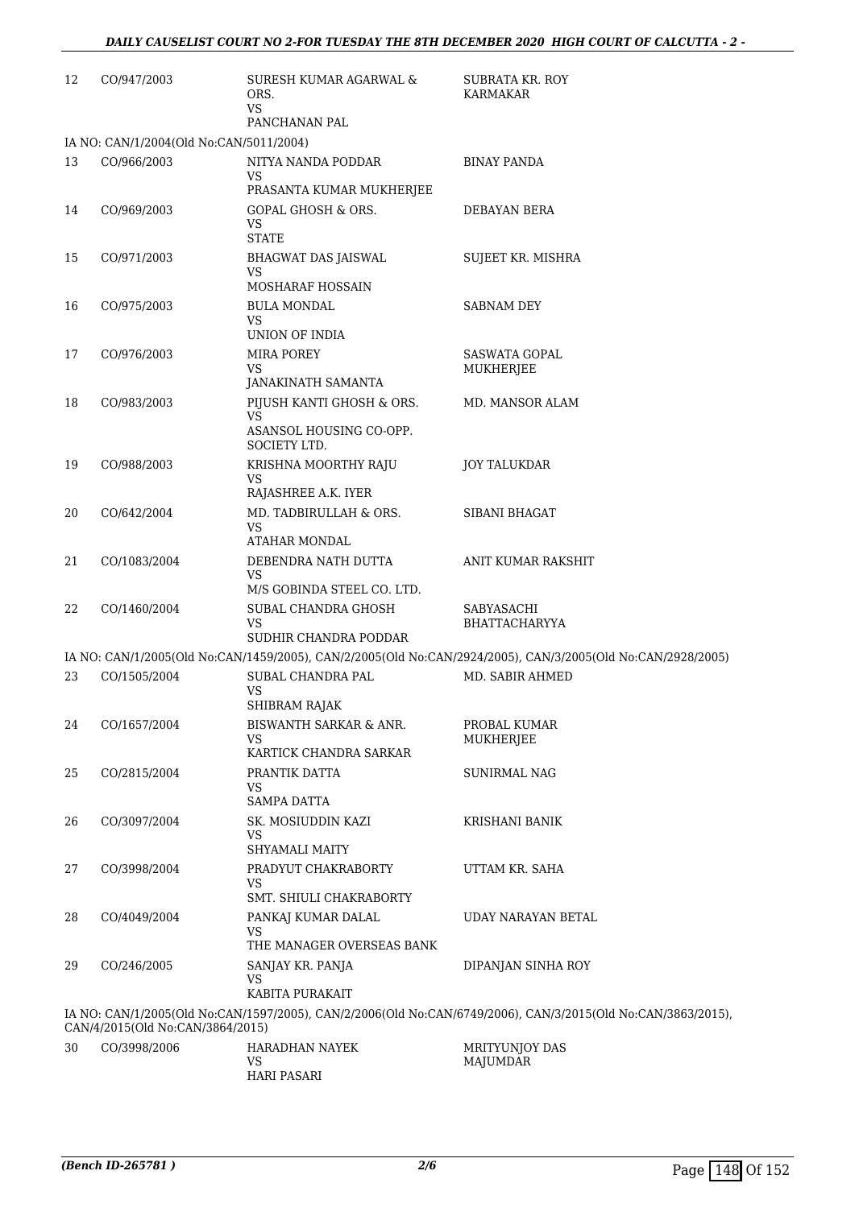| 12 | CO/947/2003                                                                                                                                      | SURESH KUMAR AGARWAL &<br>ORS.<br>VS.               | SUBRATA KR. ROY<br><b>KARMAKAR</b>                                                                          |  |  |
|----|--------------------------------------------------------------------------------------------------------------------------------------------------|-----------------------------------------------------|-------------------------------------------------------------------------------------------------------------|--|--|
|    | IA NO: CAN/1/2004(Old No:CAN/5011/2004)                                                                                                          | PANCHANAN PAL                                       |                                                                                                             |  |  |
| 13 | CO/966/2003                                                                                                                                      | NITYA NANDA PODDAR                                  | <b>BINAY PANDA</b>                                                                                          |  |  |
|    |                                                                                                                                                  | VS<br>PRASANTA KUMAR MUKHERJEE                      |                                                                                                             |  |  |
| 14 | CO/969/2003                                                                                                                                      | <b>GOPAL GHOSH &amp; ORS.</b><br>VS<br><b>STATE</b> | DEBAYAN BERA                                                                                                |  |  |
| 15 | CO/971/2003                                                                                                                                      | <b>BHAGWAT DAS JAISWAL</b><br>VS                    | SUJEET KR. MISHRA                                                                                           |  |  |
|    |                                                                                                                                                  | MOSHARAF HOSSAIN                                    |                                                                                                             |  |  |
| 16 | CO/975/2003                                                                                                                                      | <b>BULA MONDAL</b><br>VS<br>UNION OF INDIA          | SABNAM DEY                                                                                                  |  |  |
| 17 | CO/976/2003                                                                                                                                      | MIRA POREY                                          | SASWATA GOPAL                                                                                               |  |  |
|    |                                                                                                                                                  | VS                                                  | MUKHERJEE                                                                                                   |  |  |
| 18 | CO/983/2003                                                                                                                                      | JANAKINATH SAMANTA<br>PIJUSH KANTI GHOSH & ORS.     | MD. MANSOR ALAM                                                                                             |  |  |
|    |                                                                                                                                                  | VS.                                                 |                                                                                                             |  |  |
|    |                                                                                                                                                  | ASANSOL HOUSING CO-OPP.<br>SOCIETY LTD.             |                                                                                                             |  |  |
| 19 | CO/988/2003                                                                                                                                      | KRISHNA MOORTHY RAJU                                | JOY TALUKDAR                                                                                                |  |  |
|    |                                                                                                                                                  | VS.<br>RAJASHREE A.K. IYER                          |                                                                                                             |  |  |
| 20 | CO/642/2004                                                                                                                                      | MD. TADBIRULLAH & ORS.                              | SIBANI BHAGAT                                                                                               |  |  |
|    |                                                                                                                                                  | VS<br>ATAHAR MONDAL                                 |                                                                                                             |  |  |
| 21 | CO/1083/2004                                                                                                                                     | DEBENDRA NATH DUTTA                                 | ANIT KUMAR RAKSHIT                                                                                          |  |  |
|    |                                                                                                                                                  | VS                                                  |                                                                                                             |  |  |
|    |                                                                                                                                                  | M/S GOBINDA STEEL CO. LTD.                          |                                                                                                             |  |  |
| 22 | CO/1460/2004                                                                                                                                     | SUBAL CHANDRA GHOSH<br>VS<br>SUDHIR CHANDRA PODDAR  | SABYASACHI<br><b>BHATTACHARYYA</b>                                                                          |  |  |
|    |                                                                                                                                                  |                                                     | IA NO: CAN/1/2005(Old No:CAN/1459/2005), CAN/2/2005(Old No:CAN/2924/2005), CAN/3/2005(Old No:CAN/2928/2005) |  |  |
| 23 | CO/1505/2004                                                                                                                                     | SUBAL CHANDRA PAL                                   | MD. SABIR AHMED                                                                                             |  |  |
|    |                                                                                                                                                  | VS                                                  |                                                                                                             |  |  |
| 24 | CO/1657/2004                                                                                                                                     | SHIBRAM RAJAK<br>BISWANTH SARKAR & ANR.             | PROBAL KUMAR                                                                                                |  |  |
|    |                                                                                                                                                  | VS                                                  | MUKHERJEE                                                                                                   |  |  |
|    |                                                                                                                                                  | KARTICK CHANDRA SARKAR                              |                                                                                                             |  |  |
| 25 | CO/2815/2004                                                                                                                                     | PRANTIK DATTA<br>VS<br><b>SAMPA DATTA</b>           | SUNIRMAL NAG                                                                                                |  |  |
| 26 | CO/3097/2004                                                                                                                                     | SK. MOSIUDDIN KAZI                                  | KRISHANI BANIK                                                                                              |  |  |
|    |                                                                                                                                                  | VS<br>SHYAMALI MAITY                                |                                                                                                             |  |  |
| 27 | CO/3998/2004                                                                                                                                     | PRADYUT CHAKRABORTY                                 | UTTAM KR. SAHA                                                                                              |  |  |
|    |                                                                                                                                                  | VS<br>SMT. SHIULI CHAKRABORTY                       |                                                                                                             |  |  |
| 28 | CO/4049/2004                                                                                                                                     | PANKAJ KUMAR DALAL                                  | UDAY NARAYAN BETAL                                                                                          |  |  |
|    |                                                                                                                                                  | VS<br>THE MANAGER OVERSEAS BANK                     |                                                                                                             |  |  |
| 29 | CO/246/2005                                                                                                                                      | SANJAY KR. PANJA                                    | DIPANJAN SINHA ROY                                                                                          |  |  |
|    |                                                                                                                                                  | VS                                                  |                                                                                                             |  |  |
|    |                                                                                                                                                  | KABITA PURAKAIT                                     |                                                                                                             |  |  |
|    | IA NO: CAN/1/2005(Old No:CAN/1597/2005), CAN/2/2006(Old No:CAN/6749/2006), CAN/3/2015(Old No:CAN/3863/2015),<br>CAN/4/2015(Old No:CAN/3864/2015) |                                                     |                                                                                                             |  |  |
| 30 | CO/3998/2006                                                                                                                                     | HARADHAN NAYEK                                      | MRITYUNJOY DAS                                                                                              |  |  |

| 30. | CO/3998/2006 | HARADHAN NAYEK | MRITYUNJOY D |
|-----|--------------|----------------|--------------|
|     |              |                | MAJUMDAR     |
|     |              | HARI PASARI    |              |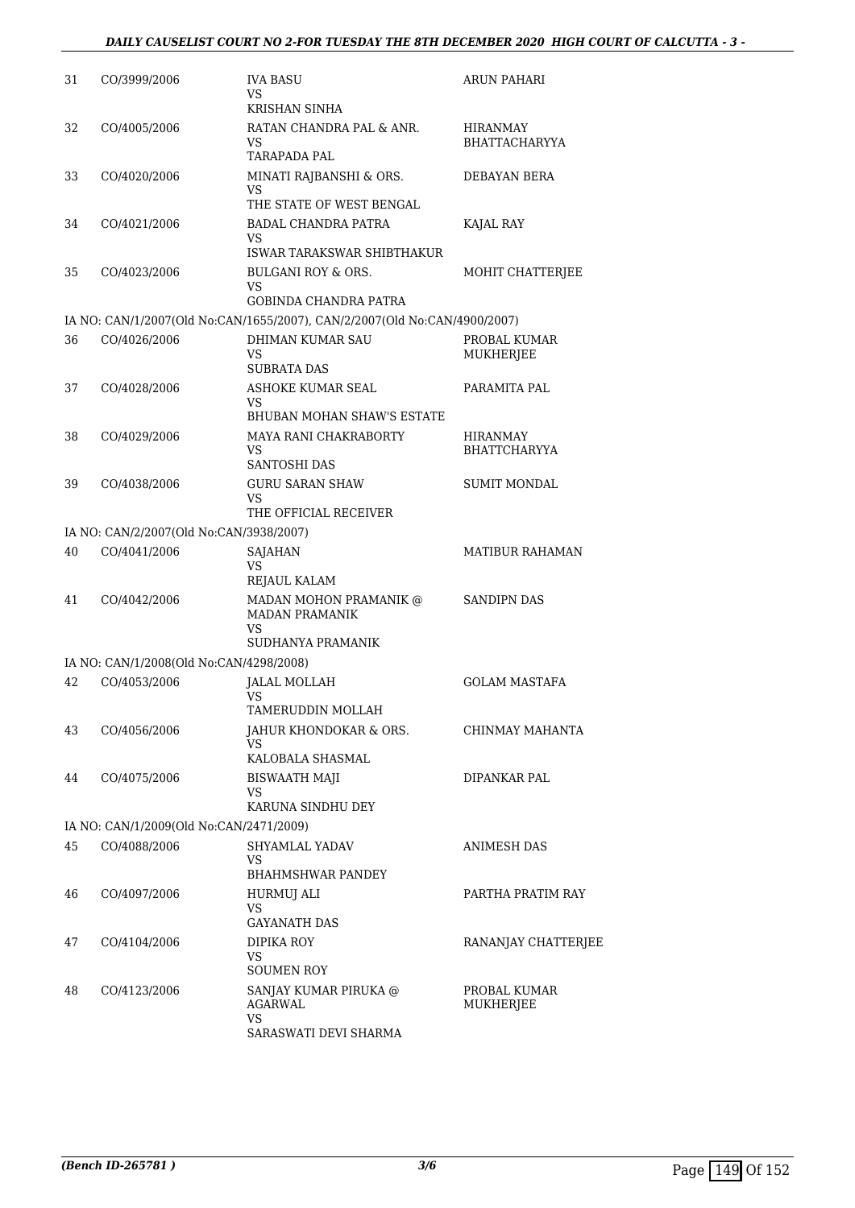| 31 | CO/3999/2006                            | <b>IVA BASU</b><br>VS                                                     | ARUN PAHARI                      |
|----|-----------------------------------------|---------------------------------------------------------------------------|----------------------------------|
| 32 | CO/4005/2006                            | KRISHAN SINHA<br>RATAN CHANDRA PAL & ANR.<br>VS                           | HIRANMAY<br><b>BHATTACHARYYA</b> |
| 33 | CO/4020/2006                            | <b>TARAPADA PAL</b><br>MINATI RAJBANSHI & ORS.<br>VS                      | <b>DEBAYAN BERA</b>              |
|    |                                         | THE STATE OF WEST BENGAL                                                  |                                  |
| 34 | CO/4021/2006                            | <b>BADAL CHANDRA PATRA</b><br>VS<br>ISWAR TARAKSWAR SHIBTHAKUR            | KAJAL RAY                        |
| 35 | CO/4023/2006                            | <b>BULGANI ROY &amp; ORS.</b>                                             | MOHIT CHATTERIEE                 |
|    |                                         | VS<br><b>GOBINDA CHANDRA PATRA</b>                                        |                                  |
|    |                                         | IA NO: CAN/1/2007(Old No:CAN/1655/2007), CAN/2/2007(Old No:CAN/4900/2007) |                                  |
| 36 | CO/4026/2006                            | DHIMAN KUMAR SAU<br>VS<br><b>SUBRATA DAS</b>                              | PROBAL KUMAR<br>MUKHERJEE        |
| 37 | CO/4028/2006                            | ASHOKE KUMAR SEAL<br>VS                                                   | PARAMITA PAL                     |
|    |                                         | <b>BHUBAN MOHAN SHAW'S ESTATE</b>                                         |                                  |
| 38 | CO/4029/2006                            | MAYA RANI CHAKRABORTY<br>VS<br><b>SANTOSHI DAS</b>                        | HIRANMAY<br><b>BHATTCHARYYA</b>  |
| 39 | CO/4038/2006                            | <b>GURU SARAN SHAW</b><br>VS<br>THE OFFICIAL RECEIVER                     | <b>SUMIT MONDAL</b>              |
|    | IA NO: CAN/2/2007(Old No:CAN/3938/2007) |                                                                           |                                  |
| 40 | CO/4041/2006                            | SAJAHAN<br>VS                                                             | <b>MATIBUR RAHAMAN</b>           |
|    |                                         | REJAUL KALAM                                                              |                                  |
| 41 | CO/4042/2006                            | MADAN MOHON PRAMANIK @<br><b>MADAN PRAMANIK</b><br>VS                     | <b>SANDIPN DAS</b>               |
|    |                                         | SUDHANYA PRAMANIK                                                         |                                  |
|    | IA NO: CAN/1/2008(Old No:CAN/4298/2008) |                                                                           |                                  |
| 42 | CO/4053/2006                            | <b>JALAL MOLLAH</b><br>VS<br>TAMERUDDIN MOLLAH                            | <b>GOLAM MASTAFA</b>             |
| 43 | CO/4056/2006                            | JAHUR KHONDOKAR & ORS.<br>VS.                                             | CHINMAY MAHANTA                  |
|    |                                         | KALOBALA SHASMAL                                                          |                                  |
| 44 | CO/4075/2006                            | BISWAATH MAJI<br>VS<br>KARUNA SINDHU DEY                                  | DIPANKAR PAL                     |
|    | IA NO: CAN/1/2009(Old No:CAN/2471/2009) |                                                                           |                                  |
| 45 | CO/4088/2006                            | SHYAMLAL YADAV<br>VS                                                      | ANIMESH DAS                      |
|    |                                         | BHAHMSHWAR PANDEY                                                         |                                  |
| 46 | CO/4097/2006                            | <b>HURMUJ ALI</b><br>VS                                                   | PARTHA PRATIM RAY                |
|    |                                         | <b>GAYANATH DAS</b>                                                       |                                  |
| 47 | CO/4104/2006                            | DIPIKA ROY<br>VS<br><b>SOUMEN ROY</b>                                     | RANANJAY CHATTERJEE              |
| 48 | CO/4123/2006                            | SANJAY KUMAR PIRUKA @<br>AGARWAL<br>VS                                    | PROBAL KUMAR<br>MUKHERJEE        |
|    |                                         | SARASWATI DEVI SHARMA                                                     |                                  |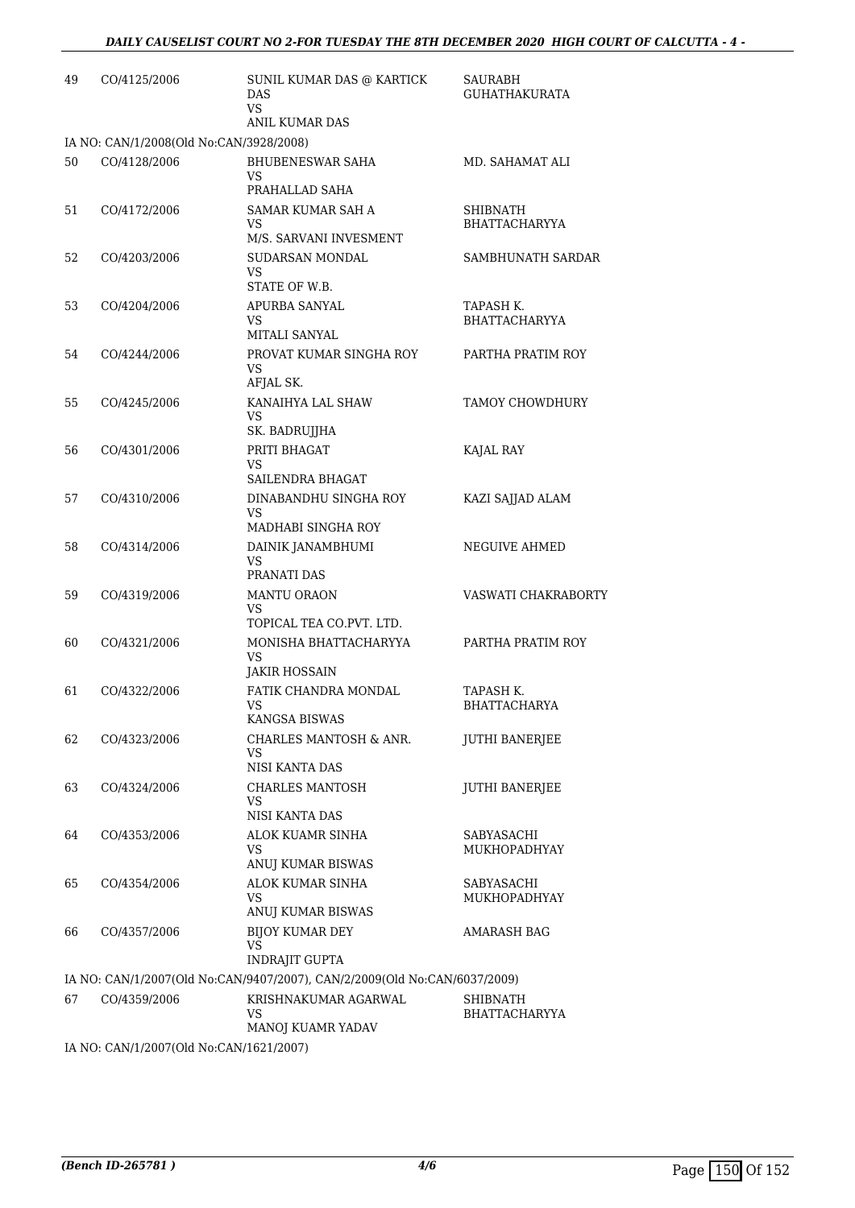| 49 | CO/4125/2006                            | SUNIL KUMAR DAS @ KARTICK<br><b>DAS</b><br><b>VS</b>                      | SAURABH<br><b>GUHATHAKURATA</b>   |
|----|-----------------------------------------|---------------------------------------------------------------------------|-----------------------------------|
|    | IA NO: CAN/1/2008(Old No:CAN/3928/2008) | ANIL KUMAR DAS                                                            |                                   |
| 50 | CO/4128/2006                            | <b>BHUBENESWAR SAHA</b><br><b>VS</b><br>PRAHALLAD SAHA                    | MD. SAHAMAT ALI                   |
| 51 | CO/4172/2006                            | SAMAR KUMAR SAH A<br>VS<br>M/S. SARVANI INVESMENT                         | SHIBNATH<br><b>BHATTACHARYYA</b>  |
| 52 | CO/4203/2006                            | SUDARSAN MONDAL<br>VS                                                     | SAMBHUNATH SARDAR                 |
| 53 | CO/4204/2006                            | STATE OF W.B.<br>APURBA SANYAL<br>VS<br>MITALI SANYAL                     | TAPASH K.<br><b>BHATTACHARYYA</b> |
| 54 | CO/4244/2006                            | PROVAT KUMAR SINGHA ROY<br>VS<br>AFJAL SK.                                | PARTHA PRATIM ROY                 |
| 55 | CO/4245/2006                            | KANAIHYA LAL SHAW<br>VS<br>SK. BADRUJJHA                                  | <b>TAMOY CHOWDHURY</b>            |
| 56 | CO/4301/2006                            | PRITI BHAGAT<br>VS<br>SAILENDRA BHAGAT                                    | KAJAL RAY                         |
| 57 | CO/4310/2006                            | DINABANDHU SINGHA ROY<br>VS<br>MADHABI SINGHA ROY                         | KAZI SAJJAD ALAM                  |
| 58 | CO/4314/2006                            | DAINIK JANAMBHUMI<br>VS<br>PRANATI DAS                                    | NEGUIVE AHMED                     |
| 59 | CO/4319/2006                            | <b>MANTU ORAON</b><br>VS<br>TOPICAL TEA CO.PVT. LTD.                      | VASWATI CHAKRABORTY               |
| 60 | CO/4321/2006                            | MONISHA BHATTACHARYYA<br>VS<br>JAKIR HOSSAIN                              | PARTHA PRATIM ROY                 |
| 61 | CO/4322/2006                            | FATIK CHANDRA MONDAL<br>VS<br><b>KANGSA BISWAS</b>                        | TAPASH K.<br><b>BHATTACHARYA</b>  |
| 62 | CO/4323/2006                            | CHARLES MANTOSH & ANR.<br>VS<br>NISI KANTA DAS                            | JUTHI BANERJEE                    |
| 63 | CO/4324/2006                            | <b>CHARLES MANTOSH</b><br>VS<br>NISI KANTA DAS                            | <b>JUTHI BANERJEE</b>             |
| 64 | CO/4353/2006                            | ALOK KUAMR SINHA<br>VS<br>ANUJ KUMAR BISWAS                               | SABYASACHI<br>MUKHOPADHYAY        |
| 65 | CO/4354/2006                            | ALOK KUMAR SINHA<br>VS<br>ANUJ KUMAR BISWAS                               | SABYASACHI<br>MUKHOPADHYAY        |
| 66 | CO/4357/2006                            | <b>BIJOY KUMAR DEY</b><br>VS<br><b>INDRAJIT GUPTA</b>                     | AMARASH BAG                       |
|    |                                         | IA NO: CAN/1/2007(Old No:CAN/9407/2007), CAN/2/2009(Old No:CAN/6037/2009) |                                   |
| 67 | CO/4359/2006                            | KRISHNAKUMAR AGARWAL<br>VS<br>MANOJ KUAMR YADAV                           | SHIBNATH<br><b>BHATTACHARYYA</b>  |
|    | IA NO: CAN/1/2007(Old No:CAN/1621/2007) |                                                                           |                                   |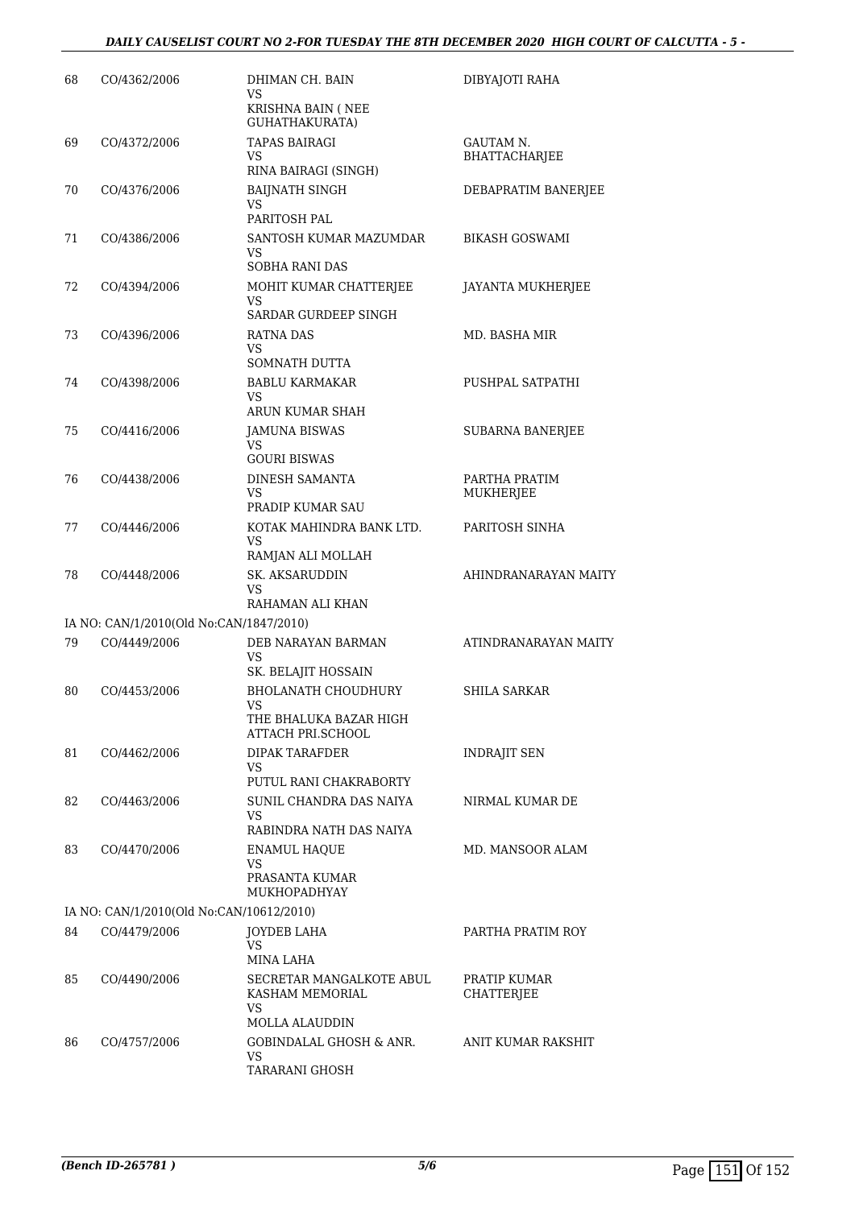### *DAILY CAUSELIST COURT NO 2-FOR TUESDAY THE 8TH DECEMBER 2020 HIGH COURT OF CALCUTTA - 5 -*

| 68 | CO/4362/2006                             | DHIMAN CH. BAIN<br>VS<br>KRISHNA BAIN (NEE<br>GUHATHAKURATA)                                                  | DIBYAJOTI RAHA                    |
|----|------------------------------------------|---------------------------------------------------------------------------------------------------------------|-----------------------------------|
| 69 | CO/4372/2006                             | <b>TAPAS BAIRAGI</b><br>VS<br>RINA BAIRAGI (SINGH)                                                            | <b>GAUTAM N.</b><br>BHATTACHARJEE |
| 70 | CO/4376/2006                             | <b>BAIJNATH SINGH</b><br>VS.<br>PARITOSH PAL                                                                  | DEBAPRATIM BANERJEE               |
| 71 | CO/4386/2006                             | SANTOSH KUMAR MAZUMDAR<br>VS<br>SOBHA RANI DAS                                                                | BIKASH GOSWAMI                    |
| 72 | CO/4394/2006                             | MOHIT KUMAR CHATTERJEE<br>VS<br>SARDAR GURDEEP SINGH                                                          | JAYANTA MUKHERJEE                 |
| 73 | CO/4396/2006                             | RATNA DAS<br>VS.<br>SOMNATH DUTTA                                                                             | MD. BASHA MIR                     |
| 74 | CO/4398/2006                             | <b>BABLU KARMAKAR</b><br><b>VS</b><br>ARUN KUMAR SHAH                                                         | PUSHPAL SATPATHI                  |
| 75 | CO/4416/2006                             | <b>JAMUNA BISWAS</b><br>VS<br><b>GOURI BISWAS</b>                                                             | SUBARNA BANERJEE                  |
| 76 | CO/4438/2006                             | <b>DINESH SAMANTA</b><br>VS<br>PRADIP KUMAR SAU                                                               | PARTHA PRATIM<br>MUKHERJEE        |
| 77 | CO/4446/2006                             | KOTAK MAHINDRA BANK LTD.<br>VS<br>RAMJAN ALI MOLLAH                                                           | PARITOSH SINHA                    |
| 78 | CO/4448/2006                             | SK. AKSARUDDIN<br>VS                                                                                          | AHINDRANARAYAN MAITY              |
|    | IA NO: CAN/1/2010(Old No:CAN/1847/2010)  | RAHAMAN ALI KHAN                                                                                              |                                   |
| 79 | CO/4449/2006                             | DEB NARAYAN BARMAN<br><b>VS</b>                                                                               | ATINDRANARAYAN MAITY              |
| 80 | CO/4453/2006                             | SK. BELAJIT HOSSAIN<br><b>BHOLANATH CHOUDHURY</b><br>VS<br>THE BHALUKA BAZAR HIGH<br><b>ATTACH PRI.SCHOOL</b> | <b>SHILA SARKAR</b>               |
| 81 | CO/4462/2006                             | <b>DIPAK TARAFDER</b><br>VS.<br>PUTUL RANI CHAKRABORTY                                                        | <b>INDRAJIT SEN</b>               |
| 82 | CO/4463/2006                             | SUNIL CHANDRA DAS NAIYA<br>VS.<br>RABINDRA NATH DAS NAIYA                                                     | NIRMAL KUMAR DE                   |
| 83 | CO/4470/2006                             | <b>ENAMUL HAQUE</b><br>VS.<br>PRASANTA KUMAR<br>MUKHOPADHYAY                                                  | MD. MANSOOR ALAM                  |
|    | IA NO: CAN/1/2010(Old No:CAN/10612/2010) |                                                                                                               |                                   |
| 84 | CO/4479/2006                             | JOYDEB LAHA<br>VS<br>MINA LAHA                                                                                | PARTHA PRATIM ROY                 |
| 85 | CO/4490/2006                             | SECRETAR MANGALKOTE ABUL<br>KASHAM MEMORIAL<br>VS.<br><b>MOLLA ALAUDDIN</b>                                   | PRATIP KUMAR<br>CHATTERJEE        |
| 86 | CO/4757/2006                             | <b>GOBINDALAL GHOSH &amp; ANR.</b><br>VS.<br>TARARANI GHOSH                                                   | ANIT KUMAR RAKSHIT                |